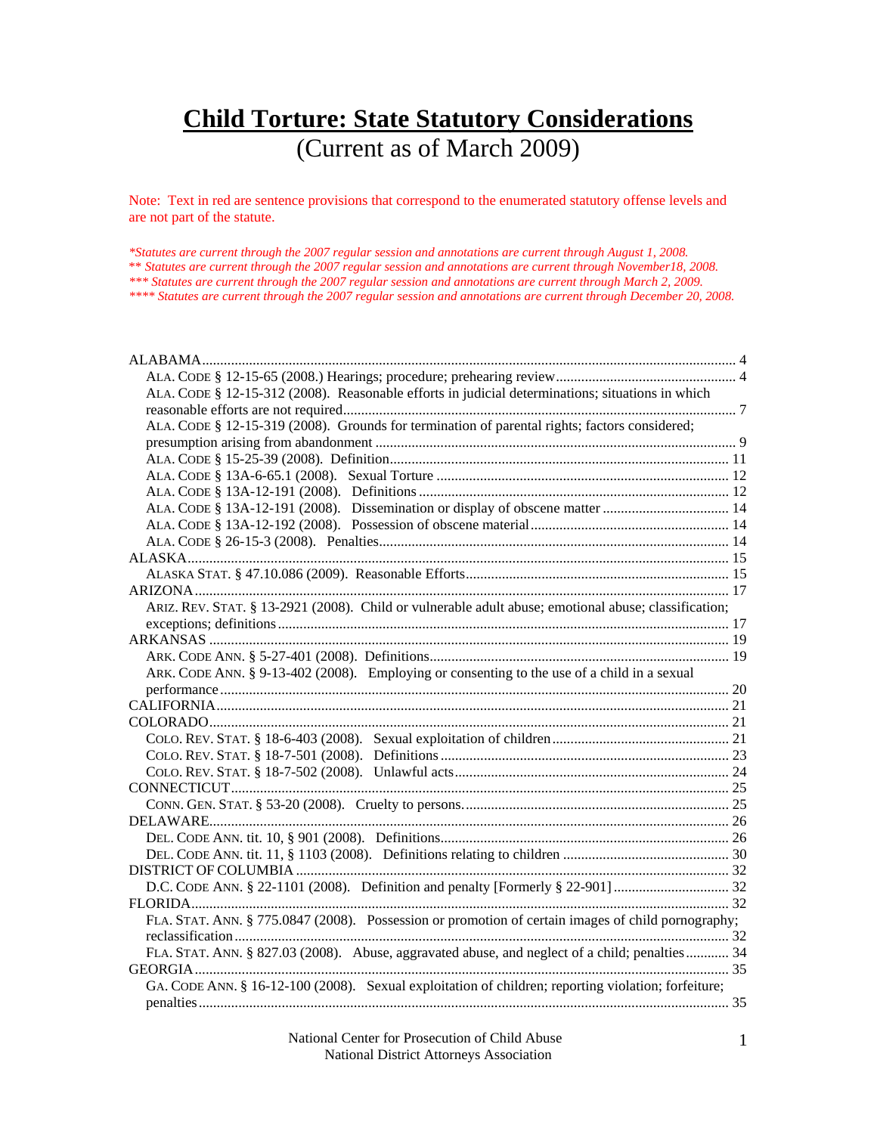# **Child Torture: State Statutory Considerations** (Current as of March 2009)

Note: Text in red are sentence provisions that correspond to the enumerated statutory offense levels and are not part of the statute.

*\*Statutes are current through the 2007 regular session and annotations are current through August 1, 2008.*

\*\* *Statutes are current through the 2007 regular session and annotations are current through November18, 2008.*

*\*\*\* Statutes are current through the 2007 regular session and annotations are current through March 2, 2009.* 

*\*\*\*\* Statutes are current through the 2007 regular session and annotations are current through December 20, 2008.* 

| ALA. CODE § 12-15-312 (2008). Reasonable efforts in judicial determinations; situations in which     |  |
|------------------------------------------------------------------------------------------------------|--|
|                                                                                                      |  |
| ALA. CODE § 12-15-319 (2008). Grounds for termination of parental rights; factors considered;        |  |
|                                                                                                      |  |
|                                                                                                      |  |
|                                                                                                      |  |
|                                                                                                      |  |
| ALA. CODE § 13A-12-191 (2008). Dissemination or display of obscene matter  14                        |  |
|                                                                                                      |  |
|                                                                                                      |  |
|                                                                                                      |  |
|                                                                                                      |  |
|                                                                                                      |  |
| ARIZ. REV. STAT. § 13-2921 (2008). Child or vulnerable adult abuse; emotional abuse; classification; |  |
|                                                                                                      |  |
|                                                                                                      |  |
|                                                                                                      |  |
| ARK. CODE ANN. § 9-13-402 (2008). Employing or consenting to the use of a child in a sexual          |  |
|                                                                                                      |  |
|                                                                                                      |  |
|                                                                                                      |  |
|                                                                                                      |  |
|                                                                                                      |  |
|                                                                                                      |  |
|                                                                                                      |  |
|                                                                                                      |  |
|                                                                                                      |  |
|                                                                                                      |  |
|                                                                                                      |  |
|                                                                                                      |  |
|                                                                                                      |  |
|                                                                                                      |  |
| FLA. STAT. ANN. § 775.0847 (2008). Possession or promotion of certain images of child pornography;   |  |
|                                                                                                      |  |
| FLA. STAT. ANN. § 827.03 (2008). Abuse, aggravated abuse, and neglect of a child; penalties 34       |  |
|                                                                                                      |  |
| GA. CODE ANN. § 16-12-100 (2008). Sexual exploitation of children; reporting violation; forfeiture;  |  |
|                                                                                                      |  |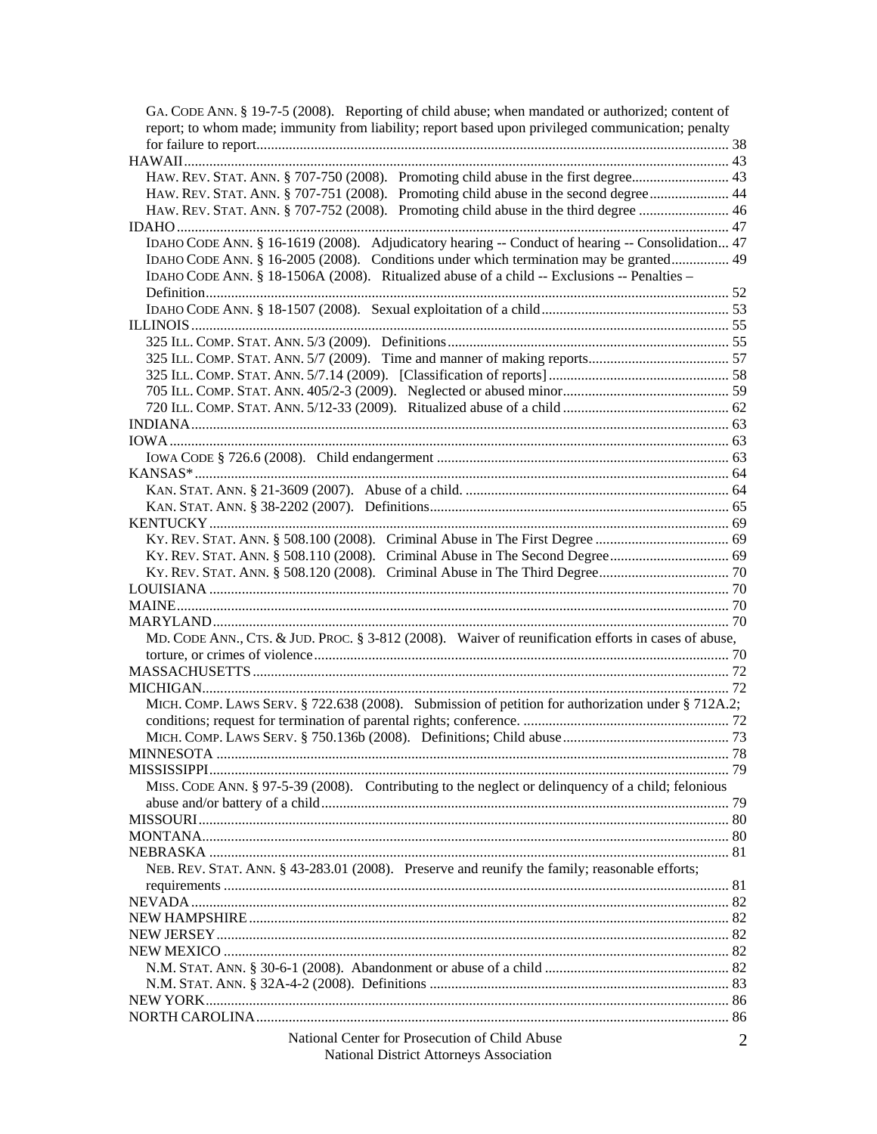| National District Attorneys Association                                                             |                |
|-----------------------------------------------------------------------------------------------------|----------------|
| National Center for Prosecution of Child Abuse                                                      | $\overline{2}$ |
|                                                                                                     |                |
|                                                                                                     |                |
|                                                                                                     |                |
|                                                                                                     |                |
|                                                                                                     |                |
|                                                                                                     |                |
|                                                                                                     |                |
|                                                                                                     |                |
|                                                                                                     |                |
|                                                                                                     |                |
| NEB. REV. STAT. ANN. § 43-283.01 (2008). Preserve and reunify the family; reasonable efforts;       |                |
|                                                                                                     |                |
|                                                                                                     |                |
|                                                                                                     |                |
|                                                                                                     |                |
|                                                                                                     |                |
| MISS. CODE ANN. § 97-5-39 (2008). Contributing to the neglect or delinquency of a child; felonious  |                |
|                                                                                                     |                |
|                                                                                                     |                |
|                                                                                                     |                |
|                                                                                                     |                |
| MICH. COMP. LAWS SERV. § 722.638 (2008). Submission of petition for authorization under § 712A.2;   |                |
|                                                                                                     |                |
|                                                                                                     |                |
|                                                                                                     |                |
| MD. CODE ANN., CTS. & JUD. PROC. § 3-812 (2008). Waiver of reunification efforts in cases of abuse, |                |
|                                                                                                     |                |
|                                                                                                     |                |
|                                                                                                     |                |
|                                                                                                     |                |
|                                                                                                     |                |
|                                                                                                     |                |
|                                                                                                     |                |
|                                                                                                     |                |
|                                                                                                     |                |
|                                                                                                     |                |
|                                                                                                     |                |
|                                                                                                     |                |
|                                                                                                     |                |
|                                                                                                     |                |
|                                                                                                     |                |
|                                                                                                     |                |
|                                                                                                     |                |
|                                                                                                     |                |
|                                                                                                     |                |
|                                                                                                     |                |
|                                                                                                     |                |
|                                                                                                     |                |
|                                                                                                     |                |
| IDAHO CODE ANN. § 18-1506A (2008). Ritualized abuse of a child -- Exclusions -- Penalties --        |                |
| IDAHO CODE ANN. § 16-2005 (2008). Conditions under which termination may be granted 49              |                |
| IDAHO CODE ANN. § 16-1619 (2008). Adjudicatory hearing -- Conduct of hearing -- Consolidation 47    |                |
|                                                                                                     |                |
|                                                                                                     |                |
| HAW. REV. STAT. ANN. § 707-752 (2008). Promoting child abuse in the third degree  46                |                |
| HAW. REV. STAT. ANN. § 707-751 (2008). Promoting child abuse in the second degree 44                |                |
| HAW. REV. STAT. ANN. § 707-750 (2008). Promoting child abuse in the first degree 43                 |                |
|                                                                                                     |                |
|                                                                                                     |                |
| report; to whom made; immunity from liability; report based upon privileged communication; penalty  |                |
| GA. CODE ANN. § 19-7-5 (2008). Reporting of child abuse; when mandated or authorized; content of    |                |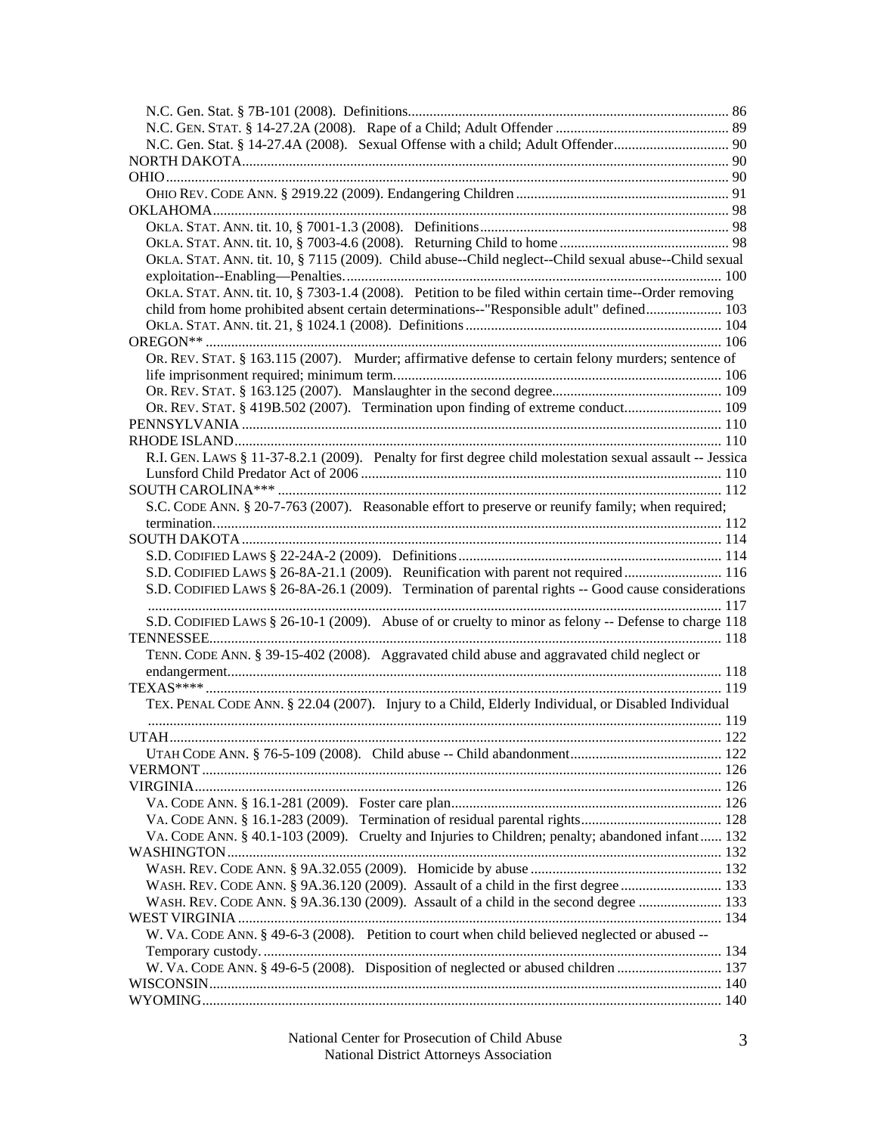| OKLA. STAT. ANN. tit. 10, § 7115 (2009). Child abuse--Child neglect--Child sexual abuse--Child sexual     |  |
|-----------------------------------------------------------------------------------------------------------|--|
|                                                                                                           |  |
| OKLA. STAT. ANN. tit. 10, § 7303-1.4 (2008). Petition to be filed within certain time--Order removing     |  |
| child from home prohibited absent certain determinations--"Responsible adult" defined 103                 |  |
|                                                                                                           |  |
|                                                                                                           |  |
| OR. REV. STAT. § 163.115 (2007). Murder; affirmative defense to certain felony murders; sentence of       |  |
|                                                                                                           |  |
|                                                                                                           |  |
| OR. REV. STAT. § 419B.502 (2007). Termination upon finding of extreme conduct 109                         |  |
|                                                                                                           |  |
|                                                                                                           |  |
| R.I. GEN. LAWS § 11-37-8.2.1 (2009). Penalty for first degree child molestation sexual assault -- Jessica |  |
|                                                                                                           |  |
|                                                                                                           |  |
| S.C. CODE ANN. § 20-7-763 (2007). Reasonable effort to preserve or reunify family; when required;         |  |
|                                                                                                           |  |
|                                                                                                           |  |
|                                                                                                           |  |
| S.D. CODIFIED LAWS § 26-8A-26.1 (2009). Termination of parental rights -- Good cause considerations       |  |
|                                                                                                           |  |
| S.D. CODIFIED LAWS § 26-10-1 (2009). Abuse of or cruelty to minor as felony -- Defense to charge 118      |  |
|                                                                                                           |  |
| TENN. CODE ANN. § 39-15-402 (2008). Aggravated child abuse and aggravated child neglect or                |  |
|                                                                                                           |  |
|                                                                                                           |  |
| TEX. PENAL CODE ANN. § 22.04 (2007). Injury to a Child, Elderly Individual, or Disabled Individual        |  |
|                                                                                                           |  |
|                                                                                                           |  |
|                                                                                                           |  |
|                                                                                                           |  |
|                                                                                                           |  |
|                                                                                                           |  |
|                                                                                                           |  |
| VA. CODE ANN. § 40.1-103 (2009). Cruelty and Injuries to Children; penalty; abandoned infant 132          |  |
|                                                                                                           |  |
|                                                                                                           |  |
|                                                                                                           |  |
|                                                                                                           |  |
|                                                                                                           |  |
| W. VA. CODE ANN. § 49-6-3 (2008). Petition to court when child believed neglected or abused --            |  |
|                                                                                                           |  |
|                                                                                                           |  |
|                                                                                                           |  |
|                                                                                                           |  |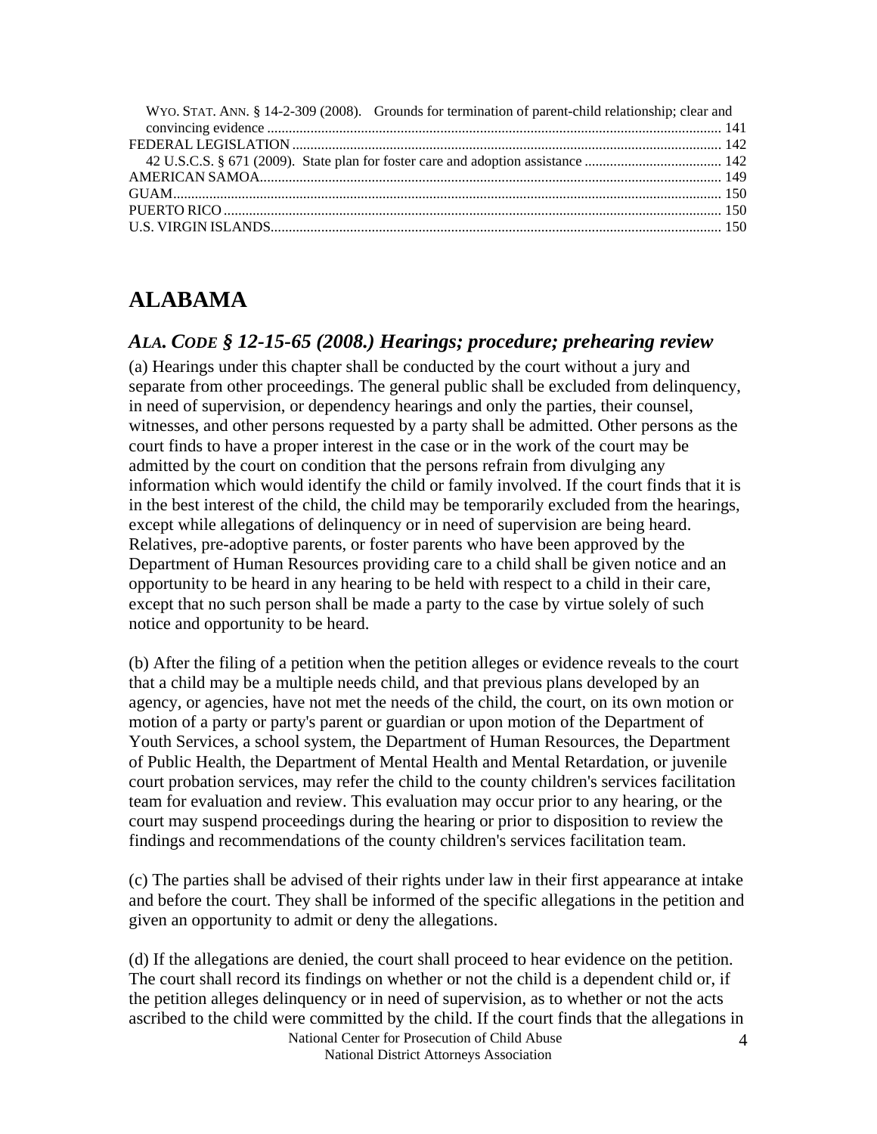<span id="page-3-0"></span>

| WYO. STAT. ANN. § 14-2-309 (2008). Grounds for termination of parent-child relationship; clear and |  |
|----------------------------------------------------------------------------------------------------|--|
|                                                                                                    |  |
|                                                                                                    |  |
|                                                                                                    |  |
|                                                                                                    |  |
|                                                                                                    |  |
|                                                                                                    |  |
|                                                                                                    |  |
|                                                                                                    |  |

## **ALABAMA**

### *ALA. CODE § 12-15-65 (2008.) Hearings; procedure; prehearing review*

(a) Hearings under this chapter shall be conducted by the court without a jury and separate from other proceedings. The general public shall be excluded from delinquency, in need of supervision, or dependency hearings and only the parties, their counsel, witnesses, and other persons requested by a party shall be admitted. Other persons as the court finds to have a proper interest in the case or in the work of the court may be admitted by the court on condition that the persons refrain from divulging any information which would identify the child or family involved. If the court finds that it is in the best interest of the child, the child may be temporarily excluded from the hearings, except while allegations of delinquency or in need of supervision are being heard. Relatives, pre-adoptive parents, or foster parents who have been approved by the Department of Human Resources providing care to a child shall be given notice and an opportunity to be heard in any hearing to be held with respect to a child in their care, except that no such person shall be made a party to the case by virtue solely of such notice and opportunity to be heard.

(b) After the filing of a petition when the petition alleges or evidence reveals to the court that a child may be a multiple needs child, and that previous plans developed by an agency, or agencies, have not met the needs of the child, the court, on its own motion or motion of a party or party's parent or guardian or upon motion of the Department of Youth Services, a school system, the Department of Human Resources, the Department of Public Health, the Department of Mental Health and Mental Retardation, or juvenile court probation services, may refer the child to the county children's services facilitation team for evaluation and review. This evaluation may occur prior to any hearing, or the court may suspend proceedings during the hearing or prior to disposition to review the findings and recommendations of the county children's services facilitation team.

(c) The parties shall be advised of their rights under law in their first appearance at intake and before the court. They shall be informed of the specific allegations in the petition and given an opportunity to admit or deny the allegations.

National Center for Prosecution of Child Abuse National District Attorneys Association 4 (d) If the allegations are denied, the court shall proceed to hear evidence on the petition. The court shall record its findings on whether or not the child is a dependent child or, if the petition alleges delinquency or in need of supervision, as to whether or not the acts ascribed to the child were committed by the child. If the court finds that the allegations in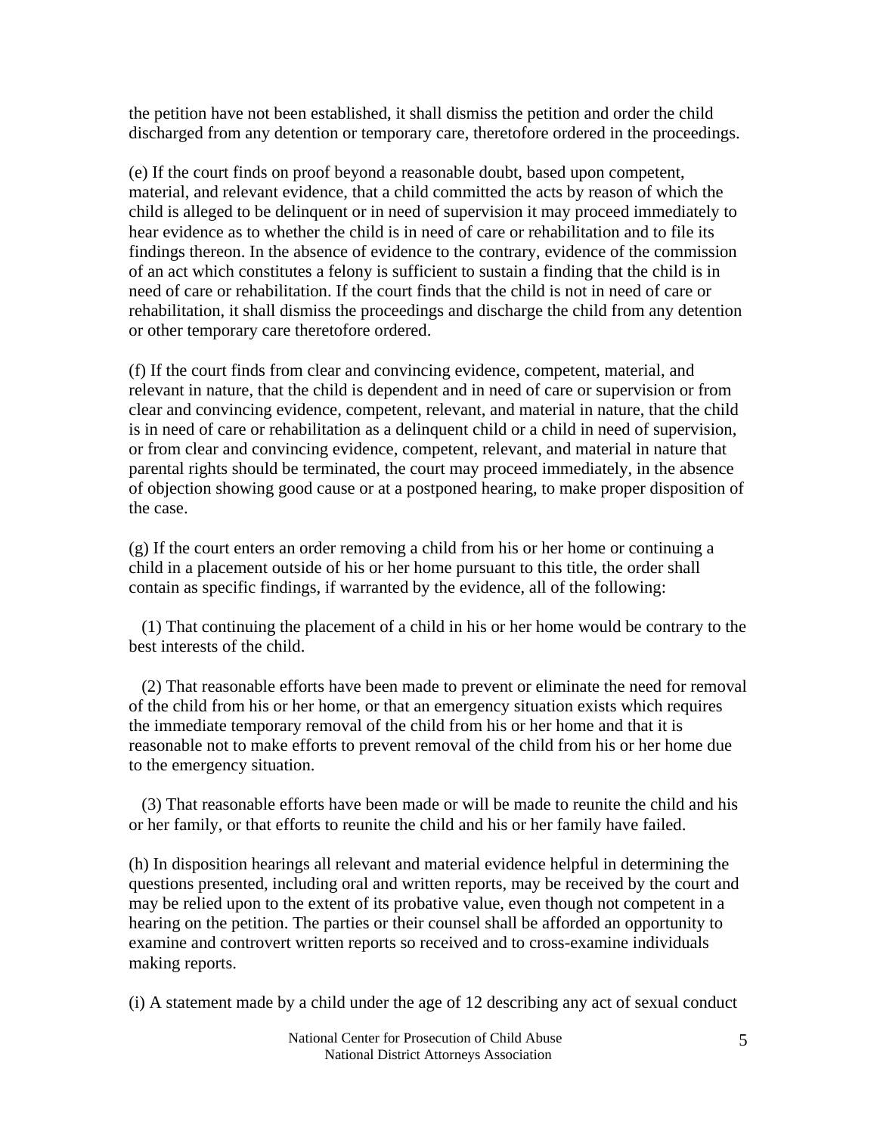the petition have not been established, it shall dismiss the petition and order the child discharged from any detention or temporary care, theretofore ordered in the proceedings.

(e) If the court finds on proof beyond a reasonable doubt, based upon competent, material, and relevant evidence, that a child committed the acts by reason of which the child is alleged to be delinquent or in need of supervision it may proceed immediately to hear evidence as to whether the child is in need of care or rehabilitation and to file its findings thereon. In the absence of evidence to the contrary, evidence of the commission of an act which constitutes a felony is sufficient to sustain a finding that the child is in need of care or rehabilitation. If the court finds that the child is not in need of care or rehabilitation, it shall dismiss the proceedings and discharge the child from any detention or other temporary care theretofore ordered.

(f) If the court finds from clear and convincing evidence, competent, material, and relevant in nature, that the child is dependent and in need of care or supervision or from clear and convincing evidence, competent, relevant, and material in nature, that the child is in need of care or rehabilitation as a delinquent child or a child in need of supervision, or from clear and convincing evidence, competent, relevant, and material in nature that parental rights should be terminated, the court may proceed immediately, in the absence of objection showing good cause or at a postponed hearing, to make proper disposition of the case.

(g) If the court enters an order removing a child from his or her home or continuing a child in a placement outside of his or her home pursuant to this title, the order shall contain as specific findings, if warranted by the evidence, all of the following:

 (1) That continuing the placement of a child in his or her home would be contrary to the best interests of the child.

 (2) That reasonable efforts have been made to prevent or eliminate the need for removal of the child from his or her home, or that an emergency situation exists which requires the immediate temporary removal of the child from his or her home and that it is reasonable not to make efforts to prevent removal of the child from his or her home due to the emergency situation.

 (3) That reasonable efforts have been made or will be made to reunite the child and his or her family, or that efforts to reunite the child and his or her family have failed.

(h) In disposition hearings all relevant and material evidence helpful in determining the questions presented, including oral and written reports, may be received by the court and may be relied upon to the extent of its probative value, even though not competent in a hearing on the petition. The parties or their counsel shall be afforded an opportunity to examine and controvert written reports so received and to cross-examine individuals making reports.

(i) A statement made by a child under the age of 12 describing any act of sexual conduct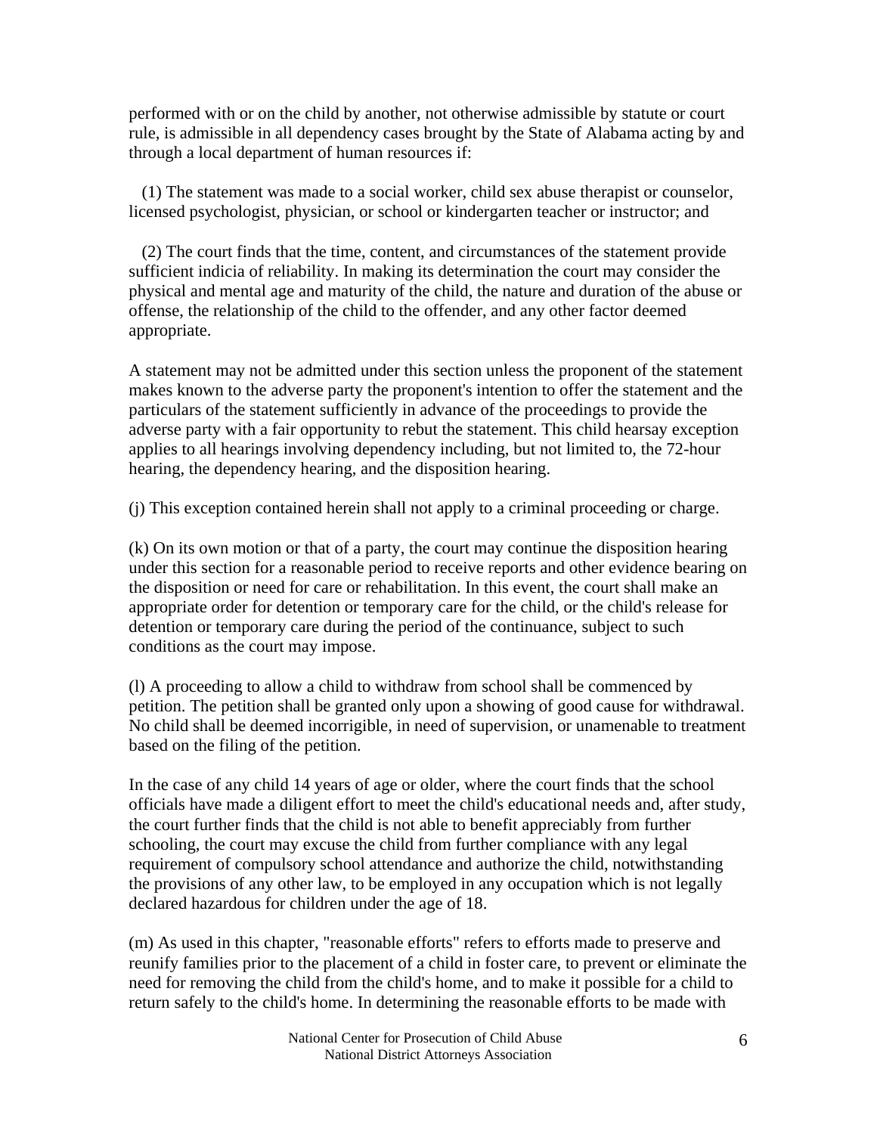performed with or on the child by another, not otherwise admissible by statute or court rule, is admissible in all dependency cases brought by the State of Alabama acting by and through a local department of human resources if:

 (1) The statement was made to a social worker, child sex abuse therapist or counselor, licensed psychologist, physician, or school or kindergarten teacher or instructor; and

 (2) The court finds that the time, content, and circumstances of the statement provide sufficient indicia of reliability. In making its determination the court may consider the physical and mental age and maturity of the child, the nature and duration of the abuse or offense, the relationship of the child to the offender, and any other factor deemed appropriate.

A statement may not be admitted under this section unless the proponent of the statement makes known to the adverse party the proponent's intention to offer the statement and the particulars of the statement sufficiently in advance of the proceedings to provide the adverse party with a fair opportunity to rebut the statement. This child hearsay exception applies to all hearings involving dependency including, but not limited to, the 72-hour hearing, the dependency hearing, and the disposition hearing.

(j) This exception contained herein shall not apply to a criminal proceeding or charge.

(k) On its own motion or that of a party, the court may continue the disposition hearing under this section for a reasonable period to receive reports and other evidence bearing on the disposition or need for care or rehabilitation. In this event, the court shall make an appropriate order for detention or temporary care for the child, or the child's release for detention or temporary care during the period of the continuance, subject to such conditions as the court may impose.

(l) A proceeding to allow a child to withdraw from school shall be commenced by petition. The petition shall be granted only upon a showing of good cause for withdrawal. No child shall be deemed incorrigible, in need of supervision, or unamenable to treatment based on the filing of the petition.

In the case of any child 14 years of age or older, where the court finds that the school officials have made a diligent effort to meet the child's educational needs and, after study, the court further finds that the child is not able to benefit appreciably from further schooling, the court may excuse the child from further compliance with any legal requirement of compulsory school attendance and authorize the child, notwithstanding the provisions of any other law, to be employed in any occupation which is not legally declared hazardous for children under the age of 18.

(m) As used in this chapter, "reasonable efforts" refers to efforts made to preserve and reunify families prior to the placement of a child in foster care, to prevent or eliminate the need for removing the child from the child's home, and to make it possible for a child to return safely to the child's home. In determining the reasonable efforts to be made with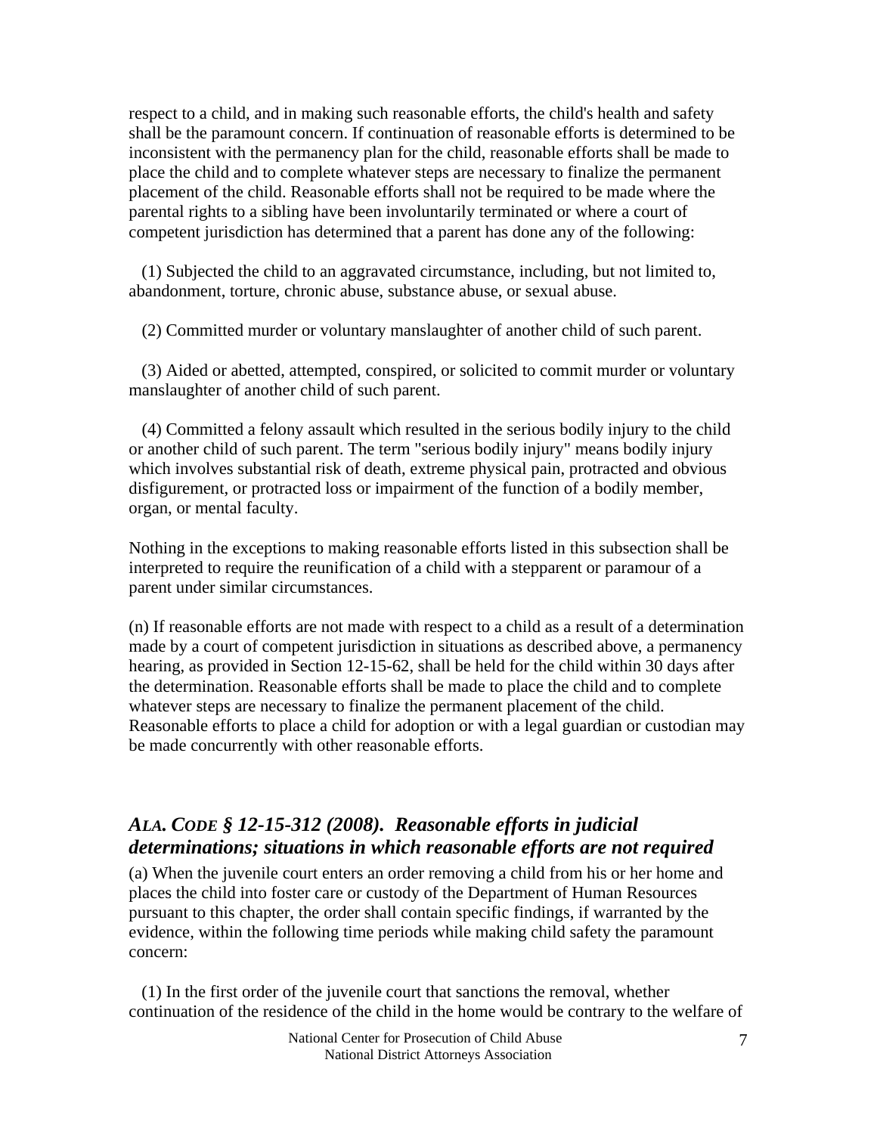<span id="page-6-0"></span>respect to a child, and in making such reasonable efforts, the child's health and safety shall be the paramount concern. If continuation of reasonable efforts is determined to be inconsistent with the permanency plan for the child, reasonable efforts shall be made to place the child and to complete whatever steps are necessary to finalize the permanent placement of the child. Reasonable efforts shall not be required to be made where the parental rights to a sibling have been involuntarily terminated or where a court of competent jurisdiction has determined that a parent has done any of the following:

 (1) Subjected the child to an aggravated circumstance, including, but not limited to, abandonment, torture, chronic abuse, substance abuse, or sexual abuse.

(2) Committed murder or voluntary manslaughter of another child of such parent.

 (3) Aided or abetted, attempted, conspired, or solicited to commit murder or voluntary manslaughter of another child of such parent.

 (4) Committed a felony assault which resulted in the serious bodily injury to the child or another child of such parent. The term "serious bodily injury" means bodily injury which involves substantial risk of death, extreme physical pain, protracted and obvious disfigurement, or protracted loss or impairment of the function of a bodily member, organ, or mental faculty.

Nothing in the exceptions to making reasonable efforts listed in this subsection shall be interpreted to require the reunification of a child with a stepparent or paramour of a parent under similar circumstances.

(n) If reasonable efforts are not made with respect to a child as a result of a determination made by a court of competent jurisdiction in situations as described above, a permanency hearing, as provided in [Section 12-15-62,](https://www.lexis.com/research/buttonTFLink?_m=b3b73d1fea7fef6c9b816b61b3d09d62&_xfercite=%3ccite%20cc%3d%22USA%22%3e%3c%21%5bCDATA%5bCode%20of%20Ala.%20%a7%2012-15-65%5d%5d%3e%3c%2fcite%3e&_butType=4&_butStat=0&_butNum=2&_butInline=1&_butinfo=ALCODE%2012-15-62&_fmtstr=FULL&docnum=1&_startdoc=1&wchp=dGLbVzb-zSkAW&_md5=a1f1b172326626078f2245fbe03875a3) shall be held for the child within 30 days after the determination. Reasonable efforts shall be made to place the child and to complete whatever steps are necessary to finalize the permanent placement of the child. Reasonable efforts to place a child for adoption or with a legal guardian or custodian may be made concurrently with other reasonable efforts.

### *ALA. CODE § 12-15-312 (2008). Reasonable efforts in judicial determinations; situations in which reasonable efforts are not required*

(a) When the juvenile court enters an order removing a child from his or her home and places the child into foster care or custody of the Department of Human Resources pursuant to this chapter, the order shall contain specific findings, if warranted by the evidence, within the following time periods while making child safety the paramount concern:

 (1) In the first order of the juvenile court that sanctions the removal, whether continuation of the residence of the child in the home would be contrary to the welfare of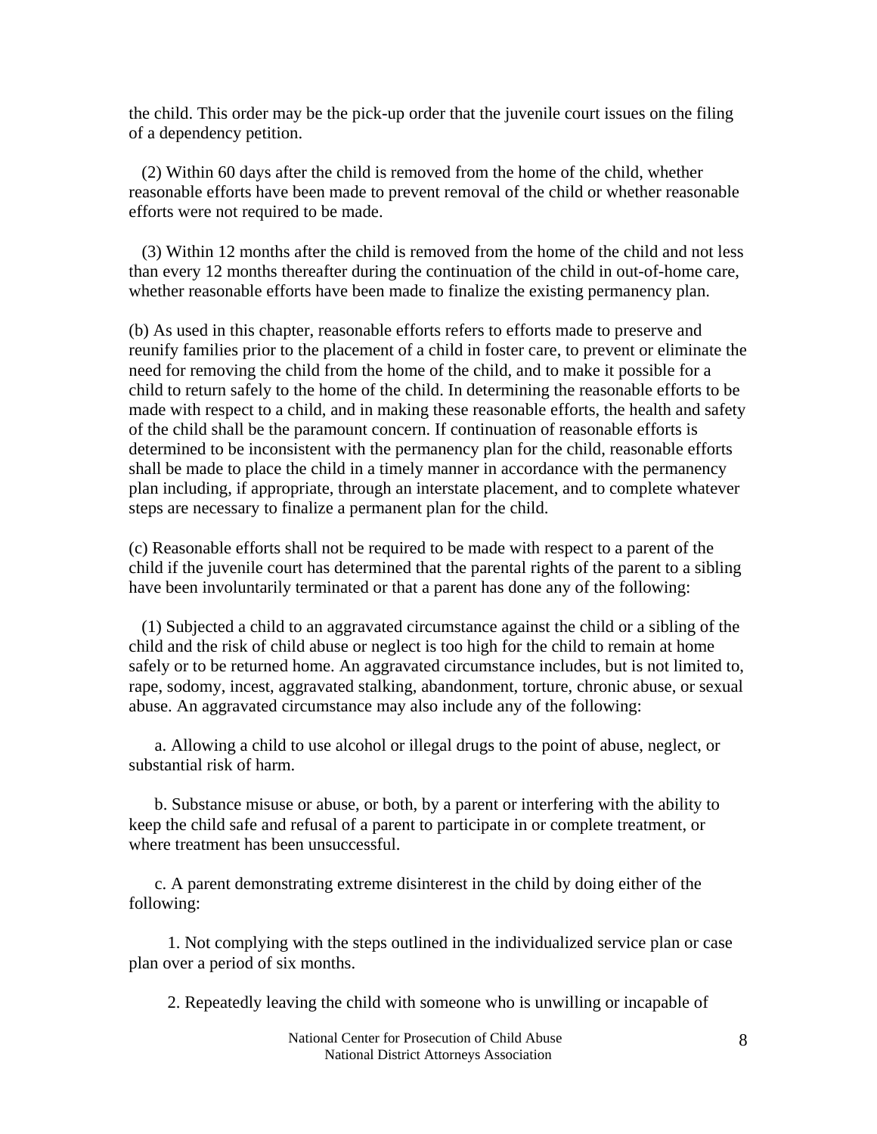the child. This order may be the pick-up order that the juvenile court issues on the filing of a dependency petition.

 (2) Within 60 days after the child is removed from the home of the child, whether reasonable efforts have been made to prevent removal of the child or whether reasonable efforts were not required to be made.

 (3) Within 12 months after the child is removed from the home of the child and not less than every 12 months thereafter during the continuation of the child in out-of-home care, whether reasonable efforts have been made to finalize the existing permanency plan.

(b) As used in this chapter, reasonable efforts refers to efforts made to preserve and reunify families prior to the placement of a child in foster care, to prevent or eliminate the need for removing the child from the home of the child, and to make it possible for a child to return safely to the home of the child. In determining the reasonable efforts to be made with respect to a child, and in making these reasonable efforts, the health and safety of the child shall be the paramount concern. If continuation of reasonable efforts is determined to be inconsistent with the permanency plan for the child, reasonable efforts shall be made to place the child in a timely manner in accordance with the permanency plan including, if appropriate, through an interstate placement, and to complete whatever steps are necessary to finalize a permanent plan for the child.

(c) Reasonable efforts shall not be required to be made with respect to a parent of the child if the juvenile court has determined that the parental rights of the parent to a sibling have been involuntarily terminated or that a parent has done any of the following:

 (1) Subjected a child to an aggravated circumstance against the child or a sibling of the child and the risk of child abuse or neglect is too high for the child to remain at home safely or to be returned home. An aggravated circumstance includes, but is not limited to, rape, sodomy, incest, aggravated stalking, abandonment, torture, chronic abuse, or sexual abuse. An aggravated circumstance may also include any of the following:

 a. Allowing a child to use alcohol or illegal drugs to the point of abuse, neglect, or substantial risk of harm.

 b. Substance misuse or abuse, or both, by a parent or interfering with the ability to keep the child safe and refusal of a parent to participate in or complete treatment, or where treatment has been unsuccessful.

 c. A parent demonstrating extreme disinterest in the child by doing either of the following:

 1. Not complying with the steps outlined in the individualized service plan or case plan over a period of six months.

2. Repeatedly leaving the child with someone who is unwilling or incapable of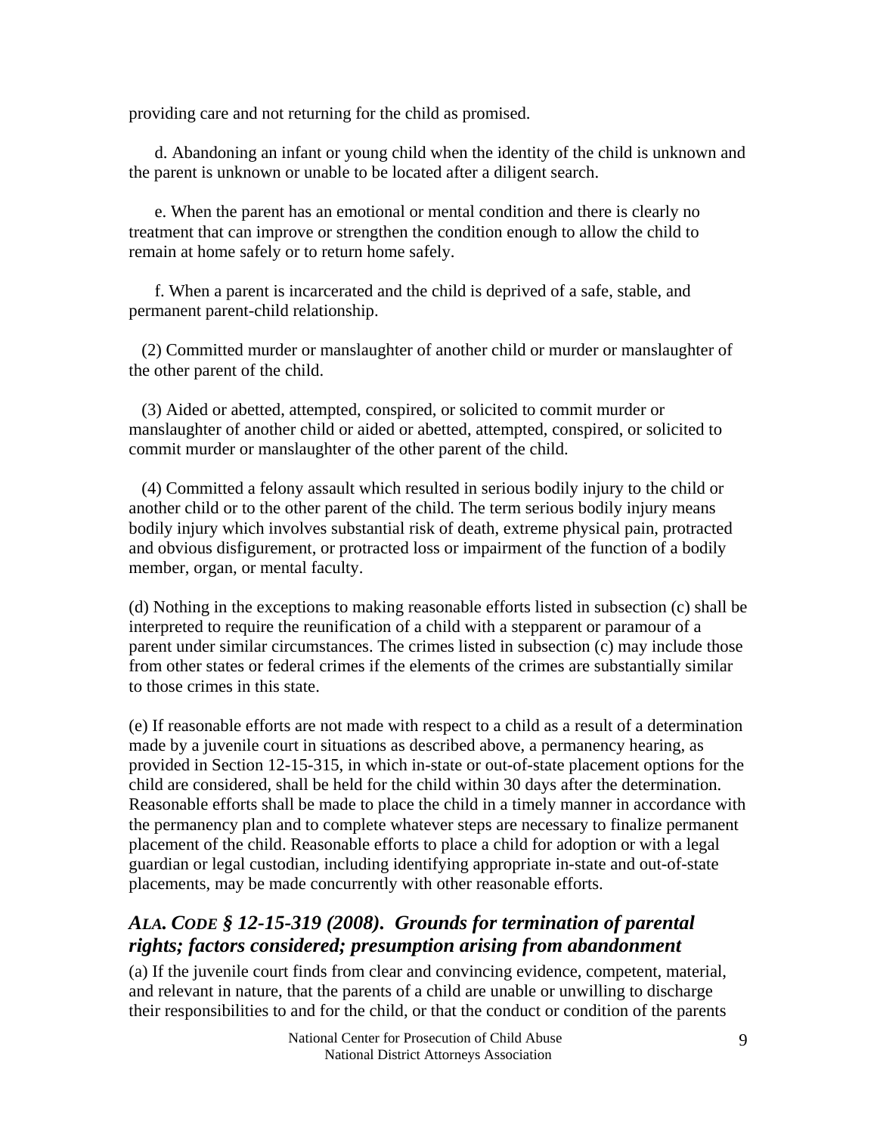<span id="page-8-0"></span>providing care and not returning for the child as promised.

 d. Abandoning an infant or young child when the identity of the child is unknown and the parent is unknown or unable to be located after a diligent search.

 e. When the parent has an emotional or mental condition and there is clearly no treatment that can improve or strengthen the condition enough to allow the child to remain at home safely or to return home safely.

 f. When a parent is incarcerated and the child is deprived of a safe, stable, and permanent parent-child relationship.

 (2) Committed murder or manslaughter of another child or murder or manslaughter of the other parent of the child.

 (3) Aided or abetted, attempted, conspired, or solicited to commit murder or manslaughter of another child or aided or abetted, attempted, conspired, or solicited to commit murder or manslaughter of the other parent of the child.

 (4) Committed a felony assault which resulted in serious bodily injury to the child or another child or to the other parent of the child. The term serious bodily injury means bodily injury which involves substantial risk of death, extreme physical pain, protracted and obvious disfigurement, or protracted loss or impairment of the function of a bodily member, organ, or mental faculty.

(d) Nothing in the exceptions to making reasonable efforts listed in subsection (c) shall be interpreted to require the reunification of a child with a stepparent or paramour of a parent under similar circumstances. The crimes listed in subsection (c) may include those from other states or federal crimes if the elements of the crimes are substantially similar to those crimes in this state.

(e) If reasonable efforts are not made with respect to a child as a result of a determination made by a juvenile court in situations as described above, a permanency hearing, as provided in [Section 12-15-315,](https://www.lexis.com/research/buttonTFLink?_m=15d2ab81ea9f86afe1e992c883fa081a&_xfercite=%3ccite%20cc%3d%22USA%22%3e%3c%21%5bCDATA%5bCode%20of%20Ala.%20%a7%2012-15-312%5d%5d%3e%3c%2fcite%3e&_butType=4&_butStat=0&_butNum=2&_butInline=1&_butinfo=ALCODE%2012-15-315&_fmtstr=FULL&docnum=1&_startdoc=1&wchp=dGLbVzb-zSkAW&_md5=6fc8e01088e42bb53e566314a36b55fc) in which in-state or out-of-state placement options for the child are considered, shall be held for the child within 30 days after the determination. Reasonable efforts shall be made to place the child in a timely manner in accordance with the permanency plan and to complete whatever steps are necessary to finalize permanent placement of the child. Reasonable efforts to place a child for adoption or with a legal guardian or legal custodian, including identifying appropriate in-state and out-of-state placements, may be made concurrently with other reasonable efforts.

### *ALA. CODE § 12-15-319 (2008). Grounds for termination of parental rights; factors considered; presumption arising from abandonment*

(a) If the juvenile court finds from clear and convincing evidence, competent, material, and relevant in nature, that the parents of a child are unable or unwilling to discharge their responsibilities to and for the child, or that the conduct or condition of the parents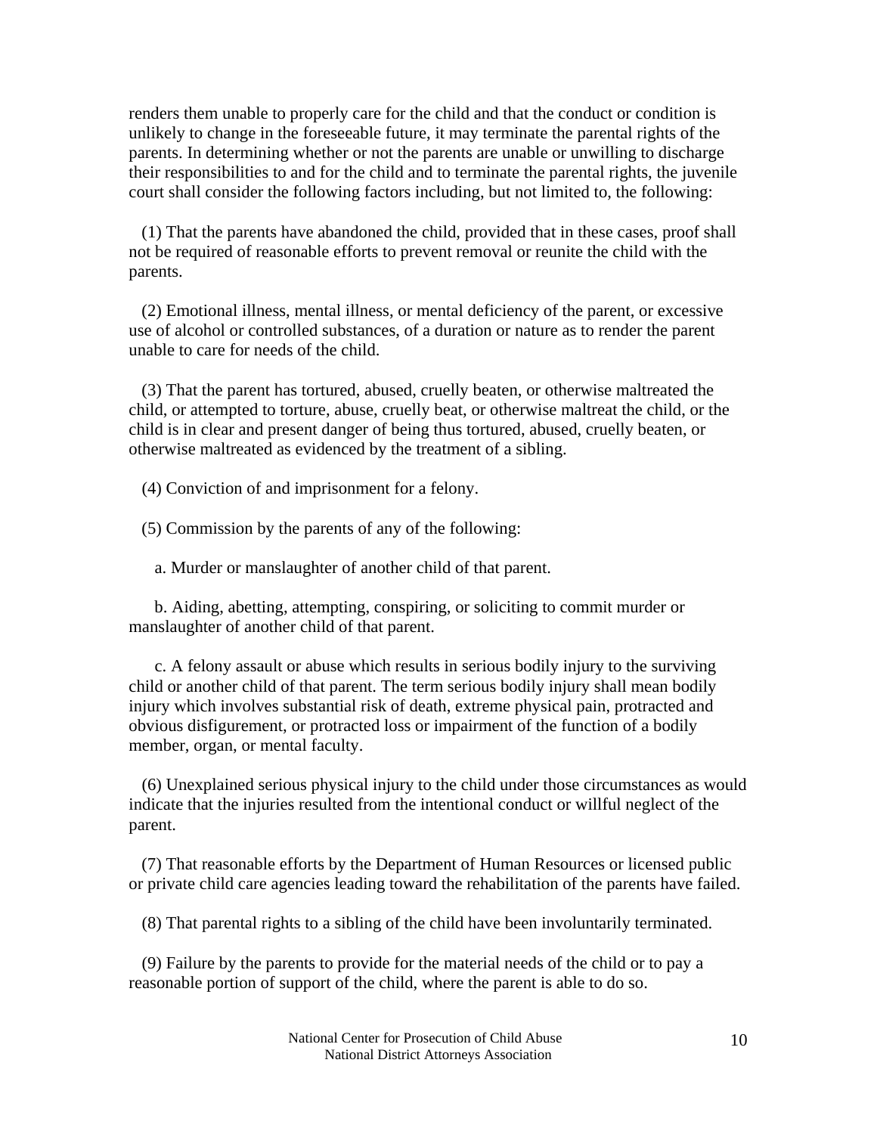renders them unable to properly care for the child and that the conduct or condition is unlikely to change in the foreseeable future, it may terminate the parental rights of the parents. In determining whether or not the parents are unable or unwilling to discharge their responsibilities to and for the child and to terminate the parental rights, the juvenile court shall consider the following factors including, but not limited to, the following:

 (1) That the parents have abandoned the child, provided that in these cases, proof shall not be required of reasonable efforts to prevent removal or reunite the child with the parents.

 (2) Emotional illness, mental illness, or mental deficiency of the parent, or excessive use of alcohol or controlled substances, of a duration or nature as to render the parent unable to care for needs of the child.

 (3) That the parent has tortured, abused, cruelly beaten, or otherwise maltreated the child, or attempted to torture, abuse, cruelly beat, or otherwise maltreat the child, or the child is in clear and present danger of being thus tortured, abused, cruelly beaten, or otherwise maltreated as evidenced by the treatment of a sibling.

(4) Conviction of and imprisonment for a felony.

(5) Commission by the parents of any of the following:

a. Murder or manslaughter of another child of that parent.

 b. Aiding, abetting, attempting, conspiring, or soliciting to commit murder or manslaughter of another child of that parent.

 c. A felony assault or abuse which results in serious bodily injury to the surviving child or another child of that parent. The term serious bodily injury shall mean bodily injury which involves substantial risk of death, extreme physical pain, protracted and obvious disfigurement, or protracted loss or impairment of the function of a bodily member, organ, or mental faculty.

 (6) Unexplained serious physical injury to the child under those circumstances as would indicate that the injuries resulted from the intentional conduct or willful neglect of the parent.

 (7) That reasonable efforts by the Department of Human Resources or licensed public or private child care agencies leading toward the rehabilitation of the parents have failed.

(8) That parental rights to a sibling of the child have been involuntarily terminated.

 (9) Failure by the parents to provide for the material needs of the child or to pay a reasonable portion of support of the child, where the parent is able to do so.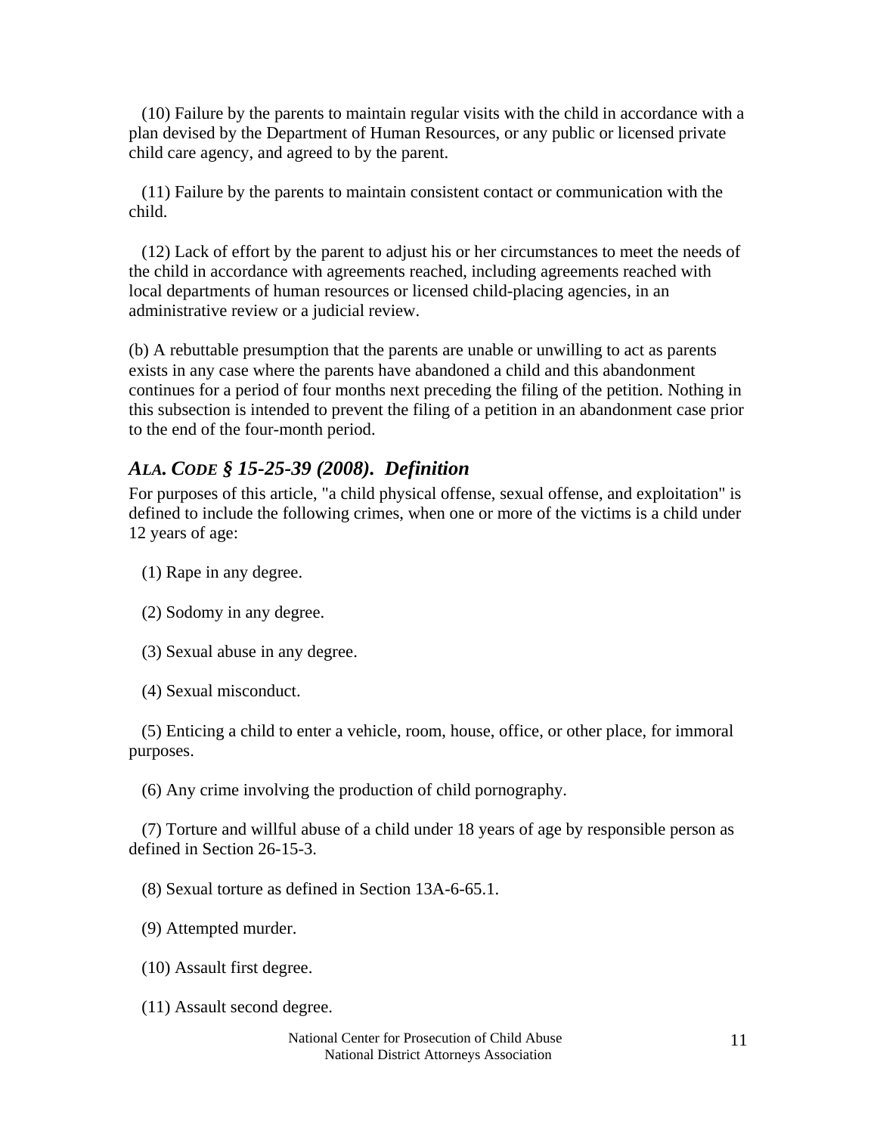<span id="page-10-0"></span> (10) Failure by the parents to maintain regular visits with the child in accordance with a plan devised by the Department of Human Resources, or any public or licensed private child care agency, and agreed to by the parent.

 (11) Failure by the parents to maintain consistent contact or communication with the child.

 (12) Lack of effort by the parent to adjust his or her circumstances to meet the needs of the child in accordance with agreements reached, including agreements reached with local departments of human resources or licensed child-placing agencies, in an administrative review or a judicial review.

(b) A rebuttable presumption that the parents are unable or unwilling to act as parents exists in any case where the parents have abandoned a child and this abandonment continues for a period of four months next preceding the filing of the petition. Nothing in this subsection is intended to prevent the filing of a petition in an abandonment case prior to the end of the four-month period.

### *ALA. CODE § 15-25-39 (2008). Definition*

For purposes of this article, "a child physical offense, sexual offense, and exploitation" is defined to include the following crimes, when one or more of the victims is a child under 12 years of age:

(1) Rape in any degree.

(2) Sodomy in any degree.

(3) Sexual abuse in any degree.

(4) Sexual misconduct.

 (5) Enticing a child to enter a vehicle, room, house, office, or other place, for immoral purposes.

(6) Any crime involving the production of child pornography.

 (7) Torture and willful abuse of a child under 18 years of age by responsible person as defined in [Section 26-15-3](https://www.lexis.com/research/buttonTFLink?_m=dff28eedb979194d998268fe109fbbf2&_xfercite=%3ccite%20cc%3d%22USA%22%3e%3c%21%5bCDATA%5bCode%20of%20Ala.%20%a7%2015-25-39%5d%5d%3e%3c%2fcite%3e&_butType=4&_butStat=0&_butNum=2&_butInline=1&_butinfo=ALCODE%2026-15-3&_fmtstr=FULL&docnum=1&_startdoc=1&wchp=dGLbVlz-zSkAl&_md5=c479a429bed788f9d5f7b94607a52f0f).

(8) Sexual torture as defined in [Section 13A-6-65.1.](https://www.lexis.com/research/buttonTFLink?_m=dff28eedb979194d998268fe109fbbf2&_xfercite=%3ccite%20cc%3d%22USA%22%3e%3c%21%5bCDATA%5bCode%20of%20Ala.%20%a7%2015-25-39%5d%5d%3e%3c%2fcite%3e&_butType=4&_butStat=0&_butNum=3&_butInline=1&_butinfo=ALCODE%2013A-6-65.1&_fmtstr=FULL&docnum=1&_startdoc=1&wchp=dGLbVlz-zSkAl&_md5=1a43b904fe537da44127b9c6c9b686df)

(9) Attempted murder.

(10) Assault first degree.

(11) Assault second degree.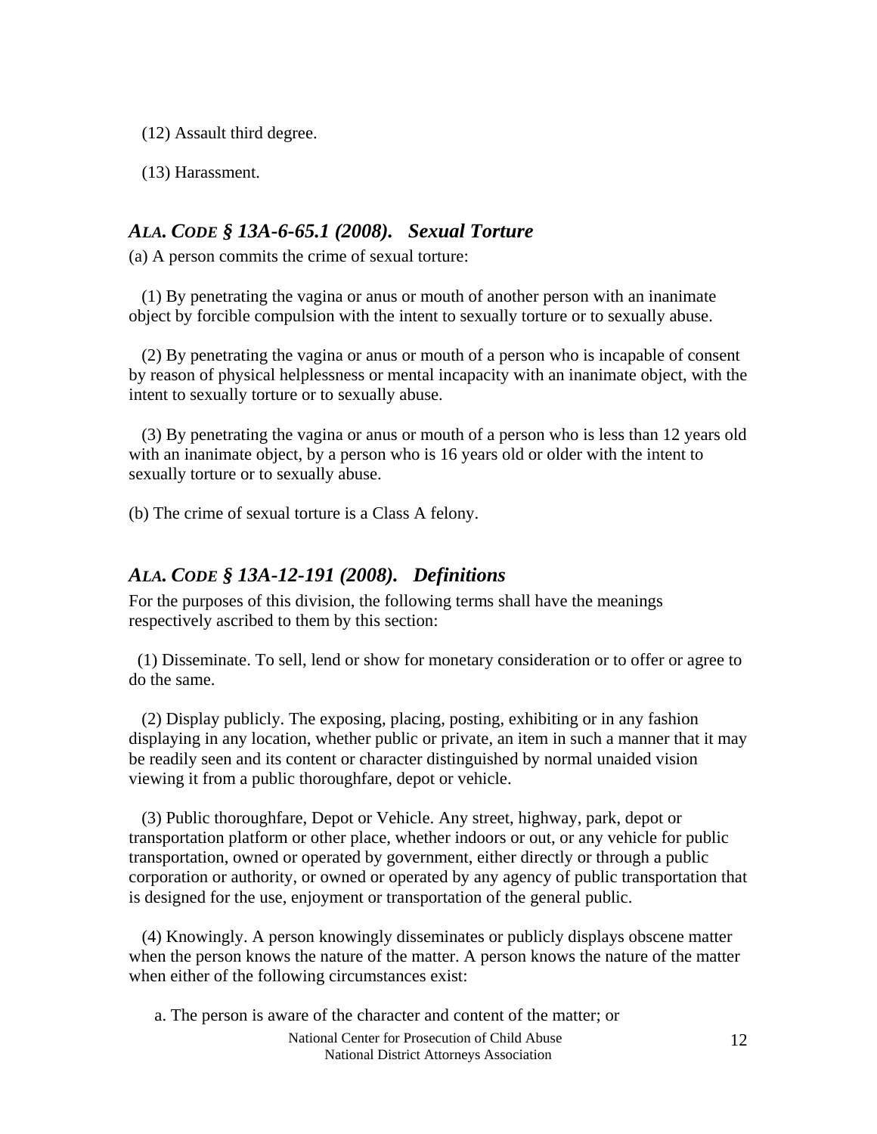<span id="page-11-0"></span>(12) Assault third degree.

(13) Harassment.

### *ALA. CODE § 13A-6-65.1 (2008). Sexual Torture*

(a) A person commits the crime of sexual torture:

 (1) By penetrating the vagina or anus or mouth of another person with an inanimate object by forcible compulsion with the intent to sexually torture or to sexually abuse.

 (2) By penetrating the vagina or anus or mouth of a person who is incapable of consent by reason of physical helplessness or mental incapacity with an inanimate object, with the intent to sexually torture or to sexually abuse.

 (3) By penetrating the vagina or anus or mouth of a person who is less than 12 years old with an inanimate object, by a person who is 16 years old or older with the intent to sexually torture or to sexually abuse.

(b) The crime of sexual torture is a Class A felony.

#### *ALA. CODE § 13A-12-191 (2008). Definitions*

For the purposes of this division, the following terms shall have the meanings respectively ascribed to them by this section:

 (1) Disseminate. To sell, lend or show for monetary consideration or to offer or agree to do the same.

 (2) Display publicly. The exposing, placing, posting, exhibiting or in any fashion displaying in any location, whether public or private, an item in such a manner that it may be readily seen and its content or character distinguished by normal unaided vision viewing it from a public thoroughfare, depot or vehicle.

 (3) Public thoroughfare, Depot or Vehicle. Any street, highway, park, depot or transportation platform or other place, whether indoors or out, or any vehicle for public transportation, owned or operated by government, either directly or through a public corporation or authority, or owned or operated by any agency of public transportation that is designed for the use, enjoyment or transportation of the general public.

 (4) Knowingly. A person knowingly disseminates or publicly displays obscene matter when the person knows the nature of the matter. A person knows the nature of the matter when either of the following circumstances exist:

a. The person is aware of the character and content of the matter; or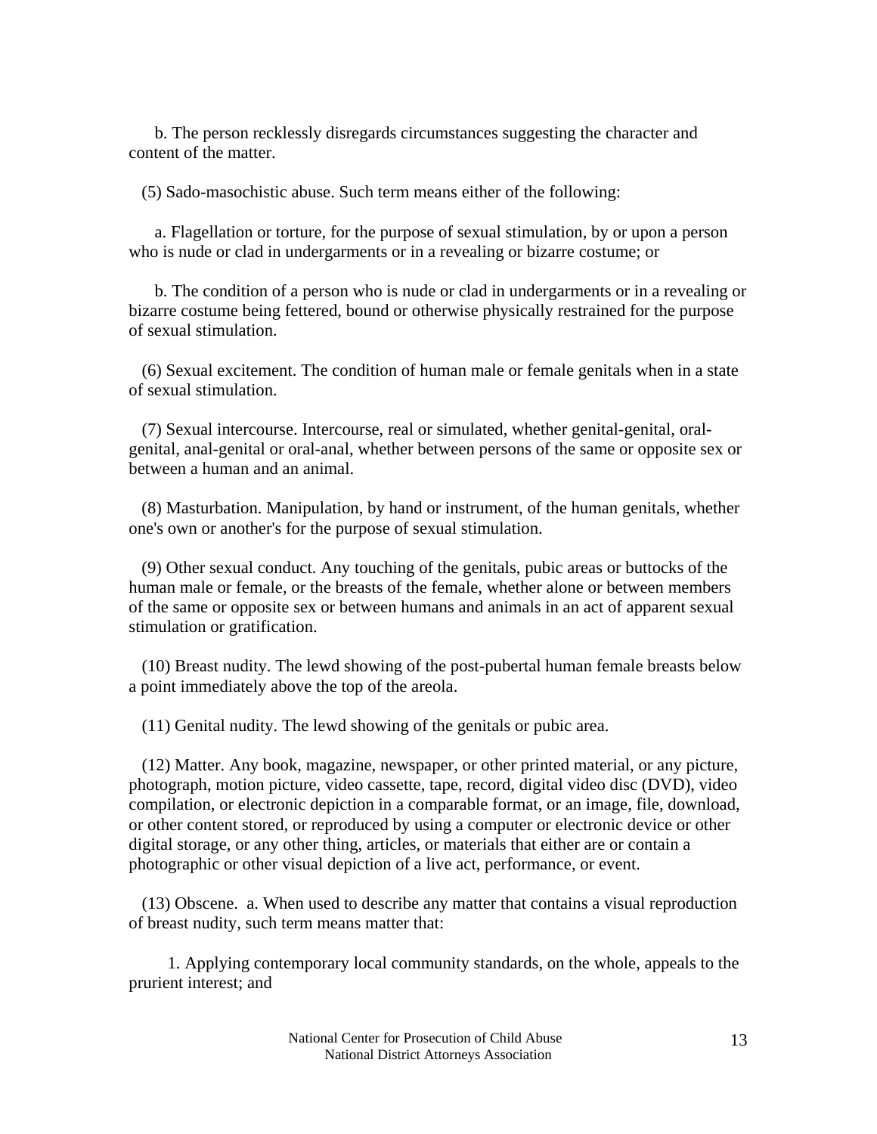b. The person recklessly disregards circumstances suggesting the character and content of the matter.

(5) Sado-masochistic abuse. Such term means either of the following:

 a. Flagellation or torture, for the purpose of sexual stimulation, by or upon a person who is nude or clad in undergarments or in a revealing or bizarre costume; or

 b. The condition of a person who is nude or clad in undergarments or in a revealing or bizarre costume being fettered, bound or otherwise physically restrained for the purpose of sexual stimulation.

 (6) Sexual excitement. The condition of human male or female genitals when in a state of sexual stimulation.

 (7) Sexual intercourse. Intercourse, real or simulated, whether genital-genital, oralgenital, anal-genital or oral-anal, whether between persons of the same or opposite sex or between a human and an animal.

 (8) Masturbation. Manipulation, by hand or instrument, of the human genitals, whether one's own or another's for the purpose of sexual stimulation.

 (9) Other sexual conduct. Any touching of the genitals, pubic areas or buttocks of the human male or female, or the breasts of the female, whether alone or between members of the same or opposite sex or between humans and animals in an act of apparent sexual stimulation or gratification.

 (10) Breast nudity. The lewd showing of the post-pubertal human female breasts below a point immediately above the top of the areola.

(11) Genital nudity. The lewd showing of the genitals or pubic area.

 (12) Matter. Any book, magazine, newspaper, or other printed material, or any picture, photograph, motion picture, video cassette, tape, record, digital video disc (DVD), video compilation, or electronic depiction in a comparable format, or an image, file, download, or other content stored, or reproduced by using a computer or electronic device or other digital storage, or any other thing, articles, or materials that either are or contain a photographic or other visual depiction of a live act, performance, or event.

 (13) Obscene. a. When used to describe any matter that contains a visual reproduction of breast nudity, such term means matter that:

 1. Applying contemporary local community standards, on the whole, appeals to the prurient interest; and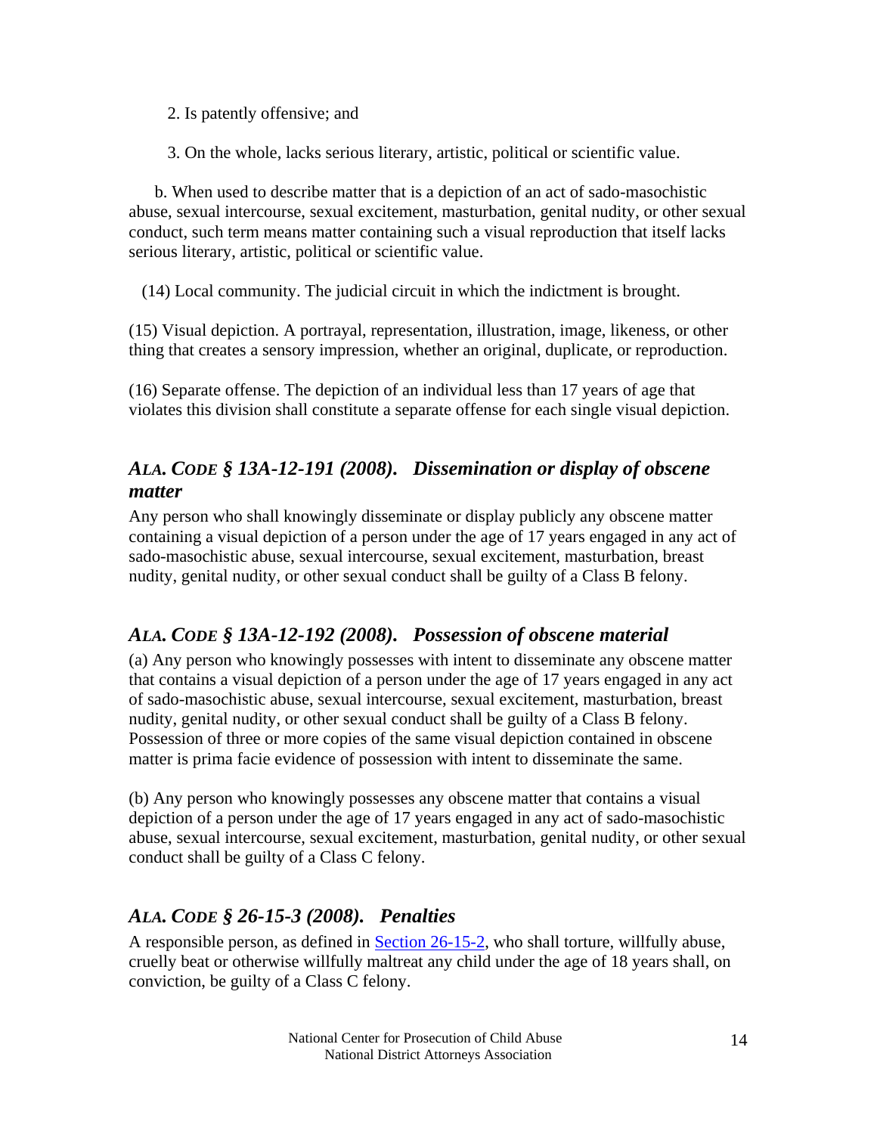- <span id="page-13-0"></span>2. Is patently offensive; and
- 3. On the whole, lacks serious literary, artistic, political or scientific value.

 b. When used to describe matter that is a depiction of an act of sado-masochistic abuse, sexual intercourse, sexual excitement, masturbation, genital nudity, or other sexual conduct, such term means matter containing such a visual reproduction that itself lacks serious literary, artistic, political or scientific value.

(14) Local community. The judicial circuit in which the indictment is brought.

(15) Visual depiction. A portrayal, representation, illustration, image, likeness, or other thing that creates a sensory impression, whether an original, duplicate, or reproduction.

(16) Separate offense. The depiction of an individual less than 17 years of age that violates this division shall constitute a separate offense for each single visual depiction.

### *ALA. CODE § 13A-12-191 (2008). Dissemination or display of obscene matter*

Any person who shall knowingly disseminate or display publicly any obscene matter containing a visual depiction of a person under the age of 17 years engaged in any act of sado-masochistic abuse, sexual intercourse, sexual excitement, masturbation, breast nudity, genital nudity, or other sexual conduct shall be guilty of a Class B felony.

### *ALA. CODE § 13A-12-192 (2008). Possession of obscene material*

(a) Any person who knowingly possesses with intent to disseminate any obscene matter that contains a visual depiction of a person under the age of 17 years engaged in any act of sado-masochistic abuse, sexual intercourse, sexual excitement, masturbation, breast nudity, genital nudity, or other sexual conduct shall be guilty of a Class B felony. Possession of three or more copies of the same visual depiction contained in obscene matter is prima facie evidence of possession with intent to disseminate the same.

(b) Any person who knowingly possesses any obscene matter that contains a visual depiction of a person under the age of 17 years engaged in any act of sado-masochistic abuse, sexual intercourse, sexual excitement, masturbation, genital nudity, or other sexual conduct shall be guilty of a Class C felony.

### *ALA. CODE § 26-15-3 (2008). Penalties*

A responsible person, as defined in [Section 26-15-2,](https://www.lexis.com/research/buttonTFLink?_m=54462ad36387fe944461807377b18780&_xfercite=%3ccite%20cc%3d%22USA%22%3e%3c%21%5bCDATA%5bCode%20of%20Ala.%20%a7%2026-15-3%5d%5d%3e%3c%2fcite%3e&_butType=4&_butStat=0&_butNum=2&_butInline=1&_butinfo=ALCODE%2026-15-2&_fmtstr=FULL&docnum=1&_startdoc=1&wchp=dGLbVlz-zSkAl&_md5=496cc71b3d8df5138702ab25f0cd6330) who shall torture, willfully abuse, cruelly beat or otherwise willfully maltreat any child under the age of 18 years shall, on conviction, be guilty of a Class C felony.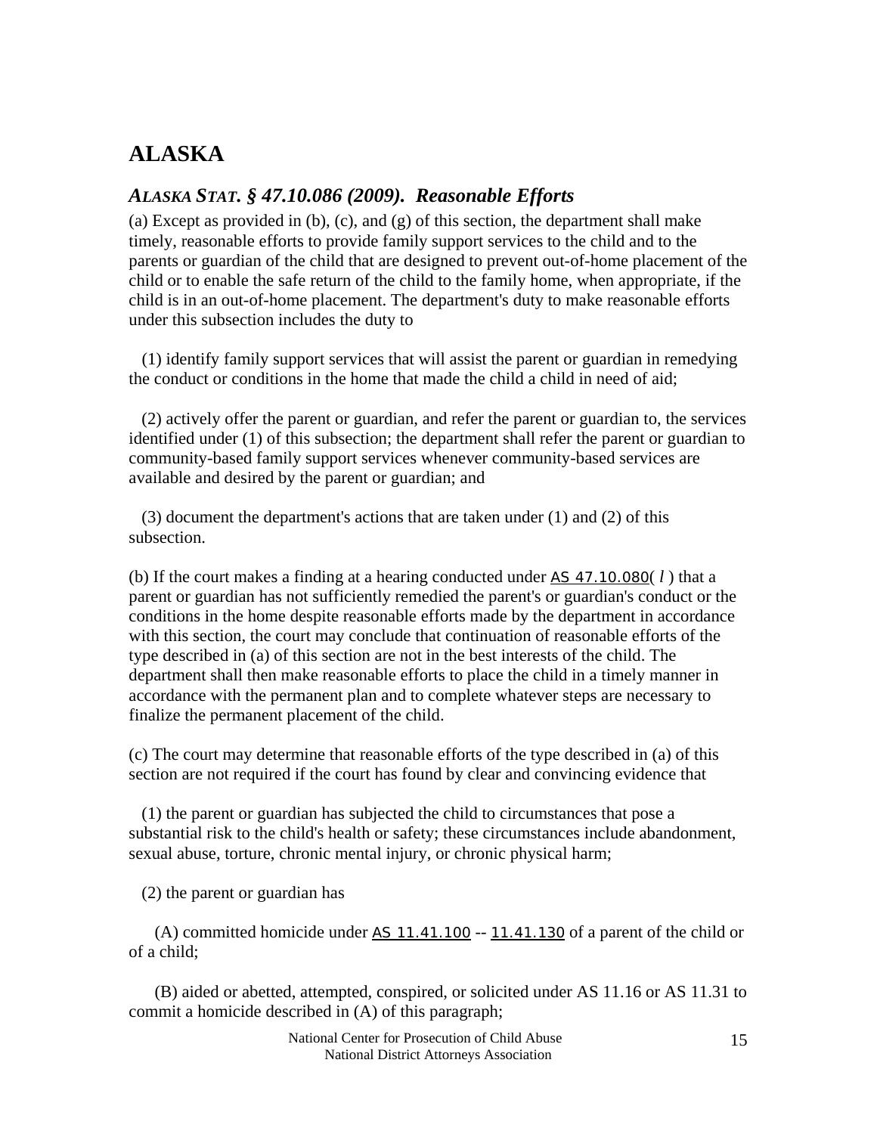## <span id="page-14-0"></span>**ALASKA**

### *ALASKA STAT. § 47.10.086 (2009). Reasonable Efforts*

(a) Except as provided in  $(b)$ ,  $(c)$ , and  $(g)$  of this section, the department shall make timely, reasonable efforts to provide family support services to the child and to the parents or guardian of the child that are designed to prevent out-of-home placement of the child or to enable the safe return of the child to the family home, when appropriate, if the child is in an out-of-home placement. The department's duty to make reasonable efforts under this subsection includes the duty to

 (1) identify family support services that will assist the parent or guardian in remedying the conduct or conditions in the home that made the child a child in need of aid;

 (2) actively offer the parent or guardian, and refer the parent or guardian to, the services identified under (1) of this subsection; the department shall refer the parent or guardian to community-based family support services whenever community-based services are available and desired by the parent or guardian; and

 (3) document the department's actions that are taken under (1) and (2) of this subsection.

(b) If the court makes a finding at a hearing conducted under [AS 47.10.080](https://www.lexis.com/research/buttonTFLink?_m=716529bc70859dc3765dbe5b2e522346&_xfercite=%3ccite%20cc%3d%22USA%22%3e%3c%21%5bCDATA%5bAlaska%20Stat.%20%a7%2047.10.086%5d%5d%3e%3c%2fcite%3e&_butType=4&_butStat=0&_butNum=2&_butInline=1&_butinfo=AKCODE%2047.10.080&_fmtstr=FULL&docnum=1&_startdoc=1&wchp=dGLbVzb-zSkAW&_md5=10a8ac7527e9e4ce6509732ef39d34f4)( *l* ) that a parent or guardian has not sufficiently remedied the parent's or guardian's conduct or the conditions in the home despite reasonable efforts made by the department in accordance with this section, the court may conclude that continuation of reasonable efforts of the type described in (a) of this section are not in the best interests of the child. The department shall then make reasonable efforts to place the child in a timely manner in accordance with the permanent plan and to complete whatever steps are necessary to finalize the permanent placement of the child.

(c) The court may determine that reasonable efforts of the type described in (a) of this section are not required if the court has found by clear and convincing evidence that

 (1) the parent or guardian has subjected the child to circumstances that pose a substantial risk to the child's health or safety; these circumstances include abandonment, sexual abuse, torture, chronic mental injury, or chronic physical harm;

(2) the parent or guardian has

(A) committed homicide under  $\overline{AS}$  11.41.100 -- [11.41.130](https://www.lexis.com/research/buttonTFLink?_m=716529bc70859dc3765dbe5b2e522346&_xfercite=%3ccite%20cc%3d%22USA%22%3e%3c%21%5bCDATA%5bAlaska%20Stat.%20%a7%2047.10.086%5d%5d%3e%3c%2fcite%3e&_butType=4&_butStat=0&_butNum=4&_butInline=1&_butinfo=AKCODE%2011.41.130&_fmtstr=FULL&docnum=1&_startdoc=1&wchp=dGLbVzb-zSkAW&_md5=78ccb9a83320cd00650f91c0bae62107) of a parent of the child or of a child;

 (B) aided or abetted, attempted, conspired, or solicited under AS 11.16 or AS 11.31 to commit a homicide described in (A) of this paragraph;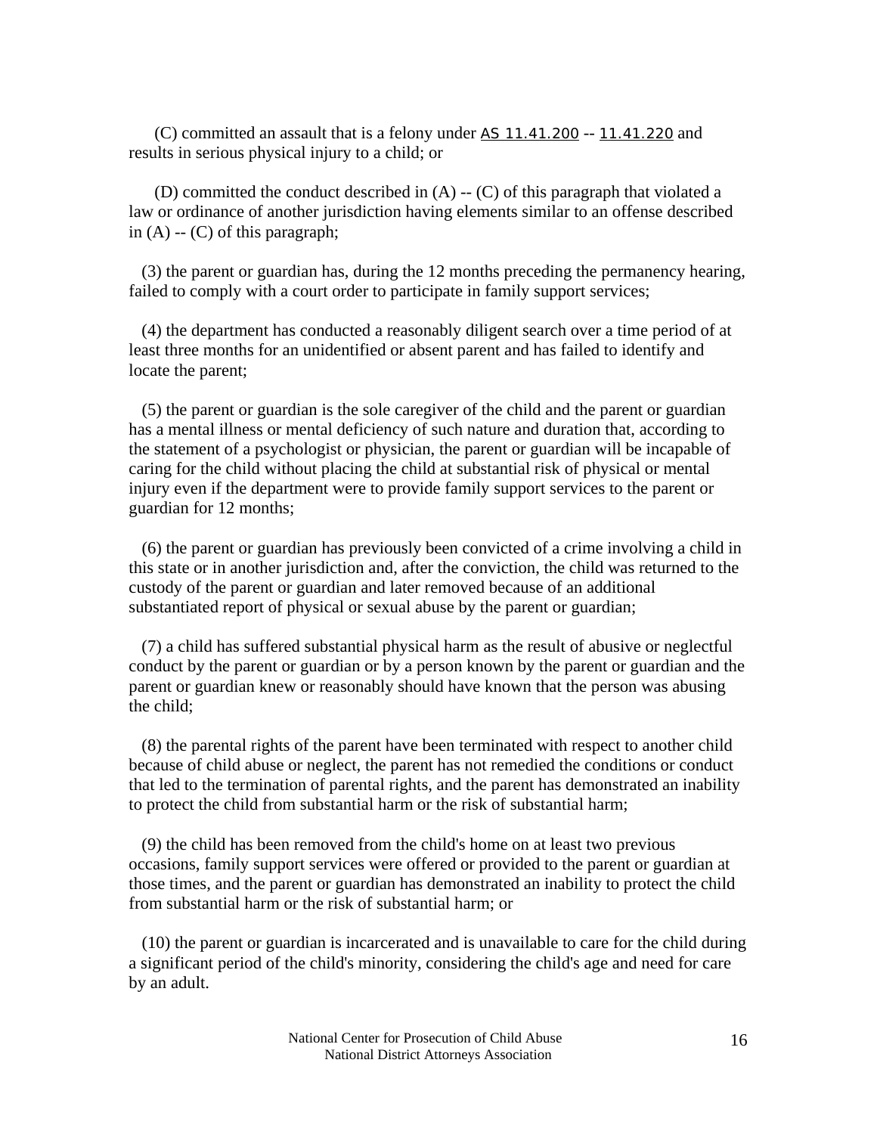(C) committed an assault that is a felony under [AS 11.41.200](https://www.lexis.com/research/buttonTFLink?_m=716529bc70859dc3765dbe5b2e522346&_xfercite=%3ccite%20cc%3d%22USA%22%3e%3c%21%5bCDATA%5bAlaska%20Stat.%20%a7%2047.10.086%5d%5d%3e%3c%2fcite%3e&_butType=4&_butStat=0&_butNum=5&_butInline=1&_butinfo=AKCODE%2011.41.200&_fmtstr=FULL&docnum=1&_startdoc=1&wchp=dGLbVzb-zSkAW&_md5=74100bf91803fc702fb67354278aed8a) -- [11.41.220](https://www.lexis.com/research/buttonTFLink?_m=716529bc70859dc3765dbe5b2e522346&_xfercite=%3ccite%20cc%3d%22USA%22%3e%3c%21%5bCDATA%5bAlaska%20Stat.%20%a7%2047.10.086%5d%5d%3e%3c%2fcite%3e&_butType=4&_butStat=0&_butNum=6&_butInline=1&_butinfo=AKCODE%2011.41.220&_fmtstr=FULL&docnum=1&_startdoc=1&wchp=dGLbVzb-zSkAW&_md5=e93c4b7bb9d739dd9fbda216f7c45190) and results in serious physical injury to a child; or

 (D) committed the conduct described in (A) -- (C) of this paragraph that violated a law or ordinance of another jurisdiction having elements similar to an offense described in  $(A)$  --  $(C)$  of this paragraph;

 (3) the parent or guardian has, during the 12 months preceding the permanency hearing, failed to comply with a court order to participate in family support services;

 (4) the department has conducted a reasonably diligent search over a time period of at least three months for an unidentified or absent parent and has failed to identify and locate the parent;

 (5) the parent or guardian is the sole caregiver of the child and the parent or guardian has a mental illness or mental deficiency of such nature and duration that, according to the statement of a psychologist or physician, the parent or guardian will be incapable of caring for the child without placing the child at substantial risk of physical or mental injury even if the department were to provide family support services to the parent or guardian for 12 months;

 (6) the parent or guardian has previously been convicted of a crime involving a child in this state or in another jurisdiction and, after the conviction, the child was returned to the custody of the parent or guardian and later removed because of an additional substantiated report of physical or sexual abuse by the parent or guardian;

 (7) a child has suffered substantial physical harm as the result of abusive or neglectful conduct by the parent or guardian or by a person known by the parent or guardian and the parent or guardian knew or reasonably should have known that the person was abusing the child;

 (8) the parental rights of the parent have been terminated with respect to another child because of child abuse or neglect, the parent has not remedied the conditions or conduct that led to the termination of parental rights, and the parent has demonstrated an inability to protect the child from substantial harm or the risk of substantial harm;

 (9) the child has been removed from the child's home on at least two previous occasions, family support services were offered or provided to the parent or guardian at those times, and the parent or guardian has demonstrated an inability to protect the child from substantial harm or the risk of substantial harm; or

 (10) the parent or guardian is incarcerated and is unavailable to care for the child during a significant period of the child's minority, considering the child's age and need for care by an adult.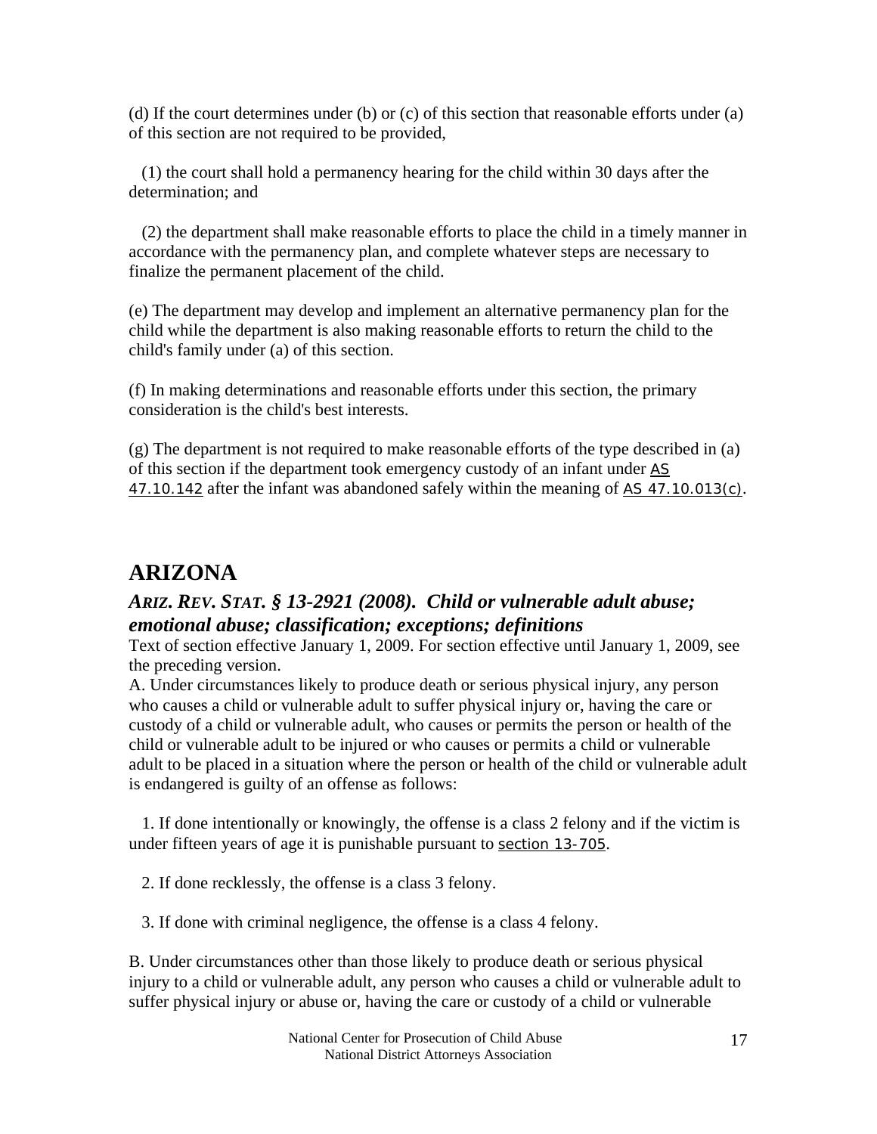<span id="page-16-0"></span>(d) If the court determines under (b) or (c) of this section that reasonable efforts under (a) of this section are not required to be provided,

 (1) the court shall hold a permanency hearing for the child within 30 days after the determination; and

 (2) the department shall make reasonable efforts to place the child in a timely manner in accordance with the permanency plan, and complete whatever steps are necessary to finalize the permanent placement of the child.

(e) The department may develop and implement an alternative permanency plan for the child while the department is also making reasonable efforts to return the child to the child's family under (a) of this section.

(f) In making determinations and reasonable efforts under this section, the primary consideration is the child's best interests.

(g) The department is not required to make reasonable efforts of the type described in (a) of this section if the department took emergency custody of an infant under [AS](https://www.lexis.com/research/buttonTFLink?_m=716529bc70859dc3765dbe5b2e522346&_xfercite=%3ccite%20cc%3d%22USA%22%3e%3c%21%5bCDATA%5bAlaska%20Stat.%20%a7%2047.10.086%5d%5d%3e%3c%2fcite%3e&_butType=4&_butStat=0&_butNum=7&_butInline=1&_butinfo=AKCODE%2047.10.142&_fmtstr=FULL&docnum=1&_startdoc=1&wchp=dGLbVzb-zSkAW&_md5=f5a8c70d7a570647ed1f8fc68049e5f1)  [47.10.142](https://www.lexis.com/research/buttonTFLink?_m=716529bc70859dc3765dbe5b2e522346&_xfercite=%3ccite%20cc%3d%22USA%22%3e%3c%21%5bCDATA%5bAlaska%20Stat.%20%a7%2047.10.086%5d%5d%3e%3c%2fcite%3e&_butType=4&_butStat=0&_butNum=7&_butInline=1&_butinfo=AKCODE%2047.10.142&_fmtstr=FULL&docnum=1&_startdoc=1&wchp=dGLbVzb-zSkAW&_md5=f5a8c70d7a570647ed1f8fc68049e5f1) after the infant was abandoned safely within the meaning of [AS 47.10.013\(c\)](https://www.lexis.com/research/buttonTFLink?_m=716529bc70859dc3765dbe5b2e522346&_xfercite=%3ccite%20cc%3d%22USA%22%3e%3c%21%5bCDATA%5bAlaska%20Stat.%20%a7%2047.10.086%5d%5d%3e%3c%2fcite%3e&_butType=4&_butStat=0&_butNum=8&_butInline=1&_butinfo=AKCODE%2047.10.013&_fmtstr=FULL&docnum=1&_startdoc=1&wchp=dGLbVzb-zSkAW&_md5=d744a9166e249db8539b6a2b1e1ebfdc).

# **ARIZONA**

### *ARIZ. REV. STAT. § 13-2921 (2008). Child or vulnerable adult abuse; emotional abuse; classification; exceptions; definitions*

Text of section effective January 1, 2009. For section effective until January 1, 2009, see the preceding version.

A. Under circumstances likely to produce death or serious physical injury, any person who causes a child or vulnerable adult to suffer physical injury or, having the care or custody of a child or vulnerable adult, who causes or permits the person or health of the child or vulnerable adult to be injured or who causes or permits a child or vulnerable adult to be placed in a situation where the person or health of the child or vulnerable adult is endangered is guilty of an offense as follows:

 1. If done intentionally or knowingly, the offense is a class 2 felony and if the victim is under fifteen years of age it is punishable pursuant to [section 13-705](https://www.lexis.com/research/buttonTFLink?_m=3cbb583816551463db698e7534bb8c68&_xfercite=%3ccite%20cc%3d%22USA%22%3e%3c%21%5bCDATA%5bA.R.S.%20%a7%2013-3623%5d%5d%3e%3c%2fcite%3e&_butType=4&_butStat=0&_butNum=2&_butInline=1&_butinfo=AZCODE%2013-705&_fmtstr=FULL&docnum=2&_startdoc=1&wchp=dGLbVzW-zSkAA&_md5=b4873a5d2824c6057a48614595fc986b).

2. If done recklessly, the offense is a class 3 felony.

3. If done with criminal negligence, the offense is a class 4 felony.

B. Under circumstances other than those likely to produce death or serious physical injury to a child or vulnerable adult, any person who causes a child or vulnerable adult to suffer physical injury or abuse or, having the care or custody of a child or vulnerable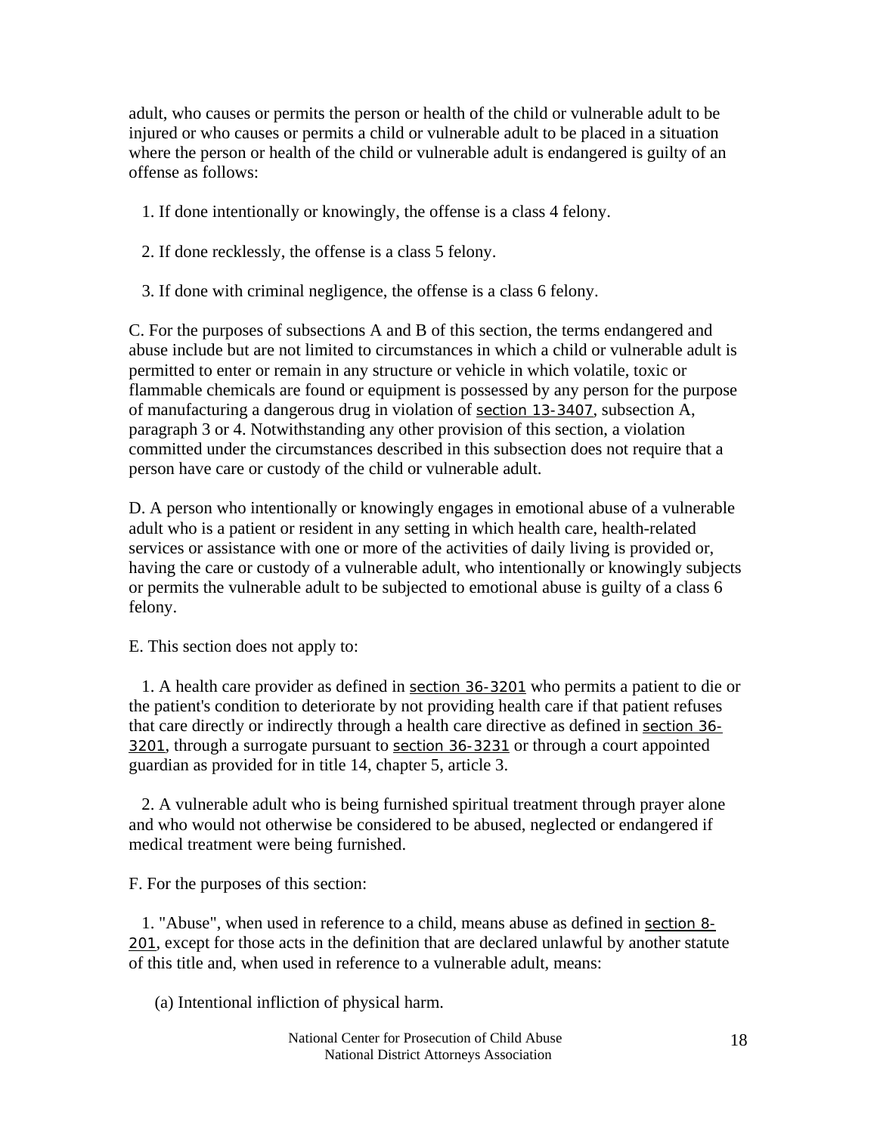adult, who causes or permits the person or health of the child or vulnerable adult to be injured or who causes or permits a child or vulnerable adult to be placed in a situation where the person or health of the child or vulnerable adult is endangered is guilty of an offense as follows:

1. If done intentionally or knowingly, the offense is a class 4 felony.

2. If done recklessly, the offense is a class 5 felony.

3. If done with criminal negligence, the offense is a class 6 felony.

C. For the purposes of subsections A and B of this section, the terms endangered and abuse include but are not limited to circumstances in which a child or vulnerable adult is permitted to enter or remain in any structure or vehicle in which volatile, toxic or flammable chemicals are found or equipment is possessed by any person for the purpose of manufacturing a dangerous drug in violation of [section 13-3407](https://www.lexis.com/research/buttonTFLink?_m=3cbb583816551463db698e7534bb8c68&_xfercite=%3ccite%20cc%3d%22USA%22%3e%3c%21%5bCDATA%5bA.R.S.%20%a7%2013-3623%5d%5d%3e%3c%2fcite%3e&_butType=4&_butStat=0&_butNum=3&_butInline=1&_butinfo=AZCODE%2013-3407&_fmtstr=FULL&docnum=2&_startdoc=1&wchp=dGLbVzW-zSkAA&_md5=6b18e653c83752d03993a061680dbd3f), subsection A, paragraph 3 or 4. Notwithstanding any other provision of this section, a violation committed under the circumstances described in this subsection does not require that a person have care or custody of the child or vulnerable adult.

D. A person who intentionally or knowingly engages in emotional abuse of a vulnerable adult who is a patient or resident in any setting in which health care, health-related services or assistance with one or more of the activities of daily living is provided or, having the care or custody of a vulnerable adult, who intentionally or knowingly subjects or permits the vulnerable adult to be subjected to emotional abuse is guilty of a class 6 felony.

E. This section does not apply to:

 1. A health care provider as defined in [section 36-3201](https://www.lexis.com/research/buttonTFLink?_m=3cbb583816551463db698e7534bb8c68&_xfercite=%3ccite%20cc%3d%22USA%22%3e%3c%21%5bCDATA%5bA.R.S.%20%a7%2013-3623%5d%5d%3e%3c%2fcite%3e&_butType=4&_butStat=0&_butNum=4&_butInline=1&_butinfo=AZCODE%2036-3201&_fmtstr=FULL&docnum=2&_startdoc=1&wchp=dGLbVzW-zSkAA&_md5=c46a5e296b8b6336006663bd5f3c1efd) who permits a patient to die or the patient's condition to deteriorate by not providing health care if that patient refuses that care directly or indirectly through a health care directive as defined in [section 36-](https://www.lexis.com/research/buttonTFLink?_m=3cbb583816551463db698e7534bb8c68&_xfercite=%3ccite%20cc%3d%22USA%22%3e%3c%21%5bCDATA%5bA.R.S.%20%a7%2013-3623%5d%5d%3e%3c%2fcite%3e&_butType=4&_butStat=0&_butNum=5&_butInline=1&_butinfo=AZCODE%2036-3201&_fmtstr=FULL&docnum=2&_startdoc=1&wchp=dGLbVzW-zSkAA&_md5=cd25d5512f0230cb72dafce21d6f33f2) [3201](https://www.lexis.com/research/buttonTFLink?_m=3cbb583816551463db698e7534bb8c68&_xfercite=%3ccite%20cc%3d%22USA%22%3e%3c%21%5bCDATA%5bA.R.S.%20%a7%2013-3623%5d%5d%3e%3c%2fcite%3e&_butType=4&_butStat=0&_butNum=5&_butInline=1&_butinfo=AZCODE%2036-3201&_fmtstr=FULL&docnum=2&_startdoc=1&wchp=dGLbVzW-zSkAA&_md5=cd25d5512f0230cb72dafce21d6f33f2), through a surrogate pursuant to [section 36-3231](https://www.lexis.com/research/buttonTFLink?_m=3cbb583816551463db698e7534bb8c68&_xfercite=%3ccite%20cc%3d%22USA%22%3e%3c%21%5bCDATA%5bA.R.S.%20%a7%2013-3623%5d%5d%3e%3c%2fcite%3e&_butType=4&_butStat=0&_butNum=6&_butInline=1&_butinfo=AZCODE%2036-3231&_fmtstr=FULL&docnum=2&_startdoc=1&wchp=dGLbVzW-zSkAA&_md5=d622b76e87c31a1071e61aa45b6b6da3) or through a court appointed guardian as provided for in title 14, chapter 5, article 3.

 2. A vulnerable adult who is being furnished spiritual treatment through prayer alone and who would not otherwise be considered to be abused, neglected or endangered if medical treatment were being furnished.

F. For the purposes of this section:

 1. "Abuse", when used in reference to a child, means abuse as defined in [section 8-](https://www.lexis.com/research/buttonTFLink?_m=3cbb583816551463db698e7534bb8c68&_xfercite=%3ccite%20cc%3d%22USA%22%3e%3c%21%5bCDATA%5bA.R.S.%20%a7%2013-3623%5d%5d%3e%3c%2fcite%3e&_butType=4&_butStat=0&_butNum=7&_butInline=1&_butinfo=AZCODE%208-201&_fmtstr=FULL&docnum=2&_startdoc=1&wchp=dGLbVzW-zSkAA&_md5=053e1a498e19b734313340b24474ac4c) [201](https://www.lexis.com/research/buttonTFLink?_m=3cbb583816551463db698e7534bb8c68&_xfercite=%3ccite%20cc%3d%22USA%22%3e%3c%21%5bCDATA%5bA.R.S.%20%a7%2013-3623%5d%5d%3e%3c%2fcite%3e&_butType=4&_butStat=0&_butNum=7&_butInline=1&_butinfo=AZCODE%208-201&_fmtstr=FULL&docnum=2&_startdoc=1&wchp=dGLbVzW-zSkAA&_md5=053e1a498e19b734313340b24474ac4c), except for those acts in the definition that are declared unlawful by another statute of this title and, when used in reference to a vulnerable adult, means:

(a) Intentional infliction of physical harm.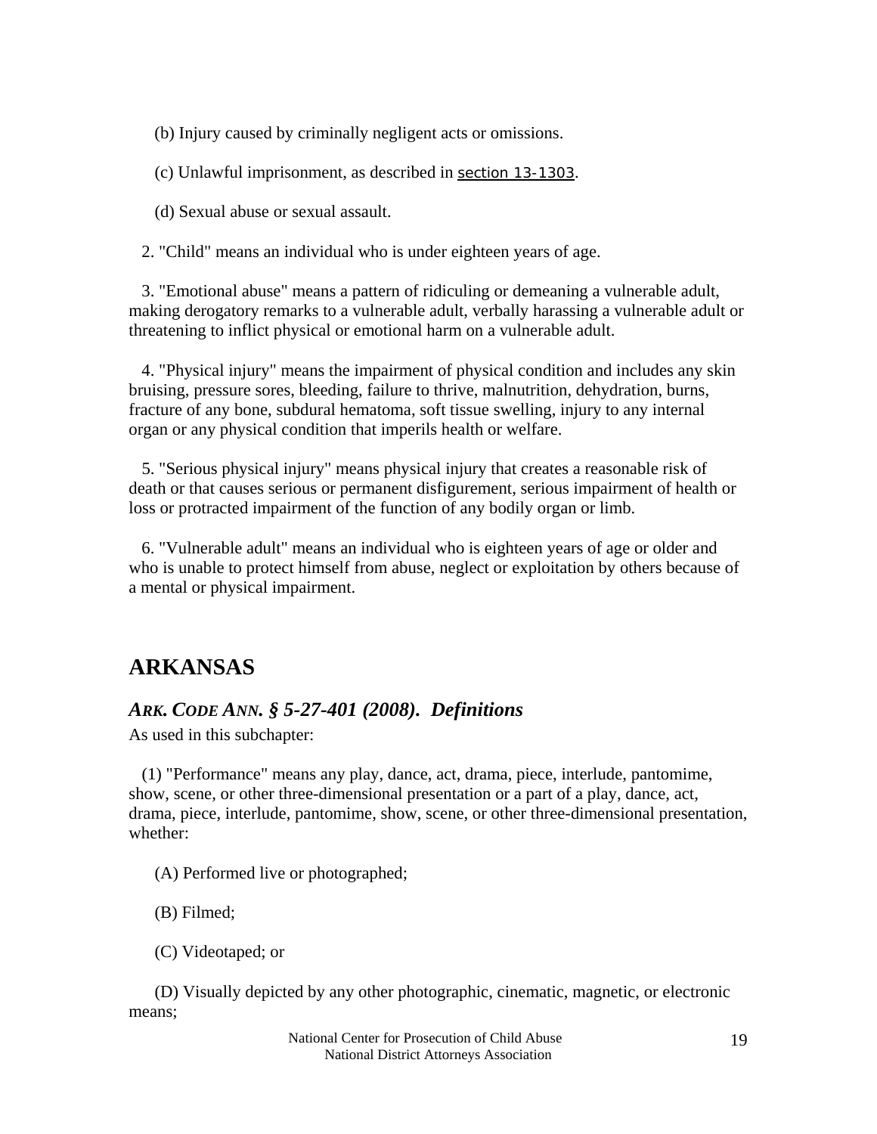<span id="page-18-0"></span>(b) Injury caused by criminally negligent acts or omissions.

(c) Unlawful imprisonment, as described in [section 13-1303](https://www.lexis.com/research/buttonTFLink?_m=3cbb583816551463db698e7534bb8c68&_xfercite=%3ccite%20cc%3d%22USA%22%3e%3c%21%5bCDATA%5bA.R.S.%20%a7%2013-3623%5d%5d%3e%3c%2fcite%3e&_butType=4&_butStat=0&_butNum=8&_butInline=1&_butinfo=AZCODE%2013-1303&_fmtstr=FULL&docnum=2&_startdoc=1&wchp=dGLbVzW-zSkAA&_md5=ec18a006c822b1a20d7d087604f5d5da).

(d) Sexual abuse or sexual assault.

2. "Child" means an individual who is under eighteen years of age.

 3. "Emotional abuse" means a pattern of ridiculing or demeaning a vulnerable adult, making derogatory remarks to a vulnerable adult, verbally harassing a vulnerable adult or threatening to inflict physical or emotional harm on a vulnerable adult.

 4. "Physical injury" means the impairment of physical condition and includes any skin bruising, pressure sores, bleeding, failure to thrive, malnutrition, dehydration, burns, fracture of any bone, subdural hematoma, soft tissue swelling, injury to any internal organ or any physical condition that imperils health or welfare.

 5. "Serious physical injury" means physical injury that creates a reasonable risk of death or that causes serious or permanent disfigurement, serious impairment of health or loss or protracted impairment of the function of any bodily organ or limb.

 6. "Vulnerable adult" means an individual who is eighteen years of age or older and who is unable to protect himself from abuse, neglect or exploitation by others because of a mental or physical impairment.

### **ARKANSAS**

#### *ARK. CODE ANN. § 5-27-401 (2008). Definitions*

As used in this subchapter:

 (1) "Performance" means any play, dance, act, drama, piece, interlude, pantomime, show, scene, or other three-dimensional presentation or a part of a play, dance, act, drama, piece, interlude, pantomime, show, scene, or other three-dimensional presentation, whether:

(A) Performed live or photographed;

(B) Filmed;

(C) Videotaped; or

 (D) Visually depicted by any other photographic, cinematic, magnetic, or electronic means;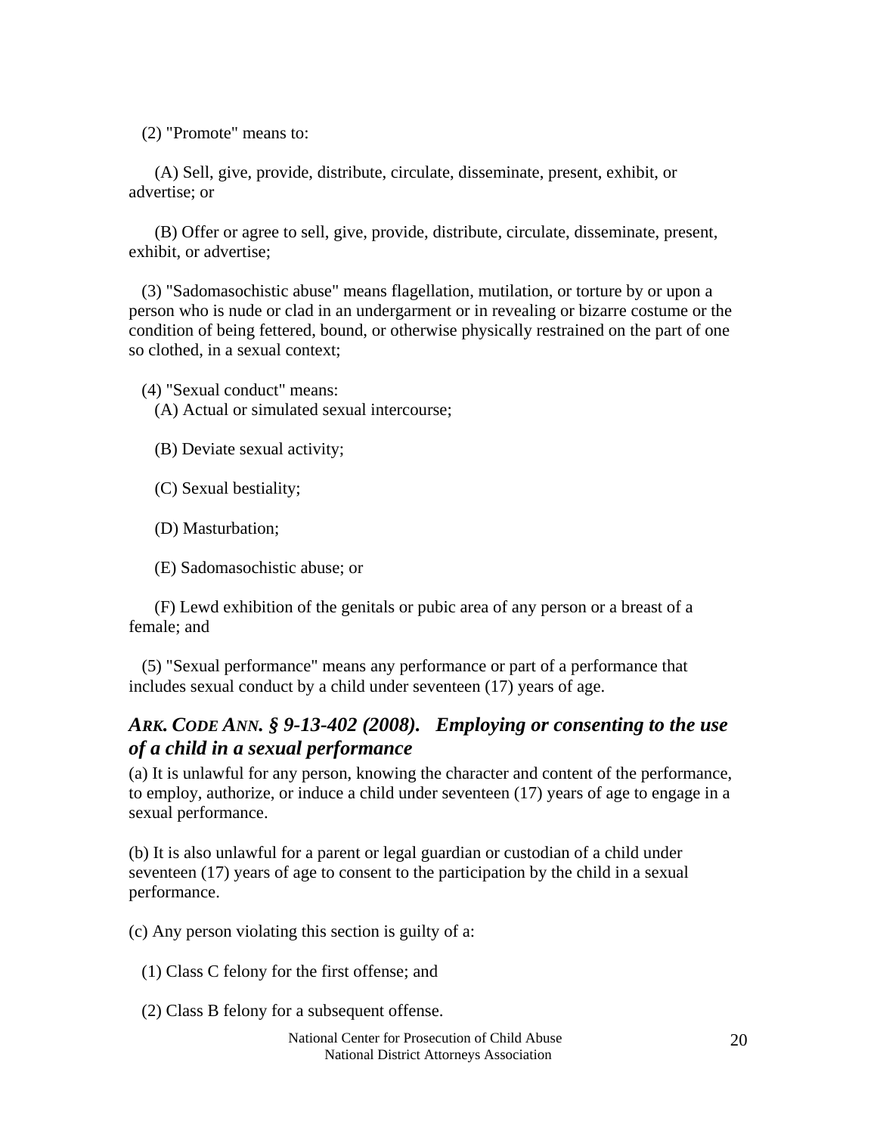<span id="page-19-0"></span>(2) "Promote" means to:

 (A) Sell, give, provide, distribute, circulate, disseminate, present, exhibit, or advertise; or

 (B) Offer or agree to sell, give, provide, distribute, circulate, disseminate, present, exhibit, or advertise;

 (3) "Sadomasochistic abuse" means flagellation, mutilation, or torture by or upon a person who is nude or clad in an undergarment or in revealing or bizarre costume or the condition of being fettered, bound, or otherwise physically restrained on the part of one so clothed, in a sexual context;

(4) "Sexual conduct" means:

(A) Actual or simulated sexual intercourse;

(B) Deviate sexual activity;

(C) Sexual bestiality;

(D) Masturbation;

(E) Sadomasochistic abuse; or

 (F) Lewd exhibition of the genitals or pubic area of any person or a breast of a female; and

 (5) "Sexual performance" means any performance or part of a performance that includes sexual conduct by a child under seventeen (17) years of age.

### *ARK. CODE ANN. § 9-13-402 (2008). Employing or consenting to the use of a child in a sexual performance*

(a) It is unlawful for any person, knowing the character and content of the performance, to employ, authorize, or induce a child under seventeen (17) years of age to engage in a sexual performance.

(b) It is also unlawful for a parent or legal guardian or custodian of a child under seventeen (17) years of age to consent to the participation by the child in a sexual performance.

(c) Any person violating this section is guilty of a:

(1) Class C felony for the first offense; and

(2) Class B felony for a subsequent offense.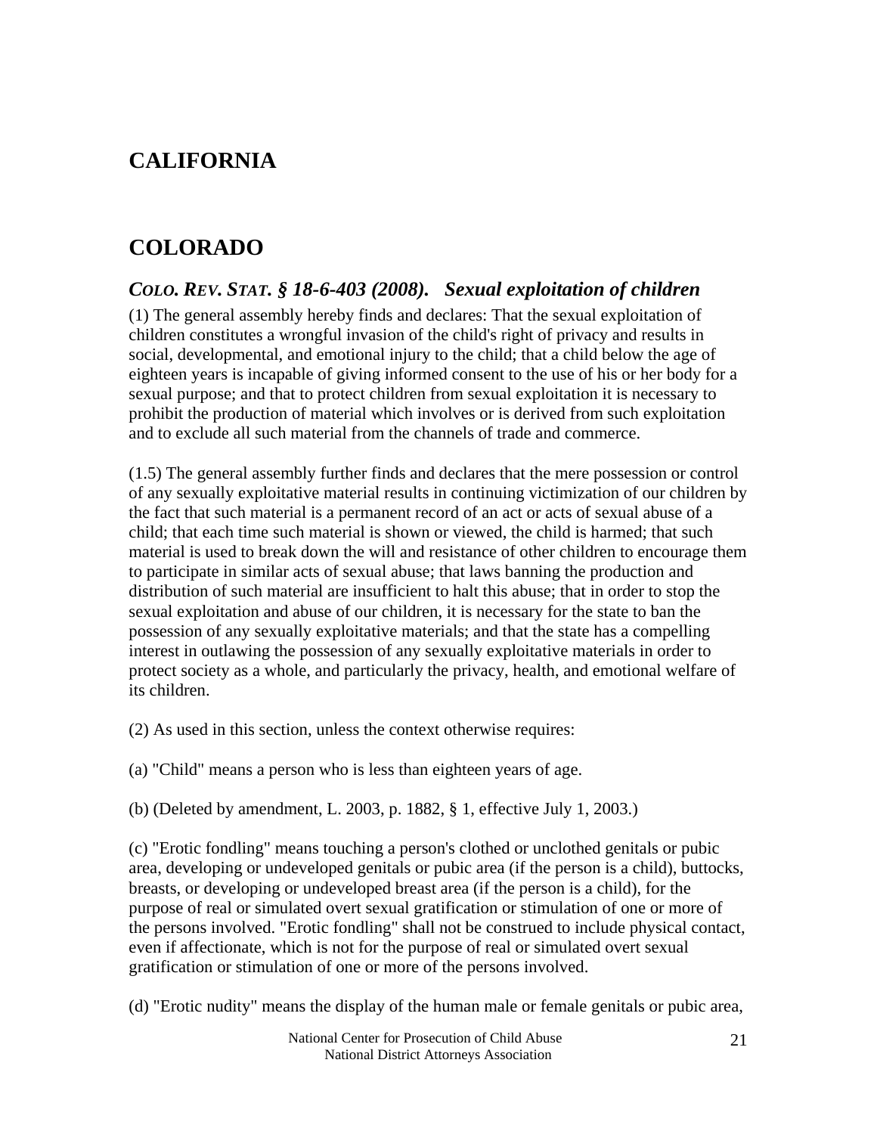# <span id="page-20-0"></span>**CALIFORNIA**

# **COLORADO**

### *COLO. REV. STAT. § 18-6-403 (2008). Sexual exploitation of children*

(1) The general assembly hereby finds and declares: That the sexual exploitation of children constitutes a wrongful invasion of the child's right of privacy and results in social, developmental, and emotional injury to the child; that a child below the age of eighteen years is incapable of giving informed consent to the use of his or her body for a sexual purpose; and that to protect children from sexual exploitation it is necessary to prohibit the production of material which involves or is derived from such exploitation and to exclude all such material from the channels of trade and commerce.

(1.5) The general assembly further finds and declares that the mere possession or control of any sexually exploitative material results in continuing victimization of our children by the fact that such material is a permanent record of an act or acts of sexual abuse of a child; that each time such material is shown or viewed, the child is harmed; that such material is used to break down the will and resistance of other children to encourage them to participate in similar acts of sexual abuse; that laws banning the production and distribution of such material are insufficient to halt this abuse; that in order to stop the sexual exploitation and abuse of our children, it is necessary for the state to ban the possession of any sexually exploitative materials; and that the state has a compelling interest in outlawing the possession of any sexually exploitative materials in order to protect society as a whole, and particularly the privacy, health, and emotional welfare of its children.

(2) As used in this section, unless the context otherwise requires:

(a) "Child" means a person who is less than eighteen years of age.

(b) (Deleted by amendment, L. 2003, p. 1882, § 1, effective July 1, 2003.)

(c) "Erotic fondling" means touching a person's clothed or unclothed genitals or pubic area, developing or undeveloped genitals or pubic area (if the person is a child), buttocks, breasts, or developing or undeveloped breast area (if the person is a child), for the purpose of real or simulated overt sexual gratification or stimulation of one or more of the persons involved. "Erotic fondling" shall not be construed to include physical contact, even if affectionate, which is not for the purpose of real or simulated overt sexual gratification or stimulation of one or more of the persons involved.

(d) "Erotic nudity" means the display of the human male or female genitals or pubic area,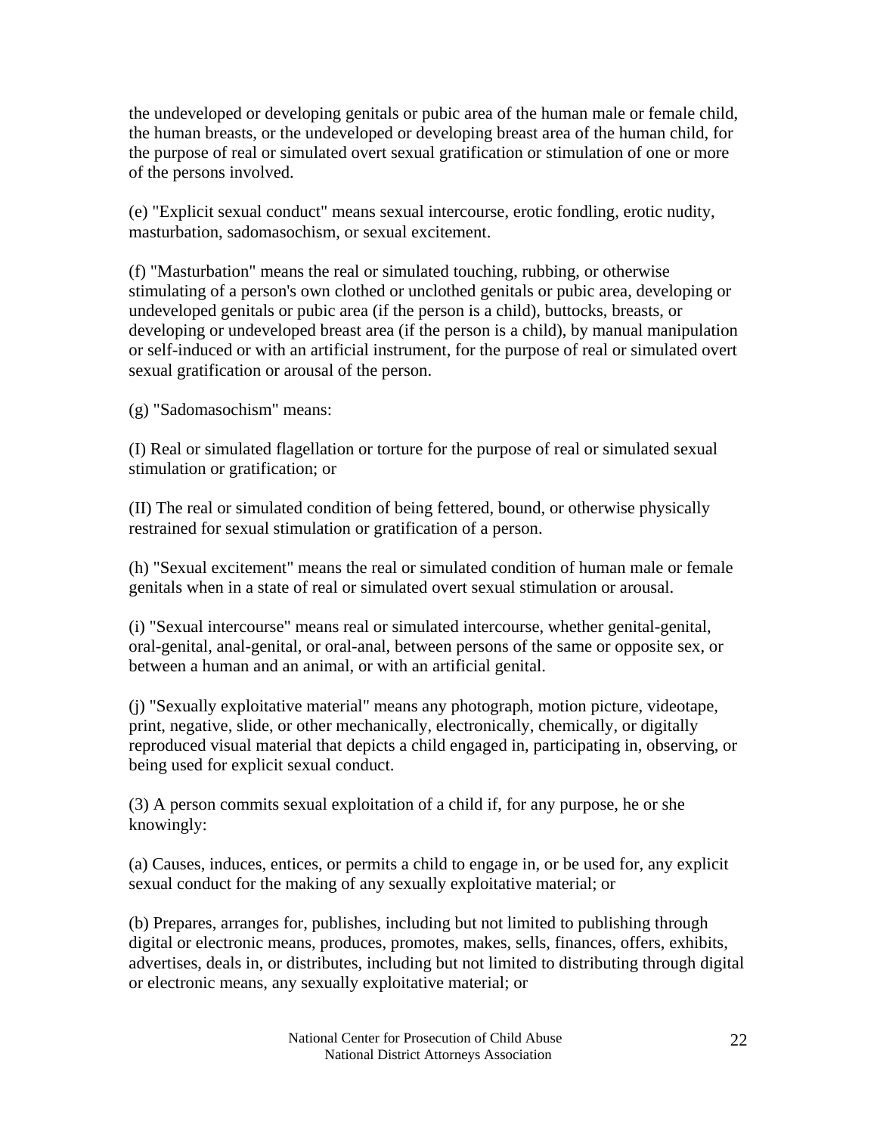the undeveloped or developing genitals or pubic area of the human male or female child, the human breasts, or the undeveloped or developing breast area of the human child, for the purpose of real or simulated overt sexual gratification or stimulation of one or more of the persons involved.

(e) "Explicit sexual conduct" means sexual intercourse, erotic fondling, erotic nudity, masturbation, sadomasochism, or sexual excitement.

(f) "Masturbation" means the real or simulated touching, rubbing, or otherwise stimulating of a person's own clothed or unclothed genitals or pubic area, developing or undeveloped genitals or pubic area (if the person is a child), buttocks, breasts, or developing or undeveloped breast area (if the person is a child), by manual manipulation or self-induced or with an artificial instrument, for the purpose of real or simulated overt sexual gratification or arousal of the person.

(g) "Sadomasochism" means:

(I) Real or simulated flagellation or torture for the purpose of real or simulated sexual stimulation or gratification; or

(II) The real or simulated condition of being fettered, bound, or otherwise physically restrained for sexual stimulation or gratification of a person.

(h) "Sexual excitement" means the real or simulated condition of human male or female genitals when in a state of real or simulated overt sexual stimulation or arousal.

(i) "Sexual intercourse" means real or simulated intercourse, whether genital-genital, oral-genital, anal-genital, or oral-anal, between persons of the same or opposite sex, or between a human and an animal, or with an artificial genital.

(j) "Sexually exploitative material" means any photograph, motion picture, videotape, print, negative, slide, or other mechanically, electronically, chemically, or digitally reproduced visual material that depicts a child engaged in, participating in, observing, or being used for explicit sexual conduct.

(3) A person commits sexual exploitation of a child if, for any purpose, he or she knowingly:

(a) Causes, induces, entices, or permits a child to engage in, or be used for, any explicit sexual conduct for the making of any sexually exploitative material; or

(b) Prepares, arranges for, publishes, including but not limited to publishing through digital or electronic means, produces, promotes, makes, sells, finances, offers, exhibits, advertises, deals in, or distributes, including but not limited to distributing through digital or electronic means, any sexually exploitative material; or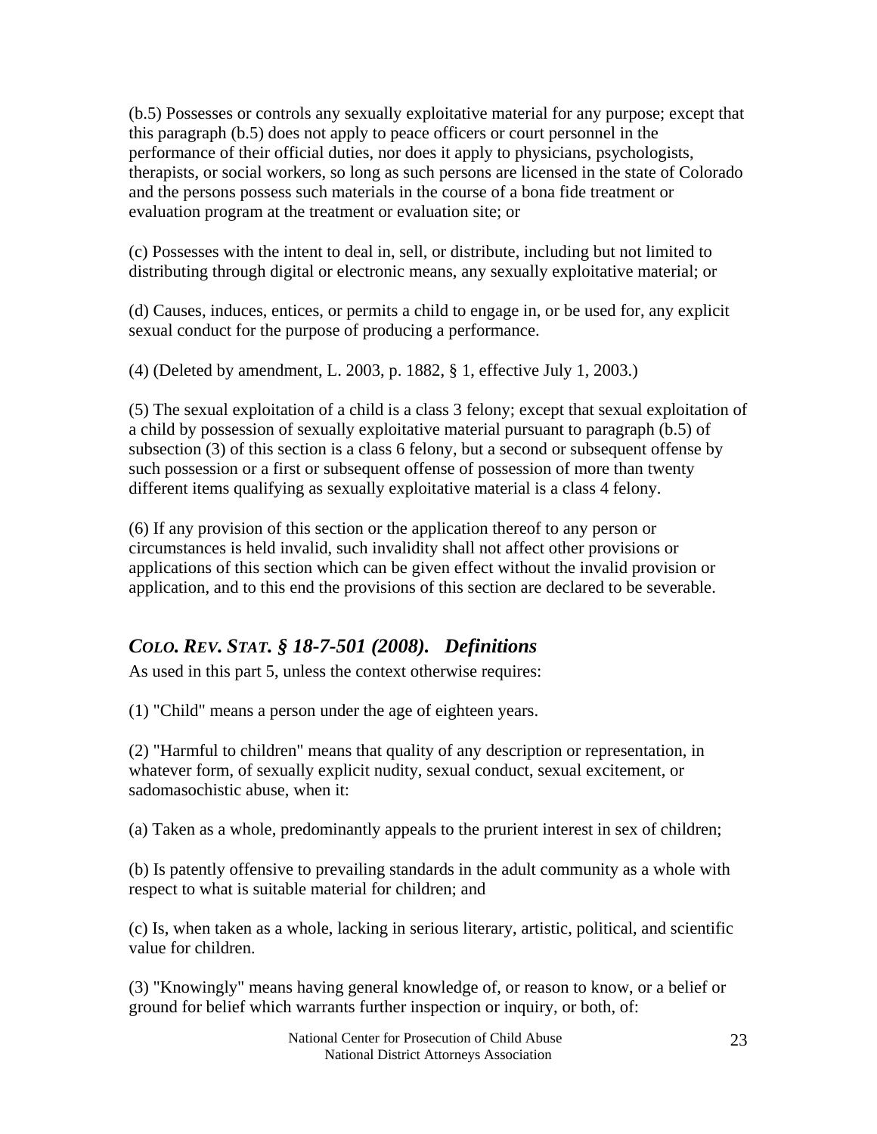<span id="page-22-0"></span>(b.5) Possesses or controls any sexually exploitative material for any purpose; except that this paragraph (b.5) does not apply to peace officers or court personnel in the performance of their official duties, nor does it apply to physicians, psychologists, therapists, or social workers, so long as such persons are licensed in the state of Colorado and the persons possess such materials in the course of a bona fide treatment or evaluation program at the treatment or evaluation site; or

(c) Possesses with the intent to deal in, sell, or distribute, including but not limited to distributing through digital or electronic means, any sexually exploitative material; or

(d) Causes, induces, entices, or permits a child to engage in, or be used for, any explicit sexual conduct for the purpose of producing a performance.

(4) (Deleted by amendment, L. 2003, p. 1882, § 1, effective July 1, 2003.)

(5) The sexual exploitation of a child is a class 3 felony; except that sexual exploitation of a child by possession of sexually exploitative material pursuant to paragraph (b.5) of subsection (3) of this section is a class 6 felony, but a second or subsequent offense by such possession or a first or subsequent offense of possession of more than twenty different items qualifying as sexually exploitative material is a class 4 felony.

(6) If any provision of this section or the application thereof to any person or circumstances is held invalid, such invalidity shall not affect other provisions or applications of this section which can be given effect without the invalid provision or application, and to this end the provisions of this section are declared to be severable.

### *COLO. REV. STAT. § 18-7-501 (2008). Definitions*

As used in this part 5, unless the context otherwise requires:

(1) "Child" means a person under the age of eighteen years.

(2) "Harmful to children" means that quality of any description or representation, in whatever form, of sexually explicit nudity, sexual conduct, sexual excitement, or sadomasochistic abuse, when it:

(a) Taken as a whole, predominantly appeals to the prurient interest in sex of children;

(b) Is patently offensive to prevailing standards in the adult community as a whole with respect to what is suitable material for children; and

(c) Is, when taken as a whole, lacking in serious literary, artistic, political, and scientific value for children.

(3) "Knowingly" means having general knowledge of, or reason to know, or a belief or ground for belief which warrants further inspection or inquiry, or both, of: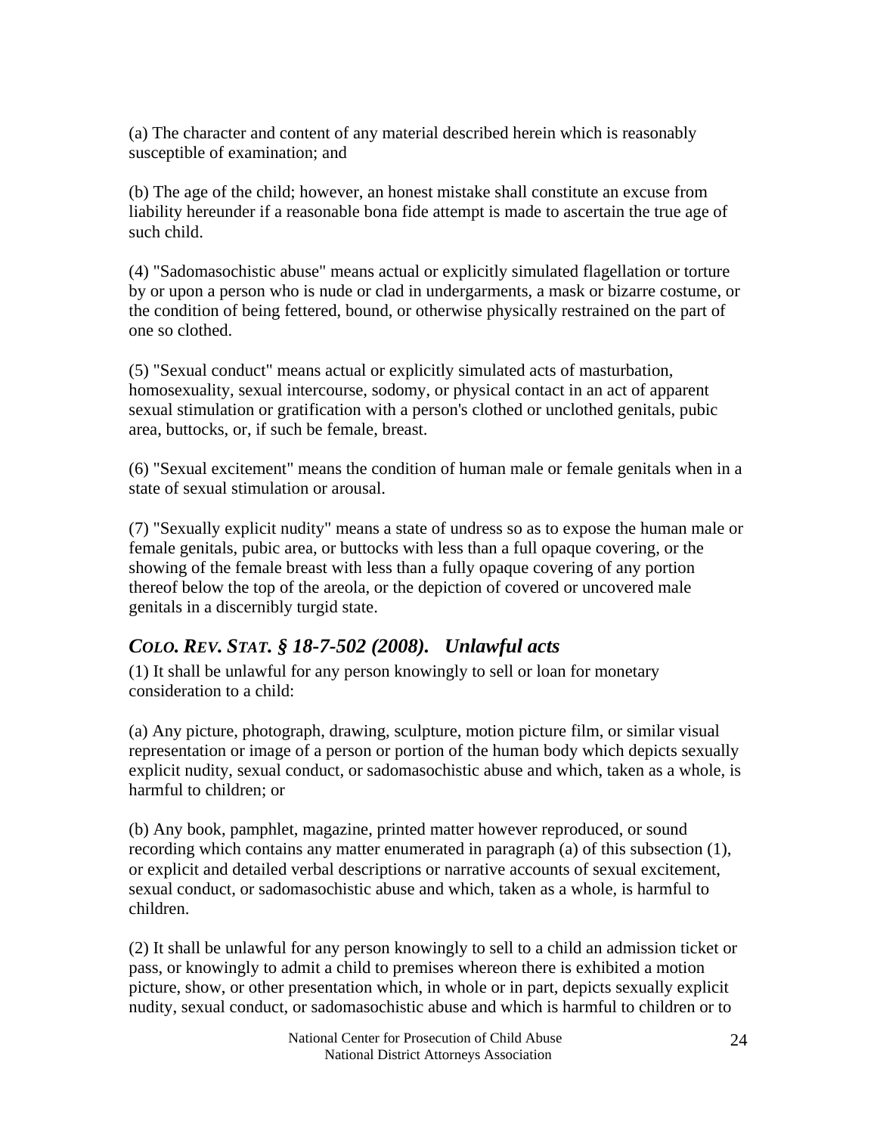<span id="page-23-0"></span>(a) The character and content of any material described herein which is reasonably susceptible of examination; and

(b) The age of the child; however, an honest mistake shall constitute an excuse from liability hereunder if a reasonable bona fide attempt is made to ascertain the true age of such child.

(4) "Sadomasochistic abuse" means actual or explicitly simulated flagellation or torture by or upon a person who is nude or clad in undergarments, a mask or bizarre costume, or the condition of being fettered, bound, or otherwise physically restrained on the part of one so clothed.

(5) "Sexual conduct" means actual or explicitly simulated acts of masturbation, homosexuality, sexual intercourse, sodomy, or physical contact in an act of apparent sexual stimulation or gratification with a person's clothed or unclothed genitals, pubic area, buttocks, or, if such be female, breast.

(6) "Sexual excitement" means the condition of human male or female genitals when in a state of sexual stimulation or arousal.

(7) "Sexually explicit nudity" means a state of undress so as to expose the human male or female genitals, pubic area, or buttocks with less than a full opaque covering, or the showing of the female breast with less than a fully opaque covering of any portion thereof below the top of the areola, or the depiction of covered or uncovered male genitals in a discernibly turgid state.

### *COLO. REV. STAT. § 18-7-502 (2008). Unlawful acts*

(1) It shall be unlawful for any person knowingly to sell or loan for monetary consideration to a child:

(a) Any picture, photograph, drawing, sculpture, motion picture film, or similar visual representation or image of a person or portion of the human body which depicts sexually explicit nudity, sexual conduct, or sadomasochistic abuse and which, taken as a whole, is harmful to children; or

(b) Any book, pamphlet, magazine, printed matter however reproduced, or sound recording which contains any matter enumerated in paragraph (a) of this subsection (1), or explicit and detailed verbal descriptions or narrative accounts of sexual excitement, sexual conduct, or sadomasochistic abuse and which, taken as a whole, is harmful to children.

(2) It shall be unlawful for any person knowingly to sell to a child an admission ticket or pass, or knowingly to admit a child to premises whereon there is exhibited a motion picture, show, or other presentation which, in whole or in part, depicts sexually explicit nudity, sexual conduct, or sadomasochistic abuse and which is harmful to children or to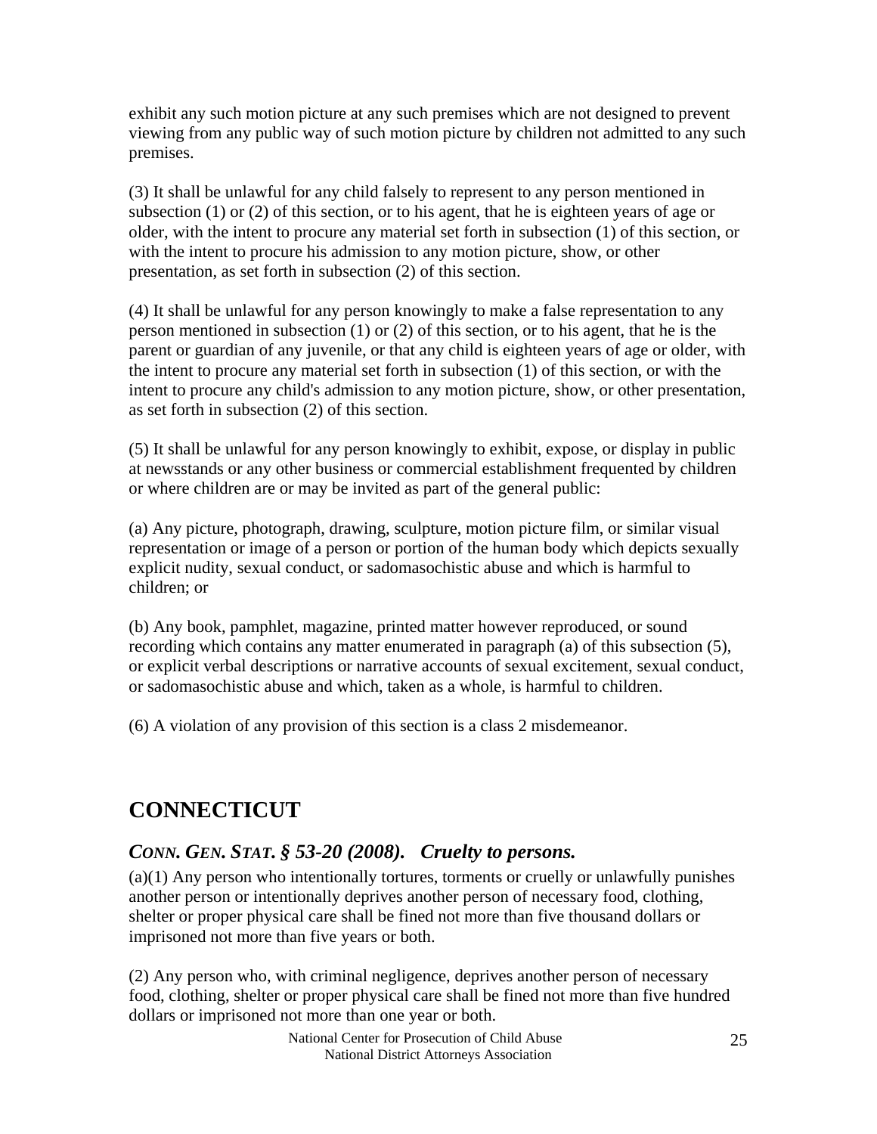<span id="page-24-0"></span>exhibit any such motion picture at any such premises which are not designed to prevent viewing from any public way of such motion picture by children not admitted to any such premises.

(3) It shall be unlawful for any child falsely to represent to any person mentioned in subsection (1) or (2) of this section, or to his agent, that he is eighteen years of age or older, with the intent to procure any material set forth in subsection (1) of this section, or with the intent to procure his admission to any motion picture, show, or other presentation, as set forth in subsection (2) of this section.

(4) It shall be unlawful for any person knowingly to make a false representation to any person mentioned in subsection (1) or (2) of this section, or to his agent, that he is the parent or guardian of any juvenile, or that any child is eighteen years of age or older, with the intent to procure any material set forth in subsection (1) of this section, or with the intent to procure any child's admission to any motion picture, show, or other presentation, as set forth in subsection (2) of this section.

(5) It shall be unlawful for any person knowingly to exhibit, expose, or display in public at newsstands or any other business or commercial establishment frequented by children or where children are or may be invited as part of the general public:

(a) Any picture, photograph, drawing, sculpture, motion picture film, or similar visual representation or image of a person or portion of the human body which depicts sexually explicit nudity, sexual conduct, or sadomasochistic abuse and which is harmful to children; or

(b) Any book, pamphlet, magazine, printed matter however reproduced, or sound recording which contains any matter enumerated in paragraph (a) of this subsection (5), or explicit verbal descriptions or narrative accounts of sexual excitement, sexual conduct, or sadomasochistic abuse and which, taken as a whole, is harmful to children.

(6) A violation of any provision of this section is a class 2 misdemeanor.

## **CONNECTICUT**

### *CONN. GEN. STAT. § 53-20 (2008). Cruelty to persons.*

(a)(1) Any person who intentionally tortures, torments or cruelly or unlawfully punishes another person or intentionally deprives another person of necessary food, clothing, shelter or proper physical care shall be fined not more than five thousand dollars or imprisoned not more than five years or both.

(2) Any person who, with criminal negligence, deprives another person of necessary food, clothing, shelter or proper physical care shall be fined not more than five hundred dollars or imprisoned not more than one year or both.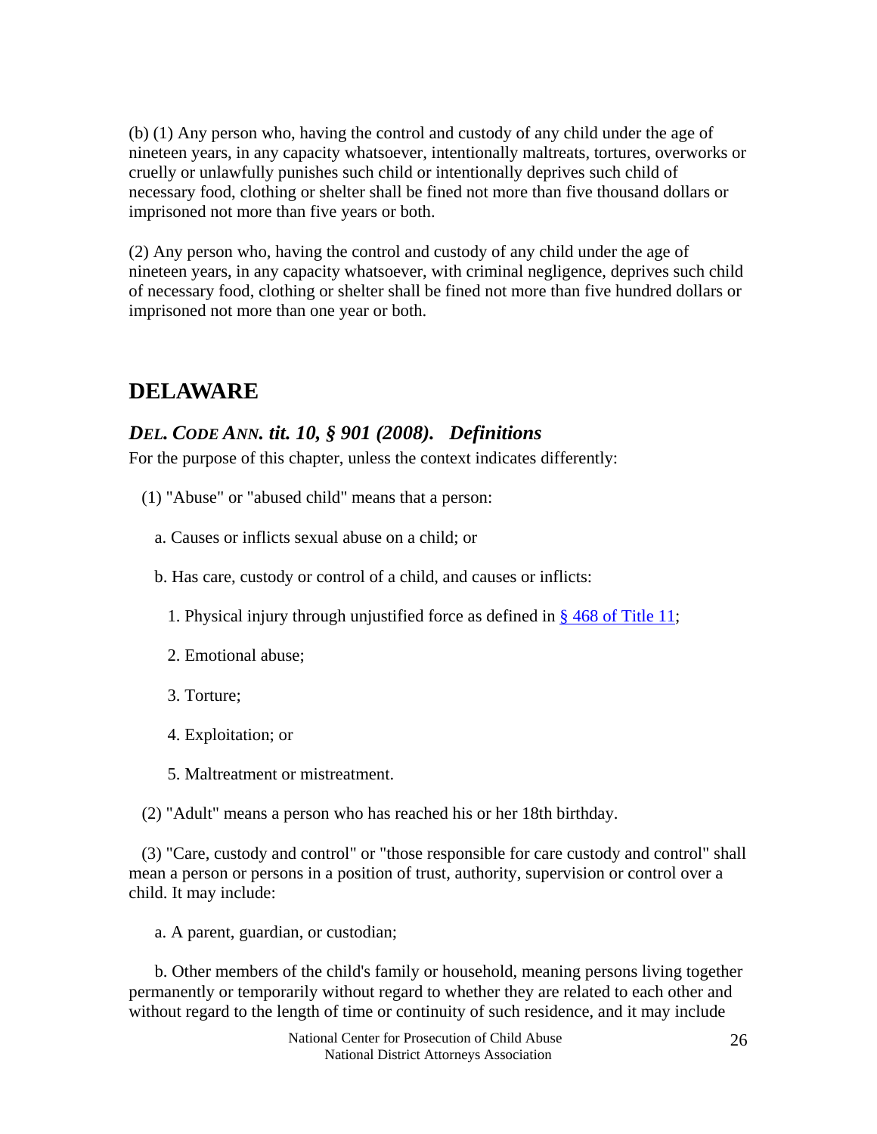<span id="page-25-0"></span>(b) (1) Any person who, having the control and custody of any child under the age of nineteen years, in any capacity whatsoever, intentionally maltreats, tortures, overworks or cruelly or unlawfully punishes such child or intentionally deprives such child of necessary food, clothing or shelter shall be fined not more than five thousand dollars or imprisoned not more than five years or both.

(2) Any person who, having the control and custody of any child under the age of nineteen years, in any capacity whatsoever, with criminal negligence, deprives such child of necessary food, clothing or shelter shall be fined not more than five hundred dollars or imprisoned not more than one year or both.

### **DELAWARE**

#### *DEL. CODE ANN. tit. 10, § 901 (2008). Definitions*

For the purpose of this chapter, unless the context indicates differently:

- (1) "Abuse" or "abused child" means that a person:
	- a. Causes or inflicts sexual abuse on a child; or
	- b. Has care, custody or control of a child, and causes or inflicts:
		- 1. Physical injury through unjustified force as defined in [§ 468 of Title 11;](https://www.lexis.com/research/buttonTFLink?_m=922841c711382b373d99f31a508351e7&_xfercite=%3ccite%20cc%3d%22USA%22%3e%3c%21%5bCDATA%5b10%20Del.%20C.%20%a7%20901%5d%5d%3e%3c%2fcite%3e&_butType=4&_butStat=0&_butNum=2&_butInline=1&_butinfo=11%20DECODE%20468&_fmtstr=FULL&docnum=1&_startdoc=1&wchp=dGLbVlz-zSkAl&_md5=027fe36c0b549c7e6743754fb49002e9)
		- 2. Emotional abuse;
		- 3. Torture;
		- 4. Exploitation; or
		- 5. Maltreatment or mistreatment.

(2) "Adult" means a person who has reached his or her 18th birthday.

 (3) "Care, custody and control" or "those responsible for care custody and control" shall mean a person or persons in a position of trust, authority, supervision or control over a child. It may include:

a. A parent, guardian, or custodian;

 b. Other members of the child's family or household, meaning persons living together permanently or temporarily without regard to whether they are related to each other and without regard to the length of time or continuity of such residence, and it may include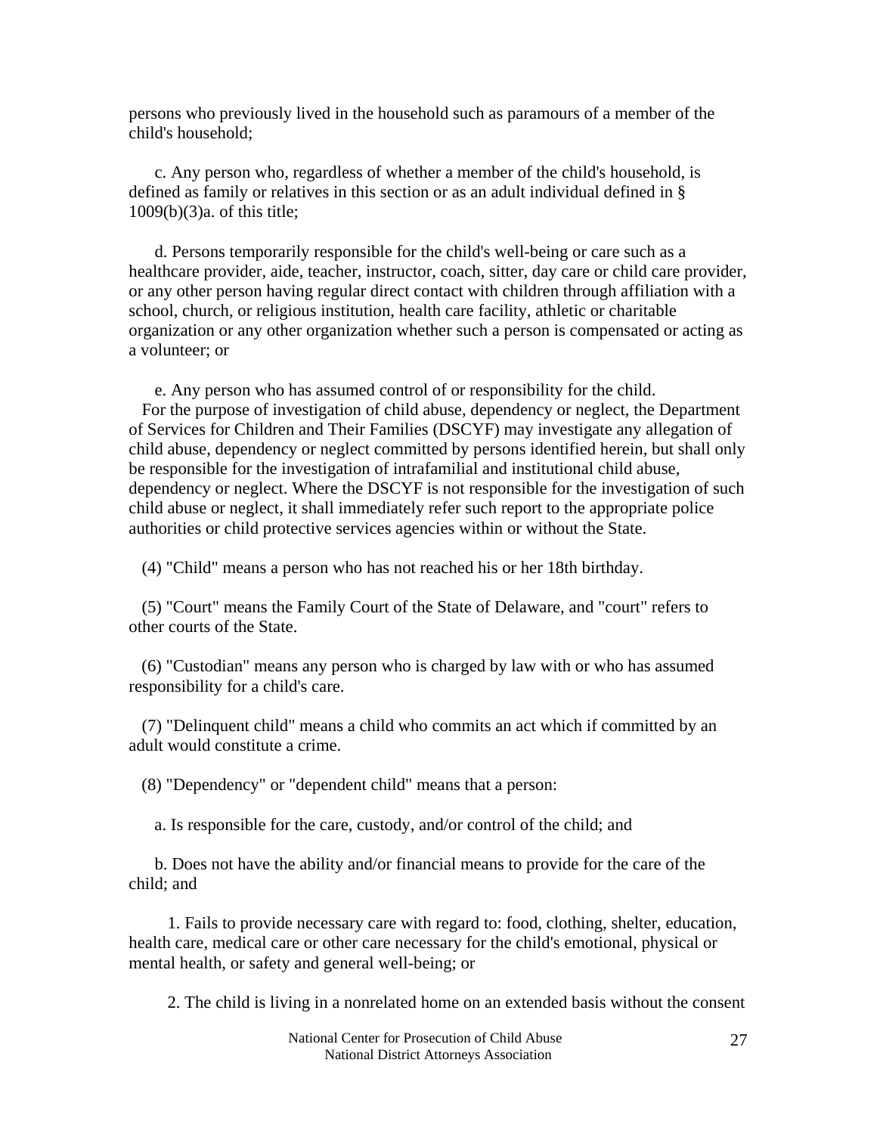persons who previously lived in the household such as paramours of a member of the child's household;

 c. Any person who, regardless of whether a member of the child's household, is defined as family or relatives in this section or as an adult individual defined in § 1009(b)(3)a. of this title;

 d. Persons temporarily responsible for the child's well-being or care such as a healthcare provider, aide, teacher, instructor, coach, sitter, day care or child care provider, or any other person having regular direct contact with children through affiliation with a school, church, or religious institution, health care facility, athletic or charitable organization or any other organization whether such a person is compensated or acting as a volunteer; or

 e. Any person who has assumed control of or responsibility for the child. For the purpose of investigation of child abuse, dependency or neglect, the Department of Services for Children and Their Families (DSCYF) may investigate any allegation of child abuse, dependency or neglect committed by persons identified herein, but shall only be responsible for the investigation of intrafamilial and institutional child abuse, dependency or neglect. Where the DSCYF is not responsible for the investigation of such child abuse or neglect, it shall immediately refer such report to the appropriate police authorities or child protective services agencies within or without the State.

(4) "Child" means a person who has not reached his or her 18th birthday.

 (5) "Court" means the Family Court of the State of Delaware, and "court" refers to other courts of the State.

 (6) "Custodian" means any person who is charged by law with or who has assumed responsibility for a child's care.

 (7) "Delinquent child" means a child who commits an act which if committed by an adult would constitute a crime.

(8) "Dependency" or "dependent child" means that a person:

a. Is responsible for the care, custody, and/or control of the child; and

 b. Does not have the ability and/or financial means to provide for the care of the child; and

 1. Fails to provide necessary care with regard to: food, clothing, shelter, education, health care, medical care or other care necessary for the child's emotional, physical or mental health, or safety and general well-being; or

2. The child is living in a nonrelated home on an extended basis without the consent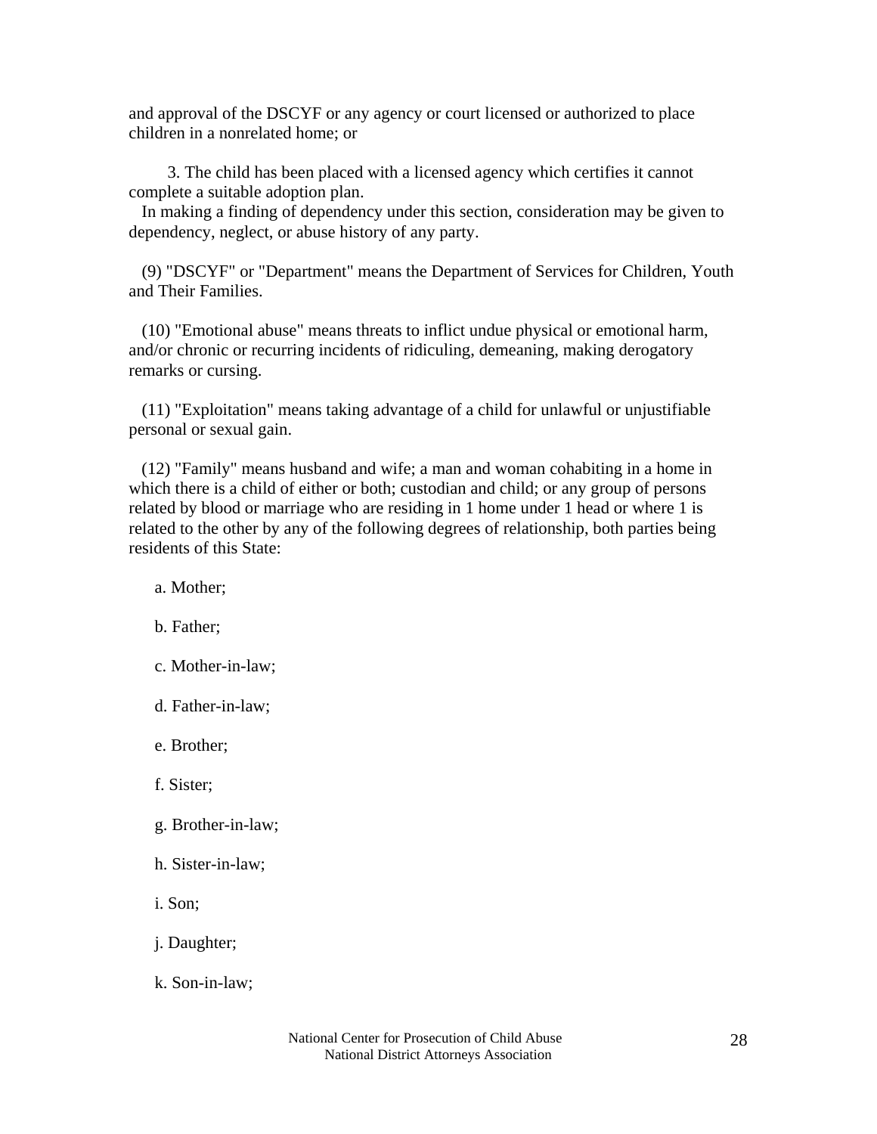and approval of the DSCYF or any agency or court licensed or authorized to place children in a nonrelated home; or

 3. The child has been placed with a licensed agency which certifies it cannot complete a suitable adoption plan.

 In making a finding of dependency under this section, consideration may be given to dependency, neglect, or abuse history of any party.

 (9) "DSCYF" or "Department" means the Department of Services for Children, Youth and Their Families.

 (10) "Emotional abuse" means threats to inflict undue physical or emotional harm, and/or chronic or recurring incidents of ridiculing, demeaning, making derogatory remarks or cursing.

 (11) "Exploitation" means taking advantage of a child for unlawful or unjustifiable personal or sexual gain.

 (12) "Family" means husband and wife; a man and woman cohabiting in a home in which there is a child of either or both; custodian and child; or any group of persons related by blood or marriage who are residing in 1 home under 1 head or where 1 is related to the other by any of the following degrees of relationship, both parties being residents of this State:

a. Mother;

b. Father;

c. Mother-in-law;

d. Father-in-law;

e. Brother;

f. Sister;

g. Brother-in-law;

h. Sister-in-law;

i. Son;

j. Daughter;

k. Son-in-law;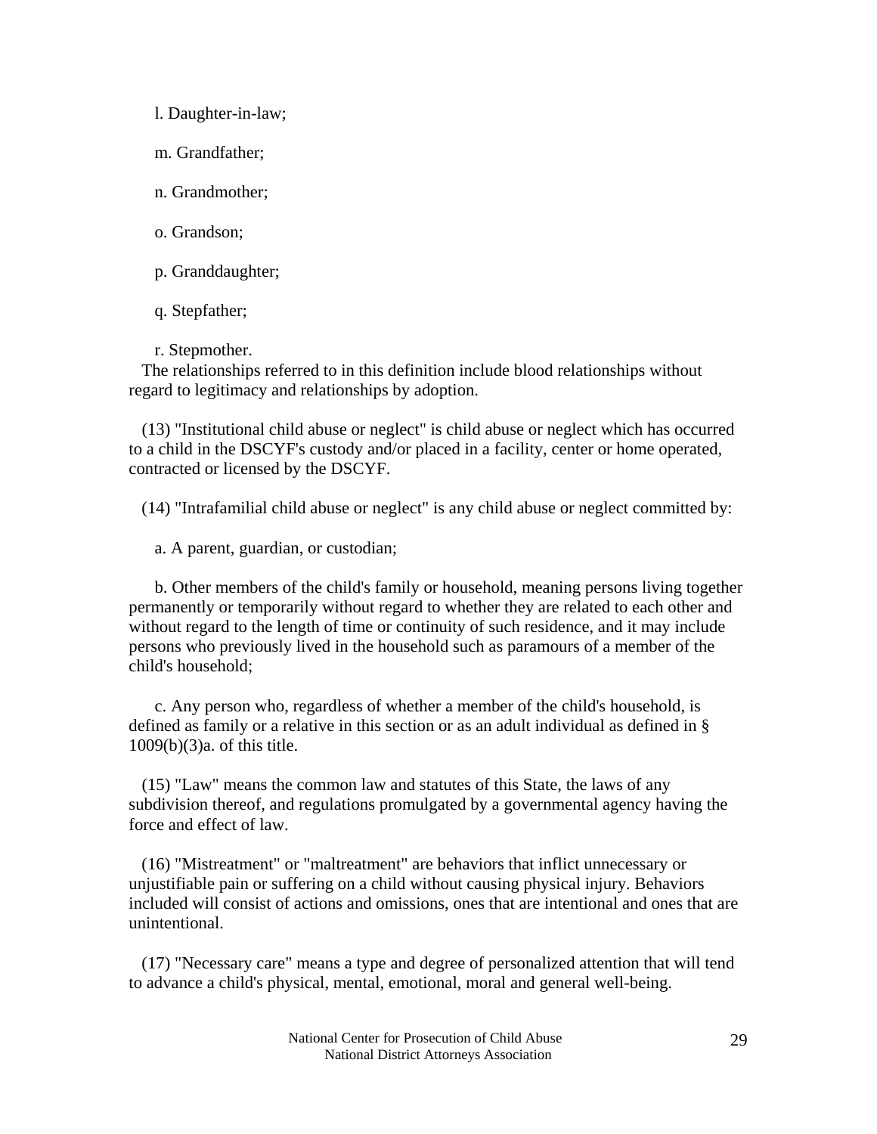l. Daughter-in-law;

m. Grandfather;

n. Grandmother;

o. Grandson;

p. Granddaughter;

q. Stepfather;

r. Stepmother.

 The relationships referred to in this definition include blood relationships without regard to legitimacy and relationships by adoption.

 (13) "Institutional child abuse or neglect" is child abuse or neglect which has occurred to a child in the DSCYF's custody and/or placed in a facility, center or home operated, contracted or licensed by the DSCYF.

(14) "Intrafamilial child abuse or neglect" is any child abuse or neglect committed by:

a. A parent, guardian, or custodian;

 b. Other members of the child's family or household, meaning persons living together permanently or temporarily without regard to whether they are related to each other and without regard to the length of time or continuity of such residence, and it may include persons who previously lived in the household such as paramours of a member of the child's household;

 c. Any person who, regardless of whether a member of the child's household, is defined as family or a relative in this section or as an adult individual as defined in § 1009(b)(3)a. of this title.

 (15) "Law" means the common law and statutes of this State, the laws of any subdivision thereof, and regulations promulgated by a governmental agency having the force and effect of law.

 (16) "Mistreatment" or "maltreatment" are behaviors that inflict unnecessary or unjustifiable pain or suffering on a child without causing physical injury. Behaviors included will consist of actions and omissions, ones that are intentional and ones that are unintentional.

 (17) "Necessary care" means a type and degree of personalized attention that will tend to advance a child's physical, mental, emotional, moral and general well-being.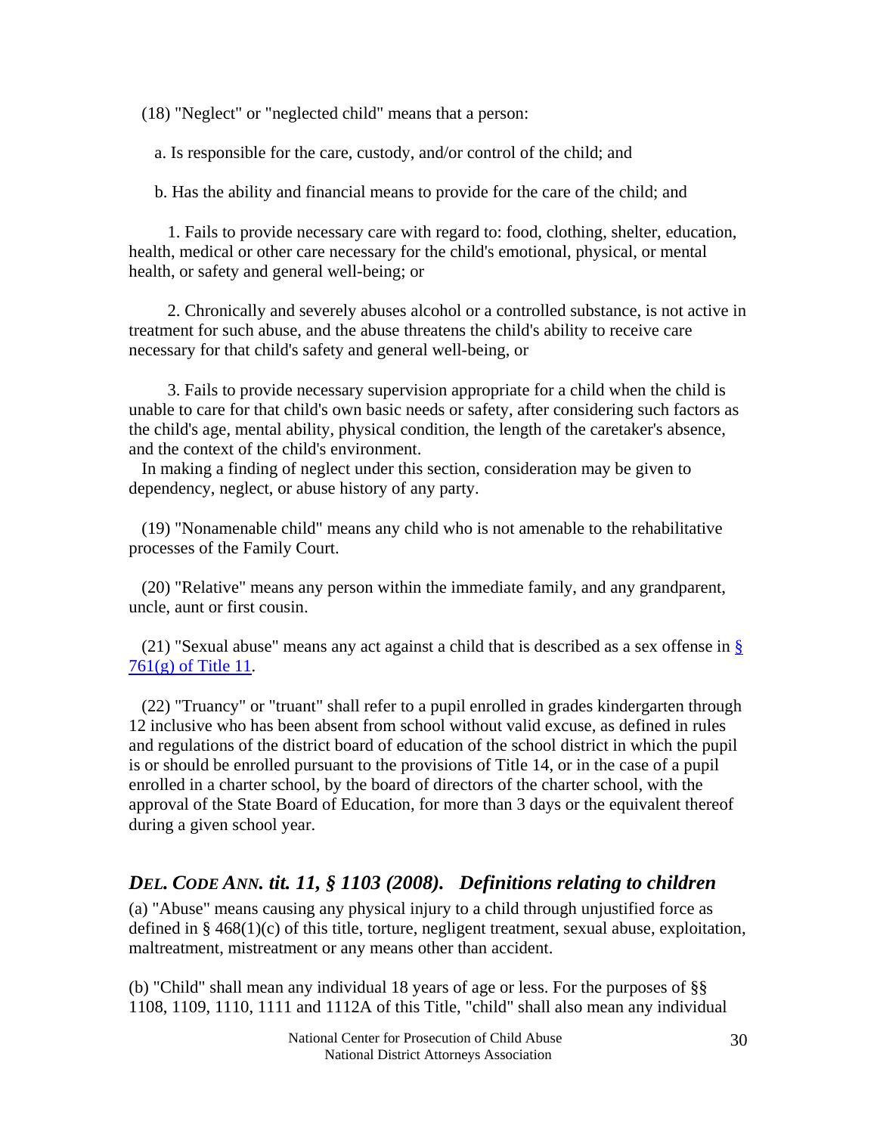<span id="page-29-0"></span>(18) "Neglect" or "neglected child" means that a person:

a. Is responsible for the care, custody, and/or control of the child; and

b. Has the ability and financial means to provide for the care of the child; and

 1. Fails to provide necessary care with regard to: food, clothing, shelter, education, health, medical or other care necessary for the child's emotional, physical, or mental health, or safety and general well-being; or

 2. Chronically and severely abuses alcohol or a controlled substance, is not active in treatment for such abuse, and the abuse threatens the child's ability to receive care necessary for that child's safety and general well-being, or

 3. Fails to provide necessary supervision appropriate for a child when the child is unable to care for that child's own basic needs or safety, after considering such factors as the child's age, mental ability, physical condition, the length of the caretaker's absence, and the context of the child's environment.

 In making a finding of neglect under this section, consideration may be given to dependency, neglect, or abuse history of any party.

 (19) "Nonamenable child" means any child who is not amenable to the rehabilitative processes of the Family Court.

 (20) "Relative" means any person within the immediate family, and any grandparent, uncle, aunt or first cousin.

 (21) "Sexual abuse" means any act against a child that is described as a sex offense in [§](https://www.lexis.com/research/buttonTFLink?_m=922841c711382b373d99f31a508351e7&_xfercite=%3ccite%20cc%3d%22USA%22%3e%3c%21%5bCDATA%5b10%20Del.%20C.%20%a7%20901%5d%5d%3e%3c%2fcite%3e&_butType=4&_butStat=0&_butNum=3&_butInline=1&_butinfo=11%20DECODE%20761&_fmtstr=FULL&docnum=1&_startdoc=1&wchp=dGLbVlz-zSkAl&_md5=af09566d50f19e7d7687b7ce90c5c03b)   $761(g)$  of Title 11.

 (22) "Truancy" or "truant" shall refer to a pupil enrolled in grades kindergarten through 12 inclusive who has been absent from school without valid excuse, as defined in rules and regulations of the district board of education of the school district in which the pupil is or should be enrolled pursuant to the provisions of Title 14, or in the case of a pupil enrolled in a charter school, by the board of directors of the charter school, with the approval of the State Board of Education, for more than 3 days or the equivalent thereof during a given school year.

### *DEL. CODE ANN. tit. 11, § 1103 (2008). Definitions relating to children*

(a) "Abuse" means causing any physical injury to a child through unjustified force as defined in § 468(1)(c) of this title, torture, negligent treatment, sexual abuse, exploitation, maltreatment, mistreatment or any means other than accident.

(b) "Child" shall mean any individual 18 years of age or less. For the purposes of §§ 1108, 1109, 1110, 1111 and 1112A of this Title, "child" shall also mean any individual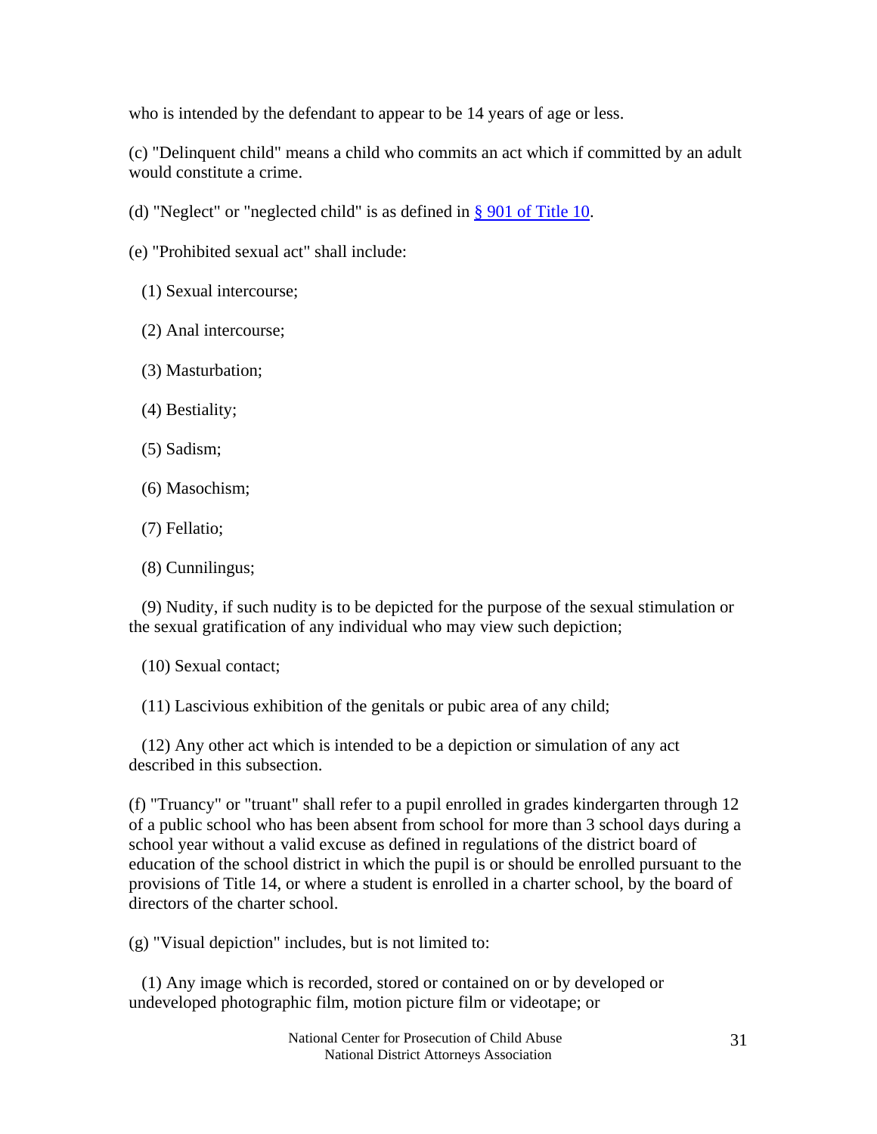who is intended by the defendant to appear to be 14 years of age or less.

(c) "Delinquent child" means a child who commits an act which if committed by an adult would constitute a crime.

(d) "Neglect" or "neglected child" is as defined in [§ 901 of Title 10.](https://www.lexis.com/research/buttonTFLink?_m=fb045da65acbc321eec2faaf35e3b1e8&_xfercite=%3ccite%20cc%3d%22USA%22%3e%3c%21%5bCDATA%5b11%20Del.%20C.%20%a7%201103%5d%5d%3e%3c%2fcite%3e&_butType=4&_butStat=0&_butNum=2&_butInline=1&_butinfo=10%20DECODE%20901&_fmtstr=FULL&docnum=1&_startdoc=1&wchp=dGLbVlz-zSkAl&_md5=150b8e8e42edca9f6cb6be7e7d7983ba)

(e) "Prohibited sexual act" shall include:

(1) Sexual intercourse;

(2) Anal intercourse;

(3) Masturbation;

(4) Bestiality;

(5) Sadism;

(6) Masochism;

(7) Fellatio;

(8) Cunnilingus;

 (9) Nudity, if such nudity is to be depicted for the purpose of the sexual stimulation or the sexual gratification of any individual who may view such depiction;

(10) Sexual contact;

(11) Lascivious exhibition of the genitals or pubic area of any child;

 (12) Any other act which is intended to be a depiction or simulation of any act described in this subsection.

(f) "Truancy" or "truant" shall refer to a pupil enrolled in grades kindergarten through 12 of a public school who has been absent from school for more than 3 school days during a school year without a valid excuse as defined in regulations of the district board of education of the school district in which the pupil is or should be enrolled pursuant to the provisions of Title 14, or where a student is enrolled in a charter school, by the board of directors of the charter school.

(g) "Visual depiction" includes, but is not limited to:

 (1) Any image which is recorded, stored or contained on or by developed or undeveloped photographic film, motion picture film or videotape; or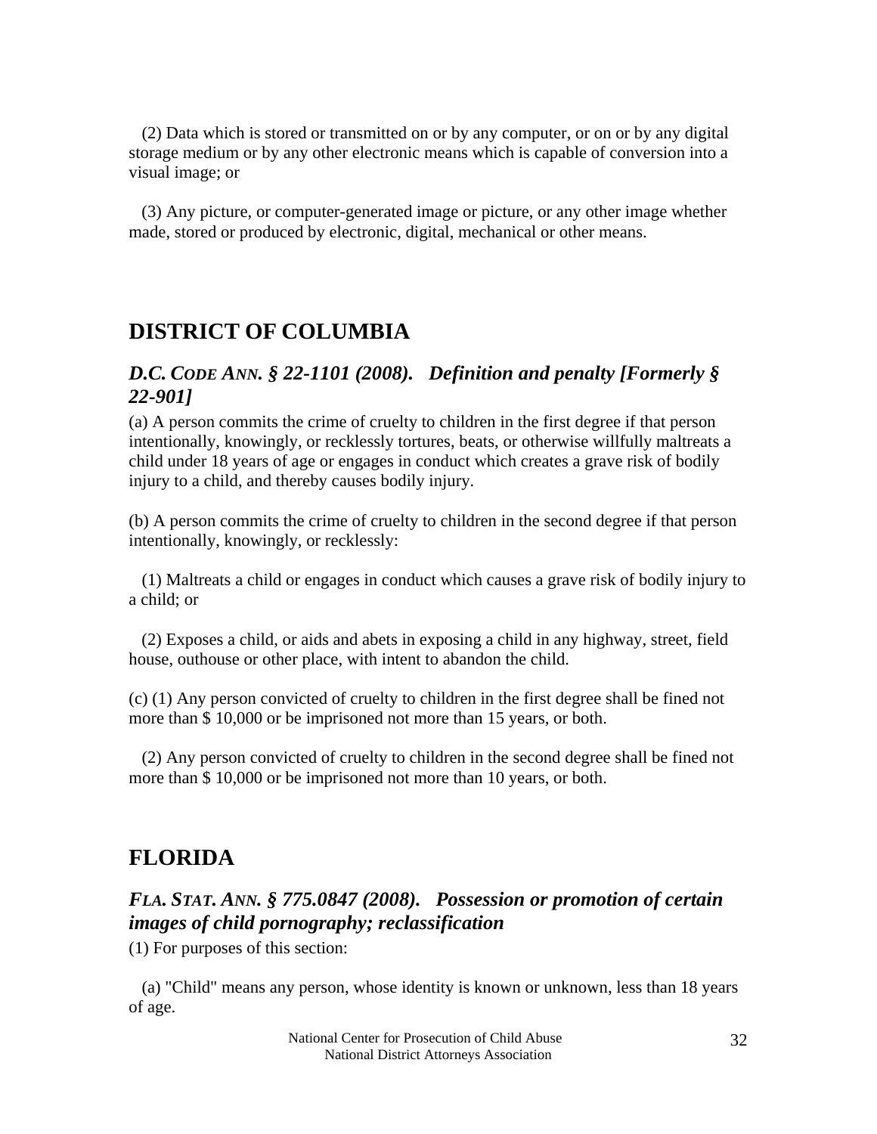<span id="page-31-0"></span> (2) Data which is stored or transmitted on or by any computer, or on or by any digital storage medium or by any other electronic means which is capable of conversion into a visual image; or

 (3) Any picture, or computer-generated image or picture, or any other image whether made, stored or produced by electronic, digital, mechanical or other means.

### **DISTRICT OF COLUMBIA**

#### *D.C. CODE ANN. § 22-1101 (2008). Definition and penalty [Formerly § 22-901]*

(a) A person commits the crime of cruelty to children in the first degree if that person intentionally, knowingly, or recklessly tortures, beats, or otherwise willfully maltreats a child under 18 years of age or engages in conduct which creates a grave risk of bodily injury to a child, and thereby causes bodily injury.

(b) A person commits the crime of cruelty to children in the second degree if that person intentionally, knowingly, or recklessly:

 (1) Maltreats a child or engages in conduct which causes a grave risk of bodily injury to a child; or

 (2) Exposes a child, or aids and abets in exposing a child in any highway, street, field house, outhouse or other place, with intent to abandon the child.

(c) (1) Any person convicted of cruelty to children in the first degree shall be fined not more than \$ 10,000 or be imprisoned not more than 15 years, or both.

 (2) Any person convicted of cruelty to children in the second degree shall be fined not more than \$ 10,000 or be imprisoned not more than 10 years, or both.

### **FLORIDA**

### *FLA. STAT. ANN. § 775.0847 (2008). Possession or promotion of certain images of child pornography; reclassification*

(1) For purposes of this section:

 (a) "Child" means any person, whose identity is known or unknown, less than 18 years of age.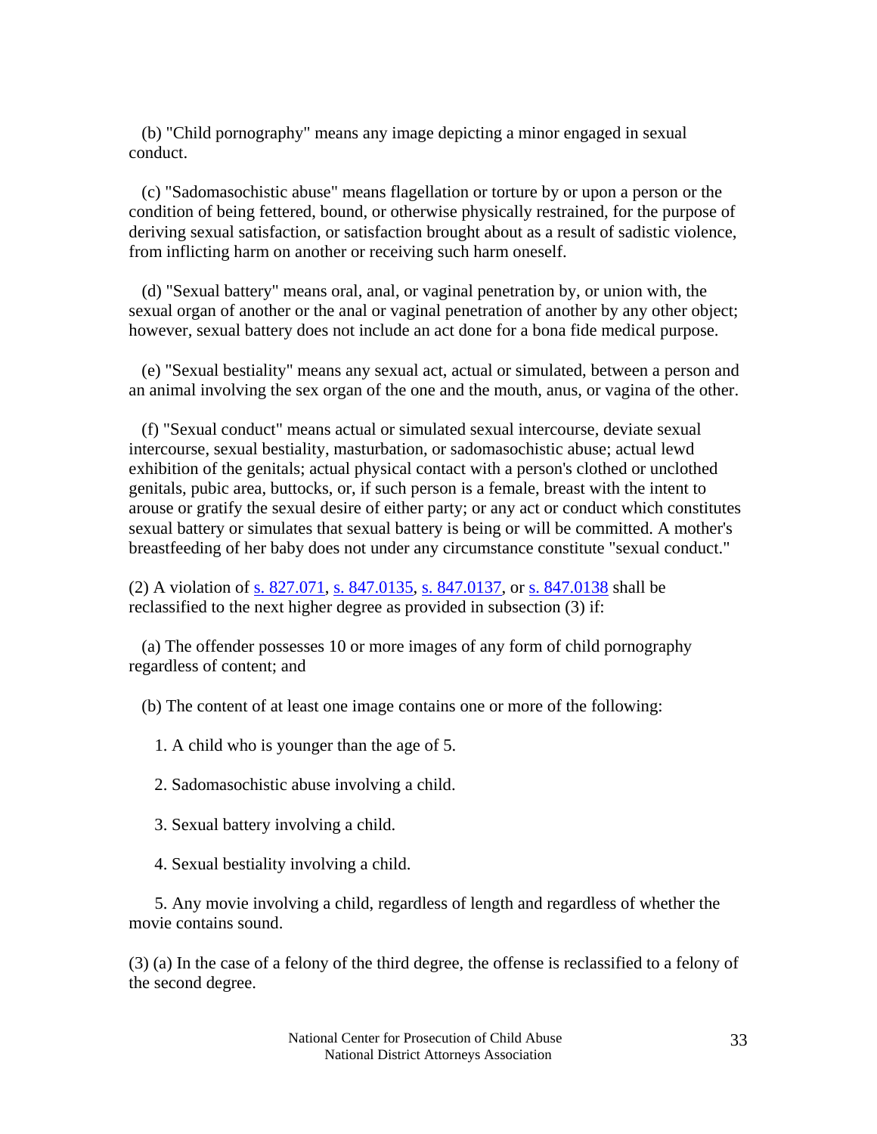(b) "Child pornography" means any image depicting a minor engaged in sexual conduct.

 (c) "Sadomasochistic abuse" means flagellation or torture by or upon a person or the condition of being fettered, bound, or otherwise physically restrained, for the purpose of deriving sexual satisfaction, or satisfaction brought about as a result of sadistic violence, from inflicting harm on another or receiving such harm oneself.

 (d) "Sexual battery" means oral, anal, or vaginal penetration by, or union with, the sexual organ of another or the anal or vaginal penetration of another by any other object; however, sexual battery does not include an act done for a bona fide medical purpose.

 (e) "Sexual bestiality" means any sexual act, actual or simulated, between a person and an animal involving the sex organ of the one and the mouth, anus, or vagina of the other.

 (f) "Sexual conduct" means actual or simulated sexual intercourse, deviate sexual intercourse, sexual bestiality, masturbation, or sadomasochistic abuse; actual lewd exhibition of the genitals; actual physical contact with a person's clothed or unclothed genitals, pubic area, buttocks, or, if such person is a female, breast with the intent to arouse or gratify the sexual desire of either party; or any act or conduct which constitutes sexual battery or simulates that sexual battery is being or will be committed. A mother's breastfeeding of her baby does not under any circumstance constitute "sexual conduct."

(2) A violation of [s. 827.071,](https://www.lexis.com/research/buttonTFLink?_m=4b3a1bf9b920c4b045258692c0afa255&_xfercite=%3ccite%20cc%3d%22USA%22%3e%3c%21%5bCDATA%5bFla.%20Stat.%20%a7%20775.0847%5d%5d%3e%3c%2fcite%3e&_butType=4&_butStat=0&_butNum=2&_butInline=1&_butinfo=FLCODE%20827.071&_fmtstr=FULL&docnum=1&_startdoc=1&wchp=dGLbVlz-zSkAl&_md5=372e548449227676b0282dcc1c406914) [s. 847.0135,](https://www.lexis.com/research/buttonTFLink?_m=4b3a1bf9b920c4b045258692c0afa255&_xfercite=%3ccite%20cc%3d%22USA%22%3e%3c%21%5bCDATA%5bFla.%20Stat.%20%a7%20775.0847%5d%5d%3e%3c%2fcite%3e&_butType=4&_butStat=0&_butNum=3&_butInline=1&_butinfo=FLCODE%20847.0135&_fmtstr=FULL&docnum=1&_startdoc=1&wchp=dGLbVlz-zSkAl&_md5=f7a74a723b245b404ccbabdbcd4adf36) [s. 847.0137](https://www.lexis.com/research/buttonTFLink?_m=4b3a1bf9b920c4b045258692c0afa255&_xfercite=%3ccite%20cc%3d%22USA%22%3e%3c%21%5bCDATA%5bFla.%20Stat.%20%a7%20775.0847%5d%5d%3e%3c%2fcite%3e&_butType=4&_butStat=0&_butNum=4&_butInline=1&_butinfo=FLCODE%20847.0137&_fmtstr=FULL&docnum=1&_startdoc=1&wchp=dGLbVlz-zSkAl&_md5=649f6409703d486bc953475d9f37bcaa), or [s. 847.0138](https://www.lexis.com/research/buttonTFLink?_m=4b3a1bf9b920c4b045258692c0afa255&_xfercite=%3ccite%20cc%3d%22USA%22%3e%3c%21%5bCDATA%5bFla.%20Stat.%20%a7%20775.0847%5d%5d%3e%3c%2fcite%3e&_butType=4&_butStat=0&_butNum=5&_butInline=1&_butinfo=FLCODE%20847.0138&_fmtstr=FULL&docnum=1&_startdoc=1&wchp=dGLbVlz-zSkAl&_md5=42eaef02e22c4341fd01850ca2934583) shall be reclassified to the next higher degree as provided in subsection (3) if:

 (a) The offender possesses 10 or more images of any form of child pornography regardless of content; and

(b) The content of at least one image contains one or more of the following:

1. A child who is younger than the age of 5.

- 2. Sadomasochistic abuse involving a child.
- 3. Sexual battery involving a child.

4. Sexual bestiality involving a child.

 5. Any movie involving a child, regardless of length and regardless of whether the movie contains sound.

(3) (a) In the case of a felony of the third degree, the offense is reclassified to a felony of the second degree.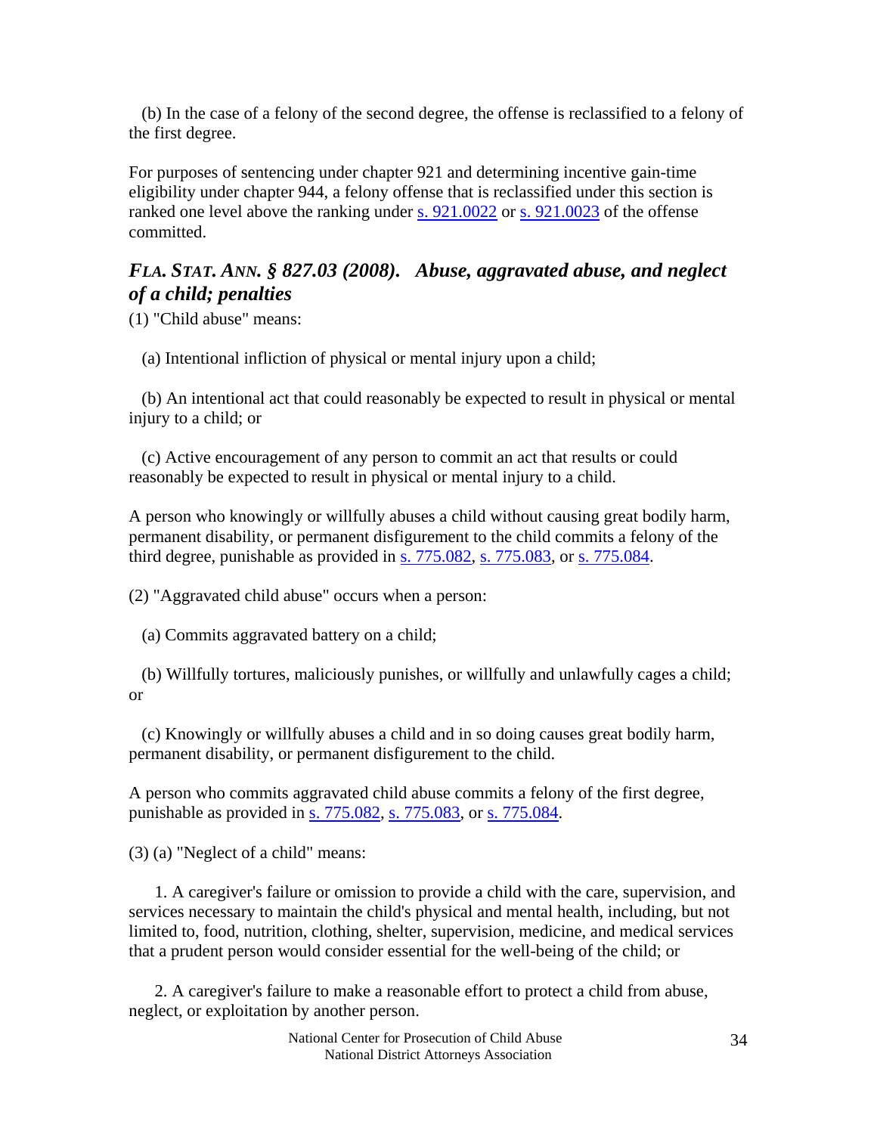<span id="page-33-0"></span> (b) In the case of a felony of the second degree, the offense is reclassified to a felony of the first degree.

For purposes of sentencing under chapter 921 and determining incentive gain-time eligibility under chapter 944, a felony offense that is reclassified under this section is ranked one level above the ranking under [s. 921.0022](https://www.lexis.com/research/buttonTFLink?_m=4b3a1bf9b920c4b045258692c0afa255&_xfercite=%3ccite%20cc%3d%22USA%22%3e%3c%21%5bCDATA%5bFla.%20Stat.%20%a7%20775.0847%5d%5d%3e%3c%2fcite%3e&_butType=4&_butStat=0&_butNum=6&_butInline=1&_butinfo=FLCODE%20921.0022&_fmtstr=FULL&docnum=1&_startdoc=1&wchp=dGLbVlz-zSkAl&_md5=3bdfa726b156feeb3e8c7f543827dfcc) or [s. 921.0023](https://www.lexis.com/research/buttonTFLink?_m=4b3a1bf9b920c4b045258692c0afa255&_xfercite=%3ccite%20cc%3d%22USA%22%3e%3c%21%5bCDATA%5bFla.%20Stat.%20%a7%20775.0847%5d%5d%3e%3c%2fcite%3e&_butType=4&_butStat=0&_butNum=7&_butInline=1&_butinfo=FLCODE%20921.0023&_fmtstr=FULL&docnum=1&_startdoc=1&wchp=dGLbVlz-zSkAl&_md5=02af44cf570aad824244570139f03e8d) of the offense committed.

### *FLA. STAT. ANN. § 827.03 (2008). Abuse, aggravated abuse, and neglect of a child; penalties*

(1) "Child abuse" means:

(a) Intentional infliction of physical or mental injury upon a child;

 (b) An intentional act that could reasonably be expected to result in physical or mental injury to a child; or

 (c) Active encouragement of any person to commit an act that results or could reasonably be expected to result in physical or mental injury to a child.

A person who knowingly or willfully abuses a child without causing great bodily harm, permanent disability, or permanent disfigurement to the child commits a felony of the third degree, punishable as provided in [s. 775.082](https://www.lexis.com/research/buttonTFLink?_m=16e3a94cc292791ff628f59d89379049&_xfercite=%3ccite%20cc%3d%22USA%22%3e%3c%21%5bCDATA%5bFla.%20Stat.%20%a7%20827.03%5d%5d%3e%3c%2fcite%3e&_butType=4&_butStat=0&_butNum=2&_butInline=1&_butinfo=FLCODE%20775.082&_fmtstr=FULL&docnum=1&_startdoc=1&wchp=dGLbVlz-zSkAl&_md5=e2eddb84c7293b38da41c909fdd5b1b3), [s. 775.083,](https://www.lexis.com/research/buttonTFLink?_m=16e3a94cc292791ff628f59d89379049&_xfercite=%3ccite%20cc%3d%22USA%22%3e%3c%21%5bCDATA%5bFla.%20Stat.%20%a7%20827.03%5d%5d%3e%3c%2fcite%3e&_butType=4&_butStat=0&_butNum=3&_butInline=1&_butinfo=FLCODE%20775.083&_fmtstr=FULL&docnum=1&_startdoc=1&wchp=dGLbVlz-zSkAl&_md5=c6cb9d9fff521dae952cce731abe889e) or [s. 775.084.](https://www.lexis.com/research/buttonTFLink?_m=16e3a94cc292791ff628f59d89379049&_xfercite=%3ccite%20cc%3d%22USA%22%3e%3c%21%5bCDATA%5bFla.%20Stat.%20%a7%20827.03%5d%5d%3e%3c%2fcite%3e&_butType=4&_butStat=0&_butNum=4&_butInline=1&_butinfo=FLCODE%20775.084&_fmtstr=FULL&docnum=1&_startdoc=1&wchp=dGLbVlz-zSkAl&_md5=e4889a8b873add5ebfea4e43316f7add)

(2) "Aggravated child abuse" occurs when a person:

(a) Commits aggravated battery on a child;

 (b) Willfully tortures, maliciously punishes, or willfully and unlawfully cages a child; or

 (c) Knowingly or willfully abuses a child and in so doing causes great bodily harm, permanent disability, or permanent disfigurement to the child.

A person who commits aggravated child abuse commits a felony of the first degree, punishable as provided in [s. 775.082,](https://www.lexis.com/research/buttonTFLink?_m=16e3a94cc292791ff628f59d89379049&_xfercite=%3ccite%20cc%3d%22USA%22%3e%3c%21%5bCDATA%5bFla.%20Stat.%20%a7%20827.03%5d%5d%3e%3c%2fcite%3e&_butType=4&_butStat=0&_butNum=5&_butInline=1&_butinfo=FLCODE%20775.082&_fmtstr=FULL&docnum=1&_startdoc=1&wchp=dGLbVlz-zSkAl&_md5=43ac966859221c533e383bc1bd75412c) [s. 775.083](https://www.lexis.com/research/buttonTFLink?_m=16e3a94cc292791ff628f59d89379049&_xfercite=%3ccite%20cc%3d%22USA%22%3e%3c%21%5bCDATA%5bFla.%20Stat.%20%a7%20827.03%5d%5d%3e%3c%2fcite%3e&_butType=4&_butStat=0&_butNum=6&_butInline=1&_butinfo=FLCODE%20775.083&_fmtstr=FULL&docnum=1&_startdoc=1&wchp=dGLbVlz-zSkAl&_md5=2a286185449c9b8ae3ab14cfca2f6067), or [s. 775.084.](https://www.lexis.com/research/buttonTFLink?_m=16e3a94cc292791ff628f59d89379049&_xfercite=%3ccite%20cc%3d%22USA%22%3e%3c%21%5bCDATA%5bFla.%20Stat.%20%a7%20827.03%5d%5d%3e%3c%2fcite%3e&_butType=4&_butStat=0&_butNum=7&_butInline=1&_butinfo=FLCODE%20775.084&_fmtstr=FULL&docnum=1&_startdoc=1&wchp=dGLbVlz-zSkAl&_md5=8cb1de4d18e2a3f045760d2f23f7f9e6)

(3) (a) "Neglect of a child" means:

 1. A caregiver's failure or omission to provide a child with the care, supervision, and services necessary to maintain the child's physical and mental health, including, but not limited to, food, nutrition, clothing, shelter, supervision, medicine, and medical services that a prudent person would consider essential for the well-being of the child; or

 2. A caregiver's failure to make a reasonable effort to protect a child from abuse, neglect, or exploitation by another person.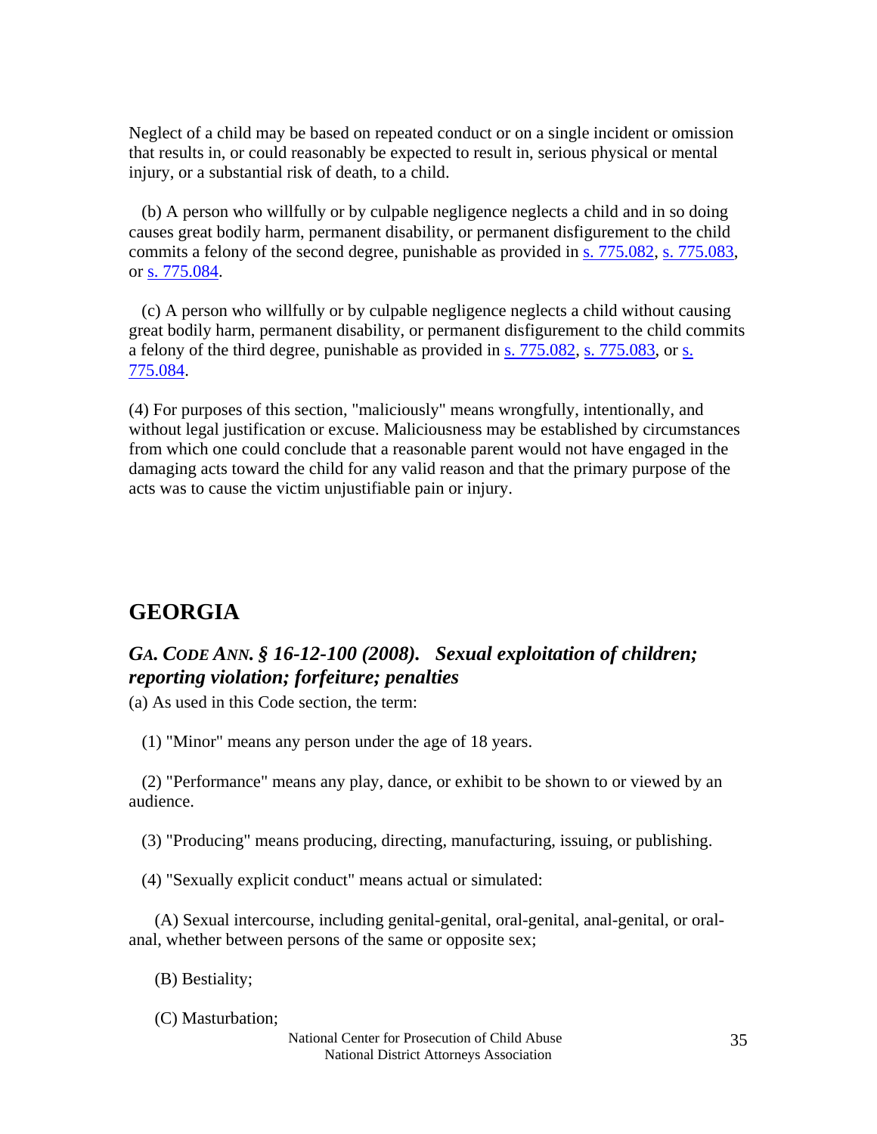<span id="page-34-0"></span>Neglect of a child may be based on repeated conduct or on a single incident or omission that results in, or could reasonably be expected to result in, serious physical or mental injury, or a substantial risk of death, to a child.

 (b) A person who willfully or by culpable negligence neglects a child and in so doing causes great bodily harm, permanent disability, or permanent disfigurement to the child commits a felony of the second degree, punishable as provided in [s. 775.082,](https://www.lexis.com/research/buttonTFLink?_m=16e3a94cc292791ff628f59d89379049&_xfercite=%3ccite%20cc%3d%22USA%22%3e%3c%21%5bCDATA%5bFla.%20Stat.%20%a7%20827.03%5d%5d%3e%3c%2fcite%3e&_butType=4&_butStat=0&_butNum=8&_butInline=1&_butinfo=FLCODE%20775.082&_fmtstr=FULL&docnum=1&_startdoc=1&wchp=dGLbVlz-zSkAl&_md5=0e441aa9200c4f55b51fd24a50326689) [s. 775.083,](https://www.lexis.com/research/buttonTFLink?_m=16e3a94cc292791ff628f59d89379049&_xfercite=%3ccite%20cc%3d%22USA%22%3e%3c%21%5bCDATA%5bFla.%20Stat.%20%a7%20827.03%5d%5d%3e%3c%2fcite%3e&_butType=4&_butStat=0&_butNum=9&_butInline=1&_butinfo=FLCODE%20775.083&_fmtstr=FULL&docnum=1&_startdoc=1&wchp=dGLbVlz-zSkAl&_md5=0de481b3d62b260332a347cf64f73fa1) or [s. 775.084.](https://www.lexis.com/research/buttonTFLink?_m=16e3a94cc292791ff628f59d89379049&_xfercite=%3ccite%20cc%3d%22USA%22%3e%3c%21%5bCDATA%5bFla.%20Stat.%20%a7%20827.03%5d%5d%3e%3c%2fcite%3e&_butType=4&_butStat=0&_butNum=10&_butInline=1&_butinfo=FLCODE%20775.084&_fmtstr=FULL&docnum=1&_startdoc=1&wchp=dGLbVlz-zSkAl&_md5=a34e10ff1b129cfcb51c8f3d4aa45b72)

 (c) A person who willfully or by culpable negligence neglects a child without causing great bodily harm, permanent disability, or permanent disfigurement to the child commits a felony of the third degree, punishable as provided in [s. 775.082,](https://www.lexis.com/research/buttonTFLink?_m=16e3a94cc292791ff628f59d89379049&_xfercite=%3ccite%20cc%3d%22USA%22%3e%3c%21%5bCDATA%5bFla.%20Stat.%20%a7%20827.03%5d%5d%3e%3c%2fcite%3e&_butType=4&_butStat=0&_butNum=11&_butInline=1&_butinfo=FLCODE%20775.082&_fmtstr=FULL&docnum=1&_startdoc=1&wchp=dGLbVlz-zSkAl&_md5=bf23332920c7b34c5e63b0e105608df8) [s. 775.083,](https://www.lexis.com/research/buttonTFLink?_m=16e3a94cc292791ff628f59d89379049&_xfercite=%3ccite%20cc%3d%22USA%22%3e%3c%21%5bCDATA%5bFla.%20Stat.%20%a7%20827.03%5d%5d%3e%3c%2fcite%3e&_butType=4&_butStat=0&_butNum=12&_butInline=1&_butinfo=FLCODE%20775.083&_fmtstr=FULL&docnum=1&_startdoc=1&wchp=dGLbVlz-zSkAl&_md5=8b8b78ac0858b74a20837086e3a7af17) or [s.](https://www.lexis.com/research/buttonTFLink?_m=16e3a94cc292791ff628f59d89379049&_xfercite=%3ccite%20cc%3d%22USA%22%3e%3c%21%5bCDATA%5bFla.%20Stat.%20%a7%20827.03%5d%5d%3e%3c%2fcite%3e&_butType=4&_butStat=0&_butNum=13&_butInline=1&_butinfo=FLCODE%20775.084&_fmtstr=FULL&docnum=1&_startdoc=1&wchp=dGLbVlz-zSkAl&_md5=ad2e29e783006f77406275f04ebc1403)  [775.084](https://www.lexis.com/research/buttonTFLink?_m=16e3a94cc292791ff628f59d89379049&_xfercite=%3ccite%20cc%3d%22USA%22%3e%3c%21%5bCDATA%5bFla.%20Stat.%20%a7%20827.03%5d%5d%3e%3c%2fcite%3e&_butType=4&_butStat=0&_butNum=13&_butInline=1&_butinfo=FLCODE%20775.084&_fmtstr=FULL&docnum=1&_startdoc=1&wchp=dGLbVlz-zSkAl&_md5=ad2e29e783006f77406275f04ebc1403).

(4) For purposes of this section, "maliciously" means wrongfully, intentionally, and without legal justification or excuse. Maliciousness may be established by circumstances from which one could conclude that a reasonable parent would not have engaged in the damaging acts toward the child for any valid reason and that the primary purpose of the acts was to cause the victim unjustifiable pain or injury.

## **GEORGIA**

### *GA. CODE ANN. § 16-12-100 (2008). Sexual exploitation of children; reporting violation; forfeiture; penalties*

(a) As used in this Code section, the term:

(1) "Minor" means any person under the age of 18 years.

 (2) "Performance" means any play, dance, or exhibit to be shown to or viewed by an audience.

(3) "Producing" means producing, directing, manufacturing, issuing, or publishing.

(4) "Sexually explicit conduct" means actual or simulated:

 (A) Sexual intercourse, including genital-genital, oral-genital, anal-genital, or oralanal, whether between persons of the same or opposite sex;

(B) Bestiality;

(C) Masturbation;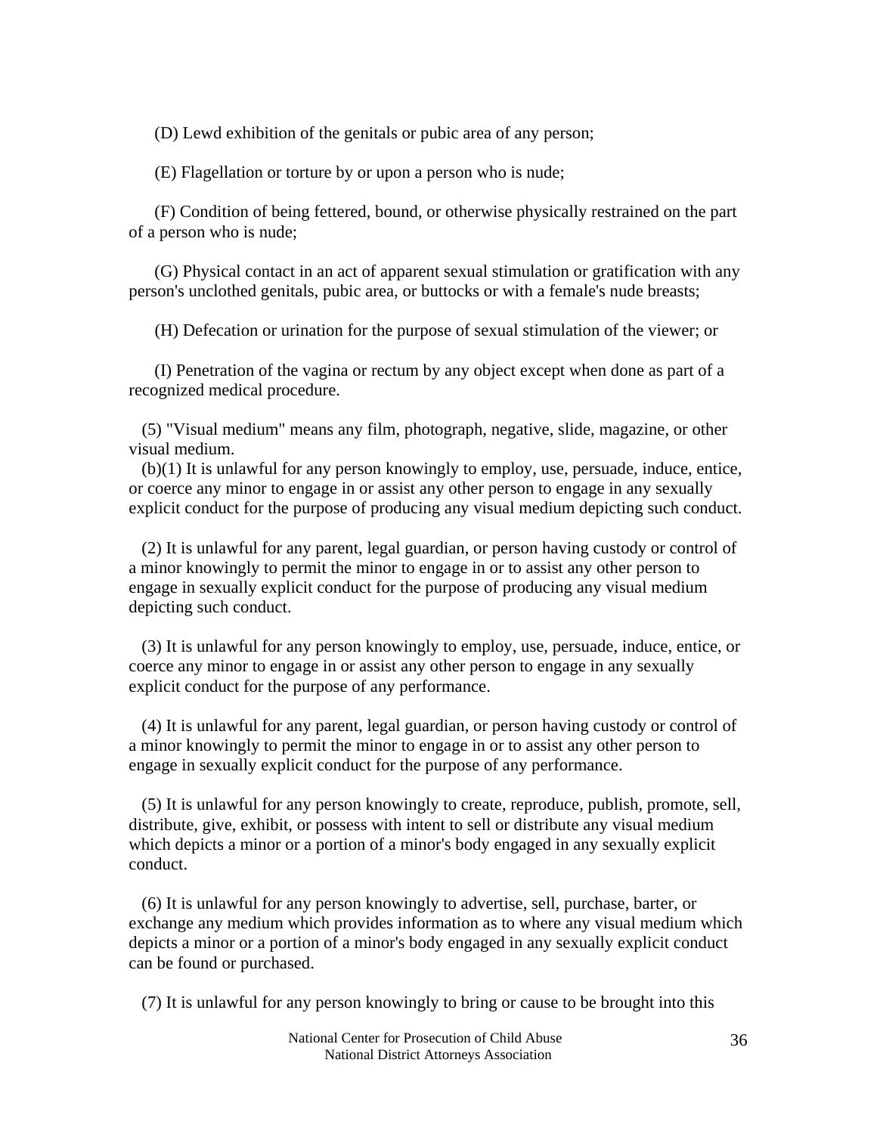(D) Lewd exhibition of the genitals or pubic area of any person;

(E) Flagellation or torture by or upon a person who is nude;

 (F) Condition of being fettered, bound, or otherwise physically restrained on the part of a person who is nude;

 (G) Physical contact in an act of apparent sexual stimulation or gratification with any person's unclothed genitals, pubic area, or buttocks or with a female's nude breasts;

(H) Defecation or urination for the purpose of sexual stimulation of the viewer; or

 (I) Penetration of the vagina or rectum by any object except when done as part of a recognized medical procedure.

 (5) "Visual medium" means any film, photograph, negative, slide, magazine, or other visual medium.

 (b)(1) It is unlawful for any person knowingly to employ, use, persuade, induce, entice, or coerce any minor to engage in or assist any other person to engage in any sexually explicit conduct for the purpose of producing any visual medium depicting such conduct.

 (2) It is unlawful for any parent, legal guardian, or person having custody or control of a minor knowingly to permit the minor to engage in or to assist any other person to engage in sexually explicit conduct for the purpose of producing any visual medium depicting such conduct.

 (3) It is unlawful for any person knowingly to employ, use, persuade, induce, entice, or coerce any minor to engage in or assist any other person to engage in any sexually explicit conduct for the purpose of any performance.

 (4) It is unlawful for any parent, legal guardian, or person having custody or control of a minor knowingly to permit the minor to engage in or to assist any other person to engage in sexually explicit conduct for the purpose of any performance.

 (5) It is unlawful for any person knowingly to create, reproduce, publish, promote, sell, distribute, give, exhibit, or possess with intent to sell or distribute any visual medium which depicts a minor or a portion of a minor's body engaged in any sexually explicit conduct.

 (6) It is unlawful for any person knowingly to advertise, sell, purchase, barter, or exchange any medium which provides information as to where any visual medium which depicts a minor or a portion of a minor's body engaged in any sexually explicit conduct can be found or purchased.

(7) It is unlawful for any person knowingly to bring or cause to be brought into this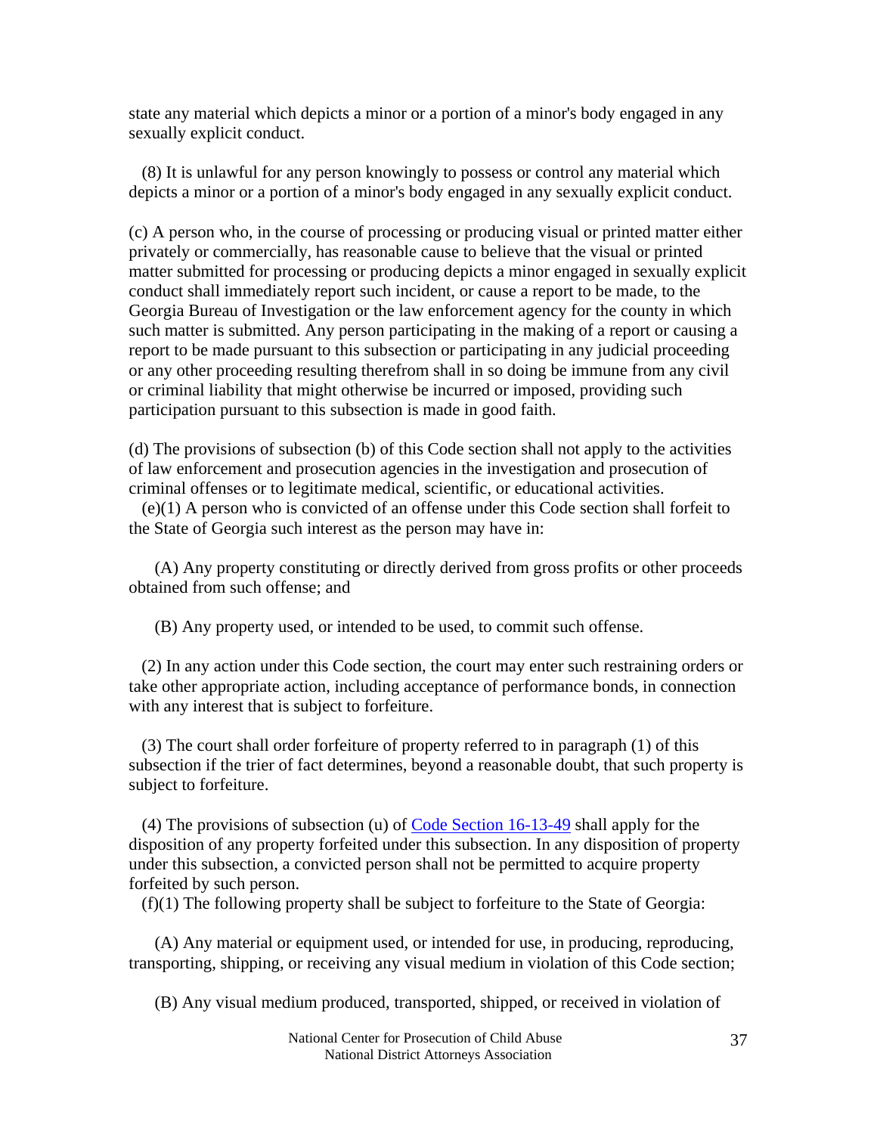state any material which depicts a minor or a portion of a minor's body engaged in any sexually explicit conduct.

 (8) It is unlawful for any person knowingly to possess or control any material which depicts a minor or a portion of a minor's body engaged in any sexually explicit conduct.

(c) A person who, in the course of processing or producing visual or printed matter either privately or commercially, has reasonable cause to believe that the visual or printed matter submitted for processing or producing depicts a minor engaged in sexually explicit conduct shall immediately report such incident, or cause a report to be made, to the Georgia Bureau of Investigation or the law enforcement agency for the county in which such matter is submitted. Any person participating in the making of a report or causing a report to be made pursuant to this subsection or participating in any judicial proceeding or any other proceeding resulting therefrom shall in so doing be immune from any civil or criminal liability that might otherwise be incurred or imposed, providing such participation pursuant to this subsection is made in good faith.

(d) The provisions of subsection (b) of this Code section shall not apply to the activities of law enforcement and prosecution agencies in the investigation and prosecution of criminal offenses or to legitimate medical, scientific, or educational activities.

 (e)(1) A person who is convicted of an offense under this Code section shall forfeit to the State of Georgia such interest as the person may have in:

 (A) Any property constituting or directly derived from gross profits or other proceeds obtained from such offense; and

(B) Any property used, or intended to be used, to commit such offense.

 (2) In any action under this Code section, the court may enter such restraining orders or take other appropriate action, including acceptance of performance bonds, in connection with any interest that is subject to forfeiture.

 (3) The court shall order forfeiture of property referred to in paragraph (1) of this subsection if the trier of fact determines, beyond a reasonable doubt, that such property is subject to forfeiture.

 (4) The provisions of subsection (u) of [Code Section 16-13-49](https://www.lexis.com/research/buttonTFLink?_m=527b52a921b1900c089cfc1f7dc5a78a&_xfercite=%3ccite%20cc%3d%22USA%22%3e%3c%21%5bCDATA%5bO.C.G.A.%20%a7%2016-12-100%5d%5d%3e%3c%2fcite%3e&_butType=4&_butStat=0&_butNum=2&_butInline=1&_butinfo=GACODE%2016-13-49&_fmtstr=FULL&docnum=1&_startdoc=1&wchp=dGLbVlz-zSkAl&_md5=2fd0f7e9444baea915d3693f27d58092) shall apply for the disposition of any property forfeited under this subsection. In any disposition of property under this subsection, a convicted person shall not be permitted to acquire property forfeited by such person.

(f)(1) The following property shall be subject to forfeiture to the State of Georgia:

 (A) Any material or equipment used, or intended for use, in producing, reproducing, transporting, shipping, or receiving any visual medium in violation of this Code section;

(B) Any visual medium produced, transported, shipped, or received in violation of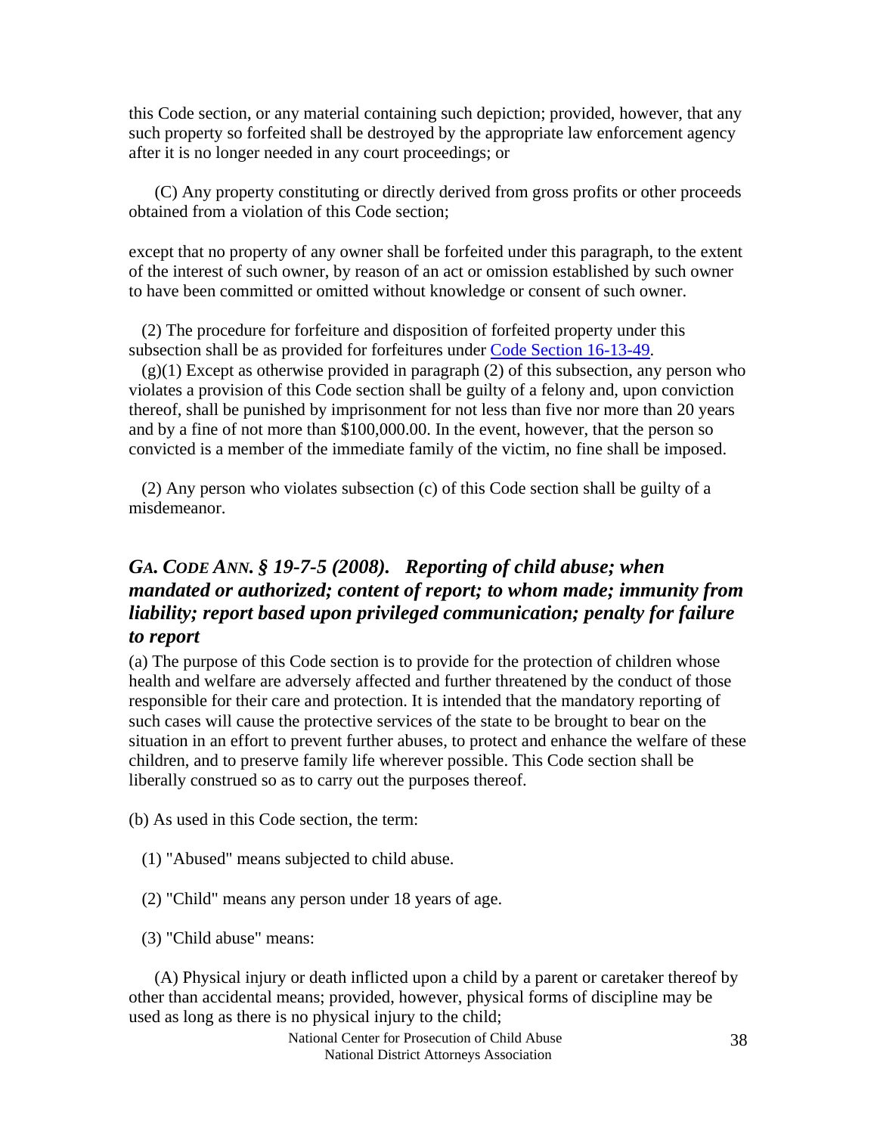this Code section, or any material containing such depiction; provided, however, that any such property so forfeited shall be destroyed by the appropriate law enforcement agency after it is no longer needed in any court proceedings; or

 (C) Any property constituting or directly derived from gross profits or other proceeds obtained from a violation of this Code section;

except that no property of any owner shall be forfeited under this paragraph, to the extent of the interest of such owner, by reason of an act or omission established by such owner to have been committed or omitted without knowledge or consent of such owner.

 (2) The procedure for forfeiture and disposition of forfeited property under this subsection shall be as provided for forfeitures under [Code Section 16-13-49.](https://www.lexis.com/research/buttonTFLink?_m=527b52a921b1900c089cfc1f7dc5a78a&_xfercite=%3ccite%20cc%3d%22USA%22%3e%3c%21%5bCDATA%5bO.C.G.A.%20%a7%2016-12-100%5d%5d%3e%3c%2fcite%3e&_butType=4&_butStat=0&_butNum=3&_butInline=1&_butinfo=GACODE%2016-13-49&_fmtstr=FULL&docnum=1&_startdoc=1&wchp=dGLbVlz-zSkAl&_md5=99f2ccaaa445fab40a507b32729f1330)

 $(g)(1)$  Except as otherwise provided in paragraph  $(2)$  of this subsection, any person who violates a provision of this Code section shall be guilty of a felony and, upon conviction thereof, shall be punished by imprisonment for not less than five nor more than 20 years and by a fine of not more than \$100,000.00. In the event, however, that the person so convicted is a member of the immediate family of the victim, no fine shall be imposed.

 (2) Any person who violates subsection (c) of this Code section shall be guilty of a misdemeanor.

### *GA. CODE ANN. § 19-7-5 (2008). Reporting of child abuse; when mandated or authorized; content of report; to whom made; immunity from liability; report based upon privileged communication; penalty for failure to report*

(a) The purpose of this Code section is to provide for the protection of children whose health and welfare are adversely affected and further threatened by the conduct of those responsible for their care and protection. It is intended that the mandatory reporting of such cases will cause the protective services of the state to be brought to bear on the situation in an effort to prevent further abuses, to protect and enhance the welfare of these children, and to preserve family life wherever possible. This Code section shall be liberally construed so as to carry out the purposes thereof.

(b) As used in this Code section, the term:

- (1) "Abused" means subjected to child abuse.
- (2) "Child" means any person under 18 years of age.
- (3) "Child abuse" means:

 (A) Physical injury or death inflicted upon a child by a parent or caretaker thereof by other than accidental means; provided, however, physical forms of discipline may be used as long as there is no physical injury to the child;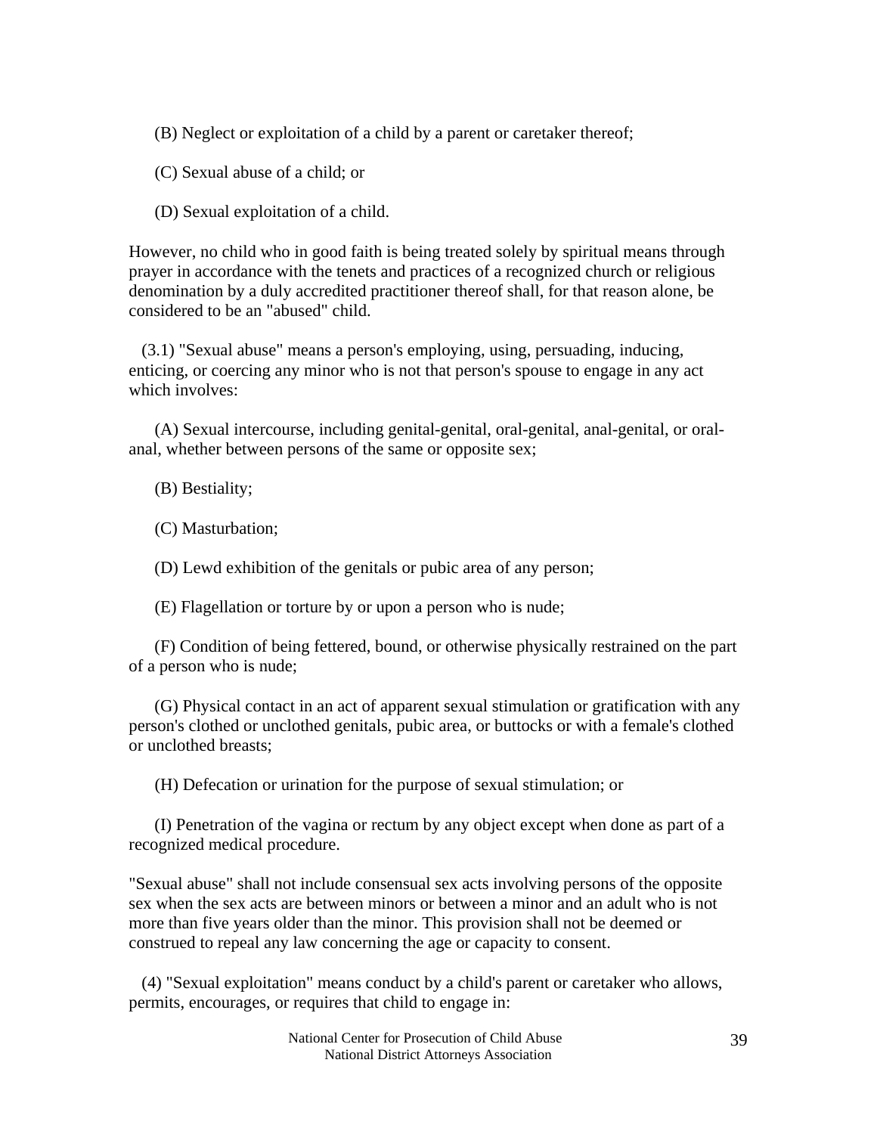(B) Neglect or exploitation of a child by a parent or caretaker thereof;

(C) Sexual abuse of a child; or

(D) Sexual exploitation of a child.

However, no child who in good faith is being treated solely by spiritual means through prayer in accordance with the tenets and practices of a recognized church or religious denomination by a duly accredited practitioner thereof shall, for that reason alone, be considered to be an "abused" child.

 (3.1) "Sexual abuse" means a person's employing, using, persuading, inducing, enticing, or coercing any minor who is not that person's spouse to engage in any act which involves:

 (A) Sexual intercourse, including genital-genital, oral-genital, anal-genital, or oralanal, whether between persons of the same or opposite sex;

(B) Bestiality;

(C) Masturbation;

(D) Lewd exhibition of the genitals or pubic area of any person;

(E) Flagellation or torture by or upon a person who is nude;

 (F) Condition of being fettered, bound, or otherwise physically restrained on the part of a person who is nude;

 (G) Physical contact in an act of apparent sexual stimulation or gratification with any person's clothed or unclothed genitals, pubic area, or buttocks or with a female's clothed or unclothed breasts;

(H) Defecation or urination for the purpose of sexual stimulation; or

 (I) Penetration of the vagina or rectum by any object except when done as part of a recognized medical procedure.

"Sexual abuse" shall not include consensual sex acts involving persons of the opposite sex when the sex acts are between minors or between a minor and an adult who is not more than five years older than the minor. This provision shall not be deemed or construed to repeal any law concerning the age or capacity to consent.

 (4) "Sexual exploitation" means conduct by a child's parent or caretaker who allows, permits, encourages, or requires that child to engage in: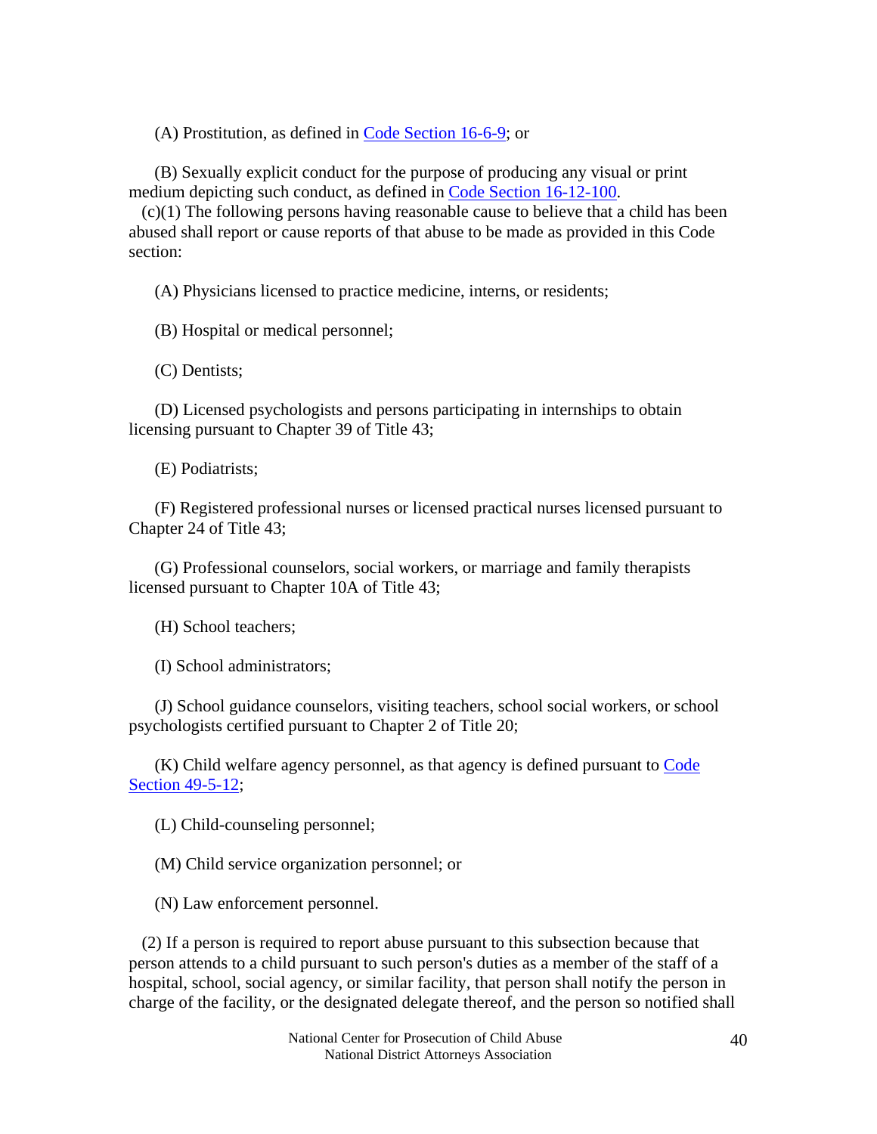(A) Prostitution, as defined in [Code Section 16-6-9](https://www.lexis.com/research/buttonTFLink?_m=755c104a574246c9d48bac9ab5670979&_xfercite=%3ccite%20cc%3d%22USA%22%3e%3c%21%5bCDATA%5bO.C.G.A.%20%a7%2019-7-5%5d%5d%3e%3c%2fcite%3e&_butType=4&_butStat=0&_butNum=2&_butInline=1&_butinfo=GACODE%2016-6-9&_fmtstr=FULL&docnum=1&_startdoc=1&wchp=dGLbVlz-zSkAl&_md5=e5adf90a272b892d6ced441635f7796b); or

 (B) Sexually explicit conduct for the purpose of producing any visual or print medium depicting such conduct, as defined in [Code Section 16-12-100.](https://www.lexis.com/research/buttonTFLink?_m=755c104a574246c9d48bac9ab5670979&_xfercite=%3ccite%20cc%3d%22USA%22%3e%3c%21%5bCDATA%5bO.C.G.A.%20%a7%2019-7-5%5d%5d%3e%3c%2fcite%3e&_butType=4&_butStat=0&_butNum=3&_butInline=1&_butinfo=GACODE%2016-12-100&_fmtstr=FULL&docnum=1&_startdoc=1&wchp=dGLbVlz-zSkAl&_md5=374dbeb5d3b774cca298dbdf753927cb)

 (c)(1) The following persons having reasonable cause to believe that a child has been abused shall report or cause reports of that abuse to be made as provided in this Code section:

(A) Physicians licensed to practice medicine, interns, or residents;

(B) Hospital or medical personnel;

(C) Dentists;

 (D) Licensed psychologists and persons participating in internships to obtain licensing pursuant to Chapter 39 of Title 43;

(E) Podiatrists;

 (F) Registered professional nurses or licensed practical nurses licensed pursuant to Chapter 24 of Title 43;

 (G) Professional counselors, social workers, or marriage and family therapists licensed pursuant to Chapter 10A of Title 43;

(H) School teachers;

(I) School administrators;

 (J) School guidance counselors, visiting teachers, school social workers, or school psychologists certified pursuant to Chapter 2 of Title 20;

 (K) Child welfare agency personnel, as that agency is defined pursuant to [Code](https://www.lexis.com/research/buttonTFLink?_m=755c104a574246c9d48bac9ab5670979&_xfercite=%3ccite%20cc%3d%22USA%22%3e%3c%21%5bCDATA%5bO.C.G.A.%20%a7%2019-7-5%5d%5d%3e%3c%2fcite%3e&_butType=4&_butStat=0&_butNum=4&_butInline=1&_butinfo=GACODE%2049-5-12&_fmtstr=FULL&docnum=1&_startdoc=1&wchp=dGLbVlz-zSkAl&_md5=1482c1a4c684d7c0a3a0607d88fa2b4e)  [Section 49-5-12;](https://www.lexis.com/research/buttonTFLink?_m=755c104a574246c9d48bac9ab5670979&_xfercite=%3ccite%20cc%3d%22USA%22%3e%3c%21%5bCDATA%5bO.C.G.A.%20%a7%2019-7-5%5d%5d%3e%3c%2fcite%3e&_butType=4&_butStat=0&_butNum=4&_butInline=1&_butinfo=GACODE%2049-5-12&_fmtstr=FULL&docnum=1&_startdoc=1&wchp=dGLbVlz-zSkAl&_md5=1482c1a4c684d7c0a3a0607d88fa2b4e)

(L) Child-counseling personnel;

(M) Child service organization personnel; or

(N) Law enforcement personnel.

 (2) If a person is required to report abuse pursuant to this subsection because that person attends to a child pursuant to such person's duties as a member of the staff of a hospital, school, social agency, or similar facility, that person shall notify the person in charge of the facility, or the designated delegate thereof, and the person so notified shall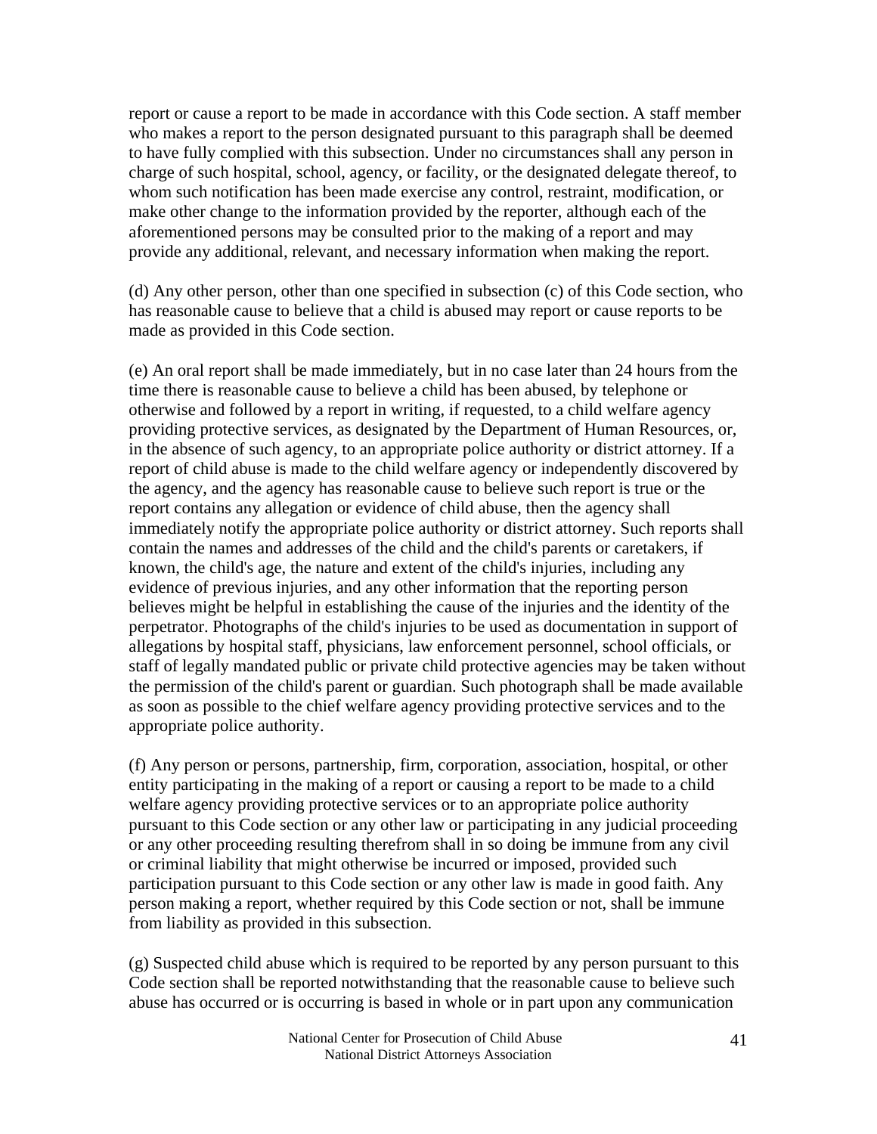report or cause a report to be made in accordance with this Code section. A staff member who makes a report to the person designated pursuant to this paragraph shall be deemed to have fully complied with this subsection. Under no circumstances shall any person in charge of such hospital, school, agency, or facility, or the designated delegate thereof, to whom such notification has been made exercise any control, restraint, modification, or make other change to the information provided by the reporter, although each of the aforementioned persons may be consulted prior to the making of a report and may provide any additional, relevant, and necessary information when making the report.

(d) Any other person, other than one specified in subsection (c) of this Code section, who has reasonable cause to believe that a child is abused may report or cause reports to be made as provided in this Code section.

(e) An oral report shall be made immediately, but in no case later than 24 hours from the time there is reasonable cause to believe a child has been abused, by telephone or otherwise and followed by a report in writing, if requested, to a child welfare agency providing protective services, as designated by the Department of Human Resources, or, in the absence of such agency, to an appropriate police authority or district attorney. If a report of child abuse is made to the child welfare agency or independently discovered by the agency, and the agency has reasonable cause to believe such report is true or the report contains any allegation or evidence of child abuse, then the agency shall immediately notify the appropriate police authority or district attorney. Such reports shall contain the names and addresses of the child and the child's parents or caretakers, if known, the child's age, the nature and extent of the child's injuries, including any evidence of previous injuries, and any other information that the reporting person believes might be helpful in establishing the cause of the injuries and the identity of the perpetrator. Photographs of the child's injuries to be used as documentation in support of allegations by hospital staff, physicians, law enforcement personnel, school officials, or staff of legally mandated public or private child protective agencies may be taken without the permission of the child's parent or guardian. Such photograph shall be made available as soon as possible to the chief welfare agency providing protective services and to the appropriate police authority.

(f) Any person or persons, partnership, firm, corporation, association, hospital, or other entity participating in the making of a report or causing a report to be made to a child welfare agency providing protective services or to an appropriate police authority pursuant to this Code section or any other law or participating in any judicial proceeding or any other proceeding resulting therefrom shall in so doing be immune from any civil or criminal liability that might otherwise be incurred or imposed, provided such participation pursuant to this Code section or any other law is made in good faith. Any person making a report, whether required by this Code section or not, shall be immune from liability as provided in this subsection.

(g) Suspected child abuse which is required to be reported by any person pursuant to this Code section shall be reported notwithstanding that the reasonable cause to believe such abuse has occurred or is occurring is based in whole or in part upon any communication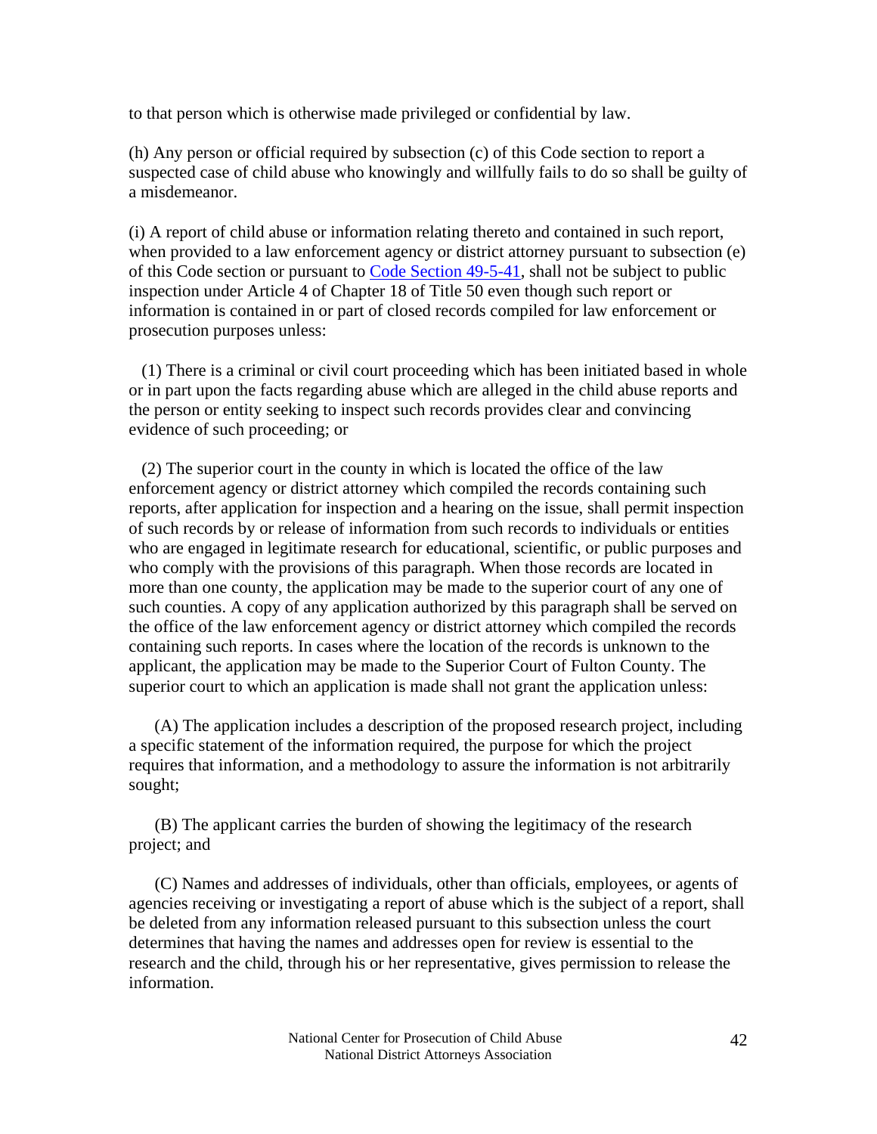to that person which is otherwise made privileged or confidential by law.

(h) Any person or official required by subsection (c) of this Code section to report a suspected case of child abuse who knowingly and willfully fails to do so shall be guilty of a misdemeanor.

(i) A report of child abuse or information relating thereto and contained in such report, when provided to a law enforcement agency or district attorney pursuant to subsection (e) of this Code section or pursuant to [Code Section 49-5-41,](https://www.lexis.com/research/buttonTFLink?_m=755c104a574246c9d48bac9ab5670979&_xfercite=%3ccite%20cc%3d%22USA%22%3e%3c%21%5bCDATA%5bO.C.G.A.%20%a7%2019-7-5%5d%5d%3e%3c%2fcite%3e&_butType=4&_butStat=0&_butNum=5&_butInline=1&_butinfo=GACODE%2049-5-41&_fmtstr=FULL&docnum=1&_startdoc=1&wchp=dGLbVlz-zSkAl&_md5=0628324fb90d30d4591e6cb8763aad56) shall not be subject to public inspection under Article 4 of Chapter 18 of Title 50 even though such report or information is contained in or part of closed records compiled for law enforcement or prosecution purposes unless:

 (1) There is a criminal or civil court proceeding which has been initiated based in whole or in part upon the facts regarding abuse which are alleged in the child abuse reports and the person or entity seeking to inspect such records provides clear and convincing evidence of such proceeding; or

 (2) The superior court in the county in which is located the office of the law enforcement agency or district attorney which compiled the records containing such reports, after application for inspection and a hearing on the issue, shall permit inspection of such records by or release of information from such records to individuals or entities who are engaged in legitimate research for educational, scientific, or public purposes and who comply with the provisions of this paragraph. When those records are located in more than one county, the application may be made to the superior court of any one of such counties. A copy of any application authorized by this paragraph shall be served on the office of the law enforcement agency or district attorney which compiled the records containing such reports. In cases where the location of the records is unknown to the applicant, the application may be made to the Superior Court of Fulton County. The superior court to which an application is made shall not grant the application unless:

 (A) The application includes a description of the proposed research project, including a specific statement of the information required, the purpose for which the project requires that information, and a methodology to assure the information is not arbitrarily sought;

 (B) The applicant carries the burden of showing the legitimacy of the research project; and

 (C) Names and addresses of individuals, other than officials, employees, or agents of agencies receiving or investigating a report of abuse which is the subject of a report, shall be deleted from any information released pursuant to this subsection unless the court determines that having the names and addresses open for review is essential to the research and the child, through his or her representative, gives permission to release the information.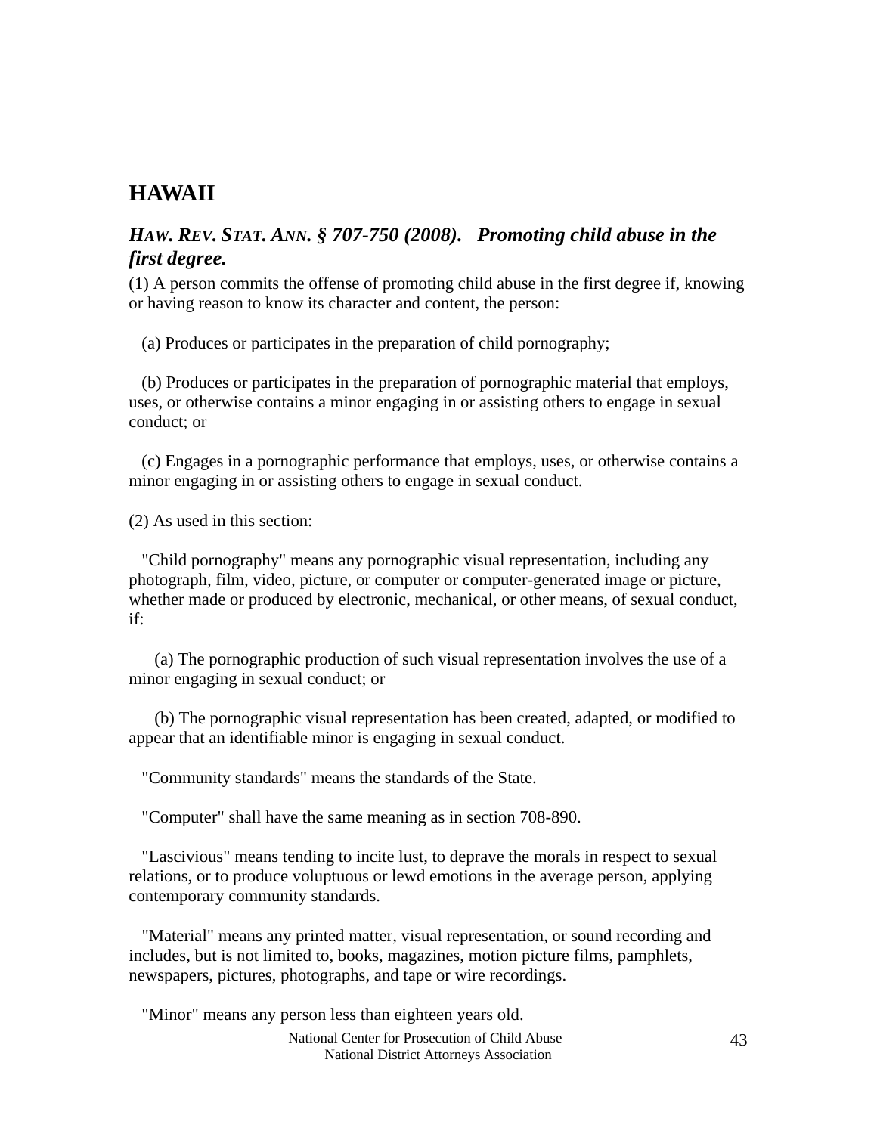### **HAWAII**

### *HAW. REV. STAT. ANN. § 707-750 (2008). Promoting child abuse in the first degree.*

(1) A person commits the offense of promoting child abuse in the first degree if, knowing or having reason to know its character and content, the person:

(a) Produces or participates in the preparation of child pornography;

 (b) Produces or participates in the preparation of pornographic material that employs, uses, or otherwise contains a minor engaging in or assisting others to engage in sexual conduct; or

 (c) Engages in a pornographic performance that employs, uses, or otherwise contains a minor engaging in or assisting others to engage in sexual conduct.

(2) As used in this section:

 "Child pornography" means any pornographic visual representation, including any photograph, film, video, picture, or computer or computer-generated image or picture, whether made or produced by electronic, mechanical, or other means, of sexual conduct, if:

 (a) The pornographic production of such visual representation involves the use of a minor engaging in sexual conduct; or

 (b) The pornographic visual representation has been created, adapted, or modified to appear that an identifiable minor is engaging in sexual conduct.

"Community standards" means the standards of the State.

"Computer" shall have the same meaning as in section 708-890.

 "Lascivious" means tending to incite lust, to deprave the morals in respect to sexual relations, or to produce voluptuous or lewd emotions in the average person, applying contemporary community standards.

 "Material" means any printed matter, visual representation, or sound recording and includes, but is not limited to, books, magazines, motion picture films, pamphlets, newspapers, pictures, photographs, and tape or wire recordings.

"Minor" means any person less than eighteen years old.

National Center for Prosecution of Child Abuse National District Attorneys Association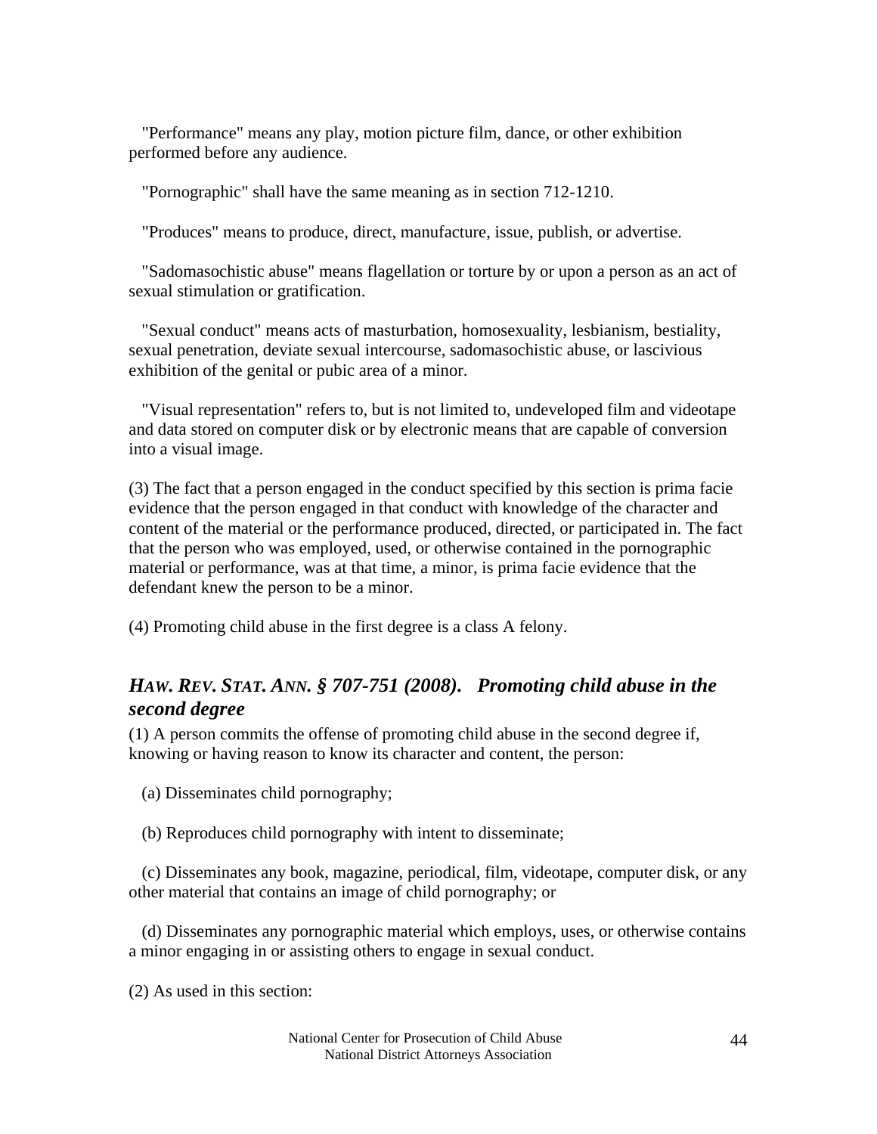"Performance" means any play, motion picture film, dance, or other exhibition performed before any audience.

"Pornographic" shall have the same meaning as in section 712-1210.

"Produces" means to produce, direct, manufacture, issue, publish, or advertise.

 "Sadomasochistic abuse" means flagellation or torture by or upon a person as an act of sexual stimulation or gratification.

 "Sexual conduct" means acts of masturbation, homosexuality, lesbianism, bestiality, sexual penetration, deviate sexual intercourse, sadomasochistic abuse, or lascivious exhibition of the genital or pubic area of a minor.

 "Visual representation" refers to, but is not limited to, undeveloped film and videotape and data stored on computer disk or by electronic means that are capable of conversion into a visual image.

(3) The fact that a person engaged in the conduct specified by this section is prima facie evidence that the person engaged in that conduct with knowledge of the character and content of the material or the performance produced, directed, or participated in. The fact that the person who was employed, used, or otherwise contained in the pornographic material or performance, was at that time, a minor, is prima facie evidence that the defendant knew the person to be a minor.

(4) Promoting child abuse in the first degree is a class A felony.

### *HAW. REV. STAT. ANN. § 707-751 (2008). Promoting child abuse in the second degree*

(1) A person commits the offense of promoting child abuse in the second degree if, knowing or having reason to know its character and content, the person:

(a) Disseminates child pornography;

(b) Reproduces child pornography with intent to disseminate;

 (c) Disseminates any book, magazine, periodical, film, videotape, computer disk, or any other material that contains an image of child pornography; or

 (d) Disseminates any pornographic material which employs, uses, or otherwise contains a minor engaging in or assisting others to engage in sexual conduct.

(2) As used in this section: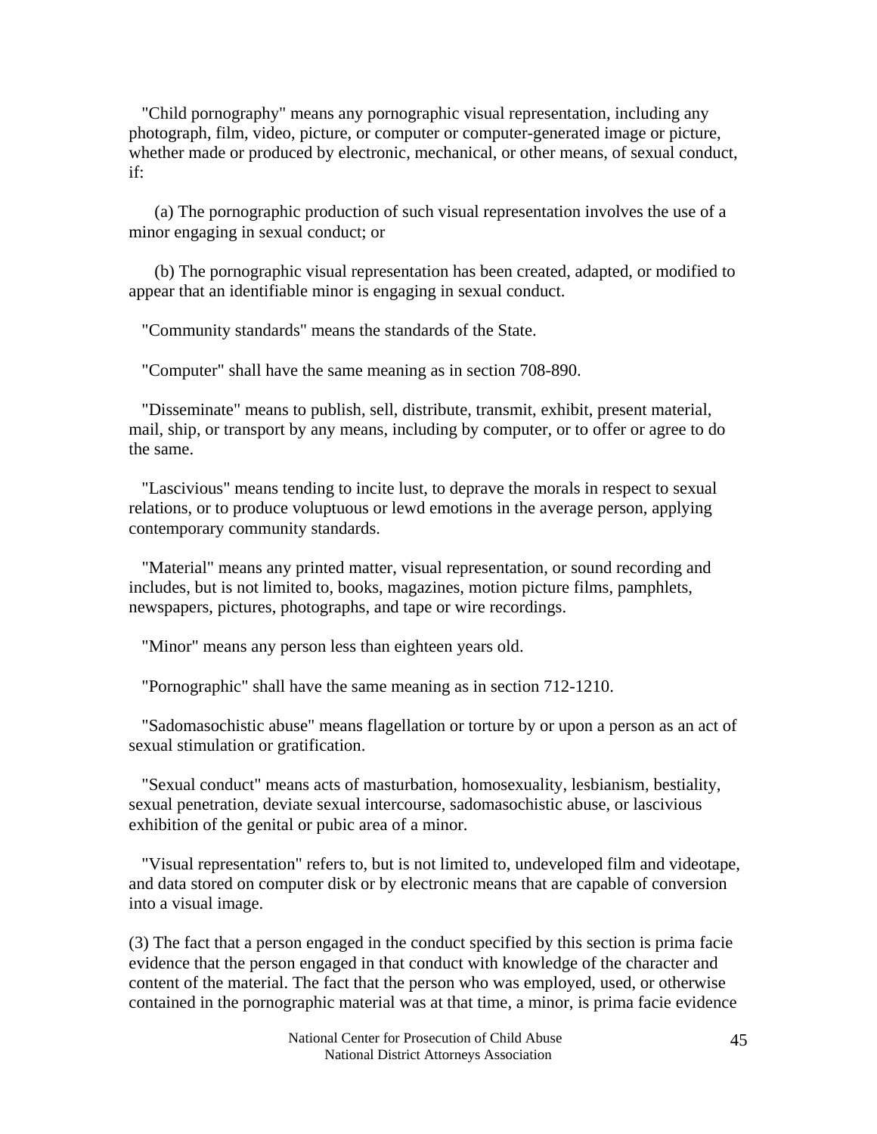"Child pornography" means any pornographic visual representation, including any photograph, film, video, picture, or computer or computer-generated image or picture, whether made or produced by electronic, mechanical, or other means, of sexual conduct, if:

 (a) The pornographic production of such visual representation involves the use of a minor engaging in sexual conduct; or

 (b) The pornographic visual representation has been created, adapted, or modified to appear that an identifiable minor is engaging in sexual conduct.

"Community standards" means the standards of the State.

"Computer" shall have the same meaning as in section 708-890.

 "Disseminate" means to publish, sell, distribute, transmit, exhibit, present material, mail, ship, or transport by any means, including by computer, or to offer or agree to do the same.

 "Lascivious" means tending to incite lust, to deprave the morals in respect to sexual relations, or to produce voluptuous or lewd emotions in the average person, applying contemporary community standards.

 "Material" means any printed matter, visual representation, or sound recording and includes, but is not limited to, books, magazines, motion picture films, pamphlets, newspapers, pictures, photographs, and tape or wire recordings.

"Minor" means any person less than eighteen years old.

"Pornographic" shall have the same meaning as in section 712-1210.

 "Sadomasochistic abuse" means flagellation or torture by or upon a person as an act of sexual stimulation or gratification.

 "Sexual conduct" means acts of masturbation, homosexuality, lesbianism, bestiality, sexual penetration, deviate sexual intercourse, sadomasochistic abuse, or lascivious exhibition of the genital or pubic area of a minor.

 "Visual representation" refers to, but is not limited to, undeveloped film and videotape, and data stored on computer disk or by electronic means that are capable of conversion into a visual image.

(3) The fact that a person engaged in the conduct specified by this section is prima facie evidence that the person engaged in that conduct with knowledge of the character and content of the material. The fact that the person who was employed, used, or otherwise contained in the pornographic material was at that time, a minor, is prima facie evidence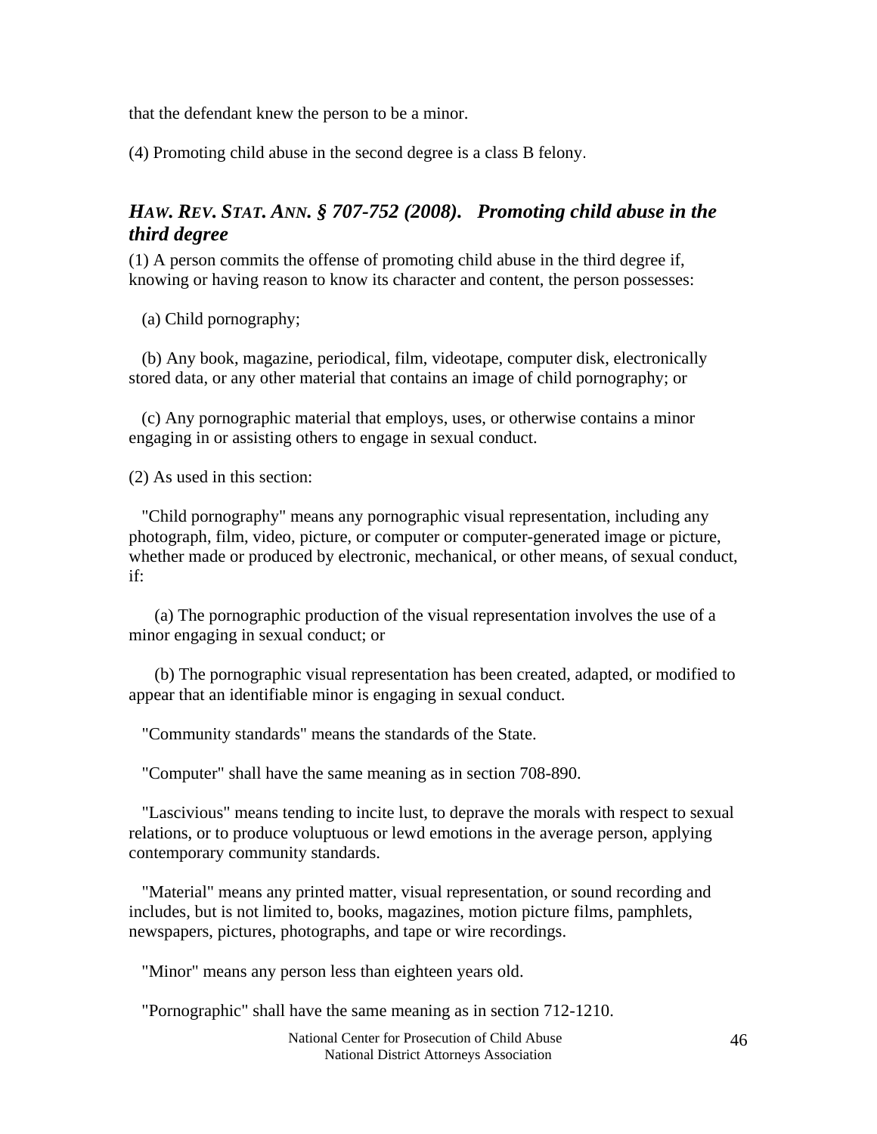that the defendant knew the person to be a minor.

(4) Promoting child abuse in the second degree is a class B felony.

### *HAW. REV. STAT. ANN. § 707-752 (2008). Promoting child abuse in the third degree*

(1) A person commits the offense of promoting child abuse in the third degree if, knowing or having reason to know its character and content, the person possesses:

(a) Child pornography;

 (b) Any book, magazine, periodical, film, videotape, computer disk, electronically stored data, or any other material that contains an image of child pornography; or

 (c) Any pornographic material that employs, uses, or otherwise contains a minor engaging in or assisting others to engage in sexual conduct.

(2) As used in this section:

 "Child pornography" means any pornographic visual representation, including any photograph, film, video, picture, or computer or computer-generated image or picture, whether made or produced by electronic, mechanical, or other means, of sexual conduct, if:

 (a) The pornographic production of the visual representation involves the use of a minor engaging in sexual conduct; or

 (b) The pornographic visual representation has been created, adapted, or modified to appear that an identifiable minor is engaging in sexual conduct.

"Community standards" means the standards of the State.

"Computer" shall have the same meaning as in section 708-890.

 "Lascivious" means tending to incite lust, to deprave the morals with respect to sexual relations, or to produce voluptuous or lewd emotions in the average person, applying contemporary community standards.

 "Material" means any printed matter, visual representation, or sound recording and includes, but is not limited to, books, magazines, motion picture films, pamphlets, newspapers, pictures, photographs, and tape or wire recordings.

"Minor" means any person less than eighteen years old.

"Pornographic" shall have the same meaning as in section 712-1210.

National Center for Prosecution of Child Abuse National District Attorneys Association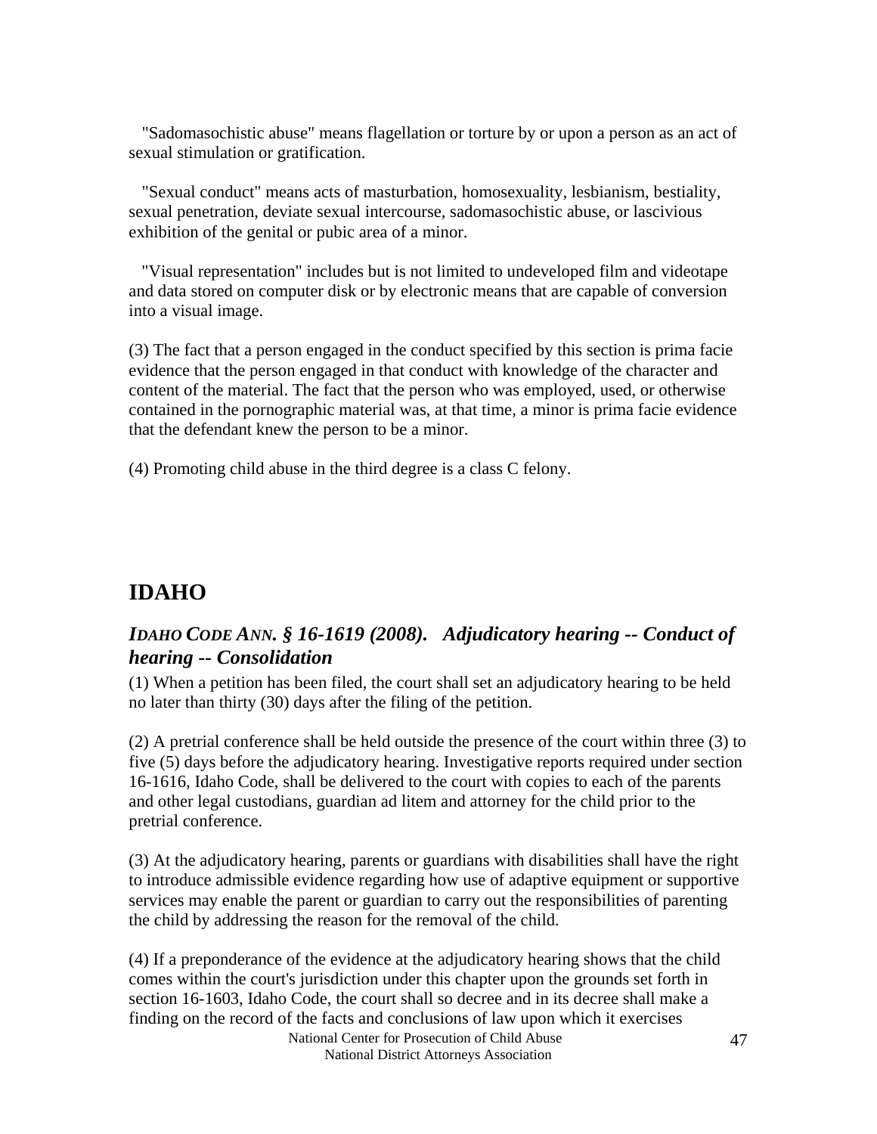"Sadomasochistic abuse" means flagellation or torture by or upon a person as an act of sexual stimulation or gratification.

 "Sexual conduct" means acts of masturbation, homosexuality, lesbianism, bestiality, sexual penetration, deviate sexual intercourse, sadomasochistic abuse, or lascivious exhibition of the genital or pubic area of a minor.

 "Visual representation" includes but is not limited to undeveloped film and videotape and data stored on computer disk or by electronic means that are capable of conversion into a visual image.

(3) The fact that a person engaged in the conduct specified by this section is prima facie evidence that the person engaged in that conduct with knowledge of the character and content of the material. The fact that the person who was employed, used, or otherwise contained in the pornographic material was, at that time, a minor is prima facie evidence that the defendant knew the person to be a minor.

(4) Promoting child abuse in the third degree is a class C felony.

## **IDAHO**

### *IDAHO CODE ANN. § 16-1619 (2008). Adjudicatory hearing -- Conduct of hearing -- Consolidation*

(1) When a petition has been filed, the court shall set an adjudicatory hearing to be held no later than thirty (30) days after the filing of the petition.

(2) A pretrial conference shall be held outside the presence of the court within three (3) to five (5) days before the adjudicatory hearing. Investigative reports required under [section](https://www.lexis.com/research/buttonTFLink?_m=48745e32d4e2e64792c72501bedebddf&_xfercite=%3ccite%20cc%3d%22USA%22%3e%3c%21%5bCDATA%5bIdaho%20Code%20%a7%2016-1619%5d%5d%3e%3c%2fcite%3e&_butType=4&_butStat=0&_butNum=1&_butInline=1&_butinfo=IDCODE%2016-1616&_fmtstr=FULL&docnum=1&_startdoc=1&wchp=dGLbVlz-zSkAl&_md5=42d27211c757bd1656dc75f9cb47782c)  [16-1616, Idaho Code,](https://www.lexis.com/research/buttonTFLink?_m=48745e32d4e2e64792c72501bedebddf&_xfercite=%3ccite%20cc%3d%22USA%22%3e%3c%21%5bCDATA%5bIdaho%20Code%20%a7%2016-1619%5d%5d%3e%3c%2fcite%3e&_butType=4&_butStat=0&_butNum=1&_butInline=1&_butinfo=IDCODE%2016-1616&_fmtstr=FULL&docnum=1&_startdoc=1&wchp=dGLbVlz-zSkAl&_md5=42d27211c757bd1656dc75f9cb47782c) shall be delivered to the court with copies to each of the parents and other legal custodians, guardian ad litem and attorney for the child prior to the pretrial conference.

(3) At the adjudicatory hearing, parents or guardians with disabilities shall have the right to introduce admissible evidence regarding how use of adaptive equipment or supportive services may enable the parent or guardian to carry out the responsibilities of parenting the child by addressing the reason for the removal of the child.

(4) If a preponderance of the evidence at the adjudicatory hearing shows that the child comes within the court's jurisdiction under this chapter upon the grounds set forth in [section 16-1603, Idaho Code,](https://www.lexis.com/research/buttonTFLink?_m=48745e32d4e2e64792c72501bedebddf&_xfercite=%3ccite%20cc%3d%22USA%22%3e%3c%21%5bCDATA%5bIdaho%20Code%20%a7%2016-1619%5d%5d%3e%3c%2fcite%3e&_butType=4&_butStat=0&_butNum=2&_butInline=1&_butinfo=IDCODE%2016-1603&_fmtstr=FULL&docnum=1&_startdoc=1&wchp=dGLbVlz-zSkAl&_md5=56e3ffe4b0edfad4eaaab7a324c3d638) the court shall so decree and in its decree shall make a finding on the record of the facts and conclusions of law upon which it exercises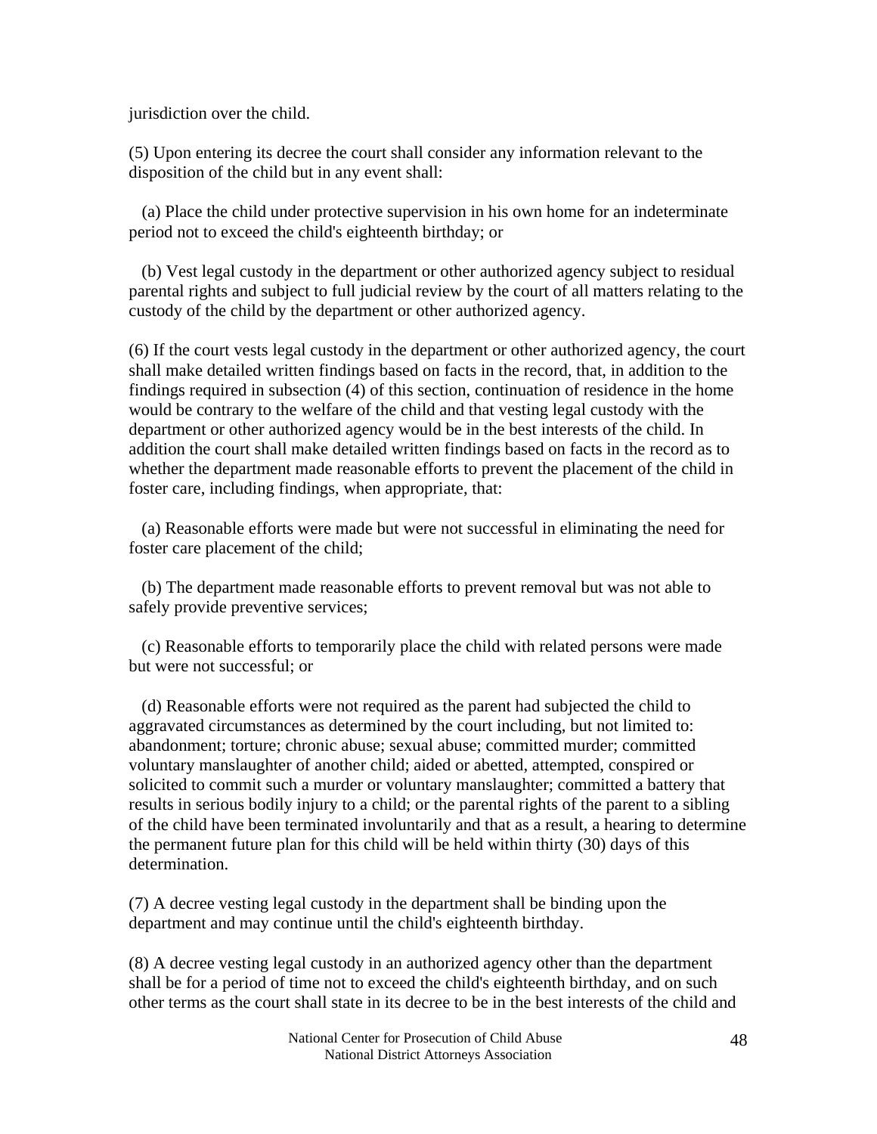jurisdiction over the child.

(5) Upon entering its decree the court shall consider any information relevant to the disposition of the child but in any event shall:

 (a) Place the child under protective supervision in his own home for an indeterminate period not to exceed the child's eighteenth birthday; or

 (b) Vest legal custody in the department or other authorized agency subject to residual parental rights and subject to full judicial review by the court of all matters relating to the custody of the child by the department or other authorized agency.

(6) If the court vests legal custody in the department or other authorized agency, the court shall make detailed written findings based on facts in the record, that, in addition to the findings required in subsection (4) of this section, continuation of residence in the home would be contrary to the welfare of the child and that vesting legal custody with the department or other authorized agency would be in the best interests of the child. In addition the court shall make detailed written findings based on facts in the record as to whether the department made reasonable efforts to prevent the placement of the child in foster care, including findings, when appropriate, that:

 (a) Reasonable efforts were made but were not successful in eliminating the need for foster care placement of the child;

 (b) The department made reasonable efforts to prevent removal but was not able to safely provide preventive services;

 (c) Reasonable efforts to temporarily place the child with related persons were made but were not successful; or

 (d) Reasonable efforts were not required as the parent had subjected the child to aggravated circumstances as determined by the court including, but not limited to: abandonment; torture; chronic abuse; sexual abuse; committed murder; committed voluntary manslaughter of another child; aided or abetted, attempted, conspired or solicited to commit such a murder or voluntary manslaughter; committed a battery that results in serious bodily injury to a child; or the parental rights of the parent to a sibling of the child have been terminated involuntarily and that as a result, a hearing to determine the permanent future plan for this child will be held within thirty (30) days of this determination.

(7) A decree vesting legal custody in the department shall be binding upon the department and may continue until the child's eighteenth birthday.

(8) A decree vesting legal custody in an authorized agency other than the department shall be for a period of time not to exceed the child's eighteenth birthday, and on such other terms as the court shall state in its decree to be in the best interests of the child and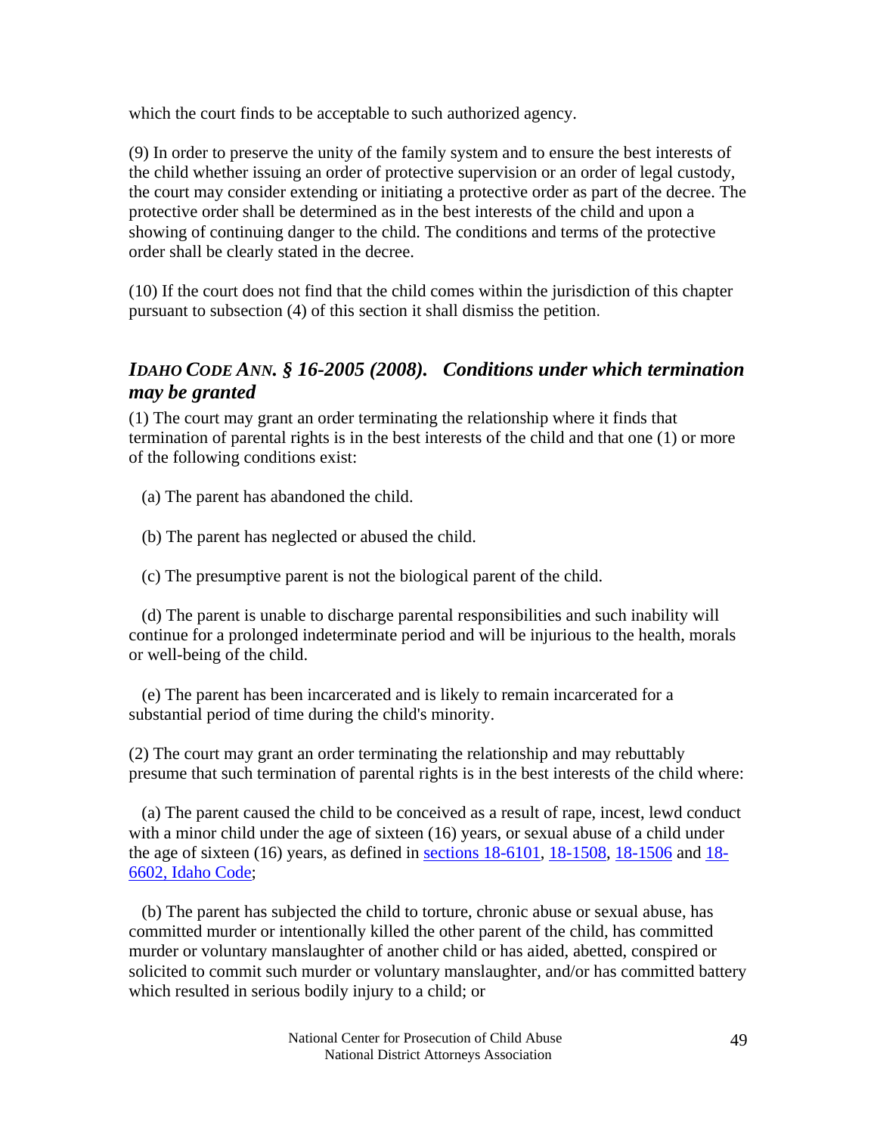which the court finds to be acceptable to such authorized agency.

(9) In order to preserve the unity of the family system and to ensure the best interests of the child whether issuing an order of protective supervision or an order of legal custody, the court may consider extending or initiating a protective order as part of the decree. The protective order shall be determined as in the best interests of the child and upon a showing of continuing danger to the child. The conditions and terms of the protective order shall be clearly stated in the decree.

(10) If the court does not find that the child comes within the jurisdiction of this chapter pursuant to subsection (4) of this section it shall dismiss the petition.

### *IDAHO CODE ANN. § 16-2005 (2008). Conditions under which termination may be granted*

(1) The court may grant an order terminating the relationship where it finds that termination of parental rights is in the best interests of the child and that one (1) or more of the following conditions exist:

(a) The parent has abandoned the child.

(b) The parent has neglected or abused the child.

(c) The presumptive parent is not the biological parent of the child.

 (d) The parent is unable to discharge parental responsibilities and such inability will continue for a prolonged indeterminate period and will be injurious to the health, morals or well-being of the child.

 (e) The parent has been incarcerated and is likely to remain incarcerated for a substantial period of time during the child's minority.

(2) The court may grant an order terminating the relationship and may rebuttably presume that such termination of parental rights is in the best interests of the child where:

 (a) The parent caused the child to be conceived as a result of rape, incest, lewd conduct with a minor child under the age of sixteen (16) years, or sexual abuse of a child under the age of sixteen (16) years, as defined in [sections 18-6101,](https://www.lexis.com/research/buttonTFLink?_m=62f3c92a539035c589eff33381772aa0&_xfercite=%3ccite%20cc%3d%22USA%22%3e%3c%21%5bCDATA%5bIdaho%20Code%20%a7%2016-2005%5d%5d%3e%3c%2fcite%3e&_butType=4&_butStat=0&_butNum=1&_butInline=1&_butinfo=IDCODE%2018-6101&_fmtstr=FULL&docnum=1&_startdoc=1&wchp=dGLbVlz-zSkAl&_md5=b59dd9e4005f159666eea9b4cebb912e) [18-1508,](https://www.lexis.com/research/buttonTFLink?_m=62f3c92a539035c589eff33381772aa0&_xfercite=%3ccite%20cc%3d%22USA%22%3e%3c%21%5bCDATA%5bIdaho%20Code%20%a7%2016-2005%5d%5d%3e%3c%2fcite%3e&_butType=4&_butStat=0&_butNum=2&_butInline=1&_butinfo=IDCODE%2018-1508&_fmtstr=FULL&docnum=1&_startdoc=1&wchp=dGLbVlz-zSkAl&_md5=cfd5f8cb846acb2967b8c3af1d289a6c) [18-1506](https://www.lexis.com/research/buttonTFLink?_m=62f3c92a539035c589eff33381772aa0&_xfercite=%3ccite%20cc%3d%22USA%22%3e%3c%21%5bCDATA%5bIdaho%20Code%20%a7%2016-2005%5d%5d%3e%3c%2fcite%3e&_butType=4&_butStat=0&_butNum=3&_butInline=1&_butinfo=IDCODE%2018-1506&_fmtstr=FULL&docnum=1&_startdoc=1&wchp=dGLbVlz-zSkAl&_md5=31844846c5e3d3bb74cf8d77867e9a2d) and [18-](https://www.lexis.com/research/buttonTFLink?_m=62f3c92a539035c589eff33381772aa0&_xfercite=%3ccite%20cc%3d%22USA%22%3e%3c%21%5bCDATA%5bIdaho%20Code%20%a7%2016-2005%5d%5d%3e%3c%2fcite%3e&_butType=4&_butStat=0&_butNum=4&_butInline=1&_butinfo=IDCODE%2018-6602&_fmtstr=FULL&docnum=1&_startdoc=1&wchp=dGLbVlz-zSkAl&_md5=a0bbb4b87962b124d80b820f6e5885e8) [6602, Idaho Code;](https://www.lexis.com/research/buttonTFLink?_m=62f3c92a539035c589eff33381772aa0&_xfercite=%3ccite%20cc%3d%22USA%22%3e%3c%21%5bCDATA%5bIdaho%20Code%20%a7%2016-2005%5d%5d%3e%3c%2fcite%3e&_butType=4&_butStat=0&_butNum=4&_butInline=1&_butinfo=IDCODE%2018-6602&_fmtstr=FULL&docnum=1&_startdoc=1&wchp=dGLbVlz-zSkAl&_md5=a0bbb4b87962b124d80b820f6e5885e8)

 (b) The parent has subjected the child to torture, chronic abuse or sexual abuse, has committed murder or intentionally killed the other parent of the child, has committed murder or voluntary manslaughter of another child or has aided, abetted, conspired or solicited to commit such murder or voluntary manslaughter, and/or has committed battery which resulted in serious bodily injury to a child; or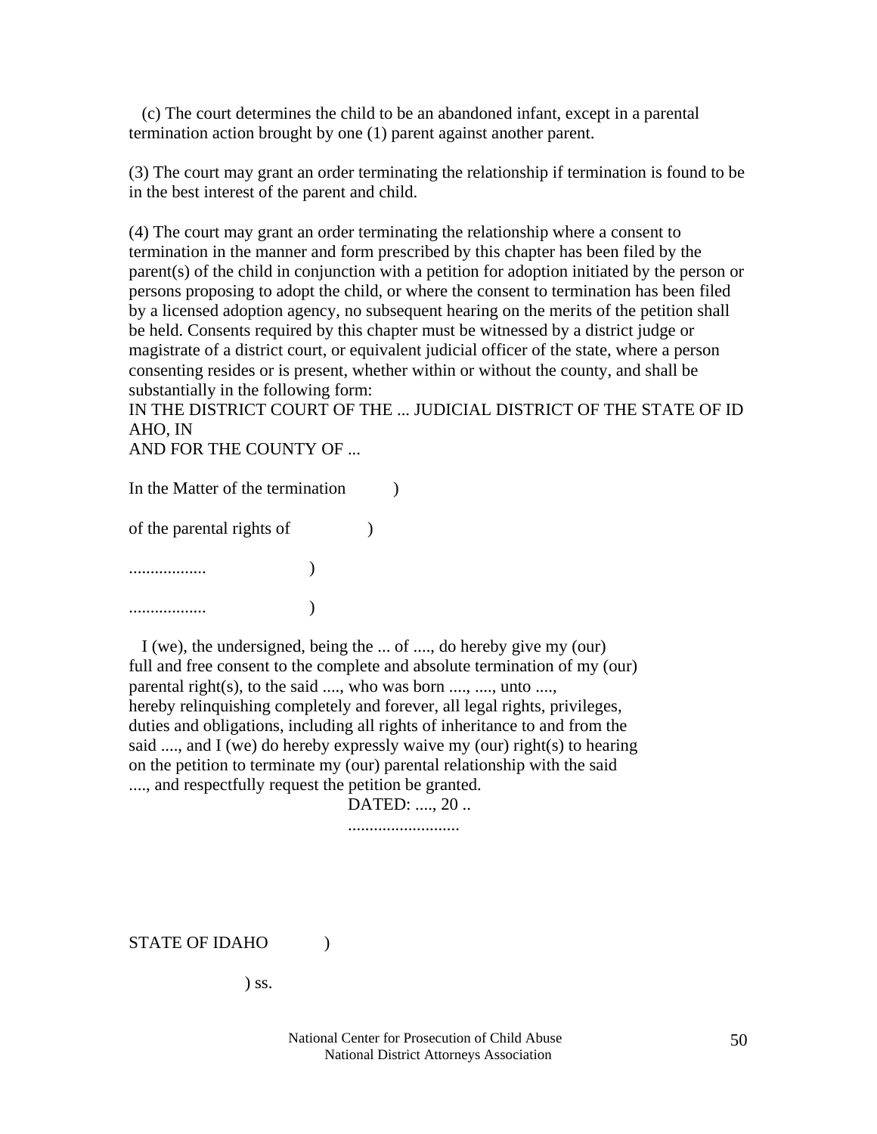(c) The court determines the child to be an abandoned infant, except in a parental termination action brought by one (1) parent against another parent.

(3) The court may grant an order terminating the relationship if termination is found to be in the best interest of the parent and child.

(4) The court may grant an order terminating the relationship where a consent to termination in the manner and form prescribed by this chapter has been filed by the parent(s) of the child in conjunction with a petition for adoption initiated by the person or persons proposing to adopt the child, or where the consent to termination has been filed by a licensed adoption agency, no subsequent hearing on the merits of the petition shall be held. Consents required by this chapter must be witnessed by a district judge or magistrate of a district court, or equivalent judicial officer of the state, where a person consenting resides or is present, whether within or without the county, and shall be substantially in the following form:

IN THE DISTRICT COURT OF THE ... JUDICIAL DISTRICT OF THE STATE OF ID AHO, IN

AND FOR THE COUNTY OF ...

In the Matter of the termination (1)

of the parental rights of  $\qquad$ )

.................. )

.................. )

 I (we), the undersigned, being the ... of ...., do hereby give my (our) full and free consent to the complete and absolute termination of my (our) parental right(s), to the said  $...,$  who was born  $...,$   $...,$  unto  $...,$ hereby relinquishing completely and forever, all legal rights, privileges, duties and obligations, including all rights of inheritance to and from the said ...., and I (we) do hereby expressly waive my (our) right(s) to hearing on the petition to terminate my (our) parental relationship with the said ...., and respectfully request the petition be granted.

DATED: ...., 20 ..

..........................

#### STATE OF IDAHO )

 $\sum$  ss.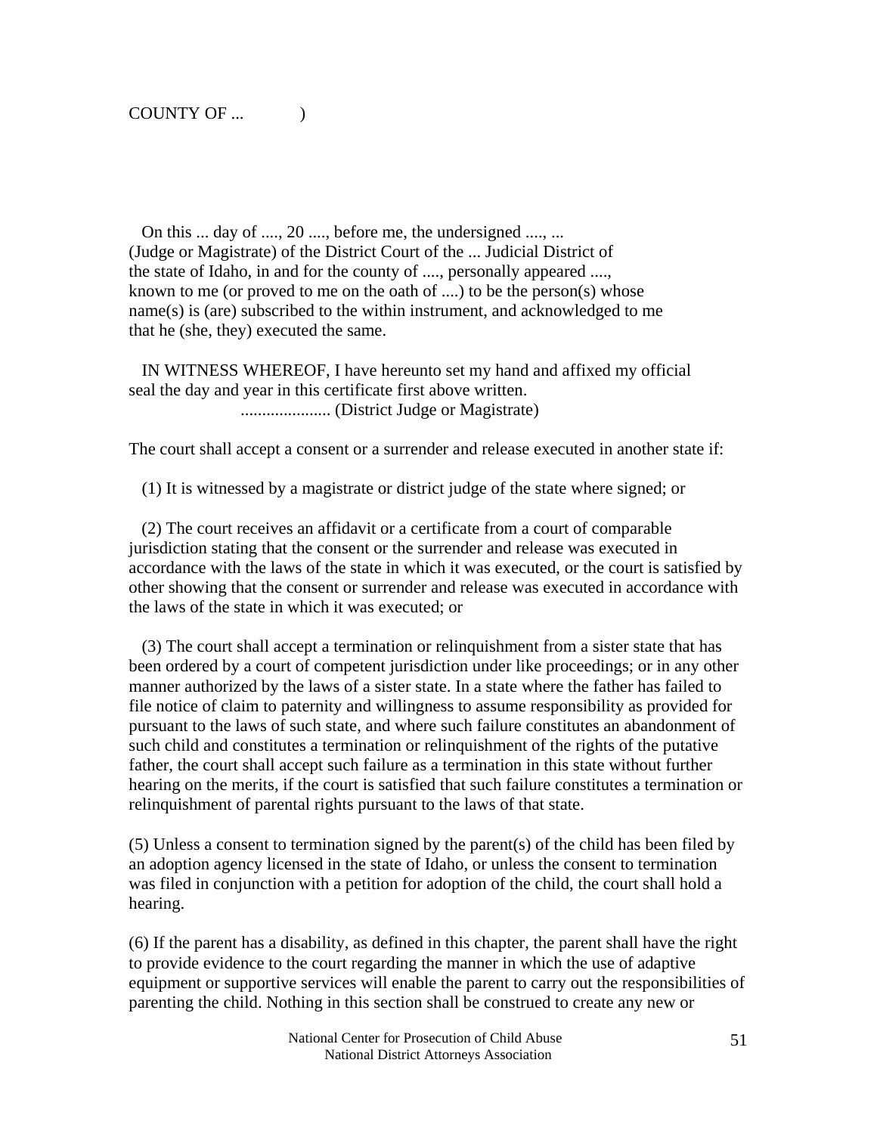On this ... day of ...., 20 ...., before me, the undersigned ...., ... (Judge or Magistrate) of the District Court of the ... Judicial District of the state of Idaho, in and for the county of ...., personally appeared ...., known to me (or proved to me on the oath of ....) to be the person(s) whose name(s) is (are) subscribed to the within instrument, and acknowledged to me that he (she, they) executed the same.

 IN WITNESS WHEREOF, I have hereunto set my hand and affixed my official seal the day and year in this certificate first above written. ..................... (District Judge or Magistrate)

The court shall accept a consent or a surrender and release executed in another state if:

(1) It is witnessed by a magistrate or district judge of the state where signed; or

 (2) The court receives an affidavit or a certificate from a court of comparable jurisdiction stating that the consent or the surrender and release was executed in accordance with the laws of the state in which it was executed, or the court is satisfied by other showing that the consent or surrender and release was executed in accordance with the laws of the state in which it was executed; or

 (3) The court shall accept a termination or relinquishment from a sister state that has been ordered by a court of competent jurisdiction under like proceedings; or in any other manner authorized by the laws of a sister state. In a state where the father has failed to file notice of claim to paternity and willingness to assume responsibility as provided for pursuant to the laws of such state, and where such failure constitutes an abandonment of such child and constitutes a termination or relinquishment of the rights of the putative father, the court shall accept such failure as a termination in this state without further hearing on the merits, if the court is satisfied that such failure constitutes a termination or relinquishment of parental rights pursuant to the laws of that state.

(5) Unless a consent to termination signed by the parent(s) of the child has been filed by an adoption agency licensed in the state of Idaho, or unless the consent to termination was filed in conjunction with a petition for adoption of the child, the court shall hold a hearing.

(6) If the parent has a disability, as defined in this chapter, the parent shall have the right to provide evidence to the court regarding the manner in which the use of adaptive equipment or supportive services will enable the parent to carry out the responsibilities of parenting the child. Nothing in this section shall be construed to create any new or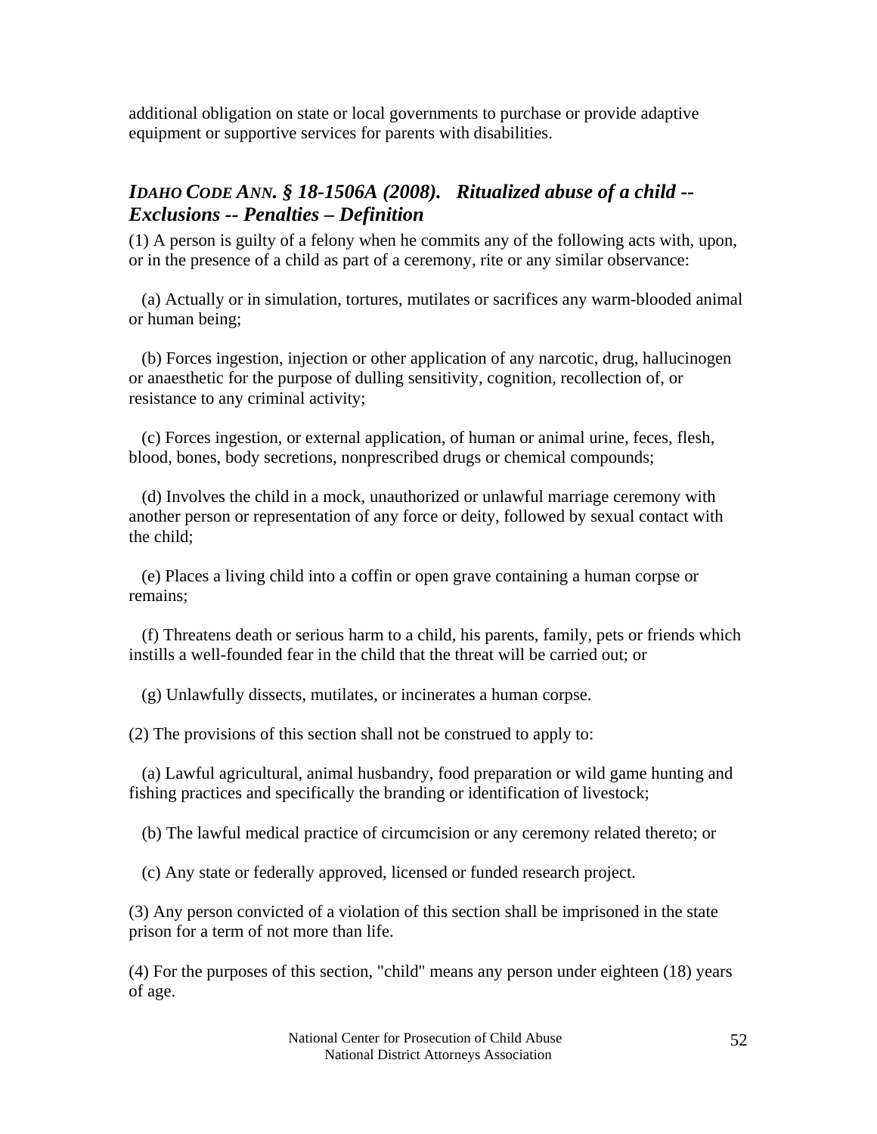additional obligation on state or local governments to purchase or provide adaptive equipment or supportive services for parents with disabilities.

### *IDAHO CODE ANN. § 18-1506A (2008). Ritualized abuse of a child -- Exclusions -- Penalties – Definition*

(1) A person is guilty of a felony when he commits any of the following acts with, upon, or in the presence of a child as part of a ceremony, rite or any similar observance:

 (a) Actually or in simulation, tortures, mutilates or sacrifices any warm-blooded animal or human being;

 (b) Forces ingestion, injection or other application of any narcotic, drug, hallucinogen or anaesthetic for the purpose of dulling sensitivity, cognition, recollection of, or resistance to any criminal activity;

 (c) Forces ingestion, or external application, of human or animal urine, feces, flesh, blood, bones, body secretions, nonprescribed drugs or chemical compounds;

 (d) Involves the child in a mock, unauthorized or unlawful marriage ceremony with another person or representation of any force or deity, followed by sexual contact with the child;

 (e) Places a living child into a coffin or open grave containing a human corpse or remains;

 (f) Threatens death or serious harm to a child, his parents, family, pets or friends which instills a well-founded fear in the child that the threat will be carried out; or

(g) Unlawfully dissects, mutilates, or incinerates a human corpse.

(2) The provisions of this section shall not be construed to apply to:

 (a) Lawful agricultural, animal husbandry, food preparation or wild game hunting and fishing practices and specifically the branding or identification of livestock;

(b) The lawful medical practice of circumcision or any ceremony related thereto; or

(c) Any state or federally approved, licensed or funded research project.

(3) Any person convicted of a violation of this section shall be imprisoned in the state prison for a term of not more than life.

(4) For the purposes of this section, "child" means any person under eighteen (18) years of age.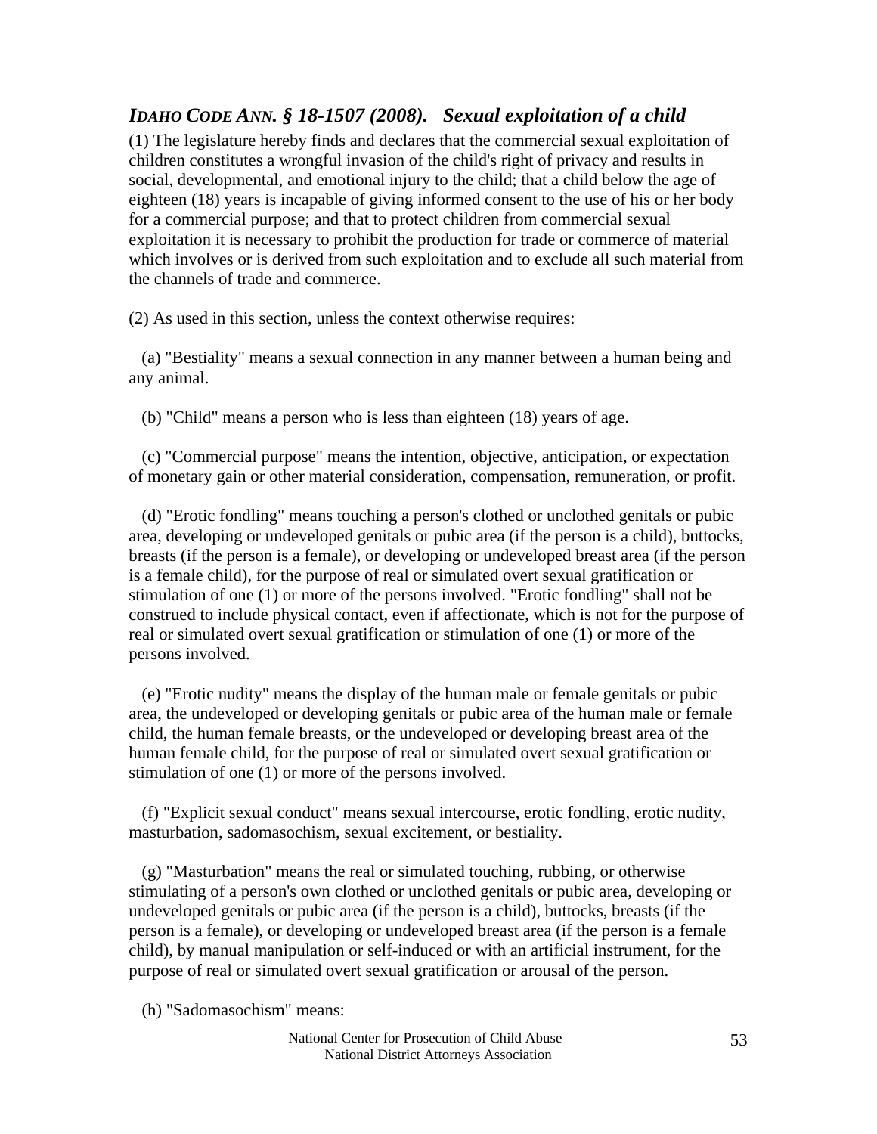### *IDAHO CODE ANN. § 18-1507 (2008). Sexual exploitation of a child*

(1) The legislature hereby finds and declares that the commercial sexual exploitation of children constitutes a wrongful invasion of the child's right of privacy and results in social, developmental, and emotional injury to the child; that a child below the age of eighteen (18) years is incapable of giving informed consent to the use of his or her body for a commercial purpose; and that to protect children from commercial sexual exploitation it is necessary to prohibit the production for trade or commerce of material which involves or is derived from such exploitation and to exclude all such material from the channels of trade and commerce.

(2) As used in this section, unless the context otherwise requires:

 (a) "Bestiality" means a sexual connection in any manner between a human being and any animal.

(b) "Child" means a person who is less than eighteen (18) years of age.

 (c) "Commercial purpose" means the intention, objective, anticipation, or expectation of monetary gain or other material consideration, compensation, remuneration, or profit.

 (d) "Erotic fondling" means touching a person's clothed or unclothed genitals or pubic area, developing or undeveloped genitals or pubic area (if the person is a child), buttocks, breasts (if the person is a female), or developing or undeveloped breast area (if the person is a female child), for the purpose of real or simulated overt sexual gratification or stimulation of one (1) or more of the persons involved. "Erotic fondling" shall not be construed to include physical contact, even if affectionate, which is not for the purpose of real or simulated overt sexual gratification or stimulation of one (1) or more of the persons involved.

 (e) "Erotic nudity" means the display of the human male or female genitals or pubic area, the undeveloped or developing genitals or pubic area of the human male or female child, the human female breasts, or the undeveloped or developing breast area of the human female child, for the purpose of real or simulated overt sexual gratification or stimulation of one (1) or more of the persons involved.

 (f) "Explicit sexual conduct" means sexual intercourse, erotic fondling, erotic nudity, masturbation, sadomasochism, sexual excitement, or bestiality.

 (g) "Masturbation" means the real or simulated touching, rubbing, or otherwise stimulating of a person's own clothed or unclothed genitals or pubic area, developing or undeveloped genitals or pubic area (if the person is a child), buttocks, breasts (if the person is a female), or developing or undeveloped breast area (if the person is a female child), by manual manipulation or self-induced or with an artificial instrument, for the purpose of real or simulated overt sexual gratification or arousal of the person.

(h) "Sadomasochism" means: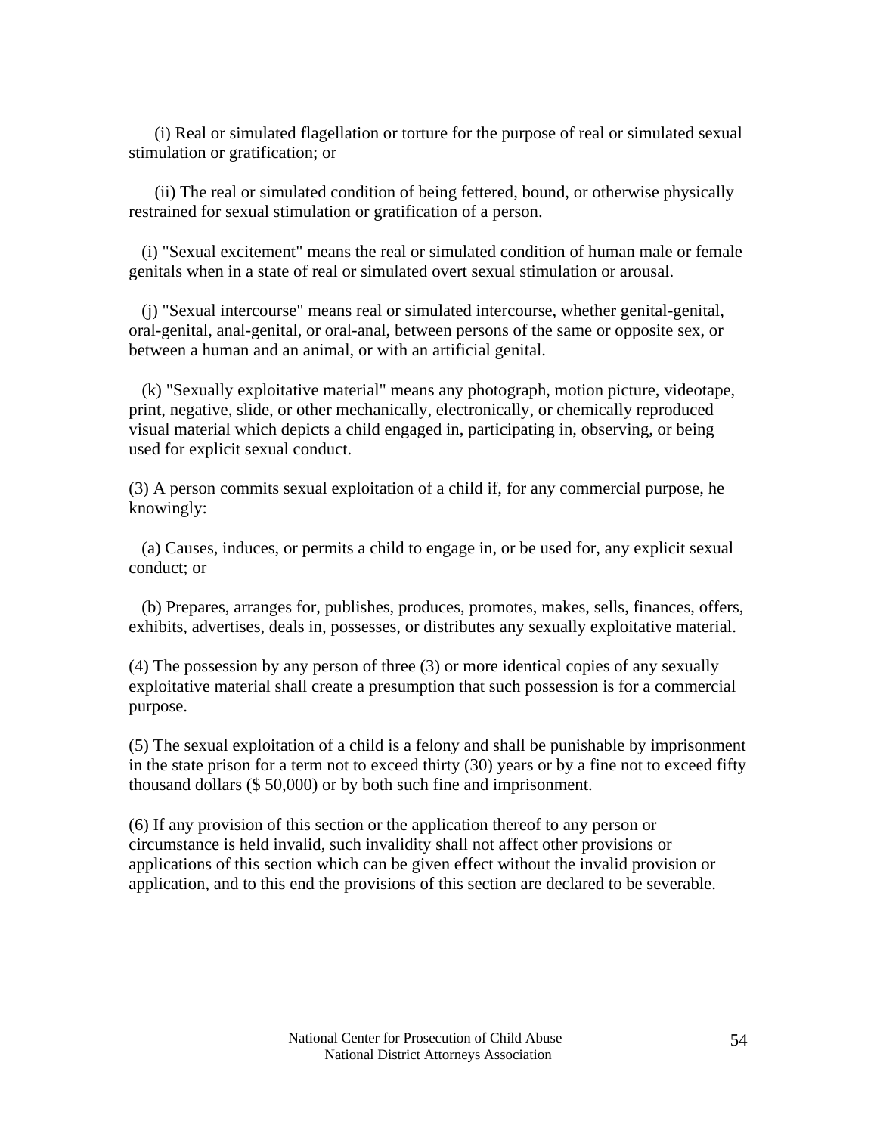(i) Real or simulated flagellation or torture for the purpose of real or simulated sexual stimulation or gratification; or

 (ii) The real or simulated condition of being fettered, bound, or otherwise physically restrained for sexual stimulation or gratification of a person.

 (i) "Sexual excitement" means the real or simulated condition of human male or female genitals when in a state of real or simulated overt sexual stimulation or arousal.

 (j) "Sexual intercourse" means real or simulated intercourse, whether genital-genital, oral-genital, anal-genital, or oral-anal, between persons of the same or opposite sex, or between a human and an animal, or with an artificial genital.

 (k) "Sexually exploitative material" means any photograph, motion picture, videotape, print, negative, slide, or other mechanically, electronically, or chemically reproduced visual material which depicts a child engaged in, participating in, observing, or being used for explicit sexual conduct.

(3) A person commits sexual exploitation of a child if, for any commercial purpose, he knowingly:

 (a) Causes, induces, or permits a child to engage in, or be used for, any explicit sexual conduct; or

 (b) Prepares, arranges for, publishes, produces, promotes, makes, sells, finances, offers, exhibits, advertises, deals in, possesses, or distributes any sexually exploitative material.

(4) The possession by any person of three (3) or more identical copies of any sexually exploitative material shall create a presumption that such possession is for a commercial purpose.

(5) The sexual exploitation of a child is a felony and shall be punishable by imprisonment in the state prison for a term not to exceed thirty (30) years or by a fine not to exceed fifty thousand dollars (\$ 50,000) or by both such fine and imprisonment.

(6) If any provision of this section or the application thereof to any person or circumstance is held invalid, such invalidity shall not affect other provisions or applications of this section which can be given effect without the invalid provision or application, and to this end the provisions of this section are declared to be severable.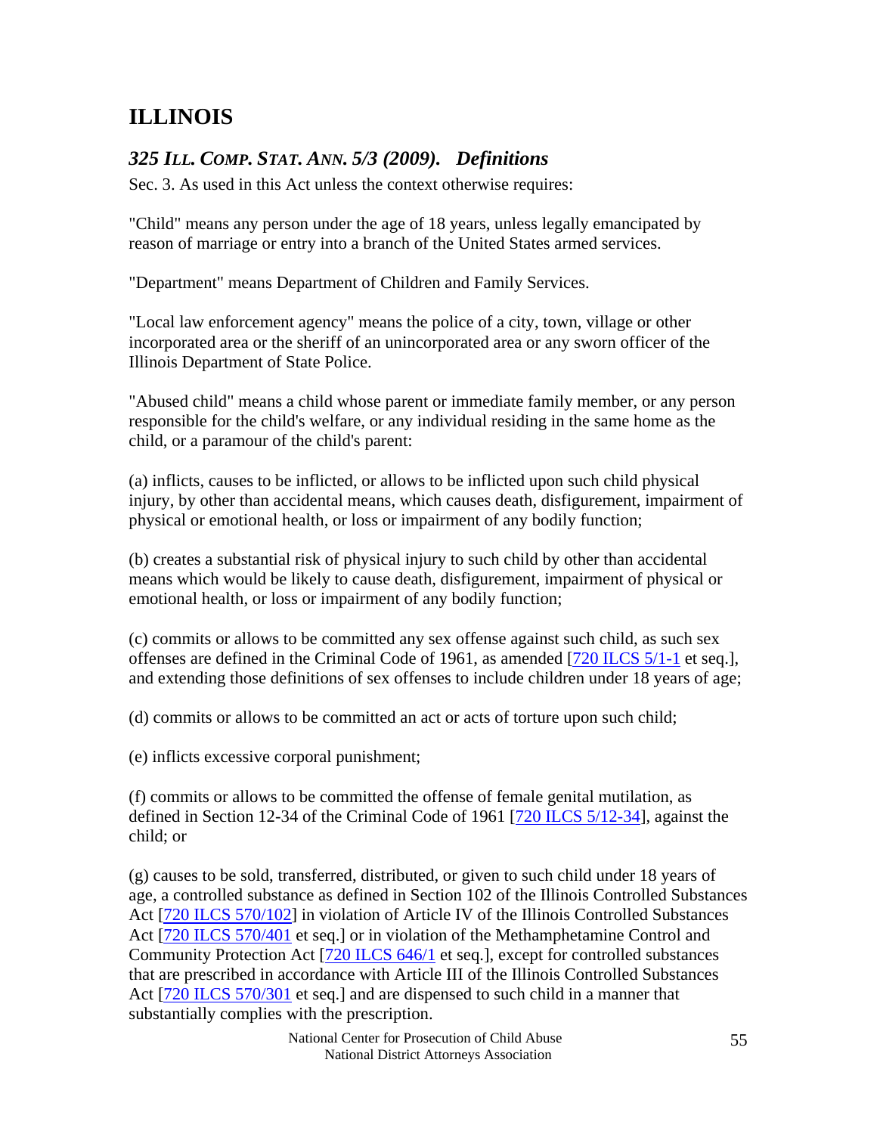## **ILLINOIS**

### *325 ILL. COMP. STAT. ANN. 5/3 (2009). Definitions*

Sec. 3. As used in this Act unless the context otherwise requires:

"Child" means any person under the age of 18 years, unless legally emancipated by reason of marriage or entry into a branch of the United States armed services.

"Department" means Department of Children and Family Services.

"Local law enforcement agency" means the police of a city, town, village or other incorporated area or the sheriff of an unincorporated area or any sworn officer of the Illinois Department of State Police.

"Abused child" means a child whose parent or immediate family member, or any person responsible for the child's welfare, or any individual residing in the same home as the child, or a paramour of the child's parent:

(a) inflicts, causes to be inflicted, or allows to be inflicted upon such child physical injury, by other than accidental means, which causes death, disfigurement, impairment of physical or emotional health, or loss or impairment of any bodily function;

(b) creates a substantial risk of physical injury to such child by other than accidental means which would be likely to cause death, disfigurement, impairment of physical or emotional health, or loss or impairment of any bodily function;

(c) commits or allows to be committed any sex offense against such child, as such sex offenses are defined in the Criminal Code of 1961, as amended [\[720 ILCS 5/1-1](https://www.lexis.com/research/buttonTFLink?_m=c7e82471aebe02d9145e9c354acc1565&_xfercite=%3ccite%20cc%3d%22USA%22%3e%3c%21%5bCDATA%5b325%20ILCS%205%2f3%5d%5d%3e%3c%2fcite%3e&_butType=4&_butStat=0&_butNum=2&_butInline=1&_butinfo=720%20ILCODE%205%2f1-1&_fmtstr=FULL&docnum=1&_startdoc=1&wchp=dGLbVlz-zSkAl&_md5=a8a6b6e91a311b6eaef9dafa9611ce3b) et seq.], and extending those definitions of sex offenses to include children under 18 years of age;

(d) commits or allows to be committed an act or acts of torture upon such child;

(e) inflicts excessive corporal punishment;

(f) commits or allows to be committed the offense of female genital mutilation, as defined in Section 12-34 of the Criminal Code of 1961 [[720 ILCS 5/12-34](https://www.lexis.com/research/buttonTFLink?_m=c7e82471aebe02d9145e9c354acc1565&_xfercite=%3ccite%20cc%3d%22USA%22%3e%3c%21%5bCDATA%5b325%20ILCS%205%2f3%5d%5d%3e%3c%2fcite%3e&_butType=4&_butStat=0&_butNum=3&_butInline=1&_butinfo=720%20ILCODE%205%2f12-34&_fmtstr=FULL&docnum=1&_startdoc=1&wchp=dGLbVlz-zSkAl&_md5=3433f15155114aa6c74bd19364d898ea)], against the child; or

(g) causes to be sold, transferred, distributed, or given to such child under 18 years of age, a controlled substance as defined in Section 102 of the Illinois Controlled Substances Act [\[720 ILCS 570/102\]](https://www.lexis.com/research/buttonTFLink?_m=c7e82471aebe02d9145e9c354acc1565&_xfercite=%3ccite%20cc%3d%22USA%22%3e%3c%21%5bCDATA%5b325%20ILCS%205%2f3%5d%5d%3e%3c%2fcite%3e&_butType=4&_butStat=0&_butNum=4&_butInline=1&_butinfo=720%20ILCODE%20570%2f102&_fmtstr=FULL&docnum=1&_startdoc=1&wchp=dGLbVlz-zSkAl&_md5=f137ea6c029b15f13514fb226e2e72c8) in violation of Article IV of the Illinois Controlled Substances Act [\[720 ILCS 570/401](https://www.lexis.com/research/buttonTFLink?_m=c7e82471aebe02d9145e9c354acc1565&_xfercite=%3ccite%20cc%3d%22USA%22%3e%3c%21%5bCDATA%5b325%20ILCS%205%2f3%5d%5d%3e%3c%2fcite%3e&_butType=4&_butStat=0&_butNum=5&_butInline=1&_butinfo=720%20ILCODE%20570%2f401&_fmtstr=FULL&docnum=1&_startdoc=1&wchp=dGLbVlz-zSkAl&_md5=f73d2aceca511a0f935f7a28cf0fb113) et seq.] or in violation of the Methamphetamine Control and Community Protection Act [\[720 ILCS 646/1](https://www.lexis.com/research/buttonTFLink?_m=c7e82471aebe02d9145e9c354acc1565&_xfercite=%3ccite%20cc%3d%22USA%22%3e%3c%21%5bCDATA%5b325%20ILCS%205%2f3%5d%5d%3e%3c%2fcite%3e&_butType=4&_butStat=0&_butNum=6&_butInline=1&_butinfo=720%20ILCODE%20646%2f1&_fmtstr=FULL&docnum=1&_startdoc=1&wchp=dGLbVlz-zSkAl&_md5=4dcd8c63342a4c71cad5fee625011c50) et seq.], except for controlled substances that are prescribed in accordance with Article III of the Illinois Controlled Substances Act [\[720 ILCS 570/301](https://www.lexis.com/research/buttonTFLink?_m=c7e82471aebe02d9145e9c354acc1565&_xfercite=%3ccite%20cc%3d%22USA%22%3e%3c%21%5bCDATA%5b325%20ILCS%205%2f3%5d%5d%3e%3c%2fcite%3e&_butType=4&_butStat=0&_butNum=7&_butInline=1&_butinfo=720%20ILCODE%20570%2f301&_fmtstr=FULL&docnum=1&_startdoc=1&wchp=dGLbVlz-zSkAl&_md5=253d1f9806df74f0eb10944b13b63a6e) et seq.] and are dispensed to such child in a manner that substantially complies with the prescription.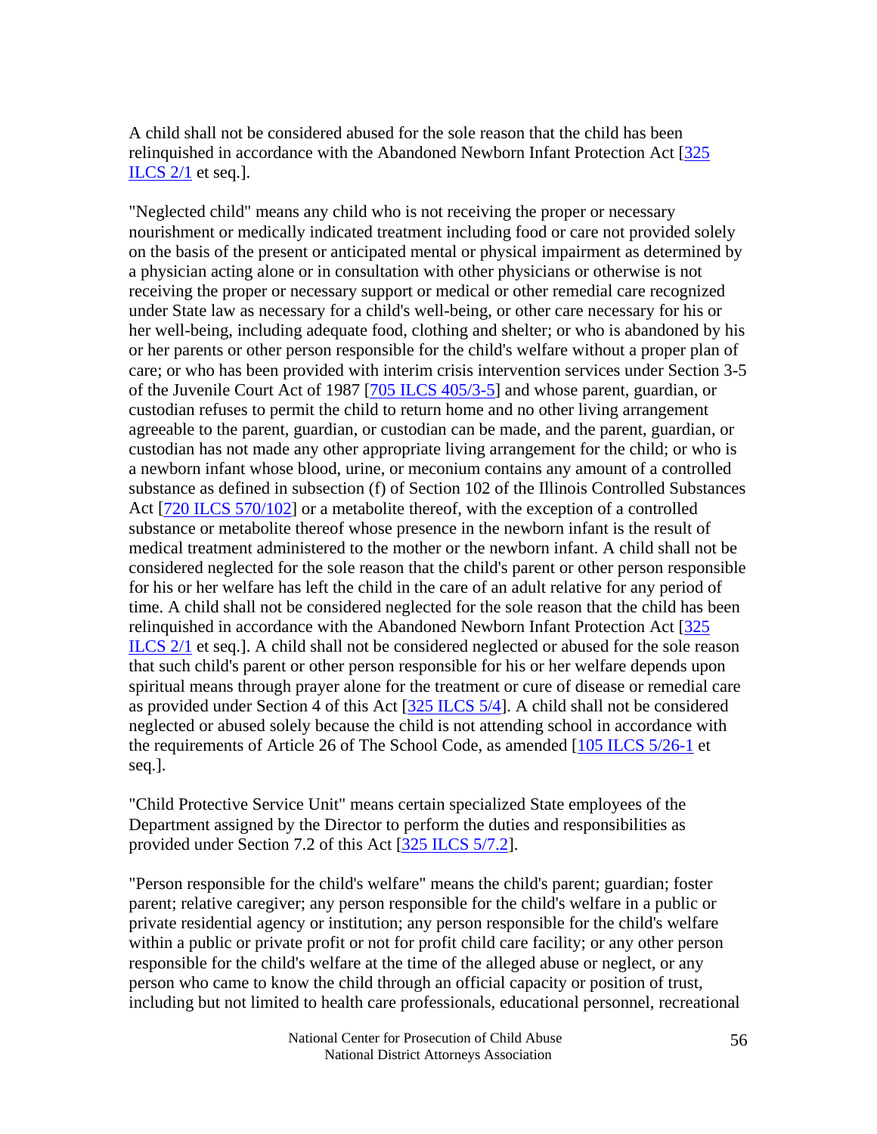A child shall not be considered abused for the sole reason that the child has been relinquished in accordance with the Abandoned Newborn Infant Protection Act [[325](https://www.lexis.com/research/buttonTFLink?_m=c7e82471aebe02d9145e9c354acc1565&_xfercite=%3ccite%20cc%3d%22USA%22%3e%3c%21%5bCDATA%5b325%20ILCS%205%2f3%5d%5d%3e%3c%2fcite%3e&_butType=4&_butStat=0&_butNum=8&_butInline=1&_butinfo=325%20ILCODE%202%2f1&_fmtstr=FULL&docnum=1&_startdoc=1&wchp=dGLbVlz-zSkAl&_md5=1af2a633c08229516cdde97b0413738a)   $ILCS 2/1$  et seq.].</u>

"Neglected child" means any child who is not receiving the proper or necessary nourishment or medically indicated treatment including food or care not provided solely on the basis of the present or anticipated mental or physical impairment as determined by a physician acting alone or in consultation with other physicians or otherwise is not receiving the proper or necessary support or medical or other remedial care recognized under State law as necessary for a child's well-being, or other care necessary for his or her well-being, including adequate food, clothing and shelter; or who is abandoned by his or her parents or other person responsible for the child's welfare without a proper plan of care; or who has been provided with interim crisis intervention services under Section 3-5 of the Juvenile Court Act of 1987 [\[705 ILCS 405/3-5\]](https://www.lexis.com/research/buttonTFLink?_m=c7e82471aebe02d9145e9c354acc1565&_xfercite=%3ccite%20cc%3d%22USA%22%3e%3c%21%5bCDATA%5b325%20ILCS%205%2f3%5d%5d%3e%3c%2fcite%3e&_butType=4&_butStat=0&_butNum=9&_butInline=1&_butinfo=705%20ILCODE%20405%2f3-5&_fmtstr=FULL&docnum=1&_startdoc=1&wchp=dGLbVlz-zSkAl&_md5=13b7fd04933303747de112046bd29594) and whose parent, guardian, or custodian refuses to permit the child to return home and no other living arrangement agreeable to the parent, guardian, or custodian can be made, and the parent, guardian, or custodian has not made any other appropriate living arrangement for the child; or who is a newborn infant whose blood, urine, or meconium contains any amount of a controlled substance as defined in subsection (f) of Section 102 of the Illinois Controlled Substances Act [\[720 ILCS 570/102\]](https://www.lexis.com/research/buttonTFLink?_m=c7e82471aebe02d9145e9c354acc1565&_xfercite=%3ccite%20cc%3d%22USA%22%3e%3c%21%5bCDATA%5b325%20ILCS%205%2f3%5d%5d%3e%3c%2fcite%3e&_butType=4&_butStat=0&_butNum=10&_butInline=1&_butinfo=720%20ILCODE%20570%2f102&_fmtstr=FULL&docnum=1&_startdoc=1&wchp=dGLbVlz-zSkAl&_md5=3eeec9d851b1a5df132d3bebdd45dbef) or a metabolite thereof, with the exception of a controlled substance or metabolite thereof whose presence in the newborn infant is the result of medical treatment administered to the mother or the newborn infant. A child shall not be considered neglected for the sole reason that the child's parent or other person responsible for his or her welfare has left the child in the care of an adult relative for any period of time. A child shall not be considered neglected for the sole reason that the child has been relinquished in accordance with the Abandoned Newborn Infant Protection Act [[325](https://www.lexis.com/research/buttonTFLink?_m=c7e82471aebe02d9145e9c354acc1565&_xfercite=%3ccite%20cc%3d%22USA%22%3e%3c%21%5bCDATA%5b325%20ILCS%205%2f3%5d%5d%3e%3c%2fcite%3e&_butType=4&_butStat=0&_butNum=11&_butInline=1&_butinfo=325%20ILCODE%202%2f1&_fmtstr=FULL&docnum=1&_startdoc=1&wchp=dGLbVlz-zSkAl&_md5=c3d591a84edf85bfc9fd90e51b63c690)  [ILCS 2/1](https://www.lexis.com/research/buttonTFLink?_m=c7e82471aebe02d9145e9c354acc1565&_xfercite=%3ccite%20cc%3d%22USA%22%3e%3c%21%5bCDATA%5b325%20ILCS%205%2f3%5d%5d%3e%3c%2fcite%3e&_butType=4&_butStat=0&_butNum=11&_butInline=1&_butinfo=325%20ILCODE%202%2f1&_fmtstr=FULL&docnum=1&_startdoc=1&wchp=dGLbVlz-zSkAl&_md5=c3d591a84edf85bfc9fd90e51b63c690) et seq.]. A child shall not be considered neglected or abused for the sole reason that such child's parent or other person responsible for his or her welfare depends upon spiritual means through prayer alone for the treatment or cure of disease or remedial care as provided under Section 4 of this Act [[325 ILCS 5/4\]](https://www.lexis.com/research/buttonTFLink?_m=c7e82471aebe02d9145e9c354acc1565&_xfercite=%3ccite%20cc%3d%22USA%22%3e%3c%21%5bCDATA%5b325%20ILCS%205%2f3%5d%5d%3e%3c%2fcite%3e&_butType=4&_butStat=0&_butNum=12&_butInline=1&_butinfo=325%20ILCODE%205%2f4&_fmtstr=FULL&docnum=1&_startdoc=1&wchp=dGLbVlz-zSkAl&_md5=9ba0f678fda1cc24a097b6321425fad9). A child shall not be considered neglected or abused solely because the child is not attending school in accordance with the requirements of Article 26 of The School Code, as amended [\[105 ILCS 5/26-1](https://www.lexis.com/research/buttonTFLink?_m=c7e82471aebe02d9145e9c354acc1565&_xfercite=%3ccite%20cc%3d%22USA%22%3e%3c%21%5bCDATA%5b325%20ILCS%205%2f3%5d%5d%3e%3c%2fcite%3e&_butType=4&_butStat=0&_butNum=13&_butInline=1&_butinfo=105%20ILCODE%205%2f26-1&_fmtstr=FULL&docnum=1&_startdoc=1&wchp=dGLbVlz-zSkAl&_md5=c236a888ab332c8f9c65713b6495ba05) et seq.].

"Child Protective Service Unit" means certain specialized State employees of the Department assigned by the Director to perform the duties and responsibilities as provided under Section 7.2 of this Act [[325 ILCS 5/7.2\]](https://www.lexis.com/research/buttonTFLink?_m=c7e82471aebe02d9145e9c354acc1565&_xfercite=%3ccite%20cc%3d%22USA%22%3e%3c%21%5bCDATA%5b325%20ILCS%205%2f3%5d%5d%3e%3c%2fcite%3e&_butType=4&_butStat=0&_butNum=14&_butInline=1&_butinfo=325%20ILCODE%205%2f7.2&_fmtstr=FULL&docnum=1&_startdoc=1&wchp=dGLbVlz-zSkAl&_md5=011baca6395a48951f9da17df77d18bc).

"Person responsible for the child's welfare" means the child's parent; guardian; foster parent; relative caregiver; any person responsible for the child's welfare in a public or private residential agency or institution; any person responsible for the child's welfare within a public or private profit or not for profit child care facility; or any other person responsible for the child's welfare at the time of the alleged abuse or neglect, or any person who came to know the child through an official capacity or position of trust, including but not limited to health care professionals, educational personnel, recreational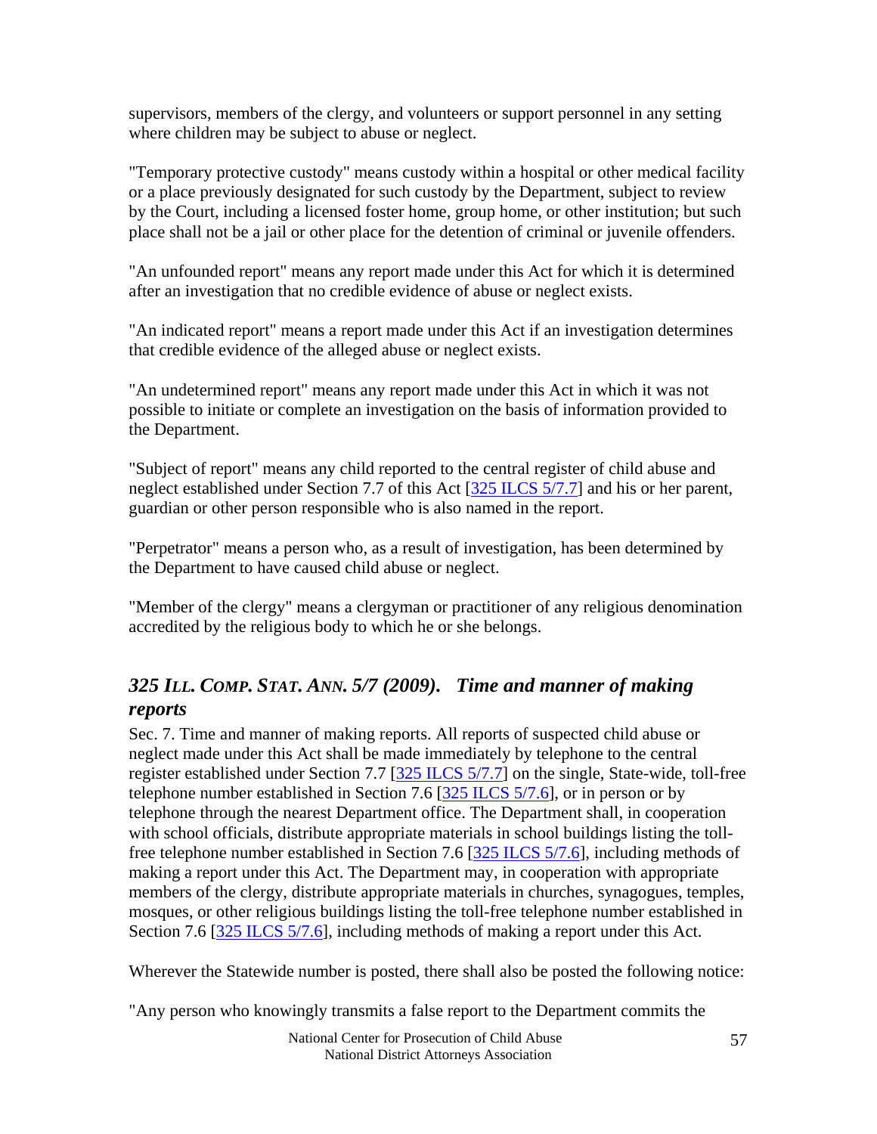supervisors, members of the clergy, and volunteers or support personnel in any setting where children may be subject to abuse or neglect.

"Temporary protective custody" means custody within a hospital or other medical facility or a place previously designated for such custody by the Department, subject to review by the Court, including a licensed foster home, group home, or other institution; but such place shall not be a jail or other place for the detention of criminal or juvenile offenders.

"An unfounded report" means any report made under this Act for which it is determined after an investigation that no credible evidence of abuse or neglect exists.

"An indicated report" means a report made under this Act if an investigation determines that credible evidence of the alleged abuse or neglect exists.

"An undetermined report" means any report made under this Act in which it was not possible to initiate or complete an investigation on the basis of information provided to the Department.

"Subject of report" means any child reported to the central register of child abuse and neglect established under Section 7.7 of this Act [[325 ILCS 5/7.7](https://www.lexis.com/research/buttonTFLink?_m=c7e82471aebe02d9145e9c354acc1565&_xfercite=%3ccite%20cc%3d%22USA%22%3e%3c%21%5bCDATA%5b325%20ILCS%205%2f3%5d%5d%3e%3c%2fcite%3e&_butType=4&_butStat=0&_butNum=15&_butInline=1&_butinfo=325%20ILCODE%205%2f7.7&_fmtstr=FULL&docnum=1&_startdoc=1&wchp=dGLbVlz-zSkAl&_md5=7c32037907fa2aa6e51ecd60bdcb3e9e)] and his or her parent, guardian or other person responsible who is also named in the report.

"Perpetrator" means a person who, as a result of investigation, has been determined by the Department to have caused child abuse or neglect.

"Member of the clergy" means a clergyman or practitioner of any religious denomination accredited by the religious body to which he or she belongs.

### *325 ILL. COMP. STAT. ANN. 5/7 (2009). Time and manner of making reports*

Sec. 7. Time and manner of making reports. All reports of suspected child abuse or neglect made under this Act shall be made immediately by telephone to the central register established under Section 7.7 [[325 ILCS 5/7.7\]](https://www.lexis.com/research/buttonTFLink?_m=1af31ff9a064469656d097231892a3cf&_xfercite=%3ccite%20cc%3d%22USA%22%3e%3c%21%5bCDATA%5b325%20ILCS%205%2f7%5d%5d%3e%3c%2fcite%3e&_butType=4&_butStat=0&_butNum=2&_butInline=1&_butinfo=325%20ILCODE%205%2f7.7&_fmtstr=FULL&docnum=1&_startdoc=1&wchp=dGLbVlz-zSkAl&_md5=bdff1ca35802951b3fa3cf4e73880b34) on the single, State-wide, toll-free telephone number established in Section 7.6  $[325$  ILCS 5/7.6], or in person or by telephone through the nearest Department office. The Department shall, in cooperation with school officials, distribute appropriate materials in school buildings listing the tollfree telephone number established in Section 7.6 [\[325 ILCS 5/7.6\]](https://www.lexis.com/research/buttonTFLink?_m=1af31ff9a064469656d097231892a3cf&_xfercite=%3ccite%20cc%3d%22USA%22%3e%3c%21%5bCDATA%5b325%20ILCS%205%2f7%5d%5d%3e%3c%2fcite%3e&_butType=4&_butStat=0&_butNum=4&_butInline=1&_butinfo=325%20ILCODE%205%2f7.6&_fmtstr=FULL&docnum=1&_startdoc=1&wchp=dGLbVlz-zSkAl&_md5=dfb8edded78bc238704e3e7d06c17742), including methods of making a report under this Act. The Department may, in cooperation with appropriate members of the clergy, distribute appropriate materials in churches, synagogues, temples, mosques, or other religious buildings listing the toll-free telephone number established in Section 7.6 [\[325 ILCS 5/7.6](https://www.lexis.com/research/buttonTFLink?_m=1af31ff9a064469656d097231892a3cf&_xfercite=%3ccite%20cc%3d%22USA%22%3e%3c%21%5bCDATA%5b325%20ILCS%205%2f7%5d%5d%3e%3c%2fcite%3e&_butType=4&_butStat=0&_butNum=5&_butInline=1&_butinfo=325%20ILCODE%205%2f7.6&_fmtstr=FULL&docnum=1&_startdoc=1&wchp=dGLbVlz-zSkAl&_md5=10ff7b50020e269936a03d807d0d8335)], including methods of making a report under this Act.

Wherever the Statewide number is posted, there shall also be posted the following notice:

"Any person who knowingly transmits a false report to the Department commits the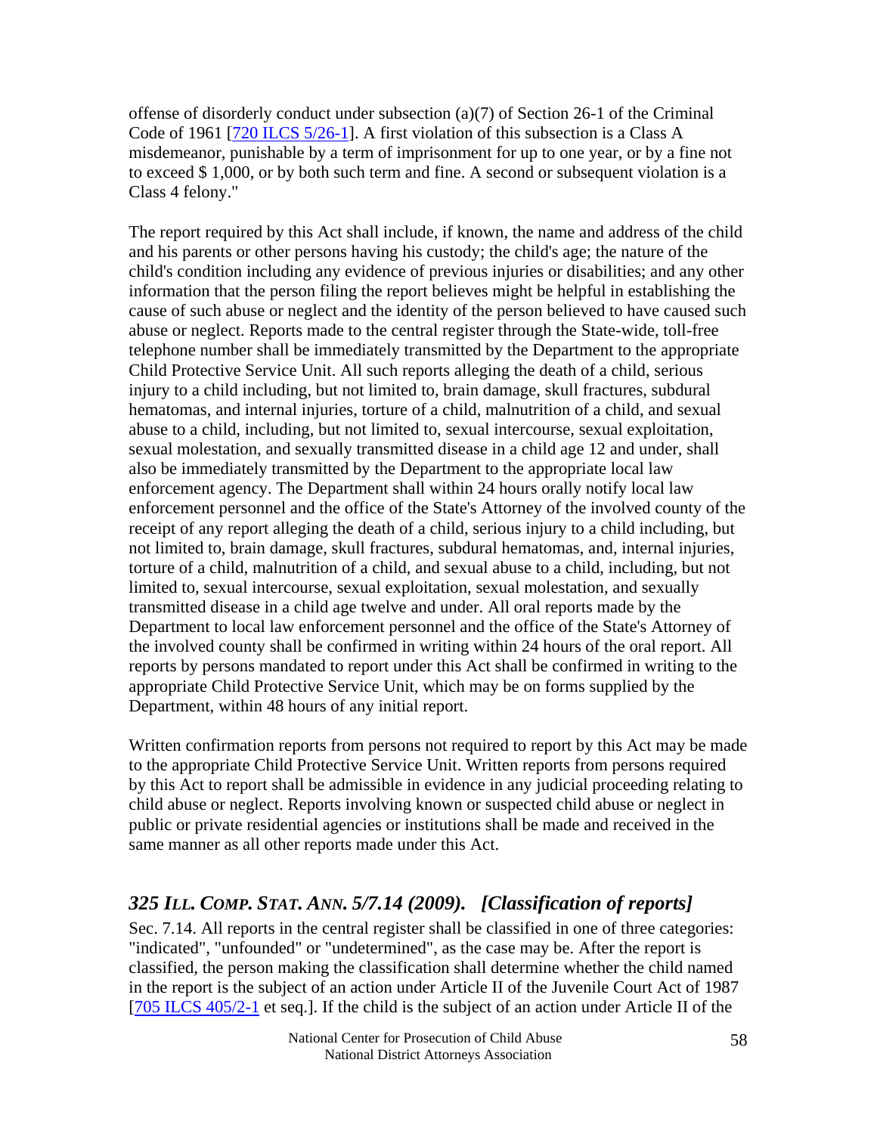offense of disorderly conduct under subsection (a)(7) of Section 26-1 of the Criminal Code of 1961 [\[720 ILCS 5/26-1\]](https://www.lexis.com/research/buttonTFLink?_m=1af31ff9a064469656d097231892a3cf&_xfercite=%3ccite%20cc%3d%22USA%22%3e%3c%21%5bCDATA%5b325%20ILCS%205%2f7%5d%5d%3e%3c%2fcite%3e&_butType=4&_butStat=0&_butNum=6&_butInline=1&_butinfo=720%20ILCODE%205%2f26-1&_fmtstr=FULL&docnum=1&_startdoc=1&wchp=dGLbVlz-zSkAl&_md5=f8773c8044d63b89c56a254aa6f6bd2d). A first violation of this subsection is a Class A misdemeanor, punishable by a term of imprisonment for up to one year, or by a fine not to exceed \$ 1,000, or by both such term and fine. A second or subsequent violation is a Class 4 felony."

The report required by this Act shall include, if known, the name and address of the child and his parents or other persons having his custody; the child's age; the nature of the child's condition including any evidence of previous injuries or disabilities; and any other information that the person filing the report believes might be helpful in establishing the cause of such abuse or neglect and the identity of the person believed to have caused such abuse or neglect. Reports made to the central register through the State-wide, toll-free telephone number shall be immediately transmitted by the Department to the appropriate Child Protective Service Unit. All such reports alleging the death of a child, serious injury to a child including, but not limited to, brain damage, skull fractures, subdural hematomas, and internal injuries, torture of a child, malnutrition of a child, and sexual abuse to a child, including, but not limited to, sexual intercourse, sexual exploitation, sexual molestation, and sexually transmitted disease in a child age 12 and under, shall also be immediately transmitted by the Department to the appropriate local law enforcement agency. The Department shall within 24 hours orally notify local law enforcement personnel and the office of the State's Attorney of the involved county of the receipt of any report alleging the death of a child, serious injury to a child including, but not limited to, brain damage, skull fractures, subdural hematomas, and, internal injuries, torture of a child, malnutrition of a child, and sexual abuse to a child, including, but not limited to, sexual intercourse, sexual exploitation, sexual molestation, and sexually transmitted disease in a child age twelve and under. All oral reports made by the Department to local law enforcement personnel and the office of the State's Attorney of the involved county shall be confirmed in writing within 24 hours of the oral report. All reports by persons mandated to report under this Act shall be confirmed in writing to the appropriate Child Protective Service Unit, which may be on forms supplied by the Department, within 48 hours of any initial report.

Written confirmation reports from persons not required to report by this Act may be made to the appropriate Child Protective Service Unit. Written reports from persons required by this Act to report shall be admissible in evidence in any judicial proceeding relating to child abuse or neglect. Reports involving known or suspected child abuse or neglect in public or private residential agencies or institutions shall be made and received in the same manner as all other reports made under this Act.

### *325 ILL. COMP. STAT. ANN. 5/7.14 (2009). [Classification of reports]*

Sec. 7.14. All reports in the central register shall be classified in one of three categories: "indicated", "unfounded" or "undetermined", as the case may be. After the report is classified, the person making the classification shall determine whether the child named in the report is the subject of an action under Article II of the Juvenile Court Act of 1987 [[705 ILCS 405/2-1](https://www.lexis.com/research/buttonTFLink?_m=f769e27c33733a135bbb2b57ede132d7&_xfercite=%3ccite%20cc%3d%22USA%22%3e%3c%21%5bCDATA%5b325%20ILCS%205%2f7.14%5d%5d%3e%3c%2fcite%3e&_butType=4&_butStat=0&_butNum=2&_butInline=1&_butinfo=705%20ILCODE%20405%2f2-1&_fmtstr=FULL&docnum=1&_startdoc=1&wchp=dGLbVlz-zSkAl&_md5=8d507deece7f476437fe7ef07cc288eb) et seq.]. If the child is the subject of an action under Article II of the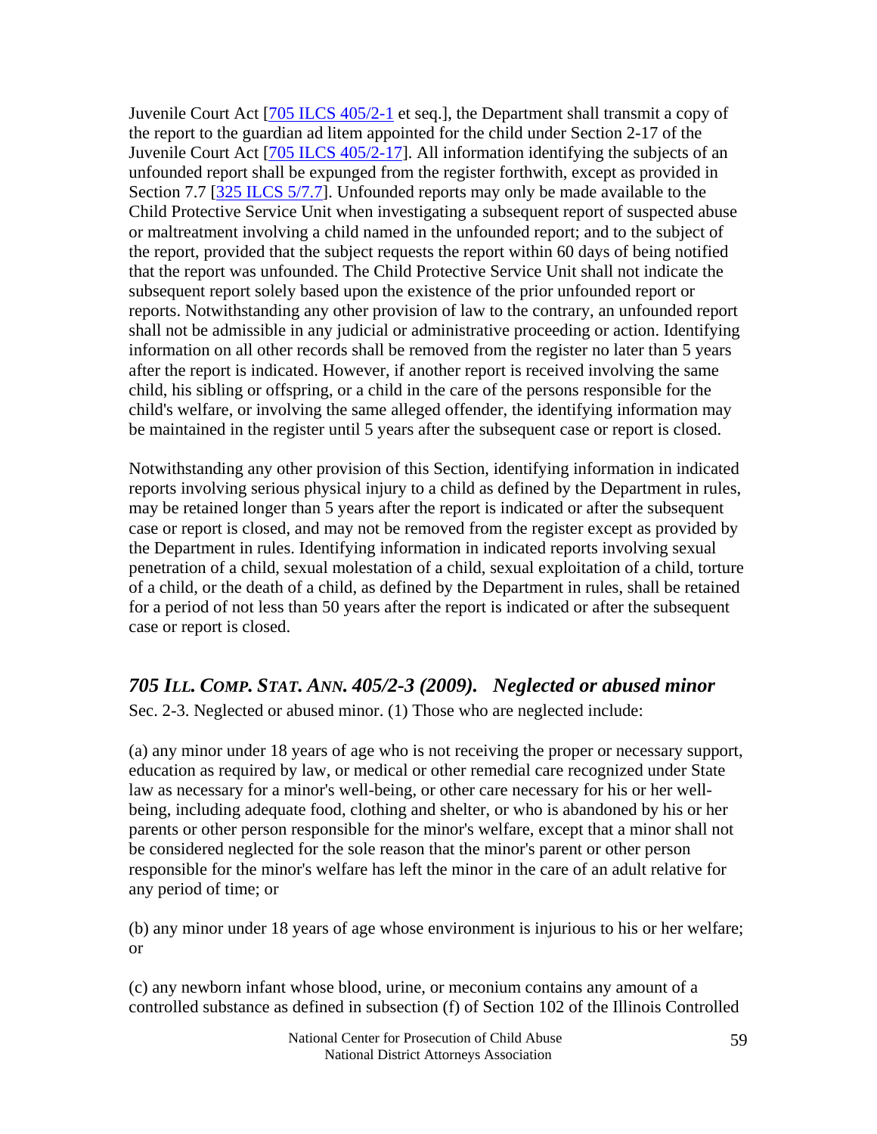Juvenile Court Act [[705 ILCS 405/2-1](https://www.lexis.com/research/buttonTFLink?_m=f769e27c33733a135bbb2b57ede132d7&_xfercite=%3ccite%20cc%3d%22USA%22%3e%3c%21%5bCDATA%5b325%20ILCS%205%2f7.14%5d%5d%3e%3c%2fcite%3e&_butType=4&_butStat=0&_butNum=3&_butInline=1&_butinfo=705%20ILCODE%20405%2f2-1&_fmtstr=FULL&docnum=1&_startdoc=1&wchp=dGLbVlz-zSkAl&_md5=b329db98e1314948baa08dcca33c935e) et seq.], the Department shall transmit a copy of the report to the guardian ad litem appointed for the child under Section 2-17 of the Juvenile Court Act [[705 ILCS 405/2-17](https://www.lexis.com/research/buttonTFLink?_m=f769e27c33733a135bbb2b57ede132d7&_xfercite=%3ccite%20cc%3d%22USA%22%3e%3c%21%5bCDATA%5b325%20ILCS%205%2f7.14%5d%5d%3e%3c%2fcite%3e&_butType=4&_butStat=0&_butNum=4&_butInline=1&_butinfo=705%20ILCODE%20405%2f2-17&_fmtstr=FULL&docnum=1&_startdoc=1&wchp=dGLbVlz-zSkAl&_md5=289581a81e35940121a49be53e32e37c)]. All information identifying the subjects of an unfounded report shall be expunged from the register forthwith, except as provided in Section 7.7 [\[325 ILCS 5/7.7](https://www.lexis.com/research/buttonTFLink?_m=f769e27c33733a135bbb2b57ede132d7&_xfercite=%3ccite%20cc%3d%22USA%22%3e%3c%21%5bCDATA%5b325%20ILCS%205%2f7.14%5d%5d%3e%3c%2fcite%3e&_butType=4&_butStat=0&_butNum=5&_butInline=1&_butinfo=325%20ILCODE%205%2f7.7&_fmtstr=FULL&docnum=1&_startdoc=1&wchp=dGLbVlz-zSkAl&_md5=71931a04343cab0408fbdd2e1600d4a6)]. Unfounded reports may only be made available to the Child Protective Service Unit when investigating a subsequent report of suspected abuse or maltreatment involving a child named in the unfounded report; and to the subject of the report, provided that the subject requests the report within 60 days of being notified that the report was unfounded. The Child Protective Service Unit shall not indicate the subsequent report solely based upon the existence of the prior unfounded report or reports. Notwithstanding any other provision of law to the contrary, an unfounded report shall not be admissible in any judicial or administrative proceeding or action. Identifying information on all other records shall be removed from the register no later than 5 years after the report is indicated. However, if another report is received involving the same child, his sibling or offspring, or a child in the care of the persons responsible for the child's welfare, or involving the same alleged offender, the identifying information may be maintained in the register until 5 years after the subsequent case or report is closed.

Notwithstanding any other provision of this Section, identifying information in indicated reports involving serious physical injury to a child as defined by the Department in rules, may be retained longer than 5 years after the report is indicated or after the subsequent case or report is closed, and may not be removed from the register except as provided by the Department in rules. Identifying information in indicated reports involving sexual penetration of a child, sexual molestation of a child, sexual exploitation of a child, torture of a child, or the death of a child, as defined by the Department in rules, shall be retained for a period of not less than 50 years after the report is indicated or after the subsequent case or report is closed.

## *705 ILL. COMP. STAT. ANN. 405/2-3 (2009). Neglected or abused minor*

Sec. 2-3. Neglected or abused minor. (1) Those who are neglected include:

(a) any minor under 18 years of age who is not receiving the proper or necessary support, education as required by law, or medical or other remedial care recognized under State law as necessary for a minor's well-being, or other care necessary for his or her wellbeing, including adequate food, clothing and shelter, or who is abandoned by his or her parents or other person responsible for the minor's welfare, except that a minor shall not be considered neglected for the sole reason that the minor's parent or other person responsible for the minor's welfare has left the minor in the care of an adult relative for any period of time; or

(b) any minor under 18 years of age whose environment is injurious to his or her welfare; or

(c) any newborn infant whose blood, urine, or meconium contains any amount of a controlled substance as defined in subsection (f) of Section 102 of the Illinois Controlled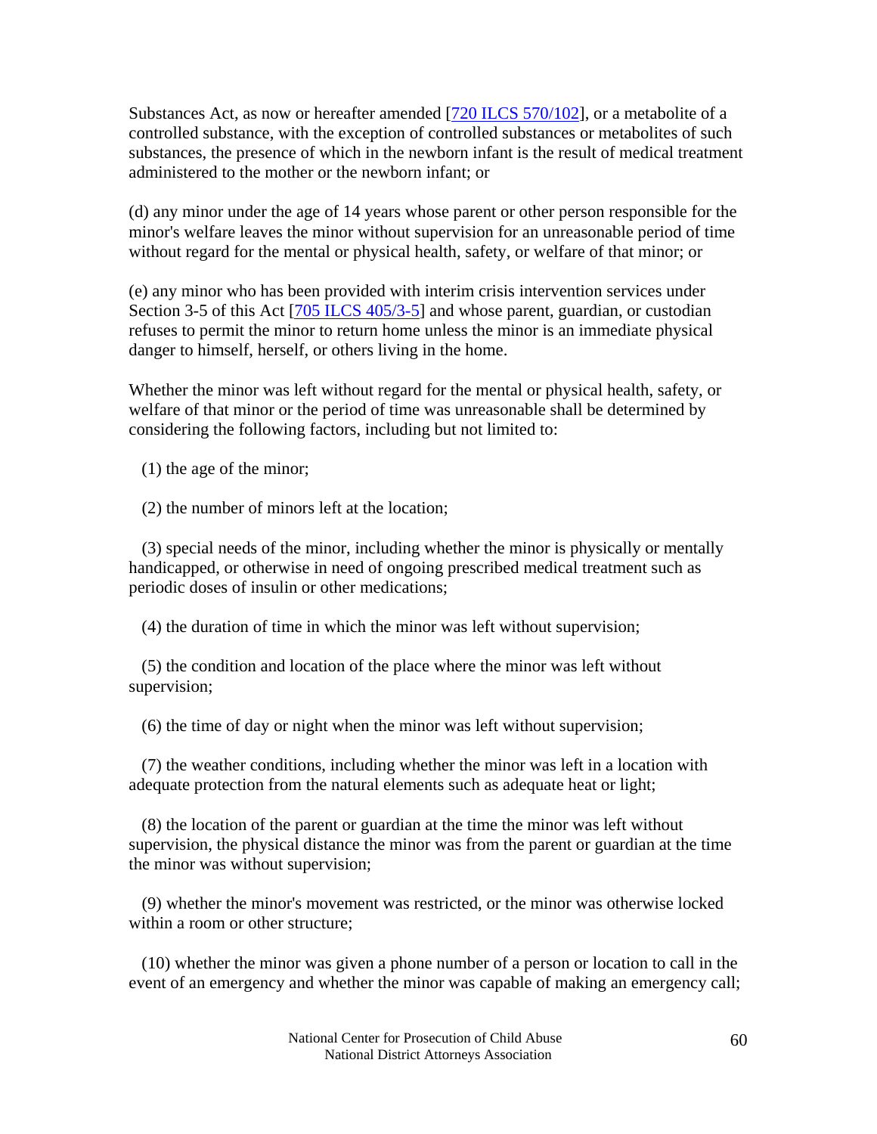Substances Act, as now or hereafter amended [\[720 ILCS 570/102\]](https://www.lexis.com/research/buttonTFLink?_m=955e2d3190b43872ea2ba09d10033ea6&_xfercite=%3ccite%20cc%3d%22USA%22%3e%3c%21%5bCDATA%5b705%20ILCS%20405%2f2-3%5d%5d%3e%3c%2fcite%3e&_butType=4&_butStat=0&_butNum=2&_butInline=1&_butinfo=720%20ILCODE%20570%2f102&_fmtstr=FULL&docnum=1&_startdoc=1&wchp=dGLbVlz-zSkAl&_md5=11088ddda13de586d0a34dfcedfdb20d), or a metabolite of a controlled substance, with the exception of controlled substances or metabolites of such substances, the presence of which in the newborn infant is the result of medical treatment administered to the mother or the newborn infant; or

(d) any minor under the age of 14 years whose parent or other person responsible for the minor's welfare leaves the minor without supervision for an unreasonable period of time without regard for the mental or physical health, safety, or welfare of that minor; or

(e) any minor who has been provided with interim crisis intervention services under Section 3-5 of this Act [[705 ILCS 405/3-5\]](https://www.lexis.com/research/buttonTFLink?_m=955e2d3190b43872ea2ba09d10033ea6&_xfercite=%3ccite%20cc%3d%22USA%22%3e%3c%21%5bCDATA%5b705%20ILCS%20405%2f2-3%5d%5d%3e%3c%2fcite%3e&_butType=4&_butStat=0&_butNum=3&_butInline=1&_butinfo=705%20ILCODE%20405%2f3-5&_fmtstr=FULL&docnum=1&_startdoc=1&wchp=dGLbVlz-zSkAl&_md5=ce03f58cc98ac1ea546c58151852d493) and whose parent, guardian, or custodian refuses to permit the minor to return home unless the minor is an immediate physical danger to himself, herself, or others living in the home.

Whether the minor was left without regard for the mental or physical health, safety, or welfare of that minor or the period of time was unreasonable shall be determined by considering the following factors, including but not limited to:

(1) the age of the minor;

(2) the number of minors left at the location;

 (3) special needs of the minor, including whether the minor is physically or mentally handicapped, or otherwise in need of ongoing prescribed medical treatment such as periodic doses of insulin or other medications;

(4) the duration of time in which the minor was left without supervision;

 (5) the condition and location of the place where the minor was left without supervision;

(6) the time of day or night when the minor was left without supervision;

 (7) the weather conditions, including whether the minor was left in a location with adequate protection from the natural elements such as adequate heat or light;

 (8) the location of the parent or guardian at the time the minor was left without supervision, the physical distance the minor was from the parent or guardian at the time the minor was without supervision;

 (9) whether the minor's movement was restricted, or the minor was otherwise locked within a room or other structure;

 (10) whether the minor was given a phone number of a person or location to call in the event of an emergency and whether the minor was capable of making an emergency call;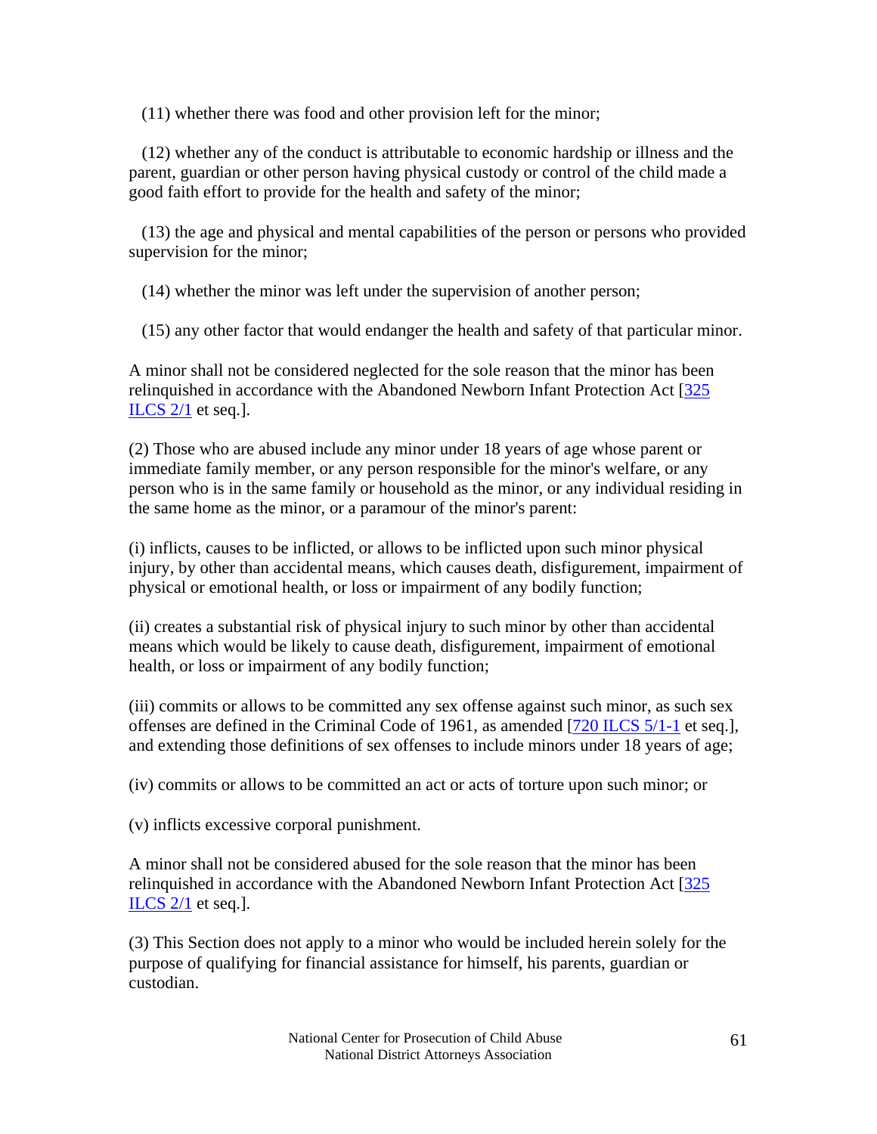(11) whether there was food and other provision left for the minor;

 (12) whether any of the conduct is attributable to economic hardship or illness and the parent, guardian or other person having physical custody or control of the child made a good faith effort to provide for the health and safety of the minor;

 (13) the age and physical and mental capabilities of the person or persons who provided supervision for the minor;

(14) whether the minor was left under the supervision of another person;

(15) any other factor that would endanger the health and safety of that particular minor.

A minor shall not be considered neglected for the sole reason that the minor has been relinquished in accordance with the Abandoned Newborn Infant Protection Act [[325](https://www.lexis.com/research/buttonTFLink?_m=955e2d3190b43872ea2ba09d10033ea6&_xfercite=%3ccite%20cc%3d%22USA%22%3e%3c%21%5bCDATA%5b705%20ILCS%20405%2f2-3%5d%5d%3e%3c%2fcite%3e&_butType=4&_butStat=0&_butNum=4&_butInline=1&_butinfo=325%20ILCODE%202%2f1&_fmtstr=FULL&docnum=1&_startdoc=1&wchp=dGLbVlz-zSkAl&_md5=03ec9c5152816814dd06923b8dd83e14)  [ILCS 2/1](https://www.lexis.com/research/buttonTFLink?_m=955e2d3190b43872ea2ba09d10033ea6&_xfercite=%3ccite%20cc%3d%22USA%22%3e%3c%21%5bCDATA%5b705%20ILCS%20405%2f2-3%5d%5d%3e%3c%2fcite%3e&_butType=4&_butStat=0&_butNum=4&_butInline=1&_butinfo=325%20ILCODE%202%2f1&_fmtstr=FULL&docnum=1&_startdoc=1&wchp=dGLbVlz-zSkAl&_md5=03ec9c5152816814dd06923b8dd83e14) et seq.].

(2) Those who are abused include any minor under 18 years of age whose parent or immediate family member, or any person responsible for the minor's welfare, or any person who is in the same family or household as the minor, or any individual residing in the same home as the minor, or a paramour of the minor's parent:

(i) inflicts, causes to be inflicted, or allows to be inflicted upon such minor physical injury, by other than accidental means, which causes death, disfigurement, impairment of physical or emotional health, or loss or impairment of any bodily function;

(ii) creates a substantial risk of physical injury to such minor by other than accidental means which would be likely to cause death, disfigurement, impairment of emotional health, or loss or impairment of any bodily function;

(iii) commits or allows to be committed any sex offense against such minor, as such sex offenses are defined in the Criminal Code of 1961, as amended [\[720 ILCS 5/1-1](https://www.lexis.com/research/buttonTFLink?_m=955e2d3190b43872ea2ba09d10033ea6&_xfercite=%3ccite%20cc%3d%22USA%22%3e%3c%21%5bCDATA%5b705%20ILCS%20405%2f2-3%5d%5d%3e%3c%2fcite%3e&_butType=4&_butStat=0&_butNum=5&_butInline=1&_butinfo=720%20ILCODE%205%2f1-1&_fmtstr=FULL&docnum=1&_startdoc=1&wchp=dGLbVlz-zSkAl&_md5=ae6dc00efc5a89f58a6f3a14197adb65) et seq.], and extending those definitions of sex offenses to include minors under 18 years of age;

(iv) commits or allows to be committed an act or acts of torture upon such minor; or

(v) inflicts excessive corporal punishment.

A minor shall not be considered abused for the sole reason that the minor has been relinquished in accordance with the Abandoned Newborn Infant Protection Act [[325](https://www.lexis.com/research/buttonTFLink?_m=955e2d3190b43872ea2ba09d10033ea6&_xfercite=%3ccite%20cc%3d%22USA%22%3e%3c%21%5bCDATA%5b705%20ILCS%20405%2f2-3%5d%5d%3e%3c%2fcite%3e&_butType=4&_butStat=0&_butNum=6&_butInline=1&_butinfo=325%20ILCODE%202%2f1&_fmtstr=FULL&docnum=1&_startdoc=1&wchp=dGLbVlz-zSkAl&_md5=8add887bc12bbc736d83aed8c0f11628)   $ILCS 2/1$  et seq.].</u>

(3) This Section does not apply to a minor who would be included herein solely for the purpose of qualifying for financial assistance for himself, his parents, guardian or custodian.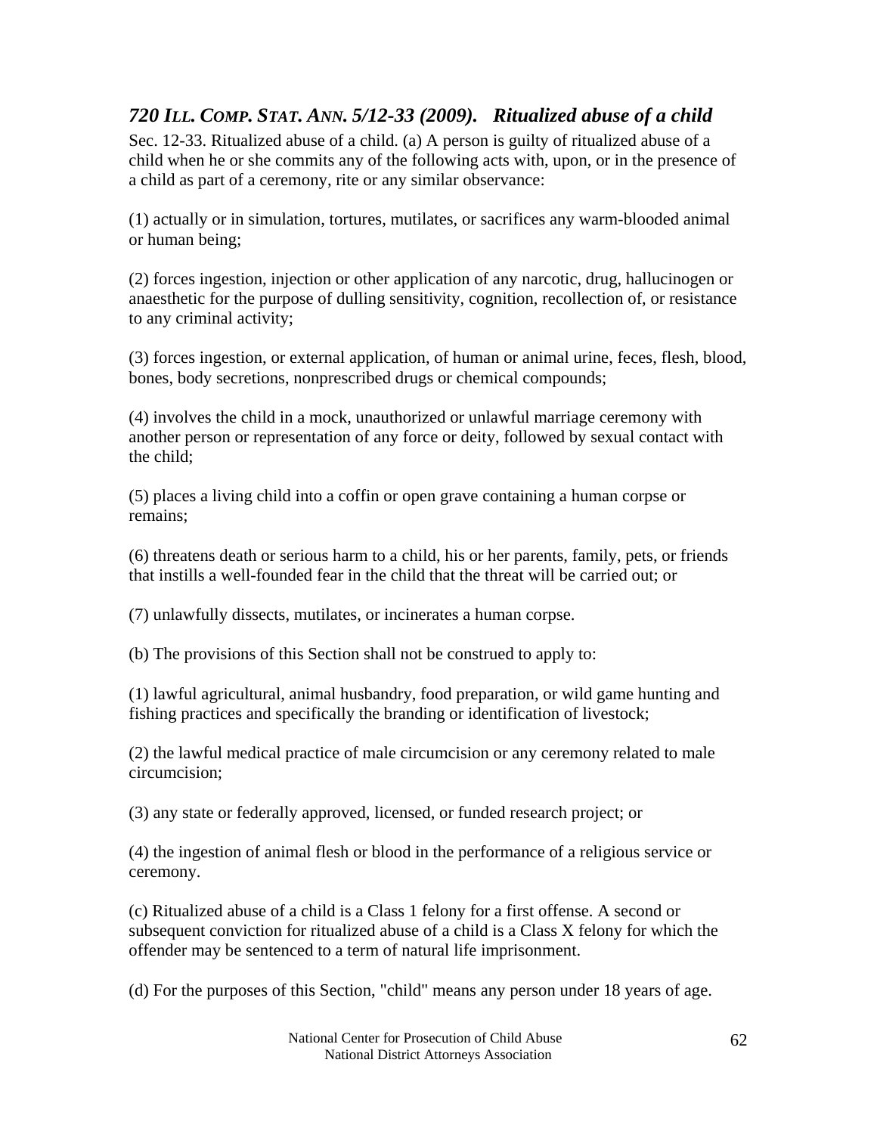### *720 ILL. COMP. STAT. ANN. 5/12-33 (2009). Ritualized abuse of a child*

Sec. 12-33. Ritualized abuse of a child. (a) A person is guilty of ritualized abuse of a child when he or she commits any of the following acts with, upon, or in the presence of a child as part of a ceremony, rite or any similar observance:

(1) actually or in simulation, tortures, mutilates, or sacrifices any warm-blooded animal or human being;

(2) forces ingestion, injection or other application of any narcotic, drug, hallucinogen or anaesthetic for the purpose of dulling sensitivity, cognition, recollection of, or resistance to any criminal activity;

(3) forces ingestion, or external application, of human or animal urine, feces, flesh, blood, bones, body secretions, nonprescribed drugs or chemical compounds;

(4) involves the child in a mock, unauthorized or unlawful marriage ceremony with another person or representation of any force or deity, followed by sexual contact with the child;

(5) places a living child into a coffin or open grave containing a human corpse or remains;

(6) threatens death or serious harm to a child, his or her parents, family, pets, or friends that instills a well-founded fear in the child that the threat will be carried out; or

(7) unlawfully dissects, mutilates, or incinerates a human corpse.

(b) The provisions of this Section shall not be construed to apply to:

(1) lawful agricultural, animal husbandry, food preparation, or wild game hunting and fishing practices and specifically the branding or identification of livestock;

(2) the lawful medical practice of male circumcision or any ceremony related to male circumcision;

(3) any state or federally approved, licensed, or funded research project; or

(4) the ingestion of animal flesh or blood in the performance of a religious service or ceremony.

(c) Ritualized abuse of a child is a Class 1 felony for a first offense. A second or subsequent conviction for ritualized abuse of a child is a Class X felony for which the offender may be sentenced to a term of natural life imprisonment.

(d) For the purposes of this Section, "child" means any person under 18 years of age.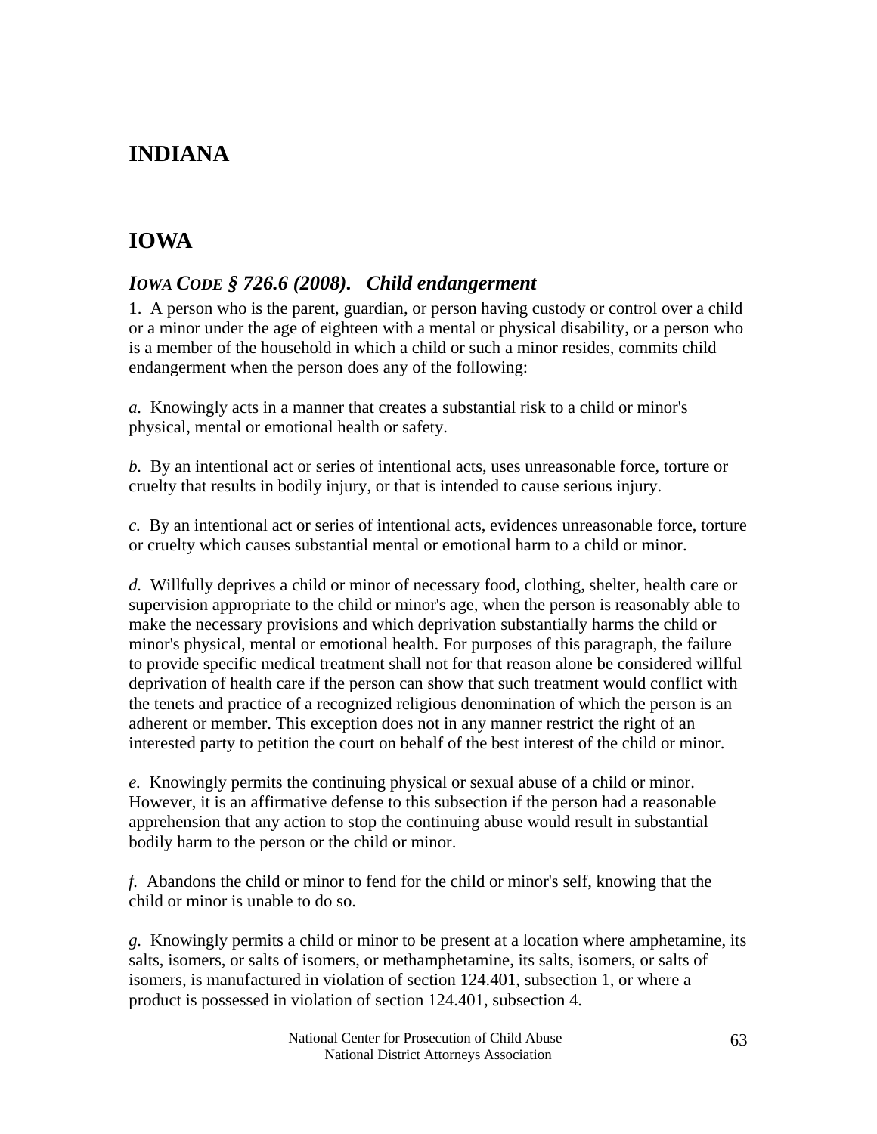## **INDIANA**

# **IOWA**

### *IOWA CODE § 726.6 (2008). Child endangerment*

1. A person who is the parent, guardian, or person having custody or control over a child or a minor under the age of eighteen with a mental or physical disability, or a person who is a member of the household in which a child or such a minor resides, commits child endangerment when the person does any of the following:

*a.* Knowingly acts in a manner that creates a substantial risk to a child or minor's physical, mental or emotional health or safety.

*b.* By an intentional act or series of intentional acts, uses unreasonable force, torture or cruelty that results in bodily injury, or that is intended to cause serious injury.

*c.* By an intentional act or series of intentional acts, evidences unreasonable force, torture or cruelty which causes substantial mental or emotional harm to a child or minor.

*d.* Willfully deprives a child or minor of necessary food, clothing, shelter, health care or supervision appropriate to the child or minor's age, when the person is reasonably able to make the necessary provisions and which deprivation substantially harms the child or minor's physical, mental or emotional health. For purposes of this paragraph, the failure to provide specific medical treatment shall not for that reason alone be considered willful deprivation of health care if the person can show that such treatment would conflict with the tenets and practice of a recognized religious denomination of which the person is an adherent or member. This exception does not in any manner restrict the right of an interested party to petition the court on behalf of the best interest of the child or minor.

*e.* Knowingly permits the continuing physical or sexual abuse of a child or minor. However, it is an affirmative defense to this subsection if the person had a reasonable apprehension that any action to stop the continuing abuse would result in substantial bodily harm to the person or the child or minor.

*f.* Abandons the child or minor to fend for the child or minor's self, knowing that the child or minor is unable to do so.

*g.* Knowingly permits a child or minor to be present at a location where amphetamine, its salts, isomers, or salts of isomers, or methamphetamine, its salts, isomers, or salts of isomers, is manufactured in violation of section 124.401, subsection 1, or where a product is possessed in violation of section 124.401, subsection 4.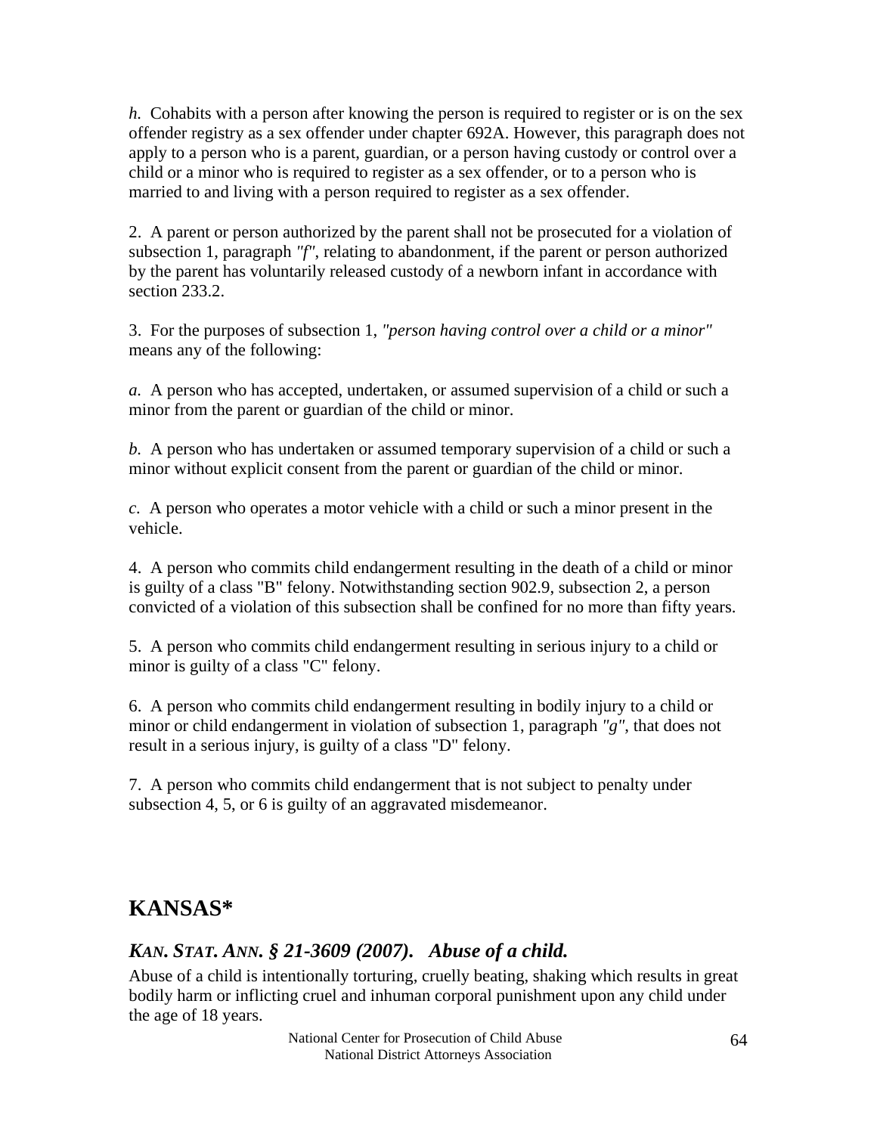*h.* Cohabits with a person after knowing the person is required to register or is on the sex offender registry as a sex offender under chapter 692A. However, this paragraph does not apply to a person who is a parent, guardian, or a person having custody or control over a child or a minor who is required to register as a sex offender, or to a person who is married to and living with a person required to register as a sex offender.

2. A parent or person authorized by the parent shall not be prosecuted for a violation of subsection 1, paragraph *"f"*, relating to abandonment, if the parent or person authorized by the parent has voluntarily released custody of a newborn infant in accordance with section 233.2.

3. For the purposes of subsection 1, *"person having control over a child or a minor"* means any of the following:

*a.* A person who has accepted, undertaken, or assumed supervision of a child or such a minor from the parent or guardian of the child or minor.

*b.* A person who has undertaken or assumed temporary supervision of a child or such a minor without explicit consent from the parent or guardian of the child or minor.

*c.* A person who operates a motor vehicle with a child or such a minor present in the vehicle.

4. A person who commits child endangerment resulting in the death of a child or minor is guilty of a class "B" felony. Notwithstanding section 902.9, subsection 2, a person convicted of a violation of this subsection shall be confined for no more than fifty years.

5. A person who commits child endangerment resulting in serious injury to a child or minor is guilty of a class "C" felony.

6. A person who commits child endangerment resulting in bodily injury to a child or minor or child endangerment in violation of subsection 1, paragraph *"g"*, that does not result in a serious injury, is guilty of a class "D" felony.

7. A person who commits child endangerment that is not subject to penalty under subsection 4, 5, or 6 is guilty of an aggravated misdemeanor.

## **KANSAS\***

### *KAN. STAT. ANN. § 21-3609 (2007). Abuse of a child.*

Abuse of a child is intentionally torturing, cruelly beating, shaking which results in great bodily harm or inflicting cruel and inhuman corporal punishment upon any child under the age of 18 years.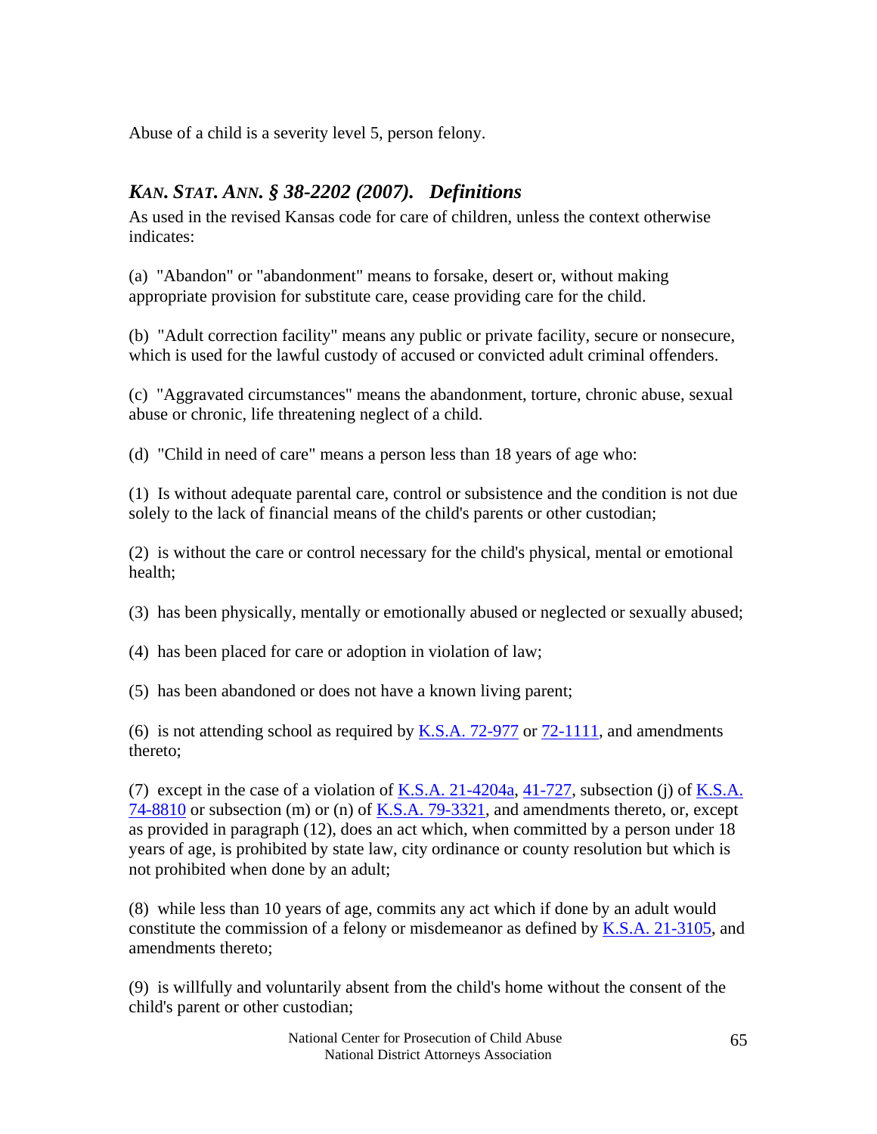Abuse of a child is a severity level 5, person felony.

#### *KAN. STAT. ANN. § 38-2202 (2007). Definitions*

As used in the revised Kansas code for care of children, unless the context otherwise indicates:

(a) "Abandon" or "abandonment" means to forsake, desert or, without making appropriate provision for substitute care, cease providing care for the child.

(b) "Adult correction facility" means any public or private facility, secure or nonsecure, which is used for the lawful custody of accused or convicted adult criminal offenders.

(c) "Aggravated circumstances" means the abandonment, torture, chronic abuse, sexual abuse or chronic, life threatening neglect of a child.

(d) "Child in need of care" means a person less than 18 years of age who:

(1) Is without adequate parental care, control or subsistence and the condition is not due solely to the lack of financial means of the child's parents or other custodian;

(2) is without the care or control necessary for the child's physical, mental or emotional health;

(3) has been physically, mentally or emotionally abused or neglected or sexually abused;

(4) has been placed for care or adoption in violation of law;

(5) has been abandoned or does not have a known living parent;

(6) is not attending school as required by  $K.S.A. 72-977$  or  $72-1111$ , and amendments thereto;

(7) except in the case of a violation of <u>[K.S.A. 21-4204a](https://www.lexis.com/research/buttonTFLink?_m=7d910ec11f7e95472a8f5ea77d40b35a&_xfercite=%3ccite%20cc%3d%22USA%22%3e%3c%21%5bCDATA%5bK.S.A.%20%a7%2038-2202%5d%5d%3e%3c%2fcite%3e&_butType=4&_butStat=0&_butNum=5&_butInline=1&_butinfo=KSCODE%2021-4204A&_fmtstr=FULL&docnum=1&_startdoc=1&wchp=dGLbVlz-zSkAl&_md5=013714176694ded2eab27040c350d553), [41-727](https://www.lexis.com/research/buttonTFLink?_m=7d910ec11f7e95472a8f5ea77d40b35a&_xfercite=%3ccite%20cc%3d%22USA%22%3e%3c%21%5bCDATA%5bK.S.A.%20%a7%2038-2202%5d%5d%3e%3c%2fcite%3e&_butType=4&_butStat=0&_butNum=6&_butInline=1&_butinfo=KSCODE%2041-727&_fmtstr=FULL&docnum=1&_startdoc=1&wchp=dGLbVlz-zSkAl&_md5=4af0fd457f70f8d12762bd84ca494ec4)</u>, subsection (j) of <u>K.S.A.</u> [74-8810](https://www.lexis.com/research/buttonTFLink?_m=7d910ec11f7e95472a8f5ea77d40b35a&_xfercite=%3ccite%20cc%3d%22USA%22%3e%3c%21%5bCDATA%5bK.S.A.%20%a7%2038-2202%5d%5d%3e%3c%2fcite%3e&_butType=4&_butStat=0&_butNum=7&_butInline=1&_butinfo=KSCODE%2074-8810&_fmtstr=FULL&docnum=1&_startdoc=1&wchp=dGLbVlz-zSkAl&_md5=326bc82ce2aa4b8c6892d105db37ba94) or subsection (m) or (n) of [K.S.A. 79-3321](https://www.lexis.com/research/buttonTFLink?_m=7d910ec11f7e95472a8f5ea77d40b35a&_xfercite=%3ccite%20cc%3d%22USA%22%3e%3c%21%5bCDATA%5bK.S.A.%20%a7%2038-2202%5d%5d%3e%3c%2fcite%3e&_butType=4&_butStat=0&_butNum=8&_butInline=1&_butinfo=KSCODE%2079-3321&_fmtstr=FULL&docnum=1&_startdoc=1&wchp=dGLbVlz-zSkAl&_md5=7ac63d3a5e8399899ff459dd13667a88), and amendments thereto, or, except as provided in paragraph (12), does an act which, when committed by a person under 18 years of age, is prohibited by state law, city ordinance or county resolution but which is not prohibited when done by an adult;

(8) while less than 10 years of age, commits any act which if done by an adult would constitute the commission of a felony or misdemeanor as defined by [K.S.A. 21-3105,](https://www.lexis.com/research/buttonTFLink?_m=7d910ec11f7e95472a8f5ea77d40b35a&_xfercite=%3ccite%20cc%3d%22USA%22%3e%3c%21%5bCDATA%5bK.S.A.%20%a7%2038-2202%5d%5d%3e%3c%2fcite%3e&_butType=4&_butStat=0&_butNum=9&_butInline=1&_butinfo=KSCODE%2021-3105&_fmtstr=FULL&docnum=1&_startdoc=1&wchp=dGLbVlz-zSkAl&_md5=e4f1c738b48ebff8405fd1d15b15e8fb) and amendments thereto;

(9) is willfully and voluntarily absent from the child's home without the consent of the child's parent or other custodian;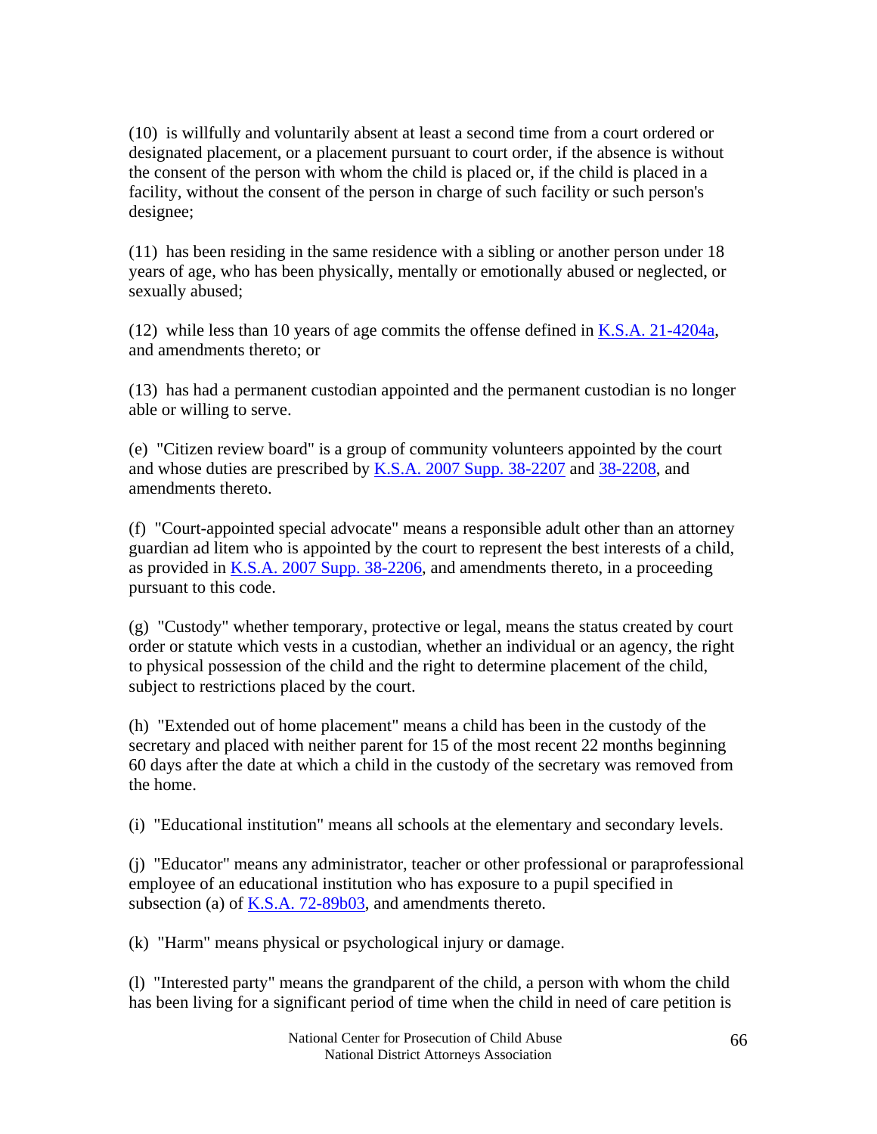(10) is willfully and voluntarily absent at least a second time from a court ordered or designated placement, or a placement pursuant to court order, if the absence is without the consent of the person with whom the child is placed or, if the child is placed in a facility, without the consent of the person in charge of such facility or such person's designee;

(11) has been residing in the same residence with a sibling or another person under 18 years of age, who has been physically, mentally or emotionally abused or neglected, or sexually abused;

(12) while less than 10 years of age commits the offense defined in [K.S.A. 21-4204a](https://www.lexis.com/research/buttonTFLink?_m=7d910ec11f7e95472a8f5ea77d40b35a&_xfercite=%3ccite%20cc%3d%22USA%22%3e%3c%21%5bCDATA%5bK.S.A.%20%a7%2038-2202%5d%5d%3e%3c%2fcite%3e&_butType=4&_butStat=0&_butNum=10&_butInline=1&_butinfo=KSCODE%2021-4204A&_fmtstr=FULL&docnum=1&_startdoc=1&wchp=dGLbVlz-zSkAl&_md5=ada7232a4837f635d1e1efb8e94a24de), and amendments thereto; or

(13) has had a permanent custodian appointed and the permanent custodian is no longer able or willing to serve.

(e) "Citizen review board" is a group of community volunteers appointed by the court and whose duties are prescribed by <u>K.S.A. 2007 Supp. 38-2207</u> and [38-2208](https://www.lexis.com/research/buttonTFLink?_m=7d910ec11f7e95472a8f5ea77d40b35a&_xfercite=%3ccite%20cc%3d%22USA%22%3e%3c%21%5bCDATA%5bK.S.A.%20%a7%2038-2202%5d%5d%3e%3c%2fcite%3e&_butType=4&_butStat=0&_butNum=12&_butInline=1&_butinfo=KSCODE%2038-2208&_fmtstr=FULL&docnum=1&_startdoc=1&wchp=dGLbVlz-zSkAl&_md5=ba1fcdcb54a54bd8ac88d39337248f61), and amendments thereto.

(f) "Court-appointed special advocate" means a responsible adult other than an attorney guardian ad litem who is appointed by the court to represent the best interests of a child, as provided in [K.S.A. 2007 Supp. 38-2206,](https://www.lexis.com/research/buttonTFLink?_m=7d910ec11f7e95472a8f5ea77d40b35a&_xfercite=%3ccite%20cc%3d%22USA%22%3e%3c%21%5bCDATA%5bK.S.A.%20%a7%2038-2202%5d%5d%3e%3c%2fcite%3e&_butType=4&_butStat=0&_butNum=13&_butInline=1&_butinfo=KSCODE%2038-2206&_fmtstr=FULL&docnum=1&_startdoc=1&wchp=dGLbVlz-zSkAl&_md5=25cb4fb0578962537802a2e4a70d44b5) and amendments thereto, in a proceeding pursuant to this code.

(g) "Custody" whether temporary, protective or legal, means the status created by court order or statute which vests in a custodian, whether an individual or an agency, the right to physical possession of the child and the right to determine placement of the child, subject to restrictions placed by the court.

(h) "Extended out of home placement" means a child has been in the custody of the secretary and placed with neither parent for 15 of the most recent 22 months beginning 60 days after the date at which a child in the custody of the secretary was removed from the home.

(i) "Educational institution" means all schools at the elementary and secondary levels.

(j) "Educator" means any administrator, teacher or other professional or paraprofessional employee of an educational institution who has exposure to a pupil specified in subsection (a) of [K.S.A. 72-89b03](https://www.lexis.com/research/buttonTFLink?_m=7d910ec11f7e95472a8f5ea77d40b35a&_xfercite=%3ccite%20cc%3d%22USA%22%3e%3c%21%5bCDATA%5bK.S.A.%20%a7%2038-2202%5d%5d%3e%3c%2fcite%3e&_butType=4&_butStat=0&_butNum=14&_butInline=1&_butinfo=KSCODE%2072-89B03&_fmtstr=FULL&docnum=1&_startdoc=1&wchp=dGLbVlz-zSkAl&_md5=ec68f675a1d450b091c289aadb6f84d0), and amendments thereto.

(k) "Harm" means physical or psychological injury or damage.

(l) "Interested party" means the grandparent of the child, a person with whom the child has been living for a significant period of time when the child in need of care petition is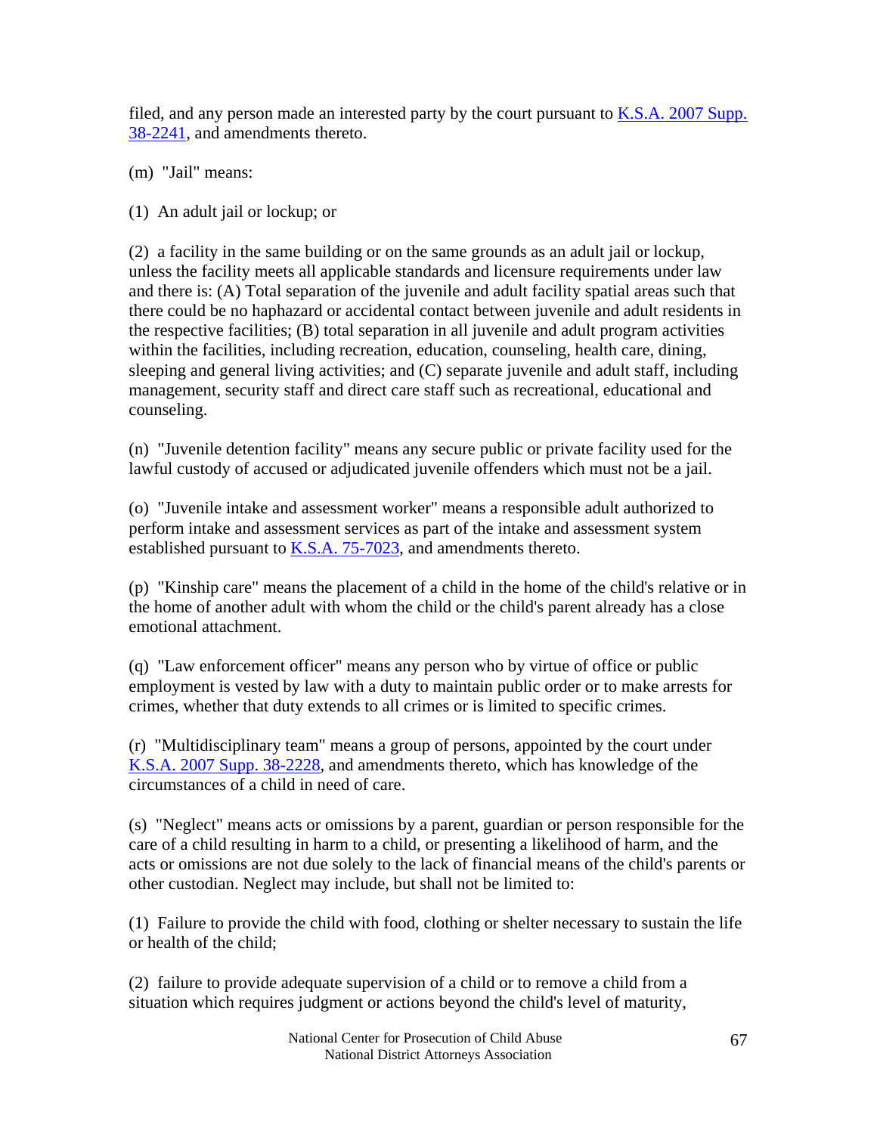filed, and any person made an interested party by the court pursuant to  $K.S.A. 2007$  Supp. [38-2241](https://www.lexis.com/research/buttonTFLink?_m=7d910ec11f7e95472a8f5ea77d40b35a&_xfercite=%3ccite%20cc%3d%22USA%22%3e%3c%21%5bCDATA%5bK.S.A.%20%a7%2038-2202%5d%5d%3e%3c%2fcite%3e&_butType=4&_butStat=0&_butNum=15&_butInline=1&_butinfo=KSCODE%2038-2241&_fmtstr=FULL&docnum=1&_startdoc=1&wchp=dGLbVlz-zSkAl&_md5=17188714cae483430424ef36bf0fdac5), and amendments thereto.

(m) "Jail" means:

(1) An adult jail or lockup; or

(2) a facility in the same building or on the same grounds as an adult jail or lockup, unless the facility meets all applicable standards and licensure requirements under law and there is: (A) Total separation of the juvenile and adult facility spatial areas such that there could be no haphazard or accidental contact between juvenile and adult residents in the respective facilities; (B) total separation in all juvenile and adult program activities within the facilities, including recreation, education, counseling, health care, dining, sleeping and general living activities; and (C) separate juvenile and adult staff, including management, security staff and direct care staff such as recreational, educational and counseling.

(n) "Juvenile detention facility" means any secure public or private facility used for the lawful custody of accused or adjudicated juvenile offenders which must not be a jail.

(o) "Juvenile intake and assessment worker" means a responsible adult authorized to perform intake and assessment services as part of the intake and assessment system established pursuant to [K.S.A. 75-7023](https://www.lexis.com/research/buttonTFLink?_m=7d910ec11f7e95472a8f5ea77d40b35a&_xfercite=%3ccite%20cc%3d%22USA%22%3e%3c%21%5bCDATA%5bK.S.A.%20%a7%2038-2202%5d%5d%3e%3c%2fcite%3e&_butType=4&_butStat=0&_butNum=16&_butInline=1&_butinfo=KSCODE%2075-7023&_fmtstr=FULL&docnum=1&_startdoc=1&wchp=dGLbVlz-zSkAl&_md5=5411084fb4854ea06a25f41e9eae11a0), and amendments thereto.

(p) "Kinship care" means the placement of a child in the home of the child's relative or in the home of another adult with whom the child or the child's parent already has a close emotional attachment.

(q) "Law enforcement officer" means any person who by virtue of office or public employment is vested by law with a duty to maintain public order or to make arrests for crimes, whether that duty extends to all crimes or is limited to specific crimes.

(r) "Multidisciplinary team" means a group of persons, appointed by the court under [K.S.A. 2007 Supp. 38-2228,](https://www.lexis.com/research/buttonTFLink?_m=7d910ec11f7e95472a8f5ea77d40b35a&_xfercite=%3ccite%20cc%3d%22USA%22%3e%3c%21%5bCDATA%5bK.S.A.%20%a7%2038-2202%5d%5d%3e%3c%2fcite%3e&_butType=4&_butStat=0&_butNum=17&_butInline=1&_butinfo=KSCODE%2038-2228&_fmtstr=FULL&docnum=1&_startdoc=1&wchp=dGLbVlz-zSkAl&_md5=ca3991755a2fc33fc8a9da33cfe7066d) and amendments thereto, which has knowledge of the circumstances of a child in need of care.

(s) "Neglect" means acts or omissions by a parent, guardian or person responsible for the care of a child resulting in harm to a child, or presenting a likelihood of harm, and the acts or omissions are not due solely to the lack of financial means of the child's parents or other custodian. Neglect may include, but shall not be limited to:

(1) Failure to provide the child with food, clothing or shelter necessary to sustain the life or health of the child;

(2) failure to provide adequate supervision of a child or to remove a child from a situation which requires judgment or actions beyond the child's level of maturity,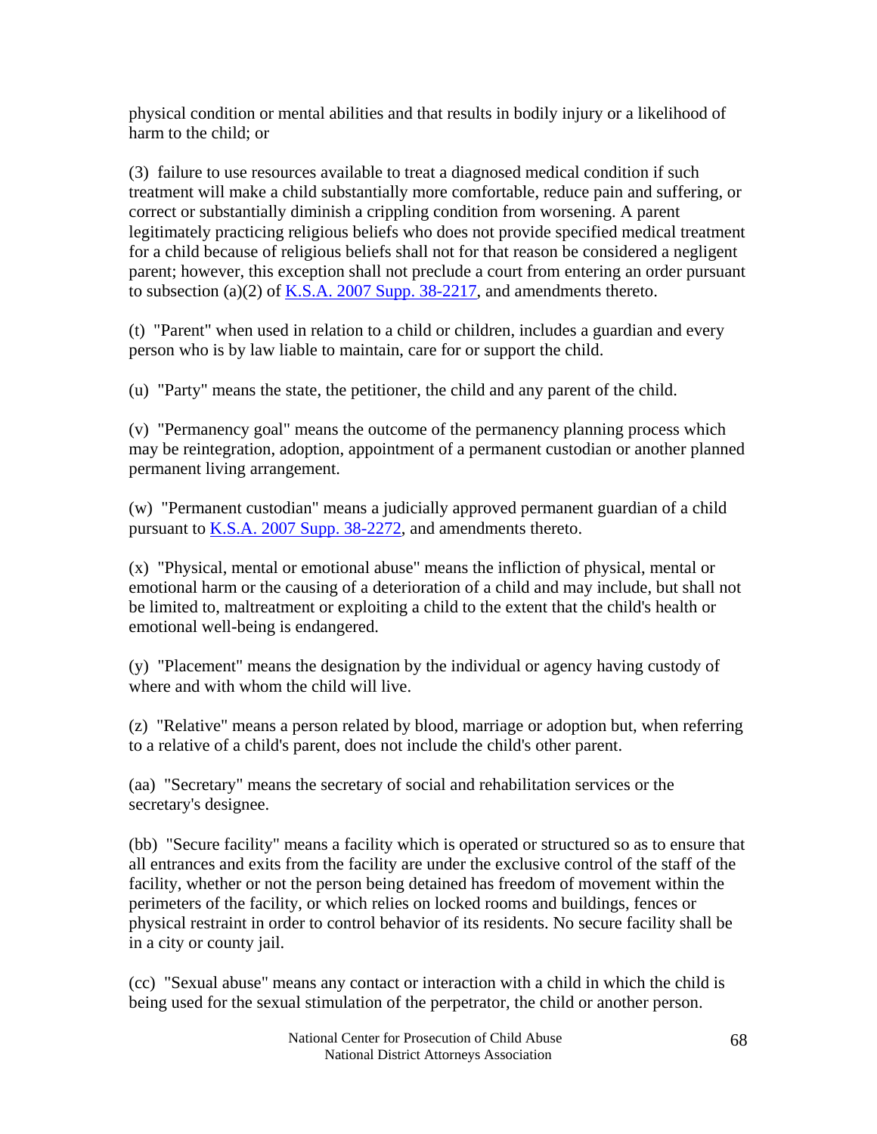physical condition or mental abilities and that results in bodily injury or a likelihood of harm to the child; or

(3) failure to use resources available to treat a diagnosed medical condition if such treatment will make a child substantially more comfortable, reduce pain and suffering, or correct or substantially diminish a crippling condition from worsening. A parent legitimately practicing religious beliefs who does not provide specified medical treatment for a child because of religious beliefs shall not for that reason be considered a negligent parent; however, this exception shall not preclude a court from entering an order pursuant to subsection (a)(2) of [K.S.A. 2007 Supp. 38-2217](https://www.lexis.com/research/buttonTFLink?_m=7d910ec11f7e95472a8f5ea77d40b35a&_xfercite=%3ccite%20cc%3d%22USA%22%3e%3c%21%5bCDATA%5bK.S.A.%20%a7%2038-2202%5d%5d%3e%3c%2fcite%3e&_butType=4&_butStat=0&_butNum=18&_butInline=1&_butinfo=KSCODE%2038-2217&_fmtstr=FULL&docnum=1&_startdoc=1&wchp=dGLbVlz-zSkAl&_md5=e99376e3944882285363b772c27a69bc), and amendments thereto.

(t) "Parent" when used in relation to a child or children, includes a guardian and every person who is by law liable to maintain, care for or support the child.

(u) "Party" means the state, the petitioner, the child and any parent of the child.

(v) "Permanency goal" means the outcome of the permanency planning process which may be reintegration, adoption, appointment of a permanent custodian or another planned permanent living arrangement.

(w) "Permanent custodian" means a judicially approved permanent guardian of a child pursuant to [K.S.A. 2007 Supp. 38-2272](https://www.lexis.com/research/buttonTFLink?_m=7d910ec11f7e95472a8f5ea77d40b35a&_xfercite=%3ccite%20cc%3d%22USA%22%3e%3c%21%5bCDATA%5bK.S.A.%20%a7%2038-2202%5d%5d%3e%3c%2fcite%3e&_butType=4&_butStat=0&_butNum=19&_butInline=1&_butinfo=KSCODE%2038-2272&_fmtstr=FULL&docnum=1&_startdoc=1&wchp=dGLbVlz-zSkAl&_md5=35d2db70cb227c03ed6034d73d6a91ec), and amendments thereto.

(x) "Physical, mental or emotional abuse" means the infliction of physical, mental or emotional harm or the causing of a deterioration of a child and may include, but shall not be limited to, maltreatment or exploiting a child to the extent that the child's health or emotional well-being is endangered.

(y) "Placement" means the designation by the individual or agency having custody of where and with whom the child will live.

(z) "Relative" means a person related by blood, marriage or adoption but, when referring to a relative of a child's parent, does not include the child's other parent.

(aa) "Secretary" means the secretary of social and rehabilitation services or the secretary's designee.

(bb) "Secure facility" means a facility which is operated or structured so as to ensure that all entrances and exits from the facility are under the exclusive control of the staff of the facility, whether or not the person being detained has freedom of movement within the perimeters of the facility, or which relies on locked rooms and buildings, fences or physical restraint in order to control behavior of its residents. No secure facility shall be in a city or county jail.

(cc) "Sexual abuse" means any contact or interaction with a child in which the child is being used for the sexual stimulation of the perpetrator, the child or another person.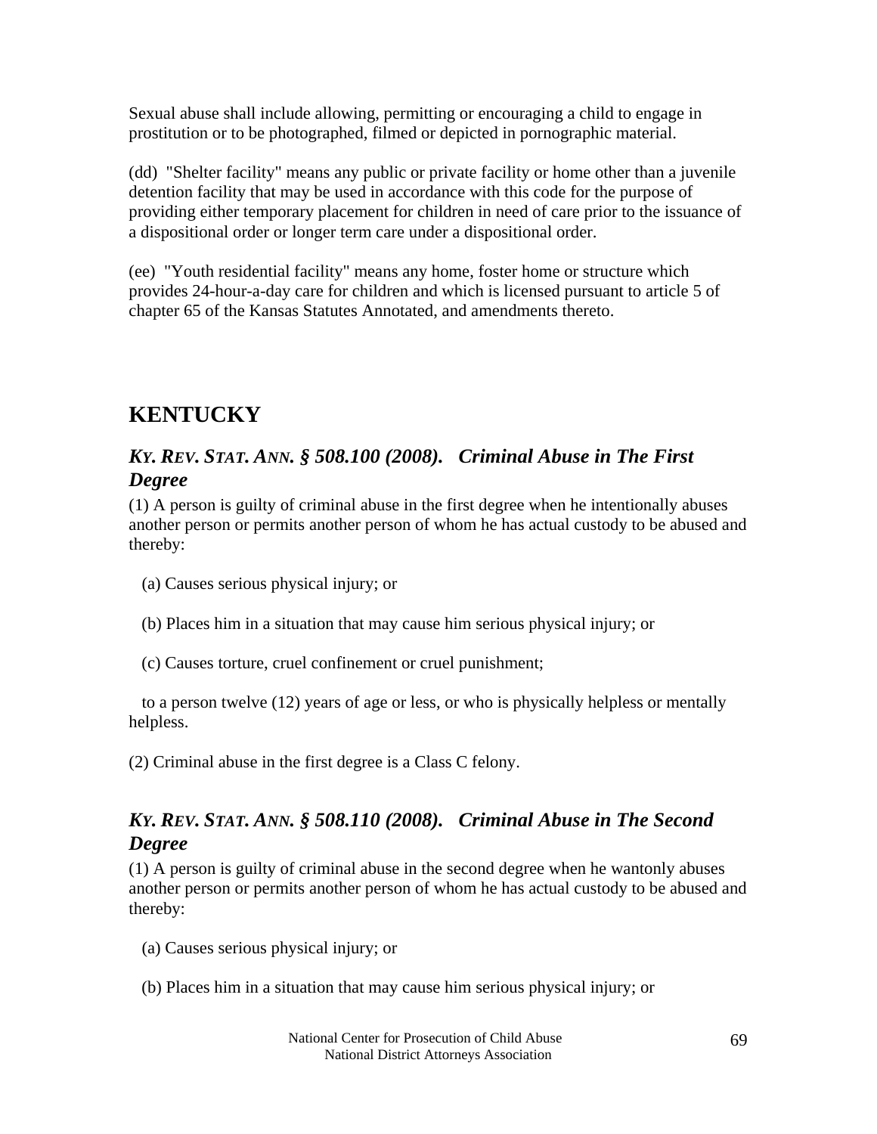Sexual abuse shall include allowing, permitting or encouraging a child to engage in prostitution or to be photographed, filmed or depicted in pornographic material.

(dd) "Shelter facility" means any public or private facility or home other than a juvenile detention facility that may be used in accordance with this code for the purpose of providing either temporary placement for children in need of care prior to the issuance of a dispositional order or longer term care under a dispositional order.

(ee) "Youth residential facility" means any home, foster home or structure which provides 24-hour-a-day care for children and which is licensed pursuant to article 5 of chapter 65 of the Kansas Statutes Annotated, and amendments thereto.

## **KENTUCKY**

### *KY. REV. STAT. ANN. § 508.100 (2008). Criminal Abuse in The First Degree*

(1) A person is guilty of criminal abuse in the first degree when he intentionally abuses another person or permits another person of whom he has actual custody to be abused and thereby:

- (a) Causes serious physical injury; or
- (b) Places him in a situation that may cause him serious physical injury; or
- (c) Causes torture, cruel confinement or cruel punishment;

 to a person twelve (12) years of age or less, or who is physically helpless or mentally helpless.

(2) Criminal abuse in the first degree is a Class C felony.

### *KY. REV. STAT. ANN. § 508.110 (2008). Criminal Abuse in The Second Degree*

(1) A person is guilty of criminal abuse in the second degree when he wantonly abuses another person or permits another person of whom he has actual custody to be abused and thereby:

- (a) Causes serious physical injury; or
- (b) Places him in a situation that may cause him serious physical injury; or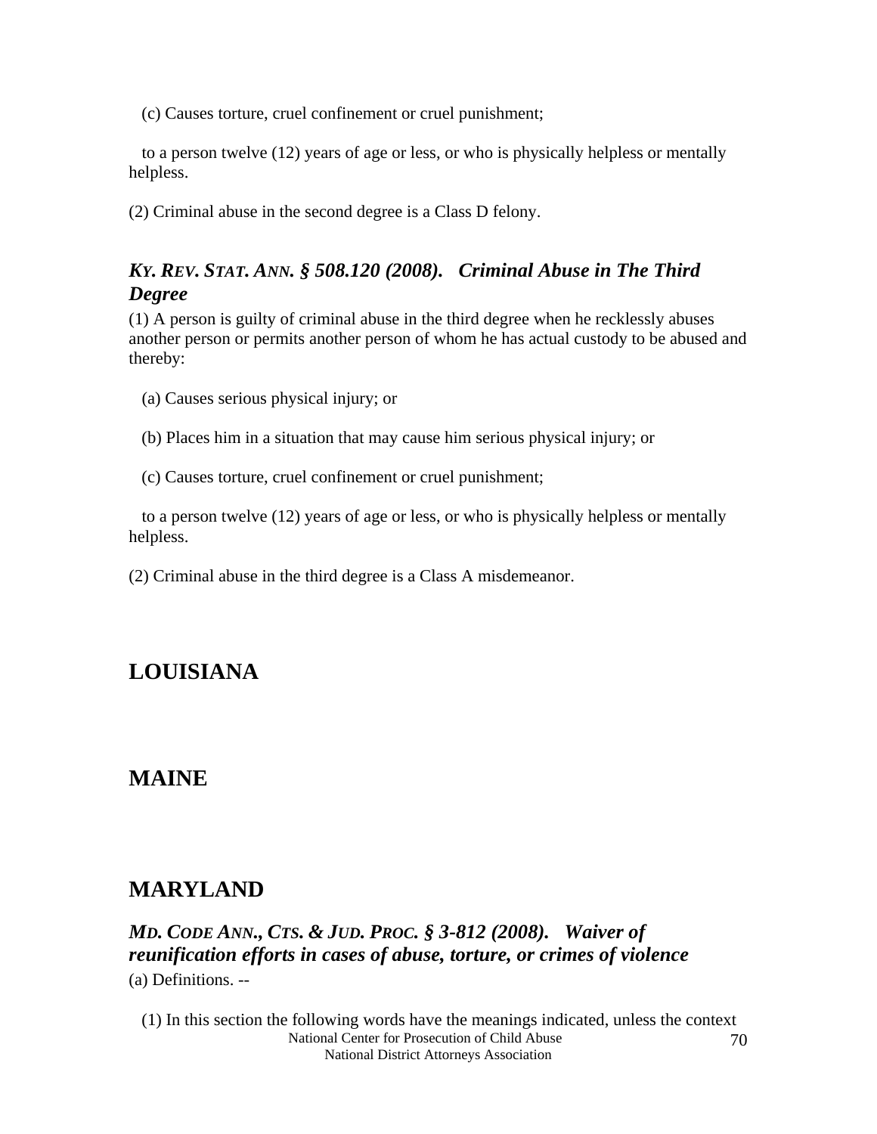(c) Causes torture, cruel confinement or cruel punishment;

 to a person twelve (12) years of age or less, or who is physically helpless or mentally helpless.

(2) Criminal abuse in the second degree is a Class D felony.

### *KY. REV. STAT. ANN. § 508.120 (2008). Criminal Abuse in The Third Degree*

(1) A person is guilty of criminal abuse in the third degree when he recklessly abuses another person or permits another person of whom he has actual custody to be abused and thereby:

- (a) Causes serious physical injury; or
- (b) Places him in a situation that may cause him serious physical injury; or
- (c) Causes torture, cruel confinement or cruel punishment;

 to a person twelve (12) years of age or less, or who is physically helpless or mentally helpless.

(2) Criminal abuse in the third degree is a Class A misdemeanor.

## **LOUISIANA**

### **MAINE**

## **MARYLAND**

*MD. CODE ANN., CTS. & JUD. PROC. § 3-812 (2008). Waiver of reunification efforts in cases of abuse, torture, or crimes of violence* (a) Definitions. --

National Center for Prosecution of Child Abuse National District Attorneys Association 70 (1) In this section the following words have the meanings indicated, unless the context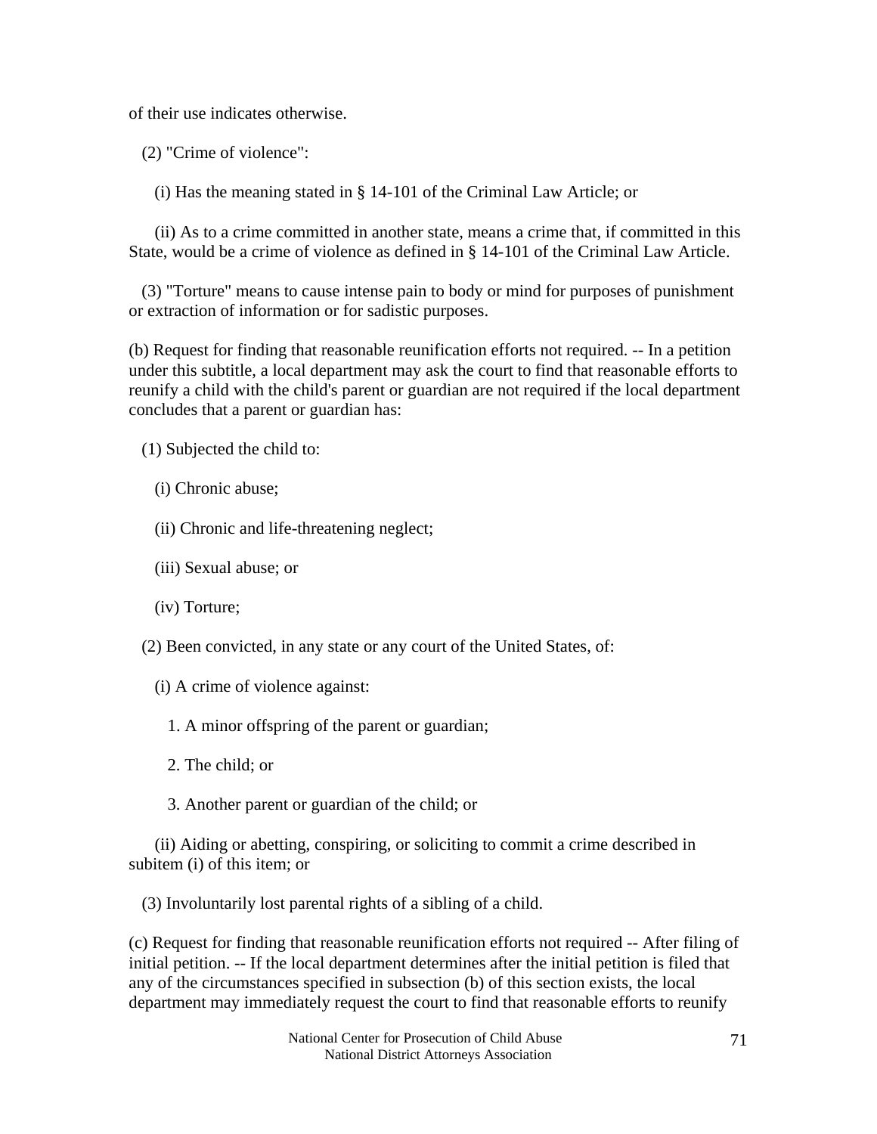of their use indicates otherwise.

(2) "Crime of violence":

(i) Has the meaning stated in [§ 14-101 of the Criminal Law Article](https://www.lexis.com/research/buttonTFLink?_m=e553bc5dcc159807fac693f3702376fc&_xfercite=%3ccite%20cc%3d%22USA%22%3e%3c%21%5bCDATA%5bMd.%20COURTS%20AND%20JUDICIAL%20PROCEEDINGS%20Code%20Ann.%20%a7%203-812%5d%5d%3e%3c%2fcite%3e&_butType=4&_butStat=0&_butNum=2&_butInline=1&_butinfo=MD%20CODE%20CRIM%20LAW%2c14-101&_fmtstr=FULL&docnum=1&_startdoc=1&wchp=dGLbVzz-zSkAW&_md5=80c09d335e148fbcf12bfdb902975b2e); or

 (ii) As to a crime committed in another state, means a crime that, if committed in this State, would be a crime of violence as defined in [§ 14-101 of the Criminal Law Article.](https://www.lexis.com/research/buttonTFLink?_m=e553bc5dcc159807fac693f3702376fc&_xfercite=%3ccite%20cc%3d%22USA%22%3e%3c%21%5bCDATA%5bMd.%20COURTS%20AND%20JUDICIAL%20PROCEEDINGS%20Code%20Ann.%20%a7%203-812%5d%5d%3e%3c%2fcite%3e&_butType=4&_butStat=0&_butNum=3&_butInline=1&_butinfo=MD%20CODE%20CRIM%20LAW%2c14-101&_fmtstr=FULL&docnum=1&_startdoc=1&wchp=dGLbVzz-zSkAW&_md5=85fa6c8690a997e99185531e5fbf5cab)

 (3) "Torture" means to cause intense pain to body or mind for purposes of punishment or extraction of information or for sadistic purposes.

(b) Request for finding that reasonable reunification efforts not required. -- In a petition under this subtitle, a local department may ask the court to find that reasonable efforts to reunify a child with the child's parent or guardian are not required if the local department concludes that a parent or guardian has:

(1) Subjected the child to:

- (i) Chronic abuse;
- (ii) Chronic and life-threatening neglect;
- (iii) Sexual abuse; or
- (iv) Torture;
- (2) Been convicted, in any state or any court of the United States, of:
	- (i) A crime of violence against:
		- 1. A minor offspring of the parent or guardian;
		- 2. The child; or
		- 3. Another parent or guardian of the child; or

 (ii) Aiding or abetting, conspiring, or soliciting to commit a crime described in subitem (i) of this item; or

(3) Involuntarily lost parental rights of a sibling of a child.

(c) Request for finding that reasonable reunification efforts not required -- After filing of initial petition. -- If the local department determines after the initial petition is filed that any of the circumstances specified in subsection (b) of this section exists, the local department may immediately request the court to find that reasonable efforts to reunify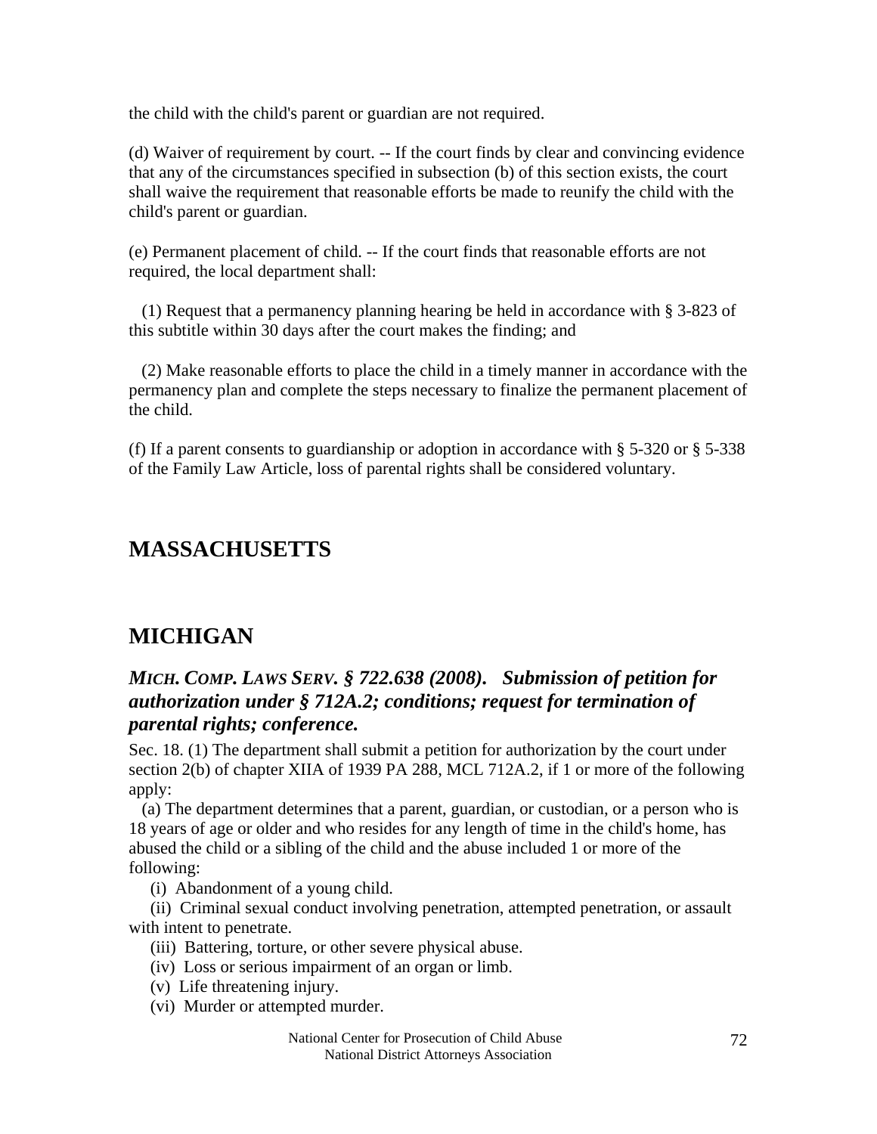the child with the child's parent or guardian are not required.

(d) Waiver of requirement by court. -- If the court finds by clear and convincing evidence that any of the circumstances specified in subsection (b) of this section exists, the court shall waive the requirement that reasonable efforts be made to reunify the child with the child's parent or guardian.

(e) Permanent placement of child. -- If the court finds that reasonable efforts are not required, the local department shall:

 (1) Request that a permanency planning hearing be held in accordance with § 3-823 of this subtitle within 30 days after the court makes the finding; and

 (2) Make reasonable efforts to place the child in a timely manner in accordance with the permanency plan and complete the steps necessary to finalize the permanent placement of the child.

(f) If a parent consents to guardianship or adoption in accordance with  $\S$  5-320 or  $\S$  5-338 [of the Family Law Article](https://www.lexis.com/research/buttonTFLink?_m=e553bc5dcc159807fac693f3702376fc&_xfercite=%3ccite%20cc%3d%22USA%22%3e%3c%21%5bCDATA%5bMd.%20COURTS%20AND%20JUDICIAL%20PROCEEDINGS%20Code%20Ann.%20%a7%203-812%5d%5d%3e%3c%2fcite%3e&_butType=4&_butStat=0&_butNum=4&_butInline=1&_butinfo=MD%20CODE%20FAM%20LAW%2c5-338&_fmtstr=FULL&docnum=1&_startdoc=1&wchp=dGLbVzz-zSkAW&_md5=e2545277eba4f4b27b0be414ad2cc25e), loss of parental rights shall be considered voluntary.

## **MASSACHUSETTS**

## **MICHIGAN**

### *MICH. COMP. LAWS SERV. § 722.638 (2008). Submission of petition for authorization under § 712A.2; conditions; request for termination of parental rights; conference.*

Sec. 18. (1) The department shall submit a petition for authorization by the court under section 2(b) of chapter XIIA of 1939 PA 288, [MCL 712A.2,](https://www.lexis.com/research/buttonTFLink?_m=a97fc912408c8817dc4a7a0c186e848c&_xfercite=%3ccite%20cc%3d%22USA%22%3e%3c%21%5bCDATA%5bMCLS%20%a7%20722.638%5d%5d%3e%3c%2fcite%3e&_butType=4&_butStat=0&_butNum=3&_butInline=1&_butinfo=MICODE%20712A.2&_fmtstr=FULL&docnum=8&_startdoc=1&wchp=dGLbVzz-zSkAW&_md5=f6e9d129312aa07a0e95219b29cb4889) if 1 or more of the following apply:

 (a) The department determines that a parent, guardian, or custodian, or a person who is 18 years of age or older and who resides for any length of time in the child's home, has abused the child or a sibling of the child and the abuse included 1 or more of the following:

(i) Abandonment of a young child.

 (ii) Criminal sexual conduct involving penetration, attempted penetration, or assault with intent to penetrate.

- (iii) Battering, torture, or other severe physical abuse.
- (iv) Loss or serious impairment of an organ or limb.
- (v) Life threatening injury.
- (vi) Murder or attempted murder.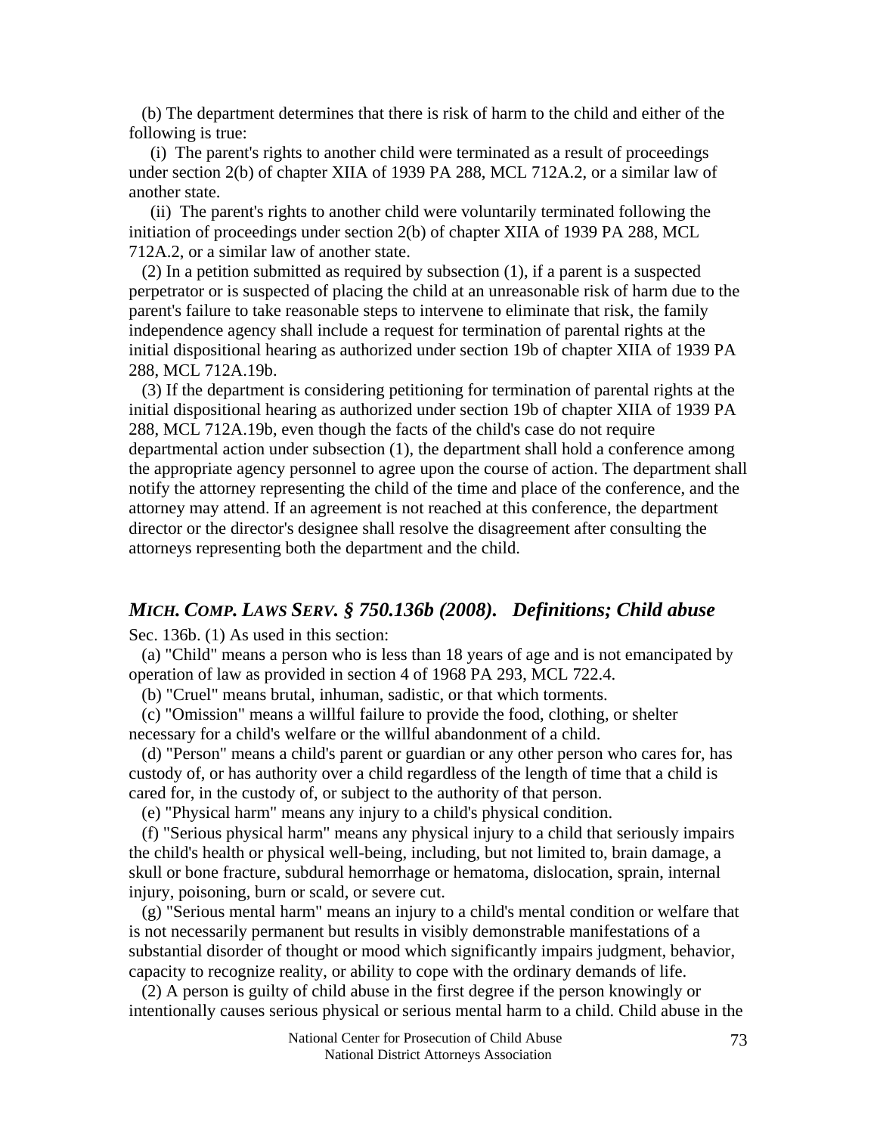(b) The department determines that there is risk of harm to the child and either of the following is true:

 (i) The parent's rights to another child were terminated as a result of proceedings under section 2(b) of chapter XIIA of 1939 PA 288, [MCL 712A.2,](https://www.lexis.com/research/buttonTFLink?_m=a97fc912408c8817dc4a7a0c186e848c&_xfercite=%3ccite%20cc%3d%22USA%22%3e%3c%21%5bCDATA%5bMCLS%20%a7%20722.638%5d%5d%3e%3c%2fcite%3e&_butType=4&_butStat=0&_butNum=5&_butInline=1&_butinfo=MICODE%20712A.2&_fmtstr=FULL&docnum=8&_startdoc=1&wchp=dGLbVzz-zSkAW&_md5=2bed150cab2a55ba943aff70f6498f69) or a similar law of another state.

 (ii) The parent's rights to another child were voluntarily terminated following the initiation of proceedings under section 2(b) of chapter XIIA of 1939 PA 288, [MCL](https://www.lexis.com/research/buttonTFLink?_m=a97fc912408c8817dc4a7a0c186e848c&_xfercite=%3ccite%20cc%3d%22USA%22%3e%3c%21%5bCDATA%5bMCLS%20%a7%20722.638%5d%5d%3e%3c%2fcite%3e&_butType=4&_butStat=0&_butNum=7&_butInline=1&_butinfo=MICODE%20712A.2&_fmtstr=FULL&docnum=8&_startdoc=1&wchp=dGLbVzz-zSkAW&_md5=328805a1847165320321fcd76f409f14)  [712A.2,](https://www.lexis.com/research/buttonTFLink?_m=a97fc912408c8817dc4a7a0c186e848c&_xfercite=%3ccite%20cc%3d%22USA%22%3e%3c%21%5bCDATA%5bMCLS%20%a7%20722.638%5d%5d%3e%3c%2fcite%3e&_butType=4&_butStat=0&_butNum=7&_butInline=1&_butinfo=MICODE%20712A.2&_fmtstr=FULL&docnum=8&_startdoc=1&wchp=dGLbVzz-zSkAW&_md5=328805a1847165320321fcd76f409f14) or a similar law of another state.

 (2) In a petition submitted as required by subsection (1), if a parent is a suspected perpetrator or is suspected of placing the child at an unreasonable risk of harm due to the parent's failure to take reasonable steps to intervene to eliminate that risk, the family independence agency shall include a request for termination of parental rights at the initial dispositional hearing as authorized under section 19b of chapter XIIA of 1939 PA 288, [MCL 712A.19b.](https://www.lexis.com/research/buttonTFLink?_m=a97fc912408c8817dc4a7a0c186e848c&_xfercite=%3ccite%20cc%3d%22USA%22%3e%3c%21%5bCDATA%5bMCLS%20%a7%20722.638%5d%5d%3e%3c%2fcite%3e&_butType=4&_butStat=0&_butNum=9&_butInline=1&_butinfo=MICODE%20712A.19B&_fmtstr=FULL&docnum=8&_startdoc=1&wchp=dGLbVzz-zSkAW&_md5=9d955471f01e3acabc999aa971c67efa)

 (3) If the department is considering petitioning for termination of parental rights at the initial dispositional hearing as authorized under section 19b of chapter XIIA of 1939 PA 288, [MCL 712A.19b,](https://www.lexis.com/research/buttonTFLink?_m=a97fc912408c8817dc4a7a0c186e848c&_xfercite=%3ccite%20cc%3d%22USA%22%3e%3c%21%5bCDATA%5bMCLS%20%a7%20722.638%5d%5d%3e%3c%2fcite%3e&_butType=4&_butStat=0&_butNum=11&_butInline=1&_butinfo=MICODE%20712A.19B&_fmtstr=FULL&docnum=8&_startdoc=1&wchp=dGLbVzz-zSkAW&_md5=326e47d6fd6d676e8adf74b21ef56801) even though the facts of the child's case do not require departmental action under subsection (1), the department shall hold a conference among the appropriate agency personnel to agree upon the course of action. The department shall notify the attorney representing the child of the time and place of the conference, and the attorney may attend. If an agreement is not reached at this conference, the department director or the director's designee shall resolve the disagreement after consulting the attorneys representing both the department and the child.

## *MICH. COMP. LAWS SERV. § 750.136b (2008). Definitions; Child abuse*

Sec. 136b. (1) As used in this section:

 (a) "Child" means a person who is less than 18 years of age and is not emancipated by operation of law as provided in section 4 of 1968 PA 293, [MCL 722.4](https://www.lexis.com/research/buttonTFLink?_m=7330366c6bfa40ab8c49c0c7e449720f&_xfercite=%3ccite%20cc%3d%22USA%22%3e%3c%21%5bCDATA%5bMCLS%20%a7%20750.136b%5d%5d%3e%3c%2fcite%3e&_butType=4&_butStat=0&_butNum=4&_butInline=1&_butinfo=MICODE%20722.4&_fmtstr=FULL&docnum=3&_startdoc=1&wchp=dGLbVzz-zSkAW&_md5=a23944f2f0355ab3b46f0022a44b63a4).

(b) "Cruel" means brutal, inhuman, sadistic, or that which torments.

 (c) "Omission" means a willful failure to provide the food, clothing, or shelter necessary for a child's welfare or the willful abandonment of a child.

 (d) "Person" means a child's parent or guardian or any other person who cares for, has custody of, or has authority over a child regardless of the length of time that a child is cared for, in the custody of, or subject to the authority of that person.

(e) "Physical harm" means any injury to a child's physical condition.

 (f) "Serious physical harm" means any physical injury to a child that seriously impairs the child's health or physical well-being, including, but not limited to, brain damage, a skull or bone fracture, subdural hemorrhage or hematoma, dislocation, sprain, internal injury, poisoning, burn or scald, or severe cut.

 (g) "Serious mental harm" means an injury to a child's mental condition or welfare that is not necessarily permanent but results in visibly demonstrable manifestations of a substantial disorder of thought or mood which significantly impairs judgment, behavior, capacity to recognize reality, or ability to cope with the ordinary demands of life.

 (2) A person is guilty of child abuse in the first degree if the person knowingly or intentionally causes serious physical or serious mental harm to a child. Child abuse in the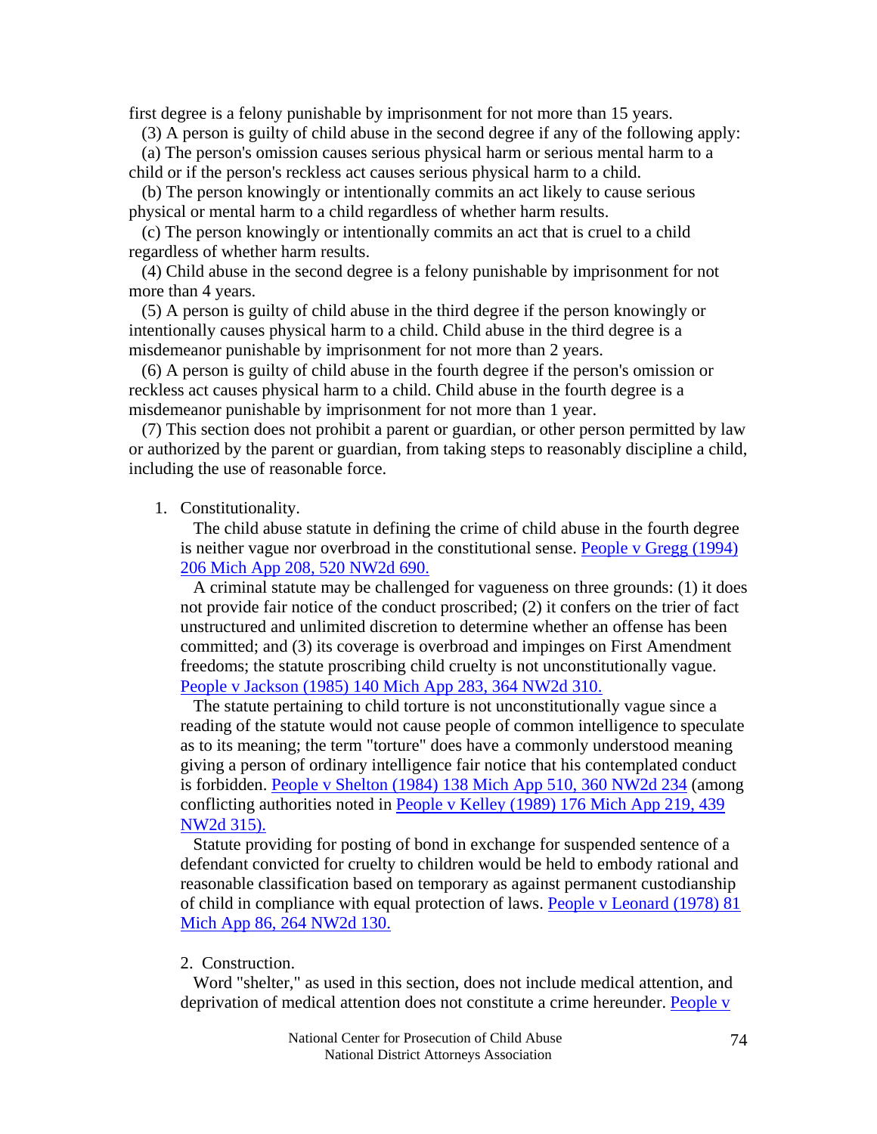first degree is a felony punishable by imprisonment for not more than 15 years.

(3) A person is guilty of child abuse in the second degree if any of the following apply:

 (a) The person's omission causes serious physical harm or serious mental harm to a child or if the person's reckless act causes serious physical harm to a child.

 (b) The person knowingly or intentionally commits an act likely to cause serious physical or mental harm to a child regardless of whether harm results.

 (c) The person knowingly or intentionally commits an act that is cruel to a child regardless of whether harm results.

 (4) Child abuse in the second degree is a felony punishable by imprisonment for not more than 4 years.

 (5) A person is guilty of child abuse in the third degree if the person knowingly or intentionally causes physical harm to a child. Child abuse in the third degree is a misdemeanor punishable by imprisonment for not more than 2 years.

 (6) A person is guilty of child abuse in the fourth degree if the person's omission or reckless act causes physical harm to a child. Child abuse in the fourth degree is a misdemeanor punishable by imprisonment for not more than 1 year.

 (7) This section does not prohibit a parent or guardian, or other person permitted by law or authorized by the parent or guardian, from taking steps to reasonably discipline a child, including the use of reasonable force.

#### 1. Constitutionality.

 The child abuse statute in defining the crime of child abuse in the fourth degree is neither vague nor overbroad in the constitutional sense. [People v Gregg \(1994\)](https://www.lexis.com/research/buttonTFLink?_m=7330366c6bfa40ab8c49c0c7e449720f&_xfercite=%3ccite%20cc%3d%22USA%22%3e%3c%21%5bCDATA%5bMCLS%20%a7%20750.136b%5d%5d%3e%3c%2fcite%3e&_butType=3&_butStat=2&_butNum=31&_butInline=1&_butinfo=%3ccite%20cc%3d%22USA%22%3e%3c%21%5bCDATA%5b206%20Mich.%20App.%20208%5d%5d%3e%3c%2fcite%3e&_fmtstr=FULL&docnum=3&_startdoc=1&wchp=dGLbVzz-zSkAW&_md5=8df46f7a08490f9b0c5f14d058050193)  [206 Mich App 208, 520 NW2d 690.](https://www.lexis.com/research/buttonTFLink?_m=7330366c6bfa40ab8c49c0c7e449720f&_xfercite=%3ccite%20cc%3d%22USA%22%3e%3c%21%5bCDATA%5bMCLS%20%a7%20750.136b%5d%5d%3e%3c%2fcite%3e&_butType=3&_butStat=2&_butNum=31&_butInline=1&_butinfo=%3ccite%20cc%3d%22USA%22%3e%3c%21%5bCDATA%5b206%20Mich.%20App.%20208%5d%5d%3e%3c%2fcite%3e&_fmtstr=FULL&docnum=3&_startdoc=1&wchp=dGLbVzz-zSkAW&_md5=8df46f7a08490f9b0c5f14d058050193)

 A criminal statute may be challenged for vagueness on three grounds: (1) it does not provide fair notice of the conduct proscribed; (2) it confers on the trier of fact unstructured and unlimited discretion to determine whether an offense has been committed; and (3) its coverage is overbroad and impinges on First Amendment freedoms; the statute proscribing child cruelty is not unconstitutionally vague. [People v Jackson \(1985\) 140 Mich App 283, 364 NW2d 310.](https://www.lexis.com/research/buttonTFLink?_m=7330366c6bfa40ab8c49c0c7e449720f&_xfercite=%3ccite%20cc%3d%22USA%22%3e%3c%21%5bCDATA%5bMCLS%20%a7%20750.136b%5d%5d%3e%3c%2fcite%3e&_butType=3&_butStat=2&_butNum=32&_butInline=1&_butinfo=%3ccite%20cc%3d%22USA%22%3e%3c%21%5bCDATA%5b140%20Mich.%20App.%20283%5d%5d%3e%3c%2fcite%3e&_fmtstr=FULL&docnum=3&_startdoc=1&wchp=dGLbVzz-zSkAW&_md5=c7dc1211d8fcba26dba9d8e1f48ca975)

 The statute pertaining to child torture is not unconstitutionally vague since a reading of the statute would not cause people of common intelligence to speculate as to its meaning; the term "torture" does have a commonly understood meaning giving a person of ordinary intelligence fair notice that his contemplated conduct is forbidden. [People v Shelton \(1984\) 138 Mich App 510, 360 NW2d 234](https://www.lexis.com/research/buttonTFLink?_m=7330366c6bfa40ab8c49c0c7e449720f&_xfercite=%3ccite%20cc%3d%22USA%22%3e%3c%21%5bCDATA%5bMCLS%20%a7%20750.136b%5d%5d%3e%3c%2fcite%3e&_butType=3&_butStat=2&_butNum=33&_butInline=1&_butinfo=%3ccite%20cc%3d%22USA%22%3e%3c%21%5bCDATA%5b138%20Mich.%20App.%20510%5d%5d%3e%3c%2fcite%3e&_fmtstr=FULL&docnum=3&_startdoc=1&wchp=dGLbVzz-zSkAW&_md5=3b82bed406b7739be5b931a007c2ac6e) (among conflicting authorities noted in [People v Kelley \(1989\) 176 Mich App 219, 439](https://www.lexis.com/research/buttonTFLink?_m=7330366c6bfa40ab8c49c0c7e449720f&_xfercite=%3ccite%20cc%3d%22USA%22%3e%3c%21%5bCDATA%5bMCLS%20%a7%20750.136b%5d%5d%3e%3c%2fcite%3e&_butType=3&_butStat=2&_butNum=34&_butInline=1&_butinfo=%3ccite%20cc%3d%22USA%22%3e%3c%21%5bCDATA%5b176%20Mich.%20App.%20219%5d%5d%3e%3c%2fcite%3e&_fmtstr=FULL&docnum=3&_startdoc=1&wchp=dGLbVzz-zSkAW&_md5=dafd30edc1b0f031a940440e73b678c1)  [NW2d 315\).](https://www.lexis.com/research/buttonTFLink?_m=7330366c6bfa40ab8c49c0c7e449720f&_xfercite=%3ccite%20cc%3d%22USA%22%3e%3c%21%5bCDATA%5bMCLS%20%a7%20750.136b%5d%5d%3e%3c%2fcite%3e&_butType=3&_butStat=2&_butNum=34&_butInline=1&_butinfo=%3ccite%20cc%3d%22USA%22%3e%3c%21%5bCDATA%5b176%20Mich.%20App.%20219%5d%5d%3e%3c%2fcite%3e&_fmtstr=FULL&docnum=3&_startdoc=1&wchp=dGLbVzz-zSkAW&_md5=dafd30edc1b0f031a940440e73b678c1)

 Statute providing for posting of bond in exchange for suspended sentence of a defendant convicted for cruelty to children would be held to embody rational and reasonable classification based on temporary as against permanent custodianship of child in compliance with equal protection of laws. [People v Leonard \(1978\) 81](https://www.lexis.com/research/buttonTFLink?_m=7330366c6bfa40ab8c49c0c7e449720f&_xfercite=%3ccite%20cc%3d%22USA%22%3e%3c%21%5bCDATA%5bMCLS%20%a7%20750.136b%5d%5d%3e%3c%2fcite%3e&_butType=3&_butStat=2&_butNum=35&_butInline=1&_butinfo=%3ccite%20cc%3d%22USA%22%3e%3c%21%5bCDATA%5b81%20Mich.%20App.%2086%5d%5d%3e%3c%2fcite%3e&_fmtstr=FULL&docnum=3&_startdoc=1&wchp=dGLbVzz-zSkAW&_md5=43a6cc788041f53be9e1b6364c2541e3)  [Mich App 86, 264 NW2d 130.](https://www.lexis.com/research/buttonTFLink?_m=7330366c6bfa40ab8c49c0c7e449720f&_xfercite=%3ccite%20cc%3d%22USA%22%3e%3c%21%5bCDATA%5bMCLS%20%a7%20750.136b%5d%5d%3e%3c%2fcite%3e&_butType=3&_butStat=2&_butNum=35&_butInline=1&_butinfo=%3ccite%20cc%3d%22USA%22%3e%3c%21%5bCDATA%5b81%20Mich.%20App.%2086%5d%5d%3e%3c%2fcite%3e&_fmtstr=FULL&docnum=3&_startdoc=1&wchp=dGLbVzz-zSkAW&_md5=43a6cc788041f53be9e1b6364c2541e3)

#### 2. Construction.

 Word "shelter," as used in this section, does not include medical attention, and deprivation of medical attention does not constitute a crime hereunder. [People v](https://www.lexis.com/research/buttonTFLink?_m=7330366c6bfa40ab8c49c0c7e449720f&_xfercite=%3ccite%20cc%3d%22USA%22%3e%3c%21%5bCDATA%5bMCLS%20%a7%20750.136b%5d%5d%3e%3c%2fcite%3e&_butType=3&_butStat=2&_butNum=36&_butInline=1&_butinfo=%3ccite%20cc%3d%22USA%22%3e%3c%21%5bCDATA%5b373%20Mich.%20509%5d%5d%3e%3c%2fcite%3e&_fmtstr=FULL&docnum=3&_startdoc=1&wchp=dGLbVzz-zSkAW&_md5=30b84349cf1e3f2ab20324ae43afb383)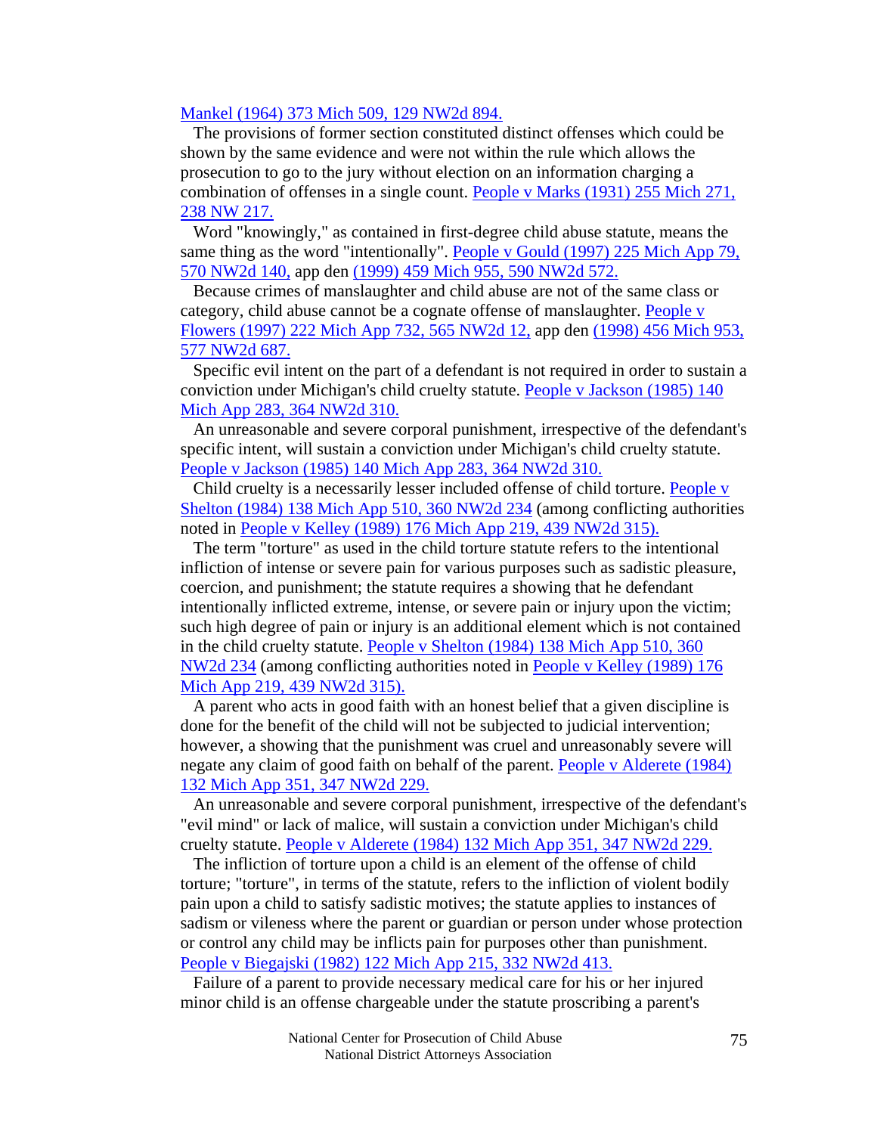#### [Mankel \(1964\) 373 Mich 509, 129 NW2d 894.](https://www.lexis.com/research/buttonTFLink?_m=7330366c6bfa40ab8c49c0c7e449720f&_xfercite=%3ccite%20cc%3d%22USA%22%3e%3c%21%5bCDATA%5bMCLS%20%a7%20750.136b%5d%5d%3e%3c%2fcite%3e&_butType=3&_butStat=2&_butNum=36&_butInline=1&_butinfo=%3ccite%20cc%3d%22USA%22%3e%3c%21%5bCDATA%5b373%20Mich.%20509%5d%5d%3e%3c%2fcite%3e&_fmtstr=FULL&docnum=3&_startdoc=1&wchp=dGLbVzz-zSkAW&_md5=30b84349cf1e3f2ab20324ae43afb383)

 The provisions of former section constituted distinct offenses which could be shown by the same evidence and were not within the rule which allows the prosecution to go to the jury without election on an information charging a combination of offenses in a single count. People v Marks (1931) 255 Mich 271, [238 NW 217.](https://www.lexis.com/research/buttonTFLink?_m=7330366c6bfa40ab8c49c0c7e449720f&_xfercite=%3ccite%20cc%3d%22USA%22%3e%3c%21%5bCDATA%5bMCLS%20%a7%20750.136b%5d%5d%3e%3c%2fcite%3e&_butType=3&_butStat=2&_butNum=37&_butInline=1&_butinfo=%3ccite%20cc%3d%22USA%22%3e%3c%21%5bCDATA%5b255%20Mich.%20271%5d%5d%3e%3c%2fcite%3e&_fmtstr=FULL&docnum=3&_startdoc=1&wchp=dGLbVzz-zSkAW&_md5=0f3c8bec906da9e12dd42b683e24cc7d)

 Word "knowingly," as contained in first-degree child abuse statute, means the same thing as the word "intentionally". [People v Gould \(1997\) 225 Mich App 79,](https://www.lexis.com/research/buttonTFLink?_m=7330366c6bfa40ab8c49c0c7e449720f&_xfercite=%3ccite%20cc%3d%22USA%22%3e%3c%21%5bCDATA%5bMCLS%20%a7%20750.136b%5d%5d%3e%3c%2fcite%3e&_butType=3&_butStat=2&_butNum=38&_butInline=1&_butinfo=%3ccite%20cc%3d%22USA%22%3e%3c%21%5bCDATA%5b225%20Mich.%20App.%2079%5d%5d%3e%3c%2fcite%3e&_fmtstr=FULL&docnum=3&_startdoc=1&wchp=dGLbVzz-zSkAW&_md5=f56f8661b9219eb4e4e50981b45c28fd)  [570 NW2d 140,](https://www.lexis.com/research/buttonTFLink?_m=7330366c6bfa40ab8c49c0c7e449720f&_xfercite=%3ccite%20cc%3d%22USA%22%3e%3c%21%5bCDATA%5bMCLS%20%a7%20750.136b%5d%5d%3e%3c%2fcite%3e&_butType=3&_butStat=2&_butNum=38&_butInline=1&_butinfo=%3ccite%20cc%3d%22USA%22%3e%3c%21%5bCDATA%5b225%20Mich.%20App.%2079%5d%5d%3e%3c%2fcite%3e&_fmtstr=FULL&docnum=3&_startdoc=1&wchp=dGLbVzz-zSkAW&_md5=f56f8661b9219eb4e4e50981b45c28fd) app den [\(1999\) 459 Mich 955, 590 NW2d 572.](https://www.lexis.com/research/buttonTFLink?_m=7330366c6bfa40ab8c49c0c7e449720f&_xfercite=%3ccite%20cc%3d%22USA%22%3e%3c%21%5bCDATA%5bMCLS%20%a7%20750.136b%5d%5d%3e%3c%2fcite%3e&_butType=3&_butStat=2&_butNum=39&_butInline=1&_butinfo=%3ccite%20cc%3d%22USA%22%3e%3c%21%5bCDATA%5b459%20Mich.%20955%5d%5d%3e%3c%2fcite%3e&_fmtstr=FULL&docnum=3&_startdoc=1&wchp=dGLbVzz-zSkAW&_md5=937b4cbb3d18add8bb6f2973425a7dad)

 Because crimes of manslaughter and child abuse are not of the same class or category, child abuse cannot be a cognate offense of manslaughter. [People v](https://www.lexis.com/research/buttonTFLink?_m=7330366c6bfa40ab8c49c0c7e449720f&_xfercite=%3ccite%20cc%3d%22USA%22%3e%3c%21%5bCDATA%5bMCLS%20%a7%20750.136b%5d%5d%3e%3c%2fcite%3e&_butType=3&_butStat=2&_butNum=40&_butInline=1&_butinfo=%3ccite%20cc%3d%22USA%22%3e%3c%21%5bCDATA%5b222%20Mich.%20App.%20732%5d%5d%3e%3c%2fcite%3e&_fmtstr=FULL&docnum=3&_startdoc=1&wchp=dGLbVzz-zSkAW&_md5=bae4c3df2b0d3a365b482b42c0b198b6)  [Flowers \(1997\) 222 Mich App 732, 565 NW2d 12,](https://www.lexis.com/research/buttonTFLink?_m=7330366c6bfa40ab8c49c0c7e449720f&_xfercite=%3ccite%20cc%3d%22USA%22%3e%3c%21%5bCDATA%5bMCLS%20%a7%20750.136b%5d%5d%3e%3c%2fcite%3e&_butType=3&_butStat=2&_butNum=40&_butInline=1&_butinfo=%3ccite%20cc%3d%22USA%22%3e%3c%21%5bCDATA%5b222%20Mich.%20App.%20732%5d%5d%3e%3c%2fcite%3e&_fmtstr=FULL&docnum=3&_startdoc=1&wchp=dGLbVzz-zSkAW&_md5=bae4c3df2b0d3a365b482b42c0b198b6) app den [\(1998\) 456 Mich 953,](https://www.lexis.com/research/buttonTFLink?_m=7330366c6bfa40ab8c49c0c7e449720f&_xfercite=%3ccite%20cc%3d%22USA%22%3e%3c%21%5bCDATA%5bMCLS%20%a7%20750.136b%5d%5d%3e%3c%2fcite%3e&_butType=3&_butStat=2&_butNum=41&_butInline=1&_butinfo=%3ccite%20cc%3d%22USA%22%3e%3c%21%5bCDATA%5b456%20Mich.%20953%5d%5d%3e%3c%2fcite%3e&_fmtstr=FULL&docnum=3&_startdoc=1&wchp=dGLbVzz-zSkAW&_md5=0c76bd1af523faf0e63b4fed2e21580a)  [577 NW2d 687.](https://www.lexis.com/research/buttonTFLink?_m=7330366c6bfa40ab8c49c0c7e449720f&_xfercite=%3ccite%20cc%3d%22USA%22%3e%3c%21%5bCDATA%5bMCLS%20%a7%20750.136b%5d%5d%3e%3c%2fcite%3e&_butType=3&_butStat=2&_butNum=41&_butInline=1&_butinfo=%3ccite%20cc%3d%22USA%22%3e%3c%21%5bCDATA%5b456%20Mich.%20953%5d%5d%3e%3c%2fcite%3e&_fmtstr=FULL&docnum=3&_startdoc=1&wchp=dGLbVzz-zSkAW&_md5=0c76bd1af523faf0e63b4fed2e21580a)

 Specific evil intent on the part of a defendant is not required in order to sustain a conviction under Michigan's child cruelty statute. [People v Jackson \(1985\) 140](https://www.lexis.com/research/buttonTFLink?_m=7330366c6bfa40ab8c49c0c7e449720f&_xfercite=%3ccite%20cc%3d%22USA%22%3e%3c%21%5bCDATA%5bMCLS%20%a7%20750.136b%5d%5d%3e%3c%2fcite%3e&_butType=3&_butStat=2&_butNum=42&_butInline=1&_butinfo=%3ccite%20cc%3d%22USA%22%3e%3c%21%5bCDATA%5b140%20Mich.%20App.%20283%5d%5d%3e%3c%2fcite%3e&_fmtstr=FULL&docnum=3&_startdoc=1&wchp=dGLbVzz-zSkAW&_md5=e827fcc1e1dd2e375234a3e9b4dabe2e)  [Mich App 283, 364 NW2d 310.](https://www.lexis.com/research/buttonTFLink?_m=7330366c6bfa40ab8c49c0c7e449720f&_xfercite=%3ccite%20cc%3d%22USA%22%3e%3c%21%5bCDATA%5bMCLS%20%a7%20750.136b%5d%5d%3e%3c%2fcite%3e&_butType=3&_butStat=2&_butNum=42&_butInline=1&_butinfo=%3ccite%20cc%3d%22USA%22%3e%3c%21%5bCDATA%5b140%20Mich.%20App.%20283%5d%5d%3e%3c%2fcite%3e&_fmtstr=FULL&docnum=3&_startdoc=1&wchp=dGLbVzz-zSkAW&_md5=e827fcc1e1dd2e375234a3e9b4dabe2e)

 An unreasonable and severe corporal punishment, irrespective of the defendant's specific intent, will sustain a conviction under Michigan's child cruelty statute. [People v Jackson \(1985\) 140 Mich App 283, 364 NW2d 310.](https://www.lexis.com/research/buttonTFLink?_m=7330366c6bfa40ab8c49c0c7e449720f&_xfercite=%3ccite%20cc%3d%22USA%22%3e%3c%21%5bCDATA%5bMCLS%20%a7%20750.136b%5d%5d%3e%3c%2fcite%3e&_butType=3&_butStat=2&_butNum=43&_butInline=1&_butinfo=%3ccite%20cc%3d%22USA%22%3e%3c%21%5bCDATA%5b140%20Mich.%20App.%20283%5d%5d%3e%3c%2fcite%3e&_fmtstr=FULL&docnum=3&_startdoc=1&wchp=dGLbVzz-zSkAW&_md5=9ccf6d3d4dc0e9847b19425bc9166eaf)

 Child cruelty is a necessarily lesser included offense of child torture. [People v](https://www.lexis.com/research/buttonTFLink?_m=7330366c6bfa40ab8c49c0c7e449720f&_xfercite=%3ccite%20cc%3d%22USA%22%3e%3c%21%5bCDATA%5bMCLS%20%a7%20750.136b%5d%5d%3e%3c%2fcite%3e&_butType=3&_butStat=2&_butNum=44&_butInline=1&_butinfo=%3ccite%20cc%3d%22USA%22%3e%3c%21%5bCDATA%5b138%20Mich.%20App.%20510%5d%5d%3e%3c%2fcite%3e&_fmtstr=FULL&docnum=3&_startdoc=1&wchp=dGLbVzz-zSkAW&_md5=0b893a4eefce729764b34bd226e5c5c6)  [Shelton \(1984\) 138 Mich App 510, 360 NW2d 234](https://www.lexis.com/research/buttonTFLink?_m=7330366c6bfa40ab8c49c0c7e449720f&_xfercite=%3ccite%20cc%3d%22USA%22%3e%3c%21%5bCDATA%5bMCLS%20%a7%20750.136b%5d%5d%3e%3c%2fcite%3e&_butType=3&_butStat=2&_butNum=44&_butInline=1&_butinfo=%3ccite%20cc%3d%22USA%22%3e%3c%21%5bCDATA%5b138%20Mich.%20App.%20510%5d%5d%3e%3c%2fcite%3e&_fmtstr=FULL&docnum=3&_startdoc=1&wchp=dGLbVzz-zSkAW&_md5=0b893a4eefce729764b34bd226e5c5c6) (among conflicting authorities noted in [People v Kelley \(1989\) 176 Mich App 219, 439 NW2d 315\).](https://www.lexis.com/research/buttonTFLink?_m=7330366c6bfa40ab8c49c0c7e449720f&_xfercite=%3ccite%20cc%3d%22USA%22%3e%3c%21%5bCDATA%5bMCLS%20%a7%20750.136b%5d%5d%3e%3c%2fcite%3e&_butType=3&_butStat=2&_butNum=45&_butInline=1&_butinfo=%3ccite%20cc%3d%22USA%22%3e%3c%21%5bCDATA%5b176%20Mich.%20App.%20219%5d%5d%3e%3c%2fcite%3e&_fmtstr=FULL&docnum=3&_startdoc=1&wchp=dGLbVzz-zSkAW&_md5=4b65da8882f999ad3f8b1ca2f2c0ff36)

 The term "torture" as used in the child torture statute refers to the intentional infliction of intense or severe pain for various purposes such as sadistic pleasure, coercion, and punishment; the statute requires a showing that he defendant intentionally inflicted extreme, intense, or severe pain or injury upon the victim; such high degree of pain or injury is an additional element which is not contained in the child cruelty statute. [People v Shelton \(1984\) 138 Mich App 510, 360](https://www.lexis.com/research/buttonTFLink?_m=7330366c6bfa40ab8c49c0c7e449720f&_xfercite=%3ccite%20cc%3d%22USA%22%3e%3c%21%5bCDATA%5bMCLS%20%a7%20750.136b%5d%5d%3e%3c%2fcite%3e&_butType=3&_butStat=2&_butNum=46&_butInline=1&_butinfo=%3ccite%20cc%3d%22USA%22%3e%3c%21%5bCDATA%5b138%20Mich.%20App.%20510%5d%5d%3e%3c%2fcite%3e&_fmtstr=FULL&docnum=3&_startdoc=1&wchp=dGLbVzz-zSkAW&_md5=092f075a1c28fc69ee8158d08fe3820b)  [NW2d 234](https://www.lexis.com/research/buttonTFLink?_m=7330366c6bfa40ab8c49c0c7e449720f&_xfercite=%3ccite%20cc%3d%22USA%22%3e%3c%21%5bCDATA%5bMCLS%20%a7%20750.136b%5d%5d%3e%3c%2fcite%3e&_butType=3&_butStat=2&_butNum=46&_butInline=1&_butinfo=%3ccite%20cc%3d%22USA%22%3e%3c%21%5bCDATA%5b138%20Mich.%20App.%20510%5d%5d%3e%3c%2fcite%3e&_fmtstr=FULL&docnum=3&_startdoc=1&wchp=dGLbVzz-zSkAW&_md5=092f075a1c28fc69ee8158d08fe3820b) (among conflicting authorities noted in [People v Kelley \(1989\) 176](https://www.lexis.com/research/buttonTFLink?_m=7330366c6bfa40ab8c49c0c7e449720f&_xfercite=%3ccite%20cc%3d%22USA%22%3e%3c%21%5bCDATA%5bMCLS%20%a7%20750.136b%5d%5d%3e%3c%2fcite%3e&_butType=3&_butStat=2&_butNum=47&_butInline=1&_butinfo=%3ccite%20cc%3d%22USA%22%3e%3c%21%5bCDATA%5b176%20Mich.%20App.%20219%5d%5d%3e%3c%2fcite%3e&_fmtstr=FULL&docnum=3&_startdoc=1&wchp=dGLbVzz-zSkAW&_md5=36690ffcadb94cae7eb13b9704186b67)  [Mich App 219, 439 NW2d 315\).](https://www.lexis.com/research/buttonTFLink?_m=7330366c6bfa40ab8c49c0c7e449720f&_xfercite=%3ccite%20cc%3d%22USA%22%3e%3c%21%5bCDATA%5bMCLS%20%a7%20750.136b%5d%5d%3e%3c%2fcite%3e&_butType=3&_butStat=2&_butNum=47&_butInline=1&_butinfo=%3ccite%20cc%3d%22USA%22%3e%3c%21%5bCDATA%5b176%20Mich.%20App.%20219%5d%5d%3e%3c%2fcite%3e&_fmtstr=FULL&docnum=3&_startdoc=1&wchp=dGLbVzz-zSkAW&_md5=36690ffcadb94cae7eb13b9704186b67)

 A parent who acts in good faith with an honest belief that a given discipline is done for the benefit of the child will not be subjected to judicial intervention; however, a showing that the punishment was cruel and unreasonably severe will negate any claim of good faith on behalf of the parent. [People v Alderete \(1984\)](https://www.lexis.com/research/buttonTFLink?_m=7330366c6bfa40ab8c49c0c7e449720f&_xfercite=%3ccite%20cc%3d%22USA%22%3e%3c%21%5bCDATA%5bMCLS%20%a7%20750.136b%5d%5d%3e%3c%2fcite%3e&_butType=3&_butStat=2&_butNum=48&_butInline=1&_butinfo=%3ccite%20cc%3d%22USA%22%3e%3c%21%5bCDATA%5b132%20Mich.%20App.%20351%5d%5d%3e%3c%2fcite%3e&_fmtstr=FULL&docnum=3&_startdoc=1&wchp=dGLbVzz-zSkAW&_md5=78455ab13a59e92b6cb158e76daa6cc0)  [132 Mich App 351, 347 NW2d 229.](https://www.lexis.com/research/buttonTFLink?_m=7330366c6bfa40ab8c49c0c7e449720f&_xfercite=%3ccite%20cc%3d%22USA%22%3e%3c%21%5bCDATA%5bMCLS%20%a7%20750.136b%5d%5d%3e%3c%2fcite%3e&_butType=3&_butStat=2&_butNum=48&_butInline=1&_butinfo=%3ccite%20cc%3d%22USA%22%3e%3c%21%5bCDATA%5b132%20Mich.%20App.%20351%5d%5d%3e%3c%2fcite%3e&_fmtstr=FULL&docnum=3&_startdoc=1&wchp=dGLbVzz-zSkAW&_md5=78455ab13a59e92b6cb158e76daa6cc0)

 An unreasonable and severe corporal punishment, irrespective of the defendant's "evil mind" or lack of malice, will sustain a conviction under Michigan's child cruelty statute. [People v Alderete \(1984\) 132 Mich App 351, 347 NW2d 229.](https://www.lexis.com/research/buttonTFLink?_m=7330366c6bfa40ab8c49c0c7e449720f&_xfercite=%3ccite%20cc%3d%22USA%22%3e%3c%21%5bCDATA%5bMCLS%20%a7%20750.136b%5d%5d%3e%3c%2fcite%3e&_butType=3&_butStat=2&_butNum=49&_butInline=1&_butinfo=%3ccite%20cc%3d%22USA%22%3e%3c%21%5bCDATA%5b132%20Mich.%20App.%20351%5d%5d%3e%3c%2fcite%3e&_fmtstr=FULL&docnum=3&_startdoc=1&wchp=dGLbVzz-zSkAW&_md5=9a16e423d231221563ea894eaaa284a0)

 The infliction of torture upon a child is an element of the offense of child torture; "torture", in terms of the statute, refers to the infliction of violent bodily pain upon a child to satisfy sadistic motives; the statute applies to instances of sadism or vileness where the parent or guardian or person under whose protection or control any child may be inflicts pain for purposes other than punishment. [People v Biegajski \(1982\) 122 Mich App 215, 332 NW2d 413.](https://www.lexis.com/research/buttonTFLink?_m=7330366c6bfa40ab8c49c0c7e449720f&_xfercite=%3ccite%20cc%3d%22USA%22%3e%3c%21%5bCDATA%5bMCLS%20%a7%20750.136b%5d%5d%3e%3c%2fcite%3e&_butType=3&_butStat=2&_butNum=50&_butInline=1&_butinfo=%3ccite%20cc%3d%22USA%22%3e%3c%21%5bCDATA%5b122%20Mich.%20App.%20215%5d%5d%3e%3c%2fcite%3e&_fmtstr=FULL&docnum=3&_startdoc=1&wchp=dGLbVzz-zSkAW&_md5=2dbfd2d563223e42795bfbea4b211e64)

 Failure of a parent to provide necessary medical care for his or her injured minor child is an offense chargeable under the statute proscribing a parent's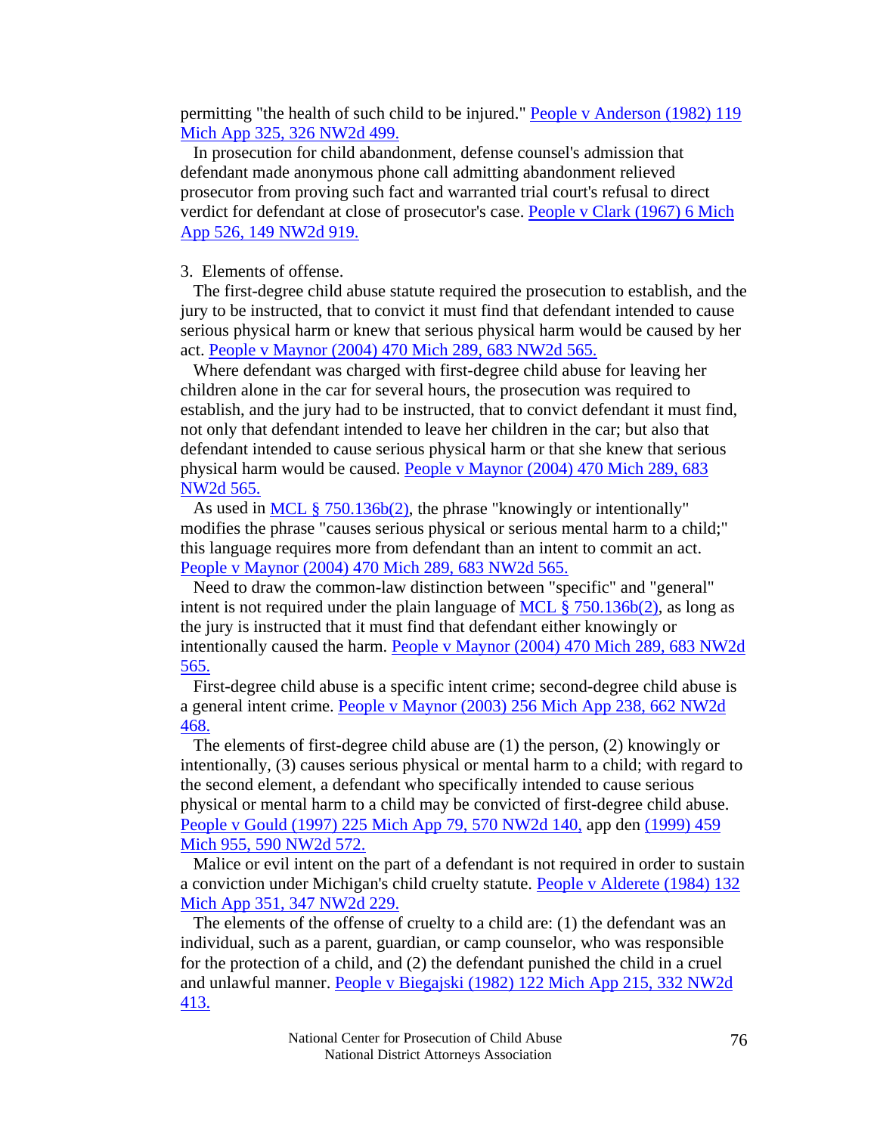permitting "the health of such child to be injured." People v Anderson (1982) 119 [Mich App 325, 326 NW2d 499.](https://www.lexis.com/research/buttonTFLink?_m=7330366c6bfa40ab8c49c0c7e449720f&_xfercite=%3ccite%20cc%3d%22USA%22%3e%3c%21%5bCDATA%5bMCLS%20%a7%20750.136b%5d%5d%3e%3c%2fcite%3e&_butType=3&_butStat=2&_butNum=51&_butInline=1&_butinfo=%3ccite%20cc%3d%22USA%22%3e%3c%21%5bCDATA%5b119%20Mich.%20App.%20325%5d%5d%3e%3c%2fcite%3e&_fmtstr=FULL&docnum=3&_startdoc=1&wchp=dGLbVzz-zSkAW&_md5=03452e56cb75d1a4cfd25efdad6ed200)

 In prosecution for child abandonment, defense counsel's admission that defendant made anonymous phone call admitting abandonment relieved prosecutor from proving such fact and warranted trial court's refusal to direct verdict for defendant at close of prosecutor's case. [People v Clark \(1967\) 6 Mich](https://www.lexis.com/research/buttonTFLink?_m=7330366c6bfa40ab8c49c0c7e449720f&_xfercite=%3ccite%20cc%3d%22USA%22%3e%3c%21%5bCDATA%5bMCLS%20%a7%20750.136b%5d%5d%3e%3c%2fcite%3e&_butType=3&_butStat=2&_butNum=52&_butInline=1&_butinfo=%3ccite%20cc%3d%22USA%22%3e%3c%21%5bCDATA%5b6%20Mich.%20App.%20526%5d%5d%3e%3c%2fcite%3e&_fmtstr=FULL&docnum=3&_startdoc=1&wchp=dGLbVzz-zSkAW&_md5=786ba0ad2a9fce8e73c5723cd8c1cc9d)  [App 526, 149 NW2d 919.](https://www.lexis.com/research/buttonTFLink?_m=7330366c6bfa40ab8c49c0c7e449720f&_xfercite=%3ccite%20cc%3d%22USA%22%3e%3c%21%5bCDATA%5bMCLS%20%a7%20750.136b%5d%5d%3e%3c%2fcite%3e&_butType=3&_butStat=2&_butNum=52&_butInline=1&_butinfo=%3ccite%20cc%3d%22USA%22%3e%3c%21%5bCDATA%5b6%20Mich.%20App.%20526%5d%5d%3e%3c%2fcite%3e&_fmtstr=FULL&docnum=3&_startdoc=1&wchp=dGLbVzz-zSkAW&_md5=786ba0ad2a9fce8e73c5723cd8c1cc9d)

#### 3. Elements of offense.

 The first-degree child abuse statute required the prosecution to establish, and the jury to be instructed, that to convict it must find that defendant intended to cause serious physical harm or knew that serious physical harm would be caused by her act. [People v Maynor \(2004\) 470 Mich 289, 683 NW2d 565.](https://www.lexis.com/research/buttonTFLink?_m=7330366c6bfa40ab8c49c0c7e449720f&_xfercite=%3ccite%20cc%3d%22USA%22%3e%3c%21%5bCDATA%5bMCLS%20%a7%20750.136b%5d%5d%3e%3c%2fcite%3e&_butType=3&_butStat=2&_butNum=53&_butInline=1&_butinfo=%3ccite%20cc%3d%22USA%22%3e%3c%21%5bCDATA%5b470%20Mich.%20289%5d%5d%3e%3c%2fcite%3e&_fmtstr=FULL&docnum=3&_startdoc=1&wchp=dGLbVzz-zSkAW&_md5=1a7c42aade8f70c45a4a2d003d9af479)

 Where defendant was charged with first-degree child abuse for leaving her children alone in the car for several hours, the prosecution was required to establish, and the jury had to be instructed, that to convict defendant it must find, not only that defendant intended to leave her children in the car; but also that defendant intended to cause serious physical harm or that she knew that serious physical harm would be caused. [People v Maynor \(2004\) 470 Mich 289, 683](https://www.lexis.com/research/buttonTFLink?_m=7330366c6bfa40ab8c49c0c7e449720f&_xfercite=%3ccite%20cc%3d%22USA%22%3e%3c%21%5bCDATA%5bMCLS%20%a7%20750.136b%5d%5d%3e%3c%2fcite%3e&_butType=3&_butStat=2&_butNum=54&_butInline=1&_butinfo=%3ccite%20cc%3d%22USA%22%3e%3c%21%5bCDATA%5b470%20Mich.%20289%5d%5d%3e%3c%2fcite%3e&_fmtstr=FULL&docnum=3&_startdoc=1&wchp=dGLbVzz-zSkAW&_md5=8ec0c2c2561e0532ba2247f726be6aea)  [NW2d 565.](https://www.lexis.com/research/buttonTFLink?_m=7330366c6bfa40ab8c49c0c7e449720f&_xfercite=%3ccite%20cc%3d%22USA%22%3e%3c%21%5bCDATA%5bMCLS%20%a7%20750.136b%5d%5d%3e%3c%2fcite%3e&_butType=3&_butStat=2&_butNum=54&_butInline=1&_butinfo=%3ccite%20cc%3d%22USA%22%3e%3c%21%5bCDATA%5b470%20Mich.%20289%5d%5d%3e%3c%2fcite%3e&_fmtstr=FULL&docnum=3&_startdoc=1&wchp=dGLbVzz-zSkAW&_md5=8ec0c2c2561e0532ba2247f726be6aea)

As used in [MCL § 750.136b\(2\),](https://www.lexis.com/research/buttonTFLink?_m=7330366c6bfa40ab8c49c0c7e449720f&_xfercite=%3ccite%20cc%3d%22USA%22%3e%3c%21%5bCDATA%5bMCLS%20%a7%20750.136b%5d%5d%3e%3c%2fcite%3e&_butType=4&_butStat=0&_butNum=55&_butInline=1&_butinfo=MICODE%20750.136B&_fmtstr=FULL&docnum=3&_startdoc=1&wchp=dGLbVzz-zSkAW&_md5=020ff3c1eefa9eeb2e76a268b15321d4) the phrase "knowingly or intentionally" modifies the phrase "causes serious physical or serious mental harm to a child;" this language requires more from defendant than an intent to commit an act. [People v Maynor \(2004\) 470 Mich 289, 683 NW2d 565.](https://www.lexis.com/research/buttonTFLink?_m=7330366c6bfa40ab8c49c0c7e449720f&_xfercite=%3ccite%20cc%3d%22USA%22%3e%3c%21%5bCDATA%5bMCLS%20%a7%20750.136b%5d%5d%3e%3c%2fcite%3e&_butType=3&_butStat=2&_butNum=56&_butInline=1&_butinfo=%3ccite%20cc%3d%22USA%22%3e%3c%21%5bCDATA%5b470%20Mich.%20289%5d%5d%3e%3c%2fcite%3e&_fmtstr=FULL&docnum=3&_startdoc=1&wchp=dGLbVzz-zSkAW&_md5=928ece70984583ef835e719d490768dd)

 Need to draw the common-law distinction between "specific" and "general" intent is not required under the plain language of MCL  $\S$  750.136b(2), as long as the jury is instructed that it must find that defendant either knowingly or intentionally caused the harm. [People v Maynor \(2004\) 470 Mich 289, 683 NW2d](https://www.lexis.com/research/buttonTFLink?_m=7330366c6bfa40ab8c49c0c7e449720f&_xfercite=%3ccite%20cc%3d%22USA%22%3e%3c%21%5bCDATA%5bMCLS%20%a7%20750.136b%5d%5d%3e%3c%2fcite%3e&_butType=3&_butStat=2&_butNum=58&_butInline=1&_butinfo=%3ccite%20cc%3d%22USA%22%3e%3c%21%5bCDATA%5b470%20Mich.%20289%5d%5d%3e%3c%2fcite%3e&_fmtstr=FULL&docnum=3&_startdoc=1&wchp=dGLbVzz-zSkAW&_md5=1edc27730b8d15d7252f1b8b4c9f03d4)  [565.](https://www.lexis.com/research/buttonTFLink?_m=7330366c6bfa40ab8c49c0c7e449720f&_xfercite=%3ccite%20cc%3d%22USA%22%3e%3c%21%5bCDATA%5bMCLS%20%a7%20750.136b%5d%5d%3e%3c%2fcite%3e&_butType=3&_butStat=2&_butNum=58&_butInline=1&_butinfo=%3ccite%20cc%3d%22USA%22%3e%3c%21%5bCDATA%5b470%20Mich.%20289%5d%5d%3e%3c%2fcite%3e&_fmtstr=FULL&docnum=3&_startdoc=1&wchp=dGLbVzz-zSkAW&_md5=1edc27730b8d15d7252f1b8b4c9f03d4)

 First-degree child abuse is a specific intent crime; second-degree child abuse is a general intent crime. [People v Maynor \(2003\) 256 Mich App 238, 662 NW2d](https://www.lexis.com/research/buttonTFLink?_m=7330366c6bfa40ab8c49c0c7e449720f&_xfercite=%3ccite%20cc%3d%22USA%22%3e%3c%21%5bCDATA%5bMCLS%20%a7%20750.136b%5d%5d%3e%3c%2fcite%3e&_butType=3&_butStat=2&_butNum=59&_butInline=1&_butinfo=%3ccite%20cc%3d%22USA%22%3e%3c%21%5bCDATA%5b256%20Mich.%20App.%20238%5d%5d%3e%3c%2fcite%3e&_fmtstr=FULL&docnum=3&_startdoc=1&wchp=dGLbVzz-zSkAW&_md5=66149fba861186fd5acda1e188873f7b)  [468.](https://www.lexis.com/research/buttonTFLink?_m=7330366c6bfa40ab8c49c0c7e449720f&_xfercite=%3ccite%20cc%3d%22USA%22%3e%3c%21%5bCDATA%5bMCLS%20%a7%20750.136b%5d%5d%3e%3c%2fcite%3e&_butType=3&_butStat=2&_butNum=59&_butInline=1&_butinfo=%3ccite%20cc%3d%22USA%22%3e%3c%21%5bCDATA%5b256%20Mich.%20App.%20238%5d%5d%3e%3c%2fcite%3e&_fmtstr=FULL&docnum=3&_startdoc=1&wchp=dGLbVzz-zSkAW&_md5=66149fba861186fd5acda1e188873f7b)

 The elements of first-degree child abuse are (1) the person, (2) knowingly or intentionally, (3) causes serious physical or mental harm to a child; with regard to the second element, a defendant who specifically intended to cause serious physical or mental harm to a child may be convicted of first-degree child abuse. [People v Gould \(1997\) 225 Mich App 79, 570 NW2d 140,](https://www.lexis.com/research/buttonTFLink?_m=7330366c6bfa40ab8c49c0c7e449720f&_xfercite=%3ccite%20cc%3d%22USA%22%3e%3c%21%5bCDATA%5bMCLS%20%a7%20750.136b%5d%5d%3e%3c%2fcite%3e&_butType=3&_butStat=2&_butNum=60&_butInline=1&_butinfo=%3ccite%20cc%3d%22USA%22%3e%3c%21%5bCDATA%5b225%20Mich.%20App.%2079%5d%5d%3e%3c%2fcite%3e&_fmtstr=FULL&docnum=3&_startdoc=1&wchp=dGLbVzz-zSkAW&_md5=d4cf054e59499fb1329847401de73a28) app den [\(1999\) 459](https://www.lexis.com/research/buttonTFLink?_m=7330366c6bfa40ab8c49c0c7e449720f&_xfercite=%3ccite%20cc%3d%22USA%22%3e%3c%21%5bCDATA%5bMCLS%20%a7%20750.136b%5d%5d%3e%3c%2fcite%3e&_butType=3&_butStat=2&_butNum=61&_butInline=1&_butinfo=%3ccite%20cc%3d%22USA%22%3e%3c%21%5bCDATA%5b459%20Mich.%20955%5d%5d%3e%3c%2fcite%3e&_fmtstr=FULL&docnum=3&_startdoc=1&wchp=dGLbVzz-zSkAW&_md5=96853663a3923321a549d5fd1d819d47)  [Mich 955, 590 NW2d 572.](https://www.lexis.com/research/buttonTFLink?_m=7330366c6bfa40ab8c49c0c7e449720f&_xfercite=%3ccite%20cc%3d%22USA%22%3e%3c%21%5bCDATA%5bMCLS%20%a7%20750.136b%5d%5d%3e%3c%2fcite%3e&_butType=3&_butStat=2&_butNum=61&_butInline=1&_butinfo=%3ccite%20cc%3d%22USA%22%3e%3c%21%5bCDATA%5b459%20Mich.%20955%5d%5d%3e%3c%2fcite%3e&_fmtstr=FULL&docnum=3&_startdoc=1&wchp=dGLbVzz-zSkAW&_md5=96853663a3923321a549d5fd1d819d47)

 Malice or evil intent on the part of a defendant is not required in order to sustain a conviction under Michigan's child cruelty statute. [People v Alderete \(1984\) 132](https://www.lexis.com/research/buttonTFLink?_m=7330366c6bfa40ab8c49c0c7e449720f&_xfercite=%3ccite%20cc%3d%22USA%22%3e%3c%21%5bCDATA%5bMCLS%20%a7%20750.136b%5d%5d%3e%3c%2fcite%3e&_butType=3&_butStat=2&_butNum=62&_butInline=1&_butinfo=%3ccite%20cc%3d%22USA%22%3e%3c%21%5bCDATA%5b132%20Mich.%20App.%20351%5d%5d%3e%3c%2fcite%3e&_fmtstr=FULL&docnum=3&_startdoc=1&wchp=dGLbVzz-zSkAW&_md5=1a4b0925efd996c011162ff976a68958)  [Mich App 351, 347 NW2d 229.](https://www.lexis.com/research/buttonTFLink?_m=7330366c6bfa40ab8c49c0c7e449720f&_xfercite=%3ccite%20cc%3d%22USA%22%3e%3c%21%5bCDATA%5bMCLS%20%a7%20750.136b%5d%5d%3e%3c%2fcite%3e&_butType=3&_butStat=2&_butNum=62&_butInline=1&_butinfo=%3ccite%20cc%3d%22USA%22%3e%3c%21%5bCDATA%5b132%20Mich.%20App.%20351%5d%5d%3e%3c%2fcite%3e&_fmtstr=FULL&docnum=3&_startdoc=1&wchp=dGLbVzz-zSkAW&_md5=1a4b0925efd996c011162ff976a68958)

 The elements of the offense of cruelty to a child are: (1) the defendant was an individual, such as a parent, guardian, or camp counselor, who was responsible for the protection of a child, and (2) the defendant punished the child in a cruel and unlawful manner. [People v Biegajski \(1982\) 122 Mich App 215, 332 NW2d](https://www.lexis.com/research/buttonTFLink?_m=7330366c6bfa40ab8c49c0c7e449720f&_xfercite=%3ccite%20cc%3d%22USA%22%3e%3c%21%5bCDATA%5bMCLS%20%a7%20750.136b%5d%5d%3e%3c%2fcite%3e&_butType=3&_butStat=2&_butNum=63&_butInline=1&_butinfo=%3ccite%20cc%3d%22USA%22%3e%3c%21%5bCDATA%5b122%20Mich.%20App.%20215%5d%5d%3e%3c%2fcite%3e&_fmtstr=FULL&docnum=3&_startdoc=1&wchp=dGLbVzz-zSkAW&_md5=3be2b6e0fca3af284e0660eca1b0fda3)  [413.](https://www.lexis.com/research/buttonTFLink?_m=7330366c6bfa40ab8c49c0c7e449720f&_xfercite=%3ccite%20cc%3d%22USA%22%3e%3c%21%5bCDATA%5bMCLS%20%a7%20750.136b%5d%5d%3e%3c%2fcite%3e&_butType=3&_butStat=2&_butNum=63&_butInline=1&_butinfo=%3ccite%20cc%3d%22USA%22%3e%3c%21%5bCDATA%5b122%20Mich.%20App.%20215%5d%5d%3e%3c%2fcite%3e&_fmtstr=FULL&docnum=3&_startdoc=1&wchp=dGLbVzz-zSkAW&_md5=3be2b6e0fca3af284e0660eca1b0fda3)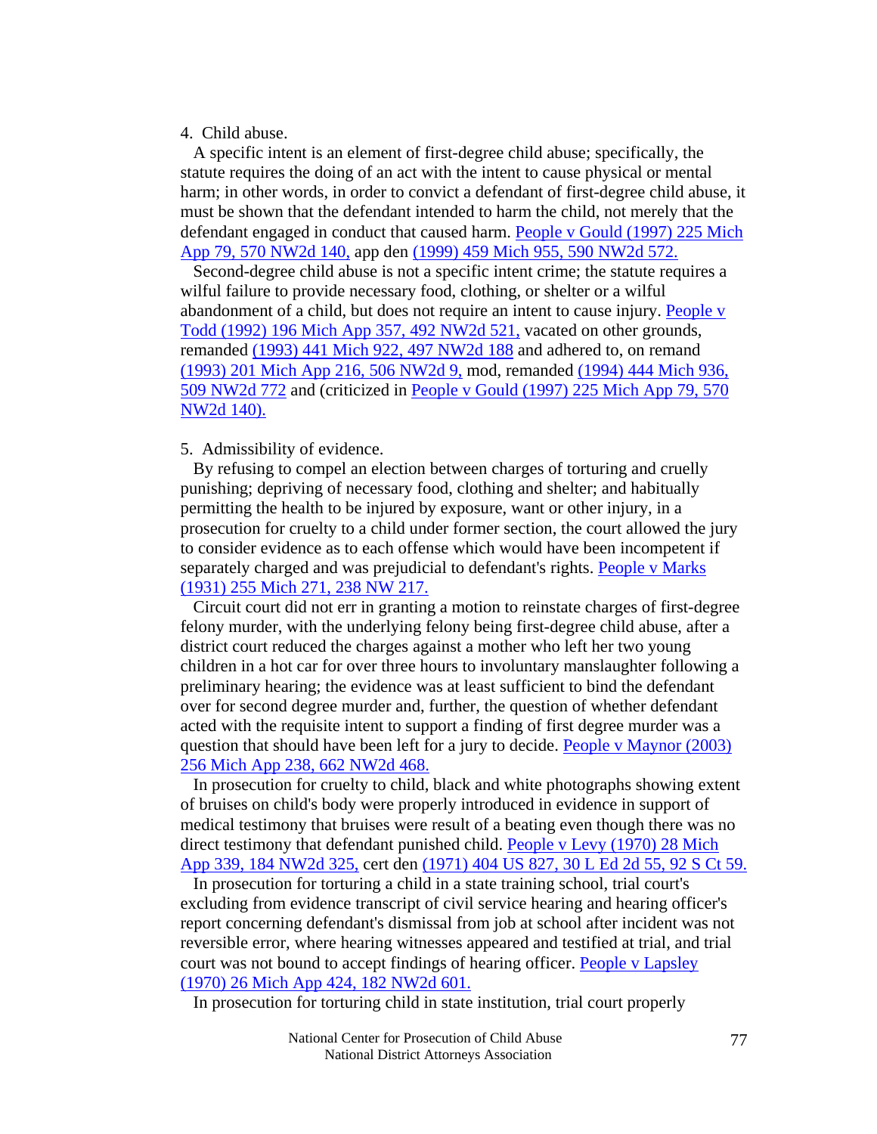#### 4. Child abuse.

 A specific intent is an element of first-degree child abuse; specifically, the statute requires the doing of an act with the intent to cause physical or mental harm; in other words, in order to convict a defendant of first-degree child abuse, it must be shown that the defendant intended to harm the child, not merely that the defendant engaged in conduct that caused harm. [People v Gould \(1997\) 225 Mich](https://www.lexis.com/research/buttonTFLink?_m=7330366c6bfa40ab8c49c0c7e449720f&_xfercite=%3ccite%20cc%3d%22USA%22%3e%3c%21%5bCDATA%5bMCLS%20%a7%20750.136b%5d%5d%3e%3c%2fcite%3e&_butType=3&_butStat=2&_butNum=64&_butInline=1&_butinfo=%3ccite%20cc%3d%22USA%22%3e%3c%21%5bCDATA%5b225%20Mich.%20App.%2079%5d%5d%3e%3c%2fcite%3e&_fmtstr=FULL&docnum=3&_startdoc=1&wchp=dGLbVzz-zSkAW&_md5=cfa3d9a59653e1f72bd91f7d6c1f8416)  [App 79, 570 NW2d 140,](https://www.lexis.com/research/buttonTFLink?_m=7330366c6bfa40ab8c49c0c7e449720f&_xfercite=%3ccite%20cc%3d%22USA%22%3e%3c%21%5bCDATA%5bMCLS%20%a7%20750.136b%5d%5d%3e%3c%2fcite%3e&_butType=3&_butStat=2&_butNum=64&_butInline=1&_butinfo=%3ccite%20cc%3d%22USA%22%3e%3c%21%5bCDATA%5b225%20Mich.%20App.%2079%5d%5d%3e%3c%2fcite%3e&_fmtstr=FULL&docnum=3&_startdoc=1&wchp=dGLbVzz-zSkAW&_md5=cfa3d9a59653e1f72bd91f7d6c1f8416) app den [\(1999\) 459 Mich 955, 590 NW2d 572.](https://www.lexis.com/research/buttonTFLink?_m=7330366c6bfa40ab8c49c0c7e449720f&_xfercite=%3ccite%20cc%3d%22USA%22%3e%3c%21%5bCDATA%5bMCLS%20%a7%20750.136b%5d%5d%3e%3c%2fcite%3e&_butType=3&_butStat=2&_butNum=65&_butInline=1&_butinfo=%3ccite%20cc%3d%22USA%22%3e%3c%21%5bCDATA%5b459%20Mich.%20955%5d%5d%3e%3c%2fcite%3e&_fmtstr=FULL&docnum=3&_startdoc=1&wchp=dGLbVzz-zSkAW&_md5=e98e98394c0b0157d6b0393a8cf3d04c)

 Second-degree child abuse is not a specific intent crime; the statute requires a wilful failure to provide necessary food, clothing, or shelter or a wilful abandonment of a child, but does not require an intent to cause injury. [People v](https://www.lexis.com/research/buttonTFLink?_m=7330366c6bfa40ab8c49c0c7e449720f&_xfercite=%3ccite%20cc%3d%22USA%22%3e%3c%21%5bCDATA%5bMCLS%20%a7%20750.136b%5d%5d%3e%3c%2fcite%3e&_butType=3&_butStat=2&_butNum=66&_butInline=1&_butinfo=%3ccite%20cc%3d%22USA%22%3e%3c%21%5bCDATA%5b196%20Mich.%20App.%20357%5d%5d%3e%3c%2fcite%3e&_fmtstr=FULL&docnum=3&_startdoc=1&wchp=dGLbVzz-zSkAW&_md5=528ac5e0de6df9379d57525ad1d7b096)  [Todd \(1992\) 196 Mich App 357, 492 NW2d 521,](https://www.lexis.com/research/buttonTFLink?_m=7330366c6bfa40ab8c49c0c7e449720f&_xfercite=%3ccite%20cc%3d%22USA%22%3e%3c%21%5bCDATA%5bMCLS%20%a7%20750.136b%5d%5d%3e%3c%2fcite%3e&_butType=3&_butStat=2&_butNum=66&_butInline=1&_butinfo=%3ccite%20cc%3d%22USA%22%3e%3c%21%5bCDATA%5b196%20Mich.%20App.%20357%5d%5d%3e%3c%2fcite%3e&_fmtstr=FULL&docnum=3&_startdoc=1&wchp=dGLbVzz-zSkAW&_md5=528ac5e0de6df9379d57525ad1d7b096) vacated on other grounds, remanded [\(1993\) 441 Mich 922, 497 NW2d 188](https://www.lexis.com/research/buttonTFLink?_m=7330366c6bfa40ab8c49c0c7e449720f&_xfercite=%3ccite%20cc%3d%22USA%22%3e%3c%21%5bCDATA%5bMCLS%20%a7%20750.136b%5d%5d%3e%3c%2fcite%3e&_butType=3&_butStat=2&_butNum=67&_butInline=1&_butinfo=%3ccite%20cc%3d%22USA%22%3e%3c%21%5bCDATA%5b441%20Mich.%20922%5d%5d%3e%3c%2fcite%3e&_fmtstr=FULL&docnum=3&_startdoc=1&wchp=dGLbVzz-zSkAW&_md5=21e372735a9d9efad228f29076ff27d3) and adhered to, on remand [\(1993\) 201 Mich App 216, 506 NW2d 9,](https://www.lexis.com/research/buttonTFLink?_m=7330366c6bfa40ab8c49c0c7e449720f&_xfercite=%3ccite%20cc%3d%22USA%22%3e%3c%21%5bCDATA%5bMCLS%20%a7%20750.136b%5d%5d%3e%3c%2fcite%3e&_butType=3&_butStat=2&_butNum=68&_butInline=1&_butinfo=%3ccite%20cc%3d%22USA%22%3e%3c%21%5bCDATA%5b201%20Mich.%20App.%20216%5d%5d%3e%3c%2fcite%3e&_fmtstr=FULL&docnum=3&_startdoc=1&wchp=dGLbVzz-zSkAW&_md5=a63832d21aaa2acac45276811f73e2b9) mod, remanded [\(1994\) 444 Mich 936,](https://www.lexis.com/research/buttonTFLink?_m=7330366c6bfa40ab8c49c0c7e449720f&_xfercite=%3ccite%20cc%3d%22USA%22%3e%3c%21%5bCDATA%5bMCLS%20%a7%20750.136b%5d%5d%3e%3c%2fcite%3e&_butType=3&_butStat=2&_butNum=69&_butInline=1&_butinfo=%3ccite%20cc%3d%22USA%22%3e%3c%21%5bCDATA%5b444%20Mich.%20936%5d%5d%3e%3c%2fcite%3e&_fmtstr=FULL&docnum=3&_startdoc=1&wchp=dGLbVzz-zSkAW&_md5=4e809b2d477d296b1040083fcd497273)  [509 NW2d 772](https://www.lexis.com/research/buttonTFLink?_m=7330366c6bfa40ab8c49c0c7e449720f&_xfercite=%3ccite%20cc%3d%22USA%22%3e%3c%21%5bCDATA%5bMCLS%20%a7%20750.136b%5d%5d%3e%3c%2fcite%3e&_butType=3&_butStat=2&_butNum=69&_butInline=1&_butinfo=%3ccite%20cc%3d%22USA%22%3e%3c%21%5bCDATA%5b444%20Mich.%20936%5d%5d%3e%3c%2fcite%3e&_fmtstr=FULL&docnum=3&_startdoc=1&wchp=dGLbVzz-zSkAW&_md5=4e809b2d477d296b1040083fcd497273) and (criticized in [People v Gould \(1997\) 225 Mich App 79, 570](https://www.lexis.com/research/buttonTFLink?_m=7330366c6bfa40ab8c49c0c7e449720f&_xfercite=%3ccite%20cc%3d%22USA%22%3e%3c%21%5bCDATA%5bMCLS%20%a7%20750.136b%5d%5d%3e%3c%2fcite%3e&_butType=3&_butStat=2&_butNum=70&_butInline=1&_butinfo=%3ccite%20cc%3d%22USA%22%3e%3c%21%5bCDATA%5b225%20Mich.%20App.%2079%5d%5d%3e%3c%2fcite%3e&_fmtstr=FULL&docnum=3&_startdoc=1&wchp=dGLbVzz-zSkAW&_md5=d98501dbd3580acdd60fe1417167c3d7)  [NW2d 140\).](https://www.lexis.com/research/buttonTFLink?_m=7330366c6bfa40ab8c49c0c7e449720f&_xfercite=%3ccite%20cc%3d%22USA%22%3e%3c%21%5bCDATA%5bMCLS%20%a7%20750.136b%5d%5d%3e%3c%2fcite%3e&_butType=3&_butStat=2&_butNum=70&_butInline=1&_butinfo=%3ccite%20cc%3d%22USA%22%3e%3c%21%5bCDATA%5b225%20Mich.%20App.%2079%5d%5d%3e%3c%2fcite%3e&_fmtstr=FULL&docnum=3&_startdoc=1&wchp=dGLbVzz-zSkAW&_md5=d98501dbd3580acdd60fe1417167c3d7)

#### 5. Admissibility of evidence.

 By refusing to compel an election between charges of torturing and cruelly punishing; depriving of necessary food, clothing and shelter; and habitually permitting the health to be injured by exposure, want or other injury, in a prosecution for cruelty to a child under former section, the court allowed the jury to consider evidence as to each offense which would have been incompetent if separately charged and was prejudicial to defendant's rights. [People v Marks](https://www.lexis.com/research/buttonTFLink?_m=7330366c6bfa40ab8c49c0c7e449720f&_xfercite=%3ccite%20cc%3d%22USA%22%3e%3c%21%5bCDATA%5bMCLS%20%a7%20750.136b%5d%5d%3e%3c%2fcite%3e&_butType=3&_butStat=2&_butNum=71&_butInline=1&_butinfo=%3ccite%20cc%3d%22USA%22%3e%3c%21%5bCDATA%5b255%20Mich.%20271%5d%5d%3e%3c%2fcite%3e&_fmtstr=FULL&docnum=3&_startdoc=1&wchp=dGLbVzz-zSkAW&_md5=5e29910e0ae1dd7eea1c9e8ceabddd77)  [\(1931\) 255 Mich 271, 238 NW 217.](https://www.lexis.com/research/buttonTFLink?_m=7330366c6bfa40ab8c49c0c7e449720f&_xfercite=%3ccite%20cc%3d%22USA%22%3e%3c%21%5bCDATA%5bMCLS%20%a7%20750.136b%5d%5d%3e%3c%2fcite%3e&_butType=3&_butStat=2&_butNum=71&_butInline=1&_butinfo=%3ccite%20cc%3d%22USA%22%3e%3c%21%5bCDATA%5b255%20Mich.%20271%5d%5d%3e%3c%2fcite%3e&_fmtstr=FULL&docnum=3&_startdoc=1&wchp=dGLbVzz-zSkAW&_md5=5e29910e0ae1dd7eea1c9e8ceabddd77)

 Circuit court did not err in granting a motion to reinstate charges of first-degree felony murder, with the underlying felony being first-degree child abuse, after a district court reduced the charges against a mother who left her two young children in a hot car for over three hours to involuntary manslaughter following a preliminary hearing; the evidence was at least sufficient to bind the defendant over for second degree murder and, further, the question of whether defendant acted with the requisite intent to support a finding of first degree murder was a question that should have been left for a jury to decide. People v Maynor (2003) [256 Mich App 238, 662 NW2d 468.](https://www.lexis.com/research/buttonTFLink?_m=7330366c6bfa40ab8c49c0c7e449720f&_xfercite=%3ccite%20cc%3d%22USA%22%3e%3c%21%5bCDATA%5bMCLS%20%a7%20750.136b%5d%5d%3e%3c%2fcite%3e&_butType=3&_butStat=2&_butNum=72&_butInline=1&_butinfo=%3ccite%20cc%3d%22USA%22%3e%3c%21%5bCDATA%5b256%20Mich.%20App.%20238%5d%5d%3e%3c%2fcite%3e&_fmtstr=FULL&docnum=3&_startdoc=1&wchp=dGLbVzz-zSkAW&_md5=c92ca9af6c3556fe2f72cc758c34e84f)

 In prosecution for cruelty to child, black and white photographs showing extent of bruises on child's body were properly introduced in evidence in support of medical testimony that bruises were result of a beating even though there was no direct testimony that defendant punished child. [People v Levy \(1970\) 28 Mich](https://www.lexis.com/research/buttonTFLink?_m=7330366c6bfa40ab8c49c0c7e449720f&_xfercite=%3ccite%20cc%3d%22USA%22%3e%3c%21%5bCDATA%5bMCLS%20%a7%20750.136b%5d%5d%3e%3c%2fcite%3e&_butType=3&_butStat=2&_butNum=73&_butInline=1&_butinfo=%3ccite%20cc%3d%22USA%22%3e%3c%21%5bCDATA%5b28%20Mich.%20App.%20339%5d%5d%3e%3c%2fcite%3e&_fmtstr=FULL&docnum=3&_startdoc=1&wchp=dGLbVzz-zSkAW&_md5=6e746b09f1f2ff4251a59a2399261593)  [App 339, 184 NW2d 325,](https://www.lexis.com/research/buttonTFLink?_m=7330366c6bfa40ab8c49c0c7e449720f&_xfercite=%3ccite%20cc%3d%22USA%22%3e%3c%21%5bCDATA%5bMCLS%20%a7%20750.136b%5d%5d%3e%3c%2fcite%3e&_butType=3&_butStat=2&_butNum=73&_butInline=1&_butinfo=%3ccite%20cc%3d%22USA%22%3e%3c%21%5bCDATA%5b28%20Mich.%20App.%20339%5d%5d%3e%3c%2fcite%3e&_fmtstr=FULL&docnum=3&_startdoc=1&wchp=dGLbVzz-zSkAW&_md5=6e746b09f1f2ff4251a59a2399261593) cert den [\(1971\) 404 US 827, 30 L Ed 2d 55, 92 S Ct 59.](https://www.lexis.com/research/buttonTFLink?_m=7330366c6bfa40ab8c49c0c7e449720f&_xfercite=%3ccite%20cc%3d%22USA%22%3e%3c%21%5bCDATA%5bMCLS%20%a7%20750.136b%5d%5d%3e%3c%2fcite%3e&_butType=3&_butStat=2&_butNum=74&_butInline=1&_butinfo=%3ccite%20cc%3d%22USA%22%3e%3c%21%5bCDATA%5b404%20U.S.%20827%5d%5d%3e%3c%2fcite%3e&_fmtstr=FULL&docnum=3&_startdoc=1&wchp=dGLbVzz-zSkAW&_md5=07e97fe35c8a96289a3859d08bf0110e)

 In prosecution for torturing a child in a state training school, trial court's excluding from evidence transcript of civil service hearing and hearing officer's report concerning defendant's dismissal from job at school after incident was not reversible error, where hearing witnesses appeared and testified at trial, and trial court was not bound to accept findings of hearing officer. [People v Lapsley](https://www.lexis.com/research/buttonTFLink?_m=7330366c6bfa40ab8c49c0c7e449720f&_xfercite=%3ccite%20cc%3d%22USA%22%3e%3c%21%5bCDATA%5bMCLS%20%a7%20750.136b%5d%5d%3e%3c%2fcite%3e&_butType=3&_butStat=2&_butNum=75&_butInline=1&_butinfo=%3ccite%20cc%3d%22USA%22%3e%3c%21%5bCDATA%5b26%20Mich.%20App.%20424%5d%5d%3e%3c%2fcite%3e&_fmtstr=FULL&docnum=3&_startdoc=1&wchp=dGLbVzz-zSkAW&_md5=11d89936e9cdd43e324147f804a31e11)  [\(1970\) 26 Mich App 424, 182 NW2d 601.](https://www.lexis.com/research/buttonTFLink?_m=7330366c6bfa40ab8c49c0c7e449720f&_xfercite=%3ccite%20cc%3d%22USA%22%3e%3c%21%5bCDATA%5bMCLS%20%a7%20750.136b%5d%5d%3e%3c%2fcite%3e&_butType=3&_butStat=2&_butNum=75&_butInline=1&_butinfo=%3ccite%20cc%3d%22USA%22%3e%3c%21%5bCDATA%5b26%20Mich.%20App.%20424%5d%5d%3e%3c%2fcite%3e&_fmtstr=FULL&docnum=3&_startdoc=1&wchp=dGLbVzz-zSkAW&_md5=11d89936e9cdd43e324147f804a31e11)

In prosecution for torturing child in state institution, trial court properly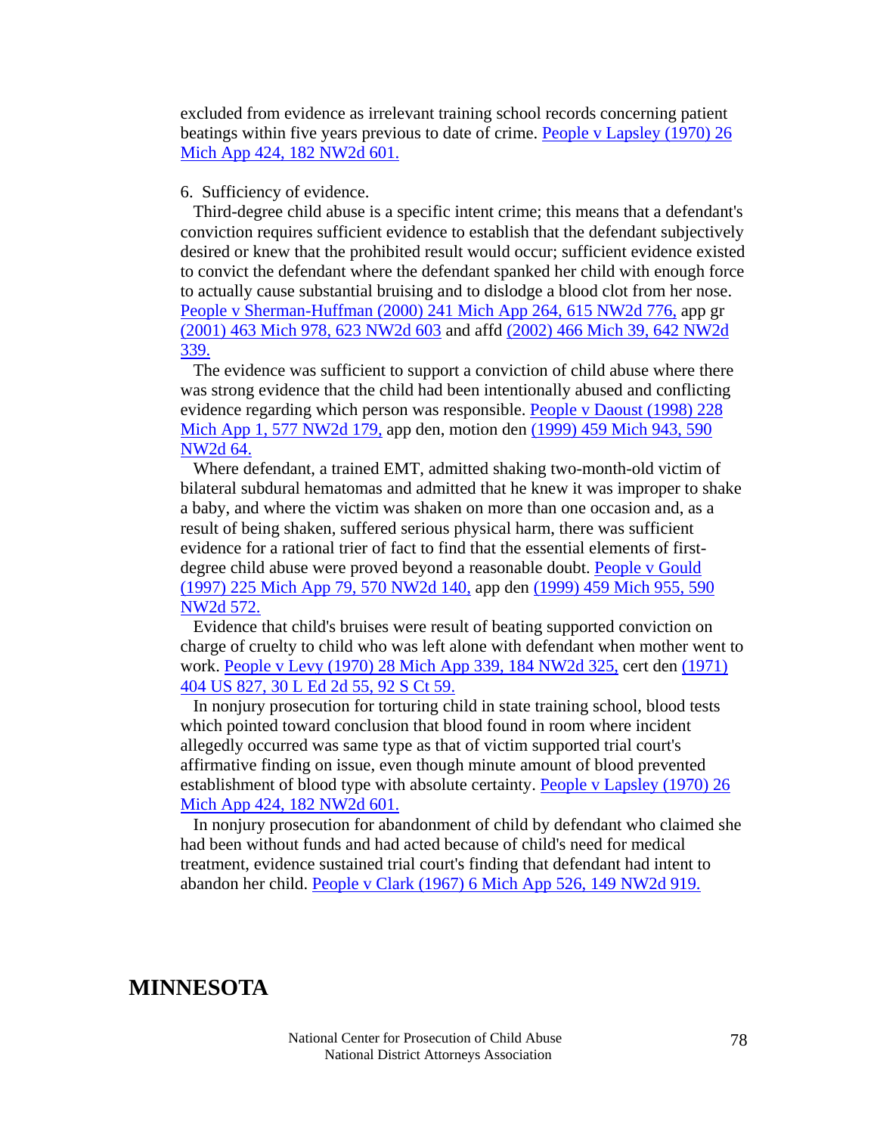excluded from evidence as irrelevant training school records concerning patient beatings within five years previous to date of crime. [People v Lapsley \(1970\) 26](https://www.lexis.com/research/buttonTFLink?_m=7330366c6bfa40ab8c49c0c7e449720f&_xfercite=%3ccite%20cc%3d%22USA%22%3e%3c%21%5bCDATA%5bMCLS%20%a7%20750.136b%5d%5d%3e%3c%2fcite%3e&_butType=3&_butStat=2&_butNum=76&_butInline=1&_butinfo=%3ccite%20cc%3d%22USA%22%3e%3c%21%5bCDATA%5b26%20Mich.%20App.%20424%5d%5d%3e%3c%2fcite%3e&_fmtstr=FULL&docnum=3&_startdoc=1&wchp=dGLbVzz-zSkAW&_md5=428011feb61a2c7162574b075068d93b)  [Mich App 424, 182 NW2d 601.](https://www.lexis.com/research/buttonTFLink?_m=7330366c6bfa40ab8c49c0c7e449720f&_xfercite=%3ccite%20cc%3d%22USA%22%3e%3c%21%5bCDATA%5bMCLS%20%a7%20750.136b%5d%5d%3e%3c%2fcite%3e&_butType=3&_butStat=2&_butNum=76&_butInline=1&_butinfo=%3ccite%20cc%3d%22USA%22%3e%3c%21%5bCDATA%5b26%20Mich.%20App.%20424%5d%5d%3e%3c%2fcite%3e&_fmtstr=FULL&docnum=3&_startdoc=1&wchp=dGLbVzz-zSkAW&_md5=428011feb61a2c7162574b075068d93b)

#### 6. Sufficiency of evidence.

 Third-degree child abuse is a specific intent crime; this means that a defendant's conviction requires sufficient evidence to establish that the defendant subjectively desired or knew that the prohibited result would occur; sufficient evidence existed to convict the defendant where the defendant spanked her child with enough force to actually cause substantial bruising and to dislodge a blood clot from her nose. [People v Sherman-Huffman \(2000\) 241 Mich App 264, 615 NW2d 776,](https://www.lexis.com/research/buttonTFLink?_m=7330366c6bfa40ab8c49c0c7e449720f&_xfercite=%3ccite%20cc%3d%22USA%22%3e%3c%21%5bCDATA%5bMCLS%20%a7%20750.136b%5d%5d%3e%3c%2fcite%3e&_butType=3&_butStat=2&_butNum=77&_butInline=1&_butinfo=%3ccite%20cc%3d%22USA%22%3e%3c%21%5bCDATA%5b241%20Mich.%20App.%20264%5d%5d%3e%3c%2fcite%3e&_fmtstr=FULL&docnum=3&_startdoc=1&wchp=dGLbVzz-zSkAW&_md5=3123cb86f008042cbd2328145f5054e6) app gr [\(2001\) 463 Mich 978, 623 NW2d 603](https://www.lexis.com/research/buttonTFLink?_m=7330366c6bfa40ab8c49c0c7e449720f&_xfercite=%3ccite%20cc%3d%22USA%22%3e%3c%21%5bCDATA%5bMCLS%20%a7%20750.136b%5d%5d%3e%3c%2fcite%3e&_butType=3&_butStat=2&_butNum=78&_butInline=1&_butinfo=%3ccite%20cc%3d%22USA%22%3e%3c%21%5bCDATA%5b463%20Mich.%20978%5d%5d%3e%3c%2fcite%3e&_fmtstr=FULL&docnum=3&_startdoc=1&wchp=dGLbVzz-zSkAW&_md5=abfea7401521f817478b545e9cee4ae5) and affd [\(2002\) 466 Mich 39, 642 NW2d](https://www.lexis.com/research/buttonTFLink?_m=7330366c6bfa40ab8c49c0c7e449720f&_xfercite=%3ccite%20cc%3d%22USA%22%3e%3c%21%5bCDATA%5bMCLS%20%a7%20750.136b%5d%5d%3e%3c%2fcite%3e&_butType=3&_butStat=2&_butNum=79&_butInline=1&_butinfo=%3ccite%20cc%3d%22USA%22%3e%3c%21%5bCDATA%5b466%20Mich.%2039%5d%5d%3e%3c%2fcite%3e&_fmtstr=FULL&docnum=3&_startdoc=1&wchp=dGLbVzz-zSkAW&_md5=3f9f486814aecbf23e61ef34de47a177)  [339.](https://www.lexis.com/research/buttonTFLink?_m=7330366c6bfa40ab8c49c0c7e449720f&_xfercite=%3ccite%20cc%3d%22USA%22%3e%3c%21%5bCDATA%5bMCLS%20%a7%20750.136b%5d%5d%3e%3c%2fcite%3e&_butType=3&_butStat=2&_butNum=79&_butInline=1&_butinfo=%3ccite%20cc%3d%22USA%22%3e%3c%21%5bCDATA%5b466%20Mich.%2039%5d%5d%3e%3c%2fcite%3e&_fmtstr=FULL&docnum=3&_startdoc=1&wchp=dGLbVzz-zSkAW&_md5=3f9f486814aecbf23e61ef34de47a177)

 The evidence was sufficient to support a conviction of child abuse where there was strong evidence that the child had been intentionally abused and conflicting evidence regarding which person was responsible. [People v Daoust \(1998\) 228](https://www.lexis.com/research/buttonTFLink?_m=7330366c6bfa40ab8c49c0c7e449720f&_xfercite=%3ccite%20cc%3d%22USA%22%3e%3c%21%5bCDATA%5bMCLS%20%a7%20750.136b%5d%5d%3e%3c%2fcite%3e&_butType=3&_butStat=2&_butNum=80&_butInline=1&_butinfo=%3ccite%20cc%3d%22USA%22%3e%3c%21%5bCDATA%5b228%20Mich.%20App.%201%5d%5d%3e%3c%2fcite%3e&_fmtstr=FULL&docnum=3&_startdoc=1&wchp=dGLbVzz-zSkAW&_md5=c3de3057d9bada5d7a1f741b6d3c61a1)  [Mich App 1, 577 NW2d 179,](https://www.lexis.com/research/buttonTFLink?_m=7330366c6bfa40ab8c49c0c7e449720f&_xfercite=%3ccite%20cc%3d%22USA%22%3e%3c%21%5bCDATA%5bMCLS%20%a7%20750.136b%5d%5d%3e%3c%2fcite%3e&_butType=3&_butStat=2&_butNum=80&_butInline=1&_butinfo=%3ccite%20cc%3d%22USA%22%3e%3c%21%5bCDATA%5b228%20Mich.%20App.%201%5d%5d%3e%3c%2fcite%3e&_fmtstr=FULL&docnum=3&_startdoc=1&wchp=dGLbVzz-zSkAW&_md5=c3de3057d9bada5d7a1f741b6d3c61a1) app den, motion den [\(1999\) 459 Mich 943, 590](https://www.lexis.com/research/buttonTFLink?_m=7330366c6bfa40ab8c49c0c7e449720f&_xfercite=%3ccite%20cc%3d%22USA%22%3e%3c%21%5bCDATA%5bMCLS%20%a7%20750.136b%5d%5d%3e%3c%2fcite%3e&_butType=3&_butStat=2&_butNum=81&_butInline=1&_butinfo=%3ccite%20cc%3d%22USA%22%3e%3c%21%5bCDATA%5b459%20Mich.%20943%5d%5d%3e%3c%2fcite%3e&_fmtstr=FULL&docnum=3&_startdoc=1&wchp=dGLbVzz-zSkAW&_md5=c3a5a135ce1514e3b792c23fa40fa1d8)  [NW2d 64.](https://www.lexis.com/research/buttonTFLink?_m=7330366c6bfa40ab8c49c0c7e449720f&_xfercite=%3ccite%20cc%3d%22USA%22%3e%3c%21%5bCDATA%5bMCLS%20%a7%20750.136b%5d%5d%3e%3c%2fcite%3e&_butType=3&_butStat=2&_butNum=81&_butInline=1&_butinfo=%3ccite%20cc%3d%22USA%22%3e%3c%21%5bCDATA%5b459%20Mich.%20943%5d%5d%3e%3c%2fcite%3e&_fmtstr=FULL&docnum=3&_startdoc=1&wchp=dGLbVzz-zSkAW&_md5=c3a5a135ce1514e3b792c23fa40fa1d8)

 Where defendant, a trained EMT, admitted shaking two-month-old victim of bilateral subdural hematomas and admitted that he knew it was improper to shake a baby, and where the victim was shaken on more than one occasion and, as a result of being shaken, suffered serious physical harm, there was sufficient evidence for a rational trier of fact to find that the essential elements of firstdegree child abuse were proved beyond a reasonable doubt. [People v Gould](https://www.lexis.com/research/buttonTFLink?_m=7330366c6bfa40ab8c49c0c7e449720f&_xfercite=%3ccite%20cc%3d%22USA%22%3e%3c%21%5bCDATA%5bMCLS%20%a7%20750.136b%5d%5d%3e%3c%2fcite%3e&_butType=3&_butStat=2&_butNum=82&_butInline=1&_butinfo=%3ccite%20cc%3d%22USA%22%3e%3c%21%5bCDATA%5b225%20Mich.%20App.%2079%5d%5d%3e%3c%2fcite%3e&_fmtstr=FULL&docnum=3&_startdoc=1&wchp=dGLbVzz-zSkAW&_md5=d3103d649044616c4329c51fad453f19)  [\(1997\) 225 Mich App 79, 570 NW2d 140,](https://www.lexis.com/research/buttonTFLink?_m=7330366c6bfa40ab8c49c0c7e449720f&_xfercite=%3ccite%20cc%3d%22USA%22%3e%3c%21%5bCDATA%5bMCLS%20%a7%20750.136b%5d%5d%3e%3c%2fcite%3e&_butType=3&_butStat=2&_butNum=82&_butInline=1&_butinfo=%3ccite%20cc%3d%22USA%22%3e%3c%21%5bCDATA%5b225%20Mich.%20App.%2079%5d%5d%3e%3c%2fcite%3e&_fmtstr=FULL&docnum=3&_startdoc=1&wchp=dGLbVzz-zSkAW&_md5=d3103d649044616c4329c51fad453f19) app den [\(1999\) 459 Mich 955, 590](https://www.lexis.com/research/buttonTFLink?_m=7330366c6bfa40ab8c49c0c7e449720f&_xfercite=%3ccite%20cc%3d%22USA%22%3e%3c%21%5bCDATA%5bMCLS%20%a7%20750.136b%5d%5d%3e%3c%2fcite%3e&_butType=3&_butStat=2&_butNum=83&_butInline=1&_butinfo=%3ccite%20cc%3d%22USA%22%3e%3c%21%5bCDATA%5b459%20Mich.%20955%5d%5d%3e%3c%2fcite%3e&_fmtstr=FULL&docnum=3&_startdoc=1&wchp=dGLbVzz-zSkAW&_md5=1a9f1e6926cb8b60a5c768ce394ca963)  [NW2d 572.](https://www.lexis.com/research/buttonTFLink?_m=7330366c6bfa40ab8c49c0c7e449720f&_xfercite=%3ccite%20cc%3d%22USA%22%3e%3c%21%5bCDATA%5bMCLS%20%a7%20750.136b%5d%5d%3e%3c%2fcite%3e&_butType=3&_butStat=2&_butNum=83&_butInline=1&_butinfo=%3ccite%20cc%3d%22USA%22%3e%3c%21%5bCDATA%5b459%20Mich.%20955%5d%5d%3e%3c%2fcite%3e&_fmtstr=FULL&docnum=3&_startdoc=1&wchp=dGLbVzz-zSkAW&_md5=1a9f1e6926cb8b60a5c768ce394ca963)

 Evidence that child's bruises were result of beating supported conviction on charge of cruelty to child who was left alone with defendant when mother went to work. [People v Levy \(1970\) 28 Mich App 339, 184 NW2d 325,](https://www.lexis.com/research/buttonTFLink?_m=7330366c6bfa40ab8c49c0c7e449720f&_xfercite=%3ccite%20cc%3d%22USA%22%3e%3c%21%5bCDATA%5bMCLS%20%a7%20750.136b%5d%5d%3e%3c%2fcite%3e&_butType=3&_butStat=2&_butNum=84&_butInline=1&_butinfo=%3ccite%20cc%3d%22USA%22%3e%3c%21%5bCDATA%5b28%20Mich.%20App.%20339%5d%5d%3e%3c%2fcite%3e&_fmtstr=FULL&docnum=3&_startdoc=1&wchp=dGLbVzz-zSkAW&_md5=bc87288c8baa7865d1c7cb1219c699ea) cert den [\(1971\)](https://www.lexis.com/research/buttonTFLink?_m=7330366c6bfa40ab8c49c0c7e449720f&_xfercite=%3ccite%20cc%3d%22USA%22%3e%3c%21%5bCDATA%5bMCLS%20%a7%20750.136b%5d%5d%3e%3c%2fcite%3e&_butType=3&_butStat=2&_butNum=85&_butInline=1&_butinfo=%3ccite%20cc%3d%22USA%22%3e%3c%21%5bCDATA%5b404%20U.S.%20827%5d%5d%3e%3c%2fcite%3e&_fmtstr=FULL&docnum=3&_startdoc=1&wchp=dGLbVzz-zSkAW&_md5=6dba4d1b8be3d7ae96c18e07d88b05a0)  [404 US 827, 30 L Ed 2d 55, 92 S Ct 59.](https://www.lexis.com/research/buttonTFLink?_m=7330366c6bfa40ab8c49c0c7e449720f&_xfercite=%3ccite%20cc%3d%22USA%22%3e%3c%21%5bCDATA%5bMCLS%20%a7%20750.136b%5d%5d%3e%3c%2fcite%3e&_butType=3&_butStat=2&_butNum=85&_butInline=1&_butinfo=%3ccite%20cc%3d%22USA%22%3e%3c%21%5bCDATA%5b404%20U.S.%20827%5d%5d%3e%3c%2fcite%3e&_fmtstr=FULL&docnum=3&_startdoc=1&wchp=dGLbVzz-zSkAW&_md5=6dba4d1b8be3d7ae96c18e07d88b05a0)

 In nonjury prosecution for torturing child in state training school, blood tests which pointed toward conclusion that blood found in room where incident allegedly occurred was same type as that of victim supported trial court's affirmative finding on issue, even though minute amount of blood prevented establishment of blood type with absolute certainty. [People v Lapsley \(1970\) 26](https://www.lexis.com/research/buttonTFLink?_m=7330366c6bfa40ab8c49c0c7e449720f&_xfercite=%3ccite%20cc%3d%22USA%22%3e%3c%21%5bCDATA%5bMCLS%20%a7%20750.136b%5d%5d%3e%3c%2fcite%3e&_butType=3&_butStat=2&_butNum=86&_butInline=1&_butinfo=%3ccite%20cc%3d%22USA%22%3e%3c%21%5bCDATA%5b26%20Mich.%20App.%20424%5d%5d%3e%3c%2fcite%3e&_fmtstr=FULL&docnum=3&_startdoc=1&wchp=dGLbVzz-zSkAW&_md5=4cd9c43fd65d08d53a3740895f8dc5d8)  [Mich App 424, 182 NW2d 601.](https://www.lexis.com/research/buttonTFLink?_m=7330366c6bfa40ab8c49c0c7e449720f&_xfercite=%3ccite%20cc%3d%22USA%22%3e%3c%21%5bCDATA%5bMCLS%20%a7%20750.136b%5d%5d%3e%3c%2fcite%3e&_butType=3&_butStat=2&_butNum=86&_butInline=1&_butinfo=%3ccite%20cc%3d%22USA%22%3e%3c%21%5bCDATA%5b26%20Mich.%20App.%20424%5d%5d%3e%3c%2fcite%3e&_fmtstr=FULL&docnum=3&_startdoc=1&wchp=dGLbVzz-zSkAW&_md5=4cd9c43fd65d08d53a3740895f8dc5d8)

 In nonjury prosecution for abandonment of child by defendant who claimed she had been without funds and had acted because of child's need for medical treatment, evidence sustained trial court's finding that defendant had intent to abandon her child. [People v Clark \(1967\) 6 Mich App 526, 149 NW2d 919.](https://www.lexis.com/research/buttonTFLink?_m=7330366c6bfa40ab8c49c0c7e449720f&_xfercite=%3ccite%20cc%3d%22USA%22%3e%3c%21%5bCDATA%5bMCLS%20%a7%20750.136b%5d%5d%3e%3c%2fcite%3e&_butType=3&_butStat=2&_butNum=87&_butInline=1&_butinfo=%3ccite%20cc%3d%22USA%22%3e%3c%21%5bCDATA%5b6%20Mich.%20App.%20526%5d%5d%3e%3c%2fcite%3e&_fmtstr=FULL&docnum=3&_startdoc=1&wchp=dGLbVzz-zSkAW&_md5=6a25d98229c96aab7a321e5d2a4535ac)

### **MINNESOTA**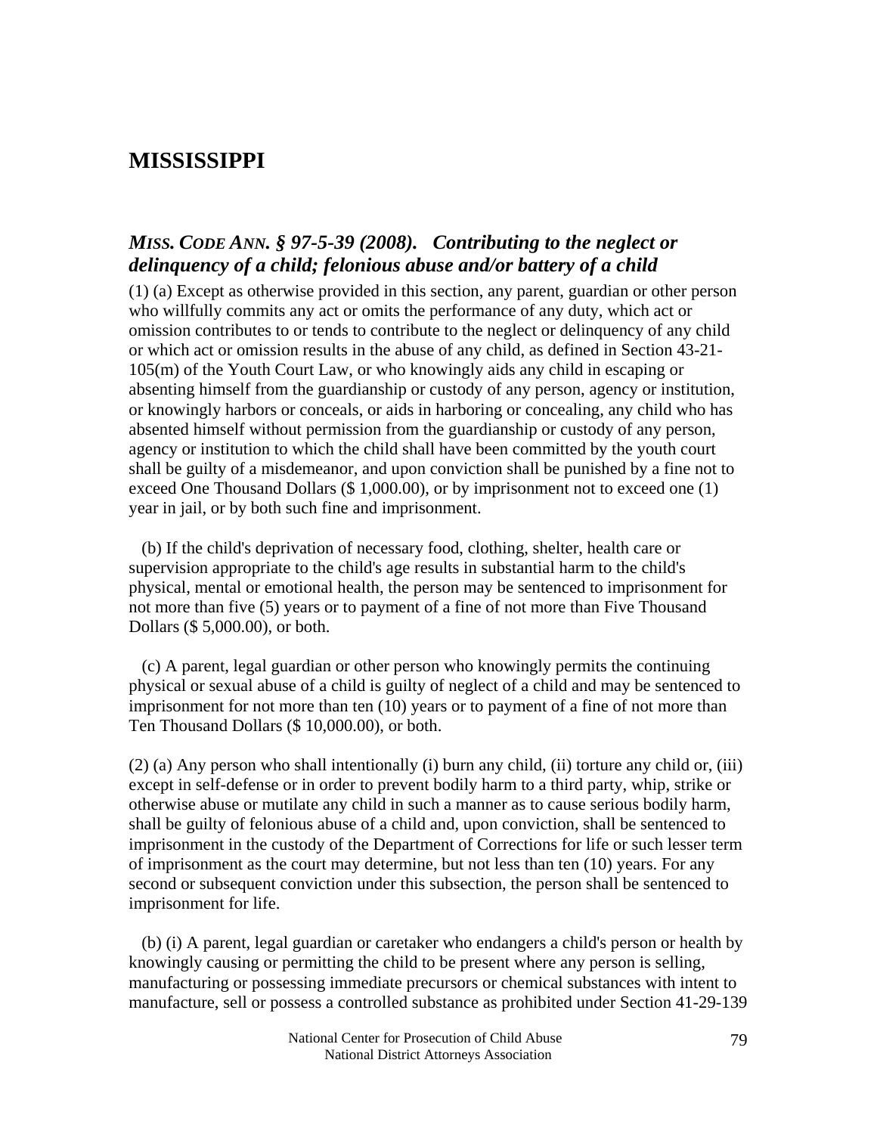## **MISSISSIPPI**

#### *MISS. CODE ANN. § 97-5-39 (2008). Contributing to the neglect or delinquency of a child; felonious abuse and/or battery of a child*

(1) (a) Except as otherwise provided in this section, any parent, guardian or other person who willfully commits any act or omits the performance of any duty, which act or omission contributes to or tends to contribute to the neglect or delinquency of any child or which act or omission results in the abuse of any child, as defined in Section 43-21- 105(m) of the Youth Court Law, or who knowingly aids any child in escaping or absenting himself from the guardianship or custody of any person, agency or institution, or knowingly harbors or conceals, or aids in harboring or concealing, any child who has absented himself without permission from the guardianship or custody of any person, agency or institution to which the child shall have been committed by the youth court shall be guilty of a misdemeanor, and upon conviction shall be punished by a fine not to exceed One Thousand Dollars (\$ 1,000.00), or by imprisonment not to exceed one (1) year in jail, or by both such fine and imprisonment.

 (b) If the child's deprivation of necessary food, clothing, shelter, health care or supervision appropriate to the child's age results in substantial harm to the child's physical, mental or emotional health, the person may be sentenced to imprisonment for not more than five (5) years or to payment of a fine of not more than Five Thousand Dollars (\$ 5,000.00), or both.

 (c) A parent, legal guardian or other person who knowingly permits the continuing physical or sexual abuse of a child is guilty of neglect of a child and may be sentenced to imprisonment for not more than ten (10) years or to payment of a fine of not more than Ten Thousand Dollars (\$ 10,000.00), or both.

(2) (a) Any person who shall intentionally (i) burn any child, (ii) torture any child or, (iii) except in self-defense or in order to prevent bodily harm to a third party, whip, strike or otherwise abuse or mutilate any child in such a manner as to cause serious bodily harm, shall be guilty of felonious abuse of a child and, upon conviction, shall be sentenced to imprisonment in the custody of the Department of Corrections for life or such lesser term of imprisonment as the court may determine, but not less than ten (10) years. For any second or subsequent conviction under this subsection, the person shall be sentenced to imprisonment for life.

 (b) (i) A parent, legal guardian or caretaker who endangers a child's person or health by knowingly causing or permitting the child to be present where any person is selling, manufacturing or possessing immediate precursors or chemical substances with intent to manufacture, sell or possess a controlled substance as prohibited under Section 41-29-139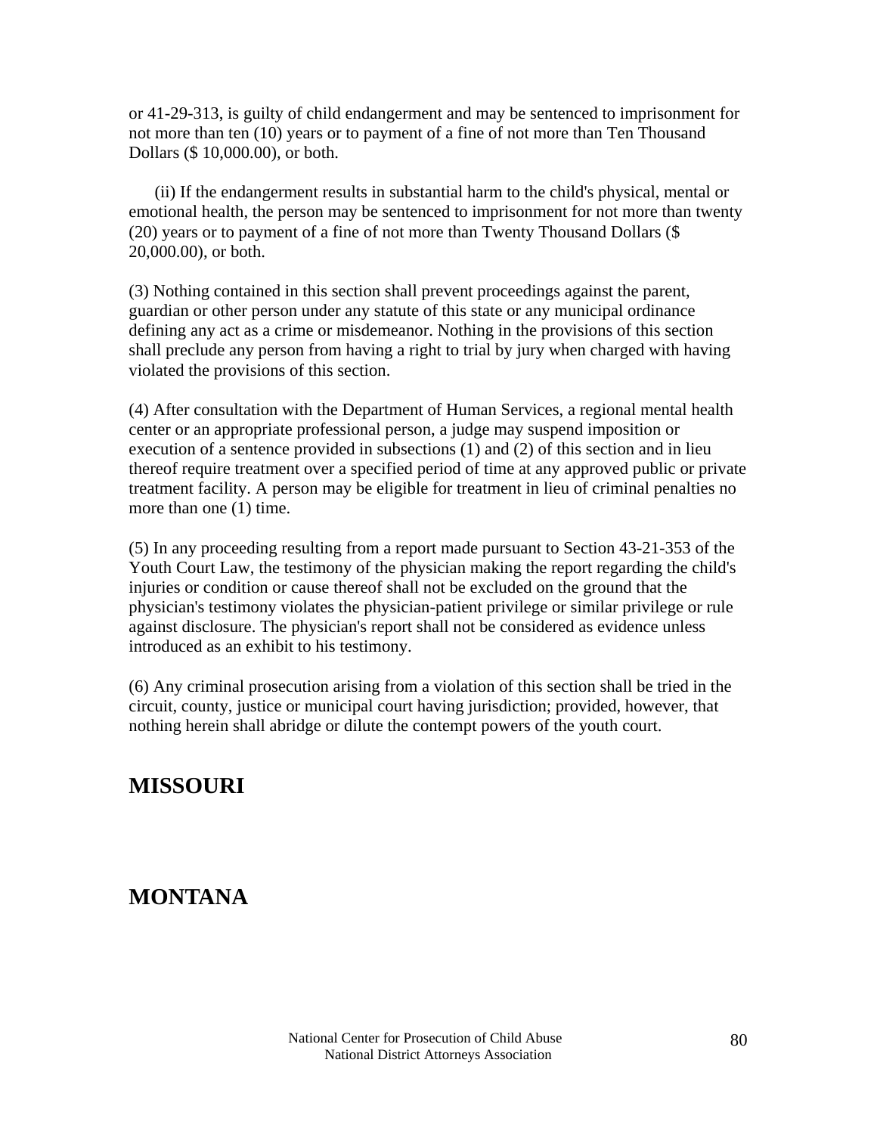or 41-29-313, is guilty of child endangerment and may be sentenced to imprisonment for not more than ten (10) years or to payment of a fine of not more than Ten Thousand Dollars (\$ 10,000.00), or both.

 (ii) If the endangerment results in substantial harm to the child's physical, mental or emotional health, the person may be sentenced to imprisonment for not more than twenty (20) years or to payment of a fine of not more than Twenty Thousand Dollars (\$ 20,000.00), or both.

(3) Nothing contained in this section shall prevent proceedings against the parent, guardian or other person under any statute of this state or any municipal ordinance defining any act as a crime or misdemeanor. Nothing in the provisions of this section shall preclude any person from having a right to trial by jury when charged with having violated the provisions of this section.

(4) After consultation with the Department of Human Services, a regional mental health center or an appropriate professional person, a judge may suspend imposition or execution of a sentence provided in subsections (1) and (2) of this section and in lieu thereof require treatment over a specified period of time at any approved public or private treatment facility. A person may be eligible for treatment in lieu of criminal penalties no more than one (1) time.

(5) In any proceeding resulting from a report made pursuant to Section 43-21-353 of the Youth Court Law, the testimony of the physician making the report regarding the child's injuries or condition or cause thereof shall not be excluded on the ground that the physician's testimony violates the physician-patient privilege or similar privilege or rule against disclosure. The physician's report shall not be considered as evidence unless introduced as an exhibit to his testimony.

(6) Any criminal prosecution arising from a violation of this section shall be tried in the circuit, county, justice or municipal court having jurisdiction; provided, however, that nothing herein shall abridge or dilute the contempt powers of the youth court.

## **MISSOURI**

## **MONTANA**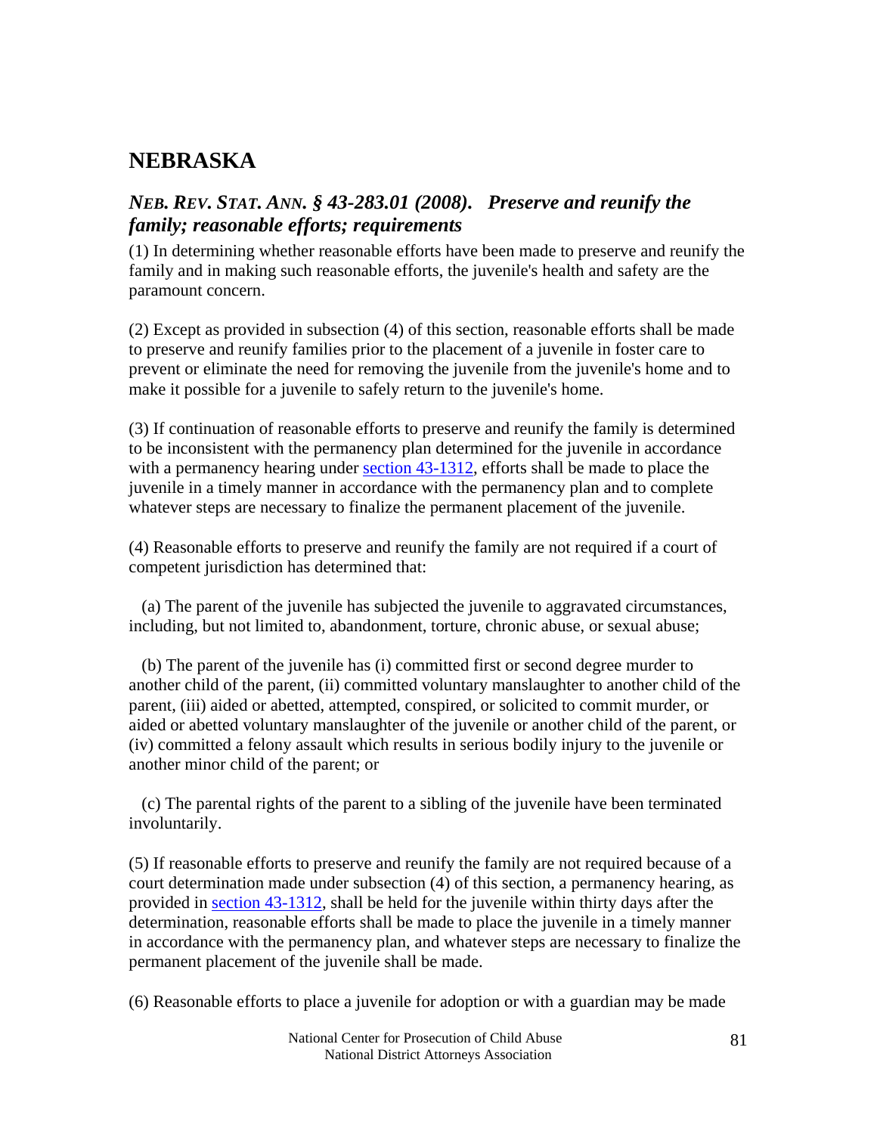# **NEBRASKA**

## *NEB. REV. STAT. ANN. § 43-283.01 (2008). Preserve and reunify the family; reasonable efforts; requirements*

(1) In determining whether reasonable efforts have been made to preserve and reunify the family and in making such reasonable efforts, the juvenile's health and safety are the paramount concern.

(2) Except as provided in subsection (4) of this section, reasonable efforts shall be made to preserve and reunify families prior to the placement of a juvenile in foster care to prevent or eliminate the need for removing the juvenile from the juvenile's home and to make it possible for a juvenile to safely return to the juvenile's home.

(3) If continuation of reasonable efforts to preserve and reunify the family is determined to be inconsistent with the permanency plan determined for the juvenile in accordance with a permanency hearing under [section 43-1312,](https://www.lexis.com/research/buttonTFLink?_m=b58f0df7edc8aca3ff6e2ad699b8284c&_xfercite=%3ccite%20cc%3d%22USA%22%3e%3c%21%5bCDATA%5bR.R.S.%20Neb.%20%a7%2043-283.01%5d%5d%3e%3c%2fcite%3e&_butType=4&_butStat=0&_butNum=2&_butInline=1&_butinfo=NECODE%2043-1312&_fmtstr=FULL&docnum=3&_startdoc=1&wchp=dGLbVzz-zSkAW&_md5=ce36d2f1166b478cf0875bafdd1835aa) efforts shall be made to place the juvenile in a timely manner in accordance with the permanency plan and to complete whatever steps are necessary to finalize the permanent placement of the juvenile.

(4) Reasonable efforts to preserve and reunify the family are not required if a court of competent jurisdiction has determined that:

 (a) The parent of the juvenile has subjected the juvenile to aggravated circumstances, including, but not limited to, abandonment, torture, chronic abuse, or sexual abuse;

 (b) The parent of the juvenile has (i) committed first or second degree murder to another child of the parent, (ii) committed voluntary manslaughter to another child of the parent, (iii) aided or abetted, attempted, conspired, or solicited to commit murder, or aided or abetted voluntary manslaughter of the juvenile or another child of the parent, or (iv) committed a felony assault which results in serious bodily injury to the juvenile or another minor child of the parent; or

 (c) The parental rights of the parent to a sibling of the juvenile have been terminated involuntarily.

(5) If reasonable efforts to preserve and reunify the family are not required because of a court determination made under subsection (4) of this section, a permanency hearing, as provided in [section 43-1312,](https://www.lexis.com/research/buttonTFLink?_m=b58f0df7edc8aca3ff6e2ad699b8284c&_xfercite=%3ccite%20cc%3d%22USA%22%3e%3c%21%5bCDATA%5bR.R.S.%20Neb.%20%a7%2043-283.01%5d%5d%3e%3c%2fcite%3e&_butType=4&_butStat=0&_butNum=3&_butInline=1&_butinfo=NECODE%2043-1312&_fmtstr=FULL&docnum=3&_startdoc=1&wchp=dGLbVzz-zSkAW&_md5=518bc9ca49a19f523c33967536c2be36) shall be held for the juvenile within thirty days after the determination, reasonable efforts shall be made to place the juvenile in a timely manner in accordance with the permanency plan, and whatever steps are necessary to finalize the permanent placement of the juvenile shall be made.

(6) Reasonable efforts to place a juvenile for adoption or with a guardian may be made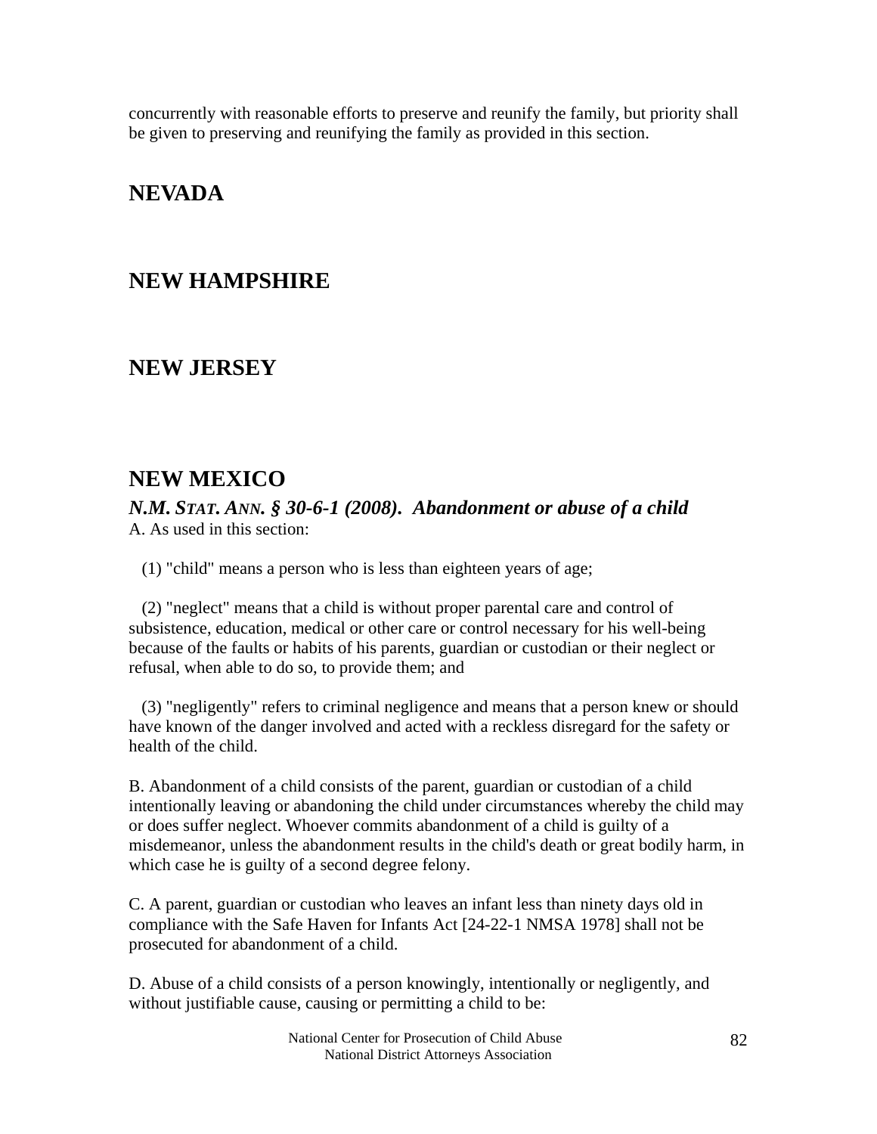concurrently with reasonable efforts to preserve and reunify the family, but priority shall be given to preserving and reunifying the family as provided in this section.

# **NEVADA**

## **NEW HAMPSHIRE**

## **NEW JERSEY**

## **NEW MEXICO**

*N.M. STAT. ANN. § 30-6-1 (2008). Abandonment or abuse of a child*  A. As used in this section:

(1) "child" means a person who is less than eighteen years of age;

 (2) "neglect" means that a child is without proper parental care and control of subsistence, education, medical or other care or control necessary for his well-being because of the faults or habits of his parents, guardian or custodian or their neglect or refusal, when able to do so, to provide them; and

 (3) "negligently" refers to criminal negligence and means that a person knew or should have known of the danger involved and acted with a reckless disregard for the safety or health of the child.

B. Abandonment of a child consists of the parent, guardian or custodian of a child intentionally leaving or abandoning the child under circumstances whereby the child may or does suffer neglect. Whoever commits abandonment of a child is guilty of a misdemeanor, unless the abandonment results in the child's death or great bodily harm, in which case he is guilty of a second degree felony.

C. A parent, guardian or custodian who leaves an infant less than ninety days old in compliance with the Safe Haven for Infants Act [[24-22-1 NMSA](https://www.lexis.com/research/buttonTFLink?_m=2e8917ce24a94e5653de9d69da8d7b71&_xfercite=%3ccite%20cc%3d%22USA%22%3e%3c%21%5bCDATA%5bN.M.%20Stat.%20Ann.%20%a7%2030-6-1%5d%5d%3e%3c%2fcite%3e&_butType=4&_butStat=0&_butNum=2&_butInline=1&_butinfo=NMCODE%2024-22-1&_fmtstr=FULL&docnum=1&_startdoc=1&wchp=dGLbVzb-zSkAW&_md5=c8719f6260cb1f4b03a43134fa2aabe8) 1978] shall not be prosecuted for abandonment of a child.

D. Abuse of a child consists of a person knowingly, intentionally or negligently, and without justifiable cause, causing or permitting a child to be: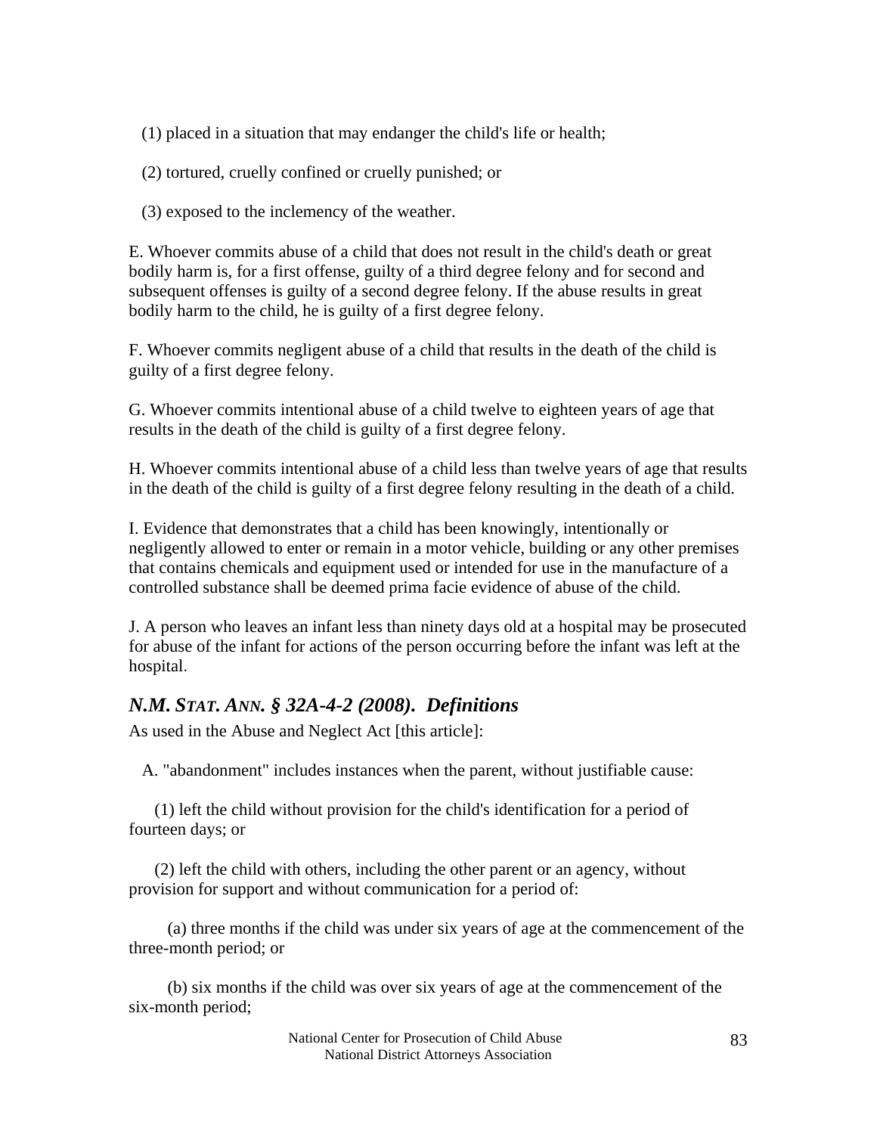(1) placed in a situation that may endanger the child's life or health;

(2) tortured, cruelly confined or cruelly punished; or

(3) exposed to the inclemency of the weather.

E. Whoever commits abuse of a child that does not result in the child's death or great bodily harm is, for a first offense, guilty of a third degree felony and for second and subsequent offenses is guilty of a second degree felony. If the abuse results in great bodily harm to the child, he is guilty of a first degree felony.

F. Whoever commits negligent abuse of a child that results in the death of the child is guilty of a first degree felony.

G. Whoever commits intentional abuse of a child twelve to eighteen years of age that results in the death of the child is guilty of a first degree felony.

H. Whoever commits intentional abuse of a child less than twelve years of age that results in the death of the child is guilty of a first degree felony resulting in the death of a child.

I. Evidence that demonstrates that a child has been knowingly, intentionally or negligently allowed to enter or remain in a motor vehicle, building or any other premises that contains chemicals and equipment used or intended for use in the manufacture of a controlled substance shall be deemed prima facie evidence of abuse of the child.

J. A person who leaves an infant less than ninety days old at a hospital may be prosecuted for abuse of the infant for actions of the person occurring before the infant was left at the hospital.

#### *N.M. STAT. ANN. § 32A-4-2 (2008). Definitions*

As used in the Abuse and Neglect Act [this article]:

A. "abandonment" includes instances when the parent, without justifiable cause:

 (1) left the child without provision for the child's identification for a period of fourteen days; or

 (2) left the child with others, including the other parent or an agency, without provision for support and without communication for a period of:

 (a) three months if the child was under six years of age at the commencement of the three-month period; or

 (b) six months if the child was over six years of age at the commencement of the six-month period;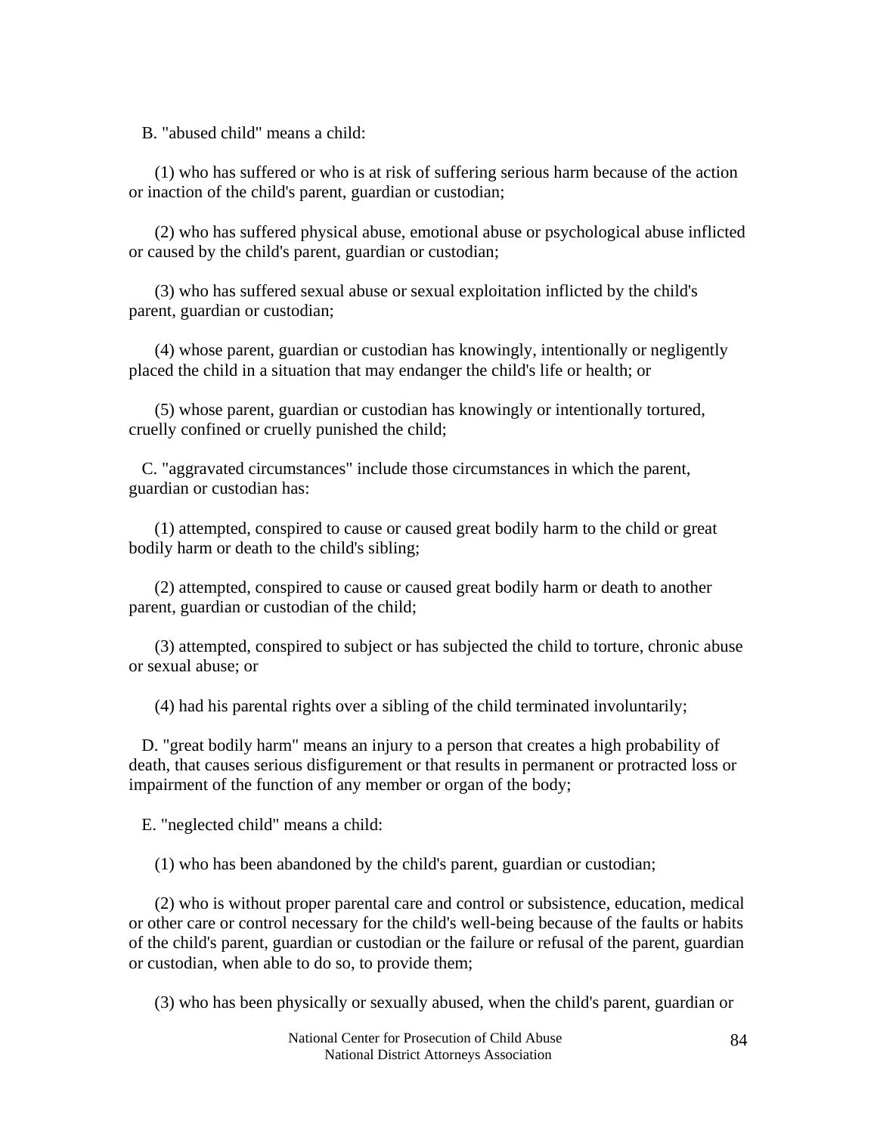B. "abused child" means a child:

 (1) who has suffered or who is at risk of suffering serious harm because of the action or inaction of the child's parent, guardian or custodian;

 (2) who has suffered physical abuse, emotional abuse or psychological abuse inflicted or caused by the child's parent, guardian or custodian;

 (3) who has suffered sexual abuse or sexual exploitation inflicted by the child's parent, guardian or custodian;

 (4) whose parent, guardian or custodian has knowingly, intentionally or negligently placed the child in a situation that may endanger the child's life or health; or

 (5) whose parent, guardian or custodian has knowingly or intentionally tortured, cruelly confined or cruelly punished the child;

 C. "aggravated circumstances" include those circumstances in which the parent, guardian or custodian has:

 (1) attempted, conspired to cause or caused great bodily harm to the child or great bodily harm or death to the child's sibling;

 (2) attempted, conspired to cause or caused great bodily harm or death to another parent, guardian or custodian of the child;

 (3) attempted, conspired to subject or has subjected the child to torture, chronic abuse or sexual abuse; or

(4) had his parental rights over a sibling of the child terminated involuntarily;

 D. "great bodily harm" means an injury to a person that creates a high probability of death, that causes serious disfigurement or that results in permanent or protracted loss or impairment of the function of any member or organ of the body;

E. "neglected child" means a child:

(1) who has been abandoned by the child's parent, guardian or custodian;

 (2) who is without proper parental care and control or subsistence, education, medical or other care or control necessary for the child's well-being because of the faults or habits of the child's parent, guardian or custodian or the failure or refusal of the parent, guardian or custodian, when able to do so, to provide them;

(3) who has been physically or sexually abused, when the child's parent, guardian or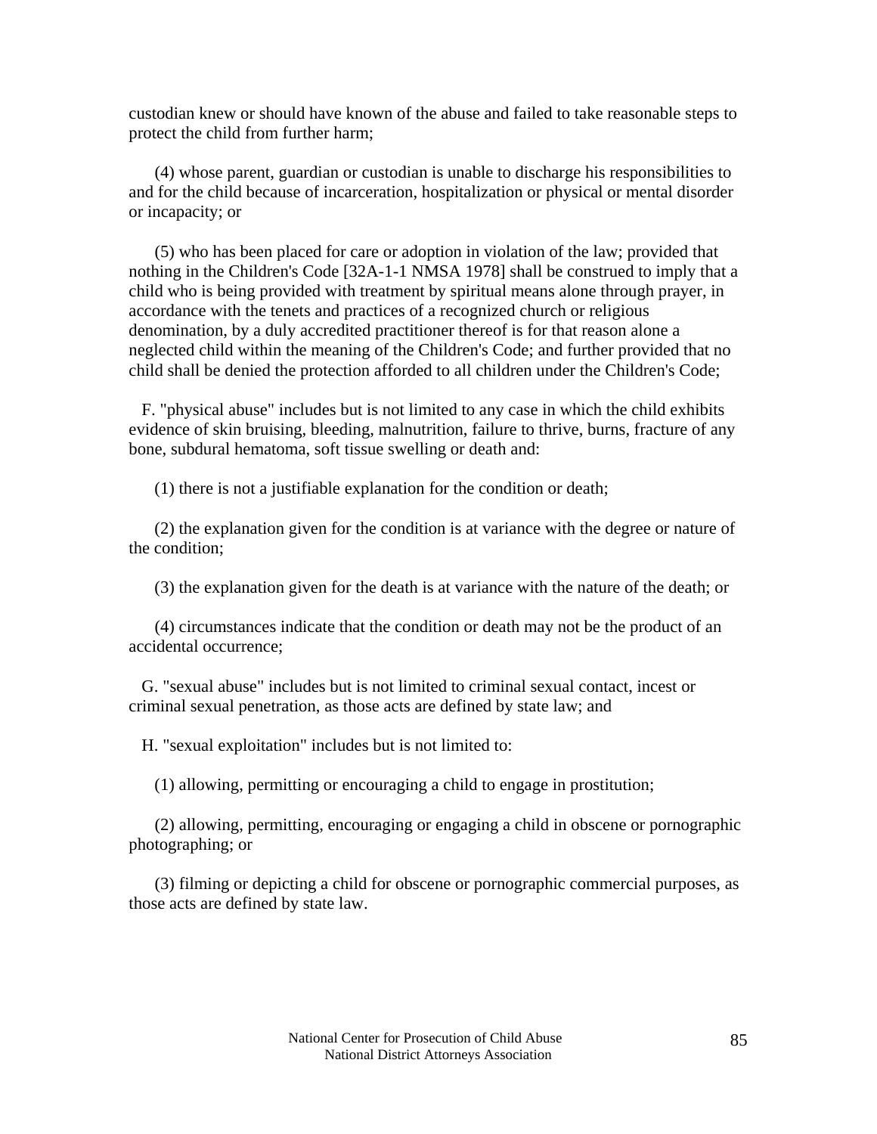custodian knew or should have known of the abuse and failed to take reasonable steps to protect the child from further harm;

 (4) whose parent, guardian or custodian is unable to discharge his responsibilities to and for the child because of incarceration, hospitalization or physical or mental disorder or incapacity; or

 (5) who has been placed for care or adoption in violation of the law; provided that nothing in the Children's Code [[32A-1-1 NMSA](https://www.lexis.com/research/buttonTFLink?_m=bf822a39d8891fe29b0325f050b99300&_xfercite=%3ccite%20cc%3d%22USA%22%3e%3c%21%5bCDATA%5bN.M.%20Stat.%20Ann.%20%a7%2032A-4-2%5d%5d%3e%3c%2fcite%3e&_butType=4&_butStat=0&_butNum=2&_butInline=1&_butinfo=NMCODE%2032A-1-1&_fmtstr=FULL&docnum=3&_startdoc=1&wchp=dGLbVzz-zSkAW&_md5=d1b1b482c94b2de508ad8ed67c379237) 1978] shall be construed to imply that a child who is being provided with treatment by spiritual means alone through prayer, in accordance with the tenets and practices of a recognized church or religious denomination, by a duly accredited practitioner thereof is for that reason alone a neglected child within the meaning of the Children's Code; and further provided that no child shall be denied the protection afforded to all children under the Children's Code;

 F. "physical abuse" includes but is not limited to any case in which the child exhibits evidence of skin bruising, bleeding, malnutrition, failure to thrive, burns, fracture of any bone, subdural hematoma, soft tissue swelling or death and:

(1) there is not a justifiable explanation for the condition or death;

 (2) the explanation given for the condition is at variance with the degree or nature of the condition;

(3) the explanation given for the death is at variance with the nature of the death; or

 (4) circumstances indicate that the condition or death may not be the product of an accidental occurrence;

 G. "sexual abuse" includes but is not limited to criminal sexual contact, incest or criminal sexual penetration, as those acts are defined by state law; and

H. "sexual exploitation" includes but is not limited to:

(1) allowing, permitting or encouraging a child to engage in prostitution;

 (2) allowing, permitting, encouraging or engaging a child in obscene or pornographic photographing; or

 (3) filming or depicting a child for obscene or pornographic commercial purposes, as those acts are defined by state law.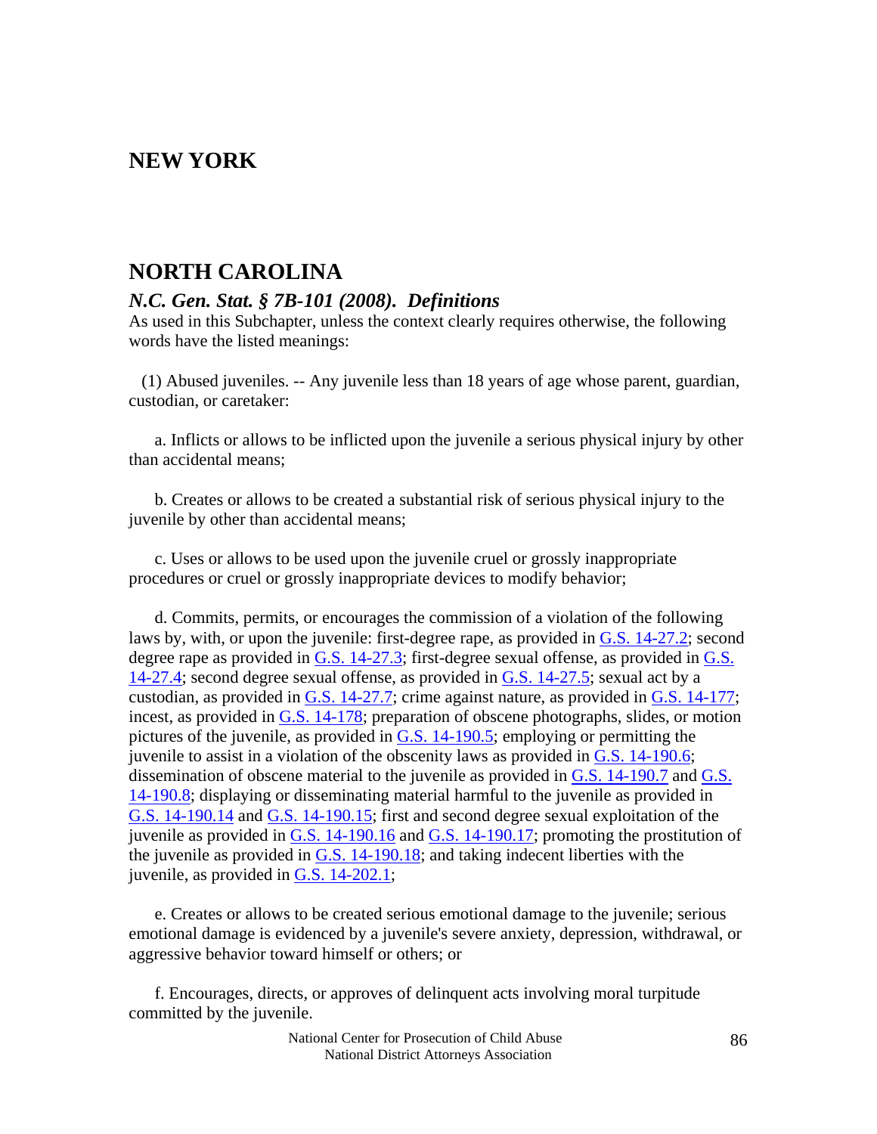## **NEW YORK**

## **NORTH CAROLINA**

#### *N.C. Gen. Stat. § 7B-101 (2008). Definitions*

As used in this Subchapter, unless the context clearly requires otherwise, the following words have the listed meanings:

 (1) Abused juveniles. -- Any juvenile less than 18 years of age whose parent, guardian, custodian, or caretaker:

 a. Inflicts or allows to be inflicted upon the juvenile a serious physical injury by other than accidental means;

 b. Creates or allows to be created a substantial risk of serious physical injury to the juvenile by other than accidental means;

 c. Uses or allows to be used upon the juvenile cruel or grossly inappropriate procedures or cruel or grossly inappropriate devices to modify behavior;

 d. Commits, permits, or encourages the commission of a violation of the following laws by, with, or upon the juvenile: first-degree rape, as provided in [G.S. 14-27.2](https://www.lexis.com/research/buttonTFLink?_m=33fc5486d796bd9a1b0b759b2181ea88&_xfercite=%3ccite%20cc%3d%22USA%22%3e%3c%21%5bCDATA%5bN.C.%20Gen.%20Stat.%20%a7%207B-101%5d%5d%3e%3c%2fcite%3e&_butType=4&_butStat=0&_butNum=2&_butInline=1&_butinfo=NCCODE%2014-27.2&_fmtstr=FULL&docnum=9&_startdoc=1&wchp=dGLbVzz-zSkAW&_md5=33e7a54e862b279f12e66a81c9aa85dc); second degree rape as provided in [G.S. 14-27.3;](https://www.lexis.com/research/buttonTFLink?_m=33fc5486d796bd9a1b0b759b2181ea88&_xfercite=%3ccite%20cc%3d%22USA%22%3e%3c%21%5bCDATA%5bN.C.%20Gen.%20Stat.%20%a7%207B-101%5d%5d%3e%3c%2fcite%3e&_butType=4&_butStat=0&_butNum=3&_butInline=1&_butinfo=NCCODE%2014-27.3&_fmtstr=FULL&docnum=9&_startdoc=1&wchp=dGLbVzz-zSkAW&_md5=0a919d1457dc619be5214ba43b8aa743) first-degree sexual offense, as provided in G.S. [14-27.4](https://www.lexis.com/research/buttonTFLink?_m=33fc5486d796bd9a1b0b759b2181ea88&_xfercite=%3ccite%20cc%3d%22USA%22%3e%3c%21%5bCDATA%5bN.C.%20Gen.%20Stat.%20%a7%207B-101%5d%5d%3e%3c%2fcite%3e&_butType=4&_butStat=0&_butNum=4&_butInline=1&_butinfo=NCCODE%2014-27.4&_fmtstr=FULL&docnum=9&_startdoc=1&wchp=dGLbVzz-zSkAW&_md5=efa1af016aba500fd182923f66b0aa7a); second degree sexual offense, as provided in [G.S. 14-27.5;](https://www.lexis.com/research/buttonTFLink?_m=33fc5486d796bd9a1b0b759b2181ea88&_xfercite=%3ccite%20cc%3d%22USA%22%3e%3c%21%5bCDATA%5bN.C.%20Gen.%20Stat.%20%a7%207B-101%5d%5d%3e%3c%2fcite%3e&_butType=4&_butStat=0&_butNum=5&_butInline=1&_butinfo=NCCODE%2014-27.5&_fmtstr=FULL&docnum=9&_startdoc=1&wchp=dGLbVzz-zSkAW&_md5=bc7dc50f9d1cd6fadc34c2b97194c18a) sexual act by a custodian, as provided in [G.S. 14-27.7](https://www.lexis.com/research/buttonTFLink?_m=33fc5486d796bd9a1b0b759b2181ea88&_xfercite=%3ccite%20cc%3d%22USA%22%3e%3c%21%5bCDATA%5bN.C.%20Gen.%20Stat.%20%a7%207B-101%5d%5d%3e%3c%2fcite%3e&_butType=4&_butStat=0&_butNum=6&_butInline=1&_butinfo=NCCODE%2014-27.7&_fmtstr=FULL&docnum=9&_startdoc=1&wchp=dGLbVzz-zSkAW&_md5=b2f5aeb36607493cb416f137e408dc74); crime against nature, as provided in [G.S. 14-177](https://www.lexis.com/research/buttonTFLink?_m=33fc5486d796bd9a1b0b759b2181ea88&_xfercite=%3ccite%20cc%3d%22USA%22%3e%3c%21%5bCDATA%5bN.C.%20Gen.%20Stat.%20%a7%207B-101%5d%5d%3e%3c%2fcite%3e&_butType=4&_butStat=0&_butNum=7&_butInline=1&_butinfo=NCCODE%2014-177&_fmtstr=FULL&docnum=9&_startdoc=1&wchp=dGLbVzz-zSkAW&_md5=807ae1ecbff80db879516da61718aa1a); incest, as provided in [G.S. 14-178](https://www.lexis.com/research/buttonTFLink?_m=33fc5486d796bd9a1b0b759b2181ea88&_xfercite=%3ccite%20cc%3d%22USA%22%3e%3c%21%5bCDATA%5bN.C.%20Gen.%20Stat.%20%a7%207B-101%5d%5d%3e%3c%2fcite%3e&_butType=4&_butStat=0&_butNum=8&_butInline=1&_butinfo=NCCODE%2014-178&_fmtstr=FULL&docnum=9&_startdoc=1&wchp=dGLbVzz-zSkAW&_md5=2bc8d0a1d2674ce39741c0808293c2ed); preparation of obscene photographs, slides, or motion pictures of the juvenile, as provided in [G.S. 14-190.5;](https://www.lexis.com/research/buttonTFLink?_m=33fc5486d796bd9a1b0b759b2181ea88&_xfercite=%3ccite%20cc%3d%22USA%22%3e%3c%21%5bCDATA%5bN.C.%20Gen.%20Stat.%20%a7%207B-101%5d%5d%3e%3c%2fcite%3e&_butType=4&_butStat=0&_butNum=9&_butInline=1&_butinfo=NCCODE%2014-190.5&_fmtstr=FULL&docnum=9&_startdoc=1&wchp=dGLbVzz-zSkAW&_md5=4077c9a7204653f7e2ff25328b559895) employing or permitting the juvenile to assist in a violation of the obscenity laws as provided in [G.S. 14-190.6](https://www.lexis.com/research/buttonTFLink?_m=33fc5486d796bd9a1b0b759b2181ea88&_xfercite=%3ccite%20cc%3d%22USA%22%3e%3c%21%5bCDATA%5bN.C.%20Gen.%20Stat.%20%a7%207B-101%5d%5d%3e%3c%2fcite%3e&_butType=4&_butStat=0&_butNum=10&_butInline=1&_butinfo=NCCODE%2014-190.6&_fmtstr=FULL&docnum=9&_startdoc=1&wchp=dGLbVzz-zSkAW&_md5=c48c6b834212d98af24ecbf51ce336f6); dissemination of obscene material to the juvenile as provided in [G.S. 14-190.7](https://www.lexis.com/research/buttonTFLink?_m=33fc5486d796bd9a1b0b759b2181ea88&_xfercite=%3ccite%20cc%3d%22USA%22%3e%3c%21%5bCDATA%5bN.C.%20Gen.%20Stat.%20%a7%207B-101%5d%5d%3e%3c%2fcite%3e&_butType=4&_butStat=0&_butNum=11&_butInline=1&_butinfo=NCCODE%2014-190.7&_fmtstr=FULL&docnum=9&_startdoc=1&wchp=dGLbVzz-zSkAW&_md5=03654d01ef9ca8ce8dba514330d437b5) and [G.S.](https://www.lexis.com/research/buttonTFLink?_m=33fc5486d796bd9a1b0b759b2181ea88&_xfercite=%3ccite%20cc%3d%22USA%22%3e%3c%21%5bCDATA%5bN.C.%20Gen.%20Stat.%20%a7%207B-101%5d%5d%3e%3c%2fcite%3e&_butType=4&_butStat=0&_butNum=12&_butInline=1&_butinfo=NCCODE%2014-190.8&_fmtstr=FULL&docnum=9&_startdoc=1&wchp=dGLbVzz-zSkAW&_md5=1493253aad09ecd73cd20e4f585da4ff)  [14-190.8](https://www.lexis.com/research/buttonTFLink?_m=33fc5486d796bd9a1b0b759b2181ea88&_xfercite=%3ccite%20cc%3d%22USA%22%3e%3c%21%5bCDATA%5bN.C.%20Gen.%20Stat.%20%a7%207B-101%5d%5d%3e%3c%2fcite%3e&_butType=4&_butStat=0&_butNum=12&_butInline=1&_butinfo=NCCODE%2014-190.8&_fmtstr=FULL&docnum=9&_startdoc=1&wchp=dGLbVzz-zSkAW&_md5=1493253aad09ecd73cd20e4f585da4ff); displaying or disseminating material harmful to the juvenile as provided in [G.S. 14-190.14](https://www.lexis.com/research/buttonTFLink?_m=33fc5486d796bd9a1b0b759b2181ea88&_xfercite=%3ccite%20cc%3d%22USA%22%3e%3c%21%5bCDATA%5bN.C.%20Gen.%20Stat.%20%a7%207B-101%5d%5d%3e%3c%2fcite%3e&_butType=4&_butStat=0&_butNum=13&_butInline=1&_butinfo=NCCODE%2014-190.14&_fmtstr=FULL&docnum=9&_startdoc=1&wchp=dGLbVzz-zSkAW&_md5=cb47df88d00907606603adba2d56e5f2) and [G.S. 14-190.15;](https://www.lexis.com/research/buttonTFLink?_m=33fc5486d796bd9a1b0b759b2181ea88&_xfercite=%3ccite%20cc%3d%22USA%22%3e%3c%21%5bCDATA%5bN.C.%20Gen.%20Stat.%20%a7%207B-101%5d%5d%3e%3c%2fcite%3e&_butType=4&_butStat=0&_butNum=14&_butInline=1&_butinfo=NCCODE%2014-190.15&_fmtstr=FULL&docnum=9&_startdoc=1&wchp=dGLbVzz-zSkAW&_md5=f437ff6d3bacd127b32d67e18e2cac98) first and second degree sexual exploitation of the juvenile as provided in [G.S. 14-190.16](https://www.lexis.com/research/buttonTFLink?_m=33fc5486d796bd9a1b0b759b2181ea88&_xfercite=%3ccite%20cc%3d%22USA%22%3e%3c%21%5bCDATA%5bN.C.%20Gen.%20Stat.%20%a7%207B-101%5d%5d%3e%3c%2fcite%3e&_butType=4&_butStat=0&_butNum=15&_butInline=1&_butinfo=NCCODE%2014-190.16&_fmtstr=FULL&docnum=9&_startdoc=1&wchp=dGLbVzz-zSkAW&_md5=04e87d3b971816362d4306bcb099804b) and [G.S. 14-190.17;](https://www.lexis.com/research/buttonTFLink?_m=33fc5486d796bd9a1b0b759b2181ea88&_xfercite=%3ccite%20cc%3d%22USA%22%3e%3c%21%5bCDATA%5bN.C.%20Gen.%20Stat.%20%a7%207B-101%5d%5d%3e%3c%2fcite%3e&_butType=4&_butStat=0&_butNum=16&_butInline=1&_butinfo=NCCODE%2014-190.17&_fmtstr=FULL&docnum=9&_startdoc=1&wchp=dGLbVzz-zSkAW&_md5=cab86c48de34522aecf33fbc4df17e11) promoting the prostitution of the juvenile as provided in [G.S. 14-190.18;](https://www.lexis.com/research/buttonTFLink?_m=33fc5486d796bd9a1b0b759b2181ea88&_xfercite=%3ccite%20cc%3d%22USA%22%3e%3c%21%5bCDATA%5bN.C.%20Gen.%20Stat.%20%a7%207B-101%5d%5d%3e%3c%2fcite%3e&_butType=4&_butStat=0&_butNum=17&_butInline=1&_butinfo=NCCODE%2014-190.18&_fmtstr=FULL&docnum=9&_startdoc=1&wchp=dGLbVzz-zSkAW&_md5=d65d1649a372fc318cf5a5284ec207d6) and taking indecent liberties with the juvenile, as provided in [G.S. 14-202.1;](https://www.lexis.com/research/buttonTFLink?_m=33fc5486d796bd9a1b0b759b2181ea88&_xfercite=%3ccite%20cc%3d%22USA%22%3e%3c%21%5bCDATA%5bN.C.%20Gen.%20Stat.%20%a7%207B-101%5d%5d%3e%3c%2fcite%3e&_butType=4&_butStat=0&_butNum=18&_butInline=1&_butinfo=NCCODE%2014-202.1&_fmtstr=FULL&docnum=9&_startdoc=1&wchp=dGLbVzz-zSkAW&_md5=526f93d2db77d261a434dcc85a965947)

 e. Creates or allows to be created serious emotional damage to the juvenile; serious emotional damage is evidenced by a juvenile's severe anxiety, depression, withdrawal, or aggressive behavior toward himself or others; or

 f. Encourages, directs, or approves of delinquent acts involving moral turpitude committed by the juvenile.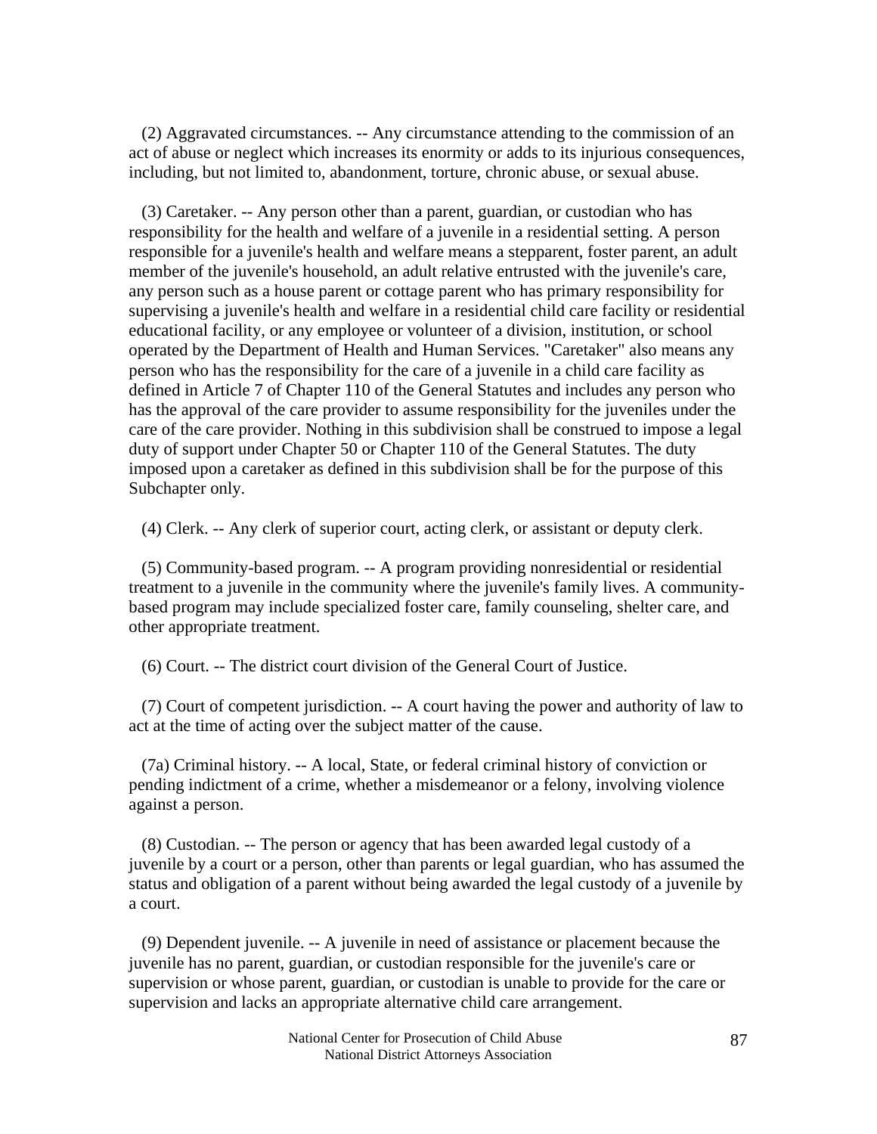(2) Aggravated circumstances. -- Any circumstance attending to the commission of an act of abuse or neglect which increases its enormity or adds to its injurious consequences, including, but not limited to, abandonment, torture, chronic abuse, or sexual abuse.

 (3) Caretaker. -- Any person other than a parent, guardian, or custodian who has responsibility for the health and welfare of a juvenile in a residential setting. A person responsible for a juvenile's health and welfare means a stepparent, foster parent, an adult member of the juvenile's household, an adult relative entrusted with the juvenile's care, any person such as a house parent or cottage parent who has primary responsibility for supervising a juvenile's health and welfare in a residential child care facility or residential educational facility, or any employee or volunteer of a division, institution, or school operated by the Department of Health and Human Services. "Caretaker" also means any person who has the responsibility for the care of a juvenile in a child care facility as defined in Article 7 of Chapter 110 of the General Statutes and includes any person who has the approval of the care provider to assume responsibility for the juveniles under the care of the care provider. Nothing in this subdivision shall be construed to impose a legal duty of support under Chapter 50 or Chapter 110 of the General Statutes. The duty imposed upon a caretaker as defined in this subdivision shall be for the purpose of this Subchapter only.

(4) Clerk. -- Any clerk of superior court, acting clerk, or assistant or deputy clerk.

 (5) Community-based program. -- A program providing nonresidential or residential treatment to a juvenile in the community where the juvenile's family lives. A communitybased program may include specialized foster care, family counseling, shelter care, and other appropriate treatment.

(6) Court. -- The district court division of the General Court of Justice.

 (7) Court of competent jurisdiction. -- A court having the power and authority of law to act at the time of acting over the subject matter of the cause.

 (7a) Criminal history. -- A local, State, or federal criminal history of conviction or pending indictment of a crime, whether a misdemeanor or a felony, involving violence against a person.

 (8) Custodian. -- The person or agency that has been awarded legal custody of a juvenile by a court or a person, other than parents or legal guardian, who has assumed the status and obligation of a parent without being awarded the legal custody of a juvenile by a court.

 (9) Dependent juvenile. -- A juvenile in need of assistance or placement because the juvenile has no parent, guardian, or custodian responsible for the juvenile's care or supervision or whose parent, guardian, or custodian is unable to provide for the care or supervision and lacks an appropriate alternative child care arrangement.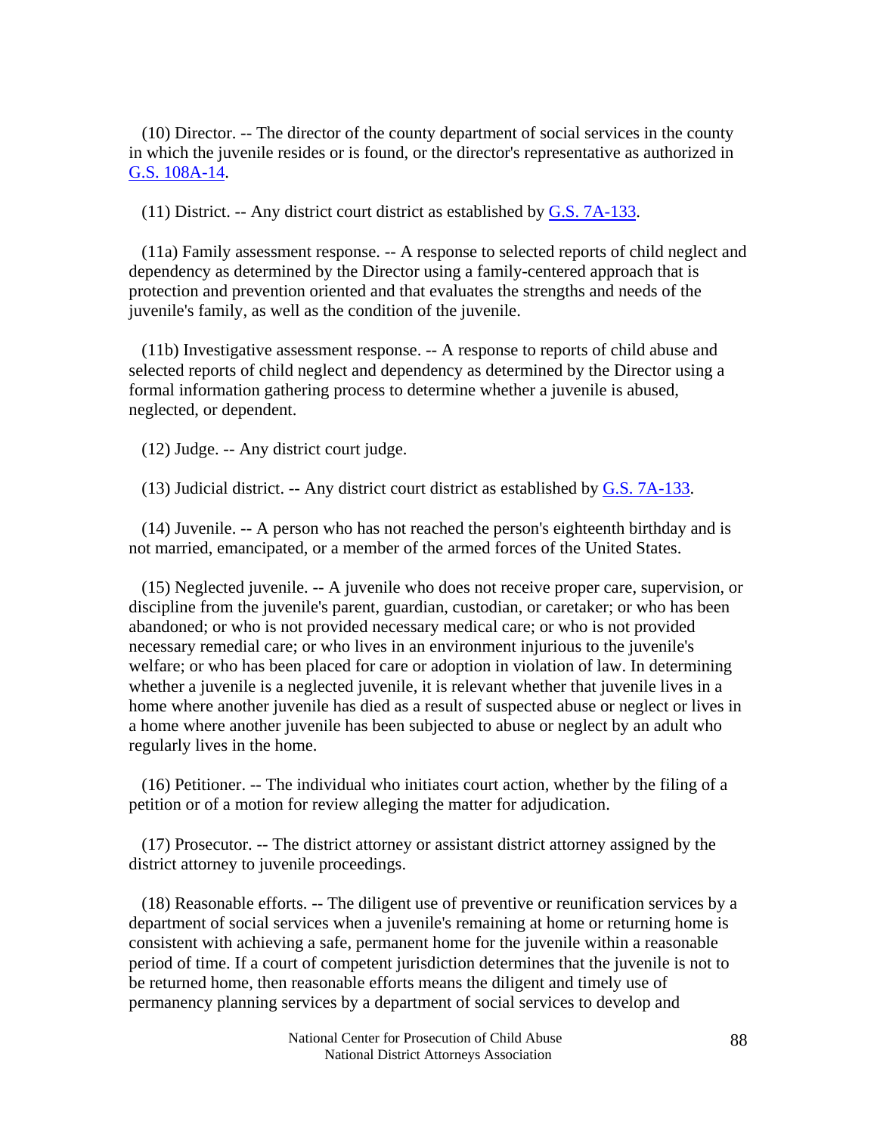(10) Director. -- The director of the county department of social services in the county in which the juvenile resides or is found, or the director's representative as authorized in [G.S. 108A-14](https://www.lexis.com/research/buttonTFLink?_m=33fc5486d796bd9a1b0b759b2181ea88&_xfercite=%3ccite%20cc%3d%22USA%22%3e%3c%21%5bCDATA%5bN.C.%20Gen.%20Stat.%20%a7%207B-101%5d%5d%3e%3c%2fcite%3e&_butType=4&_butStat=0&_butNum=19&_butInline=1&_butinfo=NCCODE%20108A-14&_fmtstr=FULL&docnum=9&_startdoc=1&wchp=dGLbVzz-zSkAW&_md5=34a26eb2a899868cd3c586177c777037).

(11) District. -- Any district court district as established by  $G.S. 7A-133$ .

 (11a) Family assessment response. -- A response to selected reports of child neglect and dependency as determined by the Director using a family-centered approach that is protection and prevention oriented and that evaluates the strengths and needs of the juvenile's family, as well as the condition of the juvenile.

 (11b) Investigative assessment response. -- A response to reports of child abuse and selected reports of child neglect and dependency as determined by the Director using a formal information gathering process to determine whether a juvenile is abused, neglected, or dependent.

(12) Judge. -- Any district court judge.

(13) Judicial district. -- Any district court district as established by [G.S. 7A-133.](https://www.lexis.com/research/buttonTFLink?_m=33fc5486d796bd9a1b0b759b2181ea88&_xfercite=%3ccite%20cc%3d%22USA%22%3e%3c%21%5bCDATA%5bN.C.%20Gen.%20Stat.%20%a7%207B-101%5d%5d%3e%3c%2fcite%3e&_butType=4&_butStat=0&_butNum=21&_butInline=1&_butinfo=NCCODE%207A-133&_fmtstr=FULL&docnum=9&_startdoc=1&wchp=dGLbVzz-zSkAW&_md5=0cc711c3c2124b076f66faa00fb89e07)

 (14) Juvenile. -- A person who has not reached the person's eighteenth birthday and is not married, emancipated, or a member of the armed forces of the United States.

 (15) Neglected juvenile. -- A juvenile who does not receive proper care, supervision, or discipline from the juvenile's parent, guardian, custodian, or caretaker; or who has been abandoned; or who is not provided necessary medical care; or who is not provided necessary remedial care; or who lives in an environment injurious to the juvenile's welfare; or who has been placed for care or adoption in violation of law. In determining whether a juvenile is a neglected juvenile, it is relevant whether that juvenile lives in a home where another juvenile has died as a result of suspected abuse or neglect or lives in a home where another juvenile has been subjected to abuse or neglect by an adult who regularly lives in the home.

 (16) Petitioner. -- The individual who initiates court action, whether by the filing of a petition or of a motion for review alleging the matter for adjudication.

 (17) Prosecutor. -- The district attorney or assistant district attorney assigned by the district attorney to juvenile proceedings.

 (18) Reasonable efforts. -- The diligent use of preventive or reunification services by a department of social services when a juvenile's remaining at home or returning home is consistent with achieving a safe, permanent home for the juvenile within a reasonable period of time. If a court of competent jurisdiction determines that the juvenile is not to be returned home, then reasonable efforts means the diligent and timely use of permanency planning services by a department of social services to develop and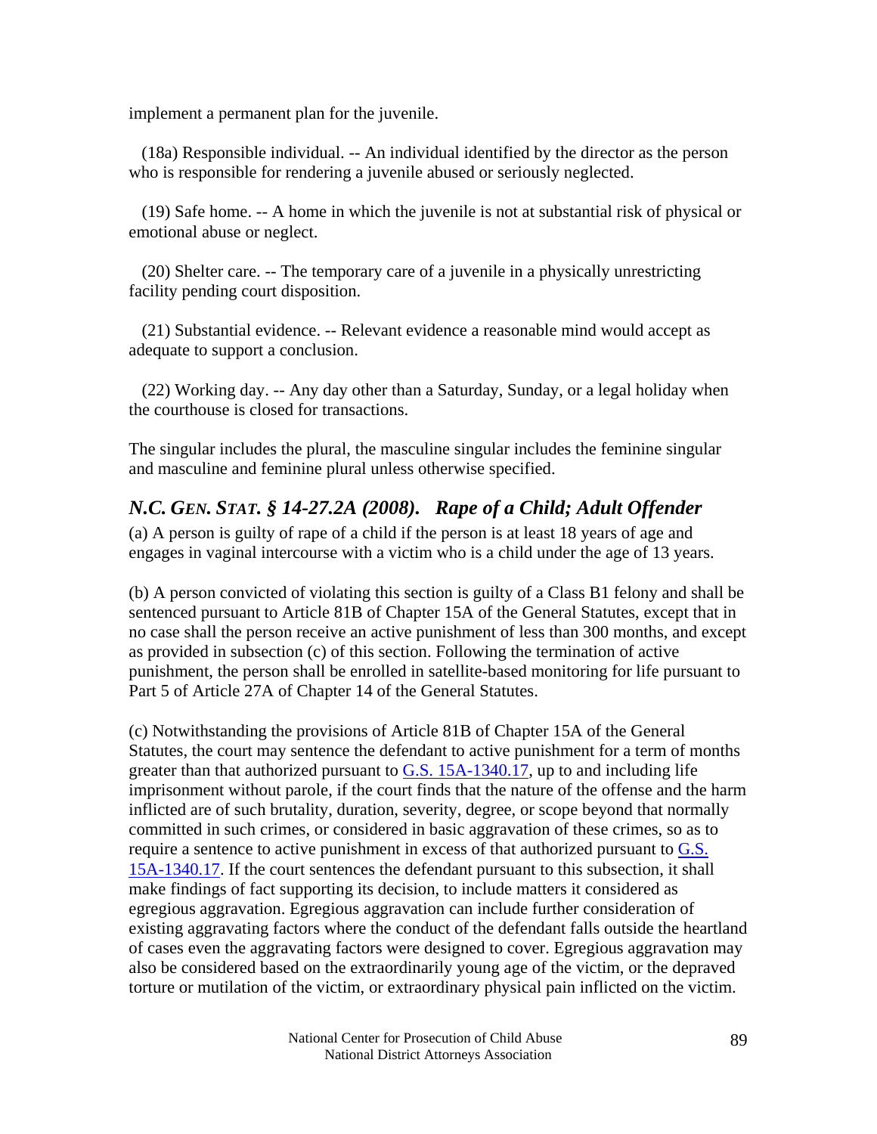implement a permanent plan for the juvenile.

 (18a) Responsible individual. -- An individual identified by the director as the person who is responsible for rendering a juvenile abused or seriously neglected.

 (19) Safe home. -- A home in which the juvenile is not at substantial risk of physical or emotional abuse or neglect.

 (20) Shelter care. -- The temporary care of a juvenile in a physically unrestricting facility pending court disposition.

 (21) Substantial evidence. -- Relevant evidence a reasonable mind would accept as adequate to support a conclusion.

 (22) Working day. -- Any day other than a Saturday, Sunday, or a legal holiday when the courthouse is closed for transactions.

The singular includes the plural, the masculine singular includes the feminine singular and masculine and feminine plural unless otherwise specified.

#### *N.C. GEN. STAT. § 14-27.2A (2008). Rape of a Child; Adult Offender*

(a) A person is guilty of rape of a child if the person is at least 18 years of age and engages in vaginal intercourse with a victim who is a child under the age of 13 years.

(b) A person convicted of violating this section is guilty of a Class B1 felony and shall be sentenced pursuant to Article 81B of Chapter 15A of the General Statutes, except that in no case shall the person receive an active punishment of less than 300 months, and except as provided in subsection (c) of this section. Following the termination of active punishment, the person shall be enrolled in satellite-based monitoring for life pursuant to Part 5 of Article 27A of Chapter 14 of the General Statutes.

(c) Notwithstanding the provisions of Article 81B of Chapter 15A of the General Statutes, the court may sentence the defendant to active punishment for a term of months greater than that authorized pursuant to  $G.S. 15A-1340.17$ , up to and including life imprisonment without parole, if the court finds that the nature of the offense and the harm inflicted are of such brutality, duration, severity, degree, or scope beyond that normally committed in such crimes, or considered in basic aggravation of these crimes, so as to require a sentence to active punishment in excess of that authorized pursuant to [G.S.](https://www.lexis.com/research/buttonTFLink?_m=ee425496086975368345929a91bcf9b4&_xfercite=%3ccite%20cc%3d%22USA%22%3e%3c%21%5bCDATA%5bN.C.%20Gen.%20Stat.%20%a7%2014-27.2A%5d%5d%3e%3c%2fcite%3e&_butType=4&_butStat=0&_butNum=3&_butInline=1&_butinfo=NCCODE%2015A-1340.17&_fmtstr=FULL&docnum=1&_startdoc=1&wchp=dGLbVzz-zSkAW&_md5=40f48866a496d4b4c91e92d67fc8c1a6)  [15A-1340.17.](https://www.lexis.com/research/buttonTFLink?_m=ee425496086975368345929a91bcf9b4&_xfercite=%3ccite%20cc%3d%22USA%22%3e%3c%21%5bCDATA%5bN.C.%20Gen.%20Stat.%20%a7%2014-27.2A%5d%5d%3e%3c%2fcite%3e&_butType=4&_butStat=0&_butNum=3&_butInline=1&_butinfo=NCCODE%2015A-1340.17&_fmtstr=FULL&docnum=1&_startdoc=1&wchp=dGLbVzz-zSkAW&_md5=40f48866a496d4b4c91e92d67fc8c1a6) If the court sentences the defendant pursuant to this subsection, it shall make findings of fact supporting its decision, to include matters it considered as egregious aggravation. Egregious aggravation can include further consideration of existing aggravating factors where the conduct of the defendant falls outside the heartland of cases even the aggravating factors were designed to cover. Egregious aggravation may also be considered based on the extraordinarily young age of the victim, or the depraved torture or mutilation of the victim, or extraordinary physical pain inflicted on the victim.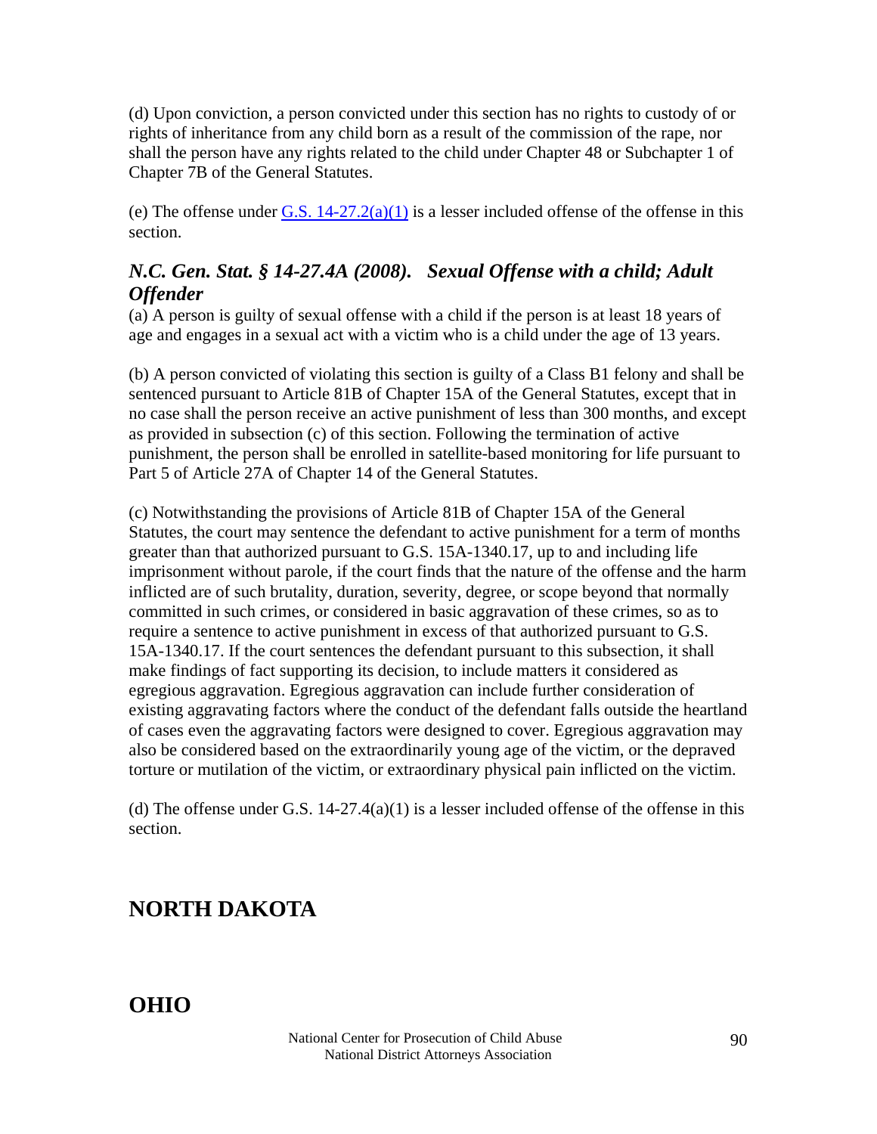(d) Upon conviction, a person convicted under this section has no rights to custody of or rights of inheritance from any child born as a result of the commission of the rape, nor shall the person have any rights related to the child under Chapter 48 or Subchapter 1 of Chapter 7B of the General Statutes.

(e) The offense under  $G.S. 14-27.2(a)(1)$  is a lesser included offense of the offense in this section.

## *N.C. Gen. Stat. § 14-27.4A (2008). Sexual Offense with a child; Adult Offender*

(a) A person is guilty of sexual offense with a child if the person is at least 18 years of age and engages in a sexual act with a victim who is a child under the age of 13 years.

(b) A person convicted of violating this section is guilty of a Class B1 felony and shall be sentenced pursuant to Article 81B of Chapter 15A of the General Statutes, except that in no case shall the person receive an active punishment of less than 300 months, and except as provided in subsection (c) of this section. Following the termination of active punishment, the person shall be enrolled in satellite-based monitoring for life pursuant to Part 5 of Article 27A of Chapter 14 of the General Statutes.

(c) Notwithstanding the provisions of Article 81B of Chapter 15A of the General Statutes, the court may sentence the defendant to active punishment for a term of months greater than that authorized pursuant to [G.S. 15A-1340.17](https://www.lexis.com/research/buttonTFLink?_m=7dec84af1a0c7ad693e90564a665db5b&_xfercite=%3ccite%20cc%3d%22USA%22%3e%3c%21%5bCDATA%5bN.C.%20Gen.%20Stat.%20%a7%2014-27.4A%5d%5d%3e%3c%2fcite%3e&_butType=4&_butStat=0&_butNum=2&_butInline=1&_butinfo=NCCODE%2015A-1340.17&_fmtstr=FULL&docnum=2&_startdoc=1&wchp=dGLbVzz-zSkAW&_md5=02e8dc7c39ec6d43bbfb3cbbac91621b), up to and including life imprisonment without parole, if the court finds that the nature of the offense and the harm inflicted are of such brutality, duration, severity, degree, or scope beyond that normally committed in such crimes, or considered in basic aggravation of these crimes, so as to require a sentence to active punishment in excess of that authorized pursuant to [G.S.](https://www.lexis.com/research/buttonTFLink?_m=7dec84af1a0c7ad693e90564a665db5b&_xfercite=%3ccite%20cc%3d%22USA%22%3e%3c%21%5bCDATA%5bN.C.%20Gen.%20Stat.%20%a7%2014-27.4A%5d%5d%3e%3c%2fcite%3e&_butType=4&_butStat=0&_butNum=3&_butInline=1&_butinfo=NCCODE%2015A-1340.17&_fmtstr=FULL&docnum=2&_startdoc=1&wchp=dGLbVzz-zSkAW&_md5=99f5da7c2d0a0cadbc1ee77afd8a2781)  [15A-1340.17.](https://www.lexis.com/research/buttonTFLink?_m=7dec84af1a0c7ad693e90564a665db5b&_xfercite=%3ccite%20cc%3d%22USA%22%3e%3c%21%5bCDATA%5bN.C.%20Gen.%20Stat.%20%a7%2014-27.4A%5d%5d%3e%3c%2fcite%3e&_butType=4&_butStat=0&_butNum=3&_butInline=1&_butinfo=NCCODE%2015A-1340.17&_fmtstr=FULL&docnum=2&_startdoc=1&wchp=dGLbVzz-zSkAW&_md5=99f5da7c2d0a0cadbc1ee77afd8a2781) If the court sentences the defendant pursuant to this subsection, it shall make findings of fact supporting its decision, to include matters it considered as egregious aggravation. Egregious aggravation can include further consideration of existing aggravating factors where the conduct of the defendant falls outside the heartland of cases even the aggravating factors were designed to cover. Egregious aggravation may also be considered based on the extraordinarily young age of the victim, or the depraved torture or mutilation of the victim, or extraordinary physical pain inflicted on the victim.

(d) The offense under G.S.  $14-27.4(a)(1)$  is a lesser included offense of the offense in this section.

# **NORTH DAKOTA**

# **OHIO**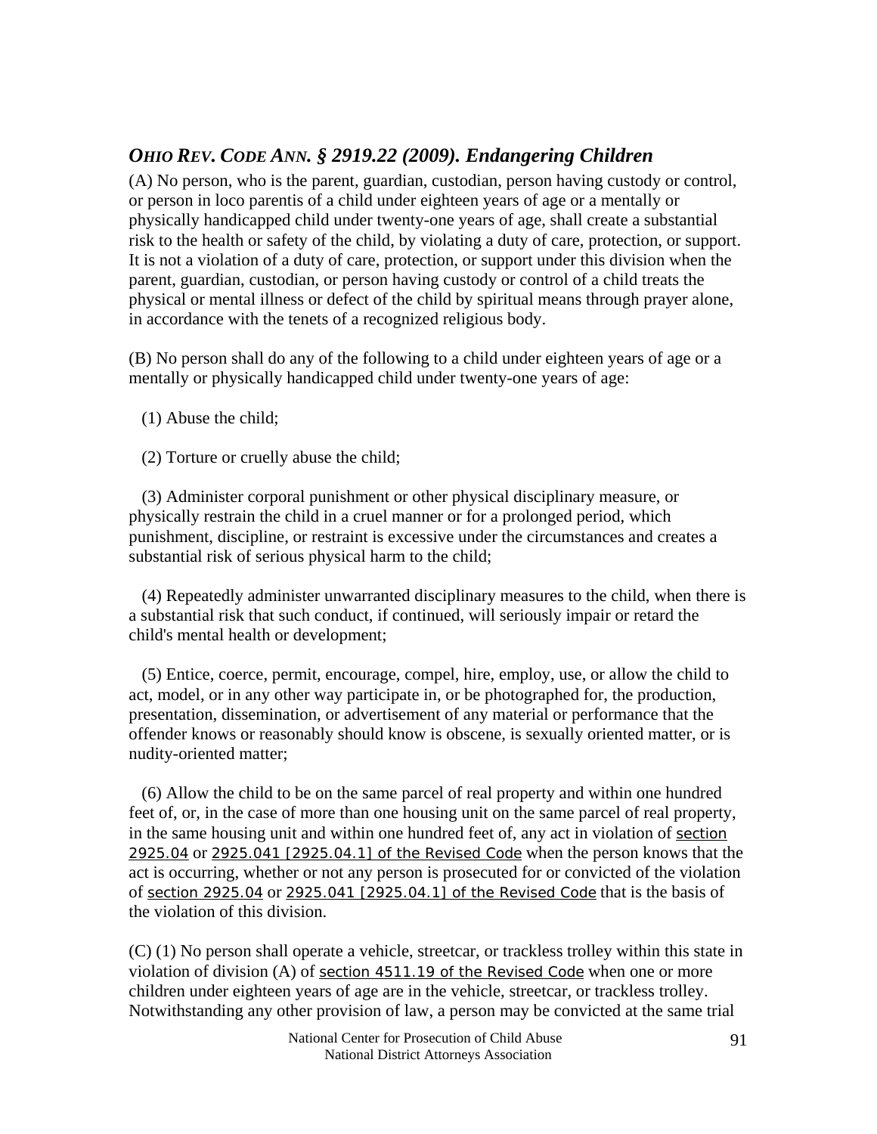## *OHIO REV. CODE ANN. § 2919.22 (2009). Endangering Children*

(A) No person, who is the parent, guardian, custodian, person having custody or control, or person in loco parentis of a child under eighteen years of age or a mentally or physically handicapped child under twenty-one years of age, shall create a substantial risk to the health or safety of the child, by violating a duty of care, protection, or support. It is not a violation of a duty of care, protection, or support under this division when the parent, guardian, custodian, or person having custody or control of a child treats the physical or mental illness or defect of the child by spiritual means through prayer alone, in accordance with the tenets of a recognized religious body.

(B) No person shall do any of the following to a child under eighteen years of age or a mentally or physically handicapped child under twenty-one years of age:

(1) Abuse the child;

(2) Torture or cruelly abuse the child;

 (3) Administer corporal punishment or other physical disciplinary measure, or physically restrain the child in a cruel manner or for a prolonged period, which punishment, discipline, or restraint is excessive under the circumstances and creates a substantial risk of serious physical harm to the child;

 (4) Repeatedly administer unwarranted disciplinary measures to the child, when there is a substantial risk that such conduct, if continued, will seriously impair or retard the child's mental health or development;

 (5) Entice, coerce, permit, encourage, compel, hire, employ, use, or allow the child to act, model, or in any other way participate in, or be photographed for, the production, presentation, dissemination, or advertisement of any material or performance that the offender knows or reasonably should know is obscene, is sexually oriented matter, or is nudity-oriented matter;

 (6) Allow the child to be on the same parcel of real property and within one hundred feet of, or, in the case of more than one housing unit on the same parcel of real property, in the same housing unit and within one hundred feet of, any act in violation of [section](https://www.lexis.com/research/buttonTFLink?_m=fe46cd5b58dfd056fa6cd0597c8d290c&_xfercite=%3ccite%20cc%3d%22USA%22%3e%3c%21%5bCDATA%5bORC%20Ann.%202919.22%5d%5d%3e%3c%2fcite%3e&_butType=4&_butStat=0&_butNum=2&_butInline=1&_butinfo=OHCODE%202925.04&_fmtstr=FULL&docnum=1&_startdoc=1&wchp=dGLbVtb-zSkAb&_md5=a755e8ae68da01b31439d5d27457b61b)  [2925.04](https://www.lexis.com/research/buttonTFLink?_m=fe46cd5b58dfd056fa6cd0597c8d290c&_xfercite=%3ccite%20cc%3d%22USA%22%3e%3c%21%5bCDATA%5bORC%20Ann.%202919.22%5d%5d%3e%3c%2fcite%3e&_butType=4&_butStat=0&_butNum=2&_butInline=1&_butinfo=OHCODE%202925.04&_fmtstr=FULL&docnum=1&_startdoc=1&wchp=dGLbVtb-zSkAb&_md5=a755e8ae68da01b31439d5d27457b61b) or [2925.041 \[2925.04.1\] of the Revised Code](https://www.lexis.com/research/buttonTFLink?_m=fe46cd5b58dfd056fa6cd0597c8d290c&_xfercite=%3ccite%20cc%3d%22USA%22%3e%3c%21%5bCDATA%5bORC%20Ann.%202919.22%5d%5d%3e%3c%2fcite%3e&_butType=4&_butStat=0&_butNum=3&_butInline=1&_butinfo=OHCODE%202925.041&_fmtstr=FULL&docnum=1&_startdoc=1&wchp=dGLbVtb-zSkAb&_md5=833f265e8f3f7df7c6597321547b361f) when the person knows that the act is occurring, whether or not any person is prosecuted for or convicted of the violation of [section 2925.04](https://www.lexis.com/research/buttonTFLink?_m=fe46cd5b58dfd056fa6cd0597c8d290c&_xfercite=%3ccite%20cc%3d%22USA%22%3e%3c%21%5bCDATA%5bORC%20Ann.%202919.22%5d%5d%3e%3c%2fcite%3e&_butType=4&_butStat=0&_butNum=4&_butInline=1&_butinfo=OHCODE%202925.04&_fmtstr=FULL&docnum=1&_startdoc=1&wchp=dGLbVtb-zSkAb&_md5=7f6b00a18207df721902c4f6fc9acb8c) or [2925.041 \[2925.04.1\] of the Revised Code](https://www.lexis.com/research/buttonTFLink?_m=fe46cd5b58dfd056fa6cd0597c8d290c&_xfercite=%3ccite%20cc%3d%22USA%22%3e%3c%21%5bCDATA%5bORC%20Ann.%202919.22%5d%5d%3e%3c%2fcite%3e&_butType=4&_butStat=0&_butNum=5&_butInline=1&_butinfo=OHCODE%202925.041&_fmtstr=FULL&docnum=1&_startdoc=1&wchp=dGLbVtb-zSkAb&_md5=b1f907cd752b1e17c5f6b2a4cfe2dfff) that is the basis of the violation of this division.

(C) (1) No person shall operate a vehicle, streetcar, or trackless trolley within this state in violation of division (A) of [section 4511.19 of the Revised Code](https://www.lexis.com/research/buttonTFLink?_m=fe46cd5b58dfd056fa6cd0597c8d290c&_xfercite=%3ccite%20cc%3d%22USA%22%3e%3c%21%5bCDATA%5bORC%20Ann.%202919.22%5d%5d%3e%3c%2fcite%3e&_butType=4&_butStat=0&_butNum=6&_butInline=1&_butinfo=OHCODE%204511.19&_fmtstr=FULL&docnum=1&_startdoc=1&wchp=dGLbVtb-zSkAb&_md5=66b7eb6a76a9d4ba5ed2782e207a6eb3) when one or more children under eighteen years of age are in the vehicle, streetcar, or trackless trolley. Notwithstanding any other provision of law, a person may be convicted at the same trial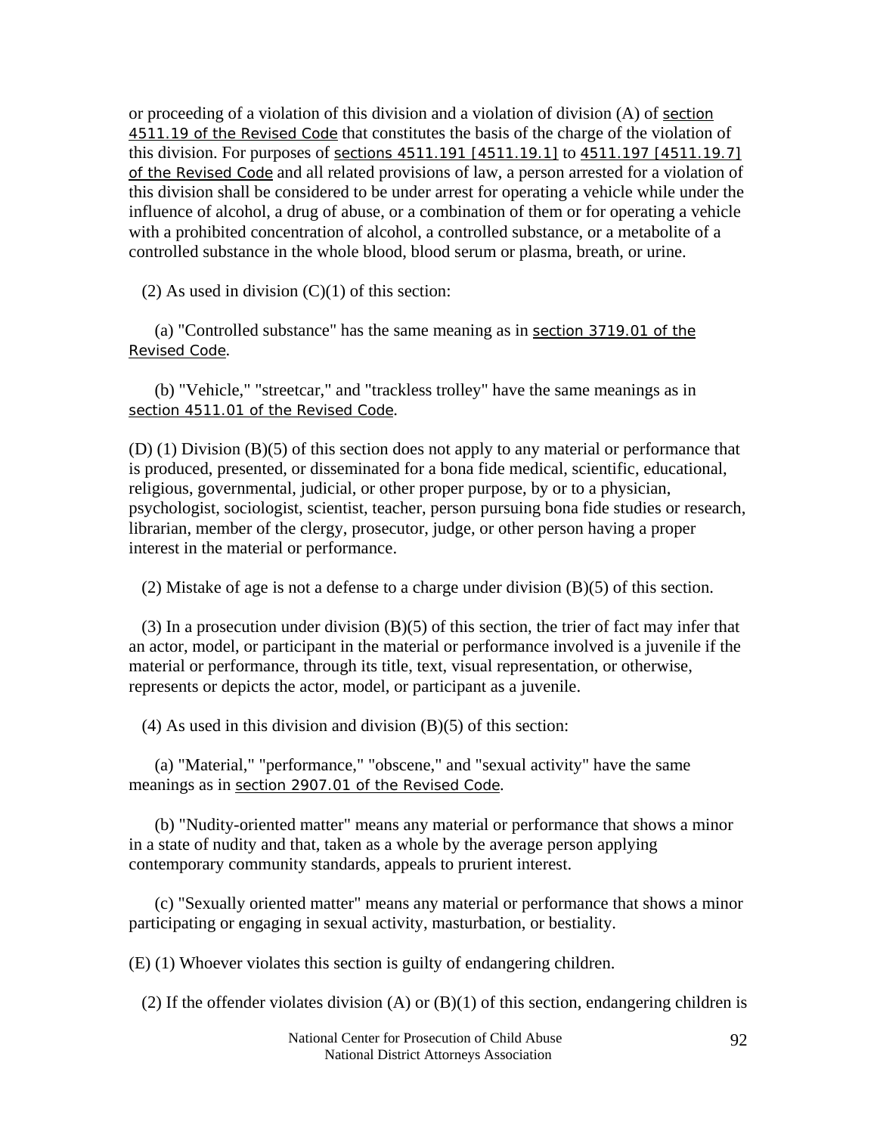or proceeding of a violation of this division and a violation of division (A) of [section](https://www.lexis.com/research/buttonTFLink?_m=fe46cd5b58dfd056fa6cd0597c8d290c&_xfercite=%3ccite%20cc%3d%22USA%22%3e%3c%21%5bCDATA%5bORC%20Ann.%202919.22%5d%5d%3e%3c%2fcite%3e&_butType=4&_butStat=0&_butNum=7&_butInline=1&_butinfo=OHCODE%204511.19&_fmtstr=FULL&docnum=1&_startdoc=1&wchp=dGLbVtb-zSkAb&_md5=9aed46bf14d6b8c62da26a08e11dde1f)  [4511.19 of the Revised Code](https://www.lexis.com/research/buttonTFLink?_m=fe46cd5b58dfd056fa6cd0597c8d290c&_xfercite=%3ccite%20cc%3d%22USA%22%3e%3c%21%5bCDATA%5bORC%20Ann.%202919.22%5d%5d%3e%3c%2fcite%3e&_butType=4&_butStat=0&_butNum=7&_butInline=1&_butinfo=OHCODE%204511.19&_fmtstr=FULL&docnum=1&_startdoc=1&wchp=dGLbVtb-zSkAb&_md5=9aed46bf14d6b8c62da26a08e11dde1f) that constitutes the basis of the charge of the violation of this division. For purposes of [sections 4511.191 \[4511.19.1\]](https://www.lexis.com/research/buttonTFLink?_m=fe46cd5b58dfd056fa6cd0597c8d290c&_xfercite=%3ccite%20cc%3d%22USA%22%3e%3c%21%5bCDATA%5bORC%20Ann.%202919.22%5d%5d%3e%3c%2fcite%3e&_butType=4&_butStat=0&_butNum=8&_butInline=1&_butinfo=OHCODE%204511.191&_fmtstr=FULL&docnum=1&_startdoc=1&wchp=dGLbVtb-zSkAb&_md5=520bc12547f5eba4bdc4e7df0f839cd5) to [4511.197 \[4511.19.7\]](https://www.lexis.com/research/buttonTFLink?_m=fe46cd5b58dfd056fa6cd0597c8d290c&_xfercite=%3ccite%20cc%3d%22USA%22%3e%3c%21%5bCDATA%5bORC%20Ann.%202919.22%5d%5d%3e%3c%2fcite%3e&_butType=4&_butStat=0&_butNum=9&_butInline=1&_butinfo=OHCODE%204511.197&_fmtstr=FULL&docnum=1&_startdoc=1&wchp=dGLbVtb-zSkAb&_md5=0fb18be7626e520c078d9571cbccbdba)  [of the Revised Code](https://www.lexis.com/research/buttonTFLink?_m=fe46cd5b58dfd056fa6cd0597c8d290c&_xfercite=%3ccite%20cc%3d%22USA%22%3e%3c%21%5bCDATA%5bORC%20Ann.%202919.22%5d%5d%3e%3c%2fcite%3e&_butType=4&_butStat=0&_butNum=9&_butInline=1&_butinfo=OHCODE%204511.197&_fmtstr=FULL&docnum=1&_startdoc=1&wchp=dGLbVtb-zSkAb&_md5=0fb18be7626e520c078d9571cbccbdba) and all related provisions of law, a person arrested for a violation of this division shall be considered to be under arrest for operating a vehicle while under the influence of alcohol, a drug of abuse, or a combination of them or for operating a vehicle with a prohibited concentration of alcohol, a controlled substance, or a metabolite of a controlled substance in the whole blood, blood serum or plasma, breath, or urine.

(2) As used in division  $(C)(1)$  of this section:

 (a) "Controlled substance" has the same meaning as in [section 3719.01 of the](https://www.lexis.com/research/buttonTFLink?_m=fe46cd5b58dfd056fa6cd0597c8d290c&_xfercite=%3ccite%20cc%3d%22USA%22%3e%3c%21%5bCDATA%5bORC%20Ann.%202919.22%5d%5d%3e%3c%2fcite%3e&_butType=4&_butStat=0&_butNum=10&_butInline=1&_butinfo=OHCODE%203719.01&_fmtstr=FULL&docnum=1&_startdoc=1&wchp=dGLbVtb-zSkAb&_md5=e928bed53e92fc5f0f7d4e93f45e2dfa)  [Revised Code](https://www.lexis.com/research/buttonTFLink?_m=fe46cd5b58dfd056fa6cd0597c8d290c&_xfercite=%3ccite%20cc%3d%22USA%22%3e%3c%21%5bCDATA%5bORC%20Ann.%202919.22%5d%5d%3e%3c%2fcite%3e&_butType=4&_butStat=0&_butNum=10&_butInline=1&_butinfo=OHCODE%203719.01&_fmtstr=FULL&docnum=1&_startdoc=1&wchp=dGLbVtb-zSkAb&_md5=e928bed53e92fc5f0f7d4e93f45e2dfa).

 (b) "Vehicle," "streetcar," and "trackless trolley" have the same meanings as in [section 4511.01 of the Revised Code](https://www.lexis.com/research/buttonTFLink?_m=fe46cd5b58dfd056fa6cd0597c8d290c&_xfercite=%3ccite%20cc%3d%22USA%22%3e%3c%21%5bCDATA%5bORC%20Ann.%202919.22%5d%5d%3e%3c%2fcite%3e&_butType=4&_butStat=0&_butNum=11&_butInline=1&_butinfo=OHCODE%204511.01&_fmtstr=FULL&docnum=1&_startdoc=1&wchp=dGLbVtb-zSkAb&_md5=ac6ee3a436b10e10c61efc1cd2189f12).

(D) (1) Division (B)(5) of this section does not apply to any material or performance that is produced, presented, or disseminated for a bona fide medical, scientific, educational, religious, governmental, judicial, or other proper purpose, by or to a physician, psychologist, sociologist, scientist, teacher, person pursuing bona fide studies or research, librarian, member of the clergy, prosecutor, judge, or other person having a proper interest in the material or performance.

(2) Mistake of age is not a defense to a charge under division (B)(5) of this section.

 (3) In a prosecution under division (B)(5) of this section, the trier of fact may infer that an actor, model, or participant in the material or performance involved is a juvenile if the material or performance, through its title, text, visual representation, or otherwise, represents or depicts the actor, model, or participant as a juvenile.

(4) As used in this division and division (B)(5) of this section:

 (a) "Material," "performance," "obscene," and "sexual activity" have the same meanings as in [section 2907.01 of the Revised Code](https://www.lexis.com/research/buttonTFLink?_m=fe46cd5b58dfd056fa6cd0597c8d290c&_xfercite=%3ccite%20cc%3d%22USA%22%3e%3c%21%5bCDATA%5bORC%20Ann.%202919.22%5d%5d%3e%3c%2fcite%3e&_butType=4&_butStat=0&_butNum=12&_butInline=1&_butinfo=OHCODE%202907.01&_fmtstr=FULL&docnum=1&_startdoc=1&wchp=dGLbVtb-zSkAb&_md5=da2e554870e68728a03a4776d1bc223e).

 (b) "Nudity-oriented matter" means any material or performance that shows a minor in a state of nudity and that, taken as a whole by the average person applying contemporary community standards, appeals to prurient interest.

 (c) "Sexually oriented matter" means any material or performance that shows a minor participating or engaging in sexual activity, masturbation, or bestiality.

(E) (1) Whoever violates this section is guilty of endangering children.

(2) If the offender violates division (A) or  $(B)(1)$  of this section, endangering children is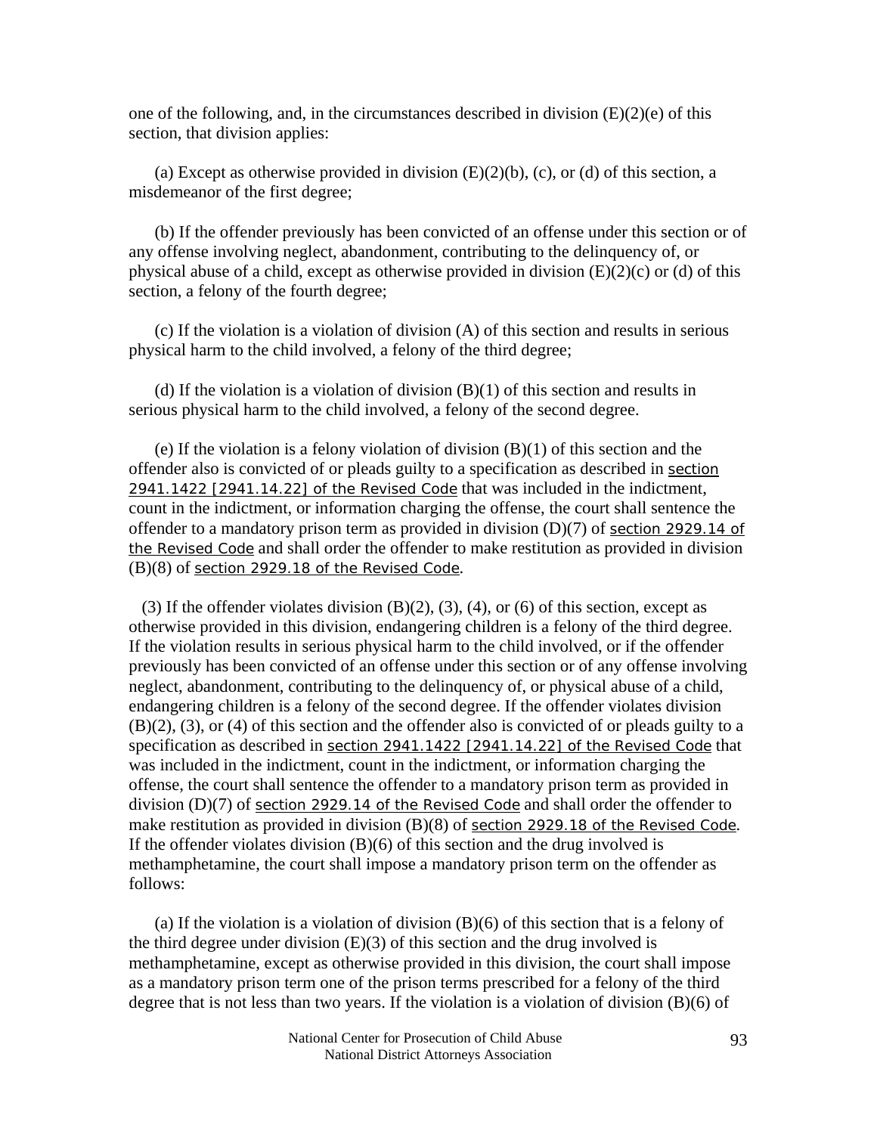one of the following, and, in the circumstances described in division  $(E)(2)(e)$  of this section, that division applies:

(a) Except as otherwise provided in division  $(E)(2)(b)$ ,  $(c)$ , or  $(d)$  of this section, a misdemeanor of the first degree;

 (b) If the offender previously has been convicted of an offense under this section or of any offense involving neglect, abandonment, contributing to the delinquency of, or physical abuse of a child, except as otherwise provided in division  $(E)(2)(c)$  or (d) of this section, a felony of the fourth degree;

 (c) If the violation is a violation of division (A) of this section and results in serious physical harm to the child involved, a felony of the third degree;

(d) If the violation is a violation of division  $(B)(1)$  of this section and results in serious physical harm to the child involved, a felony of the second degree.

(e) If the violation is a felony violation of division  $(B)(1)$  of this section and the offender also is convicted of or pleads guilty to a specification as described in [section](https://www.lexis.com/research/buttonTFLink?_m=fe46cd5b58dfd056fa6cd0597c8d290c&_xfercite=%3ccite%20cc%3d%22USA%22%3e%3c%21%5bCDATA%5bORC%20Ann.%202919.22%5d%5d%3e%3c%2fcite%3e&_butType=4&_butStat=0&_butNum=13&_butInline=1&_butinfo=OHCODE%202941.1422&_fmtstr=FULL&docnum=1&_startdoc=1&wchp=dGLbVtb-zSkAb&_md5=ebb3769bc6a3d6ae757c0bc8f83edd97)  [2941.1422 \[2941.14.22\] of the Revised Code](https://www.lexis.com/research/buttonTFLink?_m=fe46cd5b58dfd056fa6cd0597c8d290c&_xfercite=%3ccite%20cc%3d%22USA%22%3e%3c%21%5bCDATA%5bORC%20Ann.%202919.22%5d%5d%3e%3c%2fcite%3e&_butType=4&_butStat=0&_butNum=13&_butInline=1&_butinfo=OHCODE%202941.1422&_fmtstr=FULL&docnum=1&_startdoc=1&wchp=dGLbVtb-zSkAb&_md5=ebb3769bc6a3d6ae757c0bc8f83edd97) that was included in the indictment, count in the indictment, or information charging the offense, the court shall sentence the offender to a mandatory prison term as provided in division (D)(7) of [section 2929.14 of](https://www.lexis.com/research/buttonTFLink?_m=fe46cd5b58dfd056fa6cd0597c8d290c&_xfercite=%3ccite%20cc%3d%22USA%22%3e%3c%21%5bCDATA%5bORC%20Ann.%202919.22%5d%5d%3e%3c%2fcite%3e&_butType=4&_butStat=0&_butNum=14&_butInline=1&_butinfo=OHCODE%202929.14&_fmtstr=FULL&docnum=1&_startdoc=1&wchp=dGLbVtb-zSkAb&_md5=5bbe6bc3e3e3c8983c2c7e5137f79d28)  [the Revised Code](https://www.lexis.com/research/buttonTFLink?_m=fe46cd5b58dfd056fa6cd0597c8d290c&_xfercite=%3ccite%20cc%3d%22USA%22%3e%3c%21%5bCDATA%5bORC%20Ann.%202919.22%5d%5d%3e%3c%2fcite%3e&_butType=4&_butStat=0&_butNum=14&_butInline=1&_butinfo=OHCODE%202929.14&_fmtstr=FULL&docnum=1&_startdoc=1&wchp=dGLbVtb-zSkAb&_md5=5bbe6bc3e3e3c8983c2c7e5137f79d28) and shall order the offender to make restitution as provided in division (B)(8) of [section 2929.18 of the Revised Code](https://www.lexis.com/research/buttonTFLink?_m=fe46cd5b58dfd056fa6cd0597c8d290c&_xfercite=%3ccite%20cc%3d%22USA%22%3e%3c%21%5bCDATA%5bORC%20Ann.%202919.22%5d%5d%3e%3c%2fcite%3e&_butType=4&_butStat=0&_butNum=15&_butInline=1&_butinfo=OHCODE%202929.18&_fmtstr=FULL&docnum=1&_startdoc=1&wchp=dGLbVtb-zSkAb&_md5=fab3455cc563835dea060a1915d5eaea).

(3) If the offender violates division  $(B)(2)$ ,  $(3)$ ,  $(4)$ , or  $(6)$  of this section, except as otherwise provided in this division, endangering children is a felony of the third degree. If the violation results in serious physical harm to the child involved, or if the offender previously has been convicted of an offense under this section or of any offense involving neglect, abandonment, contributing to the delinquency of, or physical abuse of a child, endangering children is a felony of the second degree. If the offender violates division (B)(2), (3), or (4) of this section and the offender also is convicted of or pleads guilty to a specification as described in [section 2941.1422 \[2941.14.22\] of the Revised Code](https://www.lexis.com/research/buttonTFLink?_m=fe46cd5b58dfd056fa6cd0597c8d290c&_xfercite=%3ccite%20cc%3d%22USA%22%3e%3c%21%5bCDATA%5bORC%20Ann.%202919.22%5d%5d%3e%3c%2fcite%3e&_butType=4&_butStat=0&_butNum=16&_butInline=1&_butinfo=OHCODE%202941.1422&_fmtstr=FULL&docnum=1&_startdoc=1&wchp=dGLbVtb-zSkAb&_md5=7824023c8ed4808fa4d1e360ec2a24fd) that was included in the indictment, count in the indictment, or information charging the offense, the court shall sentence the offender to a mandatory prison term as provided in division (D)(7) of [section 2929.14 of the Revised Code](https://www.lexis.com/research/buttonTFLink?_m=fe46cd5b58dfd056fa6cd0597c8d290c&_xfercite=%3ccite%20cc%3d%22USA%22%3e%3c%21%5bCDATA%5bORC%20Ann.%202919.22%5d%5d%3e%3c%2fcite%3e&_butType=4&_butStat=0&_butNum=17&_butInline=1&_butinfo=OHCODE%202929.14&_fmtstr=FULL&docnum=1&_startdoc=1&wchp=dGLbVtb-zSkAb&_md5=ae2bf000649d50e130ccffce771c17c7) and shall order the offender to make restitution as provided in division (B)(8) of [section 2929.18 of the Revised Code](https://www.lexis.com/research/buttonTFLink?_m=fe46cd5b58dfd056fa6cd0597c8d290c&_xfercite=%3ccite%20cc%3d%22USA%22%3e%3c%21%5bCDATA%5bORC%20Ann.%202919.22%5d%5d%3e%3c%2fcite%3e&_butType=4&_butStat=0&_butNum=18&_butInline=1&_butinfo=OHCODE%202929.18&_fmtstr=FULL&docnum=1&_startdoc=1&wchp=dGLbVtb-zSkAb&_md5=3324328b7d861581d9e2b6a706b68476). If the offender violates division  $(B)(6)$  of this section and the drug involved is methamphetamine, the court shall impose a mandatory prison term on the offender as follows:

 (a) If the violation is a violation of division (B)(6) of this section that is a felony of the third degree under division  $(E)(3)$  of this section and the drug involved is methamphetamine, except as otherwise provided in this division, the court shall impose as a mandatory prison term one of the prison terms prescribed for a felony of the third degree that is not less than two years. If the violation is a violation of division  $(B)(6)$  of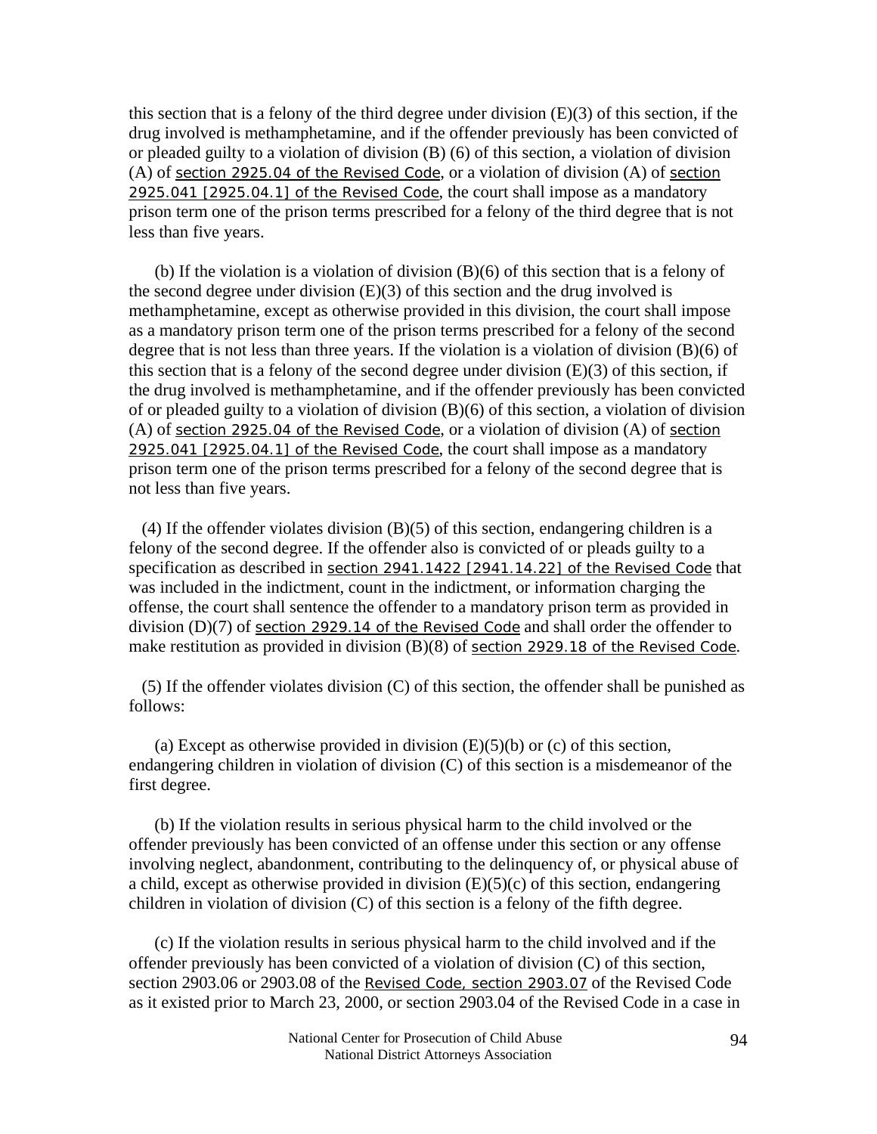this section that is a felony of the third degree under division  $(E)(3)$  of this section, if the drug involved is methamphetamine, and if the offender previously has been convicted of or pleaded guilty to a violation of division (B) (6) of this section, a violation of division (A) of [section 2925.04 of the Revised Code](https://www.lexis.com/research/buttonTFLink?_m=fe46cd5b58dfd056fa6cd0597c8d290c&_xfercite=%3ccite%20cc%3d%22USA%22%3e%3c%21%5bCDATA%5bORC%20Ann.%202919.22%5d%5d%3e%3c%2fcite%3e&_butType=4&_butStat=0&_butNum=19&_butInline=1&_butinfo=OHCODE%202925.04&_fmtstr=FULL&docnum=1&_startdoc=1&wchp=dGLbVtb-zSkAb&_md5=aa81ef59447f4a52cf286792277a7523), or a violation of division (A) of [section](https://www.lexis.com/research/buttonTFLink?_m=fe46cd5b58dfd056fa6cd0597c8d290c&_xfercite=%3ccite%20cc%3d%22USA%22%3e%3c%21%5bCDATA%5bORC%20Ann.%202919.22%5d%5d%3e%3c%2fcite%3e&_butType=4&_butStat=0&_butNum=20&_butInline=1&_butinfo=OHCODE%202925.041&_fmtstr=FULL&docnum=1&_startdoc=1&wchp=dGLbVtb-zSkAb&_md5=99d0e5b5635f54586d3917dc64f981ae)  [2925.041 \[2925.04.1\] of the Revised Code](https://www.lexis.com/research/buttonTFLink?_m=fe46cd5b58dfd056fa6cd0597c8d290c&_xfercite=%3ccite%20cc%3d%22USA%22%3e%3c%21%5bCDATA%5bORC%20Ann.%202919.22%5d%5d%3e%3c%2fcite%3e&_butType=4&_butStat=0&_butNum=20&_butInline=1&_butinfo=OHCODE%202925.041&_fmtstr=FULL&docnum=1&_startdoc=1&wchp=dGLbVtb-zSkAb&_md5=99d0e5b5635f54586d3917dc64f981ae), the court shall impose as a mandatory prison term one of the prison terms prescribed for a felony of the third degree that is not less than five years.

 (b) If the violation is a violation of division (B)(6) of this section that is a felony of the second degree under division  $(E)(3)$  of this section and the drug involved is methamphetamine, except as otherwise provided in this division, the court shall impose as a mandatory prison term one of the prison terms prescribed for a felony of the second degree that is not less than three years. If the violation is a violation of division (B)(6) of this section that is a felony of the second degree under division  $(E)(3)$  of this section, if the drug involved is methamphetamine, and if the offender previously has been convicted of or pleaded guilty to a violation of division (B)(6) of this section, a violation of division (A) of [section 2925.04 of the Revised Code](https://www.lexis.com/research/buttonTFLink?_m=fe46cd5b58dfd056fa6cd0597c8d290c&_xfercite=%3ccite%20cc%3d%22USA%22%3e%3c%21%5bCDATA%5bORC%20Ann.%202919.22%5d%5d%3e%3c%2fcite%3e&_butType=4&_butStat=0&_butNum=21&_butInline=1&_butinfo=OHCODE%202925.04&_fmtstr=FULL&docnum=1&_startdoc=1&wchp=dGLbVtb-zSkAb&_md5=74b416565ecaf6199527684062fb354b), or a violation of division (A) of [section](https://www.lexis.com/research/buttonTFLink?_m=fe46cd5b58dfd056fa6cd0597c8d290c&_xfercite=%3ccite%20cc%3d%22USA%22%3e%3c%21%5bCDATA%5bORC%20Ann.%202919.22%5d%5d%3e%3c%2fcite%3e&_butType=4&_butStat=0&_butNum=22&_butInline=1&_butinfo=OHCODE%202925.041&_fmtstr=FULL&docnum=1&_startdoc=1&wchp=dGLbVtb-zSkAb&_md5=70264e55740b0d14a82558673bc2e1d1)  [2925.041 \[2925.04.1\] of the Revised Code](https://www.lexis.com/research/buttonTFLink?_m=fe46cd5b58dfd056fa6cd0597c8d290c&_xfercite=%3ccite%20cc%3d%22USA%22%3e%3c%21%5bCDATA%5bORC%20Ann.%202919.22%5d%5d%3e%3c%2fcite%3e&_butType=4&_butStat=0&_butNum=22&_butInline=1&_butinfo=OHCODE%202925.041&_fmtstr=FULL&docnum=1&_startdoc=1&wchp=dGLbVtb-zSkAb&_md5=70264e55740b0d14a82558673bc2e1d1), the court shall impose as a mandatory prison term one of the prison terms prescribed for a felony of the second degree that is not less than five years.

 (4) If the offender violates division (B)(5) of this section, endangering children is a felony of the second degree. If the offender also is convicted of or pleads guilty to a specification as described in [section 2941.1422 \[2941.14.22\] of the Revised Code](https://www.lexis.com/research/buttonTFLink?_m=fe46cd5b58dfd056fa6cd0597c8d290c&_xfercite=%3ccite%20cc%3d%22USA%22%3e%3c%21%5bCDATA%5bORC%20Ann.%202919.22%5d%5d%3e%3c%2fcite%3e&_butType=4&_butStat=0&_butNum=23&_butInline=1&_butinfo=OHCODE%202941.1422&_fmtstr=FULL&docnum=1&_startdoc=1&wchp=dGLbVtb-zSkAb&_md5=3b3cb56f688b931cbc93a3779ef232da) that was included in the indictment, count in the indictment, or information charging the offense, the court shall sentence the offender to a mandatory prison term as provided in division (D)(7) of [section 2929.14 of the Revised Code](https://www.lexis.com/research/buttonTFLink?_m=fe46cd5b58dfd056fa6cd0597c8d290c&_xfercite=%3ccite%20cc%3d%22USA%22%3e%3c%21%5bCDATA%5bORC%20Ann.%202919.22%5d%5d%3e%3c%2fcite%3e&_butType=4&_butStat=0&_butNum=24&_butInline=1&_butinfo=OHCODE%202929.14&_fmtstr=FULL&docnum=1&_startdoc=1&wchp=dGLbVtb-zSkAb&_md5=ff8b094571f29f13f6e01ce6a7ab9f98) and shall order the offender to make restitution as provided in division (B)(8) of [section 2929.18 of the Revised Code](https://www.lexis.com/research/buttonTFLink?_m=fe46cd5b58dfd056fa6cd0597c8d290c&_xfercite=%3ccite%20cc%3d%22USA%22%3e%3c%21%5bCDATA%5bORC%20Ann.%202919.22%5d%5d%3e%3c%2fcite%3e&_butType=4&_butStat=0&_butNum=25&_butInline=1&_butinfo=OHCODE%202929.18&_fmtstr=FULL&docnum=1&_startdoc=1&wchp=dGLbVtb-zSkAb&_md5=5f51219a71e16a91716d8789615aa196).

 (5) If the offender violates division (C) of this section, the offender shall be punished as follows:

(a) Except as otherwise provided in division  $(E)(5)(b)$  or (c) of this section, endangering children in violation of division (C) of this section is a misdemeanor of the first degree.

 (b) If the violation results in serious physical harm to the child involved or the offender previously has been convicted of an offense under this section or any offense involving neglect, abandonment, contributing to the delinquency of, or physical abuse of a child, except as otherwise provided in division  $(E)(5)(c)$  of this section, endangering children in violation of division (C) of this section is a felony of the fifth degree.

 (c) If the violation results in serious physical harm to the child involved and if the offender previously has been convicted of a violation of division (C) of this section, section 2903.06 or 2903.08 of the [Revised Code, section 2903.07](https://www.lexis.com/research/buttonTFLink?_m=fe46cd5b58dfd056fa6cd0597c8d290c&_xfercite=%3ccite%20cc%3d%22USA%22%3e%3c%21%5bCDATA%5bORC%20Ann.%202919.22%5d%5d%3e%3c%2fcite%3e&_butType=4&_butStat=0&_butNum=26&_butInline=1&_butinfo=OHCODE%202903.07&_fmtstr=FULL&docnum=1&_startdoc=1&wchp=dGLbVtb-zSkAb&_md5=ca49a7088a5464c0cc138b3c039ad940) of the Revised Code as it existed prior to March 23, 2000, or section 2903.04 of the Revised Code in a case in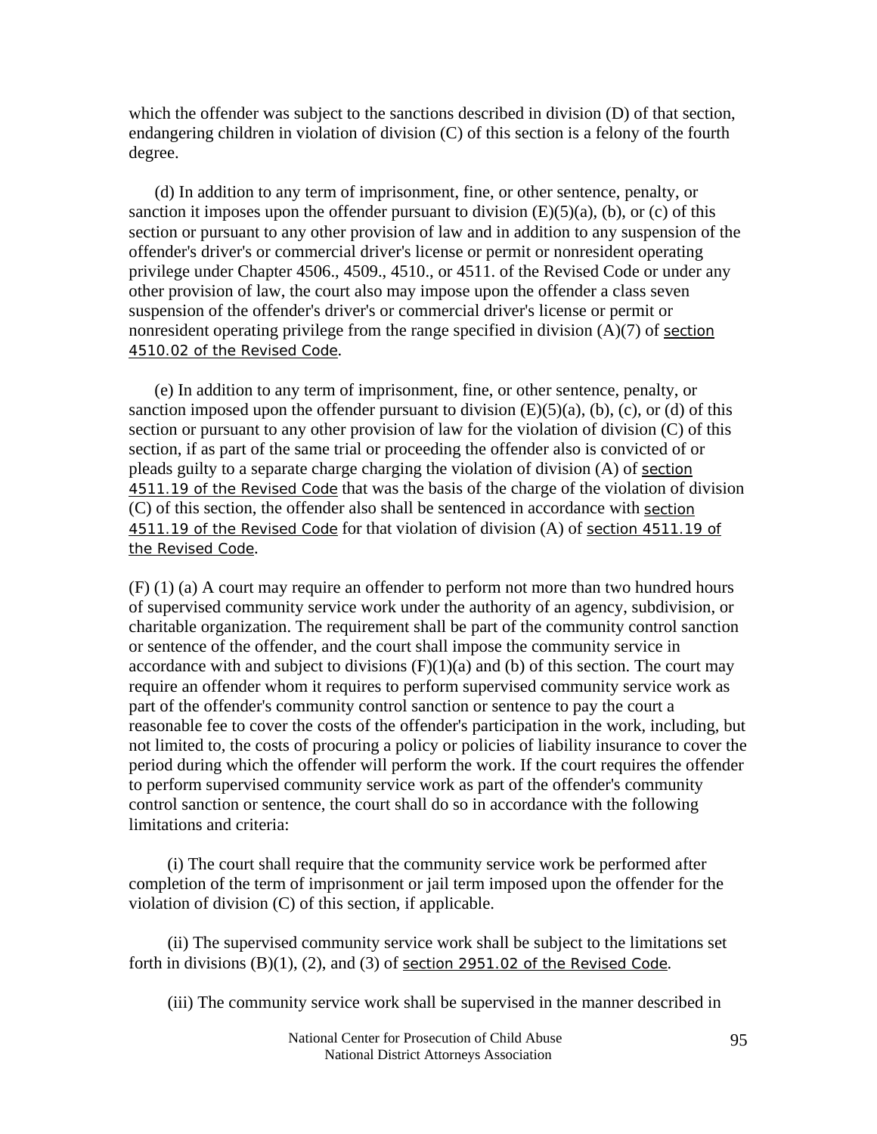which the offender was subject to the sanctions described in division (D) of that section, endangering children in violation of division (C) of this section is a felony of the fourth degree.

 (d) In addition to any term of imprisonment, fine, or other sentence, penalty, or sanction it imposes upon the offender pursuant to division  $(E)(5)(a)$ ,  $(b)$ , or  $(c)$  of this section or pursuant to any other provision of law and in addition to any suspension of the offender's driver's or commercial driver's license or permit or nonresident operating privilege under Chapter 4506., 4509., 4510., or 4511. of the Revised Code or under any other provision of law, the court also may impose upon the offender a class seven suspension of the offender's driver's or commercial driver's license or permit or nonresident operating privilege from the range specified in division  $(A)(7)$  of section [4510.02 of the Revised Code](https://www.lexis.com/research/buttonTFLink?_m=fe46cd5b58dfd056fa6cd0597c8d290c&_xfercite=%3ccite%20cc%3d%22USA%22%3e%3c%21%5bCDATA%5bORC%20Ann.%202919.22%5d%5d%3e%3c%2fcite%3e&_butType=4&_butStat=0&_butNum=27&_butInline=1&_butinfo=OHCODE%204510.02&_fmtstr=FULL&docnum=1&_startdoc=1&wchp=dGLbVtb-zSkAb&_md5=e2e3fb9284fac807ca836f1c58d9ad5f).

 (e) In addition to any term of imprisonment, fine, or other sentence, penalty, or sanction imposed upon the offender pursuant to division  $(E)(5)(a)$ ,  $(b)$ ,  $(c)$ , or  $(d)$  of this section or pursuant to any other provision of law for the violation of division (C) of this section, if as part of the same trial or proceeding the offender also is convicted of or pleads guilty to a separate charge charging the violation of division (A) of [section](https://www.lexis.com/research/buttonTFLink?_m=fe46cd5b58dfd056fa6cd0597c8d290c&_xfercite=%3ccite%20cc%3d%22USA%22%3e%3c%21%5bCDATA%5bORC%20Ann.%202919.22%5d%5d%3e%3c%2fcite%3e&_butType=4&_butStat=0&_butNum=28&_butInline=1&_butinfo=OHCODE%204511.19&_fmtstr=FULL&docnum=1&_startdoc=1&wchp=dGLbVtb-zSkAb&_md5=a223355b67c0555cb8ed2a5eec8d3e3c)  [4511.19 of the Revised Code](https://www.lexis.com/research/buttonTFLink?_m=fe46cd5b58dfd056fa6cd0597c8d290c&_xfercite=%3ccite%20cc%3d%22USA%22%3e%3c%21%5bCDATA%5bORC%20Ann.%202919.22%5d%5d%3e%3c%2fcite%3e&_butType=4&_butStat=0&_butNum=28&_butInline=1&_butinfo=OHCODE%204511.19&_fmtstr=FULL&docnum=1&_startdoc=1&wchp=dGLbVtb-zSkAb&_md5=a223355b67c0555cb8ed2a5eec8d3e3c) that was the basis of the charge of the violation of division (C) of this section, the offender also shall be sentenced in accordance with [section](https://www.lexis.com/research/buttonTFLink?_m=fe46cd5b58dfd056fa6cd0597c8d290c&_xfercite=%3ccite%20cc%3d%22USA%22%3e%3c%21%5bCDATA%5bORC%20Ann.%202919.22%5d%5d%3e%3c%2fcite%3e&_butType=4&_butStat=0&_butNum=29&_butInline=1&_butinfo=OHCODE%204511.19&_fmtstr=FULL&docnum=1&_startdoc=1&wchp=dGLbVtb-zSkAb&_md5=611bb0451433e1adc7b2186db2db5a1e)  [4511.19 of the Revised Code](https://www.lexis.com/research/buttonTFLink?_m=fe46cd5b58dfd056fa6cd0597c8d290c&_xfercite=%3ccite%20cc%3d%22USA%22%3e%3c%21%5bCDATA%5bORC%20Ann.%202919.22%5d%5d%3e%3c%2fcite%3e&_butType=4&_butStat=0&_butNum=29&_butInline=1&_butinfo=OHCODE%204511.19&_fmtstr=FULL&docnum=1&_startdoc=1&wchp=dGLbVtb-zSkAb&_md5=611bb0451433e1adc7b2186db2db5a1e) for that violation of division (A) of [section 4511.19 of](https://www.lexis.com/research/buttonTFLink?_m=fe46cd5b58dfd056fa6cd0597c8d290c&_xfercite=%3ccite%20cc%3d%22USA%22%3e%3c%21%5bCDATA%5bORC%20Ann.%202919.22%5d%5d%3e%3c%2fcite%3e&_butType=4&_butStat=0&_butNum=30&_butInline=1&_butinfo=OHCODE%204511.19&_fmtstr=FULL&docnum=1&_startdoc=1&wchp=dGLbVtb-zSkAb&_md5=e368f1546a4f563eedb0bba7b305e9c5)  [the Revised Code](https://www.lexis.com/research/buttonTFLink?_m=fe46cd5b58dfd056fa6cd0597c8d290c&_xfercite=%3ccite%20cc%3d%22USA%22%3e%3c%21%5bCDATA%5bORC%20Ann.%202919.22%5d%5d%3e%3c%2fcite%3e&_butType=4&_butStat=0&_butNum=30&_butInline=1&_butinfo=OHCODE%204511.19&_fmtstr=FULL&docnum=1&_startdoc=1&wchp=dGLbVtb-zSkAb&_md5=e368f1546a4f563eedb0bba7b305e9c5).

(F) (1) (a) A court may require an offender to perform not more than two hundred hours of supervised community service work under the authority of an agency, subdivision, or charitable organization. The requirement shall be part of the community control sanction or sentence of the offender, and the court shall impose the community service in accordance with and subject to divisions  $(F)(1)(a)$  and (b) of this section. The court may require an offender whom it requires to perform supervised community service work as part of the offender's community control sanction or sentence to pay the court a reasonable fee to cover the costs of the offender's participation in the work, including, but not limited to, the costs of procuring a policy or policies of liability insurance to cover the period during which the offender will perform the work. If the court requires the offender to perform supervised community service work as part of the offender's community control sanction or sentence, the court shall do so in accordance with the following limitations and criteria:

 (i) The court shall require that the community service work be performed after completion of the term of imprisonment or jail term imposed upon the offender for the violation of division (C) of this section, if applicable.

 (ii) The supervised community service work shall be subject to the limitations set forth in divisions  $(B)(1)$ ,  $(2)$ , and  $(3)$  of [section 2951.02 of the Revised Code](https://www.lexis.com/research/buttonTFLink?_m=fe46cd5b58dfd056fa6cd0597c8d290c&_xfercite=%3ccite%20cc%3d%22USA%22%3e%3c%21%5bCDATA%5bORC%20Ann.%202919.22%5d%5d%3e%3c%2fcite%3e&_butType=4&_butStat=0&_butNum=31&_butInline=1&_butinfo=OHCODE%202951.02&_fmtstr=FULL&docnum=1&_startdoc=1&wchp=dGLbVtb-zSkAb&_md5=befc366f7178f0ec20f5527bbdcbb660).

(iii) The community service work shall be supervised in the manner described in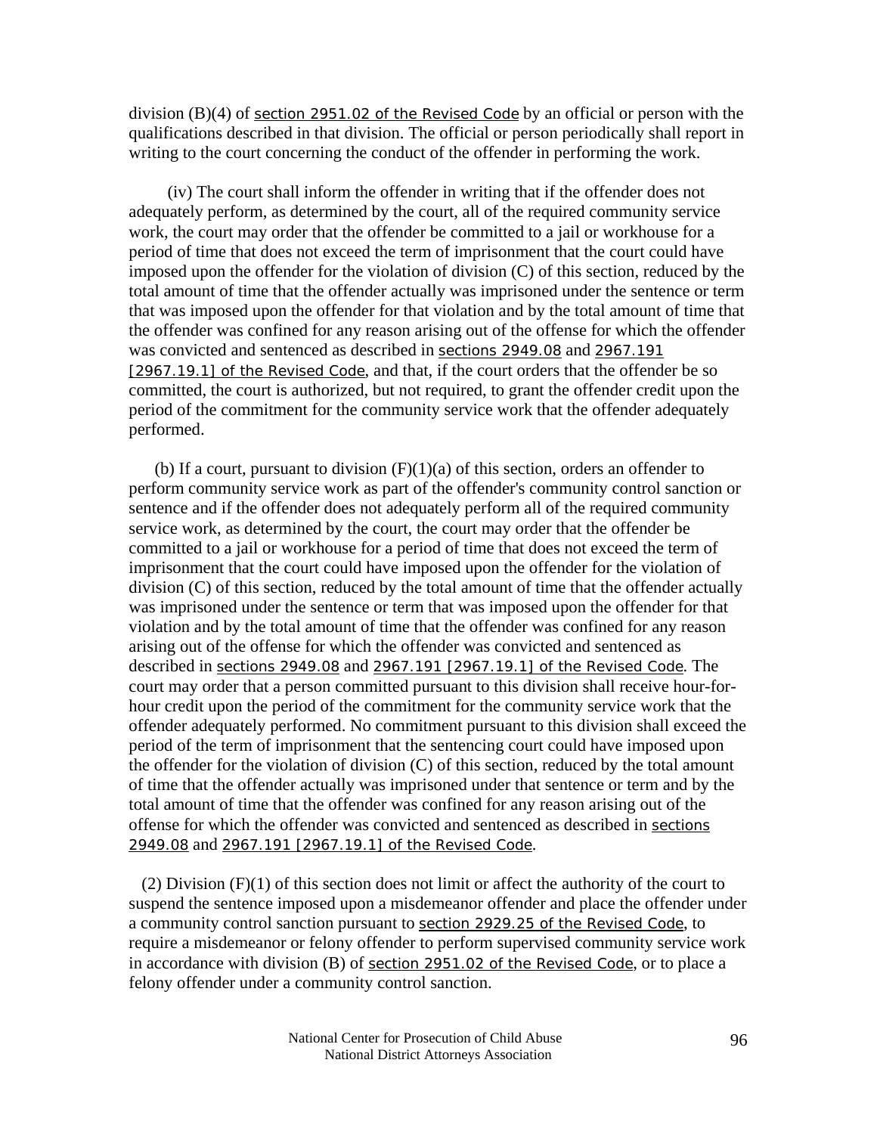division (B)(4) of [section 2951.02 of the Revised Code](https://www.lexis.com/research/buttonTFLink?_m=fe46cd5b58dfd056fa6cd0597c8d290c&_xfercite=%3ccite%20cc%3d%22USA%22%3e%3c%21%5bCDATA%5bORC%20Ann.%202919.22%5d%5d%3e%3c%2fcite%3e&_butType=4&_butStat=0&_butNum=32&_butInline=1&_butinfo=OHCODE%202951.02&_fmtstr=FULL&docnum=1&_startdoc=1&wchp=dGLbVtb-zSkAb&_md5=d7135bce8f0d763fb245a978259c7809) by an official or person with the qualifications described in that division. The official or person periodically shall report in writing to the court concerning the conduct of the offender in performing the work.

 (iv) The court shall inform the offender in writing that if the offender does not adequately perform, as determined by the court, all of the required community service work, the court may order that the offender be committed to a jail or workhouse for a period of time that does not exceed the term of imprisonment that the court could have imposed upon the offender for the violation of division (C) of this section, reduced by the total amount of time that the offender actually was imprisoned under the sentence or term that was imposed upon the offender for that violation and by the total amount of time that the offender was confined for any reason arising out of the offense for which the offender was convicted and sentenced as described in [sections 2949.08](https://www.lexis.com/research/buttonTFLink?_m=fe46cd5b58dfd056fa6cd0597c8d290c&_xfercite=%3ccite%20cc%3d%22USA%22%3e%3c%21%5bCDATA%5bORC%20Ann.%202919.22%5d%5d%3e%3c%2fcite%3e&_butType=4&_butStat=0&_butNum=33&_butInline=1&_butinfo=OHCODE%202949.08&_fmtstr=FULL&docnum=1&_startdoc=1&wchp=dGLbVtb-zSkAb&_md5=1c60003ff70919d274639d6da2900f6a) and [2967.191](https://www.lexis.com/research/buttonTFLink?_m=fe46cd5b58dfd056fa6cd0597c8d290c&_xfercite=%3ccite%20cc%3d%22USA%22%3e%3c%21%5bCDATA%5bORC%20Ann.%202919.22%5d%5d%3e%3c%2fcite%3e&_butType=4&_butStat=0&_butNum=34&_butInline=1&_butinfo=OHCODE%202967.191&_fmtstr=FULL&docnum=1&_startdoc=1&wchp=dGLbVtb-zSkAb&_md5=0975cd2d26674e32a7c9aa8b9e21a850)  [\[2967.19.1\] of the Revised Code](https://www.lexis.com/research/buttonTFLink?_m=fe46cd5b58dfd056fa6cd0597c8d290c&_xfercite=%3ccite%20cc%3d%22USA%22%3e%3c%21%5bCDATA%5bORC%20Ann.%202919.22%5d%5d%3e%3c%2fcite%3e&_butType=4&_butStat=0&_butNum=34&_butInline=1&_butinfo=OHCODE%202967.191&_fmtstr=FULL&docnum=1&_startdoc=1&wchp=dGLbVtb-zSkAb&_md5=0975cd2d26674e32a7c9aa8b9e21a850), and that, if the court orders that the offender be so committed, the court is authorized, but not required, to grant the offender credit upon the period of the commitment for the community service work that the offender adequately performed.

(b) If a court, pursuant to division  $(F)(1)(a)$  of this section, orders an offender to perform community service work as part of the offender's community control sanction or sentence and if the offender does not adequately perform all of the required community service work, as determined by the court, the court may order that the offender be committed to a jail or workhouse for a period of time that does not exceed the term of imprisonment that the court could have imposed upon the offender for the violation of division (C) of this section, reduced by the total amount of time that the offender actually was imprisoned under the sentence or term that was imposed upon the offender for that violation and by the total amount of time that the offender was confined for any reason arising out of the offense for which the offender was convicted and sentenced as described in [sections 2949.08](https://www.lexis.com/research/buttonTFLink?_m=fe46cd5b58dfd056fa6cd0597c8d290c&_xfercite=%3ccite%20cc%3d%22USA%22%3e%3c%21%5bCDATA%5bORC%20Ann.%202919.22%5d%5d%3e%3c%2fcite%3e&_butType=4&_butStat=0&_butNum=35&_butInline=1&_butinfo=OHCODE%202949.08&_fmtstr=FULL&docnum=1&_startdoc=1&wchp=dGLbVtb-zSkAb&_md5=1ec92785e584b66d97f41e3dde005347) and [2967.191 \[2967.19.1\] of the Revised Code](https://www.lexis.com/research/buttonTFLink?_m=fe46cd5b58dfd056fa6cd0597c8d290c&_xfercite=%3ccite%20cc%3d%22USA%22%3e%3c%21%5bCDATA%5bORC%20Ann.%202919.22%5d%5d%3e%3c%2fcite%3e&_butType=4&_butStat=0&_butNum=36&_butInline=1&_butinfo=OHCODE%202967.191&_fmtstr=FULL&docnum=1&_startdoc=1&wchp=dGLbVtb-zSkAb&_md5=40758e80957a966286e9c9702e3aa81b). The court may order that a person committed pursuant to this division shall receive hour-forhour credit upon the period of the commitment for the community service work that the offender adequately performed. No commitment pursuant to this division shall exceed the period of the term of imprisonment that the sentencing court could have imposed upon the offender for the violation of division (C) of this section, reduced by the total amount of time that the offender actually was imprisoned under that sentence or term and by the total amount of time that the offender was confined for any reason arising out of the offense for which the offender was convicted and sentenced as described in [sections](https://www.lexis.com/research/buttonTFLink?_m=fe46cd5b58dfd056fa6cd0597c8d290c&_xfercite=%3ccite%20cc%3d%22USA%22%3e%3c%21%5bCDATA%5bORC%20Ann.%202919.22%5d%5d%3e%3c%2fcite%3e&_butType=4&_butStat=0&_butNum=37&_butInline=1&_butinfo=OHCODE%202949.08&_fmtstr=FULL&docnum=1&_startdoc=1&wchp=dGLbVtb-zSkAb&_md5=907c46c79d8be45541ae32173b934f8b)  [2949.08](https://www.lexis.com/research/buttonTFLink?_m=fe46cd5b58dfd056fa6cd0597c8d290c&_xfercite=%3ccite%20cc%3d%22USA%22%3e%3c%21%5bCDATA%5bORC%20Ann.%202919.22%5d%5d%3e%3c%2fcite%3e&_butType=4&_butStat=0&_butNum=37&_butInline=1&_butinfo=OHCODE%202949.08&_fmtstr=FULL&docnum=1&_startdoc=1&wchp=dGLbVtb-zSkAb&_md5=907c46c79d8be45541ae32173b934f8b) and [2967.191 \[2967.19.1\] of the Revised Code](https://www.lexis.com/research/buttonTFLink?_m=fe46cd5b58dfd056fa6cd0597c8d290c&_xfercite=%3ccite%20cc%3d%22USA%22%3e%3c%21%5bCDATA%5bORC%20Ann.%202919.22%5d%5d%3e%3c%2fcite%3e&_butType=4&_butStat=0&_butNum=38&_butInline=1&_butinfo=OHCODE%202967.191&_fmtstr=FULL&docnum=1&_startdoc=1&wchp=dGLbVtb-zSkAb&_md5=b37e5348959deb876cdb13a493960aa1).

 (2) Division (F)(1) of this section does not limit or affect the authority of the court to suspend the sentence imposed upon a misdemeanor offender and place the offender under a community control sanction pursuant to [section 2929.25 of the Revised Code](https://www.lexis.com/research/buttonTFLink?_m=fe46cd5b58dfd056fa6cd0597c8d290c&_xfercite=%3ccite%20cc%3d%22USA%22%3e%3c%21%5bCDATA%5bORC%20Ann.%202919.22%5d%5d%3e%3c%2fcite%3e&_butType=4&_butStat=0&_butNum=39&_butInline=1&_butinfo=OHCODE%202929.25&_fmtstr=FULL&docnum=1&_startdoc=1&wchp=dGLbVtb-zSkAb&_md5=6dc3c2e41a10698f566559d086c836b4), to require a misdemeanor or felony offender to perform supervised community service work in accordance with division (B) of [section 2951.02 of the Revised Code](https://www.lexis.com/research/buttonTFLink?_m=fe46cd5b58dfd056fa6cd0597c8d290c&_xfercite=%3ccite%20cc%3d%22USA%22%3e%3c%21%5bCDATA%5bORC%20Ann.%202919.22%5d%5d%3e%3c%2fcite%3e&_butType=4&_butStat=0&_butNum=40&_butInline=1&_butinfo=OHCODE%202951.02&_fmtstr=FULL&docnum=1&_startdoc=1&wchp=dGLbVtb-zSkAb&_md5=af6d65005901c0bb758b933621f0d55f), or to place a felony offender under a community control sanction.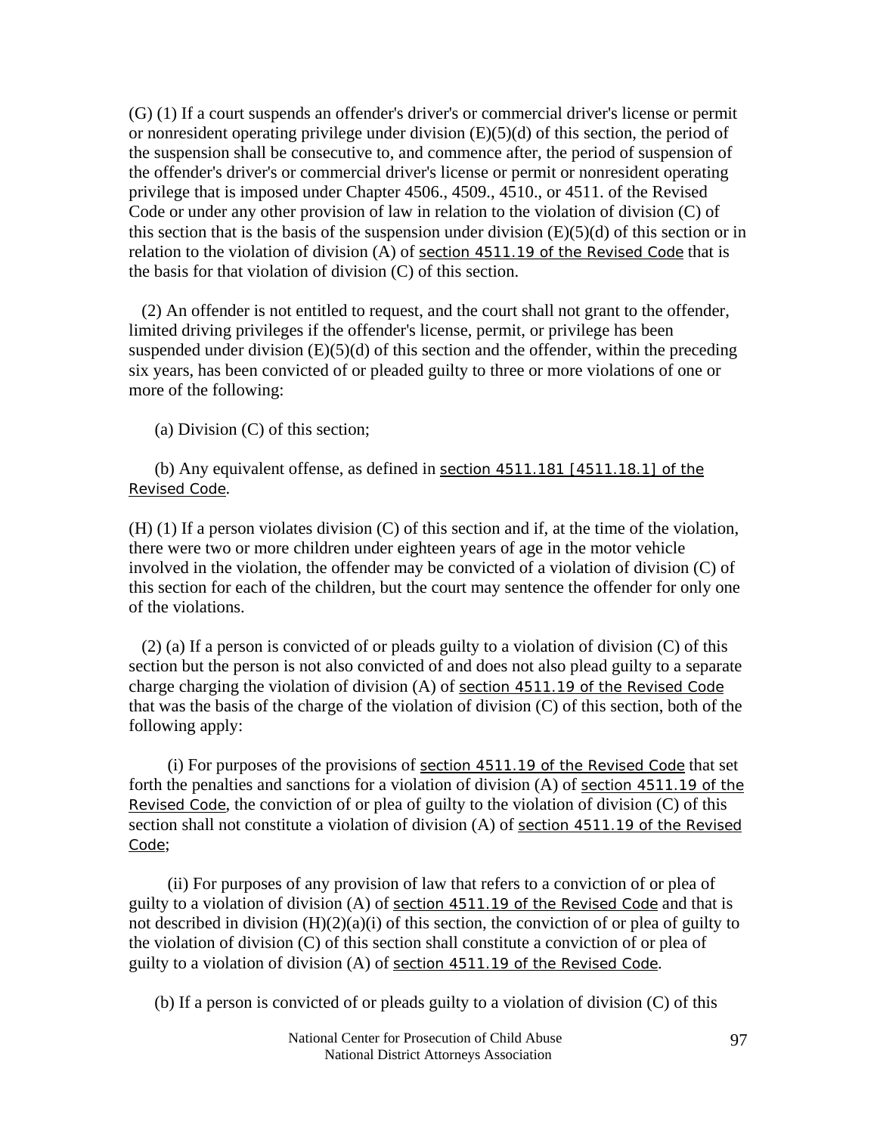(G) (1) If a court suspends an offender's driver's or commercial driver's license or permit or nonresident operating privilege under division (E)(5)(d) of this section, the period of the suspension shall be consecutive to, and commence after, the period of suspension of the offender's driver's or commercial driver's license or permit or nonresident operating privilege that is imposed under Chapter 4506., 4509., 4510., or 4511. of the Revised Code or under any other provision of law in relation to the violation of division (C) of this section that is the basis of the suspension under division  $(E)(5)(d)$  of this section or in relation to the violation of division (A) of [section 4511.19 of the Revised Code](https://www.lexis.com/research/buttonTFLink?_m=fe46cd5b58dfd056fa6cd0597c8d290c&_xfercite=%3ccite%20cc%3d%22USA%22%3e%3c%21%5bCDATA%5bORC%20Ann.%202919.22%5d%5d%3e%3c%2fcite%3e&_butType=4&_butStat=0&_butNum=41&_butInline=1&_butinfo=OHCODE%204511.19&_fmtstr=FULL&docnum=1&_startdoc=1&wchp=dGLbVtb-zSkAb&_md5=eb82951df2185c2ade0b36b94356395e) that is the basis for that violation of division (C) of this section.

 (2) An offender is not entitled to request, and the court shall not grant to the offender, limited driving privileges if the offender's license, permit, or privilege has been suspended under division  $(E)(5)(d)$  of this section and the offender, within the preceding six years, has been convicted of or pleaded guilty to three or more violations of one or more of the following:

(a) Division (C) of this section;

 (b) Any equivalent offense, as defined in [section 4511.181 \[4511.18.1\] of the](https://www.lexis.com/research/buttonTFLink?_m=fe46cd5b58dfd056fa6cd0597c8d290c&_xfercite=%3ccite%20cc%3d%22USA%22%3e%3c%21%5bCDATA%5bORC%20Ann.%202919.22%5d%5d%3e%3c%2fcite%3e&_butType=4&_butStat=0&_butNum=42&_butInline=1&_butinfo=OHCODE%204511.181&_fmtstr=FULL&docnum=1&_startdoc=1&wchp=dGLbVtb-zSkAb&_md5=20dc035947bc4bb2a1282df783bab3af)  [Revised Code](https://www.lexis.com/research/buttonTFLink?_m=fe46cd5b58dfd056fa6cd0597c8d290c&_xfercite=%3ccite%20cc%3d%22USA%22%3e%3c%21%5bCDATA%5bORC%20Ann.%202919.22%5d%5d%3e%3c%2fcite%3e&_butType=4&_butStat=0&_butNum=42&_butInline=1&_butinfo=OHCODE%204511.181&_fmtstr=FULL&docnum=1&_startdoc=1&wchp=dGLbVtb-zSkAb&_md5=20dc035947bc4bb2a1282df783bab3af).

(H) (1) If a person violates division (C) of this section and if, at the time of the violation, there were two or more children under eighteen years of age in the motor vehicle involved in the violation, the offender may be convicted of a violation of division (C) of this section for each of the children, but the court may sentence the offender for only one of the violations.

 (2) (a) If a person is convicted of or pleads guilty to a violation of division (C) of this section but the person is not also convicted of and does not also plead guilty to a separate charge charging the violation of division (A) of [section 4511.19 of the Revised Code](https://www.lexis.com/research/buttonTFLink?_m=fe46cd5b58dfd056fa6cd0597c8d290c&_xfercite=%3ccite%20cc%3d%22USA%22%3e%3c%21%5bCDATA%5bORC%20Ann.%202919.22%5d%5d%3e%3c%2fcite%3e&_butType=4&_butStat=0&_butNum=43&_butInline=1&_butinfo=OHCODE%204511.19&_fmtstr=FULL&docnum=1&_startdoc=1&wchp=dGLbVtb-zSkAb&_md5=c26c574c5e896df6c97e2df9da91b0f8) that was the basis of the charge of the violation of division (C) of this section, both of the following apply:

 (i) For purposes of the provisions of [section 4511.19 of the Revised Code](https://www.lexis.com/research/buttonTFLink?_m=fe46cd5b58dfd056fa6cd0597c8d290c&_xfercite=%3ccite%20cc%3d%22USA%22%3e%3c%21%5bCDATA%5bORC%20Ann.%202919.22%5d%5d%3e%3c%2fcite%3e&_butType=4&_butStat=0&_butNum=44&_butInline=1&_butinfo=OHCODE%204511.19&_fmtstr=FULL&docnum=1&_startdoc=1&wchp=dGLbVtb-zSkAb&_md5=07a7ba14a44e6503de72423caf34c1b5) that set forth the penalties and sanctions for a violation of division (A) of section 4511.19 of the [Revised Code](https://www.lexis.com/research/buttonTFLink?_m=fe46cd5b58dfd056fa6cd0597c8d290c&_xfercite=%3ccite%20cc%3d%22USA%22%3e%3c%21%5bCDATA%5bORC%20Ann.%202919.22%5d%5d%3e%3c%2fcite%3e&_butType=4&_butStat=0&_butNum=45&_butInline=1&_butinfo=OHCODE%204511.19&_fmtstr=FULL&docnum=1&_startdoc=1&wchp=dGLbVtb-zSkAb&_md5=cbbaaaf2f2a9ae6af9e4c72f5d37683f), the conviction of or plea of guilty to the violation of division (C) of this section shall not constitute a violation of division (A) of [section 4511.19 of the Revised](https://www.lexis.com/research/buttonTFLink?_m=fe46cd5b58dfd056fa6cd0597c8d290c&_xfercite=%3ccite%20cc%3d%22USA%22%3e%3c%21%5bCDATA%5bORC%20Ann.%202919.22%5d%5d%3e%3c%2fcite%3e&_butType=4&_butStat=0&_butNum=46&_butInline=1&_butinfo=OHCODE%204511.19&_fmtstr=FULL&docnum=1&_startdoc=1&wchp=dGLbVtb-zSkAb&_md5=a76fca115718f28c5279b34d6dcad3de)  [Code](https://www.lexis.com/research/buttonTFLink?_m=fe46cd5b58dfd056fa6cd0597c8d290c&_xfercite=%3ccite%20cc%3d%22USA%22%3e%3c%21%5bCDATA%5bORC%20Ann.%202919.22%5d%5d%3e%3c%2fcite%3e&_butType=4&_butStat=0&_butNum=46&_butInline=1&_butinfo=OHCODE%204511.19&_fmtstr=FULL&docnum=1&_startdoc=1&wchp=dGLbVtb-zSkAb&_md5=a76fca115718f28c5279b34d6dcad3de);

 (ii) For purposes of any provision of law that refers to a conviction of or plea of guilty to a violation of division (A) of [section 4511.19 of the Revised Code](https://www.lexis.com/research/buttonTFLink?_m=fe46cd5b58dfd056fa6cd0597c8d290c&_xfercite=%3ccite%20cc%3d%22USA%22%3e%3c%21%5bCDATA%5bORC%20Ann.%202919.22%5d%5d%3e%3c%2fcite%3e&_butType=4&_butStat=0&_butNum=47&_butInline=1&_butinfo=OHCODE%204511.19&_fmtstr=FULL&docnum=1&_startdoc=1&wchp=dGLbVtb-zSkAb&_md5=4ce6ee1c83224e4e23172a85ec45cd3e) and that is not described in division  $(H)(2)(a)(i)$  of this section, the conviction of or plea of guilty to the violation of division (C) of this section shall constitute a conviction of or plea of guilty to a violation of division (A) of [section 4511.19 of the Revised Code](https://www.lexis.com/research/buttonTFLink?_m=fe46cd5b58dfd056fa6cd0597c8d290c&_xfercite=%3ccite%20cc%3d%22USA%22%3e%3c%21%5bCDATA%5bORC%20Ann.%202919.22%5d%5d%3e%3c%2fcite%3e&_butType=4&_butStat=0&_butNum=48&_butInline=1&_butinfo=OHCODE%204511.19&_fmtstr=FULL&docnum=1&_startdoc=1&wchp=dGLbVtb-zSkAb&_md5=dfa05e8fce0bb88b5b6e39a13abd1bed).

(b) If a person is convicted of or pleads guilty to a violation of division (C) of this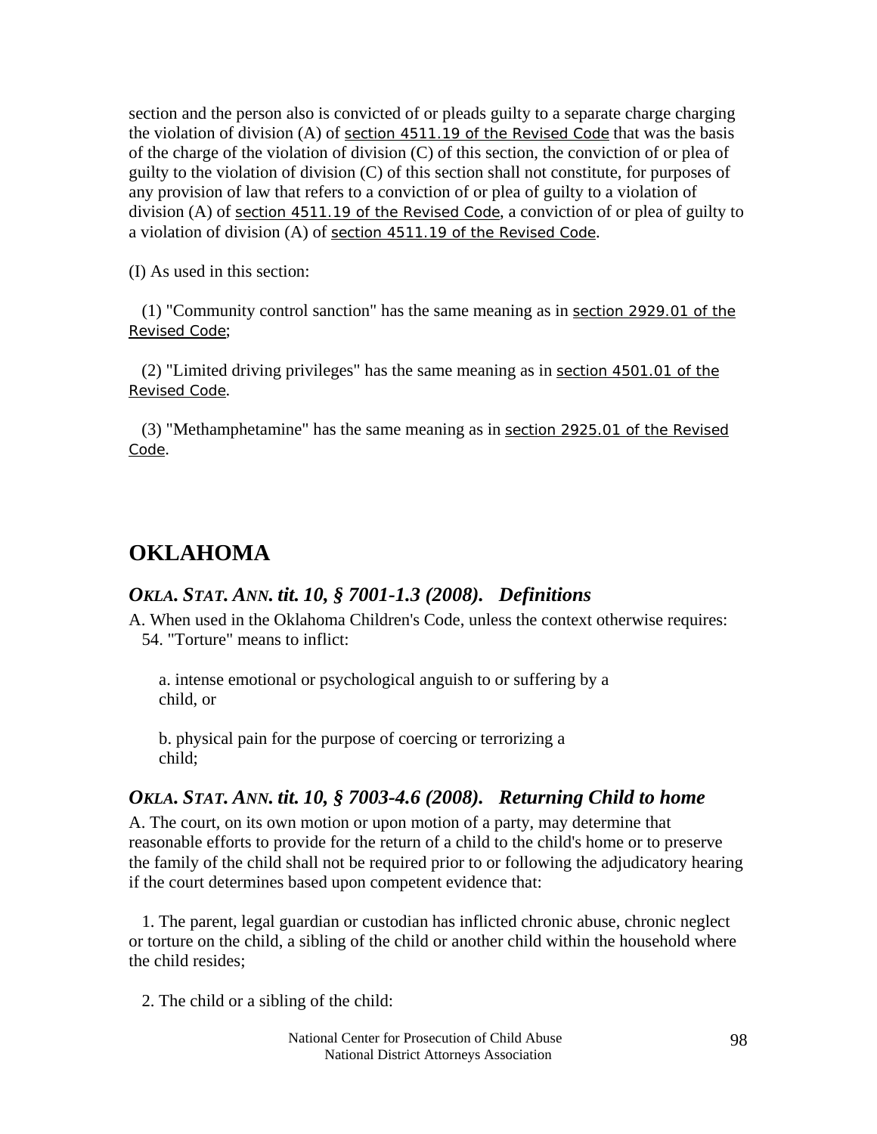section and the person also is convicted of or pleads guilty to a separate charge charging the violation of division  $(A)$  of [section 4511.19 of the Revised Code](https://www.lexis.com/research/buttonTFLink?_m=fe46cd5b58dfd056fa6cd0597c8d290c&_xfercite=%3ccite%20cc%3d%22USA%22%3e%3c%21%5bCDATA%5bORC%20Ann.%202919.22%5d%5d%3e%3c%2fcite%3e&_butType=4&_butStat=0&_butNum=49&_butInline=1&_butinfo=OHCODE%204511.19&_fmtstr=FULL&docnum=1&_startdoc=1&wchp=dGLbVtb-zSkAb&_md5=45d73f1f45b1aeecb30d0f2e8ac24b37) that was the basis of the charge of the violation of division (C) of this section, the conviction of or plea of guilty to the violation of division (C) of this section shall not constitute, for purposes of any provision of law that refers to a conviction of or plea of guilty to a violation of division (A) of [section 4511.19 of the Revised Code](https://www.lexis.com/research/buttonTFLink?_m=fe46cd5b58dfd056fa6cd0597c8d290c&_xfercite=%3ccite%20cc%3d%22USA%22%3e%3c%21%5bCDATA%5bORC%20Ann.%202919.22%5d%5d%3e%3c%2fcite%3e&_butType=4&_butStat=0&_butNum=50&_butInline=1&_butinfo=OHCODE%204511.19&_fmtstr=FULL&docnum=1&_startdoc=1&wchp=dGLbVtb-zSkAb&_md5=c277c6554f3a90905b687002b3820049), a conviction of or plea of guilty to a violation of division (A) of [section 4511.19 of the Revised Code](https://www.lexis.com/research/buttonTFLink?_m=fe46cd5b58dfd056fa6cd0597c8d290c&_xfercite=%3ccite%20cc%3d%22USA%22%3e%3c%21%5bCDATA%5bORC%20Ann.%202919.22%5d%5d%3e%3c%2fcite%3e&_butType=4&_butStat=0&_butNum=51&_butInline=1&_butinfo=OHCODE%204511.19&_fmtstr=FULL&docnum=1&_startdoc=1&wchp=dGLbVtb-zSkAb&_md5=6b8c4acaf470b8e39e2eb2308c324d39).

(I) As used in this section:

 (1) "Community control sanction" has the same meaning as in [section 2929.01 of the](https://www.lexis.com/research/buttonTFLink?_m=fe46cd5b58dfd056fa6cd0597c8d290c&_xfercite=%3ccite%20cc%3d%22USA%22%3e%3c%21%5bCDATA%5bORC%20Ann.%202919.22%5d%5d%3e%3c%2fcite%3e&_butType=4&_butStat=0&_butNum=52&_butInline=1&_butinfo=OHCODE%202929.01&_fmtstr=FULL&docnum=1&_startdoc=1&wchp=dGLbVtb-zSkAb&_md5=0253e498d21647bf23843d6b8672dccb)  [Revised Code](https://www.lexis.com/research/buttonTFLink?_m=fe46cd5b58dfd056fa6cd0597c8d290c&_xfercite=%3ccite%20cc%3d%22USA%22%3e%3c%21%5bCDATA%5bORC%20Ann.%202919.22%5d%5d%3e%3c%2fcite%3e&_butType=4&_butStat=0&_butNum=52&_butInline=1&_butinfo=OHCODE%202929.01&_fmtstr=FULL&docnum=1&_startdoc=1&wchp=dGLbVtb-zSkAb&_md5=0253e498d21647bf23843d6b8672dccb);

 (2) "Limited driving privileges" has the same meaning as in [section 4501.01 of the](https://www.lexis.com/research/buttonTFLink?_m=fe46cd5b58dfd056fa6cd0597c8d290c&_xfercite=%3ccite%20cc%3d%22USA%22%3e%3c%21%5bCDATA%5bORC%20Ann.%202919.22%5d%5d%3e%3c%2fcite%3e&_butType=4&_butStat=0&_butNum=53&_butInline=1&_butinfo=OHCODE%204501.01&_fmtstr=FULL&docnum=1&_startdoc=1&wchp=dGLbVtb-zSkAb&_md5=e1335344c94b899bd356c04305f1709c)  [Revised Code](https://www.lexis.com/research/buttonTFLink?_m=fe46cd5b58dfd056fa6cd0597c8d290c&_xfercite=%3ccite%20cc%3d%22USA%22%3e%3c%21%5bCDATA%5bORC%20Ann.%202919.22%5d%5d%3e%3c%2fcite%3e&_butType=4&_butStat=0&_butNum=53&_butInline=1&_butinfo=OHCODE%204501.01&_fmtstr=FULL&docnum=1&_startdoc=1&wchp=dGLbVtb-zSkAb&_md5=e1335344c94b899bd356c04305f1709c).

 (3) "Methamphetamine" has the same meaning as in [section 2925.01 of the Revised](https://www.lexis.com/research/buttonTFLink?_m=fe46cd5b58dfd056fa6cd0597c8d290c&_xfercite=%3ccite%20cc%3d%22USA%22%3e%3c%21%5bCDATA%5bORC%20Ann.%202919.22%5d%5d%3e%3c%2fcite%3e&_butType=4&_butStat=0&_butNum=54&_butInline=1&_butinfo=OHCODE%202925.01&_fmtstr=FULL&docnum=1&_startdoc=1&wchp=dGLbVtb-zSkAb&_md5=9fa9482874a016178038b7747169f734)  [Code](https://www.lexis.com/research/buttonTFLink?_m=fe46cd5b58dfd056fa6cd0597c8d290c&_xfercite=%3ccite%20cc%3d%22USA%22%3e%3c%21%5bCDATA%5bORC%20Ann.%202919.22%5d%5d%3e%3c%2fcite%3e&_butType=4&_butStat=0&_butNum=54&_butInline=1&_butinfo=OHCODE%202925.01&_fmtstr=FULL&docnum=1&_startdoc=1&wchp=dGLbVtb-zSkAb&_md5=9fa9482874a016178038b7747169f734).

# **OKLAHOMA**

#### *OKLA. STAT. ANN. tit. 10, § 7001-1.3 (2008). Definitions*

A. When used in the Oklahoma Children's Code, unless the context otherwise requires: 54. "Torture" means to inflict:

 a. intense emotional or psychological anguish to or suffering by a child, or

 b. physical pain for the purpose of coercing or terrorizing a child;

#### *OKLA. STAT. ANN. tit. 10, § 7003-4.6 (2008). Returning Child to home*

A. The court, on its own motion or upon motion of a party, may determine that reasonable efforts to provide for the return of a child to the child's home or to preserve the family of the child shall not be required prior to or following the adjudicatory hearing if the court determines based upon competent evidence that:

 1. The parent, legal guardian or custodian has inflicted chronic abuse, chronic neglect or torture on the child, a sibling of the child or another child within the household where the child resides;

2. The child or a sibling of the child: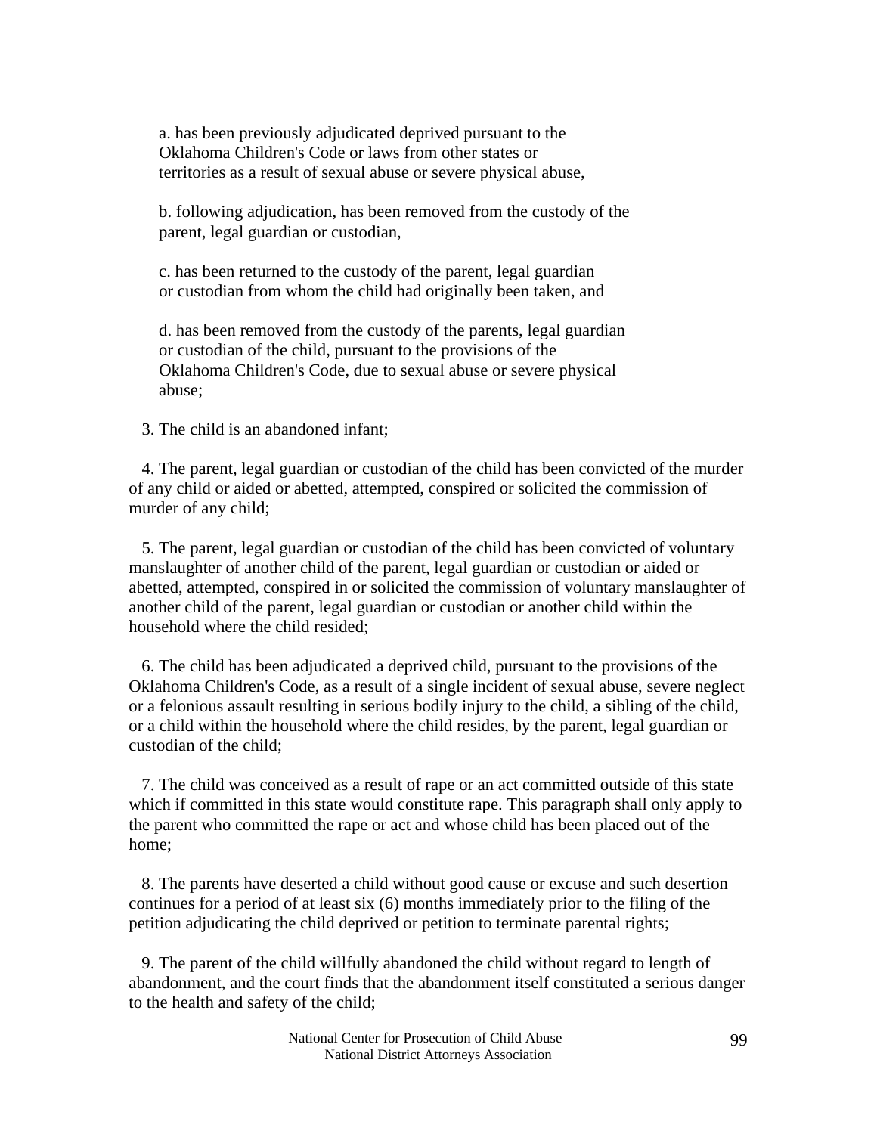a. has been previously adjudicated deprived pursuant to the Oklahoma Children's Code or laws from other states or territories as a result of sexual abuse or severe physical abuse,

 b. following adjudication, has been removed from the custody of the parent, legal guardian or custodian,

 c. has been returned to the custody of the parent, legal guardian or custodian from whom the child had originally been taken, and

 d. has been removed from the custody of the parents, legal guardian or custodian of the child, pursuant to the provisions of the Oklahoma Children's Code, due to sexual abuse or severe physical abuse;

3. The child is an abandoned infant;

 4. The parent, legal guardian or custodian of the child has been convicted of the murder of any child or aided or abetted, attempted, conspired or solicited the commission of murder of any child;

 5. The parent, legal guardian or custodian of the child has been convicted of voluntary manslaughter of another child of the parent, legal guardian or custodian or aided or abetted, attempted, conspired in or solicited the commission of voluntary manslaughter of another child of the parent, legal guardian or custodian or another child within the household where the child resided;

 6. The child has been adjudicated a deprived child, pursuant to the provisions of the Oklahoma Children's Code, as a result of a single incident of sexual abuse, severe neglect or a felonious assault resulting in serious bodily injury to the child, a sibling of the child, or a child within the household where the child resides, by the parent, legal guardian or custodian of the child;

 7. The child was conceived as a result of rape or an act committed outside of this state which if committed in this state would constitute rape. This paragraph shall only apply to the parent who committed the rape or act and whose child has been placed out of the home;

 8. The parents have deserted a child without good cause or excuse and such desertion continues for a period of at least six (6) months immediately prior to the filing of the petition adjudicating the child deprived or petition to terminate parental rights;

 9. The parent of the child willfully abandoned the child without regard to length of abandonment, and the court finds that the abandonment itself constituted a serious danger to the health and safety of the child;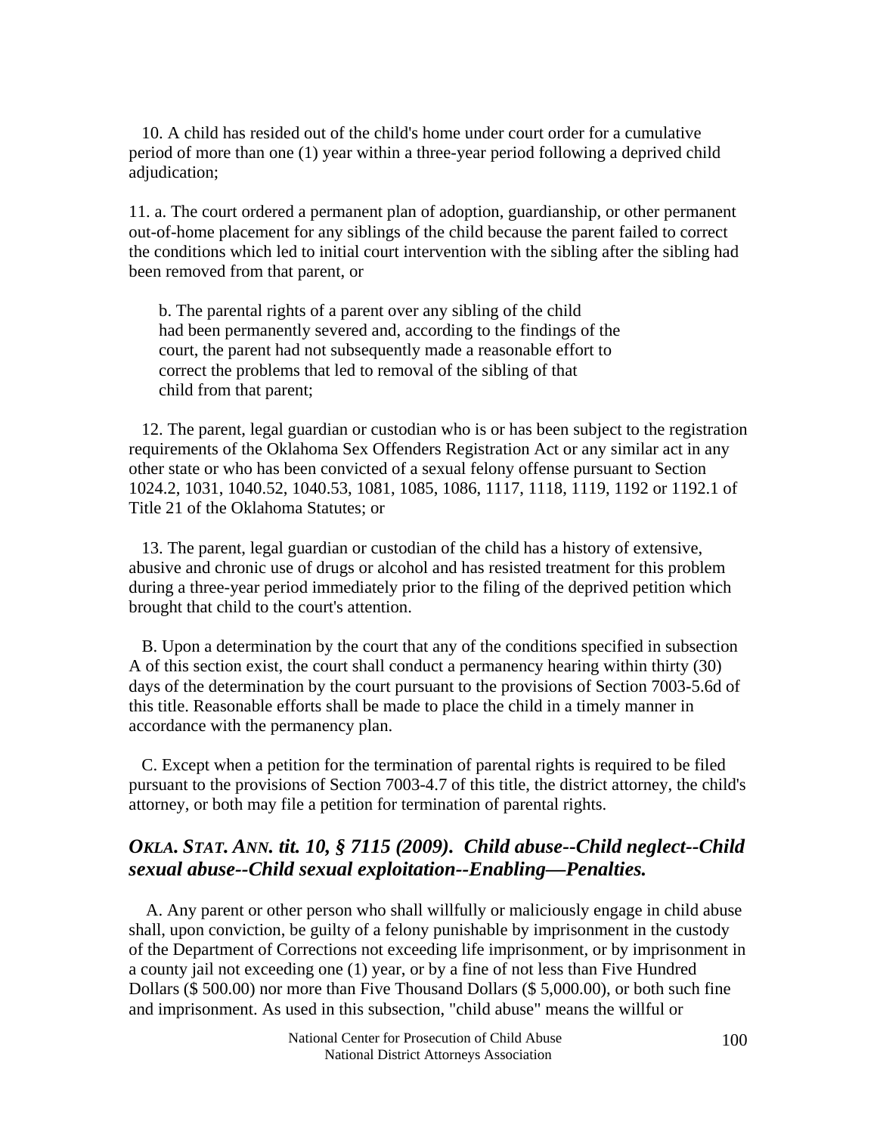10. A child has resided out of the child's home under court order for a cumulative period of more than one (1) year within a three-year period following a deprived child adjudication;

11. a. The court ordered a permanent plan of adoption, guardianship, or other permanent out-of-home placement for any siblings of the child because the parent failed to correct the conditions which led to initial court intervention with the sibling after the sibling had been removed from that parent, or

 b. The parental rights of a parent over any sibling of the child had been permanently severed and, according to the findings of the court, the parent had not subsequently made a reasonable effort to correct the problems that led to removal of the sibling of that child from that parent;

 12. The parent, legal guardian or custodian who is or has been subject to the registration requirements of the Oklahoma Sex Offenders Registration Act or any similar act in any other state or who has been convicted of a sexual felony offense pursuant to Section 1024.2, 1031, 1040.52, 1040.53, 1081, 1085, 1086, 1117, 1118, 1119, 1192 or 1192.1 of Title 21 of the Oklahoma Statutes; or

 13. The parent, legal guardian or custodian of the child has a history of extensive, abusive and chronic use of drugs or alcohol and has resisted treatment for this problem during a three-year period immediately prior to the filing of the deprived petition which brought that child to the court's attention.

 B. Upon a determination by the court that any of the conditions specified in subsection A of this section exist, the court shall conduct a permanency hearing within thirty (30) days of the determination by the court pursuant to the provisions of Section 7003-5.6d of this title. Reasonable efforts shall be made to place the child in a timely manner in accordance with the permanency plan.

 C. Except when a petition for the termination of parental rights is required to be filed pursuant to the provisions of Section 7003-4.7 of this title, the district attorney, the child's attorney, or both may file a petition for termination of parental rights.

## *OKLA. STAT. ANN. tit. 10, § 7115 (2009). Child abuse--Child neglect--Child sexual abuse--Child sexual exploitation--Enabling—Penalties.*

 A. Any parent or other person who shall willfully or maliciously engage in child abuse shall, upon conviction, be guilty of a felony punishable by imprisonment in the custody of the Department of Corrections not exceeding life imprisonment, or by imprisonment in a county jail not exceeding one (1) year, or by a fine of not less than Five Hundred Dollars (\$ 500.00) nor more than Five Thousand Dollars (\$ 5,000.00), or both such fine and imprisonment. As used in this subsection, "child abuse" means the willful or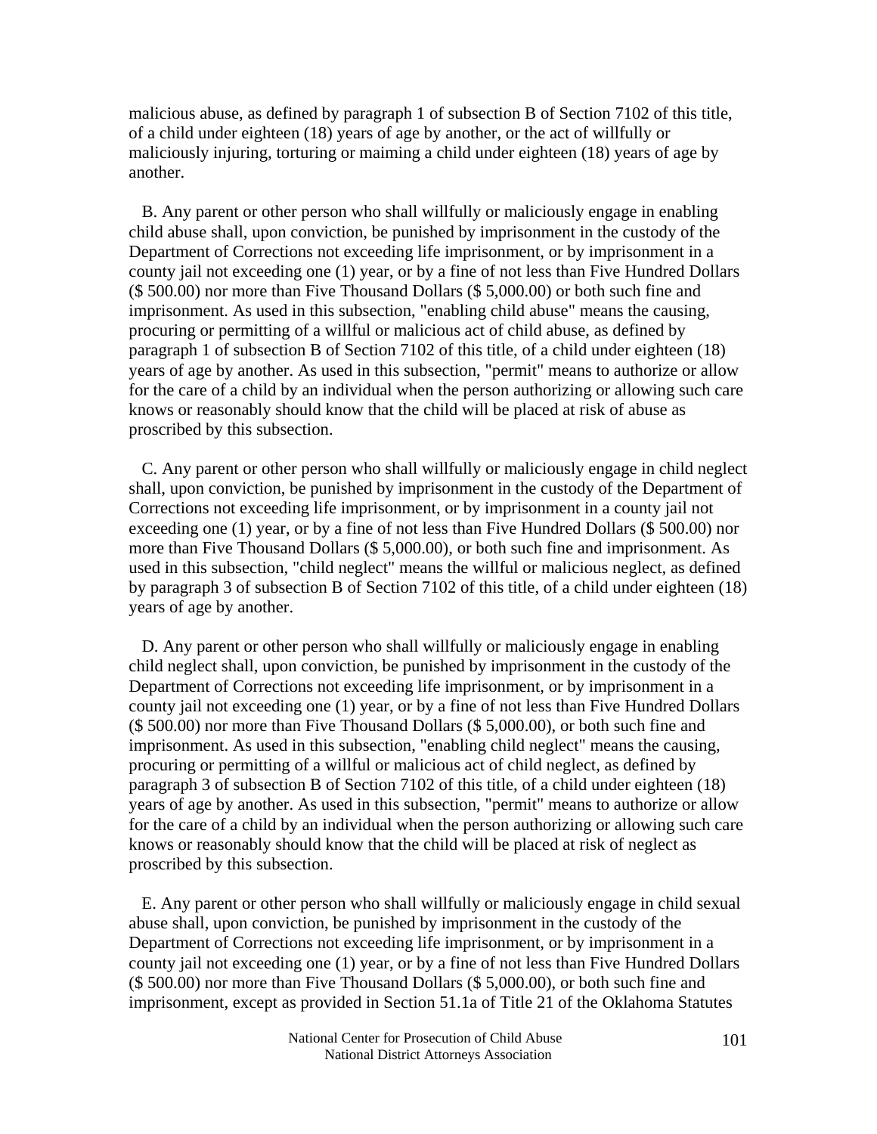malicious abuse, as defined by paragraph 1 of subsection B of Section 7102 of this title, of a child under eighteen (18) years of age by another, or the act of willfully or maliciously injuring, torturing or maiming a child under eighteen (18) years of age by another.

 B. Any parent or other person who shall willfully or maliciously engage in enabling child abuse shall, upon conviction, be punished by imprisonment in the custody of the Department of Corrections not exceeding life imprisonment, or by imprisonment in a county jail not exceeding one (1) year, or by a fine of not less than Five Hundred Dollars (\$ 500.00) nor more than Five Thousand Dollars (\$ 5,000.00) or both such fine and imprisonment. As used in this subsection, "enabling child abuse" means the causing, procuring or permitting of a willful or malicious act of child abuse, as defined by paragraph 1 of subsection B of Section 7102 of this title, of a child under eighteen (18) years of age by another. As used in this subsection, "permit" means to authorize or allow for the care of a child by an individual when the person authorizing or allowing such care knows or reasonably should know that the child will be placed at risk of abuse as proscribed by this subsection.

 C. Any parent or other person who shall willfully or maliciously engage in child neglect shall, upon conviction, be punished by imprisonment in the custody of the Department of Corrections not exceeding life imprisonment, or by imprisonment in a county jail not exceeding one (1) year, or by a fine of not less than Five Hundred Dollars (\$ 500.00) nor more than Five Thousand Dollars (\$ 5,000.00), or both such fine and imprisonment. As used in this subsection, "child neglect" means the willful or malicious neglect, as defined by paragraph 3 of subsection B of Section 7102 of this title, of a child under eighteen (18) years of age by another.

 D. Any parent or other person who shall willfully or maliciously engage in enabling child neglect shall, upon conviction, be punished by imprisonment in the custody of the Department of Corrections not exceeding life imprisonment, or by imprisonment in a county jail not exceeding one (1) year, or by a fine of not less than Five Hundred Dollars (\$ 500.00) nor more than Five Thousand Dollars (\$ 5,000.00), or both such fine and imprisonment. As used in this subsection, "enabling child neglect" means the causing, procuring or permitting of a willful or malicious act of child neglect, as defined by paragraph 3 of subsection B of Section 7102 of this title, of a child under eighteen (18) years of age by another. As used in this subsection, "permit" means to authorize or allow for the care of a child by an individual when the person authorizing or allowing such care knows or reasonably should know that the child will be placed at risk of neglect as proscribed by this subsection.

 E. Any parent or other person who shall willfully or maliciously engage in child sexual abuse shall, upon conviction, be punished by imprisonment in the custody of the Department of Corrections not exceeding life imprisonment, or by imprisonment in a county jail not exceeding one (1) year, or by a fine of not less than Five Hundred Dollars (\$ 500.00) nor more than Five Thousand Dollars (\$ 5,000.00), or both such fine and imprisonment, except as provided in [Section 51.1a of Title 21 of the Oklahoma Statutes](https://www.lexis.com/research/buttonTFLink?_m=3244b64b03e1d34009650710f871c6e6&_xfercite=%3ccite%20cc%3d%22USA%22%3e%3c%21%5bCDATA%5b10%20Okl.%20St.%20%a7%207115%5d%5d%3e%3c%2fcite%3e&_butType=4&_butStat=0&_butNum=2&_butInline=1&_butinfo=21%20OKCODE%2051.1A&_fmtstr=FULL&docnum=1&_startdoc=1&wchp=dGLbVtb-zSkAb&_md5=ceac3f945bc7689c533dcbaf84687625)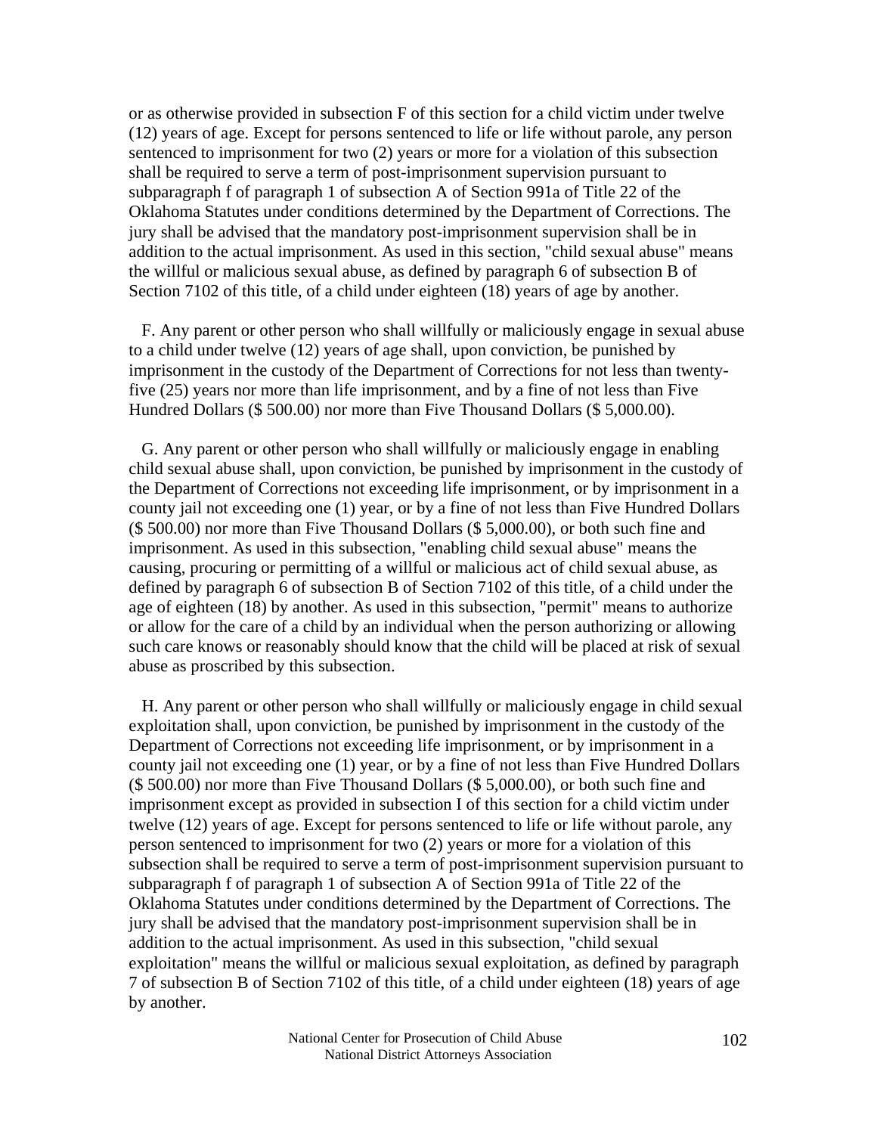or as otherwise provided in subsection F of this section for a child victim under twelve (12) years of age. Except for persons sentenced to life or life without parole, any person sentenced to imprisonment for two (2) years or more for a violation of this subsection shall be required to serve a term of post-imprisonment supervision pursuant to subparagraph f of paragraph 1 of subsection A of [Section 991a of Title 22 of the](https://www.lexis.com/research/buttonTFLink?_m=3244b64b03e1d34009650710f871c6e6&_xfercite=%3ccite%20cc%3d%22USA%22%3e%3c%21%5bCDATA%5b10%20Okl.%20St.%20%a7%207115%5d%5d%3e%3c%2fcite%3e&_butType=4&_butStat=0&_butNum=3&_butInline=1&_butinfo=22%20OKCODE%20991A&_fmtstr=FULL&docnum=1&_startdoc=1&wchp=dGLbVtb-zSkAb&_md5=99510cf1924e3e1b752755b94cd4dfa1)  [Oklahoma Statutes](https://www.lexis.com/research/buttonTFLink?_m=3244b64b03e1d34009650710f871c6e6&_xfercite=%3ccite%20cc%3d%22USA%22%3e%3c%21%5bCDATA%5b10%20Okl.%20St.%20%a7%207115%5d%5d%3e%3c%2fcite%3e&_butType=4&_butStat=0&_butNum=3&_butInline=1&_butinfo=22%20OKCODE%20991A&_fmtstr=FULL&docnum=1&_startdoc=1&wchp=dGLbVtb-zSkAb&_md5=99510cf1924e3e1b752755b94cd4dfa1) under conditions determined by the Department of Corrections. The jury shall be advised that the mandatory post-imprisonment supervision shall be in addition to the actual imprisonment. As used in this section, "child sexual abuse" means the willful or malicious sexual abuse, as defined by paragraph 6 of subsection B of Section 7102 of this title, of a child under eighteen (18) years of age by another.

 F. Any parent or other person who shall willfully or maliciously engage in sexual abuse to a child under twelve (12) years of age shall, upon conviction, be punished by imprisonment in the custody of the Department of Corrections for not less than twentyfive (25) years nor more than life imprisonment, and by a fine of not less than Five Hundred Dollars (\$ 500.00) nor more than Five Thousand Dollars (\$ 5,000.00).

 G. Any parent or other person who shall willfully or maliciously engage in enabling child sexual abuse shall, upon conviction, be punished by imprisonment in the custody of the Department of Corrections not exceeding life imprisonment, or by imprisonment in a county jail not exceeding one (1) year, or by a fine of not less than Five Hundred Dollars (\$ 500.00) nor more than Five Thousand Dollars (\$ 5,000.00), or both such fine and imprisonment. As used in this subsection, "enabling child sexual abuse" means the causing, procuring or permitting of a willful or malicious act of child sexual abuse, as defined by paragraph 6 of subsection B of Section 7102 of this title, of a child under the age of eighteen (18) by another. As used in this subsection, "permit" means to authorize or allow for the care of a child by an individual when the person authorizing or allowing such care knows or reasonably should know that the child will be placed at risk of sexual abuse as proscribed by this subsection.

 H. Any parent or other person who shall willfully or maliciously engage in child sexual exploitation shall, upon conviction, be punished by imprisonment in the custody of the Department of Corrections not exceeding life imprisonment, or by imprisonment in a county jail not exceeding one (1) year, or by a fine of not less than Five Hundred Dollars (\$ 500.00) nor more than Five Thousand Dollars (\$ 5,000.00), or both such fine and imprisonment except as provided in subsection I of this section for a child victim under twelve (12) years of age. Except for persons sentenced to life or life without parole, any person sentenced to imprisonment for two (2) years or more for a violation of this subsection shall be required to serve a term of post-imprisonment supervision pursuant to subparagraph f of paragraph 1 of subsection A of [Section 991a of Title 22 of the](https://www.lexis.com/research/buttonTFLink?_m=3244b64b03e1d34009650710f871c6e6&_xfercite=%3ccite%20cc%3d%22USA%22%3e%3c%21%5bCDATA%5b10%20Okl.%20St.%20%a7%207115%5d%5d%3e%3c%2fcite%3e&_butType=4&_butStat=0&_butNum=4&_butInline=1&_butinfo=22%20OKCODE%20991A&_fmtstr=FULL&docnum=1&_startdoc=1&wchp=dGLbVtb-zSkAb&_md5=7f1e89a6e7d1fcd6794819988b6a762c)  [Oklahoma Statutes](https://www.lexis.com/research/buttonTFLink?_m=3244b64b03e1d34009650710f871c6e6&_xfercite=%3ccite%20cc%3d%22USA%22%3e%3c%21%5bCDATA%5b10%20Okl.%20St.%20%a7%207115%5d%5d%3e%3c%2fcite%3e&_butType=4&_butStat=0&_butNum=4&_butInline=1&_butinfo=22%20OKCODE%20991A&_fmtstr=FULL&docnum=1&_startdoc=1&wchp=dGLbVtb-zSkAb&_md5=7f1e89a6e7d1fcd6794819988b6a762c) under conditions determined by the Department of Corrections. The jury shall be advised that the mandatory post-imprisonment supervision shall be in addition to the actual imprisonment. As used in this subsection, "child sexual exploitation" means the willful or malicious sexual exploitation, as defined by paragraph 7 of subsection B of Section 7102 of this title, of a child under eighteen (18) years of age by another.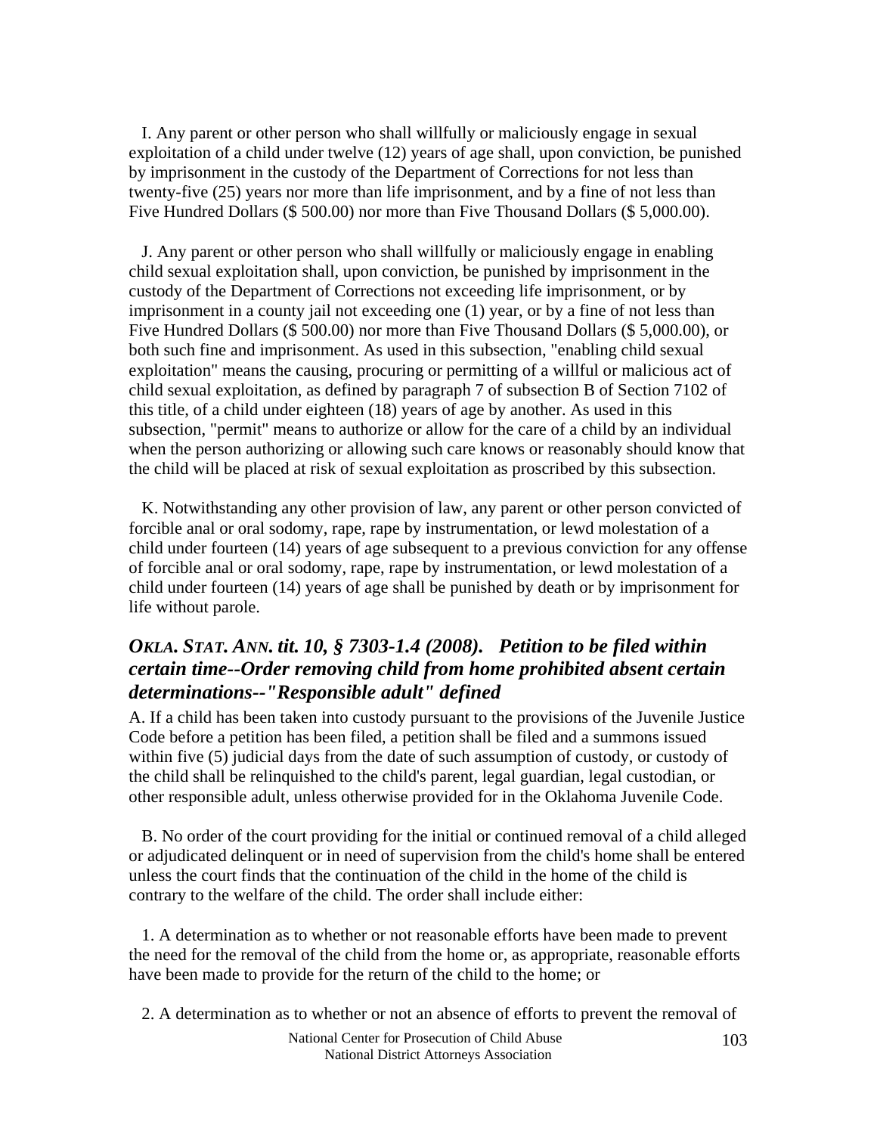I. Any parent or other person who shall willfully or maliciously engage in sexual exploitation of a child under twelve (12) years of age shall, upon conviction, be punished by imprisonment in the custody of the Department of Corrections for not less than twenty-five (25) years nor more than life imprisonment, and by a fine of not less than Five Hundred Dollars (\$ 500.00) nor more than Five Thousand Dollars (\$ 5,000.00).

 J. Any parent or other person who shall willfully or maliciously engage in enabling child sexual exploitation shall, upon conviction, be punished by imprisonment in the custody of the Department of Corrections not exceeding life imprisonment, or by imprisonment in a county jail not exceeding one (1) year, or by a fine of not less than Five Hundred Dollars (\$ 500.00) nor more than Five Thousand Dollars (\$ 5,000.00), or both such fine and imprisonment. As used in this subsection, "enabling child sexual exploitation" means the causing, procuring or permitting of a willful or malicious act of child sexual exploitation, as defined by paragraph 7 of subsection B of Section 7102 of this title, of a child under eighteen (18) years of age by another. As used in this subsection, "permit" means to authorize or allow for the care of a child by an individual when the person authorizing or allowing such care knows or reasonably should know that the child will be placed at risk of sexual exploitation as proscribed by this subsection.

 K. Notwithstanding any other provision of law, any parent or other person convicted of forcible anal or oral sodomy, rape, rape by instrumentation, or lewd molestation of a child under fourteen (14) years of age subsequent to a previous conviction for any offense of forcible anal or oral sodomy, rape, rape by instrumentation, or lewd molestation of a child under fourteen (14) years of age shall be punished by death or by imprisonment for life without parole.

#### *OKLA. STAT. ANN. tit. 10, § 7303-1.4 (2008). Petition to be filed within certain time--Order removing child from home prohibited absent certain determinations--"Responsible adult" defined*

A. If a child has been taken into custody pursuant to the provisions of the Juvenile Justice Code before a petition has been filed, a petition shall be filed and a summons issued within five (5) judicial days from the date of such assumption of custody, or custody of the child shall be relinquished to the child's parent, legal guardian, legal custodian, or other responsible adult, unless otherwise provided for in the Oklahoma Juvenile Code.

 B. No order of the court providing for the initial or continued removal of a child alleged or adjudicated delinquent or in need of supervision from the child's home shall be entered unless the court finds that the continuation of the child in the home of the child is contrary to the welfare of the child. The order shall include either:

 1. A determination as to whether or not reasonable efforts have been made to prevent the need for the removal of the child from the home or, as appropriate, reasonable efforts have been made to provide for the return of the child to the home; or

2. A determination as to whether or not an absence of efforts to prevent the removal of

103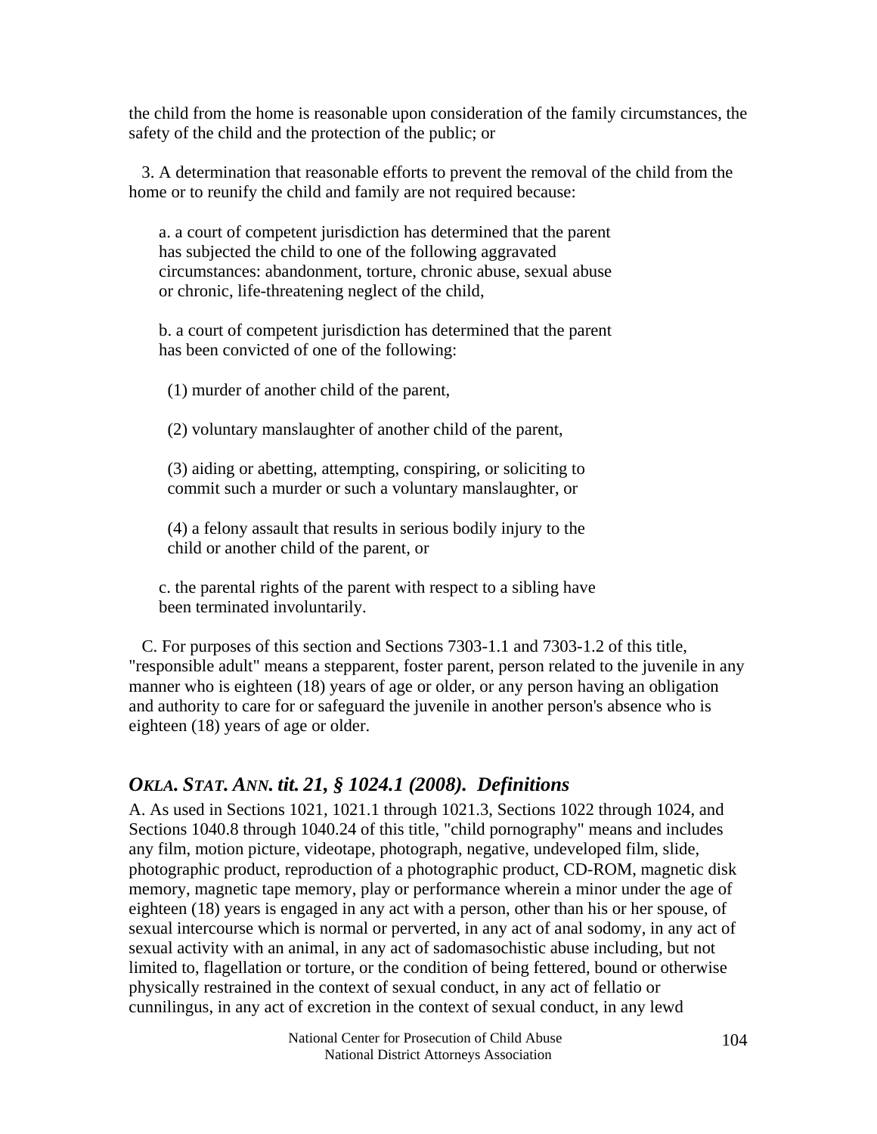the child from the home is reasonable upon consideration of the family circumstances, the safety of the child and the protection of the public; or

 3. A determination that reasonable efforts to prevent the removal of the child from the home or to reunify the child and family are not required because:

 a. a court of competent jurisdiction has determined that the parent has subjected the child to one of the following aggravated circumstances: abandonment, torture, chronic abuse, sexual abuse or chronic, life-threatening neglect of the child,

 b. a court of competent jurisdiction has determined that the parent has been convicted of one of the following:

(1) murder of another child of the parent,

(2) voluntary manslaughter of another child of the parent,

 (3) aiding or abetting, attempting, conspiring, or soliciting to commit such a murder or such a voluntary manslaughter, or

 (4) a felony assault that results in serious bodily injury to the child or another child of the parent, or

 c. the parental rights of the parent with respect to a sibling have been terminated involuntarily.

 C. For purposes of this section and Sections 7303-1.1 and 7303-1.2 of this title, "responsible adult" means a stepparent, foster parent, person related to the juvenile in any manner who is eighteen (18) years of age or older, or any person having an obligation and authority to care for or safeguard the juvenile in another person's absence who is eighteen (18) years of age or older.

## *OKLA. STAT. ANN. tit. 21, § 1024.1 (2008). Definitions*

A. As used in Sections 1021, 1021.1 through 1021.3, Sections 1022 through 1024, and Sections 1040.8 through 1040.24 of this title, "child pornography" means and includes any film, motion picture, videotape, photograph, negative, undeveloped film, slide, photographic product, reproduction of a photographic product, CD-ROM, magnetic disk memory, magnetic tape memory, play or performance wherein a minor under the age of eighteen (18) years is engaged in any act with a person, other than his or her spouse, of sexual intercourse which is normal or perverted, in any act of anal sodomy, in any act of sexual activity with an animal, in any act of sadomasochistic abuse including, but not limited to, flagellation or torture, or the condition of being fettered, bound or otherwise physically restrained in the context of sexual conduct, in any act of fellatio or cunnilingus, in any act of excretion in the context of sexual conduct, in any lewd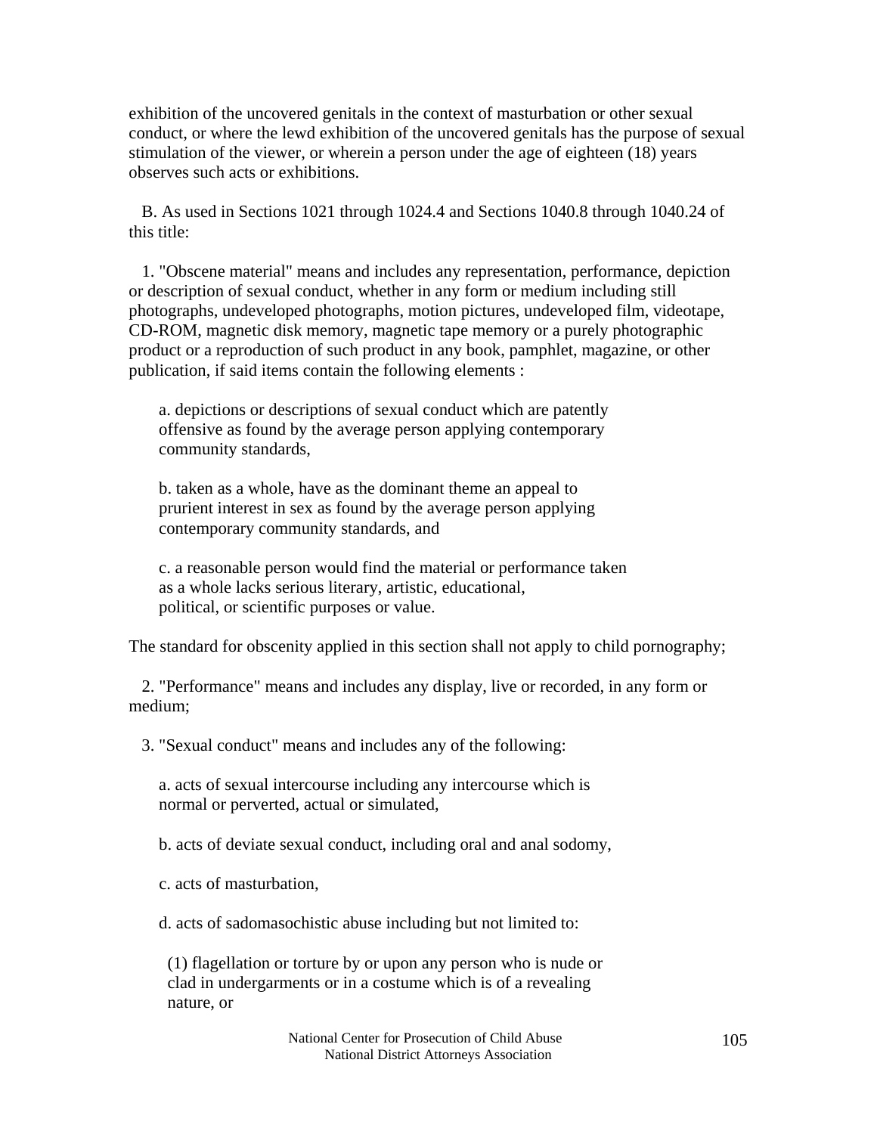exhibition of the uncovered genitals in the context of masturbation or other sexual conduct, or where the lewd exhibition of the uncovered genitals has the purpose of sexual stimulation of the viewer, or wherein a person under the age of eighteen (18) years observes such acts or exhibitions.

 B. As used in Sections 1021 through 1024.4 and Sections 1040.8 through 1040.24 of this title:

 1. "Obscene material" means and includes any representation, performance, depiction or description of sexual conduct, whether in any form or medium including still photographs, undeveloped photographs, motion pictures, undeveloped film, videotape, CD-ROM, magnetic disk memory, magnetic tape memory or a purely photographic product or a reproduction of such product in any book, pamphlet, magazine, or other publication, if said items contain the following elements :

 a. depictions or descriptions of sexual conduct which are patently offensive as found by the average person applying contemporary community standards,

 b. taken as a whole, have as the dominant theme an appeal to prurient interest in sex as found by the average person applying contemporary community standards, and

 c. a reasonable person would find the material or performance taken as a whole lacks serious literary, artistic, educational, political, or scientific purposes or value.

The standard for obscenity applied in this section shall not apply to child pornography;

 2. "Performance" means and includes any display, live or recorded, in any form or medium;

3. "Sexual conduct" means and includes any of the following:

 a. acts of sexual intercourse including any intercourse which is normal or perverted, actual or simulated,

b. acts of deviate sexual conduct, including oral and anal sodomy,

c. acts of masturbation,

d. acts of sadomasochistic abuse including but not limited to:

 (1) flagellation or torture by or upon any person who is nude or clad in undergarments or in a costume which is of a revealing nature, or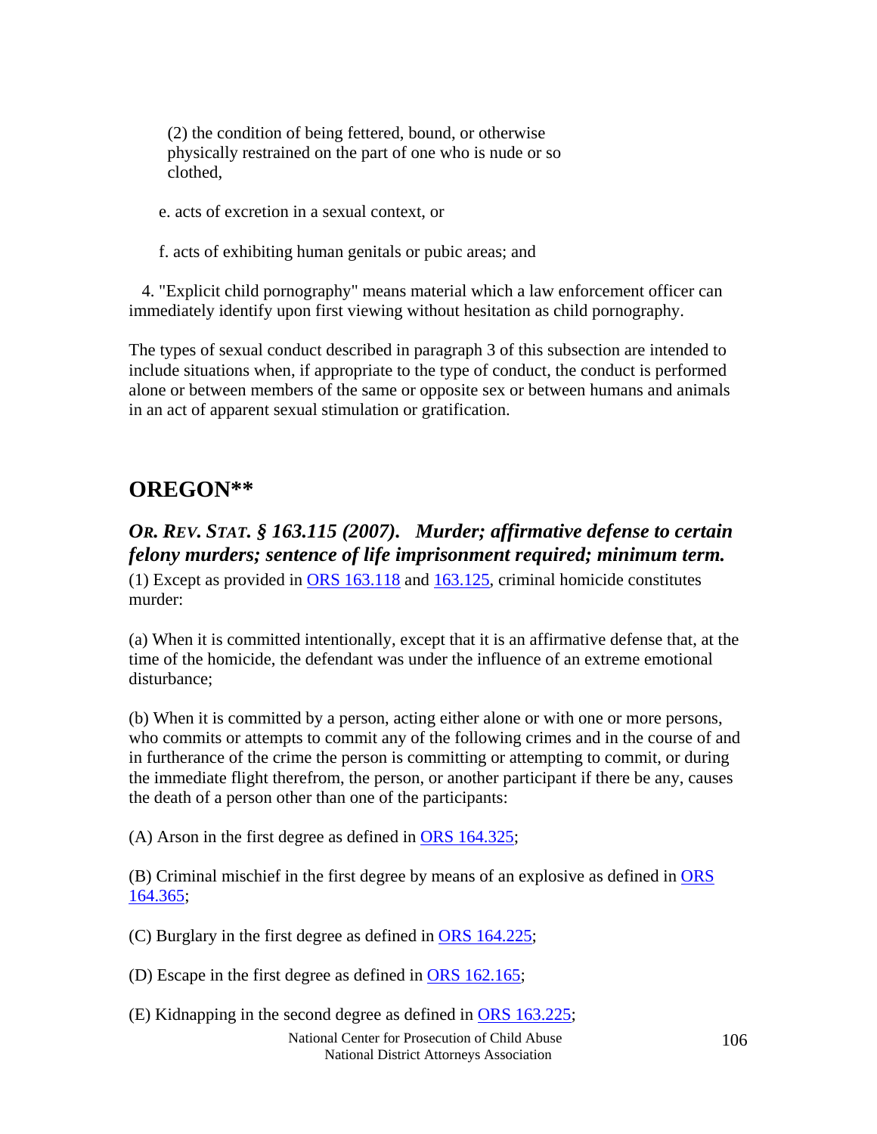(2) the condition of being fettered, bound, or otherwise physically restrained on the part of one who is nude or so clothed,

e. acts of excretion in a sexual context, or

f. acts of exhibiting human genitals or pubic areas; and

 4. "Explicit child pornography" means material which a law enforcement officer can immediately identify upon first viewing without hesitation as child pornography.

The types of sexual conduct described in paragraph 3 of this subsection are intended to include situations when, if appropriate to the type of conduct, the conduct is performed alone or between members of the same or opposite sex or between humans and animals in an act of apparent sexual stimulation or gratification.

# **OREGON\*\***

# *OR. REV. STAT. § 163.115 (2007). Murder; affirmative defense to certain felony murders; sentence of life imprisonment required; minimum term.*

(1) Except as provided in [ORS 163.118](https://www.lexis.com/research/buttonTFLink?_m=42784f9e49eda084c375f49587338fca&_xfercite=%3ccite%20cc%3d%22USA%22%3e%3c%21%5bCDATA%5bORS%20%a7%20163.115%5d%5d%3e%3c%2fcite%3e&_butType=4&_butStat=0&_butNum=2&_butInline=1&_butinfo=ORCODE%20163.118&_fmtstr=FULL&docnum=1&_startdoc=1&wchp=dGLbVzz-zSkAW&_md5=dab76ff1fff93899691b2f9e30158072) and [163.125,](https://www.lexis.com/research/buttonTFLink?_m=42784f9e49eda084c375f49587338fca&_xfercite=%3ccite%20cc%3d%22USA%22%3e%3c%21%5bCDATA%5bORS%20%a7%20163.115%5d%5d%3e%3c%2fcite%3e&_butType=4&_butStat=0&_butNum=3&_butInline=1&_butinfo=ORCODE%20163.125&_fmtstr=FULL&docnum=1&_startdoc=1&wchp=dGLbVzz-zSkAW&_md5=37d9b12f9b826f35bc2a4a25f9a1a81a) criminal homicide constitutes murder:

(a) When it is committed intentionally, except that it is an affirmative defense that, at the time of the homicide, the defendant was under the influence of an extreme emotional disturbance;

(b) When it is committed by a person, acting either alone or with one or more persons, who commits or attempts to commit any of the following crimes and in the course of and in furtherance of the crime the person is committing or attempting to commit, or during the immediate flight therefrom, the person, or another participant if there be any, causes the death of a person other than one of the participants:

(A) Arson in the first degree as defined in [ORS 164.325;](https://www.lexis.com/research/buttonTFLink?_m=42784f9e49eda084c375f49587338fca&_xfercite=%3ccite%20cc%3d%22USA%22%3e%3c%21%5bCDATA%5bORS%20%a7%20163.115%5d%5d%3e%3c%2fcite%3e&_butType=4&_butStat=0&_butNum=4&_butInline=1&_butinfo=ORCODE%20164.325&_fmtstr=FULL&docnum=1&_startdoc=1&wchp=dGLbVzz-zSkAW&_md5=4da7b0ba0d8c449bda67c18f9f233357)

(B) Criminal mischief in the first degree by means of an explosive as defined in [ORS](https://www.lexis.com/research/buttonTFLink?_m=42784f9e49eda084c375f49587338fca&_xfercite=%3ccite%20cc%3d%22USA%22%3e%3c%21%5bCDATA%5bORS%20%a7%20163.115%5d%5d%3e%3c%2fcite%3e&_butType=4&_butStat=0&_butNum=5&_butInline=1&_butinfo=ORCODE%20164.365&_fmtstr=FULL&docnum=1&_startdoc=1&wchp=dGLbVzz-zSkAW&_md5=bb10888a8cd62b71511c64613db223d1)  [164.365](https://www.lexis.com/research/buttonTFLink?_m=42784f9e49eda084c375f49587338fca&_xfercite=%3ccite%20cc%3d%22USA%22%3e%3c%21%5bCDATA%5bORS%20%a7%20163.115%5d%5d%3e%3c%2fcite%3e&_butType=4&_butStat=0&_butNum=5&_butInline=1&_butinfo=ORCODE%20164.365&_fmtstr=FULL&docnum=1&_startdoc=1&wchp=dGLbVzz-zSkAW&_md5=bb10888a8cd62b71511c64613db223d1);

(C) Burglary in the first degree as defined in [ORS 164.225;](https://www.lexis.com/research/buttonTFLink?_m=42784f9e49eda084c375f49587338fca&_xfercite=%3ccite%20cc%3d%22USA%22%3e%3c%21%5bCDATA%5bORS%20%a7%20163.115%5d%5d%3e%3c%2fcite%3e&_butType=4&_butStat=0&_butNum=6&_butInline=1&_butinfo=ORCODE%20164.225&_fmtstr=FULL&docnum=1&_startdoc=1&wchp=dGLbVzz-zSkAW&_md5=913a58d5cd9ce03a958946b00618a4b6)

(D) Escape in the first degree as defined in [ORS 162.165;](https://www.lexis.com/research/buttonTFLink?_m=42784f9e49eda084c375f49587338fca&_xfercite=%3ccite%20cc%3d%22USA%22%3e%3c%21%5bCDATA%5bORS%20%a7%20163.115%5d%5d%3e%3c%2fcite%3e&_butType=4&_butStat=0&_butNum=7&_butInline=1&_butinfo=ORCODE%20162.165&_fmtstr=FULL&docnum=1&_startdoc=1&wchp=dGLbVzz-zSkAW&_md5=67e71c4ab15ac4d0ac6ee2fe41374d2e)

(E) Kidnapping in the second degree as defined in [ORS 163.225;](https://www.lexis.com/research/buttonTFLink?_m=42784f9e49eda084c375f49587338fca&_xfercite=%3ccite%20cc%3d%22USA%22%3e%3c%21%5bCDATA%5bORS%20%a7%20163.115%5d%5d%3e%3c%2fcite%3e&_butType=4&_butStat=0&_butNum=8&_butInline=1&_butinfo=ORCODE%20163.225&_fmtstr=FULL&docnum=1&_startdoc=1&wchp=dGLbVzz-zSkAW&_md5=670e0034eb00525fbde9424bf884ee05)

National Center for Prosecution of Child Abuse National District Attorneys Association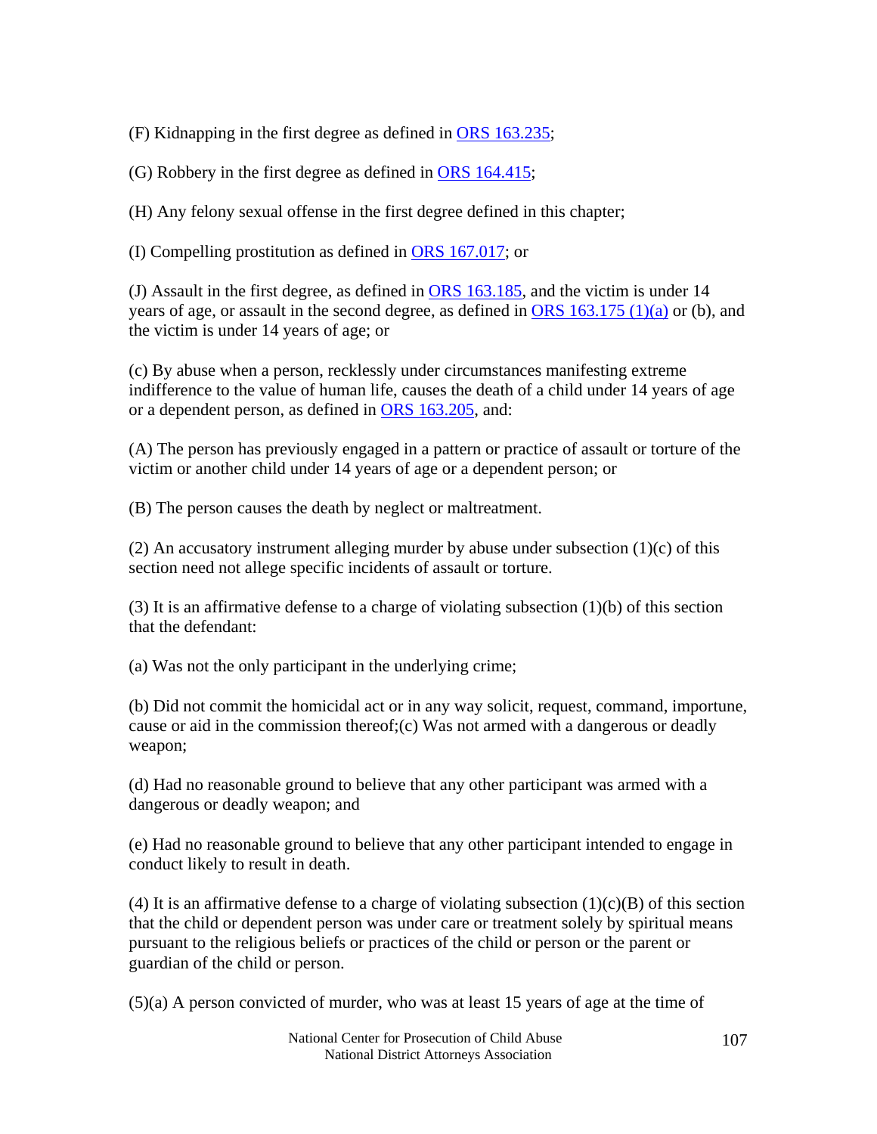(F) Kidnapping in the first degree as defined in [ORS 163.235](https://www.lexis.com/research/buttonTFLink?_m=42784f9e49eda084c375f49587338fca&_xfercite=%3ccite%20cc%3d%22USA%22%3e%3c%21%5bCDATA%5bORS%20%a7%20163.115%5d%5d%3e%3c%2fcite%3e&_butType=4&_butStat=0&_butNum=9&_butInline=1&_butinfo=ORCODE%20163.235&_fmtstr=FULL&docnum=1&_startdoc=1&wchp=dGLbVzz-zSkAW&_md5=8aad7e5ec5d5b094a5a7bebc80f6b61d);

(G) Robbery in the first degree as defined in [ORS 164.415;](https://www.lexis.com/research/buttonTFLink?_m=42784f9e49eda084c375f49587338fca&_xfercite=%3ccite%20cc%3d%22USA%22%3e%3c%21%5bCDATA%5bORS%20%a7%20163.115%5d%5d%3e%3c%2fcite%3e&_butType=4&_butStat=0&_butNum=10&_butInline=1&_butinfo=ORCODE%20164.415&_fmtstr=FULL&docnum=1&_startdoc=1&wchp=dGLbVzz-zSkAW&_md5=761e8c77df7f40667f4d494d7f31f5a6)

(H) Any felony sexual offense in the first degree defined in this chapter;

(I) Compelling prostitution as defined in [ORS 167.017;](https://www.lexis.com/research/buttonTFLink?_m=42784f9e49eda084c375f49587338fca&_xfercite=%3ccite%20cc%3d%22USA%22%3e%3c%21%5bCDATA%5bORS%20%a7%20163.115%5d%5d%3e%3c%2fcite%3e&_butType=4&_butStat=0&_butNum=11&_butInline=1&_butinfo=ORCODE%20167.017&_fmtstr=FULL&docnum=1&_startdoc=1&wchp=dGLbVzz-zSkAW&_md5=dc3eeb0980cf2128f32d26554c4ba9ff) or

(J) Assault in the first degree, as defined in [ORS 163.185,](https://www.lexis.com/research/buttonTFLink?_m=42784f9e49eda084c375f49587338fca&_xfercite=%3ccite%20cc%3d%22USA%22%3e%3c%21%5bCDATA%5bORS%20%a7%20163.115%5d%5d%3e%3c%2fcite%3e&_butType=4&_butStat=0&_butNum=12&_butInline=1&_butinfo=ORCODE%20163.185&_fmtstr=FULL&docnum=1&_startdoc=1&wchp=dGLbVzz-zSkAW&_md5=392d186cdc2d74d7bd5c1de7537881ad) and the victim is under 14 years of age, or assault in the second degree, as defined in ORS  $163.175$  (1)(a) or (b), and the victim is under 14 years of age; or

(c) By abuse when a person, recklessly under circumstances manifesting extreme indifference to the value of human life, causes the death of a child under 14 years of age or a dependent person, as defined in [ORS 163.205](https://www.lexis.com/research/buttonTFLink?_m=42784f9e49eda084c375f49587338fca&_xfercite=%3ccite%20cc%3d%22USA%22%3e%3c%21%5bCDATA%5bORS%20%a7%20163.115%5d%5d%3e%3c%2fcite%3e&_butType=4&_butStat=0&_butNum=14&_butInline=1&_butinfo=ORCODE%20163.205&_fmtstr=FULL&docnum=1&_startdoc=1&wchp=dGLbVzz-zSkAW&_md5=e7db0c44b9afc3ce3e60ce5d7dd6c6c8), and:

(A) The person has previously engaged in a pattern or practice of assault or torture of the victim or another child under 14 years of age or a dependent person; or

(B) The person causes the death by neglect or maltreatment.

 $(2)$  An accusatory instrument alleging murder by abuse under subsection  $(1)(c)$  of this section need not allege specific incidents of assault or torture.

(3) It is an affirmative defense to a charge of violating subsection  $(1)(b)$  of this section that the defendant:

(a) Was not the only participant in the underlying crime;

(b) Did not commit the homicidal act or in any way solicit, request, command, importune, cause or aid in the commission thereof;(c) Was not armed with a dangerous or deadly weapon;

(d) Had no reasonable ground to believe that any other participant was armed with a dangerous or deadly weapon; and

(e) Had no reasonable ground to believe that any other participant intended to engage in conduct likely to result in death.

(4) It is an affirmative defense to a charge of violating subsection  $(1)(c)(B)$  of this section that the child or dependent person was under care or treatment solely by spiritual means pursuant to the religious beliefs or practices of the child or person or the parent or guardian of the child or person.

(5)(a) A person convicted of murder, who was at least 15 years of age at the time of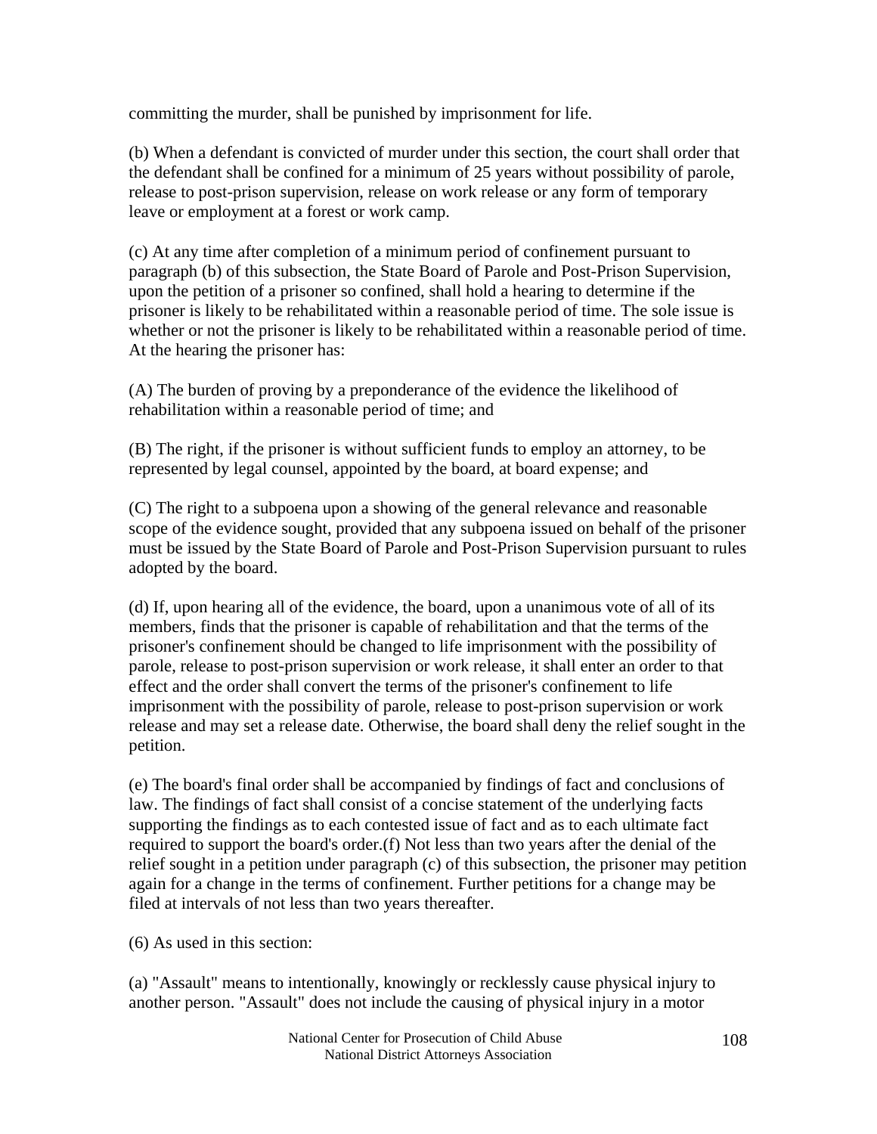committing the murder, shall be punished by imprisonment for life.

(b) When a defendant is convicted of murder under this section, the court shall order that the defendant shall be confined for a minimum of 25 years without possibility of parole, release to post-prison supervision, release on work release or any form of temporary leave or employment at a forest or work camp.

(c) At any time after completion of a minimum period of confinement pursuant to paragraph (b) of this subsection, the State Board of Parole and Post-Prison Supervision, upon the petition of a prisoner so confined, shall hold a hearing to determine if the prisoner is likely to be rehabilitated within a reasonable period of time. The sole issue is whether or not the prisoner is likely to be rehabilitated within a reasonable period of time. At the hearing the prisoner has:

(A) The burden of proving by a preponderance of the evidence the likelihood of rehabilitation within a reasonable period of time; and

(B) The right, if the prisoner is without sufficient funds to employ an attorney, to be represented by legal counsel, appointed by the board, at board expense; and

(C) The right to a subpoena upon a showing of the general relevance and reasonable scope of the evidence sought, provided that any subpoena issued on behalf of the prisoner must be issued by the State Board of Parole and Post-Prison Supervision pursuant to rules adopted by the board.

(d) If, upon hearing all of the evidence, the board, upon a unanimous vote of all of its members, finds that the prisoner is capable of rehabilitation and that the terms of the prisoner's confinement should be changed to life imprisonment with the possibility of parole, release to post-prison supervision or work release, it shall enter an order to that effect and the order shall convert the terms of the prisoner's confinement to life imprisonment with the possibility of parole, release to post-prison supervision or work release and may set a release date. Otherwise, the board shall deny the relief sought in the petition.

(e) The board's final order shall be accompanied by findings of fact and conclusions of law. The findings of fact shall consist of a concise statement of the underlying facts supporting the findings as to each contested issue of fact and as to each ultimate fact required to support the board's order.(f) Not less than two years after the denial of the relief sought in a petition under paragraph (c) of this subsection, the prisoner may petition again for a change in the terms of confinement. Further petitions for a change may be filed at intervals of not less than two years thereafter.

(6) As used in this section:

(a) "Assault" means to intentionally, knowingly or recklessly cause physical injury to another person. "Assault" does not include the causing of physical injury in a motor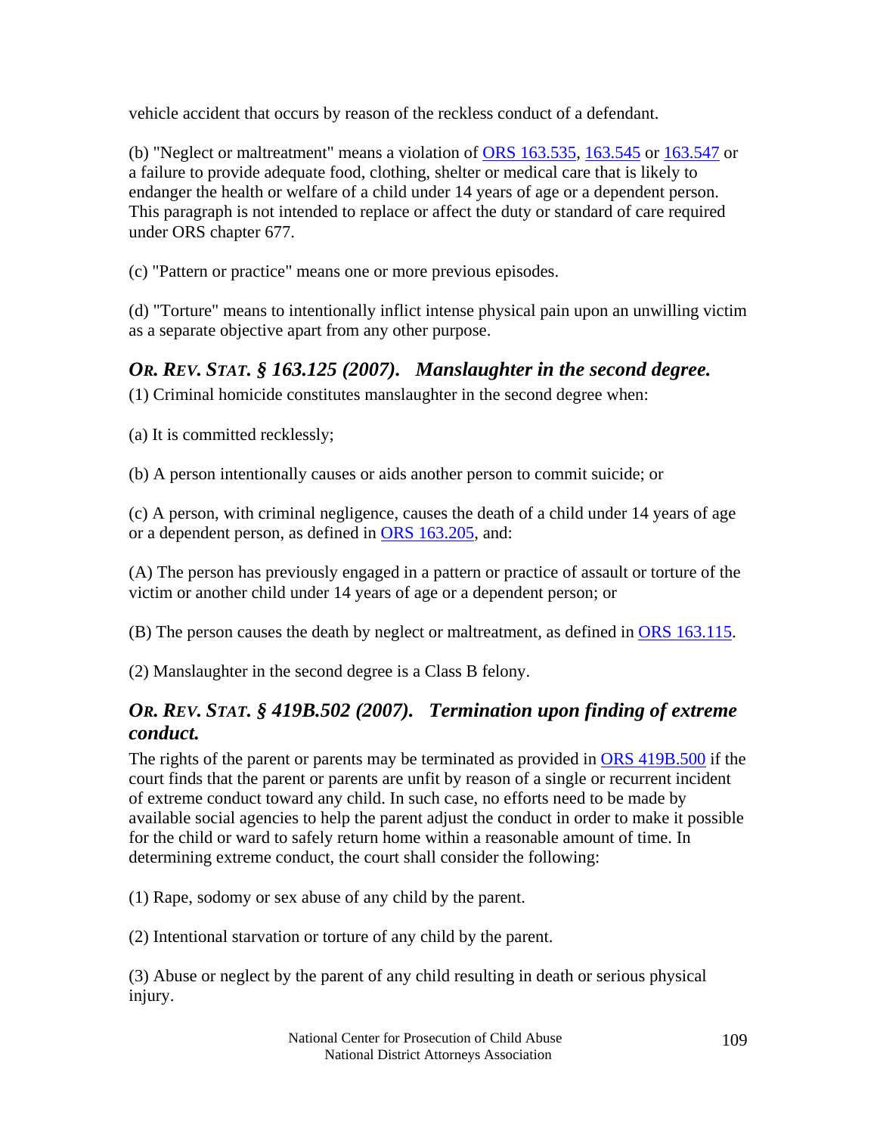vehicle accident that occurs by reason of the reckless conduct of a defendant.

(b) "Neglect or maltreatment" means a violation of [ORS 163.535](https://www.lexis.com/research/buttonTFLink?_m=42784f9e49eda084c375f49587338fca&_xfercite=%3ccite%20cc%3d%22USA%22%3e%3c%21%5bCDATA%5bORS%20%a7%20163.115%5d%5d%3e%3c%2fcite%3e&_butType=4&_butStat=0&_butNum=15&_butInline=1&_butinfo=ORCODE%20163.535&_fmtstr=FULL&docnum=1&_startdoc=1&wchp=dGLbVzz-zSkAW&_md5=eabb42aa0382ef3eb2c2e951dee47cda), [163.545](https://www.lexis.com/research/buttonTFLink?_m=42784f9e49eda084c375f49587338fca&_xfercite=%3ccite%20cc%3d%22USA%22%3e%3c%21%5bCDATA%5bORS%20%a7%20163.115%5d%5d%3e%3c%2fcite%3e&_butType=4&_butStat=0&_butNum=16&_butInline=1&_butinfo=ORCODE%20163.545&_fmtstr=FULL&docnum=1&_startdoc=1&wchp=dGLbVzz-zSkAW&_md5=00471cb5bdf790b8eb593992057f9003) or [163.547](https://www.lexis.com/research/buttonTFLink?_m=42784f9e49eda084c375f49587338fca&_xfercite=%3ccite%20cc%3d%22USA%22%3e%3c%21%5bCDATA%5bORS%20%a7%20163.115%5d%5d%3e%3c%2fcite%3e&_butType=4&_butStat=0&_butNum=17&_butInline=1&_butinfo=ORCODE%20163.547&_fmtstr=FULL&docnum=1&_startdoc=1&wchp=dGLbVzz-zSkAW&_md5=e18ebdaf010e79af99b2d337b8b4356a) or a failure to provide adequate food, clothing, shelter or medical care that is likely to endanger the health or welfare of a child under 14 years of age or a dependent person. This paragraph is not intended to replace or affect the duty or standard of care required under ORS chapter 677.

(c) "Pattern or practice" means one or more previous episodes.

(d) "Torture" means to intentionally inflict intense physical pain upon an unwilling victim as a separate objective apart from any other purpose.

### *OR. REV. STAT. § 163.125 (2007). Manslaughter in the second degree.*

(1) Criminal homicide constitutes manslaughter in the second degree when:

(a) It is committed recklessly;

(b) A person intentionally causes or aids another person to commit suicide; or

(c) A person, with criminal negligence, causes the death of a child under 14 years of age or a dependent person, as defined in [ORS 163.205](https://www.lexis.com/research/buttonTFLink?_m=a6239b22acd486f03800ef97ff6711b8&_xfercite=%3ccite%20cc%3d%22USA%22%3e%3c%21%5bCDATA%5bORS%20%a7%20163.125%5d%5d%3e%3c%2fcite%3e&_butType=4&_butStat=0&_butNum=2&_butInline=1&_butinfo=ORCODE%20163.205&_fmtstr=FULL&docnum=6&_startdoc=1&wchp=dGLbVzz-zSkAW&_md5=1accfa89f81f99a67a6e929bae43e132), and:

(A) The person has previously engaged in a pattern or practice of assault or torture of the victim or another child under 14 years of age or a dependent person; or

(B) The person causes the death by neglect or maltreatment, as defined in [ORS 163.115](https://www.lexis.com/research/buttonTFLink?_m=a6239b22acd486f03800ef97ff6711b8&_xfercite=%3ccite%20cc%3d%22USA%22%3e%3c%21%5bCDATA%5bORS%20%a7%20163.125%5d%5d%3e%3c%2fcite%3e&_butType=4&_butStat=0&_butNum=3&_butInline=1&_butinfo=ORCODE%20163.115&_fmtstr=FULL&docnum=6&_startdoc=1&wchp=dGLbVzz-zSkAW&_md5=a99283deb4a6d9bb2e167a1b799db7fd).

(2) Manslaughter in the second degree is a Class B felony.

### *OR. REV. STAT. § 419B.502 (2007). Termination upon finding of extreme conduct.*

The rights of the parent or parents may be terminated as provided in [ORS 419B.500](https://www.lexis.com/research/buttonTFLink?_m=012948e64d3fbbeda7deb9efd229af2d&_xfercite=%3ccite%20cc%3d%22USA%22%3e%3c%21%5bCDATA%5bORS%20%a7%20419B.502%5d%5d%3e%3c%2fcite%3e&_butType=4&_butStat=0&_butNum=2&_butInline=1&_butinfo=ORCODE%20419B.500&_fmtstr=FULL&docnum=1&_startdoc=1&wchp=dGLbVzz-zSkAW&_md5=d1b0e0d25517af269467982e8a2dc5f1) if the court finds that the parent or parents are unfit by reason of a single or recurrent incident of extreme conduct toward any child. In such case, no efforts need to be made by available social agencies to help the parent adjust the conduct in order to make it possible for the child or ward to safely return home within a reasonable amount of time. In determining extreme conduct, the court shall consider the following:

(1) Rape, sodomy or sex abuse of any child by the parent.

(2) Intentional starvation or torture of any child by the parent.

(3) Abuse or neglect by the parent of any child resulting in death or serious physical injury.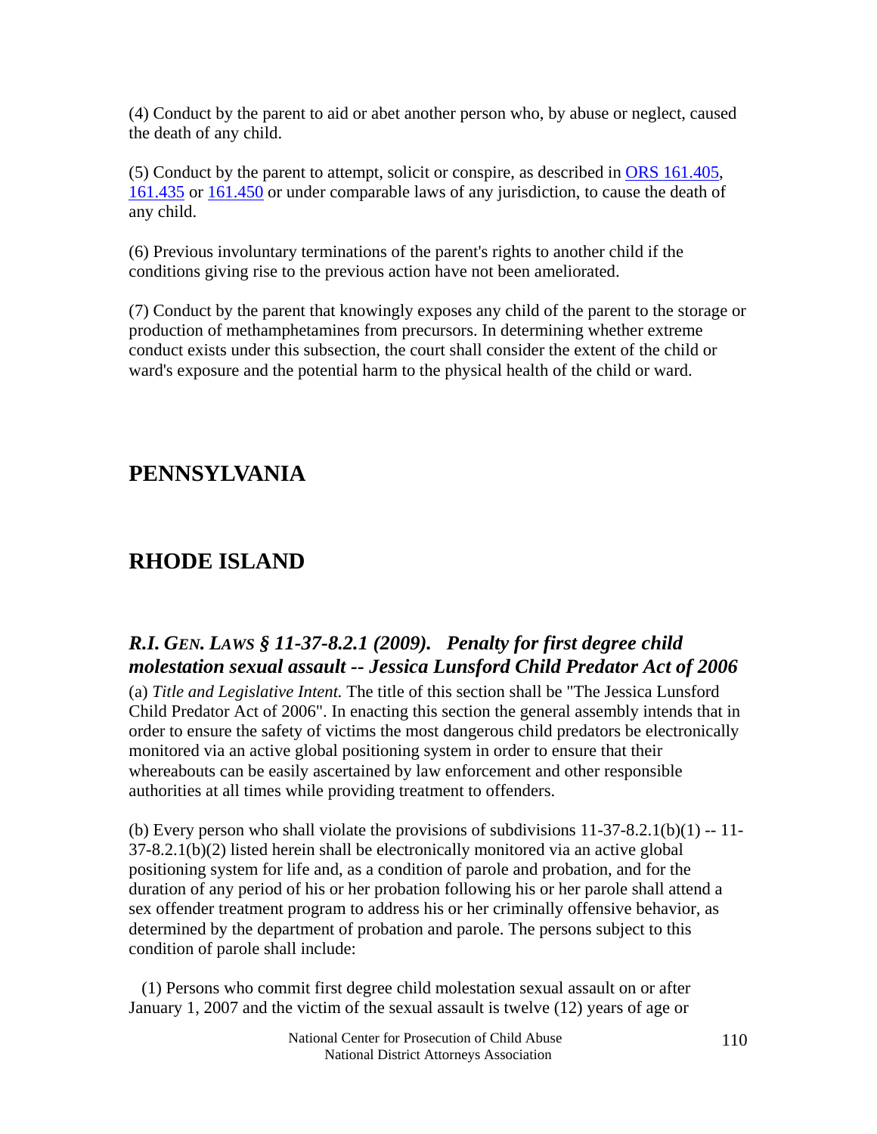(4) Conduct by the parent to aid or abet another person who, by abuse or neglect, caused the death of any child.

(5) Conduct by the parent to attempt, solicit or conspire, as described in [ORS 161.405](https://www.lexis.com/research/buttonTFLink?_m=012948e64d3fbbeda7deb9efd229af2d&_xfercite=%3ccite%20cc%3d%22USA%22%3e%3c%21%5bCDATA%5bORS%20%a7%20419B.502%5d%5d%3e%3c%2fcite%3e&_butType=4&_butStat=0&_butNum=3&_butInline=1&_butinfo=ORCODE%20161.405&_fmtstr=FULL&docnum=1&_startdoc=1&wchp=dGLbVzz-zSkAW&_md5=aba6b29752b860b0915035465b150377), [161.435](https://www.lexis.com/research/buttonTFLink?_m=012948e64d3fbbeda7deb9efd229af2d&_xfercite=%3ccite%20cc%3d%22USA%22%3e%3c%21%5bCDATA%5bORS%20%a7%20419B.502%5d%5d%3e%3c%2fcite%3e&_butType=4&_butStat=0&_butNum=4&_butInline=1&_butinfo=ORCODE%20161.435&_fmtstr=FULL&docnum=1&_startdoc=1&wchp=dGLbVzz-zSkAW&_md5=d66ed9f0968ed443a648c67f547fd9ec) or [161.450](https://www.lexis.com/research/buttonTFLink?_m=012948e64d3fbbeda7deb9efd229af2d&_xfercite=%3ccite%20cc%3d%22USA%22%3e%3c%21%5bCDATA%5bORS%20%a7%20419B.502%5d%5d%3e%3c%2fcite%3e&_butType=4&_butStat=0&_butNum=5&_butInline=1&_butinfo=ORCODE%20161.450&_fmtstr=FULL&docnum=1&_startdoc=1&wchp=dGLbVzz-zSkAW&_md5=2be2a9377c49dd8a37f002dd4d0a8a6e) or under comparable laws of any jurisdiction, to cause the death of any child.

(6) Previous involuntary terminations of the parent's rights to another child if the conditions giving rise to the previous action have not been ameliorated.

(7) Conduct by the parent that knowingly exposes any child of the parent to the storage or production of methamphetamines from precursors. In determining whether extreme conduct exists under this subsection, the court shall consider the extent of the child or ward's exposure and the potential harm to the physical health of the child or ward.

## **PENNSYLVANIA**

# **RHODE ISLAND**

### *R.I. GEN. LAWS § 11-37-8.2.1 (2009). Penalty for first degree child molestation sexual assault -- Jessica Lunsford Child Predator Act of 2006*

(a) *Title and Legislative Intent.* The title of this section shall be "The Jessica Lunsford Child Predator Act of 2006". In enacting this section the general assembly intends that in order to ensure the safety of victims the most dangerous child predators be electronically monitored via an active global positioning system in order to ensure that their whereabouts can be easily ascertained by law enforcement and other responsible authorities at all times while providing treatment to offenders.

(b) Every person who shall violate the provisions of subdivisions  $11-37-8.2.1(b)(1) -11-$ 37-8.2.1(b)(2) listed herein shall be electronically monitored via an active global positioning system for life and, as a condition of parole and probation, and for the duration of any period of his or her probation following his or her parole shall attend a sex offender treatment program to address his or her criminally offensive behavior, as determined by the department of probation and parole. The persons subject to this condition of parole shall include:

 (1) Persons who commit first degree child molestation sexual assault on or after January 1, 2007 and the victim of the sexual assault is twelve (12) years of age or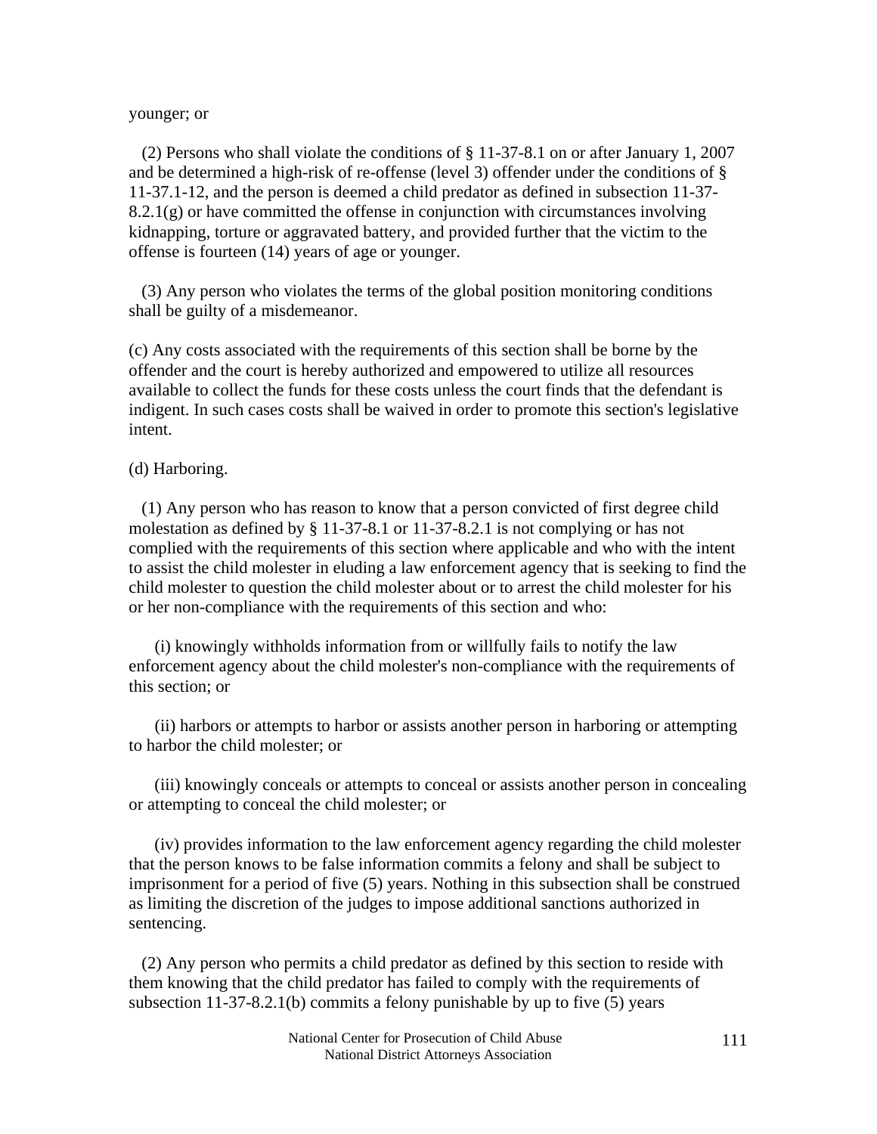#### younger; or

 (2) Persons who shall violate the conditions of [§ 11-37-8.1](https://www.lexis.com/research/buttonTFLink?_m=71d3f32c483963a302eb1d01ec1bebf6&_xfercite=%3ccite%20cc%3d%22USA%22%3e%3c%21%5bCDATA%5bR.I.%20Gen.%20Laws%20%a7%2011-37-8.2.1%5d%5d%3e%3c%2fcite%3e&_butType=4&_butStat=0&_butNum=2&_butInline=1&_butinfo=RICODE%2011-37-8.1&_fmtstr=FULL&docnum=2&_startdoc=1&wchp=dGLbVlz-zSkAl&_md5=e3ba5acdb9236922445d5e0316055a18) on or after January 1, 2007 and be determined a high-risk of re-offense (level 3) offender under the conditions of [§](https://www.lexis.com/research/buttonTFLink?_m=71d3f32c483963a302eb1d01ec1bebf6&_xfercite=%3ccite%20cc%3d%22USA%22%3e%3c%21%5bCDATA%5bR.I.%20Gen.%20Laws%20%a7%2011-37-8.2.1%5d%5d%3e%3c%2fcite%3e&_butType=4&_butStat=0&_butNum=3&_butInline=1&_butinfo=RICODE%2011-37.1-12&_fmtstr=FULL&docnum=2&_startdoc=1&wchp=dGLbVlz-zSkAl&_md5=a282ba6489393a9245cdc18c27ebbfa5)  [11-37.1-12,](https://www.lexis.com/research/buttonTFLink?_m=71d3f32c483963a302eb1d01ec1bebf6&_xfercite=%3ccite%20cc%3d%22USA%22%3e%3c%21%5bCDATA%5bR.I.%20Gen.%20Laws%20%a7%2011-37-8.2.1%5d%5d%3e%3c%2fcite%3e&_butType=4&_butStat=0&_butNum=3&_butInline=1&_butinfo=RICODE%2011-37.1-12&_fmtstr=FULL&docnum=2&_startdoc=1&wchp=dGLbVlz-zSkAl&_md5=a282ba6489393a9245cdc18c27ebbfa5) and the person is deemed a child predator as defined in su[bsection 11-37-](https://www.lexis.com/research/buttonTFLink?_m=71d3f32c483963a302eb1d01ec1bebf6&_xfercite=%3ccite%20cc%3d%22USA%22%3e%3c%21%5bCDATA%5bR.I.%20Gen.%20Laws%20%a7%2011-37-8.2.1%5d%5d%3e%3c%2fcite%3e&_butType=4&_butStat=0&_butNum=4&_butInline=1&_butinfo=RICODE%2011-37-8.2&_fmtstr=FULL&docnum=2&_startdoc=1&wchp=dGLbVlz-zSkAl&_md5=6e56eb8a18ba9833eeb79b65412f8492)  $8.2.1(g)$  $8.2.1(g)$  or have committed the offense in conjunction with circumstances involving kidnapping, torture or aggravated battery, and provided further that the victim to the offense is fourteen (14) years of age or younger.

 (3) Any person who violates the terms of the global position monitoring conditions shall be guilty of a misdemeanor.

(c) Any costs associated with the requirements of this section shall be borne by the offender and the court is hereby authorized and empowered to utilize all resources available to collect the funds for these costs unless the court finds that the defendant is indigent. In such cases costs shall be waived in order to promote this section's legislative intent.

#### (d) Harboring.

 (1) Any person who has reason to know that a person convicted of first degree child molestation as defined by [§ 11-37-8.1](https://www.lexis.com/research/buttonTFLink?_m=71d3f32c483963a302eb1d01ec1bebf6&_xfercite=%3ccite%20cc%3d%22USA%22%3e%3c%21%5bCDATA%5bR.I.%20Gen.%20Laws%20%a7%2011-37-8.2.1%5d%5d%3e%3c%2fcite%3e&_butType=4&_butStat=0&_butNum=5&_butInline=1&_butinfo=RICODE%2011-37-8.1&_fmtstr=FULL&docnum=2&_startdoc=1&wchp=dGLbVlz-zSkAl&_md5=0ec25e11d23fc201627be7be648b70d7) or [11-37-8.2.](https://www.lexis.com/research/buttonTFLink?_m=71d3f32c483963a302eb1d01ec1bebf6&_xfercite=%3ccite%20cc%3d%22USA%22%3e%3c%21%5bCDATA%5bR.I.%20Gen.%20Laws%20%a7%2011-37-8.2.1%5d%5d%3e%3c%2fcite%3e&_butType=4&_butStat=0&_butNum=6&_butInline=1&_butinfo=RICODE%2011-37-8.2&_fmtstr=FULL&docnum=2&_startdoc=1&wchp=dGLbVlz-zSkAl&_md5=696f7d3d469a284d3882fb6d79cd06e1)1 is not complying or has not complied with the requirements of this section where applicable and who with the intent to assist the child molester in eluding a law enforcement agency that is seeking to find the child molester to question the child molester about or to arrest the child molester for his or her non-compliance with the requirements of this section and who:

 (i) knowingly withholds information from or willfully fails to notify the law enforcement agency about the child molester's non-compliance with the requirements of this section; or

 (ii) harbors or attempts to harbor or assists another person in harboring or attempting to harbor the child molester; or

 (iii) knowingly conceals or attempts to conceal or assists another person in concealing or attempting to conceal the child molester; or

 (iv) provides information to the law enforcement agency regarding the child molester that the person knows to be false information commits a felony and shall be subject to imprisonment for a period of five (5) years. Nothing in this subsection shall be construed as limiting the discretion of the judges to impose additional sanctions authorized in sentencing.

 (2) Any person who permits a child predator as defined by this section to reside with them knowing that the child predator has failed to comply with the requirements of sub[section 11-37-8.2.](https://www.lexis.com/research/buttonTFLink?_m=71d3f32c483963a302eb1d01ec1bebf6&_xfercite=%3ccite%20cc%3d%22USA%22%3e%3c%21%5bCDATA%5bR.I.%20Gen.%20Laws%20%a7%2011-37-8.2.1%5d%5d%3e%3c%2fcite%3e&_butType=4&_butStat=0&_butNum=7&_butInline=1&_butinfo=RICODE%2011-37-8.2&_fmtstr=FULL&docnum=2&_startdoc=1&wchp=dGLbVlz-zSkAl&_md5=57072a10e3dabe2b1ded230208db2524)1(b) commits a felony punishable by up to five (5) years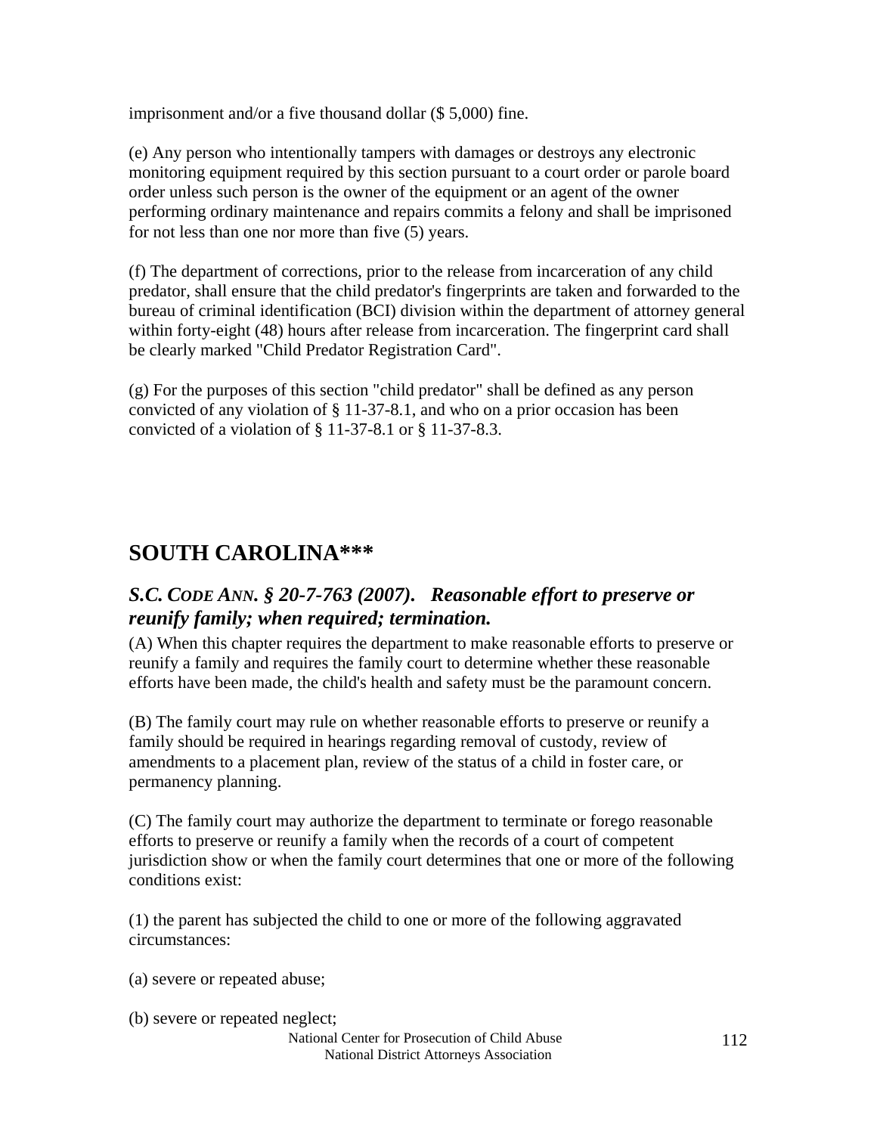imprisonment and/or a five thousand dollar (\$ 5,000) fine.

(e) Any person who intentionally tampers with damages or destroys any electronic monitoring equipment required by this section pursuant to a court order or parole board order unless such person is the owner of the equipment or an agent of the owner performing ordinary maintenance and repairs commits a felony and shall be imprisoned for not less than one nor more than five (5) years.

(f) The department of corrections, prior to the release from incarceration of any child predator, shall ensure that the child predator's fingerprints are taken and forwarded to the bureau of criminal identification (BCI) division within the department of attorney general within forty-eight (48) hours after release from incarceration. The fingerprint card shall be clearly marked "Child Predator Registration Card".

(g) For the purposes of this section "child predator" shall be defined as any person convicted of any violation of [§ 11-37-8.1,](https://www.lexis.com/research/buttonTFLink?_m=71d3f32c483963a302eb1d01ec1bebf6&_xfercite=%3ccite%20cc%3d%22USA%22%3e%3c%21%5bCDATA%5bR.I.%20Gen.%20Laws%20%a7%2011-37-8.2.1%5d%5d%3e%3c%2fcite%3e&_butType=4&_butStat=0&_butNum=8&_butInline=1&_butinfo=RICODE%2011-37-8.1&_fmtstr=FULL&docnum=2&_startdoc=1&wchp=dGLbVlz-zSkAl&_md5=d0429ed126e535766c4b5fb08ed3590e) and who on a prior occasion has been convicted of a violation of [§ 11-37-8.1](https://www.lexis.com/research/buttonTFLink?_m=71d3f32c483963a302eb1d01ec1bebf6&_xfercite=%3ccite%20cc%3d%22USA%22%3e%3c%21%5bCDATA%5bR.I.%20Gen.%20Laws%20%a7%2011-37-8.2.1%5d%5d%3e%3c%2fcite%3e&_butType=4&_butStat=0&_butNum=9&_butInline=1&_butinfo=RICODE%2011-37-8.1&_fmtstr=FULL&docnum=2&_startdoc=1&wchp=dGLbVlz-zSkAl&_md5=4a88a9d2dcfd592e411f35524d3078b0) or [§ 11-37-8.3.](https://www.lexis.com/research/buttonTFLink?_m=71d3f32c483963a302eb1d01ec1bebf6&_xfercite=%3ccite%20cc%3d%22USA%22%3e%3c%21%5bCDATA%5bR.I.%20Gen.%20Laws%20%a7%2011-37-8.2.1%5d%5d%3e%3c%2fcite%3e&_butType=4&_butStat=0&_butNum=10&_butInline=1&_butinfo=RICODE%2011-37-8.3&_fmtstr=FULL&docnum=2&_startdoc=1&wchp=dGLbVlz-zSkAl&_md5=5d7069fbbe0b2a75fbb4b6b6f7f6e53b)

## **SOUTH CAROLINA\*\*\***

### *S.C. CODE ANN. § 20-7-763 (2007). Reasonable effort to preserve or reunify family; when required; termination.*

(A) When this chapter requires the department to make reasonable efforts to preserve or reunify a family and requires the family court to determine whether these reasonable efforts have been made, the child's health and safety must be the paramount concern.

(B) The family court may rule on whether reasonable efforts to preserve or reunify a family should be required in hearings regarding removal of custody, review of amendments to a placement plan, review of the status of a child in foster care, or permanency planning.

(C) The family court may authorize the department to terminate or forego reasonable efforts to preserve or reunify a family when the records of a court of competent jurisdiction show or when the family court determines that one or more of the following conditions exist:

(1) the parent has subjected the child to one or more of the following aggravated circumstances:

(a) severe or repeated abuse;

(b) severe or repeated neglect;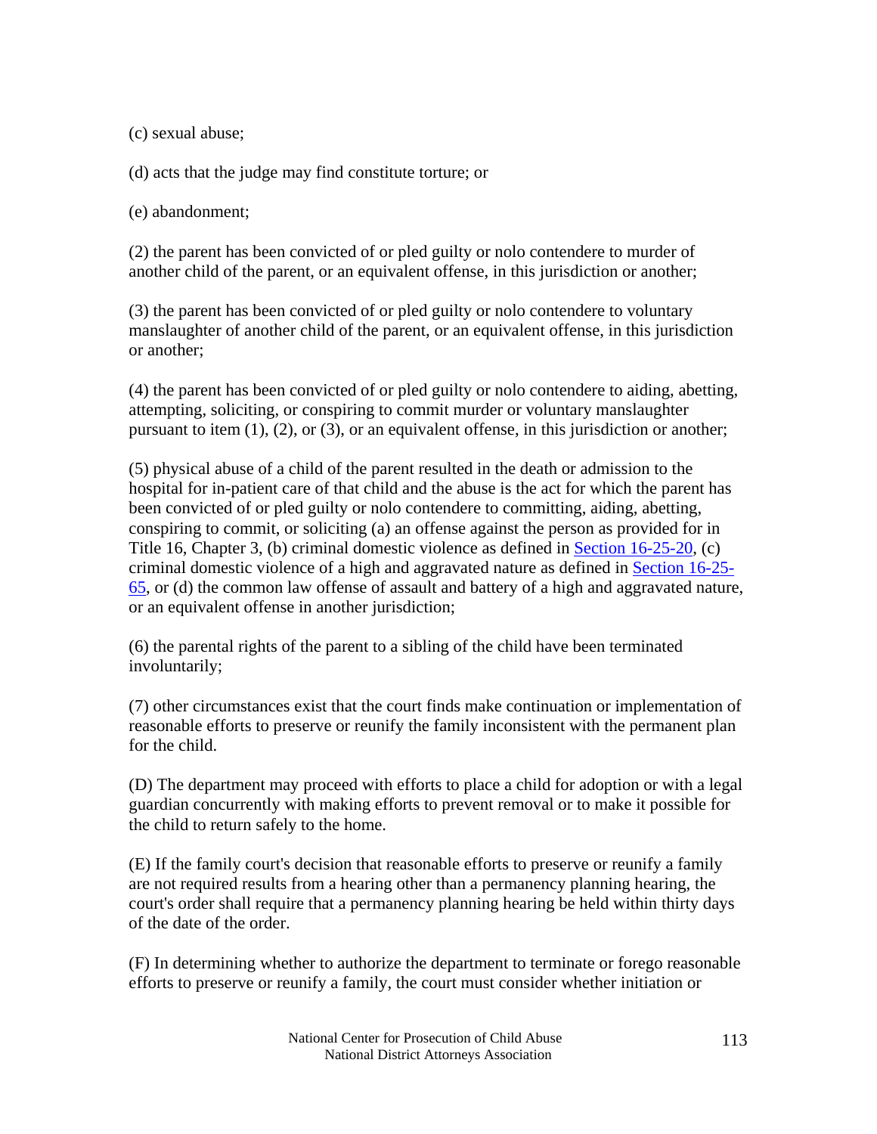(c) sexual abuse;

(d) acts that the judge may find constitute torture; or

(e) abandonment;

(2) the parent has been convicted of or pled guilty or nolo contendere to murder of another child of the parent, or an equivalent offense, in this jurisdiction or another;

(3) the parent has been convicted of or pled guilty or nolo contendere to voluntary manslaughter of another child of the parent, or an equivalent offense, in this jurisdiction or another;

(4) the parent has been convicted of or pled guilty or nolo contendere to aiding, abetting, attempting, soliciting, or conspiring to commit murder or voluntary manslaughter pursuant to item (1), (2), or (3), or an equivalent offense, in this jurisdiction or another;

(5) physical abuse of a child of the parent resulted in the death or admission to the hospital for in-patient care of that child and the abuse is the act for which the parent has been convicted of or pled guilty or nolo contendere to committing, aiding, abetting, conspiring to commit, or soliciting (a) an offense against the person as provided for in Title 16, Chapter 3, (b) criminal domestic violence as defined in [Section 16-25-20,](https://www.lexis.com/research/buttonTFLink?_m=067f48b2fb6dced39957652a0a17f9b1&_xfercite=%3ccite%20cc%3d%22USA%22%3e%3c%21%5bCDATA%5bS.C.%20Code%20Ann.%20%a7%2020-7-763%5d%5d%3e%3c%2fcite%3e&_butType=4&_butStat=0&_butNum=3&_butInline=1&_butinfo=SCCODE%2016-25-20&_fmtstr=FULL&docnum=4&_startdoc=1&wchp=dGLbVlz-zSkAl&_md5=f881f5aac4014b0b18d8a9fc91ba8bfc) (c) criminal domestic violence of a high and aggravated nature as defined in [Section 16-25-](https://www.lexis.com/research/buttonTFLink?_m=067f48b2fb6dced39957652a0a17f9b1&_xfercite=%3ccite%20cc%3d%22USA%22%3e%3c%21%5bCDATA%5bS.C.%20Code%20Ann.%20%a7%2020-7-763%5d%5d%3e%3c%2fcite%3e&_butType=4&_butStat=0&_butNum=4&_butInline=1&_butinfo=SCCODE%2016-25-65&_fmtstr=FULL&docnum=4&_startdoc=1&wchp=dGLbVlz-zSkAl&_md5=8949a013e71d21f141274b01912de9cb) [65](https://www.lexis.com/research/buttonTFLink?_m=067f48b2fb6dced39957652a0a17f9b1&_xfercite=%3ccite%20cc%3d%22USA%22%3e%3c%21%5bCDATA%5bS.C.%20Code%20Ann.%20%a7%2020-7-763%5d%5d%3e%3c%2fcite%3e&_butType=4&_butStat=0&_butNum=4&_butInline=1&_butinfo=SCCODE%2016-25-65&_fmtstr=FULL&docnum=4&_startdoc=1&wchp=dGLbVlz-zSkAl&_md5=8949a013e71d21f141274b01912de9cb), or (d) the common law offense of assault and battery of a high and aggravated nature, or an equivalent offense in another jurisdiction;

(6) the parental rights of the parent to a sibling of the child have been terminated involuntarily;

(7) other circumstances exist that the court finds make continuation or implementation of reasonable efforts to preserve or reunify the family inconsistent with the permanent plan for the child.

(D) The department may proceed with efforts to place a child for adoption or with a legal guardian concurrently with making efforts to prevent removal or to make it possible for the child to return safely to the home.

(E) If the family court's decision that reasonable efforts to preserve or reunify a family are not required results from a hearing other than a permanency planning hearing, the court's order shall require that a permanency planning hearing be held within thirty days of the date of the order.

(F) In determining whether to authorize the department to terminate or forego reasonable efforts to preserve or reunify a family, the court must consider whether initiation or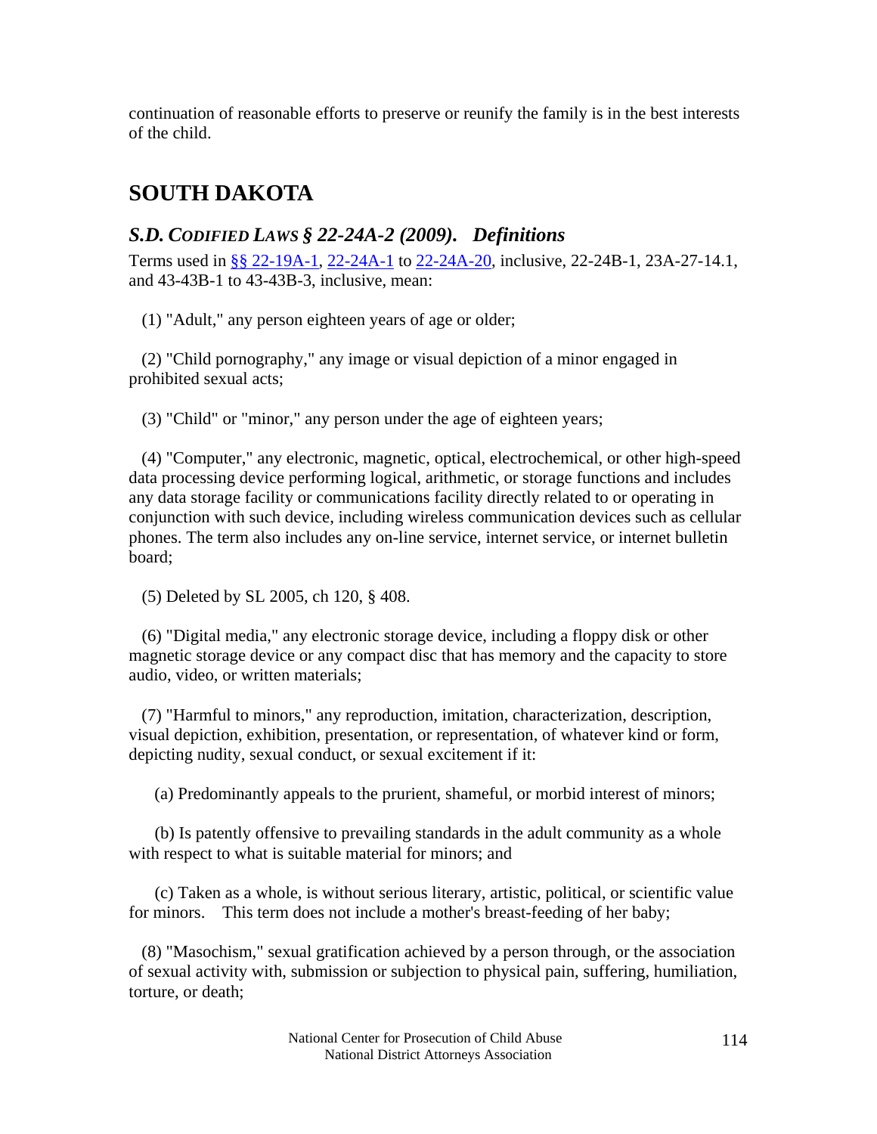continuation of reasonable efforts to preserve or reunify the family is in the best interests of the child.

# **SOUTH DAKOTA**

### *S.D. CODIFIED LAWS § 22-24A-2 (2009). Definitions*

Terms used in [§§ 22-19A-1,](https://www.lexis.com/research/buttonTFLink?_m=9b280de3248218086a5d8f264a8a2b63&_xfercite=%3ccite%20cc%3d%22USA%22%3e%3c%21%5bCDATA%5bS.D.%20Codified%20Laws%20%a7%2022-24A-2%5d%5d%3e%3c%2fcite%3e&_butType=4&_butStat=0&_butNum=2&_butInline=1&_butinfo=SDCODE%2022-19A-1&_fmtstr=FULL&docnum=2&_startdoc=1&wchp=dGLbVlz-zSkAl&_md5=21cbf2baaccf68b4769075024abd49a8) [22-24A-1](https://www.lexis.com/research/buttonTFLink?_m=9b280de3248218086a5d8f264a8a2b63&_xfercite=%3ccite%20cc%3d%22USA%22%3e%3c%21%5bCDATA%5bS.D.%20Codified%20Laws%20%a7%2022-24A-2%5d%5d%3e%3c%2fcite%3e&_butType=4&_butStat=0&_butNum=3&_butInline=1&_butinfo=SDCODE%2022-24A-1&_fmtstr=FULL&docnum=2&_startdoc=1&wchp=dGLbVlz-zSkAl&_md5=6705163c06ac34b4b7b150d41b1224fc) to [22-24A-20](https://www.lexis.com/research/buttonTFLink?_m=9b280de3248218086a5d8f264a8a2b63&_xfercite=%3ccite%20cc%3d%22USA%22%3e%3c%21%5bCDATA%5bS.D.%20Codified%20Laws%20%a7%2022-24A-2%5d%5d%3e%3c%2fcite%3e&_butType=4&_butStat=0&_butNum=4&_butInline=1&_butinfo=SDCODE%2022-24A-20&_fmtstr=FULL&docnum=2&_startdoc=1&wchp=dGLbVlz-zSkAl&_md5=07c25e37d0a647b70d7354d1d1d26263), inclusive, 22-24B-1, 23A-27-14.1, and 43-43B-1 to 43-43B-3, inclusive, mean:

(1) "Adult," any person eighteen years of age or older;

 (2) "Child pornography," any image or visual depiction of a minor engaged in prohibited sexual acts;

(3) "Child" or "minor," any person under the age of eighteen years;

 (4) "Computer," any electronic, magnetic, optical, electrochemical, or other high-speed data processing device performing logical, arithmetic, or storage functions and includes any data storage facility or communications facility directly related to or operating in conjunction with such device, including wireless communication devices such as cellular phones. The term also includes any on-line service, internet service, or internet bulletin board;

(5) Deleted by SL 2005, ch 120, § 408.

 (6) "Digital media," any electronic storage device, including a floppy disk or other magnetic storage device or any compact disc that has memory and the capacity to store audio, video, or written materials;

 (7) "Harmful to minors," any reproduction, imitation, characterization, description, visual depiction, exhibition, presentation, or representation, of whatever kind or form, depicting nudity, sexual conduct, or sexual excitement if it:

(a) Predominantly appeals to the prurient, shameful, or morbid interest of minors;

 (b) Is patently offensive to prevailing standards in the adult community as a whole with respect to what is suitable material for minors; and

 (c) Taken as a whole, is without serious literary, artistic, political, or scientific value for minors. This term does not include a mother's breast-feeding of her baby;

 (8) "Masochism," sexual gratification achieved by a person through, or the association of sexual activity with, submission or subjection to physical pain, suffering, humiliation, torture, or death;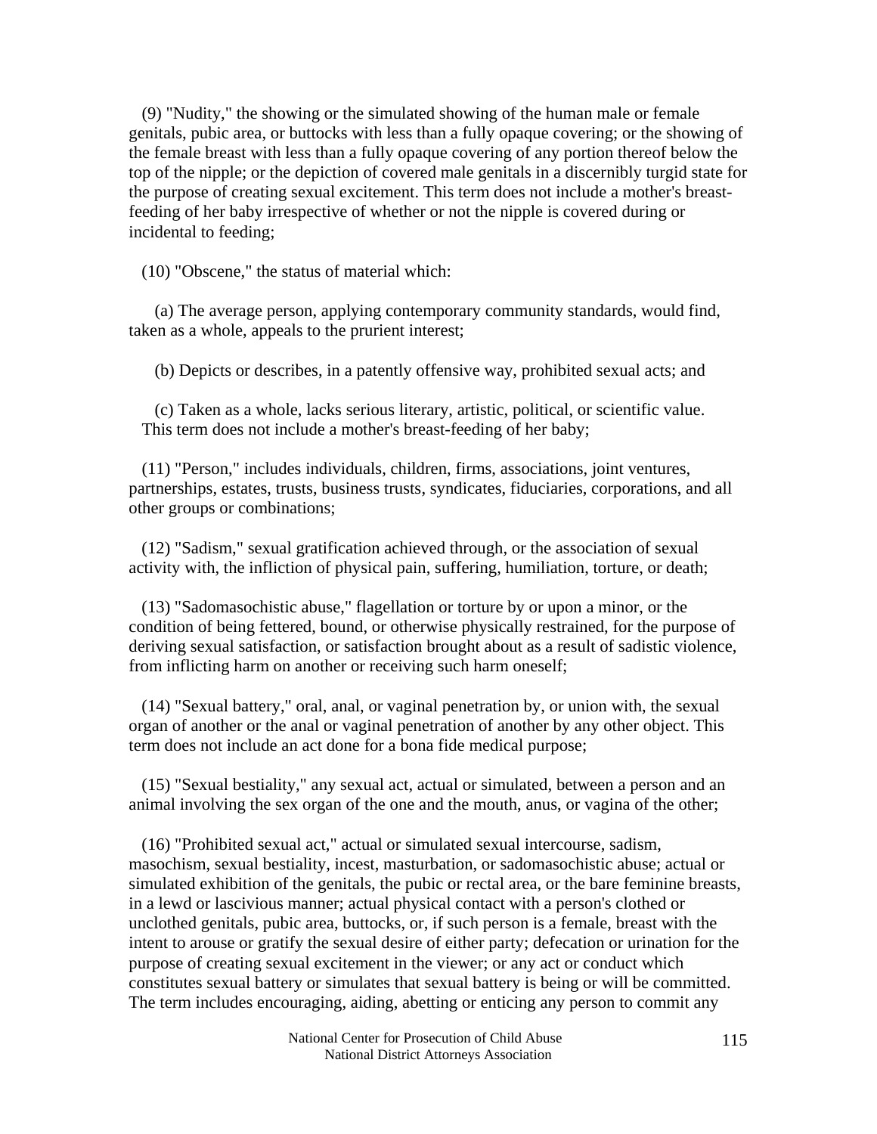(9) "Nudity," the showing or the simulated showing of the human male or female genitals, pubic area, or buttocks with less than a fully opaque covering; or the showing of the female breast with less than a fully opaque covering of any portion thereof below the top of the nipple; or the depiction of covered male genitals in a discernibly turgid state for the purpose of creating sexual excitement. This term does not include a mother's breastfeeding of her baby irrespective of whether or not the nipple is covered during or incidental to feeding;

(10) "Obscene," the status of material which:

 (a) The average person, applying contemporary community standards, would find, taken as a whole, appeals to the prurient interest;

(b) Depicts or describes, in a patently offensive way, prohibited sexual acts; and

 (c) Taken as a whole, lacks serious literary, artistic, political, or scientific value. This term does not include a mother's breast-feeding of her baby;

 (11) "Person," includes individuals, children, firms, associations, joint ventures, partnerships, estates, trusts, business trusts, syndicates, fiduciaries, corporations, and all other groups or combinations;

 (12) "Sadism," sexual gratification achieved through, or the association of sexual activity with, the infliction of physical pain, suffering, humiliation, torture, or death;

 (13) "Sadomasochistic abuse," flagellation or torture by or upon a minor, or the condition of being fettered, bound, or otherwise physically restrained, for the purpose of deriving sexual satisfaction, or satisfaction brought about as a result of sadistic violence, from inflicting harm on another or receiving such harm oneself;

 (14) "Sexual battery," oral, anal, or vaginal penetration by, or union with, the sexual organ of another or the anal or vaginal penetration of another by any other object. This term does not include an act done for a bona fide medical purpose;

 (15) "Sexual bestiality," any sexual act, actual or simulated, between a person and an animal involving the sex organ of the one and the mouth, anus, or vagina of the other;

 (16) "Prohibited sexual act," actual or simulated sexual intercourse, sadism, masochism, sexual bestiality, incest, masturbation, or sadomasochistic abuse; actual or simulated exhibition of the genitals, the pubic or rectal area, or the bare feminine breasts, in a lewd or lascivious manner; actual physical contact with a person's clothed or unclothed genitals, pubic area, buttocks, or, if such person is a female, breast with the intent to arouse or gratify the sexual desire of either party; defecation or urination for the purpose of creating sexual excitement in the viewer; or any act or conduct which constitutes sexual battery or simulates that sexual battery is being or will be committed. The term includes encouraging, aiding, abetting or enticing any person to commit any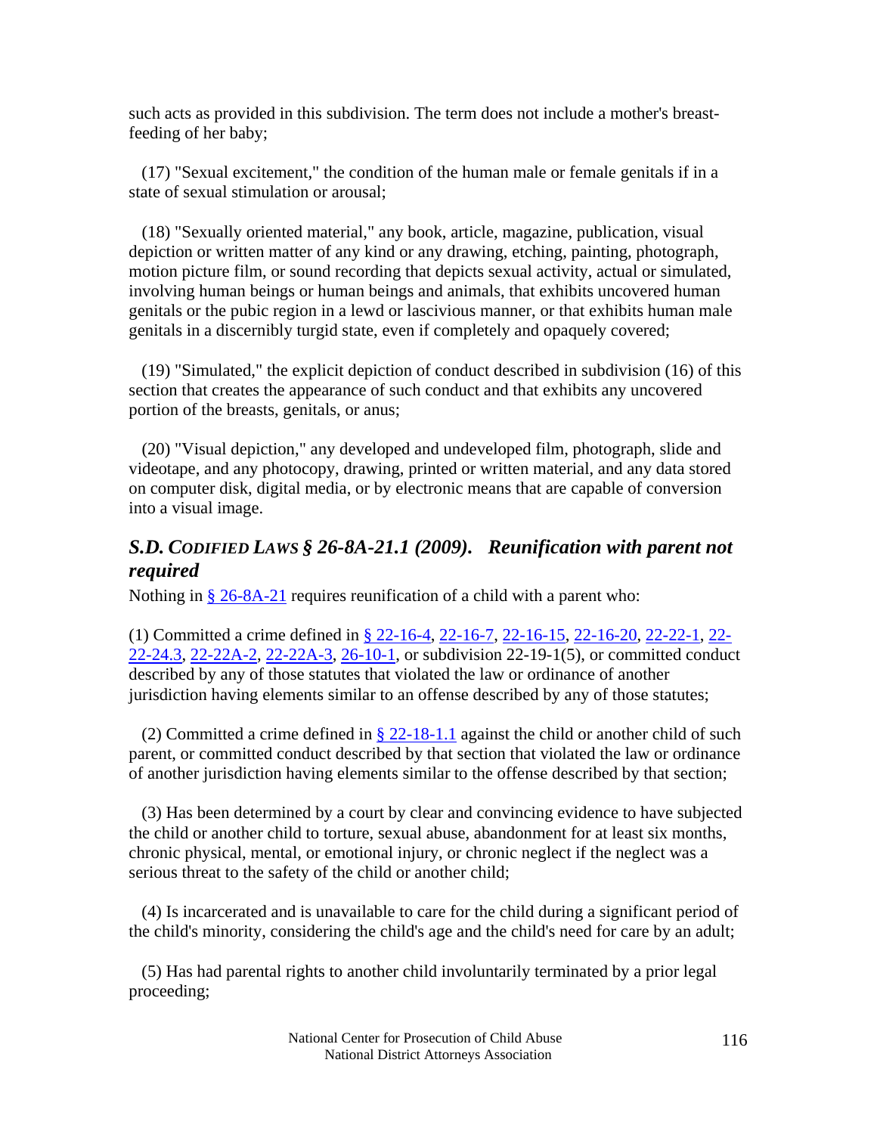such acts as provided in this subdivision. The term does not include a mother's breastfeeding of her baby;

 (17) "Sexual excitement," the condition of the human male or female genitals if in a state of sexual stimulation or arousal;

 (18) "Sexually oriented material," any book, article, magazine, publication, visual depiction or written matter of any kind or any drawing, etching, painting, photograph, motion picture film, or sound recording that depicts sexual activity, actual or simulated, involving human beings or human beings and animals, that exhibits uncovered human genitals or the pubic region in a lewd or lascivious manner, or that exhibits human male genitals in a discernibly turgid state, even if completely and opaquely covered;

 (19) "Simulated," the explicit depiction of conduct described in subdivision (16) of this section that creates the appearance of such conduct and that exhibits any uncovered portion of the breasts, genitals, or anus;

 (20) "Visual depiction," any developed and undeveloped film, photograph, slide and videotape, and any photocopy, drawing, printed or written material, and any data stored on computer disk, digital media, or by electronic means that are capable of conversion into a visual image.

### *S.D. CODIFIED LAWS § 26-8A-21.1 (2009). Reunification with parent not required*

Nothing in  $\S 26-8A-21$  requires reunification of a child with a parent who:

(1) Committed a crime defined in [§ 22-16-4,](https://www.lexis.com/research/buttonTFLink?_m=91a95c2c91d4e6a7fdfd08f2a8c613bf&_xfercite=%3ccite%20cc%3d%22USA%22%3e%3c%21%5bCDATA%5bS.D.%20Codified%20Laws%20%a7%2026-8A-21.1%5d%5d%3e%3c%2fcite%3e&_butType=4&_butStat=0&_butNum=3&_butInline=1&_butinfo=SDCODE%2022-16-4&_fmtstr=FULL&docnum=6&_startdoc=1&wchp=dGLbVlz-zSkAl&_md5=90abef9d9278a88dc4d77fe5d81080fc) [22-16-7,](https://www.lexis.com/research/buttonTFLink?_m=91a95c2c91d4e6a7fdfd08f2a8c613bf&_xfercite=%3ccite%20cc%3d%22USA%22%3e%3c%21%5bCDATA%5bS.D.%20Codified%20Laws%20%a7%2026-8A-21.1%5d%5d%3e%3c%2fcite%3e&_butType=4&_butStat=0&_butNum=4&_butInline=1&_butinfo=SDCODE%2022-16-7&_fmtstr=FULL&docnum=6&_startdoc=1&wchp=dGLbVlz-zSkAl&_md5=bd83c96931d3ba71145ad97ea630c911) [22-16-15,](https://www.lexis.com/research/buttonTFLink?_m=91a95c2c91d4e6a7fdfd08f2a8c613bf&_xfercite=%3ccite%20cc%3d%22USA%22%3e%3c%21%5bCDATA%5bS.D.%20Codified%20Laws%20%a7%2026-8A-21.1%5d%5d%3e%3c%2fcite%3e&_butType=4&_butStat=0&_butNum=5&_butInline=1&_butinfo=SDCODE%2022-16-15&_fmtstr=FULL&docnum=6&_startdoc=1&wchp=dGLbVlz-zSkAl&_md5=431c768ea44bffe931a70d5fd9307f46) [22-16-20,](https://www.lexis.com/research/buttonTFLink?_m=91a95c2c91d4e6a7fdfd08f2a8c613bf&_xfercite=%3ccite%20cc%3d%22USA%22%3e%3c%21%5bCDATA%5bS.D.%20Codified%20Laws%20%a7%2026-8A-21.1%5d%5d%3e%3c%2fcite%3e&_butType=4&_butStat=0&_butNum=6&_butInline=1&_butinfo=SDCODE%2022-16-20&_fmtstr=FULL&docnum=6&_startdoc=1&wchp=dGLbVlz-zSkAl&_md5=19cf722a8602058394fb8e1a90d23332) [22-22-1,](https://www.lexis.com/research/buttonTFLink?_m=91a95c2c91d4e6a7fdfd08f2a8c613bf&_xfercite=%3ccite%20cc%3d%22USA%22%3e%3c%21%5bCDATA%5bS.D.%20Codified%20Laws%20%a7%2026-8A-21.1%5d%5d%3e%3c%2fcite%3e&_butType=4&_butStat=0&_butNum=7&_butInline=1&_butinfo=SDCODE%2022-22-1&_fmtstr=FULL&docnum=6&_startdoc=1&wchp=dGLbVlz-zSkAl&_md5=4c3d5adeca99cbf673e02ab176e7b41c) [22-](https://www.lexis.com/research/buttonTFLink?_m=91a95c2c91d4e6a7fdfd08f2a8c613bf&_xfercite=%3ccite%20cc%3d%22USA%22%3e%3c%21%5bCDATA%5bS.D.%20Codified%20Laws%20%a7%2026-8A-21.1%5d%5d%3e%3c%2fcite%3e&_butType=4&_butStat=0&_butNum=8&_butInline=1&_butinfo=SDCODE%2022-22-24.3&_fmtstr=FULL&docnum=6&_startdoc=1&wchp=dGLbVlz-zSkAl&_md5=b839622ebc99e3de696703f22b66386e) [22-24.3](https://www.lexis.com/research/buttonTFLink?_m=91a95c2c91d4e6a7fdfd08f2a8c613bf&_xfercite=%3ccite%20cc%3d%22USA%22%3e%3c%21%5bCDATA%5bS.D.%20Codified%20Laws%20%a7%2026-8A-21.1%5d%5d%3e%3c%2fcite%3e&_butType=4&_butStat=0&_butNum=8&_butInline=1&_butinfo=SDCODE%2022-22-24.3&_fmtstr=FULL&docnum=6&_startdoc=1&wchp=dGLbVlz-zSkAl&_md5=b839622ebc99e3de696703f22b66386e), [22-22A-2,](https://www.lexis.com/research/buttonTFLink?_m=91a95c2c91d4e6a7fdfd08f2a8c613bf&_xfercite=%3ccite%20cc%3d%22USA%22%3e%3c%21%5bCDATA%5bS.D.%20Codified%20Laws%20%a7%2026-8A-21.1%5d%5d%3e%3c%2fcite%3e&_butType=4&_butStat=0&_butNum=9&_butInline=1&_butinfo=SDCODE%2022-22A-2&_fmtstr=FULL&docnum=6&_startdoc=1&wchp=dGLbVlz-zSkAl&_md5=3634e494a72e211d1744af1ecbffad00) [22-22A-3](https://www.lexis.com/research/buttonTFLink?_m=91a95c2c91d4e6a7fdfd08f2a8c613bf&_xfercite=%3ccite%20cc%3d%22USA%22%3e%3c%21%5bCDATA%5bS.D.%20Codified%20Laws%20%a7%2026-8A-21.1%5d%5d%3e%3c%2fcite%3e&_butType=4&_butStat=0&_butNum=10&_butInline=1&_butinfo=SDCODE%2022-22A-3&_fmtstr=FULL&docnum=6&_startdoc=1&wchp=dGLbVlz-zSkAl&_md5=052f99636df0f2ad0ad98badd39a295b), [26-10-1](https://www.lexis.com/research/buttonTFLink?_m=91a95c2c91d4e6a7fdfd08f2a8c613bf&_xfercite=%3ccite%20cc%3d%22USA%22%3e%3c%21%5bCDATA%5bS.D.%20Codified%20Laws%20%a7%2026-8A-21.1%5d%5d%3e%3c%2fcite%3e&_butType=4&_butStat=0&_butNum=11&_butInline=1&_butinfo=SDCODE%2026-10-1&_fmtstr=FULL&docnum=6&_startdoc=1&wchp=dGLbVlz-zSkAl&_md5=36c6506d8653b8d98865bdd700f097b6), or subdivision 22-19-1(5), or committed conduct described by any of those statutes that violated the law or ordinance of another jurisdiction having elements similar to an offense described by any of those statutes;

 (2) Committed a crime defined in [§ 22-18-1.1](https://www.lexis.com/research/buttonTFLink?_m=91a95c2c91d4e6a7fdfd08f2a8c613bf&_xfercite=%3ccite%20cc%3d%22USA%22%3e%3c%21%5bCDATA%5bS.D.%20Codified%20Laws%20%a7%2026-8A-21.1%5d%5d%3e%3c%2fcite%3e&_butType=4&_butStat=0&_butNum=12&_butInline=1&_butinfo=SDCODE%2022-18-1.1&_fmtstr=FULL&docnum=6&_startdoc=1&wchp=dGLbVlz-zSkAl&_md5=af7dc6f2dfd5fc25b1c4033b5e87a846) against the child or another child of such parent, or committed conduct described by that section that violated the law or ordinance of another jurisdiction having elements similar to the offense described by that section;

 (3) Has been determined by a court by clear and convincing evidence to have subjected the child or another child to torture, sexual abuse, abandonment for at least six months, chronic physical, mental, or emotional injury, or chronic neglect if the neglect was a serious threat to the safety of the child or another child;

 (4) Is incarcerated and is unavailable to care for the child during a significant period of the child's minority, considering the child's age and the child's need for care by an adult;

 (5) Has had parental rights to another child involuntarily terminated by a prior legal proceeding;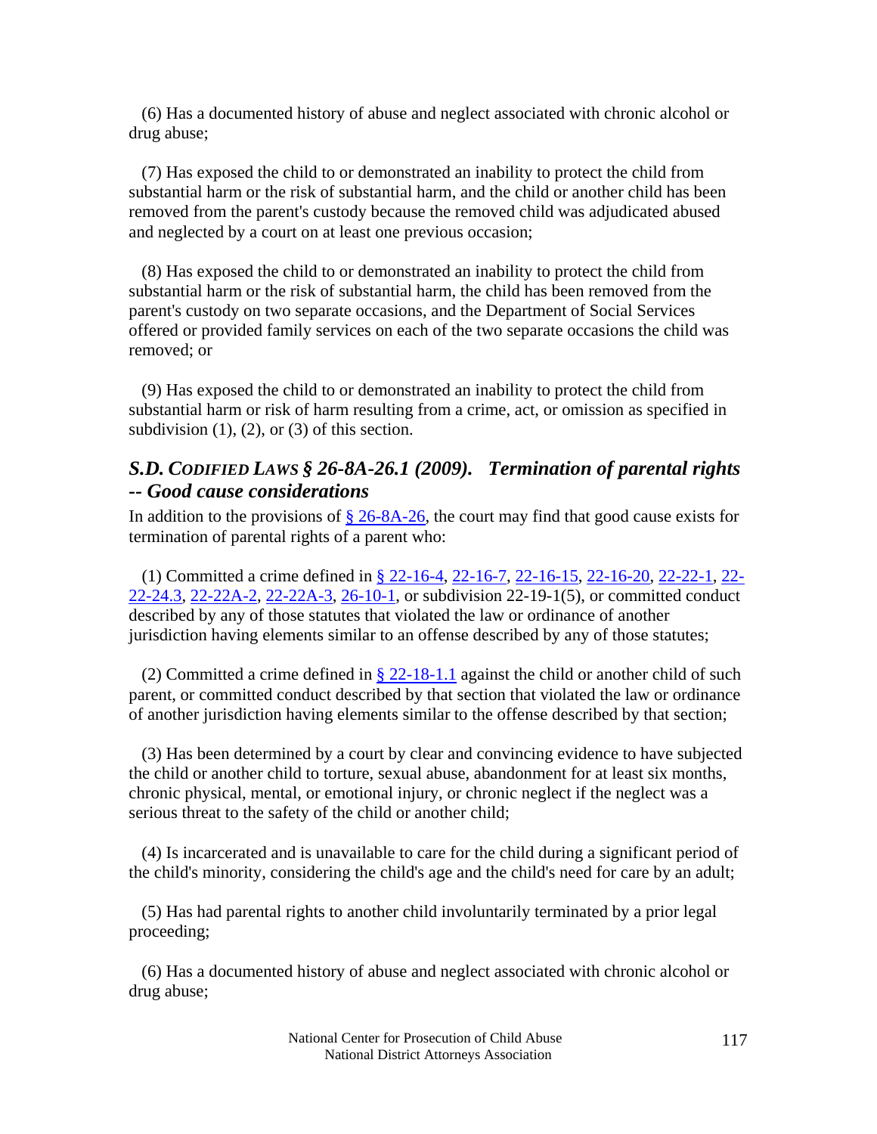(6) Has a documented history of abuse and neglect associated with chronic alcohol or drug abuse;

 (7) Has exposed the child to or demonstrated an inability to protect the child from substantial harm or the risk of substantial harm, and the child or another child has been removed from the parent's custody because the removed child was adjudicated abused and neglected by a court on at least one previous occasion;

 (8) Has exposed the child to or demonstrated an inability to protect the child from substantial harm or the risk of substantial harm, the child has been removed from the parent's custody on two separate occasions, and the Department of Social Services offered or provided family services on each of the two separate occasions the child was removed; or

 (9) Has exposed the child to or demonstrated an inability to protect the child from substantial harm or risk of harm resulting from a crime, act, or omission as specified in subdivision  $(1)$ ,  $(2)$ , or  $(3)$  of this section.

#### *S.D. CODIFIED LAWS § 26-8A-26.1 (2009). Termination of parental rights -- Good cause considerations*

In addition to the provisions of  $\S$  26-8A-26, the court may find that good cause exists for termination of parental rights of a parent who:

 (1) Committed a crime defined in [§ 22-16-4,](https://www.lexis.com/research/buttonTFLink?_m=a49137800874e34957fadabd72092a37&_xfercite=%3ccite%20cc%3d%22USA%22%3e%3c%21%5bCDATA%5bS.D.%20Codified%20Laws%20%a7%2026-8A-26.1%5d%5d%3e%3c%2fcite%3e&_butType=4&_butStat=0&_butNum=3&_butInline=1&_butinfo=SDCODE%2022-16-4&_fmtstr=FULL&docnum=7&_startdoc=1&wchp=dGLbVlz-zSkAl&_md5=c1532cdfe1718ae462c41f8639784903) [22-16-7,](https://www.lexis.com/research/buttonTFLink?_m=a49137800874e34957fadabd72092a37&_xfercite=%3ccite%20cc%3d%22USA%22%3e%3c%21%5bCDATA%5bS.D.%20Codified%20Laws%20%a7%2026-8A-26.1%5d%5d%3e%3c%2fcite%3e&_butType=4&_butStat=0&_butNum=4&_butInline=1&_butinfo=SDCODE%2022-16-7&_fmtstr=FULL&docnum=7&_startdoc=1&wchp=dGLbVlz-zSkAl&_md5=fe0f380f8a2c7626f8a97edab333f211) [22-16-15,](https://www.lexis.com/research/buttonTFLink?_m=a49137800874e34957fadabd72092a37&_xfercite=%3ccite%20cc%3d%22USA%22%3e%3c%21%5bCDATA%5bS.D.%20Codified%20Laws%20%a7%2026-8A-26.1%5d%5d%3e%3c%2fcite%3e&_butType=4&_butStat=0&_butNum=5&_butInline=1&_butinfo=SDCODE%2022-16-15&_fmtstr=FULL&docnum=7&_startdoc=1&wchp=dGLbVlz-zSkAl&_md5=f83280627719ca7f4c442d668812f84b) [22-16-20,](https://www.lexis.com/research/buttonTFLink?_m=a49137800874e34957fadabd72092a37&_xfercite=%3ccite%20cc%3d%22USA%22%3e%3c%21%5bCDATA%5bS.D.%20Codified%20Laws%20%a7%2026-8A-26.1%5d%5d%3e%3c%2fcite%3e&_butType=4&_butStat=0&_butNum=6&_butInline=1&_butinfo=SDCODE%2022-16-20&_fmtstr=FULL&docnum=7&_startdoc=1&wchp=dGLbVlz-zSkAl&_md5=a760442e27e02ed3dba7b13d02529ade) [22-22-1,](https://www.lexis.com/research/buttonTFLink?_m=a49137800874e34957fadabd72092a37&_xfercite=%3ccite%20cc%3d%22USA%22%3e%3c%21%5bCDATA%5bS.D.%20Codified%20Laws%20%a7%2026-8A-26.1%5d%5d%3e%3c%2fcite%3e&_butType=4&_butStat=0&_butNum=7&_butInline=1&_butinfo=SDCODE%2022-22-1&_fmtstr=FULL&docnum=7&_startdoc=1&wchp=dGLbVlz-zSkAl&_md5=0074bc5451447e0bb5e496e9687808df) [22-](https://www.lexis.com/research/buttonTFLink?_m=a49137800874e34957fadabd72092a37&_xfercite=%3ccite%20cc%3d%22USA%22%3e%3c%21%5bCDATA%5bS.D.%20Codified%20Laws%20%a7%2026-8A-26.1%5d%5d%3e%3c%2fcite%3e&_butType=4&_butStat=0&_butNum=8&_butInline=1&_butinfo=SDCODE%2022-22-24.3&_fmtstr=FULL&docnum=7&_startdoc=1&wchp=dGLbVlz-zSkAl&_md5=ac0173ba56d42f8ea685f6c1c7e11053) [22-24.3](https://www.lexis.com/research/buttonTFLink?_m=a49137800874e34957fadabd72092a37&_xfercite=%3ccite%20cc%3d%22USA%22%3e%3c%21%5bCDATA%5bS.D.%20Codified%20Laws%20%a7%2026-8A-26.1%5d%5d%3e%3c%2fcite%3e&_butType=4&_butStat=0&_butNum=8&_butInline=1&_butinfo=SDCODE%2022-22-24.3&_fmtstr=FULL&docnum=7&_startdoc=1&wchp=dGLbVlz-zSkAl&_md5=ac0173ba56d42f8ea685f6c1c7e11053), [22-22A-2,](https://www.lexis.com/research/buttonTFLink?_m=a49137800874e34957fadabd72092a37&_xfercite=%3ccite%20cc%3d%22USA%22%3e%3c%21%5bCDATA%5bS.D.%20Codified%20Laws%20%a7%2026-8A-26.1%5d%5d%3e%3c%2fcite%3e&_butType=4&_butStat=0&_butNum=9&_butInline=1&_butinfo=SDCODE%2022-22A-2&_fmtstr=FULL&docnum=7&_startdoc=1&wchp=dGLbVlz-zSkAl&_md5=cb404b1705ad73821134b5e404b47d30) [22-22A-3](https://www.lexis.com/research/buttonTFLink?_m=a49137800874e34957fadabd72092a37&_xfercite=%3ccite%20cc%3d%22USA%22%3e%3c%21%5bCDATA%5bS.D.%20Codified%20Laws%20%a7%2026-8A-26.1%5d%5d%3e%3c%2fcite%3e&_butType=4&_butStat=0&_butNum=10&_butInline=1&_butinfo=SDCODE%2022-22A-3&_fmtstr=FULL&docnum=7&_startdoc=1&wchp=dGLbVlz-zSkAl&_md5=669130aa82a91e43e7a7e8f2a04e399f), [26-10-1](https://www.lexis.com/research/buttonTFLink?_m=a49137800874e34957fadabd72092a37&_xfercite=%3ccite%20cc%3d%22USA%22%3e%3c%21%5bCDATA%5bS.D.%20Codified%20Laws%20%a7%2026-8A-26.1%5d%5d%3e%3c%2fcite%3e&_butType=4&_butStat=0&_butNum=11&_butInline=1&_butinfo=SDCODE%2026-10-1&_fmtstr=FULL&docnum=7&_startdoc=1&wchp=dGLbVlz-zSkAl&_md5=f2cc945c712ddfcd3c1b921df6ccb1bd), or subdivision 22-19-1(5), or committed conduct described by any of those statutes that violated the law or ordinance of another jurisdiction having elements similar to an offense described by any of those statutes;

 (2) Committed a crime defined in [§ 22-18-1.1](https://www.lexis.com/research/buttonTFLink?_m=a49137800874e34957fadabd72092a37&_xfercite=%3ccite%20cc%3d%22USA%22%3e%3c%21%5bCDATA%5bS.D.%20Codified%20Laws%20%a7%2026-8A-26.1%5d%5d%3e%3c%2fcite%3e&_butType=4&_butStat=0&_butNum=12&_butInline=1&_butinfo=SDCODE%2022-18-1.1&_fmtstr=FULL&docnum=7&_startdoc=1&wchp=dGLbVlz-zSkAl&_md5=4522605a2dbea51f4fd941b9f37d12fc) against the child or another child of such parent, or committed conduct described by that section that violated the law or ordinance of another jurisdiction having elements similar to the offense described by that section;

 (3) Has been determined by a court by clear and convincing evidence to have subjected the child or another child to torture, sexual abuse, abandonment for at least six months, chronic physical, mental, or emotional injury, or chronic neglect if the neglect was a serious threat to the safety of the child or another child;

 (4) Is incarcerated and is unavailable to care for the child during a significant period of the child's minority, considering the child's age and the child's need for care by an adult;

 (5) Has had parental rights to another child involuntarily terminated by a prior legal proceeding;

 (6) Has a documented history of abuse and neglect associated with chronic alcohol or drug abuse;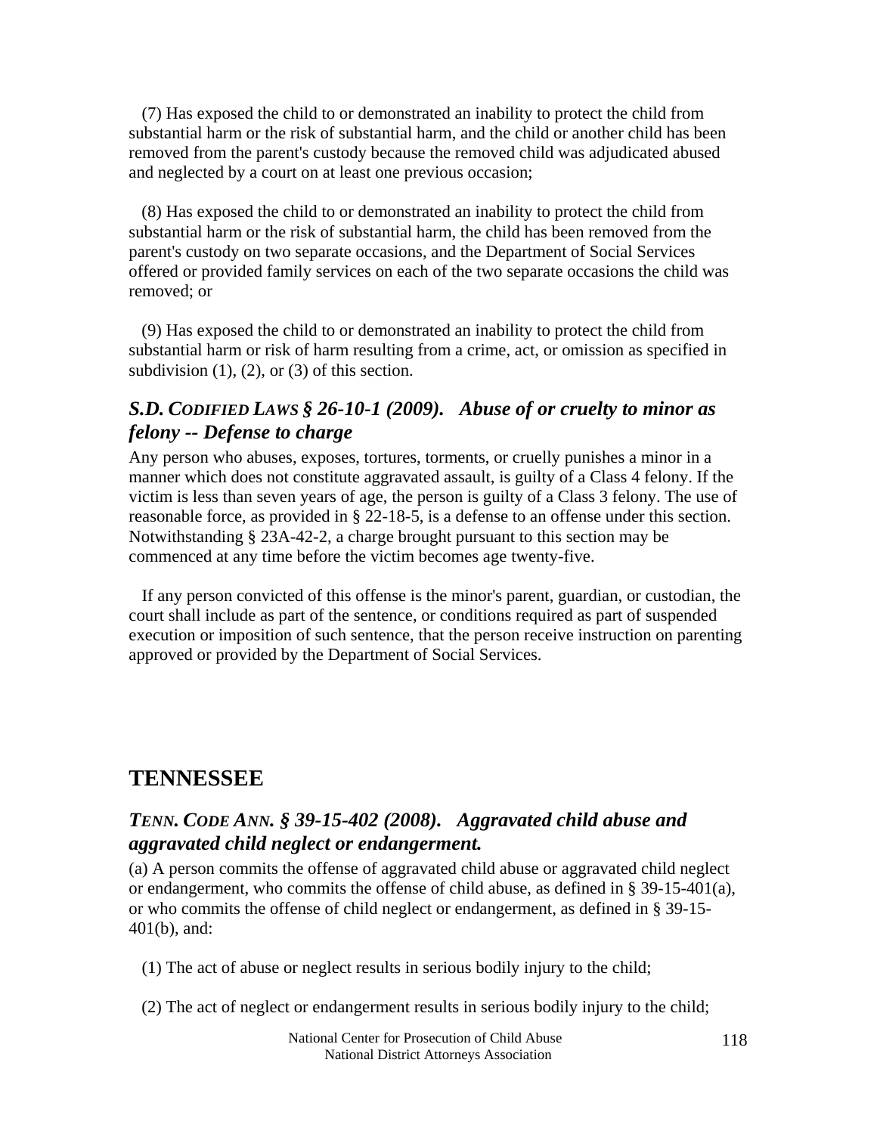(7) Has exposed the child to or demonstrated an inability to protect the child from substantial harm or the risk of substantial harm, and the child or another child has been removed from the parent's custody because the removed child was adjudicated abused and neglected by a court on at least one previous occasion;

 (8) Has exposed the child to or demonstrated an inability to protect the child from substantial harm or the risk of substantial harm, the child has been removed from the parent's custody on two separate occasions, and the Department of Social Services offered or provided family services on each of the two separate occasions the child was removed; or

 (9) Has exposed the child to or demonstrated an inability to protect the child from substantial harm or risk of harm resulting from a crime, act, or omission as specified in subdivision  $(1)$ ,  $(2)$ , or  $(3)$  of this section.

#### *S.D. CODIFIED LAWS § 26-10-1 (2009). Abuse of or cruelty to minor as felony -- Defense to charge*

Any person who abuses, exposes, tortures, torments, or cruelly punishes a minor in a manner which does not constitute aggravated assault, is guilty of a Class 4 felony. If the victim is less than seven years of age, the person is guilty of a Class 3 felony. The use of reasonable force, as provided in [§ 22-18-5,](https://www.lexis.com/research/buttonTFLink?_m=6d0e8a0cb4b1fed11db75dbe4b73b396&_xfercite=%3ccite%20cc%3d%22USA%22%3e%3c%21%5bCDATA%5bS.D.%20Codified%20Laws%20%a7%2026-10-1%5d%5d%3e%3c%2fcite%3e&_butType=4&_butStat=0&_butNum=2&_butInline=1&_butinfo=SDCODE%2022-18-5&_fmtstr=FULL&docnum=3&_startdoc=1&wchp=dGLbVlz-zSkAl&_md5=ea502f1015b93e6f4382a2b782b5de41) is a defense to an offense under this section. Notwithstanding [§ 23A-42-2,](https://www.lexis.com/research/buttonTFLink?_m=6d0e8a0cb4b1fed11db75dbe4b73b396&_xfercite=%3ccite%20cc%3d%22USA%22%3e%3c%21%5bCDATA%5bS.D.%20Codified%20Laws%20%a7%2026-10-1%5d%5d%3e%3c%2fcite%3e&_butType=4&_butStat=0&_butNum=3&_butInline=1&_butinfo=SDCODE%2023A-42-2&_fmtstr=FULL&docnum=3&_startdoc=1&wchp=dGLbVlz-zSkAl&_md5=1a3b4307acb04c5c4d656caa83b910ac) a charge brought pursuant to this section may be commenced at any time before the victim becomes age twenty-five.

 If any person convicted of this offense is the minor's parent, guardian, or custodian, the court shall include as part of the sentence, or conditions required as part of suspended execution or imposition of such sentence, that the person receive instruction on parenting approved or provided by the Department of Social Services.

### **TENNESSEE**

### *TENN. CODE ANN. § 39-15-402 (2008). Aggravated child abuse and aggravated child neglect or endangerment.*

(a) A person commits the offense of aggravated child abuse or aggravated child neglect or endangerment, who commits the offense of child abuse, as defined in [§ 39-15-401\(a\),](https://www.lexis.com/research/buttonTFLink?_m=5505531c7500f25be01631e8e5b6770b&_xfercite=%3ccite%20cc%3d%22USA%22%3e%3c%21%5bCDATA%5bTenn.%20Code%20Ann.%20%a7%2039-15-402%5d%5d%3e%3c%2fcite%3e&_butType=4&_butStat=0&_butNum=2&_butInline=1&_butinfo=TNCODE%2039-15-401&_fmtstr=FULL&docnum=11&_startdoc=11&wchp=dGLbVlz-zSkAl&_md5=bacdf59f49157edf45e705cffc313a6f) or who commits the offense of child neglect or endangerment, as defined in [§ 39-15-](https://www.lexis.com/research/buttonTFLink?_m=5505531c7500f25be01631e8e5b6770b&_xfercite=%3ccite%20cc%3d%22USA%22%3e%3c%21%5bCDATA%5bTenn.%20Code%20Ann.%20%a7%2039-15-402%5d%5d%3e%3c%2fcite%3e&_butType=4&_butStat=0&_butNum=3&_butInline=1&_butinfo=TNCODE%2039-15-401&_fmtstr=FULL&docnum=11&_startdoc=11&wchp=dGLbVlz-zSkAl&_md5=f76ca6418a36a19b5cdbc88c1a40b183) [401\(b\),](https://www.lexis.com/research/buttonTFLink?_m=5505531c7500f25be01631e8e5b6770b&_xfercite=%3ccite%20cc%3d%22USA%22%3e%3c%21%5bCDATA%5bTenn.%20Code%20Ann.%20%a7%2039-15-402%5d%5d%3e%3c%2fcite%3e&_butType=4&_butStat=0&_butNum=3&_butInline=1&_butinfo=TNCODE%2039-15-401&_fmtstr=FULL&docnum=11&_startdoc=11&wchp=dGLbVlz-zSkAl&_md5=f76ca6418a36a19b5cdbc88c1a40b183) and:

(1) The act of abuse or neglect results in serious bodily injury to the child;

(2) The act of neglect or endangerment results in serious bodily injury to the child;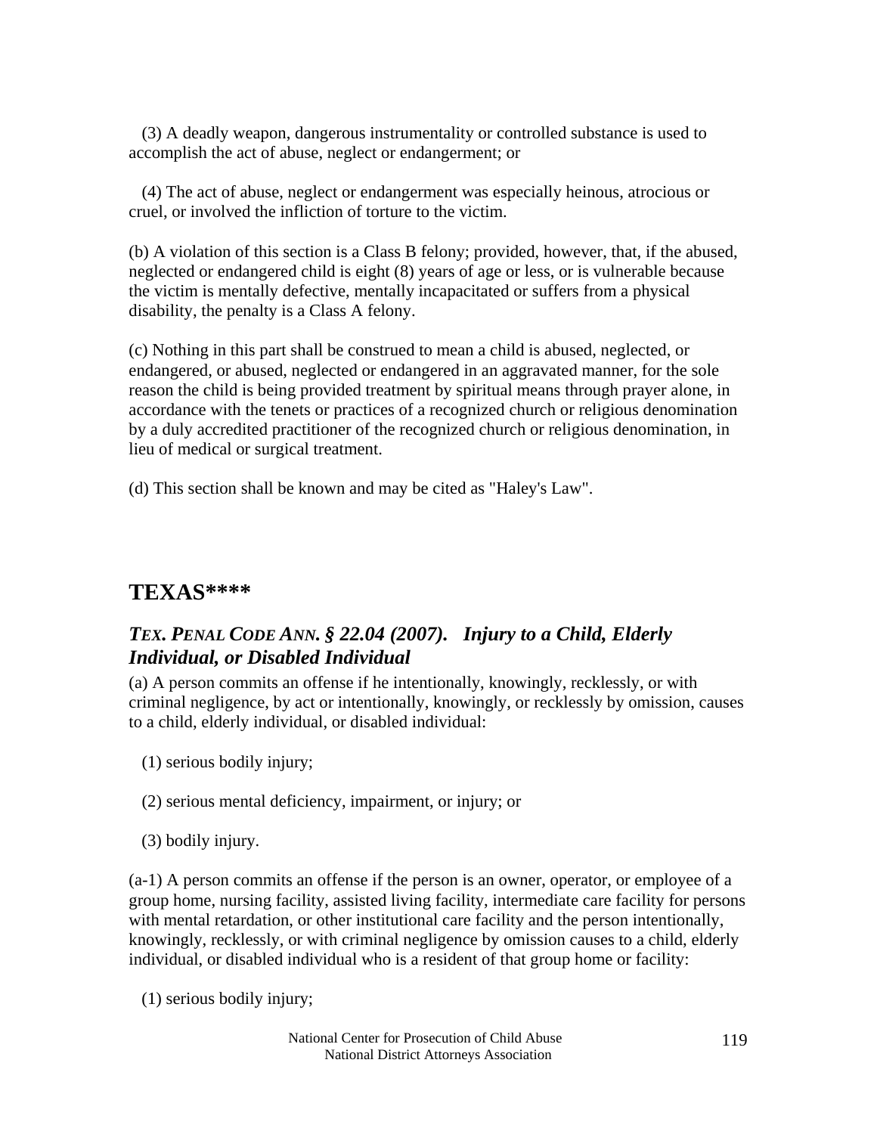(3) A deadly weapon, dangerous instrumentality or controlled substance is used to accomplish the act of abuse, neglect or endangerment; or

 (4) The act of abuse, neglect or endangerment was especially heinous, atrocious or cruel, or involved the infliction of torture to the victim.

(b) A violation of this section is a Class B felony; provided, however, that, if the abused, neglected or endangered child is eight (8) years of age or less, or is vulnerable because the victim is mentally defective, mentally incapacitated or suffers from a physical disability, the penalty is a Class A felony.

(c) Nothing in this part shall be construed to mean a child is abused, neglected, or endangered, or abused, neglected or endangered in an aggravated manner, for the sole reason the child is being provided treatment by spiritual means through prayer alone, in accordance with the tenets or practices of a recognized church or religious denomination by a duly accredited practitioner of the recognized church or religious denomination, in lieu of medical or surgical treatment.

(d) This section shall be known and may be cited as "Haley's Law".

### **TEXAS\*\*\*\***

### *TEX. PENAL CODE ANN. § 22.04 (2007). Injury to a Child, Elderly Individual, or Disabled Individual*

(a) A person commits an offense if he intentionally, knowingly, recklessly, or with criminal negligence, by act or intentionally, knowingly, or recklessly by omission, causes to a child, elderly individual, or disabled individual:

(1) serious bodily injury;

(2) serious mental deficiency, impairment, or injury; or

(3) bodily injury.

(a-1) A person commits an offense if the person is an owner, operator, or employee of a group home, nursing facility, assisted living facility, intermediate care facility for persons with mental retardation, or other institutional care facility and the person intentionally, knowingly, recklessly, or with criminal negligence by omission causes to a child, elderly individual, or disabled individual who is a resident of that group home or facility:

(1) serious bodily injury;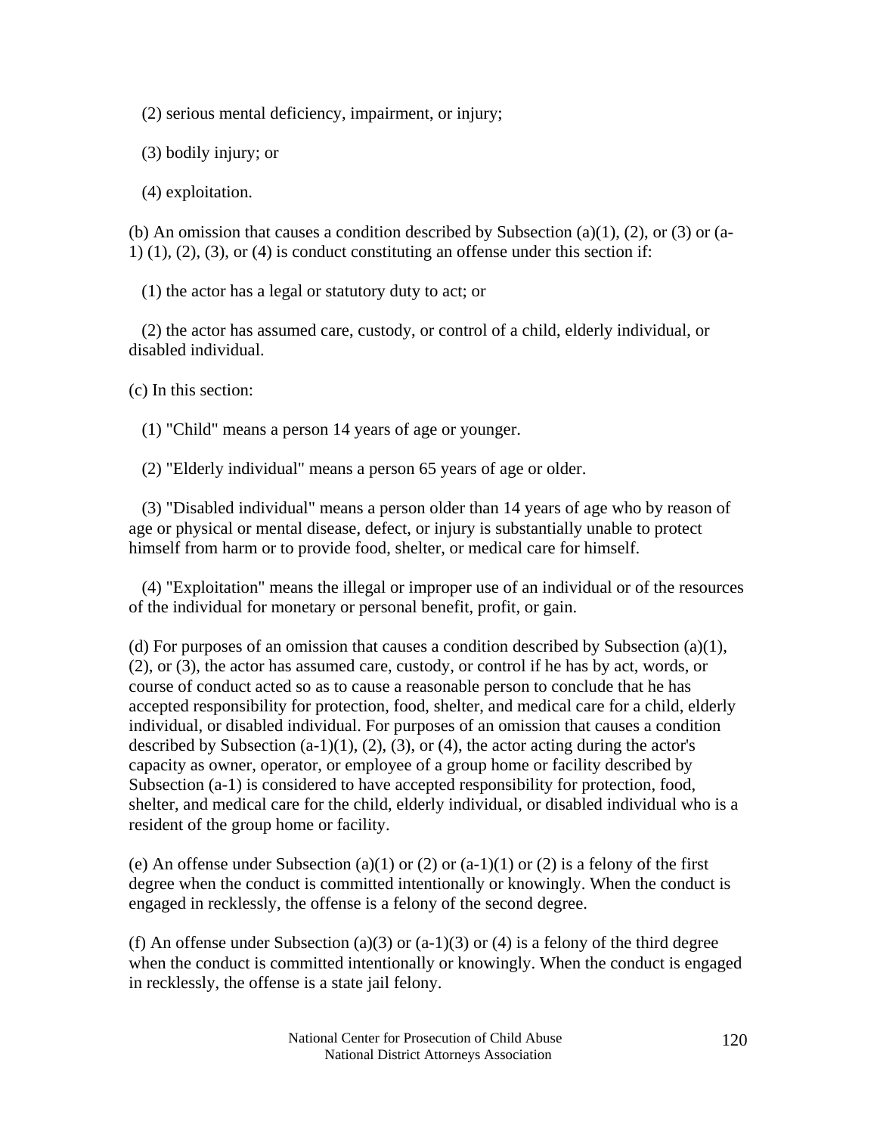(2) serious mental deficiency, impairment, or injury;

(3) bodily injury; or

(4) exploitation.

(b) An omission that causes a condition described by Subsection (a)(1), (2), or (3) or (a- $1)$  (1), (2), (3), or (4) is conduct constituting an offense under this section if:

(1) the actor has a legal or statutory duty to act; or

 (2) the actor has assumed care, custody, or control of a child, elderly individual, or disabled individual.

(c) In this section:

(1) "Child" means a person 14 years of age or younger.

(2) "Elderly individual" means a person 65 years of age or older.

 (3) "Disabled individual" means a person older than 14 years of age who by reason of age or physical or mental disease, defect, or injury is substantially unable to protect himself from harm or to provide food, shelter, or medical care for himself.

 (4) "Exploitation" means the illegal or improper use of an individual or of the resources of the individual for monetary or personal benefit, profit, or gain.

(d) For purposes of an omission that causes a condition described by Subsection (a)(1), (2), or (3), the actor has assumed care, custody, or control if he has by act, words, or course of conduct acted so as to cause a reasonable person to conclude that he has accepted responsibility for protection, food, shelter, and medical care for a child, elderly individual, or disabled individual. For purposes of an omission that causes a condition described by Subsection  $(a-1)(1)$ ,  $(2)$ ,  $(3)$ , or  $(4)$ , the actor acting during the actor's capacity as owner, operator, or employee of a group home or facility described by Subsection (a-1) is considered to have accepted responsibility for protection, food, shelter, and medical care for the child, elderly individual, or disabled individual who is a resident of the group home or facility.

(e) An offense under Subsection (a)(1) or (2) or (a-1)(1) or (2) is a felony of the first degree when the conduct is committed intentionally or knowingly. When the conduct is engaged in recklessly, the offense is a felony of the second degree.

(f) An offense under Subsection (a)(3) or (a-1)(3) or (4) is a felony of the third degree when the conduct is committed intentionally or knowingly. When the conduct is engaged in recklessly, the offense is a state jail felony.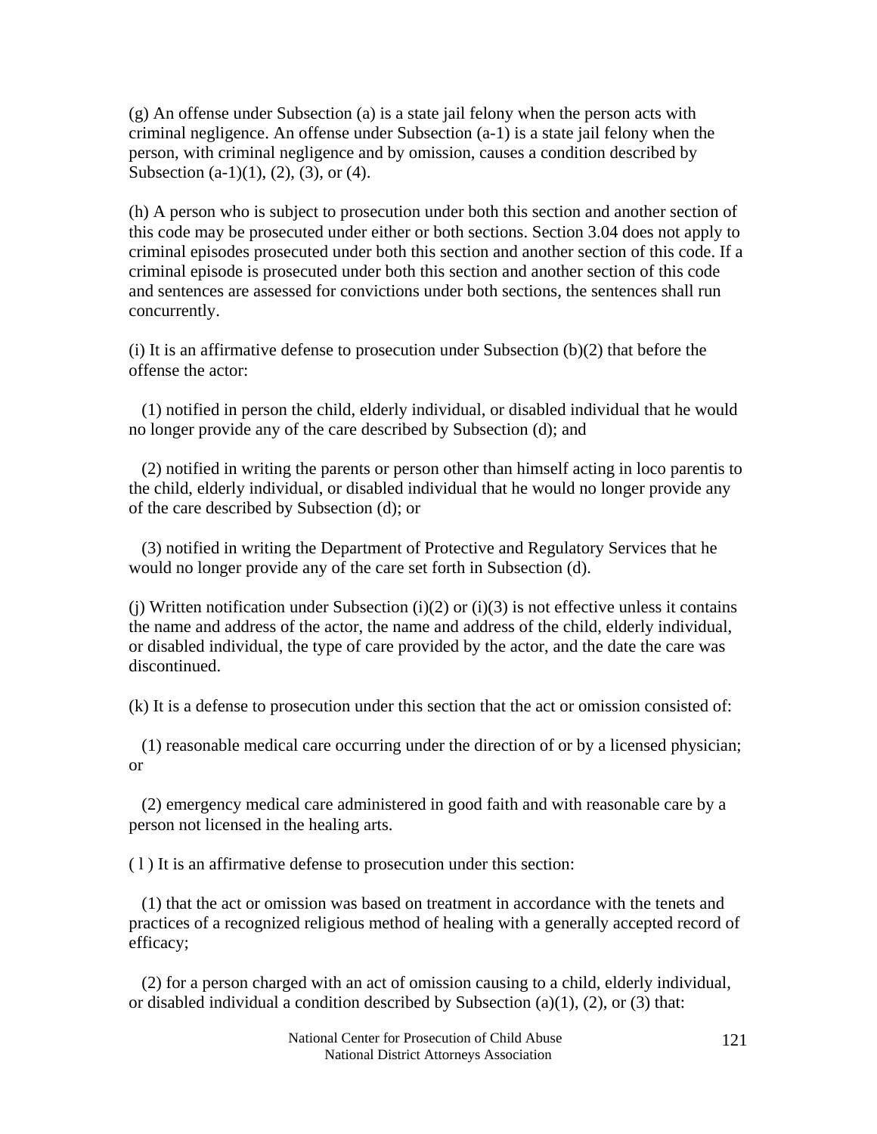(g) An offense under Subsection (a) is a state jail felony when the person acts with criminal negligence. An offense under Subsection (a-1) is a state jail felony when the person, with criminal negligence and by omission, causes a condition described by Subsection (a-1)(1), (2), (3), or (4).

(h) A person who is subject to prosecution under both this section and another section of this code may be prosecuted under either or both sections. Section 3.04 does not apply to criminal episodes prosecuted under both this section and another section of this code. If a criminal episode is prosecuted under both this section and another section of this code and sentences are assessed for convictions under both sections, the sentences shall run concurrently.

(i) It is an affirmative defense to prosecution under Subsection (b)(2) that before the offense the actor:

 (1) notified in person the child, elderly individual, or disabled individual that he would no longer provide any of the care described by Subsection (d); and

 (2) notified in writing the parents or person other than himself acting in loco parentis to the child, elderly individual, or disabled individual that he would no longer provide any of the care described by Subsection (d); or

 (3) notified in writing the Department of Protective and Regulatory Services that he would no longer provide any of the care set forth in Subsection (d).

(i) Written notification under Subsection (i)(2) or (i)(3) is not effective unless it contains the name and address of the actor, the name and address of the child, elderly individual, or disabled individual, the type of care provided by the actor, and the date the care was discontinued.

(k) It is a defense to prosecution under this section that the act or omission consisted of:

 (1) reasonable medical care occurring under the direction of or by a licensed physician; or

 (2) emergency medical care administered in good faith and with reasonable care by a person not licensed in the healing arts.

( l ) It is an affirmative defense to prosecution under this section:

 (1) that the act or omission was based on treatment in accordance with the tenets and practices of a recognized religious method of healing with a generally accepted record of efficacy;

 (2) for a person charged with an act of omission causing to a child, elderly individual, or disabled individual a condition described by Subsection  $(a)(1)$ ,  $(2)$ , or  $(3)$  that: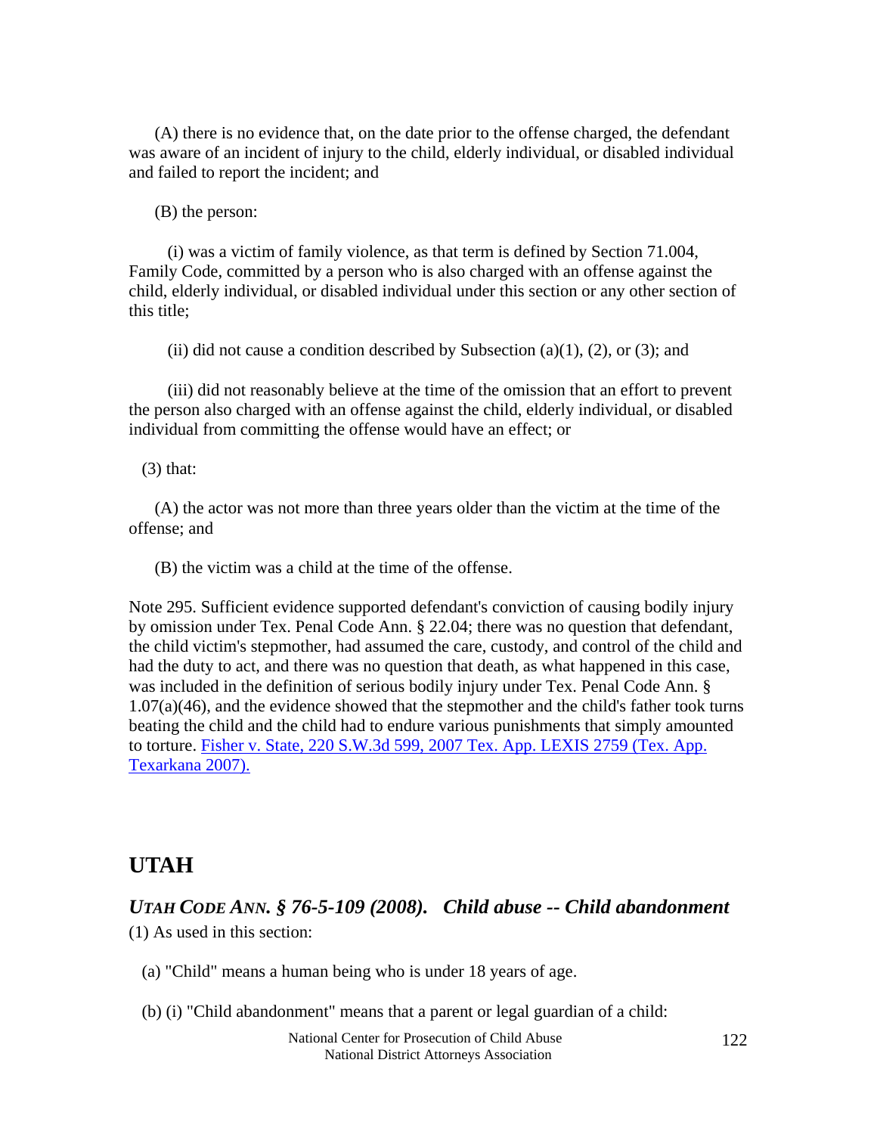(A) there is no evidence that, on the date prior to the offense charged, the defendant was aware of an incident of injury to the child, elderly individual, or disabled individual and failed to report the incident; and

(B) the person:

 (i) was a victim of family violence, as that term is defined by [Section 71.004,](https://www.lexis.com/research/buttonTFLink?_m=0481f6f2c04ba4bfc54d55c70111c068&_xfercite=%3ccite%20cc%3d%22USA%22%3e%3c%21%5bCDATA%5bTex.%20Penal%20Code%20%a7%2022.04%5d%5d%3e%3c%2fcite%3e&_butType=4&_butStat=0&_butNum=2&_butInline=1&_butinfo=TX%20FAM%2071.004&_fmtstr=FULL&docnum=9&_startdoc=1&wchp=dGLbVlz-zSkAl&_md5=2742a93c1fa3b881f1c83fda3458a0e4)  [Family Code](https://www.lexis.com/research/buttonTFLink?_m=0481f6f2c04ba4bfc54d55c70111c068&_xfercite=%3ccite%20cc%3d%22USA%22%3e%3c%21%5bCDATA%5bTex.%20Penal%20Code%20%a7%2022.04%5d%5d%3e%3c%2fcite%3e&_butType=4&_butStat=0&_butNum=2&_butInline=1&_butinfo=TX%20FAM%2071.004&_fmtstr=FULL&docnum=9&_startdoc=1&wchp=dGLbVlz-zSkAl&_md5=2742a93c1fa3b881f1c83fda3458a0e4), committed by a person who is also charged with an offense against the child, elderly individual, or disabled individual under this section or any other section of this title;

(ii) did not cause a condition described by Subsection (a)(1), (2), or (3); and

 (iii) did not reasonably believe at the time of the omission that an effort to prevent the person also charged with an offense against the child, elderly individual, or disabled individual from committing the offense would have an effect; or

(3) that:

 (A) the actor was not more than three years older than the victim at the time of the offense; and

(B) the victim was a child at the time of the offense.

Note 295. Sufficient evidence supported defendant's conviction of causing bodily injury by omission under Tex. [Penal Code Ann. § 22.04;](https://www.lexis.com/research/buttonTFLink?_m=0481f6f2c04ba4bfc54d55c70111c068&_xfercite=%3ccite%20cc%3d%22USA%22%3e%3c%21%5bCDATA%5bTex.%20Penal%20Code%20%a7%2022.04%5d%5d%3e%3c%2fcite%3e&_butType=4&_butStat=0&_butNum=627&_butInline=1&_butinfo=TX%20PEN%2022.04&_fmtstr=FULL&docnum=9&_startdoc=1&wchp=dGLbVlz-zSkAl&_md5=54d3e4c92f1172ef17125583d5a52fe3) there was no question that defendant, the child victim's stepmother, had assumed the care, custody, and control of the child and had the duty to act, and there was no question that death, as what happened in this case, was included in the definition of serious bodily injury under Tex. [Penal Code Ann. §](https://www.lexis.com/research/buttonTFLink?_m=0481f6f2c04ba4bfc54d55c70111c068&_xfercite=%3ccite%20cc%3d%22USA%22%3e%3c%21%5bCDATA%5bTex.%20Penal%20Code%20%a7%2022.04%5d%5d%3e%3c%2fcite%3e&_butType=4&_butStat=0&_butNum=628&_butInline=1&_butinfo=TX%20PEN%201.07&_fmtstr=FULL&docnum=9&_startdoc=1&wchp=dGLbVlz-zSkAl&_md5=367d986d9c34514ac2ac12e3c8f8bbb6)  [1.07\(a\)\(46\)](https://www.lexis.com/research/buttonTFLink?_m=0481f6f2c04ba4bfc54d55c70111c068&_xfercite=%3ccite%20cc%3d%22USA%22%3e%3c%21%5bCDATA%5bTex.%20Penal%20Code%20%a7%2022.04%5d%5d%3e%3c%2fcite%3e&_butType=4&_butStat=0&_butNum=628&_butInline=1&_butinfo=TX%20PEN%201.07&_fmtstr=FULL&docnum=9&_startdoc=1&wchp=dGLbVlz-zSkAl&_md5=367d986d9c34514ac2ac12e3c8f8bbb6), and the evidence showed that the stepmother and the child's father took turns beating the child and the child had to endure various punishments that simply amounted to torture. [Fisher v. State, 220 S.W.3d 599, 2007 Tex. App. LEXIS 2759 \(Tex. App.](https://www.lexis.com/research/buttonTFLink?_m=0481f6f2c04ba4bfc54d55c70111c068&_xfercite=%3ccite%20cc%3d%22USA%22%3e%3c%21%5bCDATA%5bTex.%20Penal%20Code%20%a7%2022.04%5d%5d%3e%3c%2fcite%3e&_butType=3&_butStat=2&_butNum=629&_butInline=1&_butinfo=%3ccite%20cc%3d%22USA%22%3e%3c%21%5bCDATA%5b220%20S.W.3d%20599%5d%5d%3e%3c%2fcite%3e&_fmtstr=FULL&docnum=9&_startdoc=1&wchp=dGLbVlz-zSkAl&_md5=31fb0f1ea459f3ef73dfa50749b52dd8)  [Texarkana 2007\).](https://www.lexis.com/research/buttonTFLink?_m=0481f6f2c04ba4bfc54d55c70111c068&_xfercite=%3ccite%20cc%3d%22USA%22%3e%3c%21%5bCDATA%5bTex.%20Penal%20Code%20%a7%2022.04%5d%5d%3e%3c%2fcite%3e&_butType=3&_butStat=2&_butNum=629&_butInline=1&_butinfo=%3ccite%20cc%3d%22USA%22%3e%3c%21%5bCDATA%5b220%20S.W.3d%20599%5d%5d%3e%3c%2fcite%3e&_fmtstr=FULL&docnum=9&_startdoc=1&wchp=dGLbVlz-zSkAl&_md5=31fb0f1ea459f3ef73dfa50749b52dd8)

### **UTAH**

# *UTAH CODE ANN. § 76-5-109 (2008). Child abuse -- Child abandonment*

(1) As used in this section:

- (a) "Child" means a human being who is under 18 years of age.
- (b) (i) "Child abandonment" means that a parent or legal guardian of a child: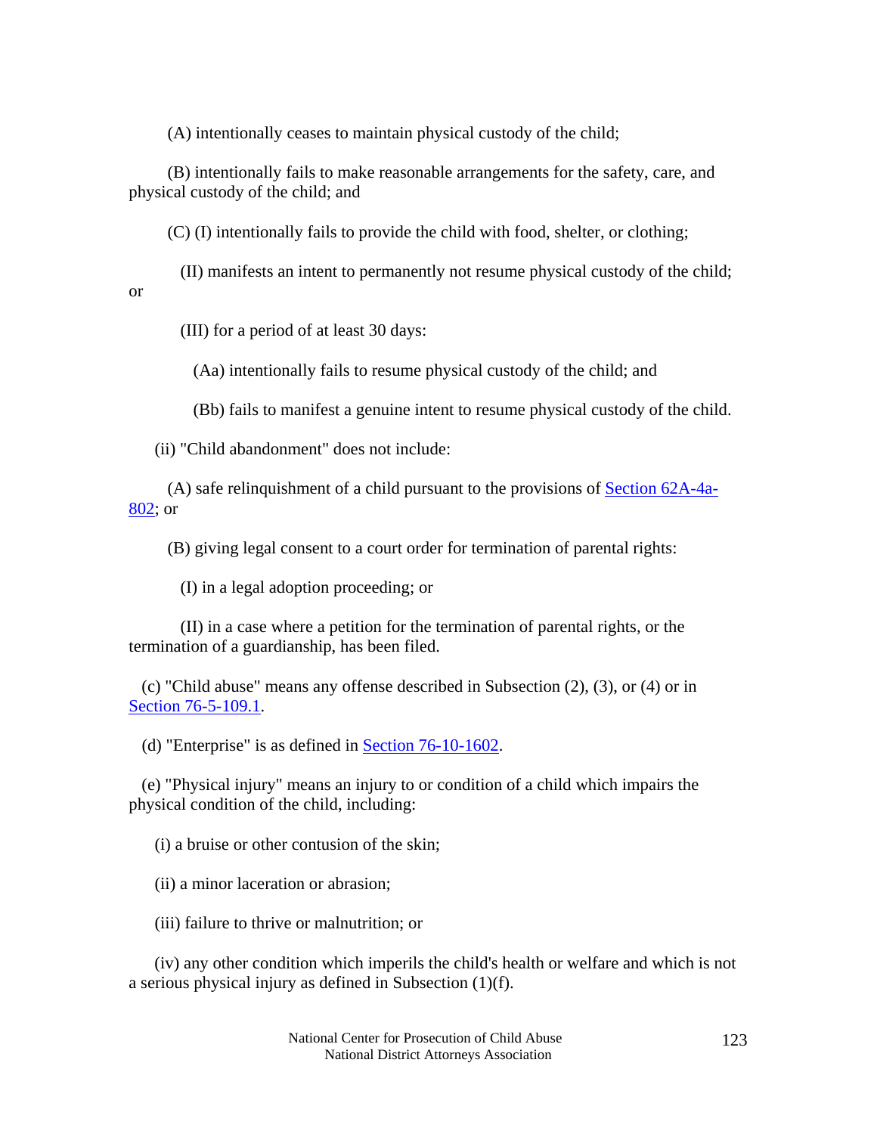(A) intentionally ceases to maintain physical custody of the child;

 (B) intentionally fails to make reasonable arrangements for the safety, care, and physical custody of the child; and

(C) (I) intentionally fails to provide the child with food, shelter, or clothing;

 (II) manifests an intent to permanently not resume physical custody of the child; or

(III) for a period of at least 30 days:

(Aa) intentionally fails to resume physical custody of the child; and

(Bb) fails to manifest a genuine intent to resume physical custody of the child.

(ii) "Child abandonment" does not include:

 (A) safe relinquishment of a child pursuant to the provisions of [Section 62A-4a-](https://www.lexis.com/research/buttonTFLink?_m=cec344b8188e09850523f7ba9e100208&_xfercite=%3ccite%20cc%3d%22USA%22%3e%3c%21%5bCDATA%5bUtah%20Code%20Ann.%20%a7%2076-5-109%5d%5d%3e%3c%2fcite%3e&_butType=4&_butStat=0&_butNum=2&_butInline=1&_butinfo=UTCODE%2062A-4A-802&_fmtstr=FULL&docnum=2&_startdoc=1&wchp=dGLbVlz-zSkAl&_md5=a3b3a48a03b73bf09565b5caaa8d6896)[802](https://www.lexis.com/research/buttonTFLink?_m=cec344b8188e09850523f7ba9e100208&_xfercite=%3ccite%20cc%3d%22USA%22%3e%3c%21%5bCDATA%5bUtah%20Code%20Ann.%20%a7%2076-5-109%5d%5d%3e%3c%2fcite%3e&_butType=4&_butStat=0&_butNum=2&_butInline=1&_butinfo=UTCODE%2062A-4A-802&_fmtstr=FULL&docnum=2&_startdoc=1&wchp=dGLbVlz-zSkAl&_md5=a3b3a48a03b73bf09565b5caaa8d6896); or

(B) giving legal consent to a court order for termination of parental rights:

(I) in a legal adoption proceeding; or

 (II) in a case where a petition for the termination of parental rights, or the termination of a guardianship, has been filed.

 (c) "Child abuse" means any offense described in Subsection (2), (3), or (4) or in [Section 76-5-109.1.](https://www.lexis.com/research/buttonTFLink?_m=cec344b8188e09850523f7ba9e100208&_xfercite=%3ccite%20cc%3d%22USA%22%3e%3c%21%5bCDATA%5bUtah%20Code%20Ann.%20%a7%2076-5-109%5d%5d%3e%3c%2fcite%3e&_butType=4&_butStat=0&_butNum=3&_butInline=1&_butinfo=UTCODE%2076-5-109.1&_fmtstr=FULL&docnum=2&_startdoc=1&wchp=dGLbVlz-zSkAl&_md5=70b5c5abe93c95333888495551fbd590)

(d) "Enterprise" is as defined in [Section 76-10-1602](https://www.lexis.com/research/buttonTFLink?_m=cec344b8188e09850523f7ba9e100208&_xfercite=%3ccite%20cc%3d%22USA%22%3e%3c%21%5bCDATA%5bUtah%20Code%20Ann.%20%a7%2076-5-109%5d%5d%3e%3c%2fcite%3e&_butType=4&_butStat=0&_butNum=4&_butInline=1&_butinfo=UTCODE%2076-10-1602&_fmtstr=FULL&docnum=2&_startdoc=1&wchp=dGLbVlz-zSkAl&_md5=a9f356a827b0bfefa3c03f130d9694e1).

 (e) "Physical injury" means an injury to or condition of a child which impairs the physical condition of the child, including:

(i) a bruise or other contusion of the skin;

(ii) a minor laceration or abrasion;

(iii) failure to thrive or malnutrition; or

 (iv) any other condition which imperils the child's health or welfare and which is not a serious physical injury as defined in Subsection (1)(f).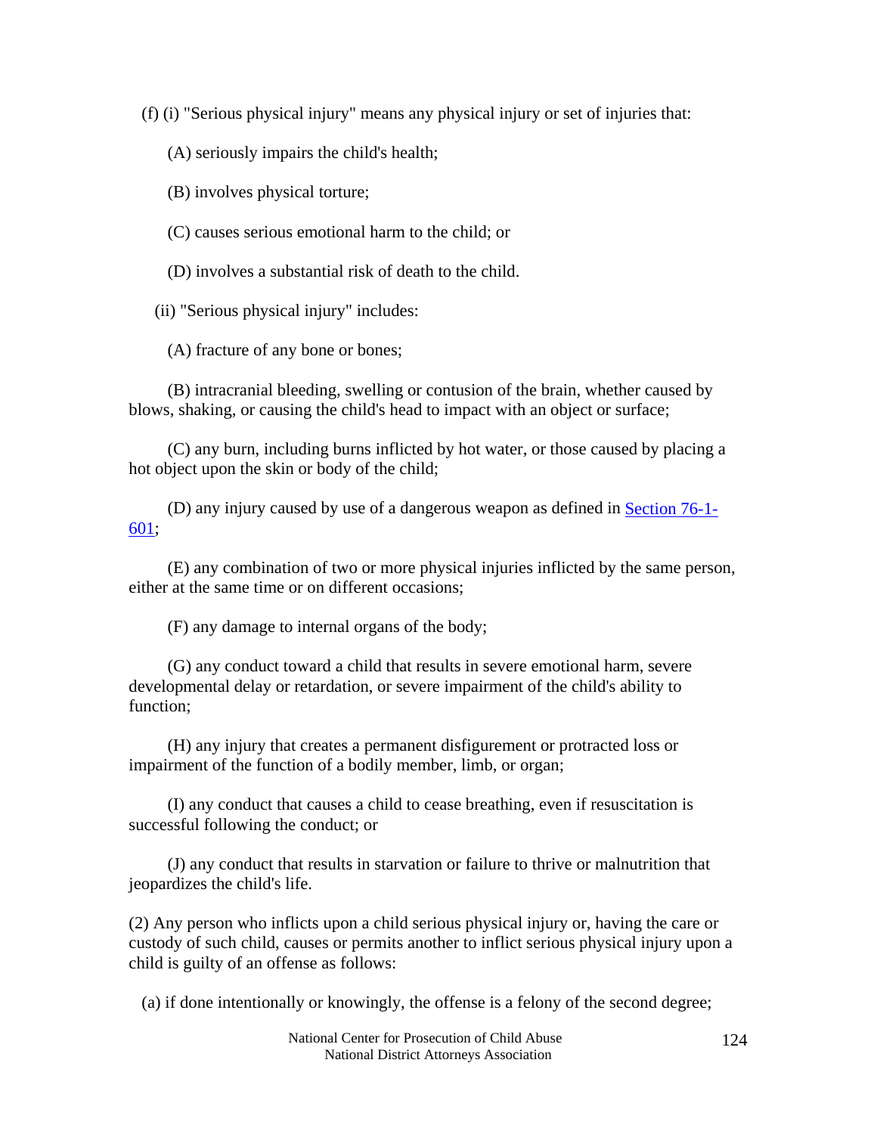(f) (i) "Serious physical injury" means any physical injury or set of injuries that:

(A) seriously impairs the child's health;

(B) involves physical torture;

(C) causes serious emotional harm to the child; or

(D) involves a substantial risk of death to the child.

(ii) "Serious physical injury" includes:

(A) fracture of any bone or bones;

 (B) intracranial bleeding, swelling or contusion of the brain, whether caused by blows, shaking, or causing the child's head to impact with an object or surface;

 (C) any burn, including burns inflicted by hot water, or those caused by placing a hot object upon the skin or body of the child;

 (D) any injury caused by use of a dangerous weapon as defined in [Section 76-1-](https://www.lexis.com/research/buttonTFLink?_m=cec344b8188e09850523f7ba9e100208&_xfercite=%3ccite%20cc%3d%22USA%22%3e%3c%21%5bCDATA%5bUtah%20Code%20Ann.%20%a7%2076-5-109%5d%5d%3e%3c%2fcite%3e&_butType=4&_butStat=0&_butNum=5&_butInline=1&_butinfo=UTCODE%2076-1-601&_fmtstr=FULL&docnum=2&_startdoc=1&wchp=dGLbVlz-zSkAl&_md5=7c0c56de2ec10d0bc6649924c3a49126) [601](https://www.lexis.com/research/buttonTFLink?_m=cec344b8188e09850523f7ba9e100208&_xfercite=%3ccite%20cc%3d%22USA%22%3e%3c%21%5bCDATA%5bUtah%20Code%20Ann.%20%a7%2076-5-109%5d%5d%3e%3c%2fcite%3e&_butType=4&_butStat=0&_butNum=5&_butInline=1&_butinfo=UTCODE%2076-1-601&_fmtstr=FULL&docnum=2&_startdoc=1&wchp=dGLbVlz-zSkAl&_md5=7c0c56de2ec10d0bc6649924c3a49126);

 (E) any combination of two or more physical injuries inflicted by the same person, either at the same time or on different occasions;

(F) any damage to internal organs of the body;

 (G) any conduct toward a child that results in severe emotional harm, severe developmental delay or retardation, or severe impairment of the child's ability to function;

 (H) any injury that creates a permanent disfigurement or protracted loss or impairment of the function of a bodily member, limb, or organ;

 (I) any conduct that causes a child to cease breathing, even if resuscitation is successful following the conduct; or

 (J) any conduct that results in starvation or failure to thrive or malnutrition that jeopardizes the child's life.

(2) Any person who inflicts upon a child serious physical injury or, having the care or custody of such child, causes or permits another to inflict serious physical injury upon a child is guilty of an offense as follows:

(a) if done intentionally or knowingly, the offense is a felony of the second degree;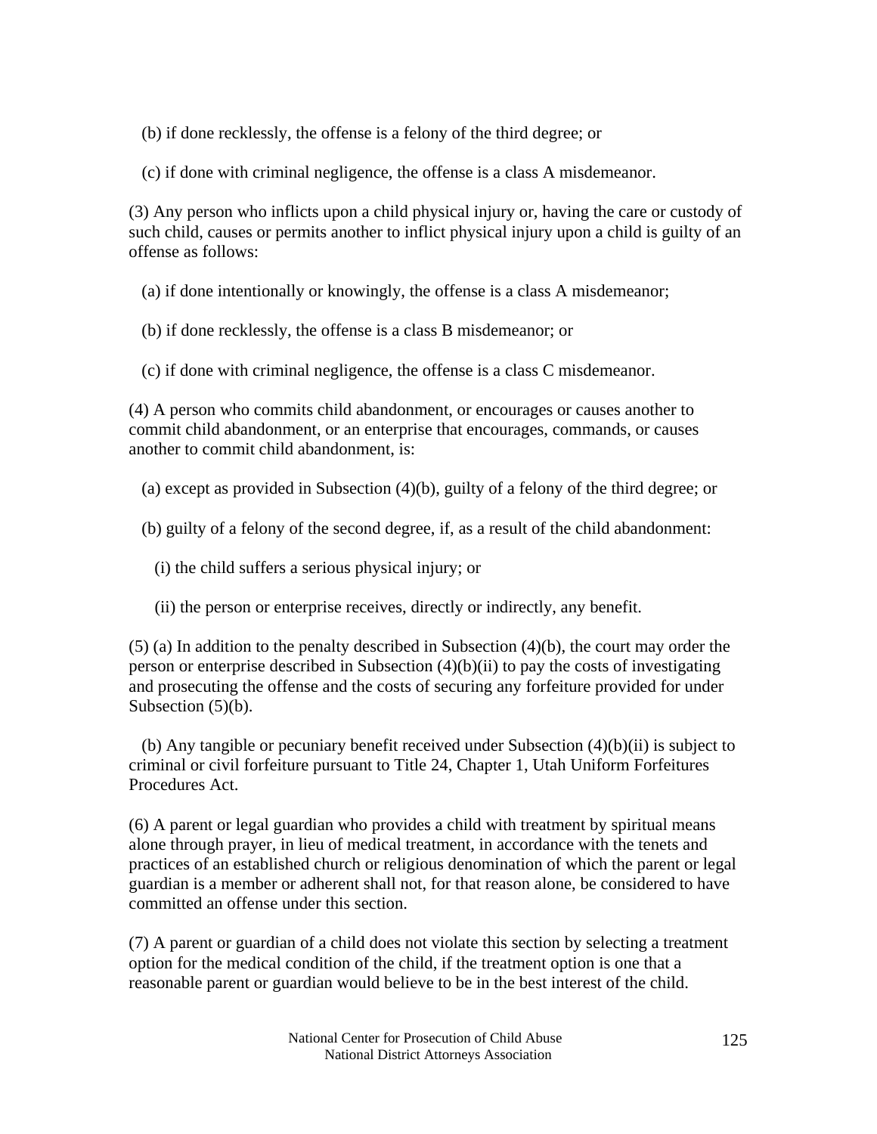(b) if done recklessly, the offense is a felony of the third degree; or

(c) if done with criminal negligence, the offense is a class A misdemeanor.

(3) Any person who inflicts upon a child physical injury or, having the care or custody of such child, causes or permits another to inflict physical injury upon a child is guilty of an offense as follows:

(a) if done intentionally or knowingly, the offense is a class A misdemeanor;

(b) if done recklessly, the offense is a class B misdemeanor; or

(c) if done with criminal negligence, the offense is a class C misdemeanor.

(4) A person who commits child abandonment, or encourages or causes another to commit child abandonment, or an enterprise that encourages, commands, or causes another to commit child abandonment, is:

(a) except as provided in Subsection (4)(b), guilty of a felony of the third degree; or

(b) guilty of a felony of the second degree, if, as a result of the child abandonment:

(i) the child suffers a serious physical injury; or

(ii) the person or enterprise receives, directly or indirectly, any benefit.

(5) (a) In addition to the penalty described in Subsection (4)(b), the court may order the person or enterprise described in Subsection  $(4)(b)(ii)$  to pay the costs of investigating and prosecuting the offense and the costs of securing any forfeiture provided for under Subsection (5)(b).

 (b) Any tangible or pecuniary benefit received under Subsection (4)(b)(ii) is subject to criminal or civil forfeiture pursuant to Title 24, Chapter 1, Utah Uniform Forfeitures Procedures Act.

(6) A parent or legal guardian who provides a child with treatment by spiritual means alone through prayer, in lieu of medical treatment, in accordance with the tenets and practices of an established church or religious denomination of which the parent or legal guardian is a member or adherent shall not, for that reason alone, be considered to have committed an offense under this section.

(7) A parent or guardian of a child does not violate this section by selecting a treatment option for the medical condition of the child, if the treatment option is one that a reasonable parent or guardian would believe to be in the best interest of the child.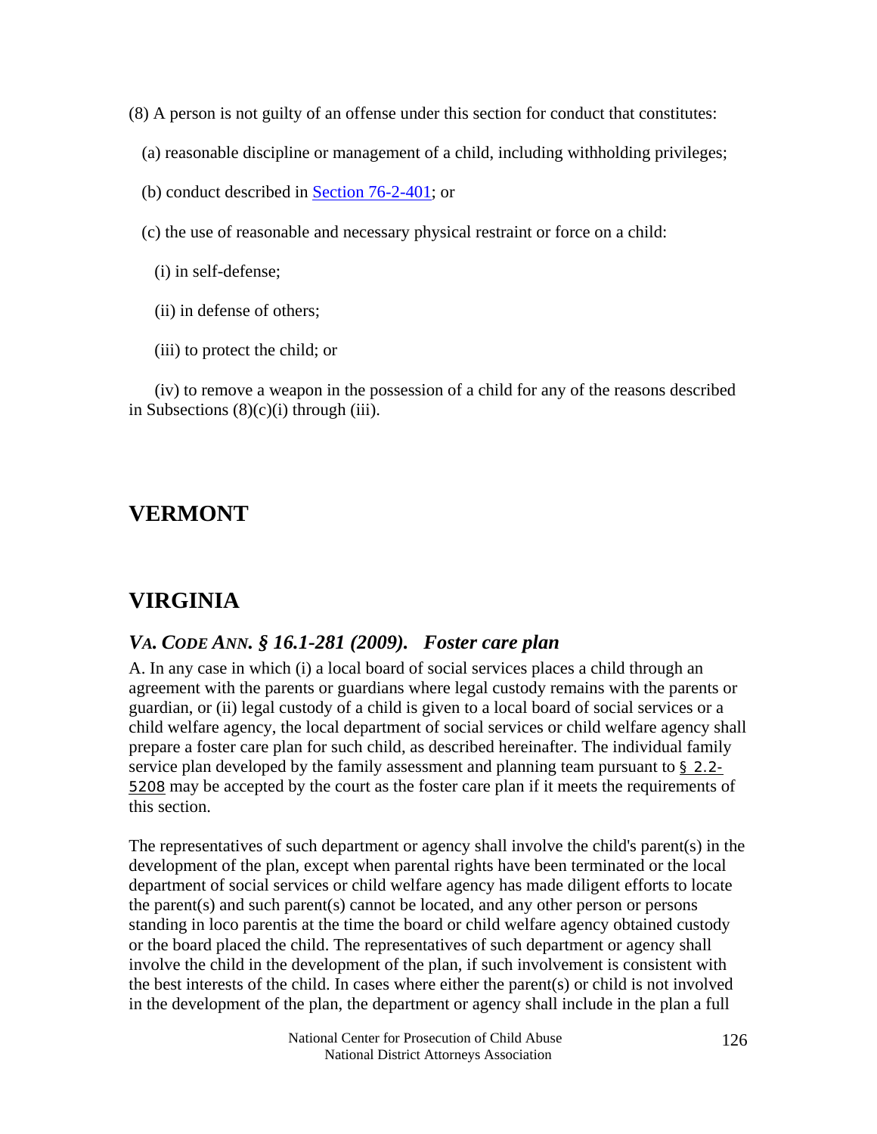- (8) A person is not guilty of an offense under this section for conduct that constitutes:
	- (a) reasonable discipline or management of a child, including withholding privileges;
	- (b) conduct described in [Section 76-2-401](https://www.lexis.com/research/buttonTFLink?_m=cec344b8188e09850523f7ba9e100208&_xfercite=%3ccite%20cc%3d%22USA%22%3e%3c%21%5bCDATA%5bUtah%20Code%20Ann.%20%a7%2076-5-109%5d%5d%3e%3c%2fcite%3e&_butType=4&_butStat=0&_butNum=6&_butInline=1&_butinfo=UTCODE%2076-2-401&_fmtstr=FULL&docnum=2&_startdoc=1&wchp=dGLbVlz-zSkAl&_md5=67b4fdfb3df429a03e1a34a21209d956); or
	- (c) the use of reasonable and necessary physical restraint or force on a child:
		- (i) in self-defense;
		- (ii) in defense of others;
		- (iii) to protect the child; or

 (iv) to remove a weapon in the possession of a child for any of the reasons described in Subsections  $(8)(c)(i)$  through (iii).

## **VERMONT**

## **VIRGINIA**

### *VA. CODE ANN. § 16.1-281 (2009). Foster care plan*

A. In any case in which (i) a local board of social services places a child through an agreement with the parents or guardians where legal custody remains with the parents or guardian, or (ii) legal custody of a child is given to a local board of social services or a child welfare agency, the local department of social services or child welfare agency shall prepare a foster care plan for such child, as described hereinafter. The individual family service plan developed by the family assessment and planning team pursuant to  $\S 2.2$ -[5208](http://www.lexis.com/research/buttonTFLink?_m=4265fda2aecbf9cd22b978c9d688546f&_xfercite=%3ccite%20cc%3d%22USA%22%3e%3c%21%5bCDATA%5bVa.%20Code%20Ann.%20%a7%2016.1-281%5d%5d%3e%3c%2fcite%3e&_butType=4&_butStat=0&_butNum=3&_butInline=1&_butinfo=VACODE%202.2-5208&_fmtstr=FULL&docnum=1&_startdoc=1&wchp=dGLzVtb-zSkAt&_md5=34b0530768792f3d6d46e50188920f97) may be accepted by the court as the foster care plan if it meets the requirements of this section.

The representatives of such department or agency shall involve the child's parent(s) in the development of the plan, except when parental rights have been terminated or the local department of social services or child welfare agency has made diligent efforts to locate the parent(s) and such parent(s) cannot be located, and any other person or persons standing in loco parentis at the time the board or child welfare agency obtained custody or the board placed the child. The representatives of such department or agency shall involve the child in the development of the plan, if such involvement is consistent with the best interests of the child. In cases where either the parent(s) or child is not involved in the development of the plan, the department or agency shall include in the plan a full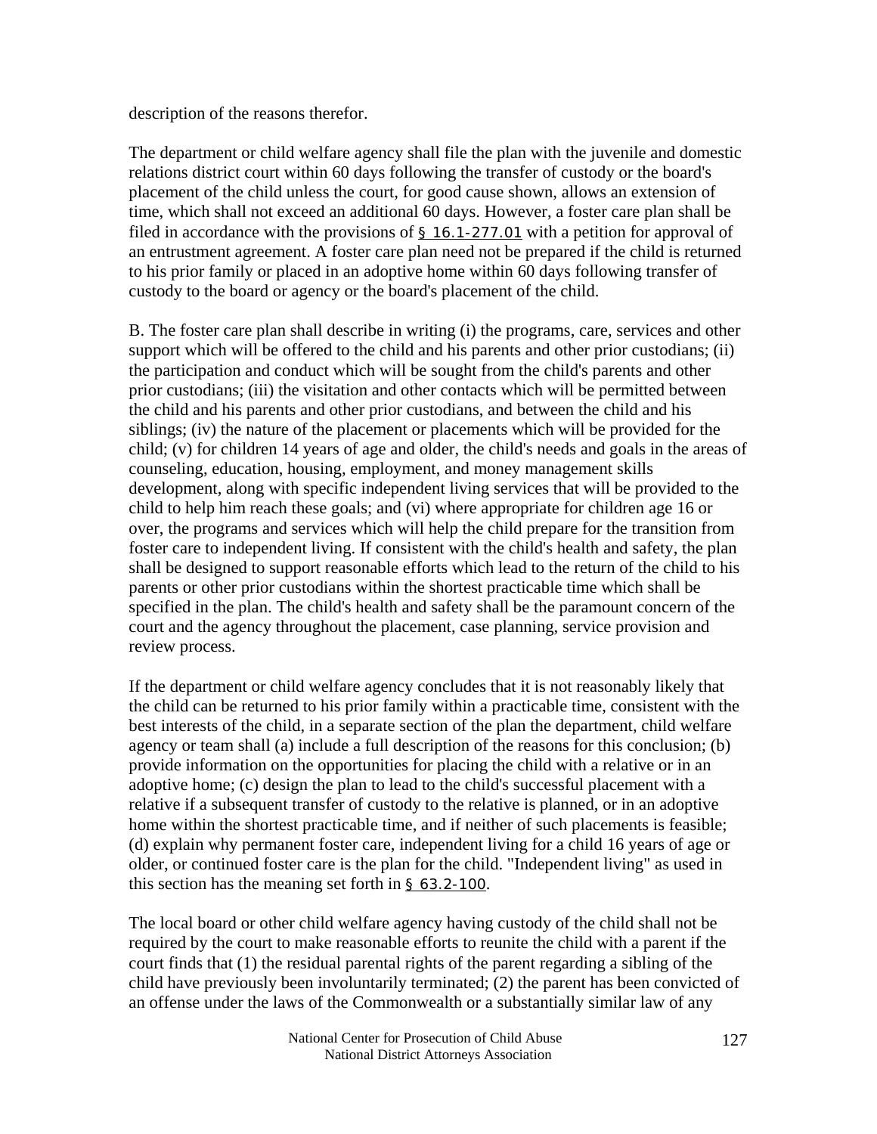description of the reasons therefor.

The department or child welfare agency shall file the plan with the juvenile and domestic relations district court within 60 days following the transfer of custody or the board's placement of the child unless the court, for good cause shown, allows an extension of time, which shall not exceed an additional 60 days. However, a foster care plan shall be filed in accordance with the provisions of  $\S$  16.1-277.01 with a petition for approval of an entrustment agreement. A foster care plan need not be prepared if the child is returned to his prior family or placed in an adoptive home within 60 days following transfer of custody to the board or agency or the board's placement of the child.

B. The foster care plan shall describe in writing (i) the programs, care, services and other support which will be offered to the child and his parents and other prior custodians; (ii) the participation and conduct which will be sought from the child's parents and other prior custodians; (iii) the visitation and other contacts which will be permitted between the child and his parents and other prior custodians, and between the child and his siblings; (iv) the nature of the placement or placements which will be provided for the child; (v) for children 14 years of age and older, the child's needs and goals in the areas of counseling, education, housing, employment, and money management skills development, along with specific independent living services that will be provided to the child to help him reach these goals; and (vi) where appropriate for children age 16 or over, the programs and services which will help the child prepare for the transition from foster care to independent living. If consistent with the child's health and safety, the plan shall be designed to support reasonable efforts which lead to the return of the child to his parents or other prior custodians within the shortest practicable time which shall be specified in the plan. The child's health and safety shall be the paramount concern of the court and the agency throughout the placement, case planning, service provision and review process.

If the department or child welfare agency concludes that it is not reasonably likely that the child can be returned to his prior family within a practicable time, consistent with the best interests of the child, in a separate section of the plan the department, child welfare agency or team shall (a) include a full description of the reasons for this conclusion; (b) provide information on the opportunities for placing the child with a relative or in an adoptive home; (c) design the plan to lead to the child's successful placement with a relative if a subsequent transfer of custody to the relative is planned, or in an adoptive home within the shortest practicable time, and if neither of such placements is feasible; (d) explain why permanent foster care, independent living for a child 16 years of age or older, or continued foster care is the plan for the child. "Independent living" as used in this section has the meaning set forth in [§ 63.2-100](http://www.lexis.com/research/buttonTFLink?_m=4265fda2aecbf9cd22b978c9d688546f&_xfercite=%3ccite%20cc%3d%22USA%22%3e%3c%21%5bCDATA%5bVa.%20Code%20Ann.%20%a7%2016.1-281%5d%5d%3e%3c%2fcite%3e&_butType=4&_butStat=0&_butNum=5&_butInline=1&_butinfo=VACODE%2063.2-100&_fmtstr=FULL&docnum=1&_startdoc=1&wchp=dGLzVtb-zSkAt&_md5=a78ba70b572631d79636a771592a104b).

The local board or other child welfare agency having custody of the child shall not be required by the court to make reasonable efforts to reunite the child with a parent if the court finds that (1) the residual parental rights of the parent regarding a sibling of the child have previously been involuntarily terminated; (2) the parent has been convicted of an offense under the laws of the Commonwealth or a substantially similar law of any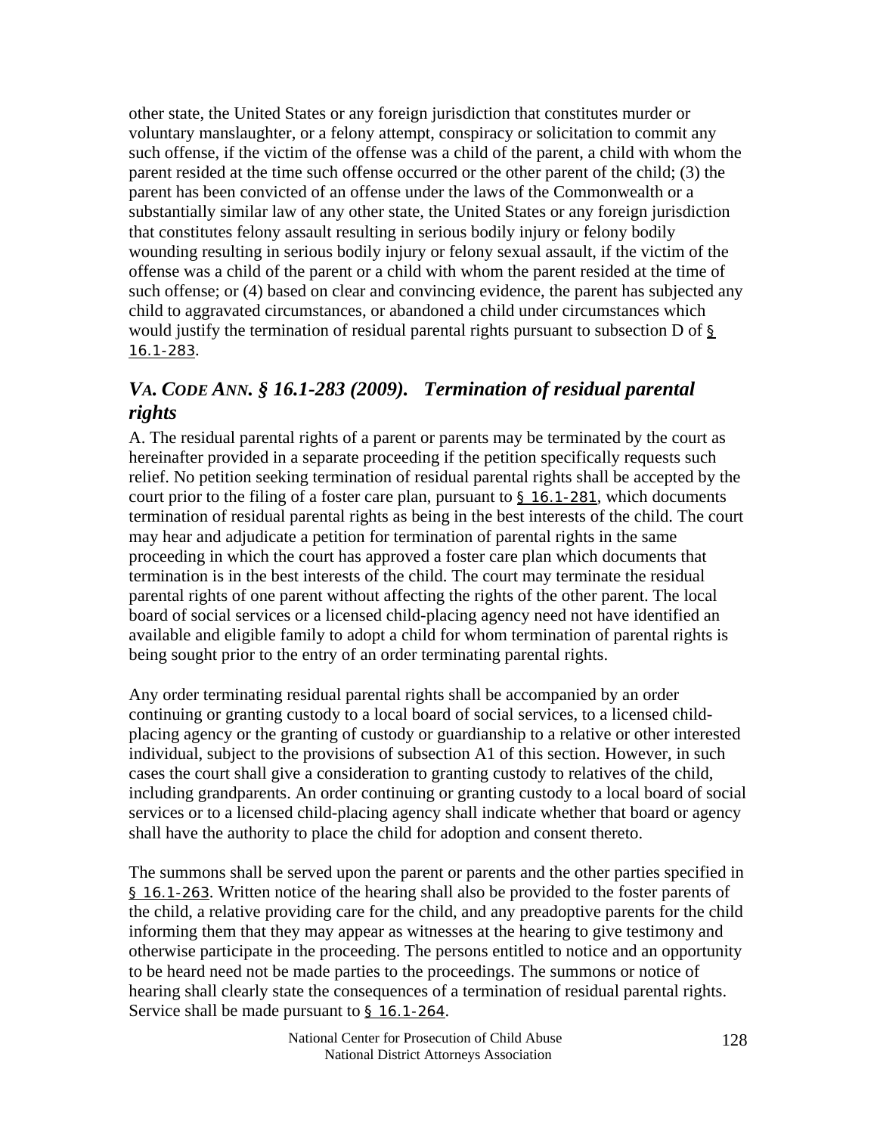other state, the United States or any foreign jurisdiction that constitutes murder or voluntary manslaughter, or a felony attempt, conspiracy or solicitation to commit any such offense, if the victim of the offense was a child of the parent, a child with whom the parent resided at the time such offense occurred or the other parent of the child; (3) the parent has been convicted of an offense under the laws of the Commonwealth or a substantially similar law of any other state, the United States or any foreign jurisdiction that constitutes felony assault resulting in serious bodily injury or felony bodily wounding resulting in serious bodily injury or felony sexual assault, if the victim of the offense was a child of the parent or a child with whom the parent resided at the time of such offense; or (4) based on clear and convincing evidence, the parent has subjected any child to aggravated circumstances, or abandoned a child under circumstances which would justify the termination of residual parental rights pursuant to subsection D of  $\frac{1}{2}$ [16.1-283](http://www.lexis.com/research/buttonTFLink?_m=4265fda2aecbf9cd22b978c9d688546f&_xfercite=%3ccite%20cc%3d%22USA%22%3e%3c%21%5bCDATA%5bVa.%20Code%20Ann.%20%a7%2016.1-281%5d%5d%3e%3c%2fcite%3e&_butType=4&_butStat=0&_butNum=6&_butInline=1&_butinfo=VACODE%2016.1-283&_fmtstr=FULL&docnum=1&_startdoc=1&wchp=dGLzVtb-zSkAt&_md5=c998a83aacd23f83ba7b4b1371378c2e).

### *VA. CODE ANN. § 16.1-283 (2009). Termination of residual parental rights*

A. The residual parental rights of a parent or parents may be terminated by the court as hereinafter provided in a separate proceeding if the petition specifically requests such relief. No petition seeking termination of residual parental rights shall be accepted by the court prior to the filing of a foster care plan, pursuant to [§ 16.1-281](http://www.lexis.com/research/buttonTFLink?_m=a102caa8eebed4f467027632e7c25a0d&_xfercite=%3ccite%20cc%3d%22USA%22%3e%3c%21%5bCDATA%5bVa.%20Code%20Ann.%20%a7%2016.1-283%5d%5d%3e%3c%2fcite%3e&_butType=4&_butStat=0&_butNum=2&_butInline=1&_butinfo=VACODE%2016.1-281&_fmtstr=FULL&docnum=1&_startdoc=1&wchp=dGLzVtb-zSkAt&_md5=1761652771bdebc866bffdd4b3507473), which documents termination of residual parental rights as being in the best interests of the child. The court may hear and adjudicate a petition for termination of parental rights in the same proceeding in which the court has approved a foster care plan which documents that termination is in the best interests of the child. The court may terminate the residual parental rights of one parent without affecting the rights of the other parent. The local board of social services or a licensed child-placing agency need not have identified an available and eligible family to adopt a child for whom termination of parental rights is being sought prior to the entry of an order terminating parental rights.

Any order terminating residual parental rights shall be accompanied by an order continuing or granting custody to a local board of social services, to a licensed childplacing agency or the granting of custody or guardianship to a relative or other interested individual, subject to the provisions of subsection A1 of this section. However, in such cases the court shall give a consideration to granting custody to relatives of the child, including grandparents. An order continuing or granting custody to a local board of social services or to a licensed child-placing agency shall indicate whether that board or agency shall have the authority to place the child for adoption and consent thereto.

The summons shall be served upon the parent or parents and the other parties specified in [§ 16.1-263](http://www.lexis.com/research/buttonTFLink?_m=a102caa8eebed4f467027632e7c25a0d&_xfercite=%3ccite%20cc%3d%22USA%22%3e%3c%21%5bCDATA%5bVa.%20Code%20Ann.%20%a7%2016.1-283%5d%5d%3e%3c%2fcite%3e&_butType=4&_butStat=0&_butNum=3&_butInline=1&_butinfo=VACODE%2016.1-263&_fmtstr=FULL&docnum=1&_startdoc=1&wchp=dGLzVtb-zSkAt&_md5=6fe1833701b8f019846323b0706bc595). Written notice of the hearing shall also be provided to the foster parents of the child, a relative providing care for the child, and any preadoptive parents for the child informing them that they may appear as witnesses at the hearing to give testimony and otherwise participate in the proceeding. The persons entitled to notice and an opportunity to be heard need not be made parties to the proceedings. The summons or notice of hearing shall clearly state the consequences of a termination of residual parental rights. Service shall be made pursuant to [§ 16.1-264](http://www.lexis.com/research/buttonTFLink?_m=a102caa8eebed4f467027632e7c25a0d&_xfercite=%3ccite%20cc%3d%22USA%22%3e%3c%21%5bCDATA%5bVa.%20Code%20Ann.%20%a7%2016.1-283%5d%5d%3e%3c%2fcite%3e&_butType=4&_butStat=0&_butNum=4&_butInline=1&_butinfo=VACODE%2016.1-264&_fmtstr=FULL&docnum=1&_startdoc=1&wchp=dGLzVtb-zSkAt&_md5=eb7304c2897fd8b3d8ab8491cbf3712e).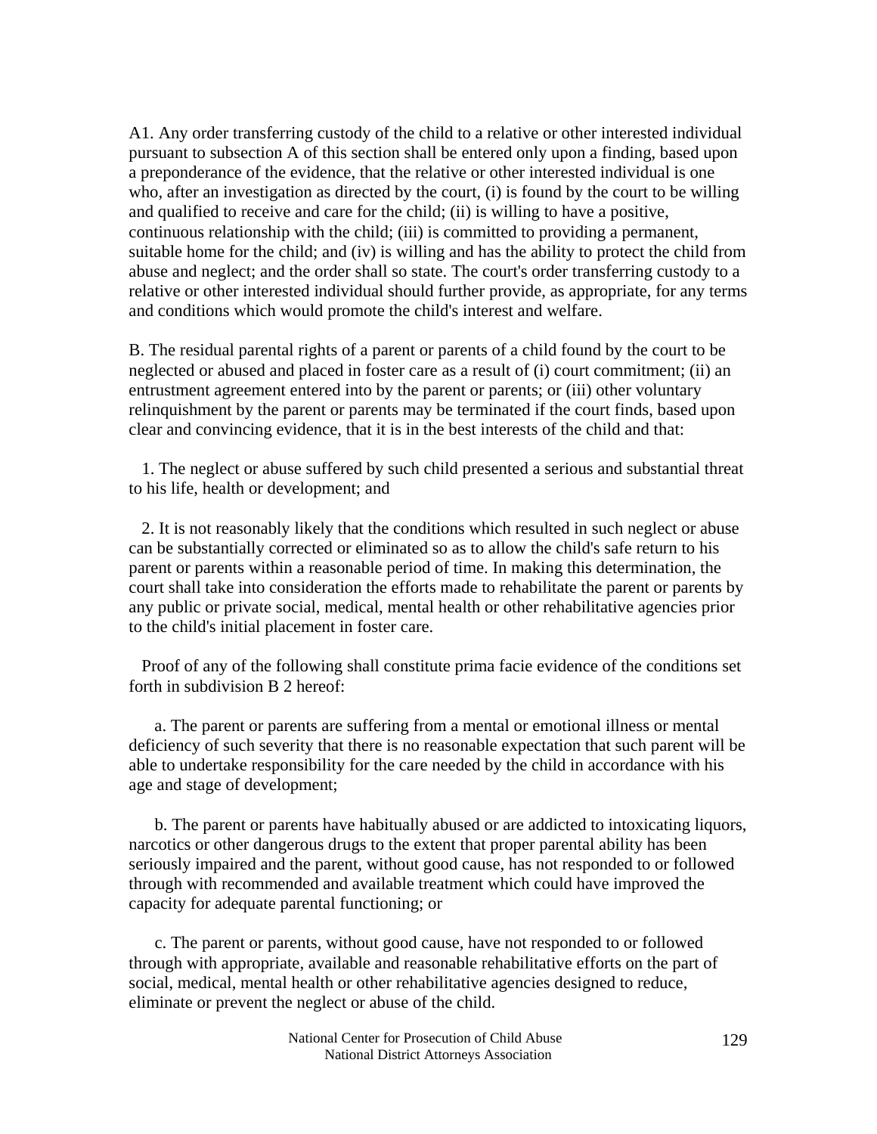A1. Any order transferring custody of the child to a relative or other interested individual pursuant to subsection A of this section shall be entered only upon a finding, based upon a preponderance of the evidence, that the relative or other interested individual is one who, after an investigation as directed by the court, (i) is found by the court to be willing and qualified to receive and care for the child; (ii) is willing to have a positive, continuous relationship with the child; (iii) is committed to providing a permanent, suitable home for the child; and (iv) is willing and has the ability to protect the child from abuse and neglect; and the order shall so state. The court's order transferring custody to a relative or other interested individual should further provide, as appropriate, for any terms and conditions which would promote the child's interest and welfare.

B. The residual parental rights of a parent or parents of a child found by the court to be neglected or abused and placed in foster care as a result of (i) court commitment; (ii) an entrustment agreement entered into by the parent or parents; or (iii) other voluntary relinquishment by the parent or parents may be terminated if the court finds, based upon clear and convincing evidence, that it is in the best interests of the child and that:

 1. The neglect or abuse suffered by such child presented a serious and substantial threat to his life, health or development; and

 2. It is not reasonably likely that the conditions which resulted in such neglect or abuse can be substantially corrected or eliminated so as to allow the child's safe return to his parent or parents within a reasonable period of time. In making this determination, the court shall take into consideration the efforts made to rehabilitate the parent or parents by any public or private social, medical, mental health or other rehabilitative agencies prior to the child's initial placement in foster care.

 Proof of any of the following shall constitute prima facie evidence of the conditions set forth in subdivision B 2 hereof:

 a. The parent or parents are suffering from a mental or emotional illness or mental deficiency of such severity that there is no reasonable expectation that such parent will be able to undertake responsibility for the care needed by the child in accordance with his age and stage of development;

 b. The parent or parents have habitually abused or are addicted to intoxicating liquors, narcotics or other dangerous drugs to the extent that proper parental ability has been seriously impaired and the parent, without good cause, has not responded to or followed through with recommended and available treatment which could have improved the capacity for adequate parental functioning; or

 c. The parent or parents, without good cause, have not responded to or followed through with appropriate, available and reasonable rehabilitative efforts on the part of social, medical, mental health or other rehabilitative agencies designed to reduce, eliminate or prevent the neglect or abuse of the child.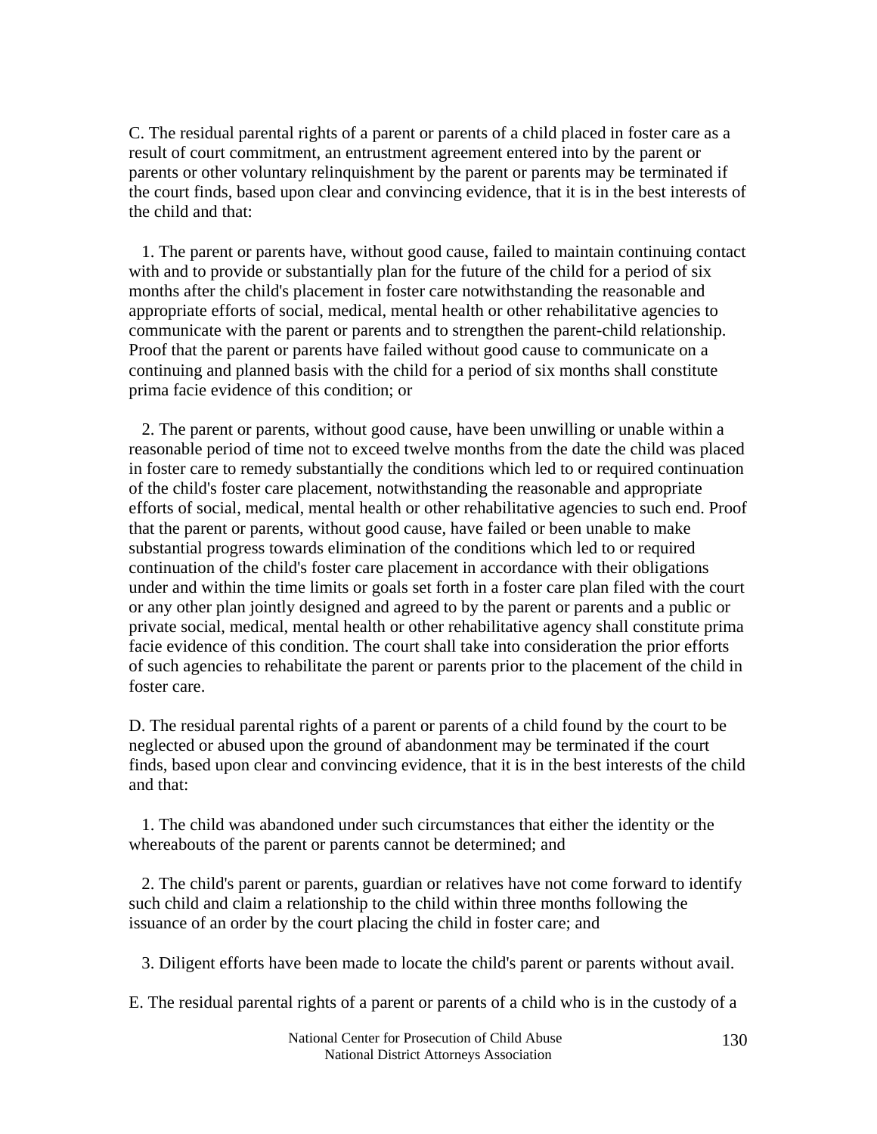C. The residual parental rights of a parent or parents of a child placed in foster care as a result of court commitment, an entrustment agreement entered into by the parent or parents or other voluntary relinquishment by the parent or parents may be terminated if the court finds, based upon clear and convincing evidence, that it is in the best interests of the child and that:

 1. The parent or parents have, without good cause, failed to maintain continuing contact with and to provide or substantially plan for the future of the child for a period of six months after the child's placement in foster care notwithstanding the reasonable and appropriate efforts of social, medical, mental health or other rehabilitative agencies to communicate with the parent or parents and to strengthen the parent-child relationship. Proof that the parent or parents have failed without good cause to communicate on a continuing and planned basis with the child for a period of six months shall constitute prima facie evidence of this condition; or

 2. The parent or parents, without good cause, have been unwilling or unable within a reasonable period of time not to exceed twelve months from the date the child was placed in foster care to remedy substantially the conditions which led to or required continuation of the child's foster care placement, notwithstanding the reasonable and appropriate efforts of social, medical, mental health or other rehabilitative agencies to such end. Proof that the parent or parents, without good cause, have failed or been unable to make substantial progress towards elimination of the conditions which led to or required continuation of the child's foster care placement in accordance with their obligations under and within the time limits or goals set forth in a foster care plan filed with the court or any other plan jointly designed and agreed to by the parent or parents and a public or private social, medical, mental health or other rehabilitative agency shall constitute prima facie evidence of this condition. The court shall take into consideration the prior efforts of such agencies to rehabilitate the parent or parents prior to the placement of the child in foster care.

D. The residual parental rights of a parent or parents of a child found by the court to be neglected or abused upon the ground of abandonment may be terminated if the court finds, based upon clear and convincing evidence, that it is in the best interests of the child and that:

 1. The child was abandoned under such circumstances that either the identity or the whereabouts of the parent or parents cannot be determined; and

 2. The child's parent or parents, guardian or relatives have not come forward to identify such child and claim a relationship to the child within three months following the issuance of an order by the court placing the child in foster care; and

3. Diligent efforts have been made to locate the child's parent or parents without avail.

E. The residual parental rights of a parent or parents of a child who is in the custody of a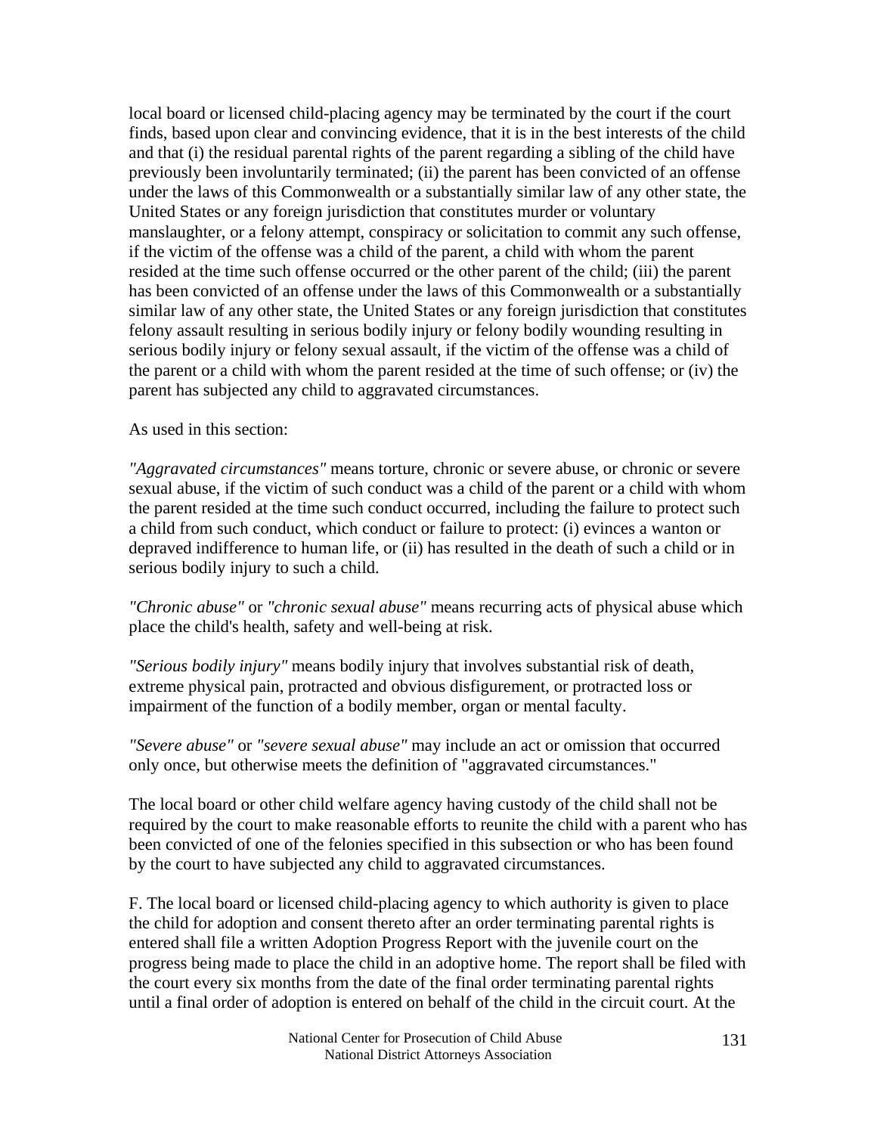local board or licensed child-placing agency may be terminated by the court if the court finds, based upon clear and convincing evidence, that it is in the best interests of the child and that (i) the residual parental rights of the parent regarding a sibling of the child have previously been involuntarily terminated; (ii) the parent has been convicted of an offense under the laws of this Commonwealth or a substantially similar law of any other state, the United States or any foreign jurisdiction that constitutes murder or voluntary manslaughter, or a felony attempt, conspiracy or solicitation to commit any such offense, if the victim of the offense was a child of the parent, a child with whom the parent resided at the time such offense occurred or the other parent of the child; (iii) the parent has been convicted of an offense under the laws of this Commonwealth or a substantially similar law of any other state, the United States or any foreign jurisdiction that constitutes felony assault resulting in serious bodily injury or felony bodily wounding resulting in serious bodily injury or felony sexual assault, if the victim of the offense was a child of the parent or a child with whom the parent resided at the time of such offense; or (iv) the parent has subjected any child to aggravated circumstances.

#### As used in this section:

*"Aggravated circumstances"* means torture, chronic or severe abuse, or chronic or severe sexual abuse, if the victim of such conduct was a child of the parent or a child with whom the parent resided at the time such conduct occurred, including the failure to protect such a child from such conduct, which conduct or failure to protect: (i) evinces a wanton or depraved indifference to human life, or (ii) has resulted in the death of such a child or in serious bodily injury to such a child.

*"Chronic abuse"* or *"chronic sexual abuse"* means recurring acts of physical abuse which place the child's health, safety and well-being at risk.

*"Serious bodily injury"* means bodily injury that involves substantial risk of death, extreme physical pain, protracted and obvious disfigurement, or protracted loss or impairment of the function of a bodily member, organ or mental faculty.

*"Severe abuse"* or *"severe sexual abuse"* may include an act or omission that occurred only once, but otherwise meets the definition of "aggravated circumstances."

The local board or other child welfare agency having custody of the child shall not be required by the court to make reasonable efforts to reunite the child with a parent who has been convicted of one of the felonies specified in this subsection or who has been found by the court to have subjected any child to aggravated circumstances.

F. The local board or licensed child-placing agency to which authority is given to place the child for adoption and consent thereto after an order terminating parental rights is entered shall file a written Adoption Progress Report with the juvenile court on the progress being made to place the child in an adoptive home. The report shall be filed with the court every six months from the date of the final order terminating parental rights until a final order of adoption is entered on behalf of the child in the circuit court. At the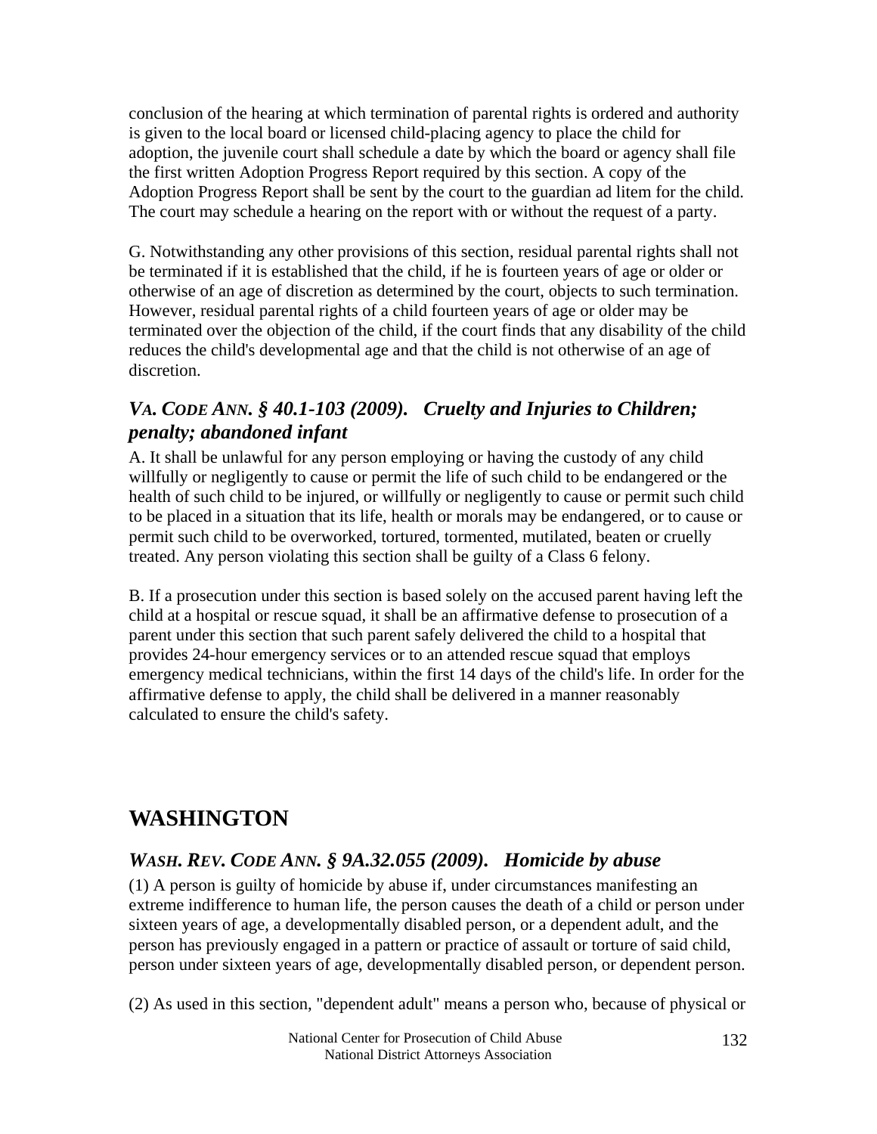conclusion of the hearing at which termination of parental rights is ordered and authority is given to the local board or licensed child-placing agency to place the child for adoption, the juvenile court shall schedule a date by which the board or agency shall file the first written Adoption Progress Report required by this section. A copy of the Adoption Progress Report shall be sent by the court to the guardian ad litem for the child. The court may schedule a hearing on the report with or without the request of a party.

G. Notwithstanding any other provisions of this section, residual parental rights shall not be terminated if it is established that the child, if he is fourteen years of age or older or otherwise of an age of discretion as determined by the court, objects to such termination. However, residual parental rights of a child fourteen years of age or older may be terminated over the objection of the child, if the court finds that any disability of the child reduces the child's developmental age and that the child is not otherwise of an age of discretion.

### *VA. CODE ANN. § 40.1-103 (2009). Cruelty and Injuries to Children; penalty; abandoned infant*

A. It shall be unlawful for any person employing or having the custody of any child willfully or negligently to cause or permit the life of such child to be endangered or the health of such child to be injured, or willfully or negligently to cause or permit such child to be placed in a situation that its life, health or morals may be endangered, or to cause or permit such child to be overworked, tortured, tormented, mutilated, beaten or cruelly treated. Any person violating this section shall be guilty of a Class 6 felony.

B. If a prosecution under this section is based solely on the accused parent having left the child at a hospital or rescue squad, it shall be an affirmative defense to prosecution of a parent under this section that such parent safely delivered the child to a hospital that provides 24-hour emergency services or to an attended rescue squad that employs emergency medical technicians, within the first 14 days of the child's life. In order for the affirmative defense to apply, the child shall be delivered in a manner reasonably calculated to ensure the child's safety.

# **WASHINGTON**

### *WASH. REV. CODE ANN. § 9A.32.055 (2009). Homicide by abuse*

(1) A person is guilty of homicide by abuse if, under circumstances manifesting an extreme indifference to human life, the person causes the death of a child or person under sixteen years of age, a developmentally disabled person, or a dependent adult, and the person has previously engaged in a pattern or practice of assault or torture of said child, person under sixteen years of age, developmentally disabled person, or dependent person.

(2) As used in this section, "dependent adult" means a person who, because of physical or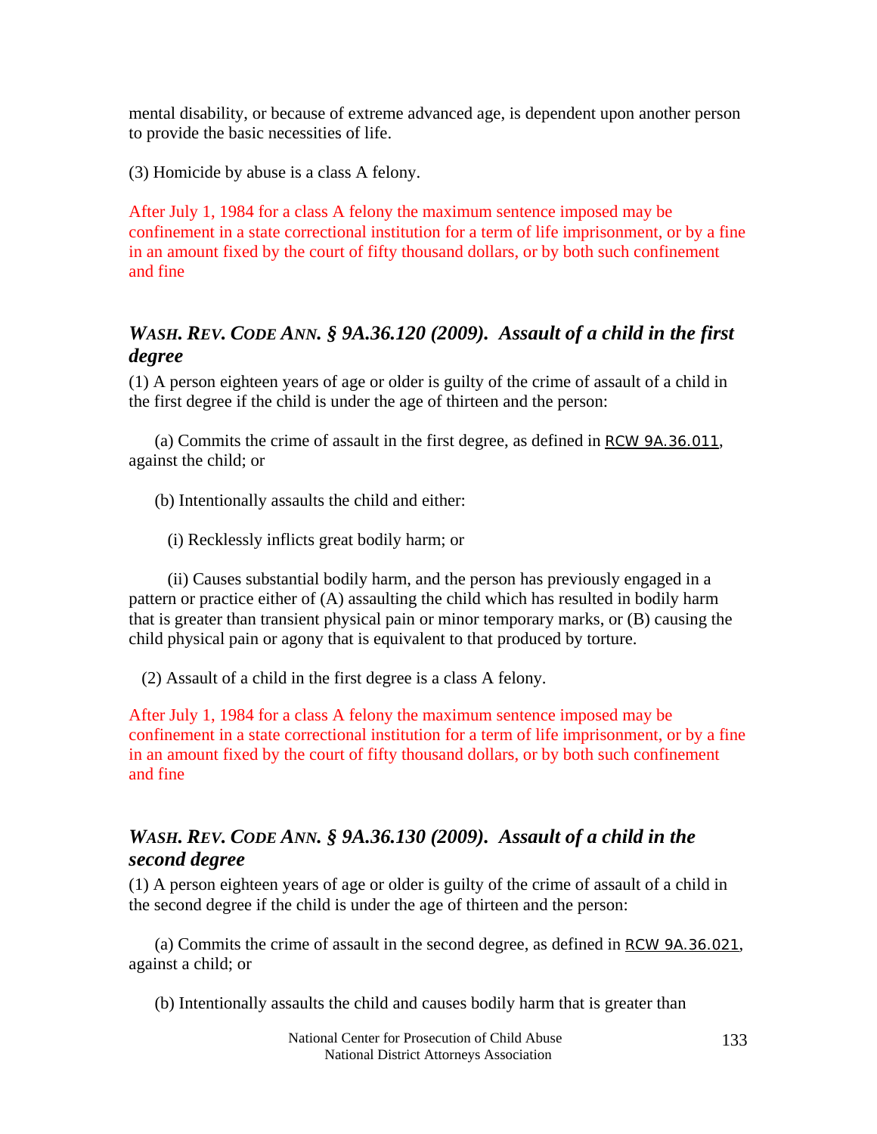mental disability, or because of extreme advanced age, is dependent upon another person to provide the basic necessities of life.

(3) Homicide by abuse is a class A felony.

After July 1, 1984 for a class A felony the maximum sentence imposed may be confinement in a state correctional institution for a term of life imprisonment, or by a fine in an amount fixed by the court of fifty thousand dollars, or by both such confinement and fine

### *WASH. REV. CODE ANN. § 9A.36.120 (2009). Assault of a child in the first degree*

(1) A person eighteen years of age or older is guilty of the crime of assault of a child in the first degree if the child is under the age of thirteen and the person:

 (a) Commits the crime of assault in the first degree, as defined in [RCW 9A.36.011](https://www.lexis.com/research/buttonTFLink?_m=090cee5bfef5ab425321e7728e3ee23e&_xfercite=%3ccite%20cc%3d%22USA%22%3e%3c%21%5bCDATA%5bRev.%20Code%20Wash.%20%28ARCW%29%20%a7%209A.36.120%5d%5d%3e%3c%2fcite%3e&_butType=4&_butStat=0&_butNum=2&_butInline=1&_butinfo=WACODE%209A.36.011&_fmtstr=FULL&docnum=1&_startdoc=1&wchp=dGLbVzb-zSkAW&_md5=0217a82291ef171c9e186820c188d2e4), against the child; or

(b) Intentionally assaults the child and either:

(i) Recklessly inflicts great bodily harm; or

 (ii) Causes substantial bodily harm, and the person has previously engaged in a pattern or practice either of (A) assaulting the child which has resulted in bodily harm that is greater than transient physical pain or minor temporary marks, or (B) causing the child physical pain or agony that is equivalent to that produced by torture.

(2) Assault of a child in the first degree is a class A felony.

After July 1, 1984 for a class A felony the maximum sentence imposed may be confinement in a state correctional institution for a term of life imprisonment, or by a fine in an amount fixed by the court of fifty thousand dollars, or by both such confinement and fine

### *WASH. REV. CODE ANN. § 9A.36.130 (2009). Assault of a child in the second degree*

(1) A person eighteen years of age or older is guilty of the crime of assault of a child in the second degree if the child is under the age of thirteen and the person:

 (a) Commits the crime of assault in the second degree, as defined in [RCW 9A.36.021](https://www.lexis.com/research/buttonTFLink?_m=2ce988db4d0d61d95124bbb5f900a55b&_xfercite=%3ccite%20cc%3d%22USA%22%3e%3c%21%5bCDATA%5bRev.%20Code%20Wash.%20%28ARCW%29%20%a7%209A.36.130%5d%5d%3e%3c%2fcite%3e&_butType=4&_butStat=0&_butNum=2&_butInline=1&_butinfo=WACODE%209A.36.021&_fmtstr=FULL&docnum=1&_startdoc=1&wchp=dGLbVzb-zSkAW&_md5=834d5a2f1e2c30d89e8f4b6273ffbc2a), against a child; or

(b) Intentionally assaults the child and causes bodily harm that is greater than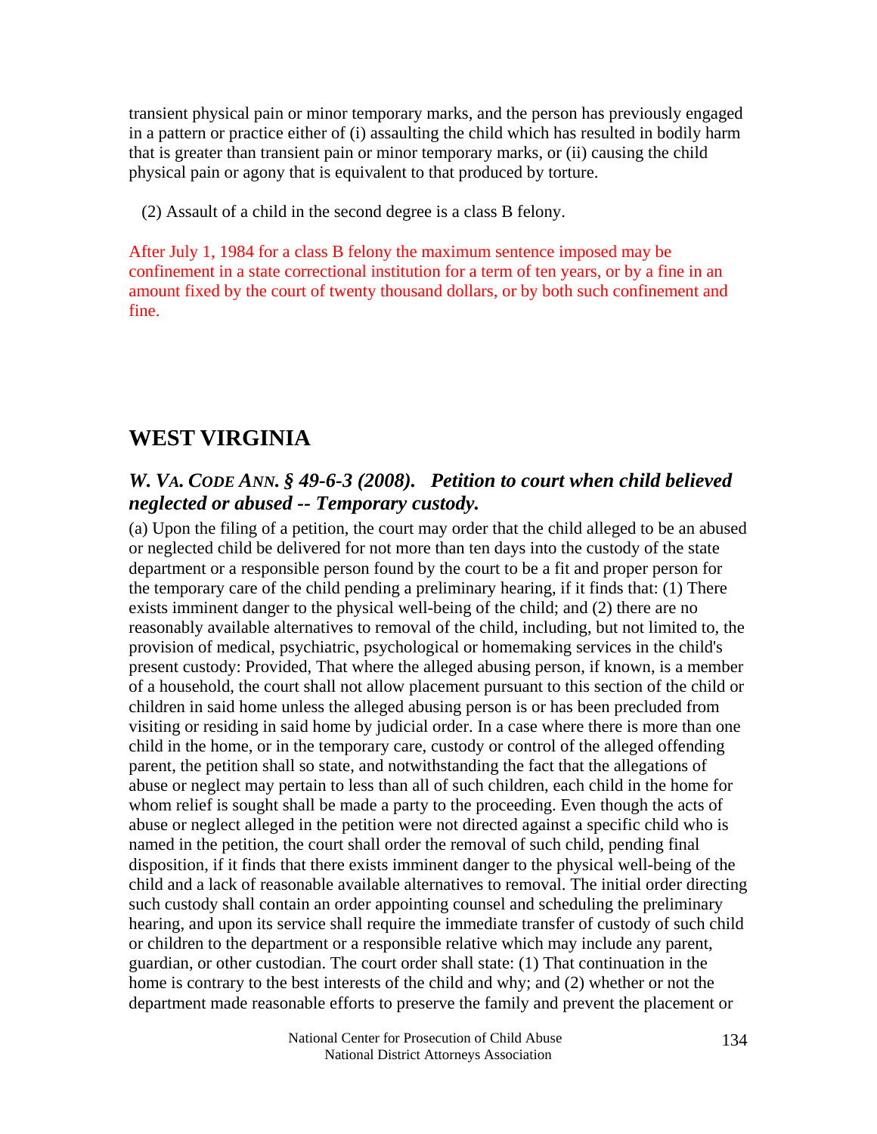transient physical pain or minor temporary marks, and the person has previously engaged in a pattern or practice either of (i) assaulting the child which has resulted in bodily harm that is greater than transient pain or minor temporary marks, or (ii) causing the child physical pain or agony that is equivalent to that produced by torture.

(2) Assault of a child in the second degree is a class B felony.

After July 1, 1984 for a class B felony the maximum sentence imposed may be confinement in a state correctional institution for a term of ten years, or by a fine in an amount fixed by the court of twenty thousand dollars, or by both such confinement and fine.

### **WEST VIRGINIA**

### *W. VA. CODE ANN. § 49-6-3 (2008). Petition to court when child believed neglected or abused -- Temporary custody.*

(a) Upon the filing of a petition, the court may order that the child alleged to be an abused or neglected child be delivered for not more than ten days into the custody of the state department or a responsible person found by the court to be a fit and proper person for the temporary care of the child pending a preliminary hearing, if it finds that: (1) There exists imminent danger to the physical well-being of the child; and (2) there are no reasonably available alternatives to removal of the child, including, but not limited to, the provision of medical, psychiatric, psychological or homemaking services in the child's present custody: Provided, That where the alleged abusing person, if known, is a member of a household, the court shall not allow placement pursuant to this section of the child or children in said home unless the alleged abusing person is or has been precluded from visiting or residing in said home by judicial order. In a case where there is more than one child in the home, or in the temporary care, custody or control of the alleged offending parent, the petition shall so state, and notwithstanding the fact that the allegations of abuse or neglect may pertain to less than all of such children, each child in the home for whom relief is sought shall be made a party to the proceeding. Even though the acts of abuse or neglect alleged in the petition were not directed against a specific child who is named in the petition, the court shall order the removal of such child, pending final disposition, if it finds that there exists imminent danger to the physical well-being of the child and a lack of reasonable available alternatives to removal. The initial order directing such custody shall contain an order appointing counsel and scheduling the preliminary hearing, and upon its service shall require the immediate transfer of custody of such child or children to the department or a responsible relative which may include any parent, guardian, or other custodian. The court order shall state: (1) That continuation in the home is contrary to the best interests of the child and why; and (2) whether or not the department made reasonable efforts to preserve the family and prevent the placement or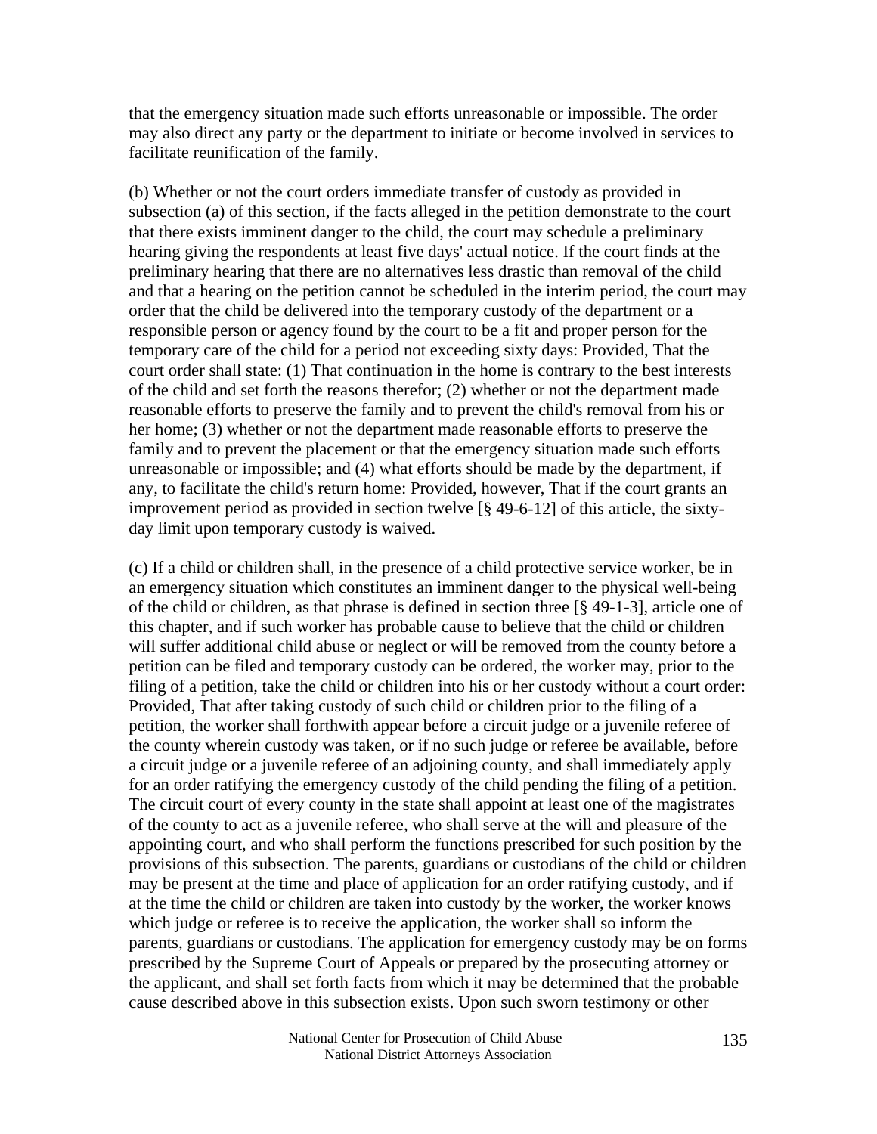that the emergency situation made such efforts unreasonable or impossible. The order may also direct any party or the department to initiate or become involved in services to facilitate reunification of the family.

(b) Whether or not the court orders immediate transfer of custody as provided in subsection (a) of this section, if the facts alleged in the petition demonstrate to the court that there exists imminent danger to the child, the court may schedule a preliminary hearing giving the respondents at least five days' actual notice. If the court finds at the preliminary hearing that there are no alternatives less drastic than removal of the child and that a hearing on the petition cannot be scheduled in the interim period, the court may order that the child be delivered into the temporary custody of the department or a responsible person or agency found by the court to be a fit and proper person for the temporary care of the child for a period not exceeding sixty days: Provided, That the court order shall state: (1) That continuation in the home is contrary to the best interests of the child and set forth the reasons therefor; (2) whether or not the department made reasonable efforts to preserve the family and to prevent the child's removal from his or her home; (3) whether or not the department made reasonable efforts to preserve the family and to prevent the placement or that the emergency situation made such efforts unreasonable or impossible; and (4) what efforts should be made by the department, if any, to facilitate the child's return home: Provided, however, That if the court grants an improvement period as provided in section twelve [[§ 49-6-12\]](https://www.lexis.com/research/buttonTFLink?_m=0756e00304a01c32c6a28ea10e357369&_xfercite=%3ccite%20cc%3d%22USA%22%3e%3c%21%5bCDATA%5bW.%20Va.%20Code%20%a7%2049-6-3%5d%5d%3e%3c%2fcite%3e&_butType=4&_butStat=0&_butNum=2&_butInline=1&_butinfo=WVCODE%2049-6-12&_fmtstr=FULL&docnum=3&_startdoc=1&wchp=dGLbVlz-zSkAl&_md5=8fb88364ed80c16da6efebaf3f698855) of this article, the sixtyday limit upon temporary custody is waived.

(c) If a child or children shall, in the presence of a child protective service worker, be in an emergency situation which constitutes an imminent danger to the physical well-being of the child or children, as that phrase is defined in section three [[§ 49-1-3\]](https://www.lexis.com/research/buttonTFLink?_m=0756e00304a01c32c6a28ea10e357369&_xfercite=%3ccite%20cc%3d%22USA%22%3e%3c%21%5bCDATA%5bW.%20Va.%20Code%20%a7%2049-6-3%5d%5d%3e%3c%2fcite%3e&_butType=4&_butStat=0&_butNum=3&_butInline=1&_butinfo=WVCODE%2049-1-3&_fmtstr=FULL&docnum=3&_startdoc=1&wchp=dGLbVlz-zSkAl&_md5=ba7f8842be7c5d3a8223cd26869cd747), article one of this chapter, and if such worker has probable cause to believe that the child or children will suffer additional child abuse or neglect or will be removed from the county before a petition can be filed and temporary custody can be ordered, the worker may, prior to the filing of a petition, take the child or children into his or her custody without a court order: Provided, That after taking custody of such child or children prior to the filing of a petition, the worker shall forthwith appear before a circuit judge or a juvenile referee of the county wherein custody was taken, or if no such judge or referee be available, before a circuit judge or a juvenile referee of an adjoining county, and shall immediately apply for an order ratifying the emergency custody of the child pending the filing of a petition. The circuit court of every county in the state shall appoint at least one of the magistrates of the county to act as a juvenile referee, who shall serve at the will and pleasure of the appointing court, and who shall perform the functions prescribed for such position by the provisions of this subsection. The parents, guardians or custodians of the child or children may be present at the time and place of application for an order ratifying custody, and if at the time the child or children are taken into custody by the worker, the worker knows which judge or referee is to receive the application, the worker shall so inform the parents, guardians or custodians. The application for emergency custody may be on forms prescribed by the Supreme Court of Appeals or prepared by the prosecuting attorney or the applicant, and shall set forth facts from which it may be determined that the probable cause described above in this subsection exists. Upon such sworn testimony or other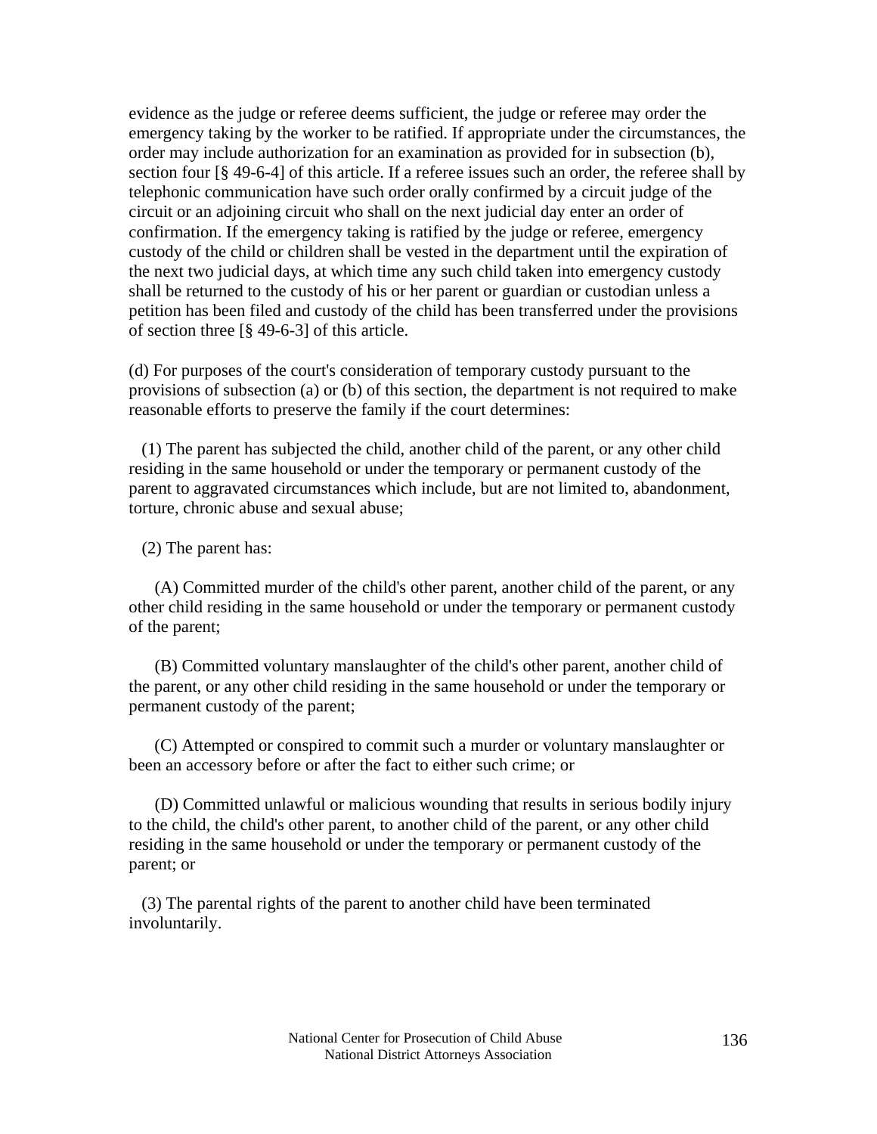evidence as the judge or referee deems sufficient, the judge or referee may order the emergency taking by the worker to be ratified. If appropriate under the circumstances, the order may include authorization for an examination as provided for in subsection (b), section four [[§ 49-6-4](https://www.lexis.com/research/buttonTFLink?_m=0756e00304a01c32c6a28ea10e357369&_xfercite=%3ccite%20cc%3d%22USA%22%3e%3c%21%5bCDATA%5bW.%20Va.%20Code%20%a7%2049-6-3%5d%5d%3e%3c%2fcite%3e&_butType=4&_butStat=0&_butNum=4&_butInline=1&_butinfo=WVCODE%2049-6-4&_fmtstr=FULL&docnum=3&_startdoc=1&wchp=dGLbVlz-zSkAl&_md5=ddb16a8a4d45ad0f369f37423a5a9728)] of this article. If a referee issues such an order, the referee shall by telephonic communication have such order orally confirmed by a circuit judge of the circuit or an adjoining circuit who shall on the next judicial day enter an order of confirmation. If the emergency taking is ratified by the judge or referee, emergency custody of the child or children shall be vested in the department until the expiration of the next two judicial days, at which time any such child taken into emergency custody shall be returned to the custody of his or her parent or guardian or custodian unless a petition has been filed and custody of the child has been transferred under the provisions of section three [\[§ 49-6-3\]](https://www.lexis.com/research/buttonTFLink?_m=0756e00304a01c32c6a28ea10e357369&_xfercite=%3ccite%20cc%3d%22USA%22%3e%3c%21%5bCDATA%5bW.%20Va.%20Code%20%a7%2049-6-3%5d%5d%3e%3c%2fcite%3e&_butType=4&_butStat=0&_butNum=5&_butInline=1&_butinfo=WVCODE%2049-6-3&_fmtstr=FULL&docnum=3&_startdoc=1&wchp=dGLbVlz-zSkAl&_md5=4f8592710ba894be426d9a962bfc2e70) of this article.

(d) For purposes of the court's consideration of temporary custody pursuant to the provisions of subsection (a) or (b) of this section, the department is not required to make reasonable efforts to preserve the family if the court determines:

 (1) The parent has subjected the child, another child of the parent, or any other child residing in the same household or under the temporary or permanent custody of the parent to aggravated circumstances which include, but are not limited to, abandonment, torture, chronic abuse and sexual abuse;

(2) The parent has:

 (A) Committed murder of the child's other parent, another child of the parent, or any other child residing in the same household or under the temporary or permanent custody of the parent;

 (B) Committed voluntary manslaughter of the child's other parent, another child of the parent, or any other child residing in the same household or under the temporary or permanent custody of the parent;

 (C) Attempted or conspired to commit such a murder or voluntary manslaughter or been an accessory before or after the fact to either such crime; or

 (D) Committed unlawful or malicious wounding that results in serious bodily injury to the child, the child's other parent, to another child of the parent, or any other child residing in the same household or under the temporary or permanent custody of the parent; or

 (3) The parental rights of the parent to another child have been terminated involuntarily.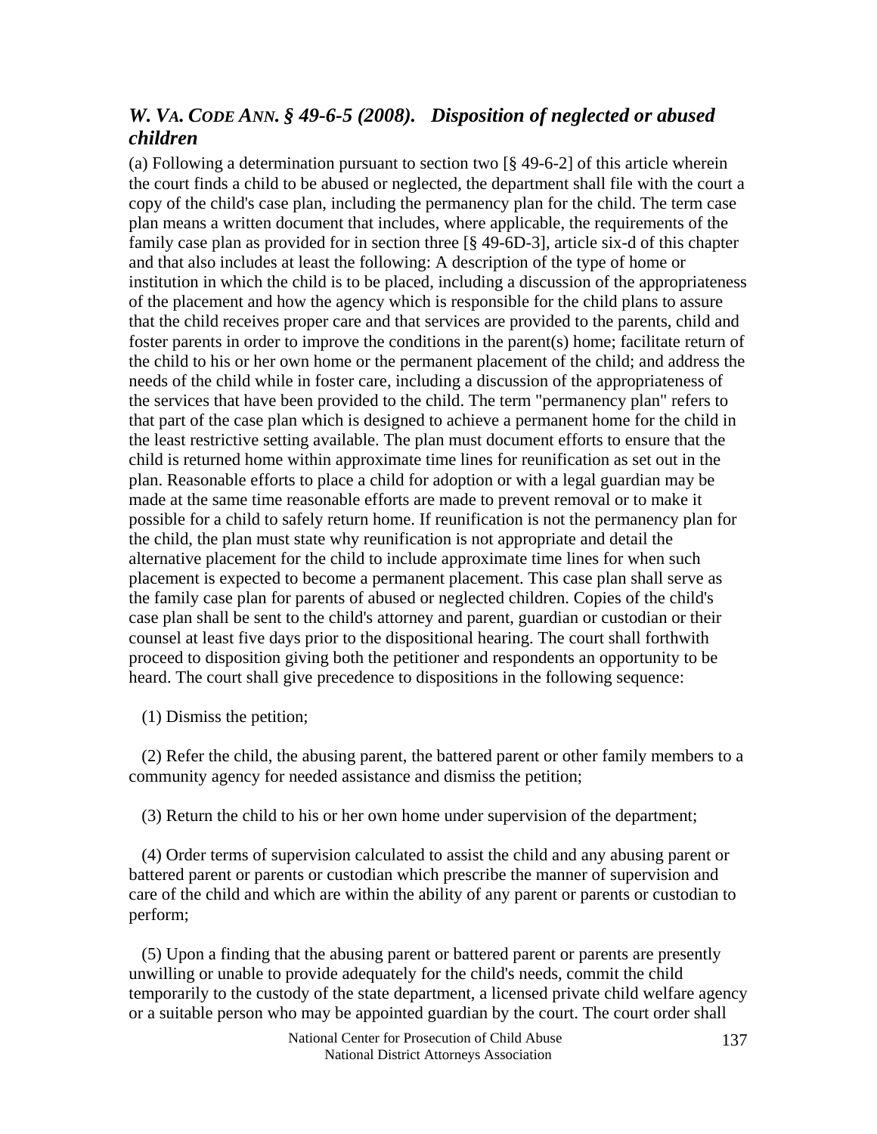### *W. VA. CODE ANN. § 49-6-5 (2008). Disposition of neglected or abused children*

(a) Following a determination pursuant to section two [\[§ 49-6-2](https://www.lexis.com/research/buttonTFLink?_m=9dfac9866ee95bd07e864a05f1b29fc8&_xfercite=%3ccite%20cc%3d%22USA%22%3e%3c%21%5bCDATA%5bW.%20Va.%20Code%20%a7%2049-6-5%5d%5d%3e%3c%2fcite%3e&_butType=4&_butStat=0&_butNum=2&_butInline=1&_butinfo=WVCODE%2049-6-2&_fmtstr=FULL&docnum=4&_startdoc=1&wchp=dGLbVlz-zSkAl&_md5=f321482a5ab71da0bfb24e8d1fc5c775)] of this article wherein the court finds a child to be abused or neglected, the department shall file with the court a copy of the child's case plan, including the permanency plan for the child. The term case plan means a written document that includes, where applicable, the requirements of the family case plan as provided for in section three [[§ 49-6D-3](https://www.lexis.com/research/buttonTFLink?_m=9dfac9866ee95bd07e864a05f1b29fc8&_xfercite=%3ccite%20cc%3d%22USA%22%3e%3c%21%5bCDATA%5bW.%20Va.%20Code%20%a7%2049-6-5%5d%5d%3e%3c%2fcite%3e&_butType=4&_butStat=0&_butNum=3&_butInline=1&_butinfo=WVCODE%2049-6D-3&_fmtstr=FULL&docnum=4&_startdoc=1&wchp=dGLbVlz-zSkAl&_md5=a221c25d4a9d66032a0dd80df549c24d)], article six-d of this chapter and that also includes at least the following: A description of the type of home or institution in which the child is to be placed, including a discussion of the appropriateness of the placement and how the agency which is responsible for the child plans to assure that the child receives proper care and that services are provided to the parents, child and foster parents in order to improve the conditions in the parent(s) home; facilitate return of the child to his or her own home or the permanent placement of the child; and address the needs of the child while in foster care, including a discussion of the appropriateness of the services that have been provided to the child. The term "permanency plan" refers to that part of the case plan which is designed to achieve a permanent home for the child in the least restrictive setting available. The plan must document efforts to ensure that the child is returned home within approximate time lines for reunification as set out in the plan. Reasonable efforts to place a child for adoption or with a legal guardian may be made at the same time reasonable efforts are made to prevent removal or to make it possible for a child to safely return home. If reunification is not the permanency plan for the child, the plan must state why reunification is not appropriate and detail the alternative placement for the child to include approximate time lines for when such placement is expected to become a permanent placement. This case plan shall serve as the family case plan for parents of abused or neglected children. Copies of the child's case plan shall be sent to the child's attorney and parent, guardian or custodian or their counsel at least five days prior to the dispositional hearing. The court shall forthwith proceed to disposition giving both the petitioner and respondents an opportunity to be heard. The court shall give precedence to dispositions in the following sequence:

(1) Dismiss the petition;

 (2) Refer the child, the abusing parent, the battered parent or other family members to a community agency for needed assistance and dismiss the petition;

(3) Return the child to his or her own home under supervision of the department;

 (4) Order terms of supervision calculated to assist the child and any abusing parent or battered parent or parents or custodian which prescribe the manner of supervision and care of the child and which are within the ability of any parent or parents or custodian to perform;

 (5) Upon a finding that the abusing parent or battered parent or parents are presently unwilling or unable to provide adequately for the child's needs, commit the child temporarily to the custody of the state department, a licensed private child welfare agency or a suitable person who may be appointed guardian by the court. The court order shall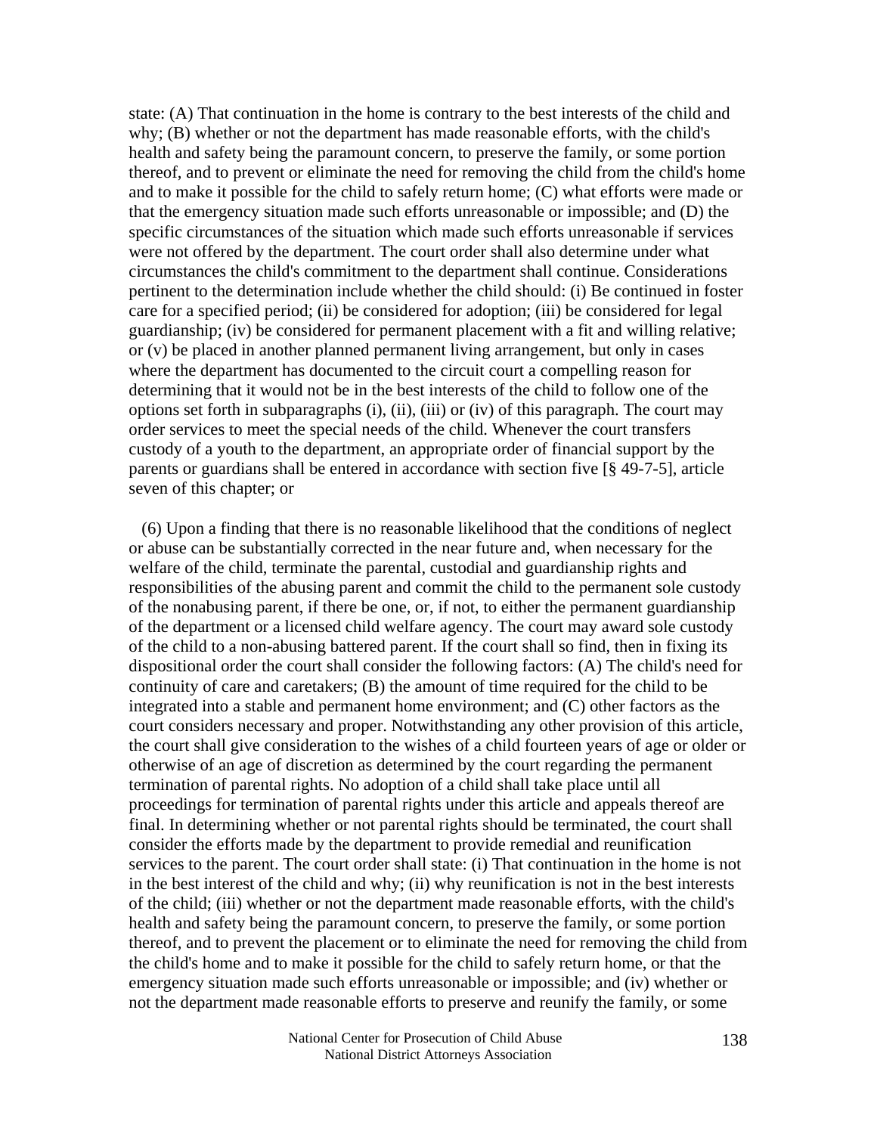state: (A) That continuation in the home is contrary to the best interests of the child and why; (B) whether or not the department has made reasonable efforts, with the child's health and safety being the paramount concern, to preserve the family, or some portion thereof, and to prevent or eliminate the need for removing the child from the child's home and to make it possible for the child to safely return home; (C) what efforts were made or that the emergency situation made such efforts unreasonable or impossible; and (D) the specific circumstances of the situation which made such efforts unreasonable if services were not offered by the department. The court order shall also determine under what circumstances the child's commitment to the department shall continue. Considerations pertinent to the determination include whether the child should: (i) Be continued in foster care for a specified period; (ii) be considered for adoption; (iii) be considered for legal guardianship; (iv) be considered for permanent placement with a fit and willing relative; or (v) be placed in another planned permanent living arrangement, but only in cases where the department has documented to the circuit court a compelling reason for determining that it would not be in the best interests of the child to follow one of the options set forth in subparagraphs (i), (ii), (iii) or (iv) of this paragraph. The court may order services to meet the special needs of the child. Whenever the court transfers custody of a youth to the department, an appropriate order of financial support by the parents or guardians shall be entered in accordance with section five [[§ 49-7-5\]](https://www.lexis.com/research/buttonTFLink?_m=9dfac9866ee95bd07e864a05f1b29fc8&_xfercite=%3ccite%20cc%3d%22USA%22%3e%3c%21%5bCDATA%5bW.%20Va.%20Code%20%a7%2049-6-5%5d%5d%3e%3c%2fcite%3e&_butType=4&_butStat=0&_butNum=4&_butInline=1&_butinfo=WVCODE%2049-7-5&_fmtstr=FULL&docnum=4&_startdoc=1&wchp=dGLbVlz-zSkAl&_md5=dac7001a5ca2cc18b61708029d67425f), article seven of this chapter; or

 (6) Upon a finding that there is no reasonable likelihood that the conditions of neglect or abuse can be substantially corrected in the near future and, when necessary for the welfare of the child, terminate the parental, custodial and guardianship rights and responsibilities of the abusing parent and commit the child to the permanent sole custody of the nonabusing parent, if there be one, or, if not, to either the permanent guardianship of the department or a licensed child welfare agency. The court may award sole custody of the child to a non-abusing battered parent. If the court shall so find, then in fixing its dispositional order the court shall consider the following factors: (A) The child's need for continuity of care and caretakers; (B) the amount of time required for the child to be integrated into a stable and permanent home environment; and (C) other factors as the court considers necessary and proper. Notwithstanding any other provision of this article, the court shall give consideration to the wishes of a child fourteen years of age or older or otherwise of an age of discretion as determined by the court regarding the permanent termination of parental rights. No adoption of a child shall take place until all proceedings for termination of parental rights under this article and appeals thereof are final. In determining whether or not parental rights should be terminated, the court shall consider the efforts made by the department to provide remedial and reunification services to the parent. The court order shall state: (i) That continuation in the home is not in the best interest of the child and why; (ii) why reunification is not in the best interests of the child; (iii) whether or not the department made reasonable efforts, with the child's health and safety being the paramount concern, to preserve the family, or some portion thereof, and to prevent the placement or to eliminate the need for removing the child from the child's home and to make it possible for the child to safely return home, or that the emergency situation made such efforts unreasonable or impossible; and (iv) whether or not the department made reasonable efforts to preserve and reunify the family, or some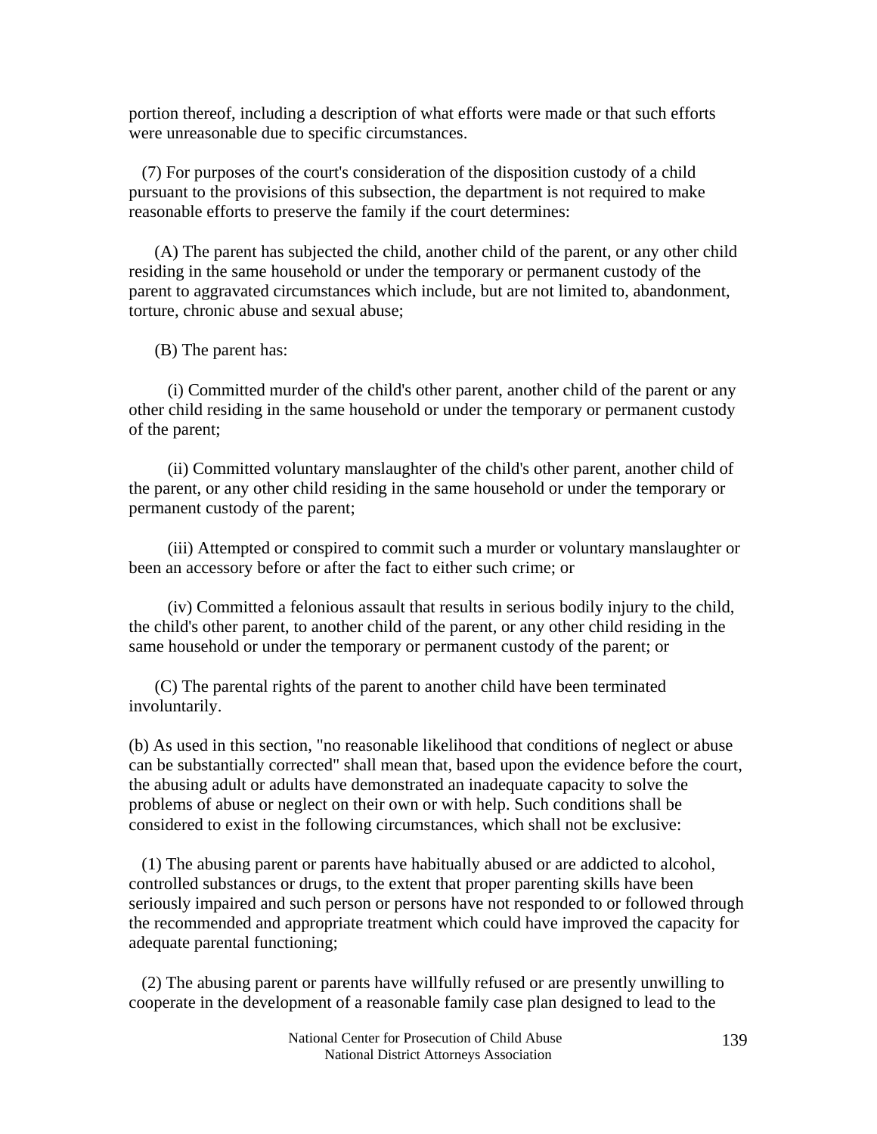portion thereof, including a description of what efforts were made or that such efforts were unreasonable due to specific circumstances.

 (7) For purposes of the court's consideration of the disposition custody of a child pursuant to the provisions of this subsection, the department is not required to make reasonable efforts to preserve the family if the court determines:

 (A) The parent has subjected the child, another child of the parent, or any other child residing in the same household or under the temporary or permanent custody of the parent to aggravated circumstances which include, but are not limited to, abandonment, torture, chronic abuse and sexual abuse;

(B) The parent has:

 (i) Committed murder of the child's other parent, another child of the parent or any other child residing in the same household or under the temporary or permanent custody of the parent;

 (ii) Committed voluntary manslaughter of the child's other parent, another child of the parent, or any other child residing in the same household or under the temporary or permanent custody of the parent;

 (iii) Attempted or conspired to commit such a murder or voluntary manslaughter or been an accessory before or after the fact to either such crime; or

 (iv) Committed a felonious assault that results in serious bodily injury to the child, the child's other parent, to another child of the parent, or any other child residing in the same household or under the temporary or permanent custody of the parent; or

 (C) The parental rights of the parent to another child have been terminated involuntarily.

(b) As used in this section, "no reasonable likelihood that conditions of neglect or abuse can be substantially corrected" shall mean that, based upon the evidence before the court, the abusing adult or adults have demonstrated an inadequate capacity to solve the problems of abuse or neglect on their own or with help. Such conditions shall be considered to exist in the following circumstances, which shall not be exclusive:

 (1) The abusing parent or parents have habitually abused or are addicted to alcohol, controlled substances or drugs, to the extent that proper parenting skills have been seriously impaired and such person or persons have not responded to or followed through the recommended and appropriate treatment which could have improved the capacity for adequate parental functioning;

 (2) The abusing parent or parents have willfully refused or are presently unwilling to cooperate in the development of a reasonable family case plan designed to lead to the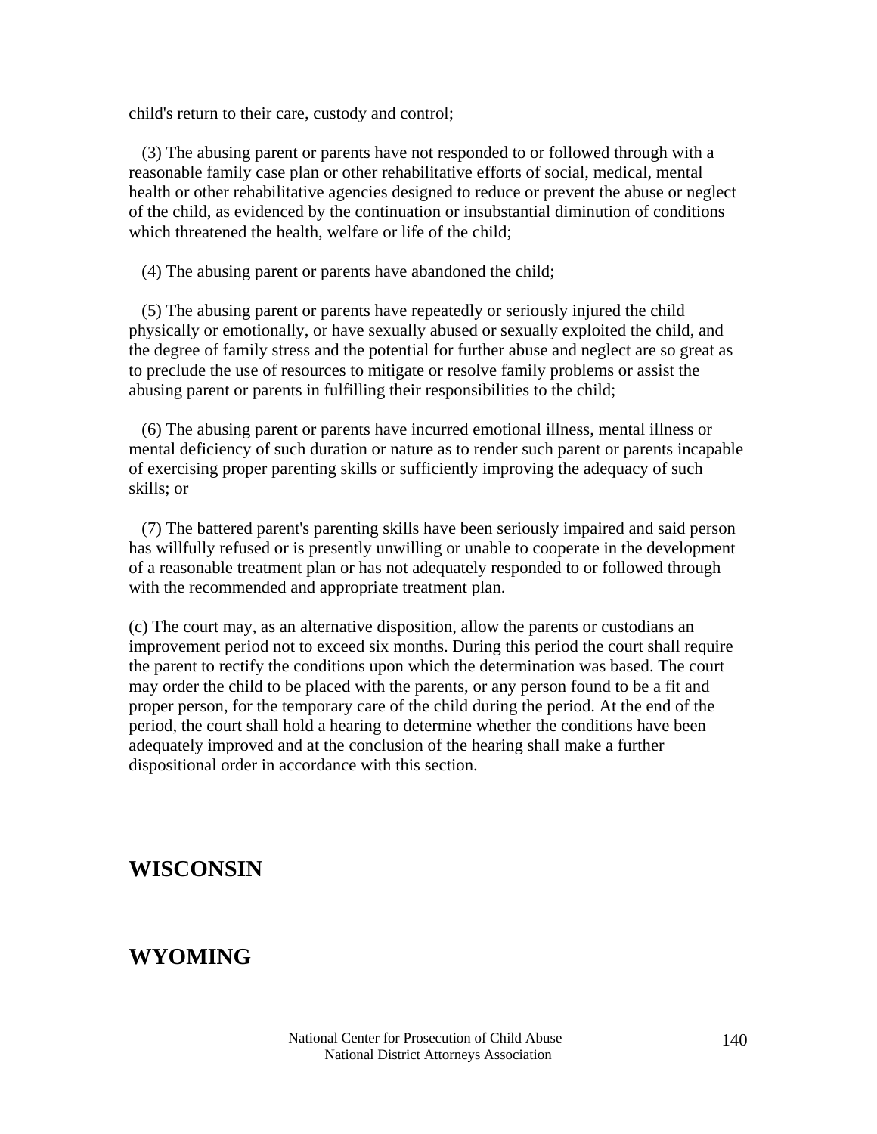child's return to their care, custody and control;

 (3) The abusing parent or parents have not responded to or followed through with a reasonable family case plan or other rehabilitative efforts of social, medical, mental health or other rehabilitative agencies designed to reduce or prevent the abuse or neglect of the child, as evidenced by the continuation or insubstantial diminution of conditions which threatened the health, welfare or life of the child;

(4) The abusing parent or parents have abandoned the child;

 (5) The abusing parent or parents have repeatedly or seriously injured the child physically or emotionally, or have sexually abused or sexually exploited the child, and the degree of family stress and the potential for further abuse and neglect are so great as to preclude the use of resources to mitigate or resolve family problems or assist the abusing parent or parents in fulfilling their responsibilities to the child;

 (6) The abusing parent or parents have incurred emotional illness, mental illness or mental deficiency of such duration or nature as to render such parent or parents incapable of exercising proper parenting skills or sufficiently improving the adequacy of such skills; or

 (7) The battered parent's parenting skills have been seriously impaired and said person has willfully refused or is presently unwilling or unable to cooperate in the development of a reasonable treatment plan or has not adequately responded to or followed through with the recommended and appropriate treatment plan.

(c) The court may, as an alternative disposition, allow the parents or custodians an improvement period not to exceed six months. During this period the court shall require the parent to rectify the conditions upon which the determination was based. The court may order the child to be placed with the parents, or any person found to be a fit and proper person, for the temporary care of the child during the period. At the end of the period, the court shall hold a hearing to determine whether the conditions have been adequately improved and at the conclusion of the hearing shall make a further dispositional order in accordance with this section.

### **WISCONSIN**

### **WYOMING**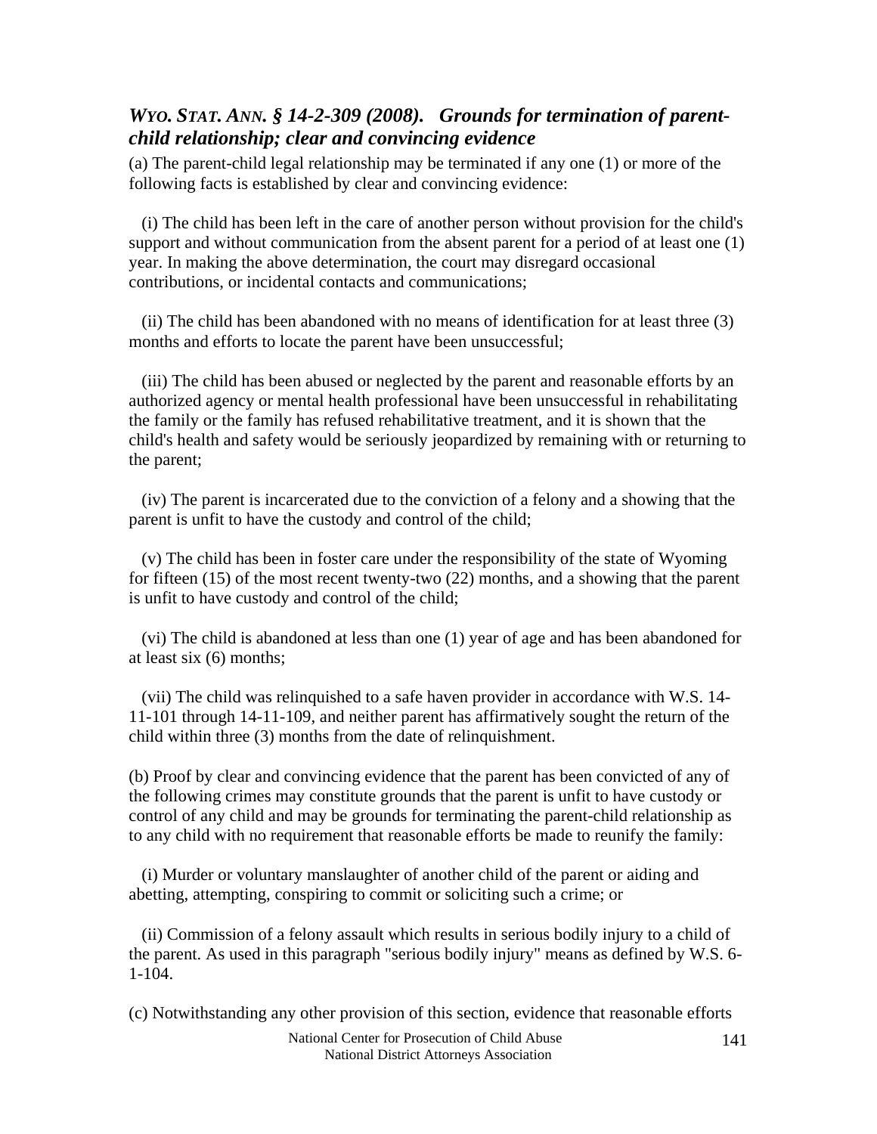### *WYO. STAT. ANN. § 14-2-309 (2008). Grounds for termination of parentchild relationship; clear and convincing evidence*

(a) The parent-child legal relationship may be terminated if any one (1) or more of the following facts is established by clear and convincing evidence:

 (i) The child has been left in the care of another person without provision for the child's support and without communication from the absent parent for a period of at least one (1) year. In making the above determination, the court may disregard occasional contributions, or incidental contacts and communications;

 (ii) The child has been abandoned with no means of identification for at least three (3) months and efforts to locate the parent have been unsuccessful;

 (iii) The child has been abused or neglected by the parent and reasonable efforts by an authorized agency or mental health professional have been unsuccessful in rehabilitating the family or the family has refused rehabilitative treatment, and it is shown that the child's health and safety would be seriously jeopardized by remaining with or returning to the parent;

 (iv) The parent is incarcerated due to the conviction of a felony and a showing that the parent is unfit to have the custody and control of the child;

 (v) The child has been in foster care under the responsibility of the state of Wyoming for fifteen (15) of the most recent twenty-two (22) months, and a showing that the parent is unfit to have custody and control of the child;

 (vi) The child is abandoned at less than one (1) year of age and has been abandoned for at least six (6) months;

 (vii) The child was relinquished to a safe haven provider in accordance with [W.S. 14-](https://www.lexis.com/research/buttonTFLink?_m=26fd7e4d0f375b1ea75eb3efd66b5458&_xfercite=%3ccite%20cc%3d%22USA%22%3e%3c%21%5bCDATA%5bWyo.%20Stat.%20%a7%2014-2-309%5d%5d%3e%3c%2fcite%3e&_butType=4&_butStat=0&_butNum=2&_butInline=1&_butinfo=WYCODE%2014-11-101&_fmtstr=FULL&docnum=1&_startdoc=1&wchp=dGLbVzb-zSkAW&_md5=7685b194e61c653c84659683e6685b14) [11-101](https://www.lexis.com/research/buttonTFLink?_m=26fd7e4d0f375b1ea75eb3efd66b5458&_xfercite=%3ccite%20cc%3d%22USA%22%3e%3c%21%5bCDATA%5bWyo.%20Stat.%20%a7%2014-2-309%5d%5d%3e%3c%2fcite%3e&_butType=4&_butStat=0&_butNum=2&_butInline=1&_butinfo=WYCODE%2014-11-101&_fmtstr=FULL&docnum=1&_startdoc=1&wchp=dGLbVzb-zSkAW&_md5=7685b194e61c653c84659683e6685b14) through [14-11-109](https://www.lexis.com/research/buttonTFLink?_m=26fd7e4d0f375b1ea75eb3efd66b5458&_xfercite=%3ccite%20cc%3d%22USA%22%3e%3c%21%5bCDATA%5bWyo.%20Stat.%20%a7%2014-2-309%5d%5d%3e%3c%2fcite%3e&_butType=4&_butStat=0&_butNum=3&_butInline=1&_butinfo=WYCODE%2014-11-109&_fmtstr=FULL&docnum=1&_startdoc=1&wchp=dGLbVzb-zSkAW&_md5=b54ab36e43376d86f18b835a3804e6e9), and neither parent has affirmatively sought the return of the child within three (3) months from the date of relinquishment.

(b) Proof by clear and convincing evidence that the parent has been convicted of any of the following crimes may constitute grounds that the parent is unfit to have custody or control of any child and may be grounds for terminating the parent-child relationship as to any child with no requirement that reasonable efforts be made to reunify the family:

 (i) Murder or voluntary manslaughter of another child of the parent or aiding and abetting, attempting, conspiring to commit or soliciting such a crime; or

 (ii) Commission of a felony assault which results in serious bodily injury to a child of the parent. As used in this paragraph "serious bodily injury" means as defined by [W.S. 6-](https://www.lexis.com/research/buttonTFLink?_m=26fd7e4d0f375b1ea75eb3efd66b5458&_xfercite=%3ccite%20cc%3d%22USA%22%3e%3c%21%5bCDATA%5bWyo.%20Stat.%20%a7%2014-2-309%5d%5d%3e%3c%2fcite%3e&_butType=4&_butStat=0&_butNum=4&_butInline=1&_butinfo=WYCODE%206-1-104&_fmtstr=FULL&docnum=1&_startdoc=1&wchp=dGLbVzb-zSkAW&_md5=b109dfa403b51367878524078856447f) [1-104](https://www.lexis.com/research/buttonTFLink?_m=26fd7e4d0f375b1ea75eb3efd66b5458&_xfercite=%3ccite%20cc%3d%22USA%22%3e%3c%21%5bCDATA%5bWyo.%20Stat.%20%a7%2014-2-309%5d%5d%3e%3c%2fcite%3e&_butType=4&_butStat=0&_butNum=4&_butInline=1&_butinfo=WYCODE%206-1-104&_fmtstr=FULL&docnum=1&_startdoc=1&wchp=dGLbVzb-zSkAW&_md5=b109dfa403b51367878524078856447f).

(c) Notwithstanding any other provision of this section, evidence that reasonable efforts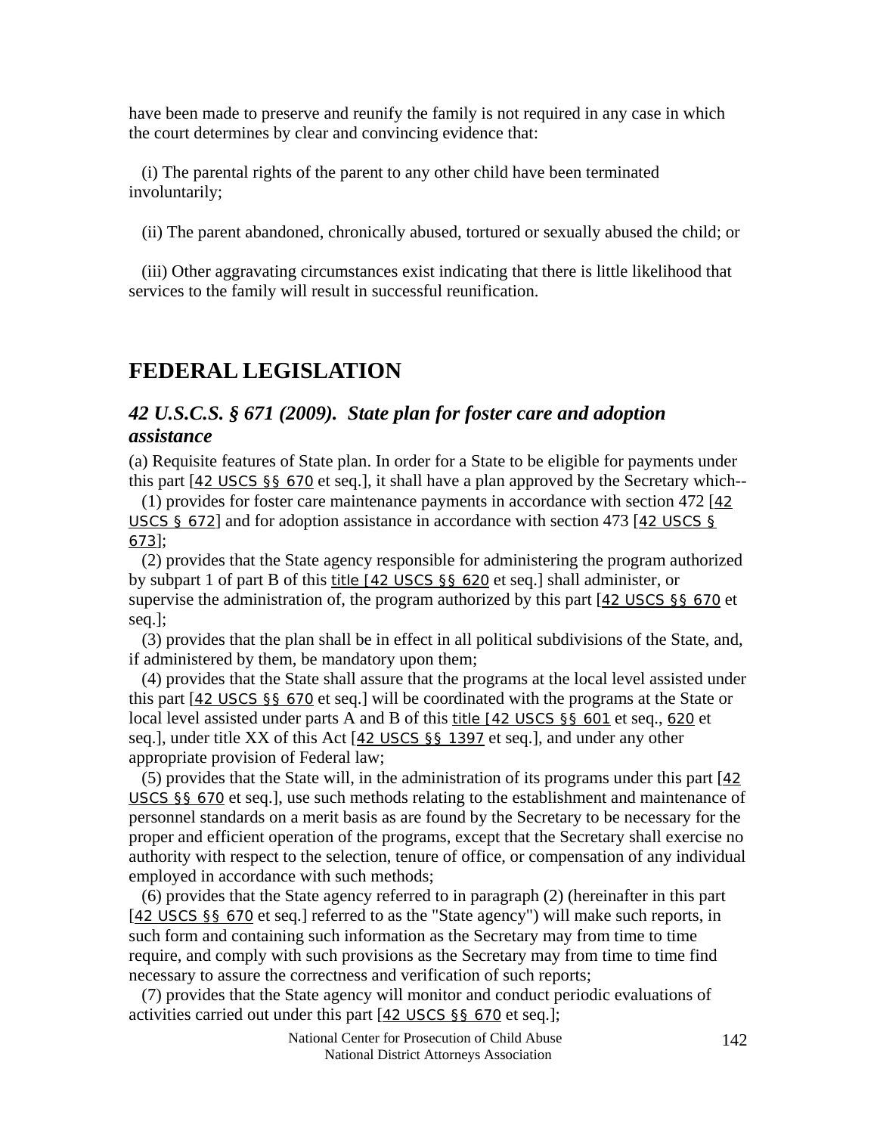have been made to preserve and reunify the family is not required in any case in which the court determines by clear and convincing evidence that:

 (i) The parental rights of the parent to any other child have been terminated involuntarily;

(ii) The parent abandoned, chronically abused, tortured or sexually abused the child; or

 (iii) Other aggravating circumstances exist indicating that there is little likelihood that services to the family will result in successful reunification.

### **FEDERAL LEGISLATION**

#### *42 U.S.C.S. § 671 (2009). State plan for foster care and adoption assistance*

(a) Requisite features of State plan. In order for a State to be eligible for payments under this part [[42 USCS §§ 670](https://www.lexis.com/research/buttonTFLink?_m=b457d04108d6ab6650bdca8ab2a69adb&_xfercite=%3ccite%20cc%3d%22USA%22%3e%3c%21%5bCDATA%5b42%20USCS%20%a7%20671%5d%5d%3e%3c%2fcite%3e&_butType=4&_butStat=0&_butNum=2&_butInline=1&_butinfo=42%20USC%20670&_fmtstr=FULL&docnum=1&_startdoc=1&wchp=dGLbVlW-zSkAt&_md5=b1d26c344e120d087c87264781a9b9cd) et seq.], it shall have a plan approved by the Secretary which--

 (1) provides for foster care maintenance payments in accordance with section 472 [[42](https://www.lexis.com/research/buttonTFLink?_m=b457d04108d6ab6650bdca8ab2a69adb&_xfercite=%3ccite%20cc%3d%22USA%22%3e%3c%21%5bCDATA%5b42%20USCS%20%a7%20671%5d%5d%3e%3c%2fcite%3e&_butType=4&_butStat=0&_butNum=3&_butInline=1&_butinfo=42%20USC%20672&_fmtstr=FULL&docnum=1&_startdoc=1&wchp=dGLbVlW-zSkAt&_md5=4b2c3021f54191503c0d29472698f98b)  [USCS § 672](https://www.lexis.com/research/buttonTFLink?_m=b457d04108d6ab6650bdca8ab2a69adb&_xfercite=%3ccite%20cc%3d%22USA%22%3e%3c%21%5bCDATA%5b42%20USCS%20%a7%20671%5d%5d%3e%3c%2fcite%3e&_butType=4&_butStat=0&_butNum=3&_butInline=1&_butinfo=42%20USC%20672&_fmtstr=FULL&docnum=1&_startdoc=1&wchp=dGLbVlW-zSkAt&_md5=4b2c3021f54191503c0d29472698f98b)] and for adoption assistance in accordance with section 473 [[42 USCS §](https://www.lexis.com/research/buttonTFLink?_m=b457d04108d6ab6650bdca8ab2a69adb&_xfercite=%3ccite%20cc%3d%22USA%22%3e%3c%21%5bCDATA%5b42%20USCS%20%a7%20671%5d%5d%3e%3c%2fcite%3e&_butType=4&_butStat=0&_butNum=4&_butInline=1&_butinfo=42%20USC%20673&_fmtstr=FULL&docnum=1&_startdoc=1&wchp=dGLbVlW-zSkAt&_md5=1abde85373b7568bf136d048849e83b8)  [673](https://www.lexis.com/research/buttonTFLink?_m=b457d04108d6ab6650bdca8ab2a69adb&_xfercite=%3ccite%20cc%3d%22USA%22%3e%3c%21%5bCDATA%5b42%20USCS%20%a7%20671%5d%5d%3e%3c%2fcite%3e&_butType=4&_butStat=0&_butNum=4&_butInline=1&_butinfo=42%20USC%20673&_fmtstr=FULL&docnum=1&_startdoc=1&wchp=dGLbVlW-zSkAt&_md5=1abde85373b7568bf136d048849e83b8)];

 (2) provides that the State agency responsible for administering the program authorized by subpart 1 of part B of this [title \[42 USCS §§ 620](https://www.lexis.com/research/buttonTFLink?_m=b457d04108d6ab6650bdca8ab2a69adb&_xfercite=%3ccite%20cc%3d%22USA%22%3e%3c%21%5bCDATA%5b42%20USCS%20%a7%20671%5d%5d%3e%3c%2fcite%3e&_butType=4&_butStat=0&_butNum=5&_butInline=1&_butinfo=42%20USC%20620&_fmtstr=FULL&docnum=1&_startdoc=1&wchp=dGLbVlW-zSkAt&_md5=f4be1a745fa458fa0c662c1e8e390725) et seq.] shall administer, or supervise the administration of, the program authorized by this part [[42 USCS §§ 670](https://www.lexis.com/research/buttonTFLink?_m=b457d04108d6ab6650bdca8ab2a69adb&_xfercite=%3ccite%20cc%3d%22USA%22%3e%3c%21%5bCDATA%5b42%20USCS%20%a7%20671%5d%5d%3e%3c%2fcite%3e&_butType=4&_butStat=0&_butNum=6&_butInline=1&_butinfo=42%20USC%20670&_fmtstr=FULL&docnum=1&_startdoc=1&wchp=dGLbVlW-zSkAt&_md5=19cd8e49630350a24e57eaec825842ce) et seq.];

 (3) provides that the plan shall be in effect in all political subdivisions of the State, and, if administered by them, be mandatory upon them;

 (4) provides that the State shall assure that the programs at the local level assisted under this part [[42 USCS §§ 670](https://www.lexis.com/research/buttonTFLink?_m=b457d04108d6ab6650bdca8ab2a69adb&_xfercite=%3ccite%20cc%3d%22USA%22%3e%3c%21%5bCDATA%5b42%20USCS%20%a7%20671%5d%5d%3e%3c%2fcite%3e&_butType=4&_butStat=0&_butNum=7&_butInline=1&_butinfo=42%20USC%20670&_fmtstr=FULL&docnum=1&_startdoc=1&wchp=dGLbVlW-zSkAt&_md5=31f78825c716a4010f6ac7ffdaedef0d) et seq.] will be coordinated with the programs at the State or local level assisted under parts A and B of this [title \[42 USCS §§ 601](https://www.lexis.com/research/buttonTFLink?_m=b457d04108d6ab6650bdca8ab2a69adb&_xfercite=%3ccite%20cc%3d%22USA%22%3e%3c%21%5bCDATA%5b42%20USCS%20%a7%20671%5d%5d%3e%3c%2fcite%3e&_butType=4&_butStat=0&_butNum=8&_butInline=1&_butinfo=42%20USC%20601&_fmtstr=FULL&docnum=1&_startdoc=1&wchp=dGLbVlW-zSkAt&_md5=7e35dfde1f916a784f94476fd9abc775) et seq., [620](https://www.lexis.com/research/buttonTFLink?_m=b457d04108d6ab6650bdca8ab2a69adb&_xfercite=%3ccite%20cc%3d%22USA%22%3e%3c%21%5bCDATA%5b42%20USCS%20%a7%20671%5d%5d%3e%3c%2fcite%3e&_butType=4&_butStat=0&_butNum=9&_butInline=1&_butinfo=42%20USC%20620&_fmtstr=FULL&docnum=1&_startdoc=1&wchp=dGLbVlW-zSkAt&_md5=0eeaf86174b18c789ade93eee6f144f7) et seq.], under title XX of this Act [[42 USCS §§ 1397](https://www.lexis.com/research/buttonTFLink?_m=b457d04108d6ab6650bdca8ab2a69adb&_xfercite=%3ccite%20cc%3d%22USA%22%3e%3c%21%5bCDATA%5b42%20USCS%20%a7%20671%5d%5d%3e%3c%2fcite%3e&_butType=4&_butStat=0&_butNum=10&_butInline=1&_butinfo=42%20USC%201397&_fmtstr=FULL&docnum=1&_startdoc=1&wchp=dGLbVlW-zSkAt&_md5=24d828283190cbb23ba054a9a9fbc8df) et seq.], and under any other appropriate provision of Federal law;

(5) provides that the State will, in the administration of its programs under this part  $[42]$ [USCS §§ 670](https://www.lexis.com/research/buttonTFLink?_m=b457d04108d6ab6650bdca8ab2a69adb&_xfercite=%3ccite%20cc%3d%22USA%22%3e%3c%21%5bCDATA%5b42%20USCS%20%a7%20671%5d%5d%3e%3c%2fcite%3e&_butType=4&_butStat=0&_butNum=11&_butInline=1&_butinfo=42%20USC%20670&_fmtstr=FULL&docnum=1&_startdoc=1&wchp=dGLbVlW-zSkAt&_md5=8b31c2203d698a9375cac6a2540a3ff5) et seq.], use such methods relating to the establishment and maintenance of personnel standards on a merit basis as are found by the Secretary to be necessary for the proper and efficient operation of the programs, except that the Secretary shall exercise no authority with respect to the selection, tenure of office, or compensation of any individual employed in accordance with such methods;

 (6) provides that the State agency referred to in paragraph (2) (hereinafter in this part [[42 USCS §§ 670](https://www.lexis.com/research/buttonTFLink?_m=b457d04108d6ab6650bdca8ab2a69adb&_xfercite=%3ccite%20cc%3d%22USA%22%3e%3c%21%5bCDATA%5b42%20USCS%20%a7%20671%5d%5d%3e%3c%2fcite%3e&_butType=4&_butStat=0&_butNum=12&_butInline=1&_butinfo=42%20USC%20670&_fmtstr=FULL&docnum=1&_startdoc=1&wchp=dGLbVlW-zSkAt&_md5=cd944fabf924ff51883b00a4b046b4d2) et seq.] referred to as the "State agency") will make such reports, in such form and containing such information as the Secretary may from time to time require, and comply with such provisions as the Secretary may from time to time find necessary to assure the correctness and verification of such reports;

 (7) provides that the State agency will monitor and conduct periodic evaluations of activities carried out under this part [[42 USCS §§ 670](https://www.lexis.com/research/buttonTFLink?_m=b457d04108d6ab6650bdca8ab2a69adb&_xfercite=%3ccite%20cc%3d%22USA%22%3e%3c%21%5bCDATA%5b42%20USCS%20%a7%20671%5d%5d%3e%3c%2fcite%3e&_butType=4&_butStat=0&_butNum=13&_butInline=1&_butinfo=42%20USC%20670&_fmtstr=FULL&docnum=1&_startdoc=1&wchp=dGLbVlW-zSkAt&_md5=b1aef72165643e2e355195daa09afc1a) et seq.];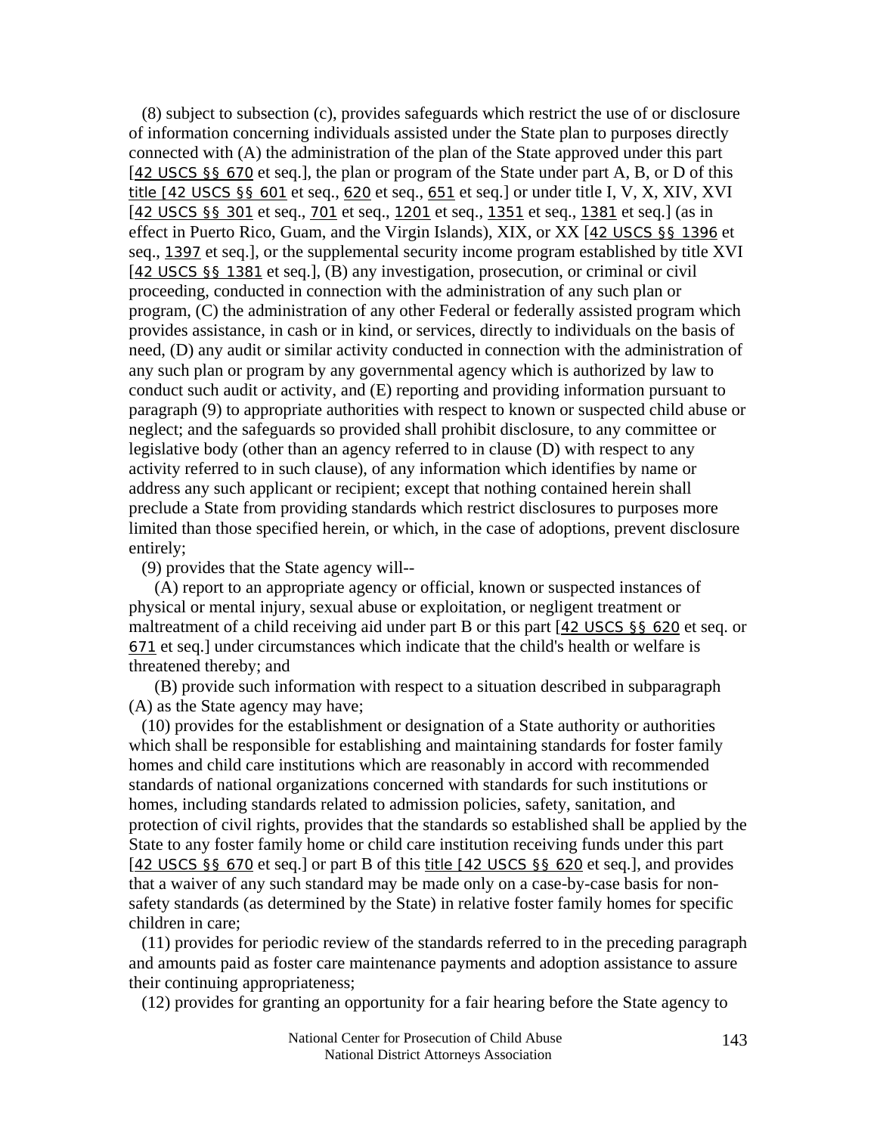(8) subject to subsection (c), provides safeguards which restrict the use of or disclosure of information concerning individuals assisted under the State plan to purposes directly connected with (A) the administration of the plan of the State approved under this part [[42 USCS §§ 670](https://www.lexis.com/research/buttonTFLink?_m=b457d04108d6ab6650bdca8ab2a69adb&_xfercite=%3ccite%20cc%3d%22USA%22%3e%3c%21%5bCDATA%5b42%20USCS%20%a7%20671%5d%5d%3e%3c%2fcite%3e&_butType=4&_butStat=0&_butNum=14&_butInline=1&_butinfo=42%20USC%20670&_fmtstr=FULL&docnum=1&_startdoc=1&wchp=dGLbVlW-zSkAt&_md5=93d07f78d963816d9380c2390f42fc61) et seq.], the plan or program of the State under part A, B, or D of this title  $[42 \text{ USCS }$  §§ 601 et seq., [620](https://www.lexis.com/research/buttonTFLink?_m=b457d04108d6ab6650bdca8ab2a69adb&_xfercite=%3ccite%20cc%3d%22USA%22%3e%3c%21%5bCDATA%5b42%20USCS%20%a7%20671%5d%5d%3e%3c%2fcite%3e&_butType=4&_butStat=0&_butNum=16&_butInline=1&_butinfo=42%20USC%20620&_fmtstr=FULL&docnum=1&_startdoc=1&wchp=dGLbVlW-zSkAt&_md5=36c10d0b6ad17ead96a6e8aafa1fb7aa) et seq., [651](https://www.lexis.com/research/buttonTFLink?_m=b457d04108d6ab6650bdca8ab2a69adb&_xfercite=%3ccite%20cc%3d%22USA%22%3e%3c%21%5bCDATA%5b42%20USCS%20%a7%20671%5d%5d%3e%3c%2fcite%3e&_butType=4&_butStat=0&_butNum=17&_butInline=1&_butinfo=42%20USC%20651&_fmtstr=FULL&docnum=1&_startdoc=1&wchp=dGLbVlW-zSkAt&_md5=814b8e10f8ede68ac1d9b245920c30ca) et seq.] or under title I, V, X, XIV, XVI [[42 USCS §§ 301](https://www.lexis.com/research/buttonTFLink?_m=b457d04108d6ab6650bdca8ab2a69adb&_xfercite=%3ccite%20cc%3d%22USA%22%3e%3c%21%5bCDATA%5b42%20USCS%20%a7%20671%5d%5d%3e%3c%2fcite%3e&_butType=4&_butStat=0&_butNum=18&_butInline=1&_butinfo=42%20USC%20301&_fmtstr=FULL&docnum=1&_startdoc=1&wchp=dGLbVlW-zSkAt&_md5=a622eb673cd65b1969438e0de3b759d6) et seq., [701](https://www.lexis.com/research/buttonTFLink?_m=b457d04108d6ab6650bdca8ab2a69adb&_xfercite=%3ccite%20cc%3d%22USA%22%3e%3c%21%5bCDATA%5b42%20USCS%20%a7%20671%5d%5d%3e%3c%2fcite%3e&_butType=4&_butStat=0&_butNum=19&_butInline=1&_butinfo=42%20USC%20701&_fmtstr=FULL&docnum=1&_startdoc=1&wchp=dGLbVlW-zSkAt&_md5=ce2d02f201fc773b3d4870c2cf8fbd6e) et seq., [1201](https://www.lexis.com/research/buttonTFLink?_m=b457d04108d6ab6650bdca8ab2a69adb&_xfercite=%3ccite%20cc%3d%22USA%22%3e%3c%21%5bCDATA%5b42%20USCS%20%a7%20671%5d%5d%3e%3c%2fcite%3e&_butType=4&_butStat=0&_butNum=20&_butInline=1&_butinfo=42%20USC%201201&_fmtstr=FULL&docnum=1&_startdoc=1&wchp=dGLbVlW-zSkAt&_md5=62a750728ed4e0af0fefe40c17cdf7d4) et seq., [1351](https://www.lexis.com/research/buttonTFLink?_m=b457d04108d6ab6650bdca8ab2a69adb&_xfercite=%3ccite%20cc%3d%22USA%22%3e%3c%21%5bCDATA%5b42%20USCS%20%a7%20671%5d%5d%3e%3c%2fcite%3e&_butType=4&_butStat=0&_butNum=21&_butInline=1&_butinfo=42%20USC%201351&_fmtstr=FULL&docnum=1&_startdoc=1&wchp=dGLbVlW-zSkAt&_md5=3766bfb4b5506bca18823f40ea7cff22) et seq., [1381](https://www.lexis.com/research/buttonTFLink?_m=b457d04108d6ab6650bdca8ab2a69adb&_xfercite=%3ccite%20cc%3d%22USA%22%3e%3c%21%5bCDATA%5b42%20USCS%20%a7%20671%5d%5d%3e%3c%2fcite%3e&_butType=4&_butStat=0&_butNum=22&_butInline=1&_butinfo=42%20USC%201381&_fmtstr=FULL&docnum=1&_startdoc=1&wchp=dGLbVlW-zSkAt&_md5=940da808a231093195811ac1a71f04bd) et seq.] (as in effect in Puerto Rico, Guam, and the Virgin Islands), XIX, or XX [[42 USCS §§ 1396](https://www.lexis.com/research/buttonTFLink?_m=b457d04108d6ab6650bdca8ab2a69adb&_xfercite=%3ccite%20cc%3d%22USA%22%3e%3c%21%5bCDATA%5b42%20USCS%20%a7%20671%5d%5d%3e%3c%2fcite%3e&_butType=4&_butStat=0&_butNum=23&_butInline=1&_butinfo=42%20USC%201396&_fmtstr=FULL&docnum=1&_startdoc=1&wchp=dGLbVlW-zSkAt&_md5=28d185d5ac4156739badb877cc94e6ef) et seq., [1397](https://www.lexis.com/research/buttonTFLink?_m=b457d04108d6ab6650bdca8ab2a69adb&_xfercite=%3ccite%20cc%3d%22USA%22%3e%3c%21%5bCDATA%5b42%20USCS%20%a7%20671%5d%5d%3e%3c%2fcite%3e&_butType=4&_butStat=0&_butNum=24&_butInline=1&_butinfo=42%20USC%201397&_fmtstr=FULL&docnum=1&_startdoc=1&wchp=dGLbVlW-zSkAt&_md5=75e8f585ec928ae4dd6278ddf84667fe) et seq.], or the supplemental security income program established by title XVI [[42 USCS §§ 1381](https://www.lexis.com/research/buttonTFLink?_m=b457d04108d6ab6650bdca8ab2a69adb&_xfercite=%3ccite%20cc%3d%22USA%22%3e%3c%21%5bCDATA%5b42%20USCS%20%a7%20671%5d%5d%3e%3c%2fcite%3e&_butType=4&_butStat=0&_butNum=25&_butInline=1&_butinfo=42%20USC%201381&_fmtstr=FULL&docnum=1&_startdoc=1&wchp=dGLbVlW-zSkAt&_md5=f80c5b93411e32a5b91318077c049b97) et seq.], (B) any investigation, prosecution, or criminal or civil proceeding, conducted in connection with the administration of any such plan or program, (C) the administration of any other Federal or federally assisted program which provides assistance, in cash or in kind, or services, directly to individuals on the basis of need, (D) any audit or similar activity conducted in connection with the administration of any such plan or program by any governmental agency which is authorized by law to conduct such audit or activity, and (E) reporting and providing information pursuant to paragraph (9) to appropriate authorities with respect to known or suspected child abuse or neglect; and the safeguards so provided shall prohibit disclosure, to any committee or legislative body (other than an agency referred to in clause (D) with respect to any activity referred to in such clause), of any information which identifies by name or address any such applicant or recipient; except that nothing contained herein shall preclude a State from providing standards which restrict disclosures to purposes more limited than those specified herein, or which, in the case of adoptions, prevent disclosure entirely;

(9) provides that the State agency will--

 (A) report to an appropriate agency or official, known or suspected instances of physical or mental injury, sexual abuse or exploitation, or negligent treatment or maltreatment of a child receiving aid under part B or this part [[42 USCS §§ 620](https://www.lexis.com/research/buttonTFLink?_m=b457d04108d6ab6650bdca8ab2a69adb&_xfercite=%3ccite%20cc%3d%22USA%22%3e%3c%21%5bCDATA%5b42%20USCS%20%a7%20671%5d%5d%3e%3c%2fcite%3e&_butType=4&_butStat=0&_butNum=26&_butInline=1&_butinfo=42%20USC%20620&_fmtstr=FULL&docnum=1&_startdoc=1&wchp=dGLbVlW-zSkAt&_md5=5b341923f110442ec6b30516c5f18b2a) et seq. or [671](https://www.lexis.com/research/buttonTFLink?_m=b457d04108d6ab6650bdca8ab2a69adb&_xfercite=%3ccite%20cc%3d%22USA%22%3e%3c%21%5bCDATA%5b42%20USCS%20%a7%20671%5d%5d%3e%3c%2fcite%3e&_butType=4&_butStat=0&_butNum=27&_butInline=1&_butinfo=42%20USC%20671&_fmtstr=FULL&docnum=1&_startdoc=1&wchp=dGLbVlW-zSkAt&_md5=3142feac5417298329dfb9793eb7619b) et seq.] under circumstances which indicate that the child's health or welfare is threatened thereby; and

 (B) provide such information with respect to a situation described in subparagraph (A) as the State agency may have;

 (10) provides for the establishment or designation of a State authority or authorities which shall be responsible for establishing and maintaining standards for foster family homes and child care institutions which are reasonably in accord with recommended standards of national organizations concerned with standards for such institutions or homes, including standards related to admission policies, safety, sanitation, and protection of civil rights, provides that the standards so established shall be applied by the State to any foster family home or child care institution receiving funds under this part [[42 USCS §§ 670](https://www.lexis.com/research/buttonTFLink?_m=b457d04108d6ab6650bdca8ab2a69adb&_xfercite=%3ccite%20cc%3d%22USA%22%3e%3c%21%5bCDATA%5b42%20USCS%20%a7%20671%5d%5d%3e%3c%2fcite%3e&_butType=4&_butStat=0&_butNum=28&_butInline=1&_butinfo=42%20USC%20670&_fmtstr=FULL&docnum=1&_startdoc=1&wchp=dGLbVlW-zSkAt&_md5=5604b9d0510cfe27f8aed0a560000455) et seq.] or part B of this [title \[42 USCS §§ 620](https://www.lexis.com/research/buttonTFLink?_m=b457d04108d6ab6650bdca8ab2a69adb&_xfercite=%3ccite%20cc%3d%22USA%22%3e%3c%21%5bCDATA%5b42%20USCS%20%a7%20671%5d%5d%3e%3c%2fcite%3e&_butType=4&_butStat=0&_butNum=29&_butInline=1&_butinfo=42%20USC%20620&_fmtstr=FULL&docnum=1&_startdoc=1&wchp=dGLbVlW-zSkAt&_md5=e8b39c388a115483db7b35dc98126451) et seq.], and provides that a waiver of any such standard may be made only on a case-by-case basis for nonsafety standards (as determined by the State) in relative foster family homes for specific children in care;

 (11) provides for periodic review of the standards referred to in the preceding paragraph and amounts paid as foster care maintenance payments and adoption assistance to assure their continuing appropriateness;

(12) provides for granting an opportunity for a fair hearing before the State agency to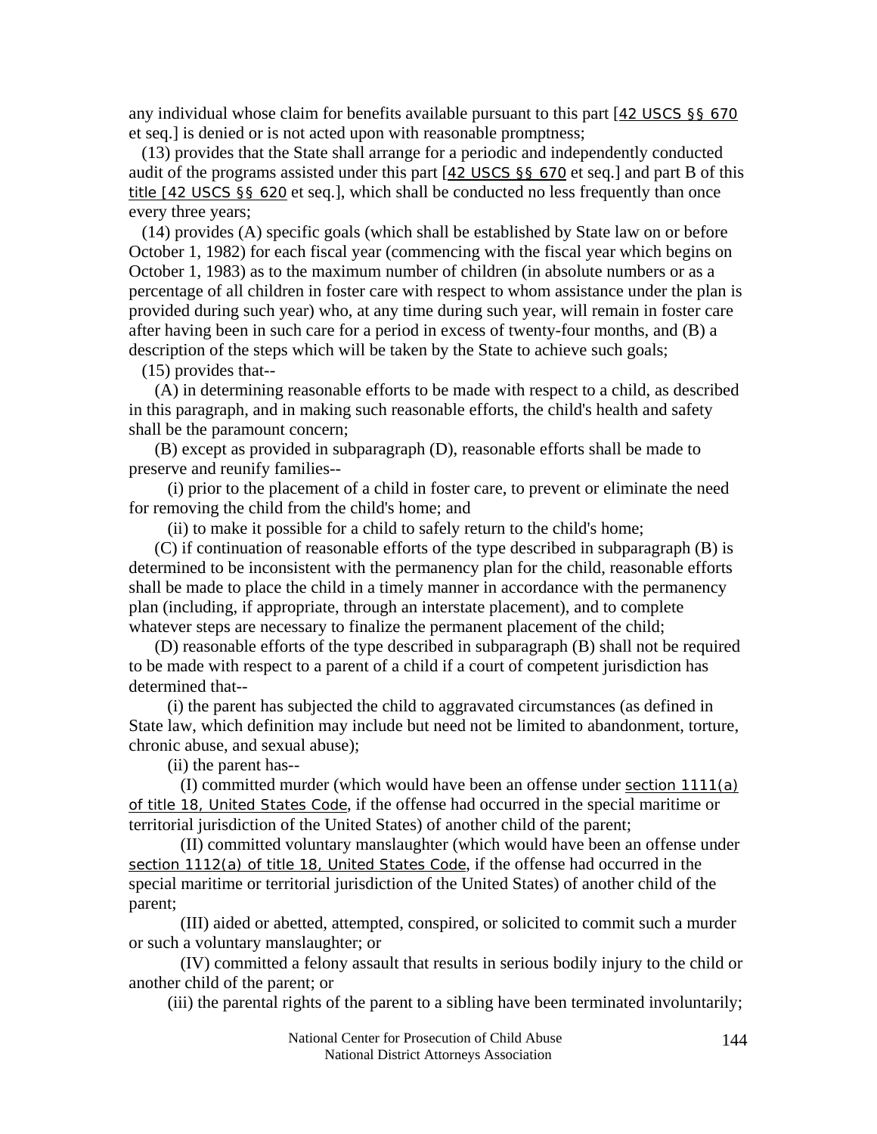any individual whose claim for benefits available pursuant to this part [[42 USCS §§ 670](https://www.lexis.com/research/buttonTFLink?_m=b457d04108d6ab6650bdca8ab2a69adb&_xfercite=%3ccite%20cc%3d%22USA%22%3e%3c%21%5bCDATA%5b42%20USCS%20%a7%20671%5d%5d%3e%3c%2fcite%3e&_butType=4&_butStat=0&_butNum=30&_butInline=1&_butinfo=42%20USC%20670&_fmtstr=FULL&docnum=1&_startdoc=1&wchp=dGLbVlW-zSkAt&_md5=77ffa8027f3554846b6fa4413d563d9b) et seq.] is denied or is not acted upon with reasonable promptness;

 (13) provides that the State shall arrange for a periodic and independently conducted audit of the programs assisted under this part [[42 USCS §§ 670](https://www.lexis.com/research/buttonTFLink?_m=b457d04108d6ab6650bdca8ab2a69adb&_xfercite=%3ccite%20cc%3d%22USA%22%3e%3c%21%5bCDATA%5b42%20USCS%20%a7%20671%5d%5d%3e%3c%2fcite%3e&_butType=4&_butStat=0&_butNum=31&_butInline=1&_butinfo=42%20USC%20670&_fmtstr=FULL&docnum=1&_startdoc=1&wchp=dGLbVlW-zSkAt&_md5=74c1d1ae3f18eef787984f225b114b38) et seq.] and part B of this [title \[42 USCS §§ 620](https://www.lexis.com/research/buttonTFLink?_m=b457d04108d6ab6650bdca8ab2a69adb&_xfercite=%3ccite%20cc%3d%22USA%22%3e%3c%21%5bCDATA%5b42%20USCS%20%a7%20671%5d%5d%3e%3c%2fcite%3e&_butType=4&_butStat=0&_butNum=32&_butInline=1&_butinfo=42%20USC%20620&_fmtstr=FULL&docnum=1&_startdoc=1&wchp=dGLbVlW-zSkAt&_md5=ebf22d42f4a2c2fab3af3d2bca779ed3) et seq.], which shall be conducted no less frequently than once every three years;

 (14) provides (A) specific goals (which shall be established by State law on or before October 1, 1982) for each fiscal year (commencing with the fiscal year which begins on October 1, 1983) as to the maximum number of children (in absolute numbers or as a percentage of all children in foster care with respect to whom assistance under the plan is provided during such year) who, at any time during such year, will remain in foster care after having been in such care for a period in excess of twenty-four months, and (B) a description of the steps which will be taken by the State to achieve such goals;

(15) provides that--

 (A) in determining reasonable efforts to be made with respect to a child, as described in this paragraph, and in making such reasonable efforts, the child's health and safety shall be the paramount concern;

 (B) except as provided in subparagraph (D), reasonable efforts shall be made to preserve and reunify families--

 (i) prior to the placement of a child in foster care, to prevent or eliminate the need for removing the child from the child's home; and

(ii) to make it possible for a child to safely return to the child's home;

 (C) if continuation of reasonable efforts of the type described in subparagraph (B) is determined to be inconsistent with the permanency plan for the child, reasonable efforts shall be made to place the child in a timely manner in accordance with the permanency plan (including, if appropriate, through an interstate placement), and to complete whatever steps are necessary to finalize the permanent placement of the child;

 (D) reasonable efforts of the type described in subparagraph (B) shall not be required to be made with respect to a parent of a child if a court of competent jurisdiction has determined that--

 (i) the parent has subjected the child to aggravated circumstances (as defined in State law, which definition may include but need not be limited to abandonment, torture, chronic abuse, and sexual abuse);

(ii) the parent has--

 (I) committed murder (which would have been an offense under [section 1111\(a\)](https://www.lexis.com/research/buttonTFLink?_m=b457d04108d6ab6650bdca8ab2a69adb&_xfercite=%3ccite%20cc%3d%22USA%22%3e%3c%21%5bCDATA%5b42%20USCS%20%a7%20671%5d%5d%3e%3c%2fcite%3e&_butType=4&_butStat=0&_butNum=33&_butInline=1&_butinfo=18%20USC%201111&_fmtstr=FULL&docnum=1&_startdoc=1&wchp=dGLbVlW-zSkAt&_md5=cbbc2c17afd613873c4cb94ea23ccde8)  [of title 18, United States Code](https://www.lexis.com/research/buttonTFLink?_m=b457d04108d6ab6650bdca8ab2a69adb&_xfercite=%3ccite%20cc%3d%22USA%22%3e%3c%21%5bCDATA%5b42%20USCS%20%a7%20671%5d%5d%3e%3c%2fcite%3e&_butType=4&_butStat=0&_butNum=33&_butInline=1&_butinfo=18%20USC%201111&_fmtstr=FULL&docnum=1&_startdoc=1&wchp=dGLbVlW-zSkAt&_md5=cbbc2c17afd613873c4cb94ea23ccde8), if the offense had occurred in the special maritime or territorial jurisdiction of the United States) of another child of the parent;

 (II) committed voluntary manslaughter (which would have been an offense under [section 1112\(a\) of title 18, United States Code](https://www.lexis.com/research/buttonTFLink?_m=b457d04108d6ab6650bdca8ab2a69adb&_xfercite=%3ccite%20cc%3d%22USA%22%3e%3c%21%5bCDATA%5b42%20USCS%20%a7%20671%5d%5d%3e%3c%2fcite%3e&_butType=4&_butStat=0&_butNum=34&_butInline=1&_butinfo=18%20USC%201112&_fmtstr=FULL&docnum=1&_startdoc=1&wchp=dGLbVlW-zSkAt&_md5=dd5621c909b999883e99b3ed0908cb6e), if the offense had occurred in the special maritime or territorial jurisdiction of the United States) of another child of the parent;

 (III) aided or abetted, attempted, conspired, or solicited to commit such a murder or such a voluntary manslaughter; or

 (IV) committed a felony assault that results in serious bodily injury to the child or another child of the parent; or

(iii) the parental rights of the parent to a sibling have been terminated involuntarily;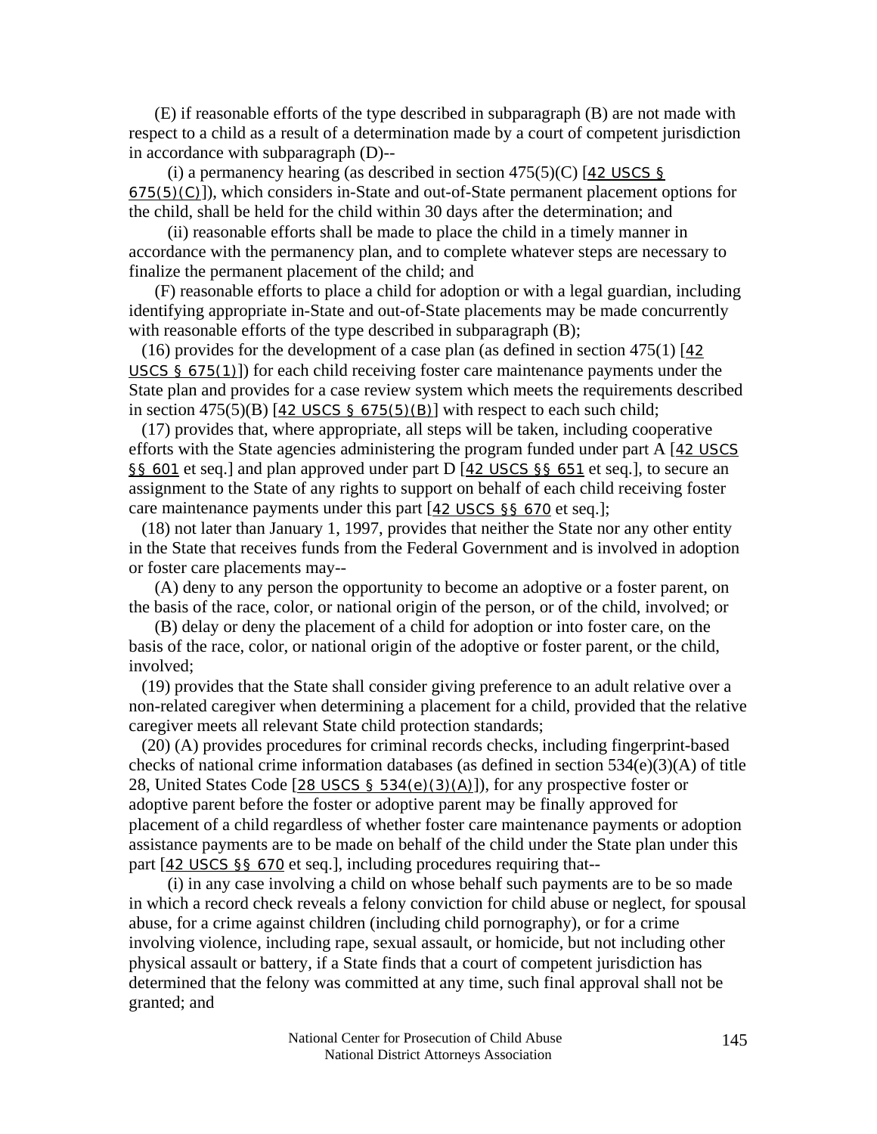(E) if reasonable efforts of the type described in subparagraph (B) are not made with respect to a child as a result of a determination made by a court of competent jurisdiction in accordance with subparagraph (D)--

(i) a permanency hearing (as described in section  $475(5)(C)$  [42 USCS § [675\(5\)\(C\)](https://www.lexis.com/research/buttonTFLink?_m=b457d04108d6ab6650bdca8ab2a69adb&_xfercite=%3ccite%20cc%3d%22USA%22%3e%3c%21%5bCDATA%5b42%20USCS%20%a7%20671%5d%5d%3e%3c%2fcite%3e&_butType=4&_butStat=0&_butNum=35&_butInline=1&_butinfo=42%20USC%20675&_fmtstr=FULL&docnum=1&_startdoc=1&wchp=dGLbVlW-zSkAt&_md5=7d4fe32f8d89088c93cae0b28c490dcd)]), which considers in-State and out-of-State permanent placement options for the child, shall be held for the child within 30 days after the determination; and

 (ii) reasonable efforts shall be made to place the child in a timely manner in accordance with the permanency plan, and to complete whatever steps are necessary to finalize the permanent placement of the child; and

 (F) reasonable efforts to place a child for adoption or with a legal guardian, including identifying appropriate in-State and out-of-State placements may be made concurrently with reasonable efforts of the type described in subparagraph (B);

(16) provides for the development of a case plan (as defined in section  $475(1)$  [ $\frac{42}{3}$ ] [USCS § 675\(1\)](https://www.lexis.com/research/buttonTFLink?_m=b457d04108d6ab6650bdca8ab2a69adb&_xfercite=%3ccite%20cc%3d%22USA%22%3e%3c%21%5bCDATA%5b42%20USCS%20%a7%20671%5d%5d%3e%3c%2fcite%3e&_butType=4&_butStat=0&_butNum=36&_butInline=1&_butinfo=42%20USC%20675&_fmtstr=FULL&docnum=1&_startdoc=1&wchp=dGLbVlW-zSkAt&_md5=f264898fd107bf4e2aed4cfd48d318c4)]) for each child receiving foster care maintenance payments under the State plan and provides for a case review system which meets the requirements described in section  $475(5)(B)$  [[42 USCS § 675\(5\)\(B\)](https://www.lexis.com/research/buttonTFLink?_m=b457d04108d6ab6650bdca8ab2a69adb&_xfercite=%3ccite%20cc%3d%22USA%22%3e%3c%21%5bCDATA%5b42%20USCS%20%a7%20671%5d%5d%3e%3c%2fcite%3e&_butType=4&_butStat=0&_butNum=37&_butInline=1&_butinfo=42%20USC%20675&_fmtstr=FULL&docnum=1&_startdoc=1&wchp=dGLbVlW-zSkAt&_md5=3b1ebc671e8a3c5fd054a80a5792228c)] with respect to each such child;

 (17) provides that, where appropriate, all steps will be taken, including cooperative efforts with the State agencies administering the program funded under part A [42 USCS] [§§ 601](https://www.lexis.com/research/buttonTFLink?_m=b457d04108d6ab6650bdca8ab2a69adb&_xfercite=%3ccite%20cc%3d%22USA%22%3e%3c%21%5bCDATA%5b42%20USCS%20%a7%20671%5d%5d%3e%3c%2fcite%3e&_butType=4&_butStat=0&_butNum=38&_butInline=1&_butinfo=42%20USC%20601&_fmtstr=FULL&docnum=1&_startdoc=1&wchp=dGLbVlW-zSkAt&_md5=0c7254b51ec45f3f8386904fc6e6f33e) et seq.] and plan approved under part D [[42 USCS §§ 651](https://www.lexis.com/research/buttonTFLink?_m=b457d04108d6ab6650bdca8ab2a69adb&_xfercite=%3ccite%20cc%3d%22USA%22%3e%3c%21%5bCDATA%5b42%20USCS%20%a7%20671%5d%5d%3e%3c%2fcite%3e&_butType=4&_butStat=0&_butNum=39&_butInline=1&_butinfo=42%20USC%20651&_fmtstr=FULL&docnum=1&_startdoc=1&wchp=dGLbVlW-zSkAt&_md5=8193947f59172e35a278677fce587b4c) et seq.], to secure an assignment to the State of any rights to support on behalf of each child receiving foster care maintenance payments under this part [[42 USCS §§ 670](https://www.lexis.com/research/buttonTFLink?_m=b457d04108d6ab6650bdca8ab2a69adb&_xfercite=%3ccite%20cc%3d%22USA%22%3e%3c%21%5bCDATA%5b42%20USCS%20%a7%20671%5d%5d%3e%3c%2fcite%3e&_butType=4&_butStat=0&_butNum=40&_butInline=1&_butinfo=42%20USC%20670&_fmtstr=FULL&docnum=1&_startdoc=1&wchp=dGLbVlW-zSkAt&_md5=ec355d7ce59fbea8c6fdae64dd4f07e7) et seq.];

 (18) not later than January 1, 1997, provides that neither the State nor any other entity in the State that receives funds from the Federal Government and is involved in adoption or foster care placements may--

 (A) deny to any person the opportunity to become an adoptive or a foster parent, on the basis of the race, color, or national origin of the person, or of the child, involved; or

 (B) delay or deny the placement of a child for adoption or into foster care, on the basis of the race, color, or national origin of the adoptive or foster parent, or the child, involved;

 (19) provides that the State shall consider giving preference to an adult relative over a non-related caregiver when determining a placement for a child, provided that the relative caregiver meets all relevant State child protection standards;

 (20) (A) provides procedures for criminal records checks, including fingerprint-based checks of national crime information databases (as defined in section 534(e)(3)(A) of title 28, United States Code [[28 USCS § 534\(e\)\(3\)\(A\)](https://www.lexis.com/research/buttonTFLink?_m=b457d04108d6ab6650bdca8ab2a69adb&_xfercite=%3ccite%20cc%3d%22USA%22%3e%3c%21%5bCDATA%5b42%20USCS%20%a7%20671%5d%5d%3e%3c%2fcite%3e&_butType=4&_butStat=0&_butNum=41&_butInline=1&_butinfo=28%20USC%20534&_fmtstr=FULL&docnum=1&_startdoc=1&wchp=dGLbVlW-zSkAt&_md5=ac8295492e1792bdbfe4da519fa818d4)]), for any prospective foster or adoptive parent before the foster or adoptive parent may be finally approved for placement of a child regardless of whether foster care maintenance payments or adoption assistance payments are to be made on behalf of the child under the State plan under this part [[42 USCS §§ 670](https://www.lexis.com/research/buttonTFLink?_m=b457d04108d6ab6650bdca8ab2a69adb&_xfercite=%3ccite%20cc%3d%22USA%22%3e%3c%21%5bCDATA%5b42%20USCS%20%a7%20671%5d%5d%3e%3c%2fcite%3e&_butType=4&_butStat=0&_butNum=42&_butInline=1&_butinfo=42%20USC%20670&_fmtstr=FULL&docnum=1&_startdoc=1&wchp=dGLbVlW-zSkAt&_md5=92c70cdb23721d6e74bc480535525fe4) et seq.], including procedures requiring that--

 (i) in any case involving a child on whose behalf such payments are to be so made in which a record check reveals a felony conviction for child abuse or neglect, for spousal abuse, for a crime against children (including child pornography), or for a crime involving violence, including rape, sexual assault, or homicide, but not including other physical assault or battery, if a State finds that a court of competent jurisdiction has determined that the felony was committed at any time, such final approval shall not be granted; and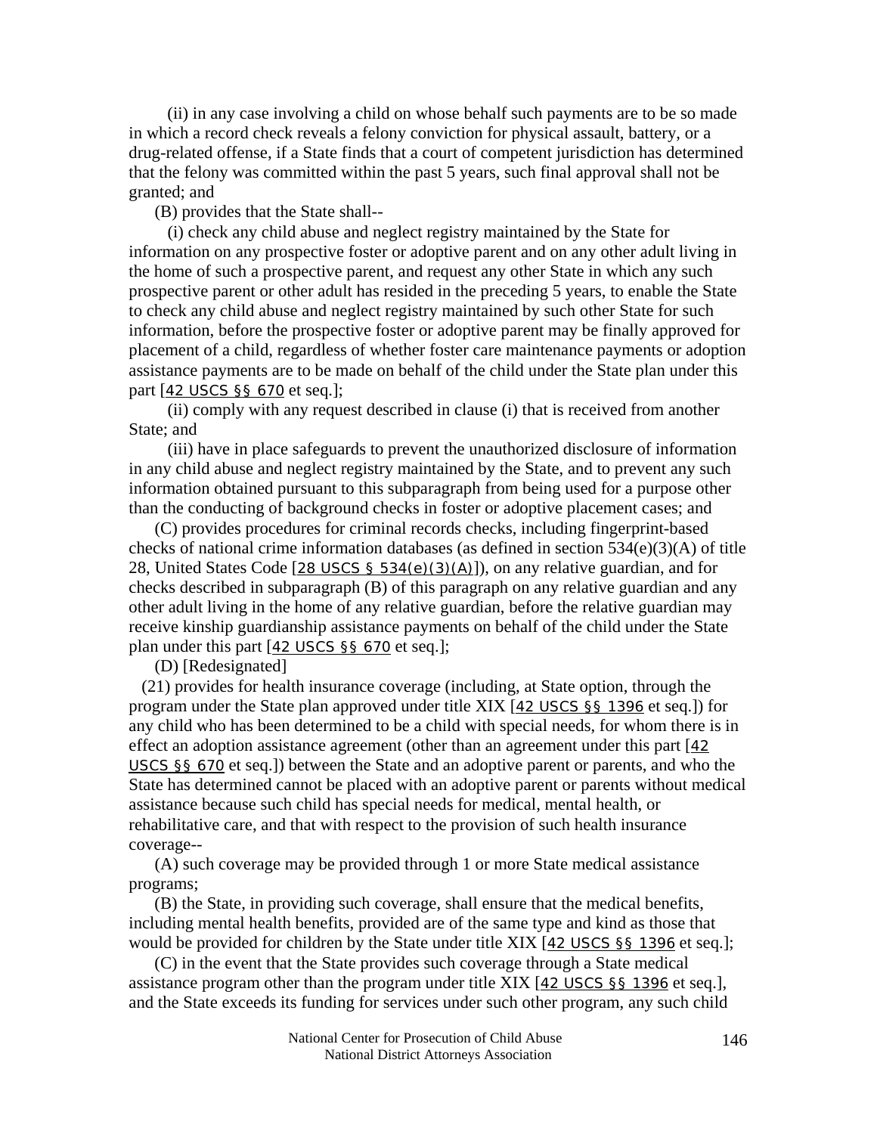(ii) in any case involving a child on whose behalf such payments are to be so made in which a record check reveals a felony conviction for physical assault, battery, or a drug-related offense, if a State finds that a court of competent jurisdiction has determined that the felony was committed within the past 5 years, such final approval shall not be granted; and

(B) provides that the State shall--

 (i) check any child abuse and neglect registry maintained by the State for information on any prospective foster or adoptive parent and on any other adult living in the home of such a prospective parent, and request any other State in which any such prospective parent or other adult has resided in the preceding 5 years, to enable the State to check any child abuse and neglect registry maintained by such other State for such information, before the prospective foster or adoptive parent may be finally approved for placement of a child, regardless of whether foster care maintenance payments or adoption assistance payments are to be made on behalf of the child under the State plan under this part [[42 USCS §§ 670](https://www.lexis.com/research/buttonTFLink?_m=b457d04108d6ab6650bdca8ab2a69adb&_xfercite=%3ccite%20cc%3d%22USA%22%3e%3c%21%5bCDATA%5b42%20USCS%20%a7%20671%5d%5d%3e%3c%2fcite%3e&_butType=4&_butStat=0&_butNum=43&_butInline=1&_butinfo=42%20USC%20670&_fmtstr=FULL&docnum=1&_startdoc=1&wchp=dGLbVlW-zSkAt&_md5=258ee2788e975fa41cdbf886e1b7d423) et seq.];

 (ii) comply with any request described in clause (i) that is received from another State; and

 (iii) have in place safeguards to prevent the unauthorized disclosure of information in any child abuse and neglect registry maintained by the State, and to prevent any such information obtained pursuant to this subparagraph from being used for a purpose other than the conducting of background checks in foster or adoptive placement cases; and

 (C) provides procedures for criminal records checks, including fingerprint-based checks of national crime information databases (as defined in section 534(e)(3)(A) of title 28, United States Code [[28 USCS § 534\(e\)\(3\)\(A\)](https://www.lexis.com/research/buttonTFLink?_m=b457d04108d6ab6650bdca8ab2a69adb&_xfercite=%3ccite%20cc%3d%22USA%22%3e%3c%21%5bCDATA%5b42%20USCS%20%a7%20671%5d%5d%3e%3c%2fcite%3e&_butType=4&_butStat=0&_butNum=44&_butInline=1&_butinfo=28%20USC%20534&_fmtstr=FULL&docnum=1&_startdoc=1&wchp=dGLbVlW-zSkAt&_md5=7f1a151687b5859b34c43dd684619894)]), on any relative guardian, and for checks described in subparagraph (B) of this paragraph on any relative guardian and any other adult living in the home of any relative guardian, before the relative guardian may receive kinship guardianship assistance payments on behalf of the child under the State plan under this part [[42 USCS §§ 670](https://www.lexis.com/research/buttonTFLink?_m=b457d04108d6ab6650bdca8ab2a69adb&_xfercite=%3ccite%20cc%3d%22USA%22%3e%3c%21%5bCDATA%5b42%20USCS%20%a7%20671%5d%5d%3e%3c%2fcite%3e&_butType=4&_butStat=0&_butNum=45&_butInline=1&_butinfo=42%20USC%20670&_fmtstr=FULL&docnum=1&_startdoc=1&wchp=dGLbVlW-zSkAt&_md5=17876e5a1a0b961c5bd54ebd0e1f378b) et seq.];

(D) [Redesignated]

 (21) provides for health insurance coverage (including, at State option, through the program under the State plan approved under title XIX [[42 USCS §§ 1396](https://www.lexis.com/research/buttonTFLink?_m=b457d04108d6ab6650bdca8ab2a69adb&_xfercite=%3ccite%20cc%3d%22USA%22%3e%3c%21%5bCDATA%5b42%20USCS%20%a7%20671%5d%5d%3e%3c%2fcite%3e&_butType=4&_butStat=0&_butNum=46&_butInline=1&_butinfo=42%20USC%201396&_fmtstr=FULL&docnum=1&_startdoc=1&wchp=dGLbVlW-zSkAt&_md5=b25b0e6ca8d6b0d9e8b7eea16b5a3a8d) et seq.]) for any child who has been determined to be a child with special needs, for whom there is in effect an adoption assistance agreement (other than an agreement under this part  $[42]$ [USCS §§ 670](https://www.lexis.com/research/buttonTFLink?_m=b457d04108d6ab6650bdca8ab2a69adb&_xfercite=%3ccite%20cc%3d%22USA%22%3e%3c%21%5bCDATA%5b42%20USCS%20%a7%20671%5d%5d%3e%3c%2fcite%3e&_butType=4&_butStat=0&_butNum=47&_butInline=1&_butinfo=42%20USC%20670&_fmtstr=FULL&docnum=1&_startdoc=1&wchp=dGLbVlW-zSkAt&_md5=77c4c396670d69718732d14c4cf15fb8) et seq.]) between the State and an adoptive parent or parents, and who the State has determined cannot be placed with an adoptive parent or parents without medical assistance because such child has special needs for medical, mental health, or rehabilitative care, and that with respect to the provision of such health insurance coverage--

 (A) such coverage may be provided through 1 or more State medical assistance programs;

 (B) the State, in providing such coverage, shall ensure that the medical benefits, including mental health benefits, provided are of the same type and kind as those that would be provided for children by the State under title XIX [[42 USCS §§ 1396](https://www.lexis.com/research/buttonTFLink?_m=b457d04108d6ab6650bdca8ab2a69adb&_xfercite=%3ccite%20cc%3d%22USA%22%3e%3c%21%5bCDATA%5b42%20USCS%20%a7%20671%5d%5d%3e%3c%2fcite%3e&_butType=4&_butStat=0&_butNum=48&_butInline=1&_butinfo=42%20USC%201396&_fmtstr=FULL&docnum=1&_startdoc=1&wchp=dGLbVlW-zSkAt&_md5=c52bd347c44e509cbcf137db20f9e13d) et seq.];

 (C) in the event that the State provides such coverage through a State medical assistance program other than the program under title XIX [[42 USCS §§ 1396](https://www.lexis.com/research/buttonTFLink?_m=b457d04108d6ab6650bdca8ab2a69adb&_xfercite=%3ccite%20cc%3d%22USA%22%3e%3c%21%5bCDATA%5b42%20USCS%20%a7%20671%5d%5d%3e%3c%2fcite%3e&_butType=4&_butStat=0&_butNum=49&_butInline=1&_butinfo=42%20USC%201396&_fmtstr=FULL&docnum=1&_startdoc=1&wchp=dGLbVlW-zSkAt&_md5=fb06824967687a637dd2f5682ede5ece) et seq.], and the State exceeds its funding for services under such other program, any such child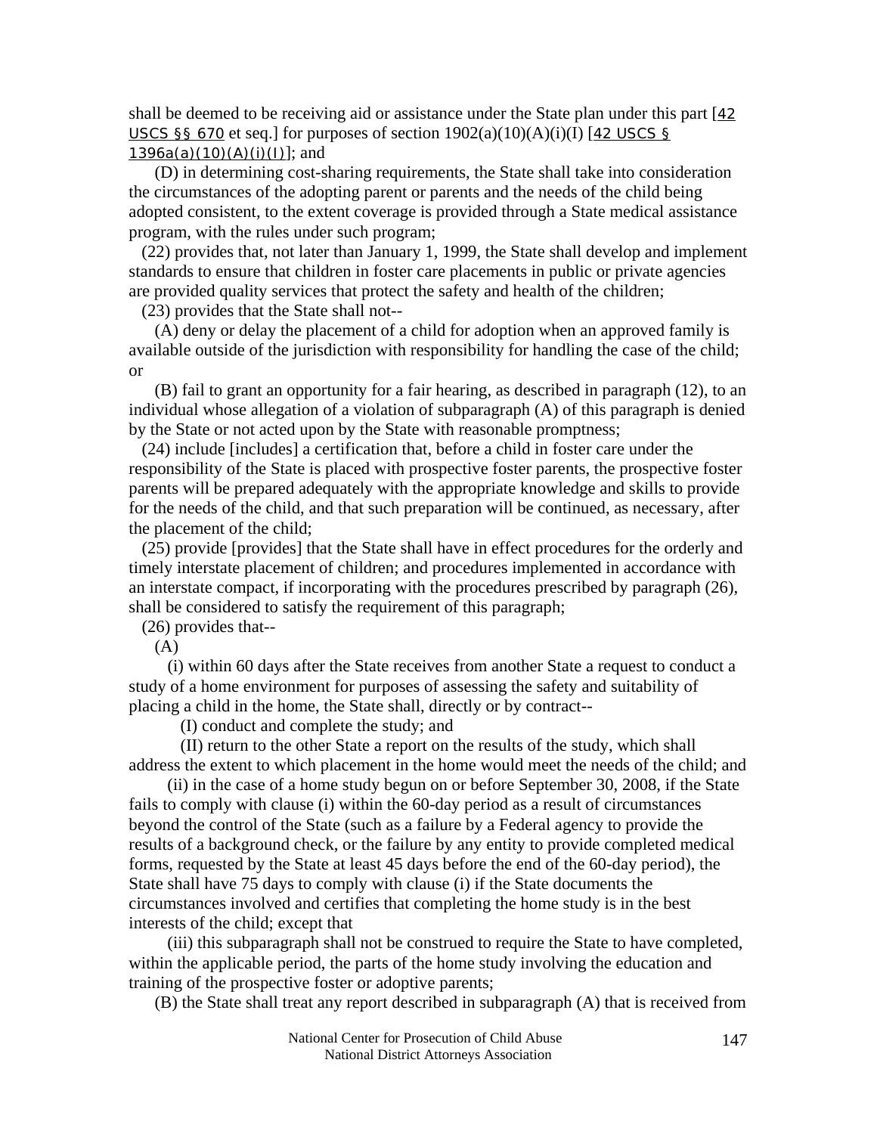shall be deemed to be receiving aid or assistance under the State plan under this part [[42](https://www.lexis.com/research/buttonTFLink?_m=b457d04108d6ab6650bdca8ab2a69adb&_xfercite=%3ccite%20cc%3d%22USA%22%3e%3c%21%5bCDATA%5b42%20USCS%20%a7%20671%5d%5d%3e%3c%2fcite%3e&_butType=4&_butStat=0&_butNum=50&_butInline=1&_butinfo=42%20USC%20670&_fmtstr=FULL&docnum=1&_startdoc=1&wchp=dGLbVlW-zSkAt&_md5=a032324da34123486531eba09d52bd81)  <u>[USCS §§ 670](https://www.lexis.com/research/buttonTFLink?_m=b457d04108d6ab6650bdca8ab2a69adb&_xfercite=%3ccite%20cc%3d%22USA%22%3e%3c%21%5bCDATA%5b42%20USCS%20%a7%20671%5d%5d%3e%3c%2fcite%3e&_butType=4&_butStat=0&_butNum=50&_butInline=1&_butinfo=42%20USC%20670&_fmtstr=FULL&docnum=1&_startdoc=1&wchp=dGLbVlW-zSkAt&_md5=a032324da34123486531eba09d52bd81)</u> et seq.] for purposes of section  $1902(a)(10)(A)(i)(I)$  [42 USCS §  $1396a(a)(10)(A)(i)(I)$ ; and

 (D) in determining cost-sharing requirements, the State shall take into consideration the circumstances of the adopting parent or parents and the needs of the child being adopted consistent, to the extent coverage is provided through a State medical assistance program, with the rules under such program;

 (22) provides that, not later than January 1, 1999, the State shall develop and implement standards to ensure that children in foster care placements in public or private agencies are provided quality services that protect the safety and health of the children;

(23) provides that the State shall not--

 (A) deny or delay the placement of a child for adoption when an approved family is available outside of the jurisdiction with responsibility for handling the case of the child; or

 (B) fail to grant an opportunity for a fair hearing, as described in paragraph (12), to an individual whose allegation of a violation of subparagraph (A) of this paragraph is denied by the State or not acted upon by the State with reasonable promptness;

 (24) include [includes] a certification that, before a child in foster care under the responsibility of the State is placed with prospective foster parents, the prospective foster parents will be prepared adequately with the appropriate knowledge and skills to provide for the needs of the child, and that such preparation will be continued, as necessary, after the placement of the child;

 (25) provide [provides] that the State shall have in effect procedures for the orderly and timely interstate placement of children; and procedures implemented in accordance with an interstate compact, if incorporating with the procedures prescribed by paragraph (26), shall be considered to satisfy the requirement of this paragraph;

(26) provides that--

(A)

 (i) within 60 days after the State receives from another State a request to conduct a study of a home environment for purposes of assessing the safety and suitability of placing a child in the home, the State shall, directly or by contract--

(I) conduct and complete the study; and

 (II) return to the other State a report on the results of the study, which shall address the extent to which placement in the home would meet the needs of the child; and

 (ii) in the case of a home study begun on or before September 30, 2008, if the State fails to comply with clause (i) within the 60-day period as a result of circumstances beyond the control of the State (such as a failure by a Federal agency to provide the results of a background check, or the failure by any entity to provide completed medical forms, requested by the State at least 45 days before the end of the 60-day period), the State shall have 75 days to comply with clause (i) if the State documents the circumstances involved and certifies that completing the home study is in the best interests of the child; except that

 (iii) this subparagraph shall not be construed to require the State to have completed, within the applicable period, the parts of the home study involving the education and training of the prospective foster or adoptive parents;

(B) the State shall treat any report described in subparagraph (A) that is received from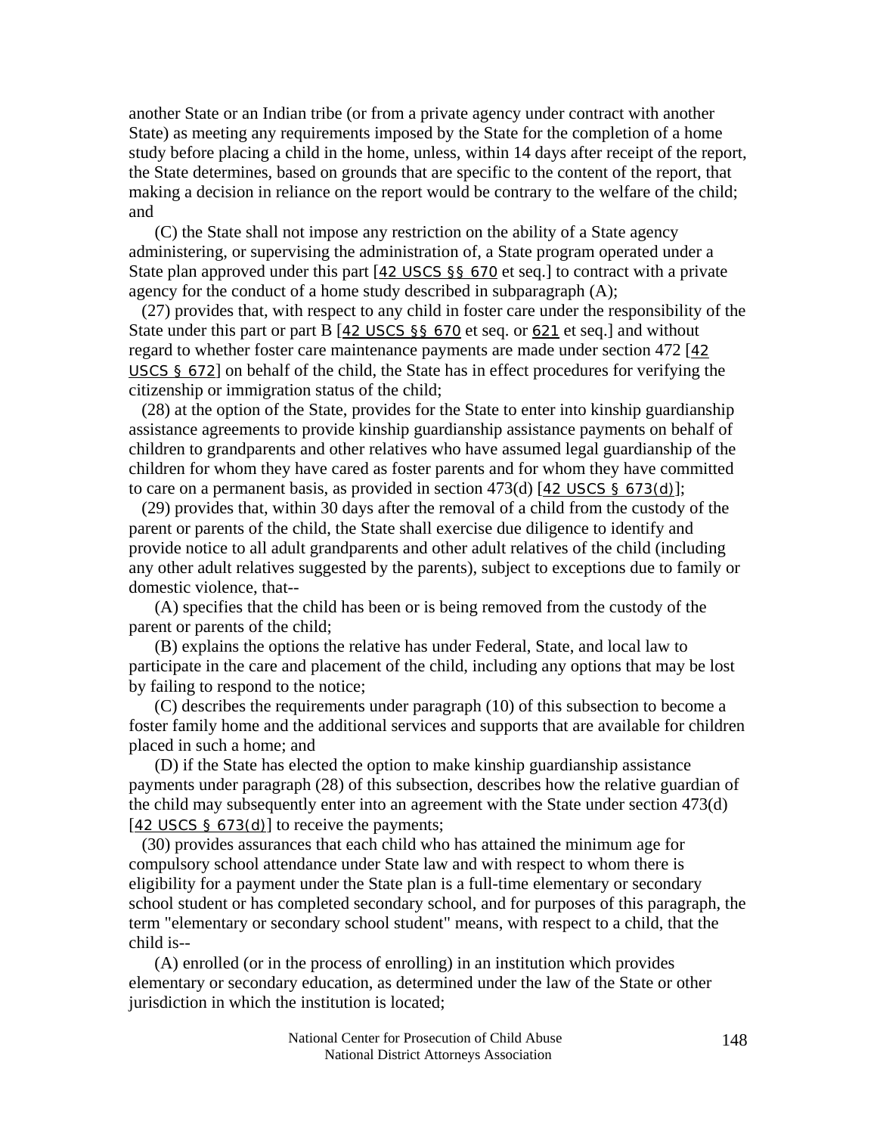another State or an Indian tribe (or from a private agency under contract with another State) as meeting any requirements imposed by the State for the completion of a home study before placing a child in the home, unless, within 14 days after receipt of the report, the State determines, based on grounds that are specific to the content of the report, that making a decision in reliance on the report would be contrary to the welfare of the child; and

 (C) the State shall not impose any restriction on the ability of a State agency administering, or supervising the administration of, a State program operated under a State plan approved under this part [[42 USCS §§ 670](https://www.lexis.com/research/buttonTFLink?_m=b457d04108d6ab6650bdca8ab2a69adb&_xfercite=%3ccite%20cc%3d%22USA%22%3e%3c%21%5bCDATA%5b42%20USCS%20%a7%20671%5d%5d%3e%3c%2fcite%3e&_butType=4&_butStat=0&_butNum=52&_butInline=1&_butinfo=42%20USC%20670&_fmtstr=FULL&docnum=1&_startdoc=1&wchp=dGLbVlW-zSkAt&_md5=0b8d7bdcfa8d87424aebe1d47020b77f) et seq.] to contract with a private agency for the conduct of a home study described in subparagraph (A);

 (27) provides that, with respect to any child in foster care under the responsibility of the State under this part or part B [[42 USCS §§ 670](https://www.lexis.com/research/buttonTFLink?_m=b457d04108d6ab6650bdca8ab2a69adb&_xfercite=%3ccite%20cc%3d%22USA%22%3e%3c%21%5bCDATA%5b42%20USCS%20%a7%20671%5d%5d%3e%3c%2fcite%3e&_butType=4&_butStat=0&_butNum=53&_butInline=1&_butinfo=42%20USC%20670&_fmtstr=FULL&docnum=1&_startdoc=1&wchp=dGLbVlW-zSkAt&_md5=748a7835ff31df4447f1229075444344) et seq. or [621](https://www.lexis.com/research/buttonTFLink?_m=b457d04108d6ab6650bdca8ab2a69adb&_xfercite=%3ccite%20cc%3d%22USA%22%3e%3c%21%5bCDATA%5b42%20USCS%20%a7%20671%5d%5d%3e%3c%2fcite%3e&_butType=4&_butStat=0&_butNum=54&_butInline=1&_butinfo=42%20USC%20621&_fmtstr=FULL&docnum=1&_startdoc=1&wchp=dGLbVlW-zSkAt&_md5=41a6d42fa7f1f3e476262138a4118514) et seq.] and without regard to whether foster care maintenance payments are made under section 472  $[42]$ [USCS § 672](https://www.lexis.com/research/buttonTFLink?_m=b457d04108d6ab6650bdca8ab2a69adb&_xfercite=%3ccite%20cc%3d%22USA%22%3e%3c%21%5bCDATA%5b42%20USCS%20%a7%20671%5d%5d%3e%3c%2fcite%3e&_butType=4&_butStat=0&_butNum=55&_butInline=1&_butinfo=42%20USC%20672&_fmtstr=FULL&docnum=1&_startdoc=1&wchp=dGLbVlW-zSkAt&_md5=0f8052b2f6e500dd3ae93f203096e330)] on behalf of the child, the State has in effect procedures for verifying the citizenship or immigration status of the child;

 (28) at the option of the State, provides for the State to enter into kinship guardianship assistance agreements to provide kinship guardianship assistance payments on behalf of children to grandparents and other relatives who have assumed legal guardianship of the children for whom they have cared as foster parents and for whom they have committed to care on a permanent basis, as provided in section  $473(d)$  [[42 USCS § 673\(d\)](https://www.lexis.com/research/buttonTFLink?_m=b457d04108d6ab6650bdca8ab2a69adb&_xfercite=%3ccite%20cc%3d%22USA%22%3e%3c%21%5bCDATA%5b42%20USCS%20%a7%20671%5d%5d%3e%3c%2fcite%3e&_butType=4&_butStat=0&_butNum=56&_butInline=1&_butinfo=42%20USC%20673&_fmtstr=FULL&docnum=1&_startdoc=1&wchp=dGLbVlW-zSkAt&_md5=6479033f747bb552e40523f6c0f9ca96)];

 (29) provides that, within 30 days after the removal of a child from the custody of the parent or parents of the child, the State shall exercise due diligence to identify and provide notice to all adult grandparents and other adult relatives of the child (including any other adult relatives suggested by the parents), subject to exceptions due to family or domestic violence, that--

 (A) specifies that the child has been or is being removed from the custody of the parent or parents of the child;

 (B) explains the options the relative has under Federal, State, and local law to participate in the care and placement of the child, including any options that may be lost by failing to respond to the notice;

 (C) describes the requirements under paragraph (10) of this subsection to become a foster family home and the additional services and supports that are available for children placed in such a home; and

 (D) if the State has elected the option to make kinship guardianship assistance payments under paragraph (28) of this subsection, describes how the relative guardian of the child may subsequently enter into an agreement with the State under section 473(d) [[42 USCS § 673\(d\)](https://www.lexis.com/research/buttonTFLink?_m=b457d04108d6ab6650bdca8ab2a69adb&_xfercite=%3ccite%20cc%3d%22USA%22%3e%3c%21%5bCDATA%5b42%20USCS%20%a7%20671%5d%5d%3e%3c%2fcite%3e&_butType=4&_butStat=0&_butNum=57&_butInline=1&_butinfo=42%20USC%20673&_fmtstr=FULL&docnum=1&_startdoc=1&wchp=dGLbVlW-zSkAt&_md5=0651b5777b4cc4d6d7b84e6507a82e71)] to receive the payments;

 (30) provides assurances that each child who has attained the minimum age for compulsory school attendance under State law and with respect to whom there is eligibility for a payment under the State plan is a full-time elementary or secondary school student or has completed secondary school, and for purposes of this paragraph, the term "elementary or secondary school student" means, with respect to a child, that the child is--

 (A) enrolled (or in the process of enrolling) in an institution which provides elementary or secondary education, as determined under the law of the State or other jurisdiction in which the institution is located;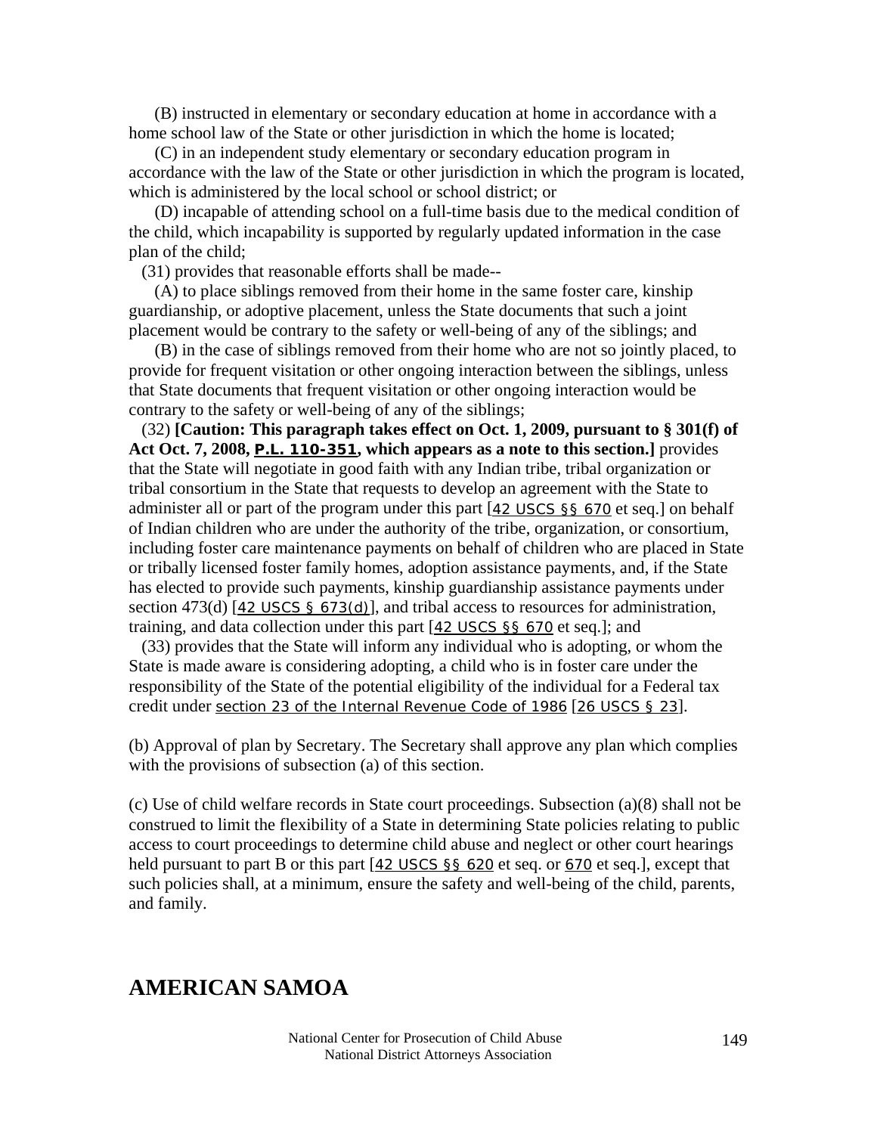(B) instructed in elementary or secondary education at home in accordance with a home school law of the State or other jurisdiction in which the home is located;

 (C) in an independent study elementary or secondary education program in accordance with the law of the State or other jurisdiction in which the program is located, which is administered by the local school or school district; or

 (D) incapable of attending school on a full-time basis due to the medical condition of the child, which incapability is supported by regularly updated information in the case plan of the child;

(31) provides that reasonable efforts shall be made--

 (A) to place siblings removed from their home in the same foster care, kinship guardianship, or adoptive placement, unless the State documents that such a joint placement would be contrary to the safety or well-being of any of the siblings; and

 (B) in the case of siblings removed from their home who are not so jointly placed, to provide for frequent visitation or other ongoing interaction between the siblings, unless that State documents that frequent visitation or other ongoing interaction would be contrary to the safety or well-being of any of the siblings;

 (32) **[Caution: This paragraph takes effect on Oct. 1, 2009, pursuant to § 301(f) of Act Oct. 7, 2008, [P.L. 110-351](https://www.lexis.com/research/buttonLink?_m=b457d04108d6ab6650bdca8ab2a69adb&_xfercite=%3ccite%20cc%3d%22USA%22%3e%3c%21%5bCDATA%5b42%20USCS%20%a7%20671%5d%5d%3e%3c%2fcite%3e&_butType=1&_butStat=0&_butNum=58&_butInline=1&_butinfo=LXE_110_PL_351&_fmtstr=FULL&docnum=1&_startdoc=1&wchp=dGLbVlW-zSkAt&_md5=f3141e761ba006c65e6e1210ff5ad084), which appears as a note to this section.]** provides that the State will negotiate in good faith with any Indian tribe, tribal organization or tribal consortium in the State that requests to develop an agreement with the State to administer all or part of the program under this part [[42 USCS §§ 670](https://www.lexis.com/research/buttonTFLink?_m=b457d04108d6ab6650bdca8ab2a69adb&_xfercite=%3ccite%20cc%3d%22USA%22%3e%3c%21%5bCDATA%5b42%20USCS%20%a7%20671%5d%5d%3e%3c%2fcite%3e&_butType=4&_butStat=0&_butNum=59&_butInline=1&_butinfo=42%20USC%20670&_fmtstr=FULL&docnum=1&_startdoc=1&wchp=dGLbVlW-zSkAt&_md5=392bdbd385e5c82d74a9c754409a6049) et seq.] on behalf of Indian children who are under the authority of the tribe, organization, or consortium, including foster care maintenance payments on behalf of children who are placed in State or tribally licensed foster family homes, adoption assistance payments, and, if the State has elected to provide such payments, kinship guardianship assistance payments under section 473(d) [[42 USCS § 673\(d\)](https://www.lexis.com/research/buttonTFLink?_m=b457d04108d6ab6650bdca8ab2a69adb&_xfercite=%3ccite%20cc%3d%22USA%22%3e%3c%21%5bCDATA%5b42%20USCS%20%a7%20671%5d%5d%3e%3c%2fcite%3e&_butType=4&_butStat=0&_butNum=60&_butInline=1&_butinfo=42%20USC%20673&_fmtstr=FULL&docnum=1&_startdoc=1&wchp=dGLbVlW-zSkAt&_md5=c9cf9cf358f5fca075081abb5867ddcf)], and tribal access to resources for administration, training, and data collection under this part [[42 USCS §§ 670](https://www.lexis.com/research/buttonTFLink?_m=b457d04108d6ab6650bdca8ab2a69adb&_xfercite=%3ccite%20cc%3d%22USA%22%3e%3c%21%5bCDATA%5b42%20USCS%20%a7%20671%5d%5d%3e%3c%2fcite%3e&_butType=4&_butStat=0&_butNum=61&_butInline=1&_butinfo=42%20USC%20670&_fmtstr=FULL&docnum=1&_startdoc=1&wchp=dGLbVlW-zSkAt&_md5=693a2123365680d7a3390fdcb7ccfa4c) et seq.]; and

 (33) provides that the State will inform any individual who is adopting, or whom the State is made aware is considering adopting, a child who is in foster care under the responsibility of the State of the potential eligibility of the individual for a Federal tax credit under [section 23 of the Internal Revenue Code of 1986](https://www.lexis.com/research/buttonTFLink?_m=b457d04108d6ab6650bdca8ab2a69adb&_xfercite=%3ccite%20cc%3d%22USA%22%3e%3c%21%5bCDATA%5b42%20USCS%20%a7%20671%5d%5d%3e%3c%2fcite%3e&_butType=4&_butStat=0&_butNum=62&_butInline=1&_butinfo=26%20USC%2023&_fmtstr=FULL&docnum=1&_startdoc=1&wchp=dGLbVlW-zSkAt&_md5=d29cd421b21d56c030a287b447a3a7a0) [[26 USCS § 23](https://www.lexis.com/research/buttonTFLink?_m=b457d04108d6ab6650bdca8ab2a69adb&_xfercite=%3ccite%20cc%3d%22USA%22%3e%3c%21%5bCDATA%5b42%20USCS%20%a7%20671%5d%5d%3e%3c%2fcite%3e&_butType=4&_butStat=0&_butNum=63&_butInline=1&_butinfo=26%20USC%2023&_fmtstr=FULL&docnum=1&_startdoc=1&wchp=dGLbVlW-zSkAt&_md5=846abccd7fd7aa1a034a80c0330143e9)].

(b) Approval of plan by Secretary. The Secretary shall approve any plan which complies with the provisions of subsection (a) of this section.

(c) Use of child welfare records in State court proceedings. Subsection (a)(8) shall not be construed to limit the flexibility of a State in determining State policies relating to public access to court proceedings to determine child abuse and neglect or other court hearings held pursuant to part B or this part [[42 USCS §§ 620](https://www.lexis.com/research/buttonTFLink?_m=b457d04108d6ab6650bdca8ab2a69adb&_xfercite=%3ccite%20cc%3d%22USA%22%3e%3c%21%5bCDATA%5b42%20USCS%20%a7%20671%5d%5d%3e%3c%2fcite%3e&_butType=4&_butStat=0&_butNum=64&_butInline=1&_butinfo=42%20USC%20620&_fmtstr=FULL&docnum=1&_startdoc=1&wchp=dGLbVlW-zSkAt&_md5=e0535125bbff0d332eb67f24a0cf79c8) et seq. or [670](https://www.lexis.com/research/buttonTFLink?_m=b457d04108d6ab6650bdca8ab2a69adb&_xfercite=%3ccite%20cc%3d%22USA%22%3e%3c%21%5bCDATA%5b42%20USCS%20%a7%20671%5d%5d%3e%3c%2fcite%3e&_butType=4&_butStat=0&_butNum=65&_butInline=1&_butinfo=42%20USC%20670&_fmtstr=FULL&docnum=1&_startdoc=1&wchp=dGLbVlW-zSkAt&_md5=8409d80ae9dcd934a0aad4bb0fc6b0d4) et seq.], except that such policies shall, at a minimum, ensure the safety and well-being of the child, parents, and family.

## **AMERICAN SAMOA**